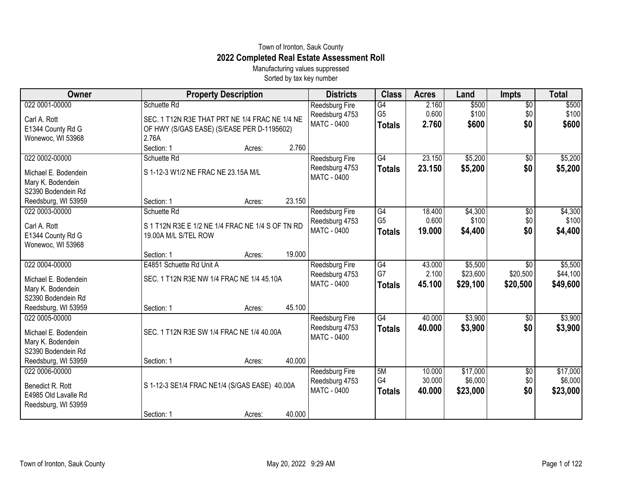## Town of Ironton, Sauk County **2022 Completed Real Estate Assessment Roll**

Manufacturing values suppressed Sorted by tax key number

| Owner                                     | <b>Property Description</b>                      |        |        | <b>Districts</b>                 | <b>Class</b>   | <b>Acres</b>     | Land     | <b>Impts</b>           | <b>Total</b> |
|-------------------------------------------|--------------------------------------------------|--------|--------|----------------------------------|----------------|------------------|----------|------------------------|--------------|
| 022 0001-00000                            | Schuette Rd                                      |        |        | <b>Reedsburg Fire</b>            | G4             | 2.160            | \$500    | $\overline{50}$        | \$500        |
| Carl A. Rott                              | SEC. 1 T12N R3E THAT PRT NE 1/4 FRAC NE 1/4 NE   |        |        | Reedsburg 4753<br>MATC - 0400    | G <sub>5</sub> | 0.600            | \$100    | \$0<br>\$0             | \$100        |
| E1344 County Rd G                         | OF HWY (S/GAS EASE) (S/EASE PER D-1195602)       |        |        |                                  | <b>Totals</b>  | 2.760            | \$600    |                        | \$600        |
| Wonewoc, WI 53968                         | 2.76A                                            |        |        |                                  |                |                  |          |                        |              |
|                                           | Section: 1                                       | Acres: | 2.760  |                                  |                |                  |          |                        |              |
| 022 0002-00000                            | Schuette Rd                                      |        |        | Reedsburg Fire<br>Reedsburg 4753 | G4             | 23.150<br>23.150 | \$5,200  | $\overline{50}$<br>\$0 | \$5,200      |
| Michael E. Bodendein                      | S 1-12-3 W1/2 NE FRAC NE 23.15A M/L              |        |        | MATC - 0400                      | <b>Totals</b>  |                  | \$5,200  |                        | \$5,200      |
| Mary K. Bodendein                         |                                                  |        |        |                                  |                |                  |          |                        |              |
| S2390 Bodendein Rd                        |                                                  |        | 23.150 |                                  |                |                  |          |                        |              |
| Reedsburg, WI 53959<br>022 0003-00000     | Section: 1<br>Schuette Rd                        | Acres: |        | Reedsburg Fire                   | G4             | 18.400           | \$4,300  | \$0                    | \$4,300      |
|                                           |                                                  |        |        | Reedsburg 4753                   | G <sub>5</sub> | 0.600            | \$100    | \$0                    | \$100        |
| Carl A. Rott                              | S 1 T12N R3E E 1/2 NE 1/4 FRAC NE 1/4 S OF TN RD |        |        | MATC - 0400                      | <b>Totals</b>  | 19.000           | \$4,400  | \$0                    | \$4,400      |
| E1344 County Rd G                         | 19.00A M/L S/TEL ROW                             |        |        |                                  |                |                  |          |                        |              |
| Wonewoc, WI 53968                         | Section: 1                                       | Acres: | 19.000 |                                  |                |                  |          |                        |              |
| 022 0004-00000                            | E4851 Schuette Rd Unit A                         |        |        | Reedsburg Fire                   | G4             | 43.000           | \$5,500  | \$0                    | \$5,500      |
|                                           |                                                  |        |        | Reedsburg 4753                   | G7             | 2.100            | \$23,600 | \$20,500               | \$44,100     |
| Michael E. Bodendein<br>Mary K. Bodendein | SEC. 1 T12N R3E NW 1/4 FRAC NE 1/4 45.10A        |        |        | MATC - 0400                      | <b>Totals</b>  | 45.100           | \$29,100 | \$20,500               | \$49,600     |
| S2390 Bodendein Rd                        |                                                  |        |        |                                  |                |                  |          |                        |              |
| Reedsburg, WI 53959                       | Section: 1                                       | Acres: | 45.100 |                                  |                |                  |          |                        |              |
| 022 0005-00000                            |                                                  |        |        | Reedsburg Fire                   | G4             | 40.000           | \$3,900  | \$0                    | \$3,900      |
| Michael E. Bodendein                      | SEC. 1 T12N R3E SW 1/4 FRAC NE 1/4 40.00A        |        |        | Reedsburg 4753                   | <b>Totals</b>  | 40,000           | \$3,900  | \$0                    | \$3,900      |
| Mary K. Bodendein                         |                                                  |        |        | <b>MATC - 0400</b>               |                |                  |          |                        |              |
| S2390 Bodendein Rd                        |                                                  |        |        |                                  |                |                  |          |                        |              |
| Reedsburg, WI 53959                       | Section: 1                                       | Acres: | 40.000 |                                  |                |                  |          |                        |              |
| 022 0006-00000                            |                                                  |        |        | Reedsburg Fire                   | 5M             | 10.000           | \$17,000 | $\sqrt[6]{3}$          | \$17,000     |
| Benedict R. Rott                          | S 1-12-3 SE1/4 FRAC NE1/4 (S/GAS EASE) 40.00A    |        |        | Reedsburg 4753                   | G4             | 30.000           | \$6,000  | \$0                    | \$6,000      |
| E4985 Old Lavalle Rd                      |                                                  |        |        | <b>MATC - 0400</b>               | <b>Totals</b>  | 40.000           | \$23,000 | \$0                    | \$23,000     |
| Reedsburg, WI 53959                       |                                                  |        |        |                                  |                |                  |          |                        |              |
|                                           | Section: 1                                       | Acres: | 40.000 |                                  |                |                  |          |                        |              |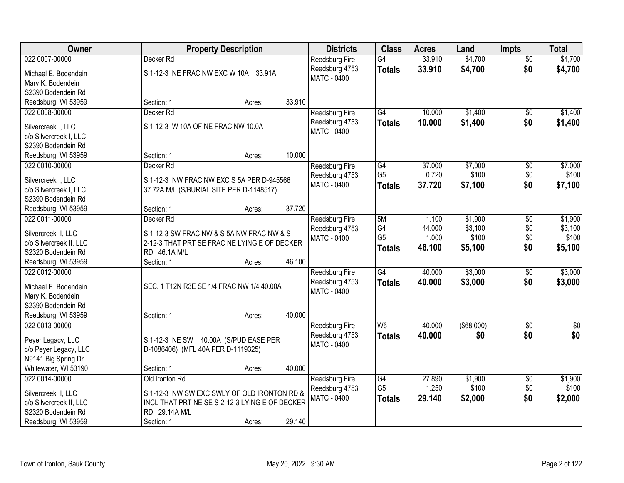| Owner                                         |                                                              | <b>Property Description</b> |        | <b>Districts</b>              | <b>Class</b>         | <b>Acres</b> | Land              | <b>Impts</b>    | <b>Total</b>     |
|-----------------------------------------------|--------------------------------------------------------------|-----------------------------|--------|-------------------------------|----------------------|--------------|-------------------|-----------------|------------------|
| 022 0007-00000                                | Decker Rd                                                    |                             |        | Reedsburg Fire                | $\overline{G4}$      | 33.910       | \$4,700           | $\overline{50}$ | \$4,700          |
| Michael E. Bodendein                          | S 1-12-3 NE FRAC NW EXC W 10A 33.91A                         |                             |        | Reedsburg 4753                | <b>Totals</b>        | 33.910       | \$4,700           | \$0             | \$4,700          |
| Mary K. Bodendein                             |                                                              |                             |        | MATC - 0400                   |                      |              |                   |                 |                  |
| S2390 Bodendein Rd                            |                                                              |                             |        |                               |                      |              |                   |                 |                  |
| Reedsburg, WI 53959                           | Section: 1                                                   | Acres:                      | 33.910 |                               |                      |              |                   |                 |                  |
| 022 0008-00000                                | Decker Rd                                                    |                             |        | Reedsburg Fire                | G4                   | 10.000       | \$1,400           | $\overline{50}$ | \$1,400          |
|                                               |                                                              |                             |        | Reedsburg 4753                | <b>Totals</b>        | 10.000       | \$1,400           | \$0             | \$1,400          |
| Silvercreek I, LLC                            | S 1-12-3 W 10A OF NE FRAC NW 10.0A                           |                             |        | MATC - 0400                   |                      |              |                   |                 |                  |
| c/o Silvercreek I, LLC                        |                                                              |                             |        |                               |                      |              |                   |                 |                  |
| S2390 Bodendein Rd                            |                                                              |                             | 10.000 |                               |                      |              |                   |                 |                  |
| Reedsburg, WI 53959                           | Section: 1                                                   | Acres:                      |        |                               |                      |              |                   |                 |                  |
| 022 0010-00000                                | Decker Rd                                                    |                             |        | <b>Reedsburg Fire</b>         | G4<br>G <sub>5</sub> | 37.000       | \$7,000           | $\overline{60}$ | \$7,000          |
| Silvercreek I, LLC                            | S 1-12-3 NW FRAC NW EXC S 5A PER D-945566                    |                             |        | Reedsburg 4753                |                      | 0.720        | \$100             | \$0             | \$100            |
| c/o Silvercreek I, LLC                        | 37.72A M/L (S/BURIAL SITE PER D-1148517)                     |                             |        | <b>MATC - 0400</b>            | <b>Totals</b>        | 37.720       | \$7,100           | \$0             | \$7,100          |
| S2390 Bodendein Rd                            |                                                              |                             |        |                               |                      |              |                   |                 |                  |
| Reedsburg, WI 53959                           | Section: 1                                                   | Acres:                      | 37.720 |                               |                      |              |                   |                 |                  |
| 022 0011-00000                                | Decker Rd                                                    |                             |        | <b>Reedsburg Fire</b>         | 5M                   | 1.100        | \$1,900           | \$0             | \$1,900          |
|                                               |                                                              |                             |        | Reedsburg 4753                | G4                   | 44.000       | \$3,100           | \$0             | \$3,100          |
| Silvercreek II, LLC                           | S 1-12-3 SW FRAC NW & S 5A NW FRAC NW & S                    |                             |        | MATC - 0400                   | G <sub>5</sub>       | 1.000        | \$100             | \$0             | \$100            |
| c/o Silvercreek II, LLC<br>S2320 Bodendein Rd | 2-12-3 THAT PRT SE FRAC NE LYING E OF DECKER<br>RD 46.1A M/L |                             |        |                               | <b>Totals</b>        | 46.100       | \$5,100           | \$0             | \$5,100          |
|                                               |                                                              |                             | 46.100 |                               |                      |              |                   |                 |                  |
| Reedsburg, WI 53959<br>022 0012-00000         | Section: 1                                                   | Acres:                      |        |                               | $\overline{G4}$      | 40.000       | \$3,000           |                 | \$3,000          |
|                                               |                                                              |                             |        | Reedsburg Fire                |                      |              |                   | $\overline{60}$ |                  |
| Michael E. Bodendein                          | SEC. 1 T12N R3E SE 1/4 FRAC NW 1/4 40.00A                    |                             |        | Reedsburg 4753<br>MATC - 0400 | <b>Totals</b>        | 40.000       | \$3,000           | \$0             | \$3,000          |
| Mary K. Bodendein                             |                                                              |                             |        |                               |                      |              |                   |                 |                  |
| S2390 Bodendein Rd                            |                                                              |                             |        |                               |                      |              |                   |                 |                  |
| Reedsburg, WI 53959                           | Section: 1                                                   | Acres:                      | 40.000 |                               |                      |              |                   |                 |                  |
| 022 0013-00000                                |                                                              |                             |        | Reedsburg Fire                | W6                   | 40.000       | $($ \$68,000) $ $ | $\overline{60}$ | $\overline{\$0}$ |
| Peyer Legacy, LLC                             | S 1-12-3 NE SW 40.00A (S/PUD EASE PER                        |                             |        | Reedsburg 4753                | <b>Totals</b>        | 40.000       | \$0               | \$0             | \$0              |
| c/o Peyer Legacy, LLC                         | D-1086406) (MFL 40A PER D-1119325)                           |                             |        | MATC - 0400                   |                      |              |                   |                 |                  |
| N9141 Big Spring Dr                           |                                                              |                             |        |                               |                      |              |                   |                 |                  |
| Whitewater, WI 53190                          | Section: 1                                                   | Acres:                      | 40.000 |                               |                      |              |                   |                 |                  |
| 022 0014-00000                                | Old Ironton Rd                                               |                             |        | <b>Reedsburg Fire</b>         | G4                   | 27.890       | \$1,900           | $\overline{60}$ | \$1,900          |
|                                               |                                                              |                             |        | Reedsburg 4753                | G <sub>5</sub>       | 1.250        | \$100             | \$0             | \$100            |
| Silvercreek II, LLC                           | S 1-12-3 NW SW EXC SWLY OF OLD IRONTON RD &                  |                             |        | <b>MATC - 0400</b>            |                      | 29.140       | \$2,000           | \$0             | \$2,000          |
| c/o Silvercreek II, LLC                       | INCL THAT PRT NE SE S 2-12-3 LYING E OF DECKER               |                             |        |                               | <b>Totals</b>        |              |                   |                 |                  |
| S2320 Bodendein Rd                            | RD 29.14A M/L                                                |                             |        |                               |                      |              |                   |                 |                  |
| Reedsburg, WI 53959                           | Section: 1                                                   | Acres:                      | 29.140 |                               |                      |              |                   |                 |                  |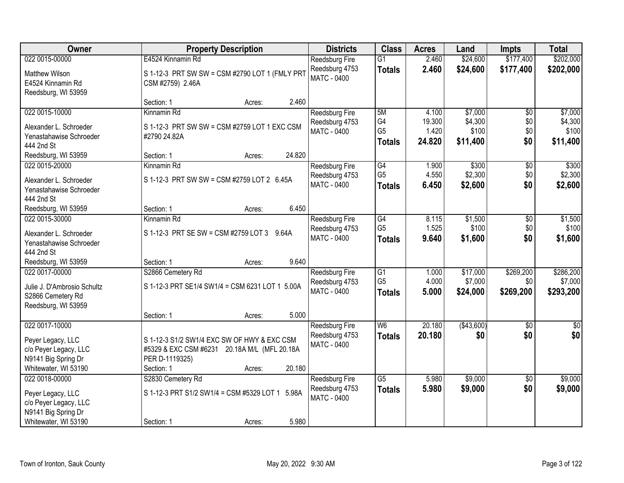| <b>Owner</b>                                                      | <b>Property Description</b>                                        | <b>Districts</b>                     | <b>Class</b>                      | <b>Acres</b>    | Land        | <b>Impts</b>     | <b>Total</b> |
|-------------------------------------------------------------------|--------------------------------------------------------------------|--------------------------------------|-----------------------------------|-----------------|-------------|------------------|--------------|
| 022 0015-00000                                                    | E4524 Kinnamin Rd                                                  | <b>Reedsburg Fire</b>                | $\overline{G1}$                   | 2.460           | \$24,600    | \$177,400        | \$202,000    |
| <b>Matthew Wilson</b><br>E4524 Kinnamin Rd<br>Reedsburg, WI 53959 | S 1-12-3 PRT SW SW = CSM #2790 LOT 1 (FMLY PRT<br>CSM #2759) 2.46A | Reedsburg 4753<br><b>MATC - 0400</b> | <b>Totals</b>                     | 2.460           | \$24,600    | \$177,400        | \$202,000    |
|                                                                   | 2.460<br>Section: 1<br>Acres:                                      |                                      |                                   |                 |             |                  |              |
| 022 0015-10000                                                    | Kinnamin Rd                                                        | Reedsburg Fire                       | 5M                                | 4.100           | \$7,000     | \$0              | \$7,000      |
| Alexander L. Schroeder                                            | S 1-12-3 PRT SW SW = CSM #2759 LOT 1 EXC CSM                       | Reedsburg 4753                       | G4                                | 19.300          | \$4,300     | \$0              | \$4,300      |
| Yenastahawise Schroeder                                           | #2790 24.82A                                                       | MATC - 0400                          | G <sub>5</sub>                    | 1.420<br>24.820 | \$100       | \$0<br>\$0       | \$100        |
| 444 2nd St                                                        |                                                                    |                                      | <b>Totals</b>                     |                 | \$11,400    |                  | \$11,400     |
| Reedsburg, WI 53959                                               | 24.820<br>Section: 1<br>Acres:                                     |                                      |                                   |                 |             |                  |              |
| 022 0015-20000                                                    | Kinnamin Rd                                                        | <b>Reedsburg Fire</b>                | G4                                | 1.900           | \$300       | \$0              | \$300        |
| Alexander L. Schroeder                                            | S 1-12-3 PRT SW SW = CSM #2759 LOT 2 6.45A                         | Reedsburg 4753<br><b>MATC - 0400</b> | G <sub>5</sub>                    | 4.550           | \$2,300     | \$0              | \$2,300      |
| Yenastahawise Schroeder                                           |                                                                    |                                      | <b>Totals</b>                     | 6.450           | \$2,600     | \$0              | \$2,600      |
| 444 2nd St                                                        |                                                                    |                                      |                                   |                 |             |                  |              |
| Reedsburg, WI 53959                                               | 6.450<br>Section: 1<br>Acres:                                      |                                      |                                   |                 |             |                  |              |
| 022 0015-30000                                                    | Kinnamin Rd                                                        | <b>Reedsburg Fire</b>                | $\overline{G4}$                   | 8.115           | \$1,500     | \$0              | \$1,500      |
| Alexander L. Schroeder                                            | S 1-12-3 PRT SE SW = CSM #2759 LOT 3 9.64A                         | Reedsburg 4753<br>MATC - 0400        | G <sub>5</sub>                    | 1.525<br>9.640  | \$100       | \$0<br>\$0       | \$100        |
| Yenastahawise Schroeder                                           |                                                                    |                                      | <b>Totals</b>                     |                 | \$1,600     |                  | \$1,600      |
| 444 2nd St                                                        |                                                                    |                                      |                                   |                 |             |                  |              |
| Reedsburg, WI 53959                                               | 9.640<br>Section: 1<br>Acres:                                      |                                      |                                   |                 |             |                  |              |
| 022 0017-00000                                                    | S2866 Cemetery Rd                                                  | <b>Reedsburg Fire</b>                | $\overline{G1}$<br>G <sub>5</sub> | 1.000           | \$17,000    | \$269,200        | \$286,200    |
| Julie J. D'Ambrosio Schultz                                       | S 1-12-3 PRT SE1/4 SW1/4 = CSM 6231 LOT 1 5.00A                    | Reedsburg 4753<br>MATC - 0400        |                                   | 4.000<br>5.000  | \$7,000     | \$0<br>\$269,200 | \$7,000      |
| S2866 Cemetery Rd                                                 |                                                                    |                                      | <b>Totals</b>                     |                 | \$24,000    |                  | \$293,200    |
| Reedsburg, WI 53959                                               |                                                                    |                                      |                                   |                 |             |                  |              |
|                                                                   | 5.000<br>Section: 1<br>Acres:                                      |                                      |                                   |                 |             |                  |              |
| 022 0017-10000                                                    |                                                                    | Reedsburg Fire                       | $\overline{W6}$                   | 20.180          | ( \$43,600) | $\overline{50}$  | $\sqrt{60}$  |
| Peyer Legacy, LLC                                                 | S 1-12-3 S1/2 SW1/4 EXC SW OF HWY & EXC CSM                        | Reedsburg 4753<br><b>MATC - 0400</b> | <b>Totals</b>                     | 20.180          | \$0         | \$0              | \$0          |
| c/o Peyer Legacy, LLC                                             | #5329 & EXC CSM #6231 20.18A M/L (MFL 20.18A                       |                                      |                                   |                 |             |                  |              |
| N9141 Big Spring Dr                                               | PER D-1119325)                                                     |                                      |                                   |                 |             |                  |              |
| Whitewater, WI 53190                                              | 20.180<br>Section: 1<br>Acres:                                     |                                      |                                   |                 |             |                  |              |
| 022 0018-00000                                                    | S2830 Cemetery Rd                                                  | <b>Reedsburg Fire</b>                | $\overline{G5}$                   | 5.980           | \$9,000     | $\overline{30}$  | \$9,000      |
| Peyer Legacy, LLC                                                 | S 1-12-3 PRT S1/2 SW1/4 = CSM #5329 LOT 1 5.98A                    | Reedsburg 4753<br><b>MATC - 0400</b> | <b>Totals</b>                     | 5.980           | \$9,000     | \$0              | \$9,000      |
| c/o Peyer Legacy, LLC                                             |                                                                    |                                      |                                   |                 |             |                  |              |
| N9141 Big Spring Dr                                               |                                                                    |                                      |                                   |                 |             |                  |              |
| Whitewater, WI 53190                                              | 5.980<br>Section: 1<br>Acres:                                      |                                      |                                   |                 |             |                  |              |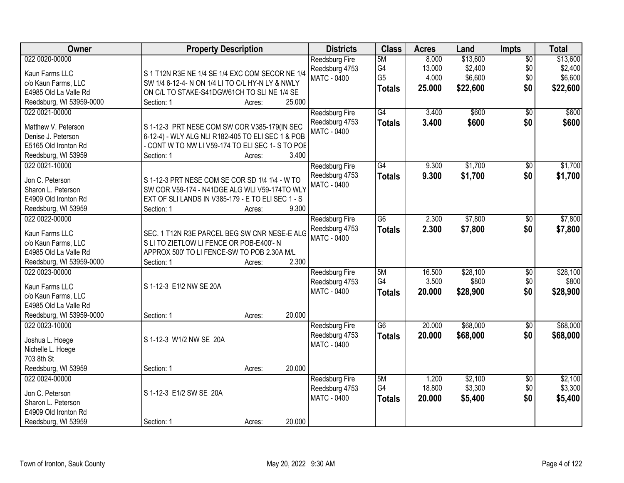| <b>Owner</b>                    | <b>Property Description</b>                       |        |        | <b>Districts</b>              | <b>Class</b>    | <b>Acres</b> | Land     | <b>Impts</b>    | <b>Total</b> |
|---------------------------------|---------------------------------------------------|--------|--------|-------------------------------|-----------------|--------------|----------|-----------------|--------------|
| 022 0020-00000                  |                                                   |        |        | Reedsburg Fire                | 5M              | 8.000        | \$13,600 | $\overline{50}$ | \$13,600     |
| Kaun Farms LLC                  | S 1 T12N R3E NE 1/4 SE 1/4 EXC COM SECOR NE 1/4   |        |        | Reedsburg 4753                | G4              | 13.000       | \$2,400  | \$0             | \$2,400      |
| c/o Kaun Farms, LLC             | SW 1/4 6-12-4- N ON 1/4 LI TO C/L HY-N LY & NWLY  |        |        | MATC - 0400                   | G <sub>5</sub>  | 4.000        | \$6,600  | \$0             | \$6,600      |
| E4985 Old La Valle Rd           | ON C/L TO STAKE-S41DGW61CH TO SLINE 1/4 SE        |        |        |                               | <b>Totals</b>   | 25.000       | \$22,600 | \$0             | \$22,600     |
| Reedsburg, WI 53959-0000        | Section: 1                                        | Acres: | 25.000 |                               |                 |              |          |                 |              |
| 022 0021-00000                  |                                                   |        |        | Reedsburg Fire                | G4              | 3.400        | \$600    | $\overline{50}$ | \$600        |
| Matthew V. Peterson             | S 1-12-3 PRT NESE COM SW COR V385-179(IN SEC      |        |        | Reedsburg 4753                | <b>Totals</b>   | 3.400        | \$600    | \$0             | \$600        |
| Denise J. Peterson              | 6-12-4) - WLY ALG NLI R182-405 TO ELI SEC 1 & POB |        |        | <b>MATC - 0400</b>            |                 |              |          |                 |              |
| E5165 Old Ironton Rd            | - CONT W TO NW LI V59-174 TO ELI SEC 1- S TO POE  |        |        |                               |                 |              |          |                 |              |
| Reedsburg, WI 53959             | Section: 1                                        | Acres: | 3.400  |                               |                 |              |          |                 |              |
| 022 0021-10000                  |                                                   |        |        | Reedsburg Fire                | $\overline{G4}$ | 9.300        | \$1,700  | $\overline{50}$ | \$1,700      |
|                                 |                                                   |        |        | Reedsburg 4753                | <b>Totals</b>   | 9.300        | \$1,700  | \$0             | \$1,700      |
| Jon C. Peterson                 | S 1-12-3 PRT NESE COM SE COR SD 1\4 1\4 - W TO    |        |        | <b>MATC - 0400</b>            |                 |              |          |                 |              |
| Sharon L. Peterson              | SW COR V59-174 - N41DGE ALG WLI V59-174TO WLY     |        |        |                               |                 |              |          |                 |              |
| E4909 Old Ironton Rd            | EXT OF SLILANDS IN V385-179 - E TO ELI SEC 1 - S  |        |        |                               |                 |              |          |                 |              |
| Reedsburg, WI 53959             | Section: 1                                        | Acres: | 9.300  |                               |                 |              |          |                 |              |
| 022 0022-00000                  |                                                   |        |        | <b>Reedsburg Fire</b>         | $\overline{G6}$ | 2.300        | \$7,800  | \$0             | \$7,800      |
| Kaun Farms LLC                  | SEC. 1 T12N R3E PARCEL BEG SW CNR NESE-E ALG      |        |        | Reedsburg 4753<br>MATC - 0400 | <b>Totals</b>   | 2.300        | \$7,800  | \$0             | \$7,800      |
| c/o Kaun Farms, LLC             | S LI TO ZIETLOW LI FENCE OR POB-E400'-N           |        |        |                               |                 |              |          |                 |              |
| E4985 Old La Valle Rd           | APPROX 500' TO LI FENCE-SW TO POB 2.30A M/L       |        |        |                               |                 |              |          |                 |              |
| Reedsburg, WI 53959-0000        | Section: 1                                        | Acres: | 2.300  |                               |                 |              |          |                 |              |
| 022 0023-00000                  |                                                   |        |        | Reedsburg Fire                | 5M              | 16.500       | \$28,100 | $\overline{50}$ | \$28,100     |
| Kaun Farms LLC                  | S 1-12-3 E1\2 NW SE 20A                           |        |        | Reedsburg 4753                | G4              | 3.500        | \$800    | \$0             | \$800        |
| c/o Kaun Farms, LLC             |                                                   |        |        | MATC - 0400                   | <b>Totals</b>   | 20.000       | \$28,900 | \$0             | \$28,900     |
| E4985 Old La Valle Rd           |                                                   |        |        |                               |                 |              |          |                 |              |
| Reedsburg, WI 53959-0000        | Section: 1                                        | Acres: | 20.000 |                               |                 |              |          |                 |              |
| 022 0023-10000                  |                                                   |        |        | Reedsburg Fire                | $\overline{G6}$ | 20.000       | \$68,000 | $\overline{60}$ | \$68,000     |
|                                 |                                                   |        |        | Reedsburg 4753                | <b>Totals</b>   | 20.000       | \$68,000 | \$0             | \$68,000     |
| Joshua L. Hoege                 | S 1-12-3 W1/2 NW SE 20A                           |        |        | MATC - 0400                   |                 |              |          |                 |              |
| Nichelle L. Hoege<br>703 8th St |                                                   |        |        |                               |                 |              |          |                 |              |
| Reedsburg, WI 53959             | Section: 1                                        | Acres: | 20.000 |                               |                 |              |          |                 |              |
| 022 0024-00000                  |                                                   |        |        | <b>Reedsburg Fire</b>         | 5M              | 1.200        | \$2,100  | $\overline{50}$ | \$2,100      |
|                                 |                                                   |        |        | Reedsburg 4753                | G4              | 18.800       | \$3,300  | \$0             | \$3,300      |
| Jon C. Peterson                 | S 1-12-3 E1/2 SW SE 20A                           |        |        | MATC - 0400                   | <b>Totals</b>   | 20.000       | \$5,400  | \$0             | \$5,400      |
| Sharon L. Peterson              |                                                   |        |        |                               |                 |              |          |                 |              |
| E4909 Old Ironton Rd            |                                                   |        |        |                               |                 |              |          |                 |              |
| Reedsburg, WI 53959             | Section: 1                                        | Acres: | 20.000 |                               |                 |              |          |                 |              |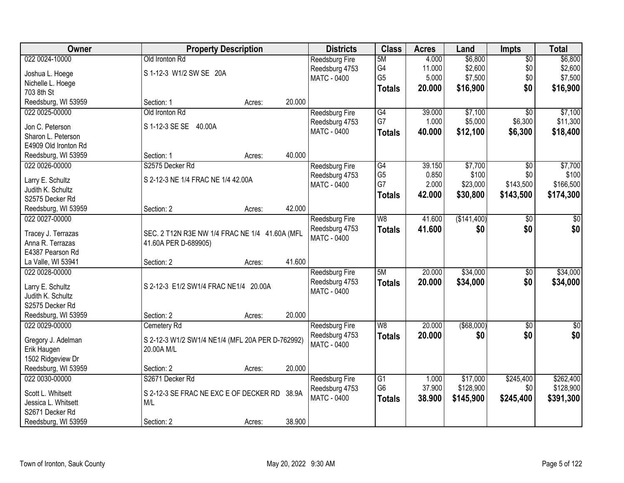| Owner                                 | <b>Property Description</b>                      |        |        | <b>Districts</b>      | <b>Class</b>    | <b>Acres</b> | Land              | <b>Impts</b>    | <b>Total</b> |
|---------------------------------------|--------------------------------------------------|--------|--------|-----------------------|-----------------|--------------|-------------------|-----------------|--------------|
| 022 0024-10000                        | Old Ironton Rd                                   |        |        | Reedsburg Fire        | 5M              | 4.000        | \$6,800           | \$0             | \$6,800      |
| Joshua L. Hoege                       | S 1-12-3 W1/2 SW SE 20A                          |        |        | Reedsburg 4753        | G4              | 11.000       | \$2,600           | \$0             | \$2,600      |
| Nichelle L. Hoege                     |                                                  |        |        | MATC - 0400           | G <sub>5</sub>  | 5.000        | \$7,500           | \$0             | \$7,500      |
| 703 8th St                            |                                                  |        |        |                       | <b>Totals</b>   | 20.000       | \$16,900          | \$0             | \$16,900     |
| Reedsburg, WI 53959                   | Section: 1                                       | Acres: | 20.000 |                       |                 |              |                   |                 |              |
| 022 0025-00000                        | Old Ironton Rd                                   |        |        | Reedsburg Fire        | G4              | 39.000       | \$7,100           | \$0             | \$7,100      |
|                                       |                                                  |        |        | Reedsburg 4753        | G7              | 1.000        | \$5,000           | \$6,300         | \$11,300     |
| Jon C. Peterson                       | S 1-12-3 SE SE 40.00A                            |        |        | <b>MATC - 0400</b>    |                 | 40.000       | \$12,100          | \$6,300         | \$18,400     |
| Sharon L. Peterson                    |                                                  |        |        |                       | <b>Totals</b>   |              |                   |                 |              |
| E4909 Old Ironton Rd                  |                                                  |        |        |                       |                 |              |                   |                 |              |
| Reedsburg, WI 53959                   | Section: 1                                       | Acres: | 40.000 |                       |                 |              |                   |                 |              |
| 022 0026-00000                        | S2575 Decker Rd                                  |        |        | Reedsburg Fire        | G4              | 39.150       | \$7,700           | \$0             | \$7,700      |
| Larry E. Schultz                      | S 2-12-3 NE 1/4 FRAC NE 1/4 42.00A               |        |        | Reedsburg 4753        | G <sub>5</sub>  | 0.850        | \$100             | \$0             | \$100        |
| Judith K. Schultz                     |                                                  |        |        | MATC - 0400           | G7              | 2.000        | \$23,000          | \$143,500       | \$166,500    |
| S2575 Decker Rd                       |                                                  |        |        |                       | <b>Totals</b>   | 42.000       | \$30,800          | \$143,500       | \$174,300    |
| Reedsburg, WI 53959                   | Section: 2                                       | Acres: | 42.000 |                       |                 |              |                   |                 |              |
| 022 0027-00000                        |                                                  |        |        |                       | W8              | 41.600       | (\$141,400)       |                 | \$0          |
|                                       |                                                  |        |        | Reedsburg Fire        |                 |              |                   | $\frac{1}{20}$  |              |
| Tracey J. Terrazas                    | SEC. 2 T12N R3E NW 1/4 FRAC NE 1/4 41.60A (MFL   |        |        | Reedsburg 4753        | <b>Totals</b>   | 41.600       | \$0               | \$0             | \$0          |
| Anna R. Terrazas                      | 41.60A PER D-689905)                             |        |        | MATC - 0400           |                 |              |                   |                 |              |
| E4387 Pearson Rd                      |                                                  |        |        |                       |                 |              |                   |                 |              |
| La Valle, WI 53941                    | Section: 2                                       | Acres: | 41.600 |                       |                 |              |                   |                 |              |
| 022 0028-00000                        |                                                  |        |        | Reedsburg Fire        | 5M              | 20.000       | \$34,000          | $\overline{$0}$ | \$34,000     |
|                                       | S 2-12-3 E1/2 SW1/4 FRAC NE1/4 20.00A            |        |        | Reedsburg 4753        | <b>Totals</b>   | 20.000       | \$34,000          | \$0             | \$34,000     |
| Larry E. Schultz                      |                                                  |        |        | <b>MATC - 0400</b>    |                 |              |                   |                 |              |
| Judith K. Schultz<br>S2575 Decker Rd  |                                                  |        |        |                       |                 |              |                   |                 |              |
|                                       |                                                  |        | 20.000 |                       |                 |              |                   |                 |              |
| Reedsburg, WI 53959<br>022 0029-00000 | Section: 2                                       | Acres: |        |                       | W <sub>8</sub>  |              |                   |                 |              |
|                                       | Cemetery Rd                                      |        |        | Reedsburg Fire        |                 | 20.000       | $($ \$68,000) $ $ | \$0             | \$0          |
| Gregory J. Adelman                    | S 2-12-3 W1/2 SW1/4 NE1/4 (MFL 20A PER D-762992) |        |        | Reedsburg 4753        | <b>Totals</b>   | 20.000       | \$0               | \$0             | \$0          |
| Erik Haugen                           | 20.00A M/L                                       |        |        | MATC - 0400           |                 |              |                   |                 |              |
| 1502 Ridgeview Dr                     |                                                  |        |        |                       |                 |              |                   |                 |              |
| Reedsburg, WI 53959                   | Section: 2                                       | Acres: | 20.000 |                       |                 |              |                   |                 |              |
| 022 0030-00000                        | S2671 Decker Rd                                  |        |        | <b>Reedsburg Fire</b> | $\overline{G1}$ | 1.000        | \$17,000          | \$245,400       | \$262,400    |
|                                       |                                                  |        |        | Reedsburg 4753        | G <sub>6</sub>  | 37.900       | \$128,900         | \$0             | \$128,900    |
| Scott L. Whitsett                     | S 2-12-3 SE FRAC NE EXC E OF DECKER RD           |        | 38.9A  | MATC - 0400           | <b>Totals</b>   | 38.900       | \$145,900         | \$245,400       | \$391,300    |
| Jessica L. Whitsett                   | M/L                                              |        |        |                       |                 |              |                   |                 |              |
| S2671 Decker Rd                       |                                                  |        |        |                       |                 |              |                   |                 |              |
| Reedsburg, WI 53959                   | Section: 2                                       | Acres: | 38.900 |                       |                 |              |                   |                 |              |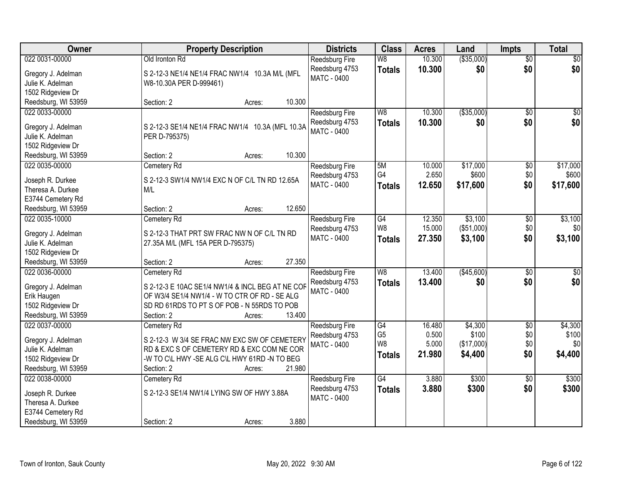| Owner                                  | <b>Property Description</b>                      | <b>Districts</b>      | <b>Class</b>    | <b>Acres</b> | Land        | <b>Impts</b>    | <b>Total</b>    |
|----------------------------------------|--------------------------------------------------|-----------------------|-----------------|--------------|-------------|-----------------|-----------------|
| 022 0031-00000                         | Old Ironton Rd                                   | Reedsburg Fire        | W8              | 10.300       | ( \$35,000) | \$0             | \$0             |
| Gregory J. Adelman                     | S 2-12-3 NE1/4 NE1/4 FRAC NW1/4 10.3A M/L (MFL   | Reedsburg 4753        | <b>Totals</b>   | 10.300       | \$0         | \$0             | \$0             |
| Julie K. Adelman                       | W8-10.30A PER D-999461)                          | <b>MATC - 0400</b>    |                 |              |             |                 |                 |
| 1502 Ridgeview Dr                      |                                                  |                       |                 |              |             |                 |                 |
| Reedsburg, WI 53959                    | 10.300<br>Section: 2<br>Acres:                   |                       |                 |              |             |                 |                 |
| 022 0033-00000                         |                                                  | Reedsburg Fire        | W8              | 10.300       | ( \$35,000) | $\overline{50}$ | \$0             |
|                                        |                                                  | Reedsburg 4753        | <b>Totals</b>   | 10.300       | \$0         | \$0             | \$0             |
| Gregory J. Adelman                     | S 2-12-3 SE1/4 NE1/4 FRAC NW1/4 10.3A (MFL 10.3A | MATC - 0400           |                 |              |             |                 |                 |
| Julie K. Adelman                       | PER D-795375)                                    |                       |                 |              |             |                 |                 |
| 1502 Ridgeview Dr                      |                                                  |                       |                 |              |             |                 |                 |
| Reedsburg, WI 53959                    | 10.300<br>Section: 2<br>Acres:                   |                       |                 |              |             |                 |                 |
| 022 0035-00000                         | Cemetery Rd                                      | <b>Reedsburg Fire</b> | 5M              | 10.000       | \$17,000    | \$0             | \$17,000        |
| Joseph R. Durkee                       | S 2-12-3 SW1/4 NW1/4 EXC N OF C/L TN RD 12.65A   | Reedsburg 4753        | G4              | 2.650        | \$600       | \$0             | \$600           |
| Theresa A. Durkee                      | M/L                                              | MATC - 0400           | <b>Totals</b>   | 12.650       | \$17,600    | \$0             | \$17,600        |
| E3744 Cemetery Rd                      |                                                  |                       |                 |              |             |                 |                 |
| Reedsburg, WI 53959                    | 12.650<br>Section: 2<br>Acres:                   |                       |                 |              |             |                 |                 |
| 022 0035-10000                         | Cemetery Rd                                      | Reedsburg Fire        | G4              | 12.350       | \$3,100     | \$0             | \$3,100         |
|                                        | S 2-12-3 THAT PRT SW FRAC NW N OF C/L TN RD      | Reedsburg 4753        | W8              | 15.000       | (\$51,000)  | \$0             | \$0             |
| Gregory J. Adelman<br>Julie K. Adelman | 27.35A M/L (MFL 15A PER D-795375)                | MATC - 0400           | <b>Totals</b>   | 27.350       | \$3,100     | \$0             | \$3,100         |
| 1502 Ridgeview Dr                      |                                                  |                       |                 |              |             |                 |                 |
| Reedsburg, WI 53959                    | 27.350<br>Section: 2<br>Acres:                   |                       |                 |              |             |                 |                 |
| 022 0036-00000                         | Cemetery Rd                                      | Reedsburg Fire        | W8              | 13.400       | (\$45,600)  | $\overline{50}$ | $\overline{50}$ |
|                                        |                                                  | Reedsburg 4753        |                 | 13,400       | \$0         | \$0             | \$0             |
| Gregory J. Adelman                     | S 2-12-3 E 10AC SE1/4 NW1/4 & INCL BEG AT NE COF | MATC - 0400           | <b>Totals</b>   |              |             |                 |                 |
| Erik Haugen                            | OF W3/4 SE1/4 NW1/4 - W TO CTR OF RD - SE ALG    |                       |                 |              |             |                 |                 |
| 1502 Ridgeview Dr                      | SD RD 61RDS TO PT S OF POB - N 55RDS TO POB      |                       |                 |              |             |                 |                 |
| Reedsburg, WI 53959                    | 13.400<br>Section: 2<br>Acres:                   |                       |                 |              |             |                 |                 |
| 022 0037-00000                         | Cemetery Rd                                      | Reedsburg Fire        | G4              | 16.480       | \$4,300     | $\overline{50}$ | \$4,300         |
| Gregory J. Adelman                     | S 2-12-3 W 3/4 SE FRAC NW EXC SW OF CEMETERY     | Reedsburg 4753        | G <sub>5</sub>  | 0.500        | \$100       | \$0             | \$100           |
| Julie K. Adelman                       | RD & EXC S OF CEMETERY RD & EXC COM NE COR       | MATC - 0400           | W <sub>8</sub>  | 5.000        | (\$17,000)  | \$0             | \$0             |
| 1502 Ridgeview Dr                      | -W TO C\L HWY -SE ALG C\L HWY 61RD -N TO BEG     |                       | <b>Totals</b>   | 21.980       | \$4,400     | \$0             | \$4,400         |
| Reedsburg, WI 53959                    | 21.980<br>Section: 2<br>Acres:                   |                       |                 |              |             |                 |                 |
| 022 0038-00000                         | Cemetery Rd                                      | <b>Reedsburg Fire</b> | $\overline{G4}$ | 3.880        | \$300       | $\overline{50}$ | \$300           |
|                                        |                                                  | Reedsburg 4753        | <b>Totals</b>   | 3.880        | \$300       | \$0             | \$300           |
| Joseph R. Durkee                       | S 2-12-3 SE1/4 NW1/4 LYING SW OF HWY 3.88A       | <b>MATC - 0400</b>    |                 |              |             |                 |                 |
| Theresa A. Durkee                      |                                                  |                       |                 |              |             |                 |                 |
| E3744 Cemetery Rd                      |                                                  |                       |                 |              |             |                 |                 |
| Reedsburg, WI 53959                    | 3.880<br>Section: 2<br>Acres:                    |                       |                 |              |             |                 |                 |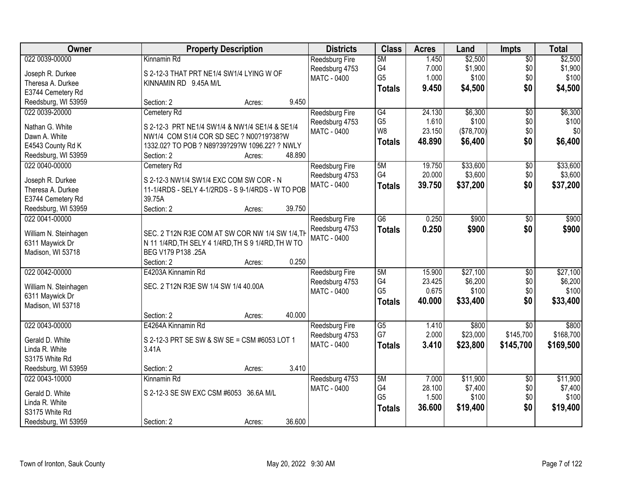| Owner                 | <b>Property Description</b>                        | <b>Districts</b>   | <b>Class</b>    | <b>Acres</b> | Land       | <b>Impts</b>    | <b>Total</b> |
|-----------------------|----------------------------------------------------|--------------------|-----------------|--------------|------------|-----------------|--------------|
| 022 0039-00000        | Kinnamin Rd                                        | Reedsburg Fire     | 5M              | 1.450        | \$2,500    | $\overline{50}$ | \$2,500      |
| Joseph R. Durkee      | S 2-12-3 THAT PRT NE1/4 SW1/4 LYING W OF           | Reedsburg 4753     | G4              | 7.000        | \$1,900    | \$0             | \$1,900      |
| Theresa A. Durkee     | KINNAMIN RD 9.45A M/L                              | <b>MATC - 0400</b> | G <sub>5</sub>  | 1.000        | \$100      | \$0             | \$100        |
| E3744 Cemetery Rd     |                                                    |                    | <b>Totals</b>   | 9.450        | \$4,500    | \$0             | \$4,500      |
| Reedsburg, WI 53959   | 9.450<br>Section: 2<br>Acres:                      |                    |                 |              |            |                 |              |
| 022 0039-20000        | Cemetery Rd                                        | Reedsburg Fire     | G4              | 24.130       | \$6,300    | $\overline{50}$ | \$6,300      |
|                       |                                                    | Reedsburg 4753     | G <sub>5</sub>  | 1.610        | \$100      | \$0             | \$100        |
| Nathan G. White       | S 2-12-3 PRT NE1/4 SW1/4 & NW1/4 SE1/4 & SE1/4     | MATC - 0400        | W8              | 23.150       | (\$78,700) | \$0             | \$0          |
| Dawn A. White         | NW1/4 COM S1/4 COR SD SEC ? N00?19?38?W            |                    | <b>Totals</b>   | 48.890       | \$6,400    | \$0             | \$6,400      |
| E4543 County Rd K     | 1332.02? TO POB ? N89?39?29?W 1096.22? ? NWLY      |                    |                 |              |            |                 |              |
| Reedsburg, WI 53959   | 48.890<br>Section: 2<br>Acres:                     |                    |                 |              |            |                 |              |
| 022 0040-00000        | Cemetery Rd                                        | Reedsburg Fire     | 5M              | 19.750       | \$33,600   | $\overline{50}$ | \$33,600     |
| Joseph R. Durkee      | S 2-12-3 NW1/4 SW1/4 EXC COM SW COR - N            | Reedsburg 4753     | G4              | 20.000       | \$3,600    | \$0             | \$3,600      |
| Theresa A. Durkee     | 11-1/4RDS - SELY 4-1/2RDS - S 9-1/4RDS - W TO POB  | <b>MATC - 0400</b> | <b>Totals</b>   | 39.750       | \$37,200   | \$0             | \$37,200     |
| E3744 Cemetery Rd     | 39.75A                                             |                    |                 |              |            |                 |              |
| Reedsburg, WI 53959   | Section: 2<br>39.750<br>Acres:                     |                    |                 |              |            |                 |              |
| 022 0041-00000        |                                                    | Reedsburg Fire     | $\overline{G6}$ | 0.250        | \$900      | \$0             | \$900        |
|                       |                                                    | Reedsburg 4753     | <b>Totals</b>   | 0.250        | \$900      | \$0             | \$900        |
| William N. Steinhagen | SEC. 2 T12N R3E COM AT SW COR NW 1/4 SW 1/4, TH    | MATC - 0400        |                 |              |            |                 |              |
| 6311 Maywick Dr       | N 11 1/4RD, TH SELY 4 1/4RD, TH S 9 1/4RD, TH W TO |                    |                 |              |            |                 |              |
| Madison, WI 53718     | BEG V179 P138 .25A                                 |                    |                 |              |            |                 |              |
|                       | 0.250<br>Section: 2<br>Acres:                      |                    |                 |              |            |                 |              |
| 022 0042-00000        | E4203A Kinnamin Rd                                 | Reedsburg Fire     | 5M              | 15.900       | \$27,100   | $\overline{30}$ | \$27,100     |
| William N. Steinhagen | SEC. 2 T12N R3E SW 1/4 SW 1/4 40.00A               | Reedsburg 4753     | G4              | 23.425       | \$6,200    | \$0             | \$6,200      |
| 6311 Maywick Dr       |                                                    | <b>MATC - 0400</b> | G <sub>5</sub>  | 0.675        | \$100      | \$0             | \$100        |
| Madison, WI 53718     |                                                    |                    | <b>Totals</b>   | 40.000       | \$33,400   | \$0             | \$33,400     |
|                       | 40.000<br>Section: 2<br>Acres:                     |                    |                 |              |            |                 |              |
| 022 0043-00000        | E4264A Kinnamin Rd                                 | Reedsburg Fire     | $\overline{G5}$ | 1.410        | \$800      | $\overline{50}$ | \$800        |
| Gerald D. White       | S 2-12-3 PRT SE SW & SW SE = CSM #6053 LOT 1       | Reedsburg 4753     | G7              | 2.000        | \$23,000   | \$145,700       | \$168,700    |
| Linda R. White        | 3.41A                                              | MATC - 0400        | <b>Totals</b>   | 3.410        | \$23,800   | \$145,700       | \$169,500    |
| S3175 White Rd        |                                                    |                    |                 |              |            |                 |              |
| Reedsburg, WI 53959   | 3.410<br>Section: 2<br>Acres:                      |                    |                 |              |            |                 |              |
| 022 0043-10000        | Kinnamin Rd                                        | Reedsburg 4753     | 5M              | 7.000        | \$11,900   | $\overline{50}$ | \$11,900     |
|                       |                                                    | <b>MATC - 0400</b> | G4              | 28.100       | \$7,400    | \$0             | \$7,400      |
| Gerald D. White       | S 2-12-3 SE SW EXC CSM #6053 36.6A M/L             |                    | G <sub>5</sub>  | 1.500        | \$100      | \$0             | \$100        |
| Linda R. White        |                                                    |                    | <b>Totals</b>   | 36.600       | \$19,400   | \$0             | \$19,400     |
| S3175 White Rd        |                                                    |                    |                 |              |            |                 |              |
| Reedsburg, WI 53959   | 36.600<br>Section: 2<br>Acres:                     |                    |                 |              |            |                 |              |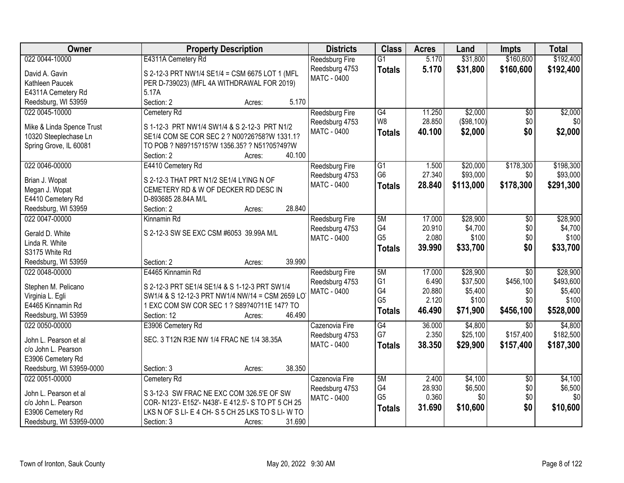| <b>Owner</b>                          | <b>Property Description</b>                         | <b>Districts</b>      | <b>Class</b>    | <b>Acres</b> | Land       | <b>Impts</b>    | <b>Total</b> |
|---------------------------------------|-----------------------------------------------------|-----------------------|-----------------|--------------|------------|-----------------|--------------|
| 022 0044-10000                        | E4311A Cemetery Rd                                  | <b>Reedsburg Fire</b> | $\overline{G1}$ | 5.170        | \$31,800   | \$160,600       | \$192,400    |
| David A. Gavin                        | S 2-12-3 PRT NW1/4 SE1/4 = CSM 6675 LOT 1 (MFL      | Reedsburg 4753        | <b>Totals</b>   | 5.170        | \$31,800   | \$160,600       | \$192,400    |
| Kathleen Paucek                       | PER D-739023) (MFL 4A WITHDRAWAL FOR 2019)          | MATC - 0400           |                 |              |            |                 |              |
| E4311A Cemetery Rd                    | 5.17A                                               |                       |                 |              |            |                 |              |
| Reedsburg, WI 53959                   | Section: 2<br>5.170<br>Acres:                       |                       |                 |              |            |                 |              |
| 022 0045-10000                        | Cemetery Rd                                         | <b>Reedsburg Fire</b> | G4              | 11.250       | \$2,000    | $\overline{50}$ | \$2,000      |
|                                       |                                                     | Reedsburg 4753        | W <sub>8</sub>  | 28.850       | (\$98,100) | \$0             | \$0          |
| Mike & Linda Spence Trust             | S 1-12-3 PRT NW1/4 SW1/4 & S 2-12-3 PRT N1/2        | MATC - 0400           | <b>Totals</b>   | 40.100       | \$2,000    | \$0             | \$2,000      |
| 10320 Steeplechase Ln                 | SE1/4 COM SE COR SEC 2 ? N00?26?58?W 1331.1?        |                       |                 |              |            |                 |              |
| Spring Grove, IL 60081                | TO POB ? N89?15?15?W 1356.35? ? N51?05?49?W         |                       |                 |              |            |                 |              |
|                                       | 40.100<br>Section: 2<br>Acres:                      |                       |                 |              |            |                 |              |
| 022 0046-00000                        | E4410 Cemetery Rd                                   | Reedsburg Fire        | $\overline{G1}$ | 1.500        | \$20,000   | \$178,300       | \$198,300    |
| Brian J. Wopat                        | S 2-12-3 THAT PRT N1/2 SE1/4 LYING N OF             | Reedsburg 4753        | G <sub>6</sub>  | 27.340       | \$93,000   | \$0             | \$93,000     |
| Megan J. Wopat                        | CEMETERY RD & W OF DECKER RD DESC IN                | <b>MATC - 0400</b>    | <b>Totals</b>   | 28.840       | \$113,000  | \$178,300       | \$291,300    |
| E4410 Cemetery Rd                     | D-893685 28.84A M/L                                 |                       |                 |              |            |                 |              |
| Reedsburg, WI 53959                   | 28.840<br>Section: 2<br>Acres:                      |                       |                 |              |            |                 |              |
| 022 0047-00000                        | Kinnamin Rd                                         | <b>Reedsburg Fire</b> | 5M              | 17.000       | \$28,900   | \$0             | \$28,900     |
|                                       |                                                     | Reedsburg 4753        | G4              | 20.910       | \$4,700    | \$0             | \$4,700      |
| Gerald D. White                       | S 2-12-3 SW SE EXC CSM #6053 39.99A M/L             | <b>MATC - 0400</b>    | G <sub>5</sub>  | 2.080        | \$100      | \$0             | \$100        |
| Linda R. White                        |                                                     |                       | <b>Totals</b>   | 39.990       | \$33,700   | \$0             | \$33,700     |
| S3175 White Rd                        | 39.990                                              |                       |                 |              |            |                 |              |
| Reedsburg, WI 53959<br>022 0048-00000 | Section: 2<br>Acres:<br>E4465 Kinnamin Rd           |                       | 5M              | 17.000       | \$28,900   | $\overline{30}$ | \$28,900     |
|                                       |                                                     | Reedsburg Fire        | G <sub>1</sub>  | 6.490        | \$37,500   | \$456,100       | \$493,600    |
| Stephen M. Pelicano                   | S 2-12-3 PRT SE1/4 SE1/4 & S 1-12-3 PRT SW1/4       | Reedsburg 4753        | G4              | 20.880       | \$5,400    | \$0             | \$5,400      |
| Virginia L. Egli                      | SW1/4 & S 12-12-3 PRT NW1/4 NW/14 = CSM 2659 LO     | <b>MATC - 0400</b>    | G <sub>5</sub>  | 2.120        | \$100      | \$0             | \$100        |
| E4465 Kinnamin Rd                     | 1 EXC COM SW COR SEC 1 ? S89?40?11E 147? TO         |                       |                 | 46.490       | \$71,900   | \$456,100       | \$528,000    |
| Reedsburg, WI 53959                   | 46.490<br>Section: 12<br>Acres:                     |                       | <b>Totals</b>   |              |            |                 |              |
| 022 0050-00000                        | E3906 Cemetery Rd                                   | Cazenovia Fire        | $\overline{G4}$ | 36.000       | \$4,800    | $\overline{30}$ | \$4,800      |
| John L. Pearson et al                 | SEC. 3 T12N R3E NW 1/4 FRAC NE 1/4 38.35A           | Reedsburg 4753        | G7              | 2.350        | \$25,100   | \$157,400       | \$182,500    |
| c/o John L. Pearson                   |                                                     | MATC - 0400           | <b>Totals</b>   | 38.350       | \$29,900   | \$157,400       | \$187,300    |
| E3906 Cemetery Rd                     |                                                     |                       |                 |              |            |                 |              |
| Reedsburg, WI 53959-0000              | 38.350<br>Section: 3<br>Acres:                      |                       |                 |              |            |                 |              |
| 022 0051-00000                        | Cemetery Rd                                         | Cazenovia Fire        | 5M              | 2.400        | \$4,100    | $\overline{50}$ | \$4,100      |
|                                       |                                                     | Reedsburg 4753        | G4              | 28.930       | \$6,500    | \$0             | \$6,500      |
| John L. Pearson et al                 | S 3-12-3 SW FRAC NE EXC COM 326.5'E OF SW           | <b>MATC - 0400</b>    | G <sub>5</sub>  | 0.360        | \$0        | \$0             | \$0          |
| c/o John L. Pearson                   | COR- N123'- E152'- N438'- E 412.5'- S TO PT 5 CH 25 |                       | <b>Totals</b>   | 31.690       | \$10,600   | \$0             | \$10,600     |
| E3906 Cemetery Rd                     | LKS N OF S LI- E 4 CH- S 5 CH 25 LKS TO S LI- W TO  |                       |                 |              |            |                 |              |
| Reedsburg, WI 53959-0000              | Section: 3<br>31.690<br>Acres:                      |                       |                 |              |            |                 |              |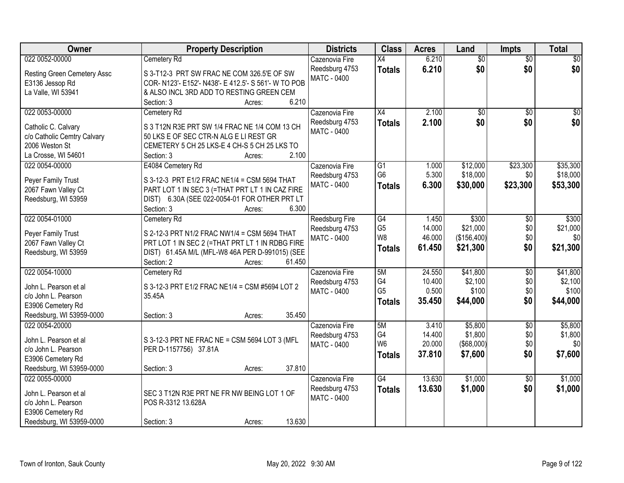| <b>Owner</b>                                  | <b>Property Description</b>                                                             | <b>Districts</b>      | <b>Class</b>    | <b>Acres</b> | Land            | <b>Impts</b>    | <b>Total</b>    |
|-----------------------------------------------|-----------------------------------------------------------------------------------------|-----------------------|-----------------|--------------|-----------------|-----------------|-----------------|
| 022 0052-00000                                | Cemetery Rd                                                                             | Cazenovia Fire        | X4              | 6.210        | $\overline{50}$ | $\overline{50}$ | $\overline{30}$ |
| <b>Resting Green Cemetery Assc</b>            | S 3-T12-3 PRT SW FRAC NE COM 326.5'E OF SW                                              | Reedsburg 4753        | <b>Totals</b>   | 6.210        | \$0             | \$0             | \$0             |
| E3136 Jessop Rd                               | COR- N123'- E152'- N438'- E 412.5'- S 561'- W TO POB                                    | MATC - 0400           |                 |              |                 |                 |                 |
| La Valle, WI 53941                            | & ALSO INCL 3RD ADD TO RESTING GREEN CEM                                                |                       |                 |              |                 |                 |                 |
|                                               | 6.210<br>Section: 3<br>Acres:                                                           |                       |                 |              |                 |                 |                 |
| 022 0053-00000                                | Cemetery Rd                                                                             | Cazenovia Fire        | $\overline{X4}$ | 2.100        | $\overline{50}$ | $\overline{50}$ | $\sqrt{50}$     |
|                                               |                                                                                         | Reedsburg 4753        | <b>Totals</b>   | 2.100        | \$0             | \$0             | \$0             |
| Catholic C. Calvary                           | S 3 T12N R3E PRT SW 1/4 FRAC NE 1/4 COM 13 CH<br>50 LKS E OF SEC CTR-N ALG E LI REST GR | <b>MATC - 0400</b>    |                 |              |                 |                 |                 |
| c/o Catholic Cemtry Calvary<br>2006 Weston St | CEMETERY 5 CH 25 LKS-E 4 CH-S 5 CH 25 LKS TO                                            |                       |                 |              |                 |                 |                 |
| La Crosse, WI 54601                           | 2.100<br>Section: 3<br>Acres:                                                           |                       |                 |              |                 |                 |                 |
| 022 0054-00000                                | E4084 Cemetery Rd                                                                       | Cazenovia Fire        | $\overline{G1}$ | 1.000        | \$12,000        | \$23,300        | \$35,300        |
|                                               |                                                                                         | Reedsburg 4753        | G <sub>6</sub>  | 5.300        | \$18,000        | \$0             | \$18,000        |
| Peyer Family Trust                            | S 3-12-3 PRT E1/2 FRAC NE1/4 = CSM 5694 THAT                                            | <b>MATC - 0400</b>    | <b>Totals</b>   | 6.300        | \$30,000        | \$23,300        | \$53,300        |
| 2067 Fawn Valley Ct                           | PART LOT 1 IN SEC 3 (=THAT PRT LT 1 IN CAZ FIRE                                         |                       |                 |              |                 |                 |                 |
| Reedsburg, WI 53959                           | DIST) 6.30A (SEE 022-0054-01 FOR OTHER PRT LT                                           |                       |                 |              |                 |                 |                 |
|                                               | Section: 3<br>6.300<br>Acres:                                                           |                       |                 |              |                 |                 |                 |
| 022 0054-01000                                | Cemetery Rd                                                                             | <b>Reedsburg Fire</b> | $\overline{G4}$ | 1.450        | \$300           | \$0             | \$300           |
| Peyer Family Trust                            | S 2-12-3 PRT N1/2 FRAC NW1/4 = CSM 5694 THAT                                            | Reedsburg 4753        | G <sub>5</sub>  | 14.000       | \$21,000        | \$0             | \$21,000        |
| 2067 Fawn Valley Ct                           | PRT LOT 1 IN SEC 2 (=THAT PRT LT 1 IN RDBG FIRE                                         | MATC - 0400           | W8              | 46.000       | (\$156,400)     | \$0             | \$0             |
| Reedsburg, WI 53959                           | DIST) 61.45A M/L (MFL-W8 46A PER D-991015) (SEE                                         |                       | <b>Totals</b>   | 61.450       | \$21,300        | \$0             | \$21,300        |
|                                               | Section: 2<br>61.450<br>Acres:                                                          |                       |                 |              |                 |                 |                 |
| 022 0054-10000                                | Cemetery Rd                                                                             | Cazenovia Fire        | 5M              | 24.550       | \$41,800        | $\overline{30}$ | \$41,800        |
|                                               |                                                                                         | Reedsburg 4753        | G4              | 10.400       | \$2,100         | \$0             | \$2,100         |
| John L. Pearson et al                         | S 3-12-3 PRT E1/2 FRAC NE1/4 = CSM #5694 LOT 2                                          | <b>MATC - 0400</b>    | G <sub>5</sub>  | 0.500        | \$100           | \$0             | \$100           |
| c/o John L. Pearson                           | 35.45A                                                                                  |                       | <b>Totals</b>   | 35.450       | \$44,000        | \$0             | \$44,000        |
| E3906 Cemetery Rd                             |                                                                                         |                       |                 |              |                 |                 |                 |
| Reedsburg, WI 53959-0000                      | 35.450<br>Section: 3<br>Acres:                                                          |                       |                 |              |                 |                 |                 |
| 022 0054-20000                                |                                                                                         | Cazenovia Fire        | 5M              | 3.410        | \$5,800         | $\overline{50}$ | \$5,800         |
| John L. Pearson et al                         | S 3-12-3 PRT NE FRAC NE = CSM 5694 LOT 3 (MFL                                           | Reedsburg 4753        | G4              | 14.400       | \$1,800         | \$0             | \$1,800         |
| c/o John L. Pearson                           | PER D-1157756) 37.81A                                                                   | <b>MATC - 0400</b>    | W <sub>6</sub>  | 20.000       | (\$68,000)      | \$0             | \$0             |
| E3906 Cemetery Rd                             |                                                                                         |                       | <b>Totals</b>   | 37.810       | \$7,600         | \$0             | \$7,600         |
| Reedsburg, WI 53959-0000                      | 37.810<br>Section: 3<br>Acres:                                                          |                       |                 |              |                 |                 |                 |
| 022 0055-00000                                |                                                                                         | Cazenovia Fire        | $\overline{G4}$ | 13.630       | \$1,000         | $\overline{30}$ | \$1,000         |
|                                               |                                                                                         | Reedsburg 4753        | <b>Totals</b>   | 13.630       | \$1,000         | \$0             | \$1,000         |
| John L. Pearson et al                         | SEC 3 T12N R3E PRT NE FR NW BEING LOT 1 OF                                              | MATC - 0400           |                 |              |                 |                 |                 |
| c/o John L. Pearson                           | POS R-3312 13.628A                                                                      |                       |                 |              |                 |                 |                 |
| E3906 Cemetery Rd                             |                                                                                         |                       |                 |              |                 |                 |                 |
| Reedsburg, WI 53959-0000                      | 13.630<br>Section: 3<br>Acres:                                                          |                       |                 |              |                 |                 |                 |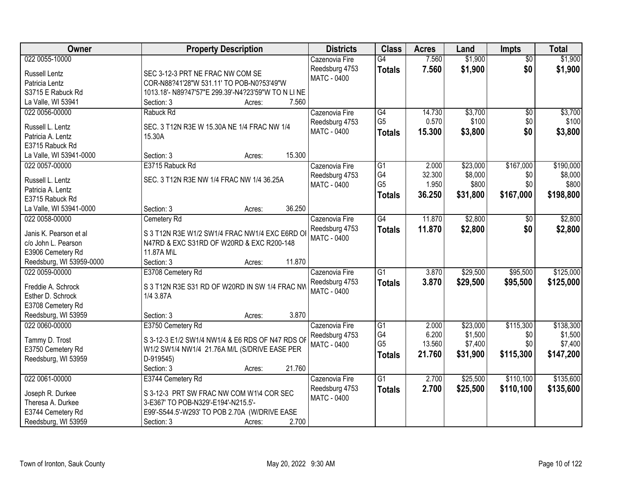| Owner                    | <b>Property Description</b>                        | <b>Districts</b>   | <b>Class</b>          | <b>Acres</b>    | Land             | <b>Impts</b>    | <b>Total</b>     |
|--------------------------|----------------------------------------------------|--------------------|-----------------------|-----------------|------------------|-----------------|------------------|
| 022 0055-10000           |                                                    | Cazenovia Fire     | $\overline{G4}$       | 7.560           | \$1,900          | $\overline{50}$ | \$1,900          |
| Russell Lentz            | SEC 3-12-3 PRT NE FRAC NW COM SE                   | Reedsburg 4753     | <b>Totals</b>         | 7.560           | \$1,900          | \$0             | \$1,900          |
| Patricia Lentz           | COR-N88?41'28"W 531.11' TO POB-N0?53'49"W          | <b>MATC - 0400</b> |                       |                 |                  |                 |                  |
| S3715 E Rabuck Rd        | 1013.18'- N89?47'57"E 299.39'-N4?23'59"W TO N LINE |                    |                       |                 |                  |                 |                  |
| La Valle, WI 53941       | 7.560<br>Section: 3<br>Acres:                      |                    |                       |                 |                  |                 |                  |
| 022 0056-00000           | Rabuck Rd                                          | Cazenovia Fire     | G4                    | 14.730          | \$3,700          | \$0             | \$3,700          |
|                          |                                                    | Reedsburg 4753     | G <sub>5</sub>        | 0.570           | \$100            | \$0             | \$100            |
| Russell L. Lentz         | SEC. 3 T12N R3E W 15.30A NE 1/4 FRAC NW 1/4        | MATC - 0400        | <b>Totals</b>         | 15.300          | \$3,800          | \$0             | \$3,800          |
| Patricia A. Lentz        | 15.30A                                             |                    |                       |                 |                  |                 |                  |
| E3715 Rabuck Rd          | 15.300                                             |                    |                       |                 |                  |                 |                  |
| La Valle, WI 53941-0000  | Section: 3<br>Acres:                               |                    |                       |                 |                  |                 |                  |
| 022 0057-00000           | E3715 Rabuck Rd                                    | Cazenovia Fire     | $\overline{G1}$<br>G4 | 2.000           | \$23,000         | \$167,000       | \$190,000        |
| Russell L. Lentz         | SEC. 3 T12N R3E NW 1/4 FRAC NW 1/4 36.25A          | Reedsburg 4753     | G <sub>5</sub>        | 32.300<br>1.950 | \$8,000<br>\$800 | \$0<br>\$0      | \$8,000<br>\$800 |
| Patricia A. Lentz        |                                                    | <b>MATC - 0400</b> |                       |                 |                  |                 |                  |
| E3715 Rabuck Rd          |                                                    |                    | <b>Totals</b>         | 36.250          | \$31,800         | \$167,000       | \$198,800        |
| La Valle, WI 53941-0000  | 36.250<br>Section: 3<br>Acres:                     |                    |                       |                 |                  |                 |                  |
| 022 0058-00000           | Cemetery Rd                                        | Cazenovia Fire     | $\overline{G4}$       | 11.870          | \$2,800          | \$0             | \$2,800          |
|                          |                                                    | Reedsburg 4753     | <b>Totals</b>         | 11.870          | \$2,800          | \$0             | \$2,800          |
| Janis K. Pearson et al   | S 3 T12N R3E W1/2 SW1/4 FRAC NW1/4 EXC E6RD OI     | <b>MATC - 0400</b> |                       |                 |                  |                 |                  |
| c/o John L. Pearson      | N47RD & EXC S31RD OF W20RD & EXC R200-148          |                    |                       |                 |                  |                 |                  |
| E3906 Cemetery Rd        | 11.87A M\L                                         |                    |                       |                 |                  |                 |                  |
| Reedsburg, WI 53959-0000 | 11.870<br>Section: 3<br>Acres:                     |                    |                       |                 |                  |                 |                  |
| 022 0059-00000           | E3708 Cemetery Rd                                  | Cazenovia Fire     | $\overline{G1}$       | 3.870           | \$29,500         | \$95,500        | \$125,000        |
| Freddie A. Schrock       | S 3 T12N R3E S31 RD OF W20RD IN SW 1/4 FRAC NW     | Reedsburg 4753     | <b>Totals</b>         | 3.870           | \$29,500         | \$95,500        | \$125,000        |
| Esther D. Schrock        | 1/4 3.87A                                          | <b>MATC - 0400</b> |                       |                 |                  |                 |                  |
| E3708 Cemetery Rd        |                                                    |                    |                       |                 |                  |                 |                  |
| Reedsburg, WI 53959      | 3.870<br>Section: 3<br>Acres:                      |                    |                       |                 |                  |                 |                  |
| 022 0060-00000           | E3750 Cemetery Rd                                  | Cazenovia Fire     | $\overline{G1}$       | 2.000           | \$23,000         | \$115,300       | \$138,300        |
|                          | S 3-12-3 E1/2 SW1/4 NW1/4 & E6 RDS OF N47 RDS OF   | Reedsburg 4753     | G4                    | 6.200           | \$1,500          | \$0             | \$1,500          |
| Tammy D. Trost           |                                                    | <b>MATC - 0400</b> | G <sub>5</sub>        | 13.560          | \$7,400          | \$0             | \$7,400          |
| E3750 Cemetery Rd        | W1/2 SW1/4 NW1/4 21.76A M/L (S/DRIVE EASE PER      |                    | <b>Totals</b>         | 21.760          | \$31,900         | \$115,300       | \$147,200        |
| Reedsburg, WI 53959      | D-919545)<br>21.760                                |                    |                       |                 |                  |                 |                  |
| 022 0061-00000           | Section: 3<br>Acres:                               |                    | $\overline{G1}$       | 2.700           | \$25,500         | \$110,100       | \$135,600        |
|                          | E3744 Cemetery Rd                                  | Cazenovia Fire     |                       |                 |                  |                 |                  |
| Joseph R. Durkee         | S 3-12-3 PRT SW FRAC NW COM W1\4 COR SEC           | Reedsburg 4753     | <b>Totals</b>         | 2.700           | \$25,500         | \$110,100       | \$135,600        |
| Theresa A. Durkee        | 3-E367' TO POB-N329'-E194'-N215.5'-                | MATC - 0400        |                       |                 |                  |                 |                  |
| E3744 Cemetery Rd        | E99'-S544.5'-W293' TO POB 2.70A (W/DRIVE EASE      |                    |                       |                 |                  |                 |                  |
| Reedsburg, WI 53959      | 2.700<br>Section: 3<br>Acres:                      |                    |                       |                 |                  |                 |                  |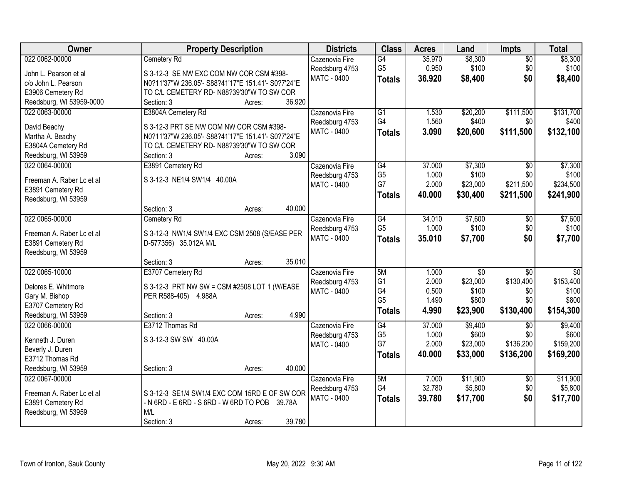| Owner                     | <b>Property Description</b>                        | <b>Districts</b>   | <b>Class</b>         | <b>Acres</b>   | Land            | Impts           | <b>Total</b>    |
|---------------------------|----------------------------------------------------|--------------------|----------------------|----------------|-----------------|-----------------|-----------------|
| 022 0062-00000            | Cemetery Rd                                        | Cazenovia Fire     | G4                   | 35.970         | \$8,300         | $\overline{50}$ | \$8,300         |
| John L. Pearson et al     | S 3-12-3 SE NW EXC COM NW COR CSM #398-            | Reedsburg 4753     | G <sub>5</sub>       | 0.950          | \$100           | \$0             | \$100           |
| c/o John L. Pearson       | N0?11'37"W 236.05'- S88?41'17"E 151.41'- S0?7'24"E | <b>MATC - 0400</b> | <b>Totals</b>        | 36.920         | \$8,400         | \$0             | \$8,400         |
| E3906 Cemetery Rd         | TO C/L CEMETERY RD- N88?39'30"W TO SW COR          |                    |                      |                |                 |                 |                 |
| Reedsburg, WI 53959-0000  | 36.920<br>Section: 3<br>Acres:                     |                    |                      |                |                 |                 |                 |
| 022 0063-00000            | E3804A Cemetery Rd                                 | Cazenovia Fire     | $\overline{G1}$      | 1.530          | \$20,200        | \$111,500       | \$131,700       |
| David Beachy              | S 3-12-3 PRT SE NW COM NW COR CSM #398-            | Reedsburg 4753     | G4                   | 1.560          | \$400           | \$0             | \$400           |
| Martha A. Beachy          | N0?11'37"W 236.05'- S88?41'17"E 151.41'- S0?7'24"E | <b>MATC - 0400</b> | <b>Totals</b>        | 3.090          | \$20,600        | \$111,500       | \$132,100       |
| E3804A Cemetery Rd        | TO C/L CEMETERY RD- N88?39'30"W TO SW COR          |                    |                      |                |                 |                 |                 |
| Reedsburg, WI 53959       | 3.090<br>Section: 3<br>Acres:                      |                    |                      |                |                 |                 |                 |
| 022 0064-00000            | E3891 Cemetery Rd                                  | Cazenovia Fire     | $\overline{G4}$      | 37.000         | \$7,300         | $\overline{50}$ | \$7,300         |
|                           |                                                    | Reedsburg 4753     | G <sub>5</sub>       | 1.000          | \$100           | \$0             | \$100           |
| Freeman A. Raber Lc et al | S 3-12-3 NE1/4 SW1/4 40.00A                        | <b>MATC - 0400</b> | G7                   | 2.000          | \$23,000        | \$211,500       | \$234,500       |
| E3891 Cemetery Rd         |                                                    |                    | <b>Totals</b>        | 40.000         | \$30,400        | \$211,500       | \$241,900       |
| Reedsburg, WI 53959       | 40.000<br>Section: 3<br>Acres:                     |                    |                      |                |                 |                 |                 |
| 022 0065-00000            | Cemetery Rd                                        | Cazenovia Fire     | G4                   | 34.010         | \$7,600         | \$0             | \$7,600         |
|                           |                                                    | Reedsburg 4753     | G <sub>5</sub>       | 1.000          | \$100           | \$0             | \$100           |
| Freeman A. Raber Lc et al | S 3-12-3 NW1/4 SW1/4 EXC CSM 2508 (S/EASE PER      | MATC - 0400        | <b>Totals</b>        | 35.010         | \$7,700         | \$0             | \$7,700         |
| E3891 Cemetery Rd         | D-577356) 35.012A M/L                              |                    |                      |                |                 |                 |                 |
| Reedsburg, WI 53959       |                                                    |                    |                      |                |                 |                 |                 |
|                           | 35.010<br>Section: 3<br>Acres:                     |                    |                      |                |                 |                 |                 |
| 022 0065-10000            | E3707 Cemetery Rd                                  | Cazenovia Fire     | 5M                   | 1.000          | $\overline{50}$ | $\overline{50}$ | $\overline{50}$ |
| Delores E. Whitmore       | S 3-12-3 PRT NW SW = CSM #2508 LOT 1 (W/EASE       | Reedsburg 4753     | G <sub>1</sub>       | 2.000          | \$23,000        | \$130,400       | \$153,400       |
| Gary M. Bishop            | PER R588-405) 4.988A                               | MATC - 0400        | G4<br>G <sub>5</sub> | 0.500<br>1.490 | \$100<br>\$800  | \$0<br>\$0      | \$100<br>\$800  |
| E3707 Cemetery Rd         |                                                    |                    |                      |                |                 |                 |                 |
| Reedsburg, WI 53959       | 4.990<br>Section: 3<br>Acres:                      |                    | <b>Totals</b>        | 4.990          | \$23,900        | \$130,400       | \$154,300       |
| 022 0066-00000            | E3712 Thomas Rd                                    | Cazenovia Fire     | $\overline{G4}$      | 37.000         | \$9,400         | $\overline{50}$ | \$9,400         |
| Kenneth J. Duren          | S 3-12-3 SW SW 40.00A                              | Reedsburg 4753     | G <sub>5</sub>       | 1.000          | \$600           | \$0             | \$600           |
| Beverly J. Duren          |                                                    | <b>MATC - 0400</b> | G7                   | 2.000          | \$23,000        | \$136,200       | \$159,200       |
| E3712 Thomas Rd           |                                                    |                    | <b>Totals</b>        | 40.000         | \$33,000        | \$136,200       | \$169,200       |
| Reedsburg, WI 53959       | 40.000<br>Section: 3<br>Acres:                     |                    |                      |                |                 |                 |                 |
| 022 0067-00000            |                                                    | Cazenovia Fire     | 5M                   | 7.000          | \$11,900        | $\overline{30}$ | \$11,900        |
|                           |                                                    | Reedsburg 4753     | G4                   | 32.780         | \$5,800         | \$0             | \$5,800         |
| Freeman A. Raber Lc et al | S 3-12-3 SE1/4 SW1/4 EXC COM 15RD E OF SW COR      | <b>MATC - 0400</b> | <b>Totals</b>        | 39.780         | \$17,700        | \$0             | \$17,700        |
| E3891 Cemetery Rd         | - N 6RD - E 6RD - S 6RD - W 6RD TO POB 39.78A      |                    |                      |                |                 |                 |                 |
| Reedsburg, WI 53959       | M/L<br>39.780                                      |                    |                      |                |                 |                 |                 |
|                           | Section: 3<br>Acres:                               |                    |                      |                |                 |                 |                 |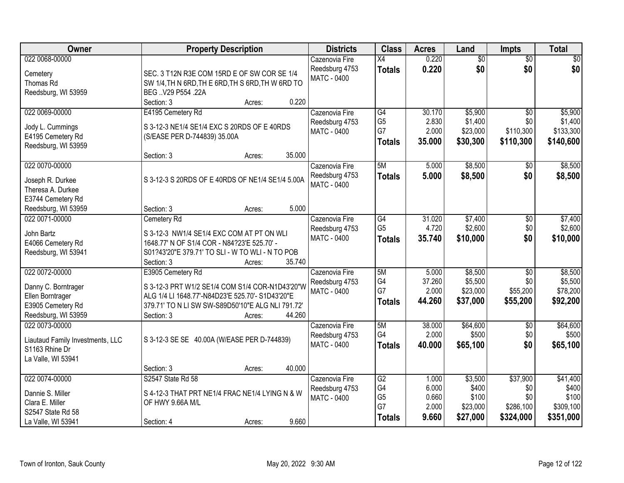| Owner                            | <b>Property Description</b>                       | <b>Districts</b>   | <b>Class</b>    | <b>Acres</b> | Land            | <b>Impts</b>    | <b>Total</b> |
|----------------------------------|---------------------------------------------------|--------------------|-----------------|--------------|-----------------|-----------------|--------------|
| 022 0068-00000                   |                                                   | Cazenovia Fire     | $\overline{X4}$ | 0.220        | $\overline{50}$ | $\overline{50}$ | \$0          |
| Cemetery                         | SEC. 3 T12N R3E COM 15RD E OF SW COR SE 1/4       | Reedsburg 4753     | <b>Totals</b>   | 0.220        | \$0             | \$0             | \$0          |
| Thomas Rd                        | SW 1/4, TH N 6RD, TH E 6RD, TH S 6RD, TH W 6RD TO | MATC - 0400        |                 |              |                 |                 |              |
| Reedsburg, WI 53959              | BEG  V29 P554 .22A                                |                    |                 |              |                 |                 |              |
|                                  | 0.220<br>Section: 3<br>Acres:                     |                    |                 |              |                 |                 |              |
| 022 0069-00000                   | E4195 Cemetery Rd                                 | Cazenovia Fire     | G4              | 30.170       | \$5,900         | $\overline{50}$ | \$5,900      |
| Jody L. Cummings                 | S 3-12-3 NE1/4 SE1/4 EXC S 20RDS OF E 40RDS       | Reedsburg 4753     | G <sub>5</sub>  | 2.830        | \$1,400         | \$0             | \$1,400      |
| E4195 Cemetery Rd                | (S/EASE PER D-744839) 35.00A                      | <b>MATC - 0400</b> | G7              | 2.000        | \$23,000        | \$110,300       | \$133,300    |
| Reedsburg, WI 53959              |                                                   |                    | <b>Totals</b>   | 35.000       | \$30,300        | \$110,300       | \$140,600    |
|                                  | 35.000<br>Section: 3<br>Acres:                    |                    |                 |              |                 |                 |              |
| 022 0070-00000                   |                                                   | Cazenovia Fire     | 5M              | 5.000        | \$8,500         | \$0             | \$8,500      |
| Joseph R. Durkee                 | S 3-12-3 S 20RDS OF E 40RDS OF NE1/4 SE1/4 5.00A  | Reedsburg 4753     | <b>Totals</b>   | 5.000        | \$8,500         | \$0             | \$8,500      |
| Theresa A. Durkee                |                                                   | MATC - 0400        |                 |              |                 |                 |              |
| E3744 Cemetery Rd                |                                                   |                    |                 |              |                 |                 |              |
| Reedsburg, WI 53959              | 5.000<br>Section: 3<br>Acres:                     |                    |                 |              |                 |                 |              |
| 022 0071-00000                   | Cemetery Rd                                       | Cazenovia Fire     | $\overline{G4}$ | 31.020       | \$7,400         | $\sqrt[6]{3}$   | \$7,400      |
| John Bartz                       | S 3-12-3 NW1/4 SE1/4 EXC COM AT PT ON WLI         | Reedsburg 4753     | G <sub>5</sub>  | 4.720        | \$2,600         | \$0             | \$2,600      |
| E4066 Cemetery Rd                | 1648.77' N OF S1/4 COR - N84?23'E 525.70' -       | <b>MATC - 0400</b> | <b>Totals</b>   | 35.740       | \$10,000        | \$0             | \$10,000     |
| Reedsburg, WI 53941              | S01?43'20"E 379.71' TO SLI - W TO WLI - N TO POB  |                    |                 |              |                 |                 |              |
|                                  | Section: 3<br>35.740<br>Acres:                    |                    |                 |              |                 |                 |              |
| 022 0072-00000                   | E3905 Cemetery Rd                                 | Cazenovia Fire     | 5M              | 5.000        | \$8,500         | $\overline{30}$ | \$8,500      |
| Danny C. Borntrager              | S 3-12-3 PRT W1/2 SE1/4 COM S1/4 COR-N1D43'20"W   | Reedsburg 4753     | G4              | 37.260       | \$5,500         | \$0             | \$5,500      |
| Ellen Borntrager                 | ALG 1/4 LI 1648.77'-N84D23'E 525.70'- S1D43'20"E  | <b>MATC - 0400</b> | G7              | 2.000        | \$23,000        | \$55,200        | \$78,200     |
| E3905 Cemetery Rd                | 379.71' TO N LI SW SW-S89D50'10"E ALG NLI 791.72' |                    | <b>Totals</b>   | 44.260       | \$37,000        | \$55,200        | \$92,200     |
| Reedsburg, WI 53959              | 44.260<br>Section: 3<br>Acres:                    |                    |                 |              |                 |                 |              |
| 022 0073-00000                   |                                                   | Cazenovia Fire     | 5M              | 38.000       | \$64,600        | $\sqrt{$0}$     | \$64,600     |
| Liautaud Family Investments, LLC | S 3-12-3 SE SE 40.00A (W/EASE PER D-744839)       | Reedsburg 4753     | G4              | 2.000        | \$500           | \$0             | \$500        |
| S1163 Rhine Dr                   |                                                   | <b>MATC - 0400</b> | <b>Totals</b>   | 40.000       | \$65,100        | \$0             | \$65,100     |
| La Valle, WI 53941               |                                                   |                    |                 |              |                 |                 |              |
|                                  | 40.000<br>Section: 3<br>Acres:                    |                    |                 |              |                 |                 |              |
| 022 0074-00000                   | S2547 State Rd 58                                 | Cazenovia Fire     | G2              | 1.000        | \$3,500         | \$37,900        | \$41,400     |
| Dannie S. Miller                 | S 4-12-3 THAT PRT NE1/4 FRAC NE1/4 LYING N & W    | Reedsburg 4753     | G4              | 6.000        | \$400           | \$0             | \$400        |
| Clara E. Miller                  | OF HWY 9.66A M/L                                  | MATC - 0400        | G <sub>5</sub>  | 0.660        | \$100           | \$0             | \$100        |
| S2547 State Rd 58                |                                                   |                    | G7              | 2.000        | \$23,000        | \$286,100       | \$309,100    |
| La Valle, WI 53941               | 9.660<br>Section: 4<br>Acres:                     |                    | <b>Totals</b>   | 9.660        | \$27,000        | \$324,000       | \$351,000    |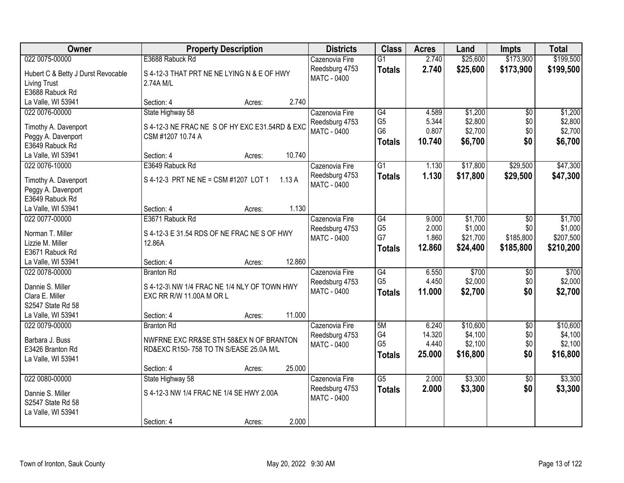| Owner                               |                                                | <b>Property Description</b> |        | <b>Districts</b>   | <b>Class</b>    | <b>Acres</b> | Land     | <b>Impts</b>    | <b>Total</b> |
|-------------------------------------|------------------------------------------------|-----------------------------|--------|--------------------|-----------------|--------------|----------|-----------------|--------------|
| 022 0075-00000                      | E3688 Rabuck Rd                                |                             |        | Cazenovia Fire     | G1              | 2.740        | \$25,600 | \$173,900       | \$199,500    |
| Hubert C & Betty J Durst Revocable  | S 4-12-3 THAT PRT NE NE LYING N & E OF HWY     |                             |        | Reedsburg 4753     | <b>Totals</b>   | 2.740        | \$25,600 | \$173,900       | \$199,500    |
| Living Trust                        | 2.74A M/L                                      |                             |        | <b>MATC - 0400</b> |                 |              |          |                 |              |
| E3688 Rabuck Rd                     |                                                |                             |        |                    |                 |              |          |                 |              |
| La Valle, WI 53941                  | Section: 4                                     | Acres:                      | 2.740  |                    |                 |              |          |                 |              |
| 022 0076-00000                      | State Highway 58                               |                             |        | Cazenovia Fire     | G4              | 4.589        | \$1,200  | \$0             | \$1,200      |
|                                     |                                                |                             |        | Reedsburg 4753     | G <sub>5</sub>  | 5.344        | \$2,800  | \$0             | \$2,800      |
| Timothy A. Davenport                | S 4-12-3 NE FRAC NE S OF HY EXC E31.54RD & EXC |                             |        | MATC - 0400        | G <sub>6</sub>  | 0.807        | \$2,700  | \$0             | \$2,700      |
| Peggy A. Davenport                  | CSM #1207 10.74 A                              |                             |        |                    | <b>Totals</b>   | 10.740       | \$6,700  | \$0             | \$6,700      |
| E3649 Rabuck Rd                     |                                                |                             |        |                    |                 |              |          |                 |              |
| La Valle, WI 53941                  | Section: 4                                     | Acres:                      | 10.740 |                    |                 |              |          |                 |              |
| 022 0076-10000                      | E3649 Rabuck Rd                                |                             |        | Cazenovia Fire     | G1              | 1.130        | \$17,800 | \$29,500        | \$47,300     |
| Timothy A. Davenport                | S 4-12-3 PRT NE NE = CSM #1207 LOT 1           |                             | 1.13A  | Reedsburg 4753     | <b>Totals</b>   | 1.130        | \$17,800 | \$29,500        | \$47,300     |
| Peggy A. Davenport                  |                                                |                             |        | MATC - 0400        |                 |              |          |                 |              |
| E3649 Rabuck Rd                     |                                                |                             |        |                    |                 |              |          |                 |              |
| La Valle, WI 53941                  | Section: 4                                     | Acres:                      | 1.130  |                    |                 |              |          |                 |              |
| 022 0077-00000                      | E3671 Rabuck Rd                                |                             |        | Cazenovia Fire     | G4              | 9.000        | \$1,700  | \$0             | \$1,700      |
|                                     |                                                |                             |        | Reedsburg 4753     | G <sub>5</sub>  | 2.000        | \$1,000  | \$0             | \$1,000      |
| Norman T. Miller                    | S 4-12-3 E 31.54 RDS OF NE FRAC NE S OF HWY    |                             |        | MATC - 0400        | G7              | 1.860        | \$21,700 | \$185,800       | \$207,500    |
| Lizzie M. Miller<br>E3671 Rabuck Rd | 12.86A                                         |                             |        |                    | <b>Totals</b>   | 12.860       | \$24,400 | \$185,800       | \$210,200    |
| La Valle, WI 53941                  | Section: 4                                     |                             | 12.860 |                    |                 |              |          |                 |              |
| 022 0078-00000                      | <b>Branton Rd</b>                              | Acres:                      |        | Cazenovia Fire     | G4              | 6.550        | \$700    | \$0             | \$700        |
|                                     |                                                |                             |        | Reedsburg 4753     | G <sub>5</sub>  | 4.450        | \$2,000  | \$0             | \$2,000      |
| Dannie S. Miller                    | S 4-12-3\ NW 1/4 FRAC NE 1/4 NLY OF TOWN HWY   |                             |        | MATC - 0400        | <b>Totals</b>   | 11.000       | \$2,700  | \$0             | \$2,700      |
| Clara E. Miller                     | EXC RR R/W 11.00A M OR L                       |                             |        |                    |                 |              |          |                 |              |
| S2547 State Rd 58                   |                                                |                             |        |                    |                 |              |          |                 |              |
| La Valle, WI 53941                  | Section: 4                                     | Acres:                      | 11.000 |                    |                 |              |          |                 |              |
| 022 0079-00000                      | <b>Branton Rd</b>                              |                             |        | Cazenovia Fire     | 5M              | 6.240        | \$10,600 | $\overline{50}$ | \$10,600     |
| Barbara J. Buss                     | NWFRNE EXC RR&SE STH 58&EX N OF BRANTON        |                             |        | Reedsburg 4753     | G <sub>4</sub>  | 14.320       | \$4,100  | \$0             | \$4,100      |
| E3426 Branton Rd                    | RD&EXC R150-758 TO TN S/EASE 25.0A M/L         |                             |        | MATC - 0400        | G <sub>5</sub>  | 4.440        | \$2,100  | \$0             | \$2,100      |
| La Valle, WI 53941                  |                                                |                             |        |                    | <b>Totals</b>   | 25.000       | \$16,800 | \$0             | \$16,800     |
|                                     | Section: 4                                     | Acres:                      | 25.000 |                    |                 |              |          |                 |              |
| 022 0080-00000                      | State Highway 58                               |                             |        | Cazenovia Fire     | $\overline{G5}$ | 2.000        | \$3,300  | $\overline{50}$ | \$3,300      |
|                                     |                                                |                             |        | Reedsburg 4753     | <b>Totals</b>   | 2.000        | \$3,300  | \$0             | \$3,300      |
| Dannie S. Miller                    | S 4-12-3 NW 1/4 FRAC NE 1/4 SE HWY 2.00A       |                             |        | MATC - 0400        |                 |              |          |                 |              |
| S2547 State Rd 58                   |                                                |                             |        |                    |                 |              |          |                 |              |
| La Valle, WI 53941                  |                                                |                             |        |                    |                 |              |          |                 |              |
|                                     | Section: 4                                     | Acres:                      | 2.000  |                    |                 |              |          |                 |              |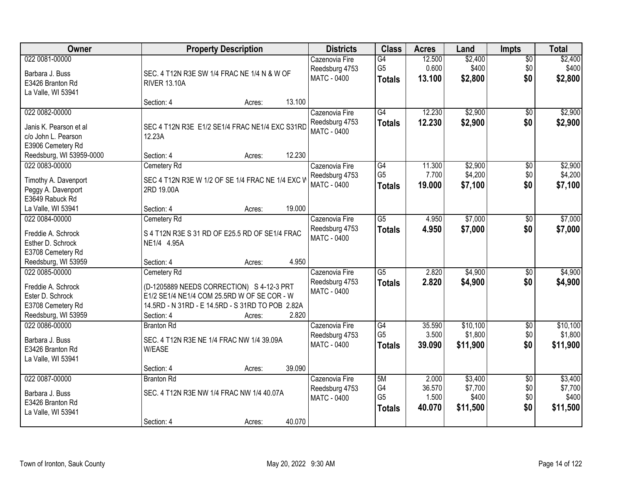| Owner                                  |                                                  | <b>Property Description</b> |        | <b>Districts</b>                     | <b>Class</b>         | <b>Acres</b>    | Land               | <b>Impts</b>         | <b>Total</b>       |
|----------------------------------------|--------------------------------------------------|-----------------------------|--------|--------------------------------------|----------------------|-----------------|--------------------|----------------------|--------------------|
| 022 0081-00000<br>Barbara J. Buss      | SEC. 4 T12N R3E SW 1/4 FRAC NE 1/4 N & W OF      |                             |        | Cazenovia Fire<br>Reedsburg 4753     | G4<br>G <sub>5</sub> | 12.500<br>0.600 | \$2,400<br>\$400   | $\sqrt{$0}$<br>\$0   | \$2,400<br>\$400   |
| E3426 Branton Rd<br>La Valle, WI 53941 | <b>RIVER 13.10A</b>                              |                             |        | <b>MATC - 0400</b>                   | <b>Totals</b>        | 13.100          | \$2,800            | \$0                  | \$2,800            |
|                                        | Section: 4                                       | Acres:                      | 13.100 |                                      |                      |                 |                    |                      |                    |
| 022 0082-00000                         |                                                  |                             |        | Cazenovia Fire                       | G4                   | 12.230          | \$2,900            | \$0                  | \$2,900            |
| Janis K. Pearson et al                 | SEC 4 T12N R3E E1/2 SE1/4 FRAC NE1/4 EXC S31RD   |                             |        | Reedsburg 4753                       | <b>Totals</b>        | 12.230          | \$2,900            | \$0                  | \$2,900            |
| c/o John L. Pearson                    | 12.23A                                           |                             |        | MATC - 0400                          |                      |                 |                    |                      |                    |
| E3906 Cemetery Rd                      |                                                  |                             |        |                                      |                      |                 |                    |                      |                    |
| Reedsburg, WI 53959-0000               | Section: 4                                       | Acres:                      | 12.230 |                                      |                      |                 |                    |                      |                    |
| 022 0083-00000                         | Cemetery Rd                                      |                             |        | Cazenovia Fire                       | G4<br>G <sub>5</sub> | 11.300<br>7.700 | \$2,900<br>\$4,200 | \$0                  | \$2,900<br>\$4,200 |
| Timothy A. Davenport                   | SEC 4 T12N R3E W 1/2 OF SE 1/4 FRAC NE 1/4 EXC V |                             |        | Reedsburg 4753<br><b>MATC - 0400</b> | <b>Totals</b>        | 19.000          | \$7,100            | \$0<br>\$0           | \$7,100            |
| Peggy A. Davenport                     | 2RD 19.00A                                       |                             |        |                                      |                      |                 |                    |                      |                    |
| E3649 Rabuck Rd                        |                                                  |                             |        |                                      |                      |                 |                    |                      |                    |
| La Valle, WI 53941                     | Section: 4                                       | Acres:                      | 19.000 |                                      |                      |                 |                    |                      |                    |
| 022 0084-00000                         | Cemetery Rd                                      |                             |        | Cazenovia Fire                       | $\overline{G5}$      | 4.950           | \$7,000            | $\sqrt[6]{3}$<br>\$0 | \$7,000            |
| Freddie A. Schrock                     | S 4 T12N R3E S 31 RD OF E25.5 RD OF SE1/4 FRAC   |                             |        | Reedsburg 4753<br>MATC - 0400        | <b>Totals</b>        | 4.950           | \$7,000            |                      | \$7,000            |
| Esther D. Schrock                      | NE1/4 4.95A                                      |                             |        |                                      |                      |                 |                    |                      |                    |
| E3708 Cemetery Rd                      |                                                  |                             |        |                                      |                      |                 |                    |                      |                    |
| Reedsburg, WI 53959                    | Section: 4                                       | Acres:                      | 4.950  |                                      |                      |                 |                    |                      |                    |
| 022 0085-00000                         | Cemetery Rd                                      |                             |        | Cazenovia Fire                       | $\overline{G5}$      | 2.820           | \$4,900            | $\overline{50}$      | \$4,900            |
| Freddie A. Schrock                     | (D-1205889 NEEDS CORRECTION) S 4-12-3 PRT        |                             |        | Reedsburg 4753<br><b>MATC - 0400</b> | <b>Totals</b>        | 2.820           | \$4,900            | \$0                  | \$4,900            |
| Ester D. Schrock                       | E1/2 SE1/4 NE1/4 COM 25.5RD W OF SE COR - W      |                             |        |                                      |                      |                 |                    |                      |                    |
| E3708 Cemetery Rd                      | 14.5RD - N 31RD - E 14.5RD - S 31RD TO POB 2.82A |                             |        |                                      |                      |                 |                    |                      |                    |
| Reedsburg, WI 53959                    | Section: 4                                       | Acres:                      | 2.820  |                                      |                      |                 |                    |                      |                    |
| 022 0086-00000                         | <b>Branton Rd</b>                                |                             |        | Cazenovia Fire                       | G4                   | 35.590          | \$10,100           | $\overline{30}$      | \$10,100           |
| Barbara J. Buss                        | SEC. 4 T12N R3E NE 1/4 FRAC NW 1/4 39.09A        |                             |        | Reedsburg 4753<br><b>MATC - 0400</b> | G <sub>5</sub>       | 3.500           | \$1,800            | \$0<br>\$0           | \$1,800            |
| E3426 Branton Rd                       | <b>W/EASE</b>                                    |                             |        |                                      | <b>Totals</b>        | 39,090          | \$11,900           |                      | \$11,900           |
| La Valle, WI 53941                     |                                                  |                             |        |                                      |                      |                 |                    |                      |                    |
|                                        | Section: 4                                       | Acres:                      | 39.090 |                                      |                      |                 |                    |                      |                    |
| 022 0087-00000                         | <b>Branton Rd</b>                                |                             |        | Cazenovia Fire                       | 5M<br>G4             | 2.000<br>36.570 | \$3,400            | $\overline{50}$      | \$3,400            |
| Barbara J. Buss                        | SEC. 4 T12N R3E NW 1/4 FRAC NW 1/4 40.07A        |                             |        | Reedsburg 4753<br><b>MATC - 0400</b> | G <sub>5</sub>       | 1.500           | \$7,700<br>\$400   | \$0<br>\$0           | \$7,700<br>\$400   |
| E3426 Branton Rd                       |                                                  |                             |        |                                      | <b>Totals</b>        | 40.070          | \$11,500           | \$0                  | \$11,500           |
| La Valle, WI 53941                     |                                                  |                             |        |                                      |                      |                 |                    |                      |                    |
|                                        | Section: 4                                       | Acres:                      | 40.070 |                                      |                      |                 |                    |                      |                    |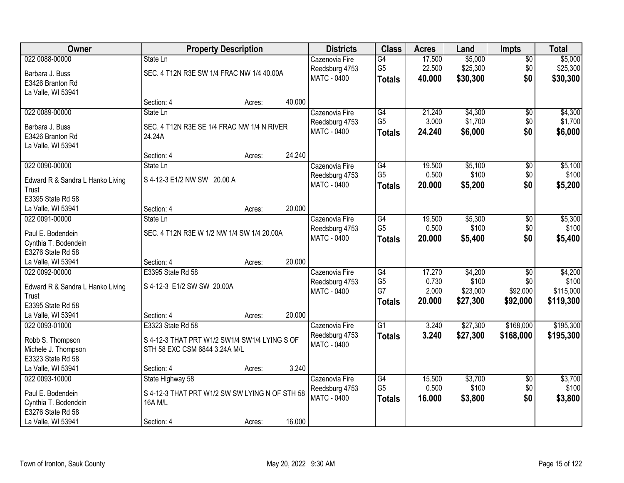| Owner                                     |                                                | <b>Property Description</b> |        | <b>Districts</b>   | <b>Class</b>    | <b>Acres</b> | Land     | <b>Impts</b>    | <b>Total</b> |
|-------------------------------------------|------------------------------------------------|-----------------------------|--------|--------------------|-----------------|--------------|----------|-----------------|--------------|
| 022 0088-00000                            | State Ln                                       |                             |        | Cazenovia Fire     | $\overline{G4}$ | 17.500       | \$5,000  | $\overline{50}$ | \$5,000      |
| Barbara J. Buss                           | SEC. 4 T12N R3E SW 1/4 FRAC NW 1/4 40.00A      |                             |        | Reedsburg 4753     | G <sub>5</sub>  | 22.500       | \$25,300 | \$0             | \$25,300     |
| E3426 Branton Rd                          |                                                |                             |        | MATC - 0400        | <b>Totals</b>   | 40.000       | \$30,300 | \$0             | \$30,300     |
| La Valle, WI 53941                        |                                                |                             |        |                    |                 |              |          |                 |              |
|                                           | Section: 4                                     | Acres:                      | 40.000 |                    |                 |              |          |                 |              |
| 022 0089-00000                            | State Ln                                       |                             |        | Cazenovia Fire     | G4              | 21.240       | \$4,300  | $\overline{50}$ | \$4,300      |
| Barbara J. Buss                           | SEC. 4 T12N R3E SE 1/4 FRAC NW 1/4 N RIVER     |                             |        | Reedsburg 4753     | G <sub>5</sub>  | 3.000        | \$1,700  | \$0             | \$1,700      |
| E3426 Branton Rd                          | 24.24A                                         |                             |        | <b>MATC - 0400</b> | <b>Totals</b>   | 24.240       | \$6,000  | \$0             | \$6,000      |
| La Valle, WI 53941                        |                                                |                             |        |                    |                 |              |          |                 |              |
|                                           | Section: 4                                     | Acres:                      | 24.240 |                    |                 |              |          |                 |              |
| 022 0090-00000                            | State Ln                                       |                             |        | Cazenovia Fire     | G4              | 19.500       | \$5,100  | $\overline{50}$ | \$5,100      |
|                                           | S 4-12-3 E1/2 NW SW 20.00 A                    |                             |        | Reedsburg 4753     | G <sub>5</sub>  | 0.500        | \$100    | \$0             | \$100        |
| Edward R & Sandra L Hanko Living<br>Trust |                                                |                             |        | MATC - 0400        | <b>Totals</b>   | 20.000       | \$5,200  | \$0             | \$5,200      |
| E3395 State Rd 58                         |                                                |                             |        |                    |                 |              |          |                 |              |
| La Valle, WI 53941                        | Section: 4                                     | Acres:                      | 20.000 |                    |                 |              |          |                 |              |
| 022 0091-00000                            | State Ln                                       |                             |        | Cazenovia Fire     | G4              | 19.500       | \$5,300  | \$0             | \$5,300      |
|                                           |                                                |                             |        | Reedsburg 4753     | G <sub>5</sub>  | 0.500        | \$100    | \$0             | \$100        |
| Paul E. Bodendein                         | SEC. 4 T12N R3E W 1/2 NW 1/4 SW 1/4 20.00A     |                             |        | MATC - 0400        | <b>Totals</b>   | 20.000       | \$5,400  | \$0             | \$5,400      |
| Cynthia T. Bodendein                      |                                                |                             |        |                    |                 |              |          |                 |              |
| E3276 State Rd 58<br>La Valle, WI 53941   | Section: 4                                     | Acres:                      | 20.000 |                    |                 |              |          |                 |              |
| 022 0092-00000                            | E3395 State Rd 58                              |                             |        | Cazenovia Fire     | G4              | 17.270       | \$4,200  | $\overline{30}$ | \$4,200      |
|                                           |                                                |                             |        | Reedsburg 4753     | G <sub>5</sub>  | 0.730        | \$100    | \$0             | \$100        |
| Edward R & Sandra L Hanko Living          | S 4-12-3 E1/2 SW SW 20.00A                     |                             |        | <b>MATC - 0400</b> | G7              | 2.000        | \$23,000 | \$92,000        | \$115,000    |
| Trust                                     |                                                |                             |        |                    | <b>Totals</b>   | 20.000       | \$27,300 | \$92,000        | \$119,300    |
| E3395 State Rd 58                         |                                                |                             |        |                    |                 |              |          |                 |              |
| La Valle, WI 53941                        | Section: 4                                     | Acres:                      | 20.000 |                    |                 |              |          |                 |              |
| 022 0093-01000                            | E3323 State Rd 58                              |                             |        | Cazenovia Fire     | $\overline{G1}$ | 3.240        | \$27,300 | \$168,000       | \$195,300    |
| Robb S. Thompson                          | S 4-12-3 THAT PRT W1/2 SW1/4 SW1/4 LYING S OF  |                             |        | Reedsburg 4753     | <b>Totals</b>   | 3.240        | \$27,300 | \$168,000       | \$195,300    |
| Michele J. Thompson                       | STH 58 EXC CSM 6844 3.24A M/L                  |                             |        | MATC - 0400        |                 |              |          |                 |              |
| E3323 State Rd 58                         |                                                |                             |        |                    |                 |              |          |                 |              |
| La Valle, WI 53941                        | Section: 4                                     | Acres:                      | 3.240  |                    |                 |              |          |                 |              |
| 022 0093-10000                            | State Highway 58                               |                             |        | Cazenovia Fire     | G4              | 15.500       | \$3,700  | $\overline{50}$ | \$3,700      |
| Paul E. Bodendein                         | S 4-12-3 THAT PRT W1/2 SW SW LYING N OF STH 58 |                             |        | Reedsburg 4753     | G <sub>5</sub>  | 0.500        | \$100    | \$0             | \$100        |
| Cynthia T. Bodendein                      | <b>16A M/L</b>                                 |                             |        | MATC - 0400        | <b>Totals</b>   | 16.000       | \$3,800  | \$0             | \$3,800      |
| E3276 State Rd 58                         |                                                |                             |        |                    |                 |              |          |                 |              |
| La Valle, WI 53941                        | Section: 4                                     | Acres:                      | 16.000 |                    |                 |              |          |                 |              |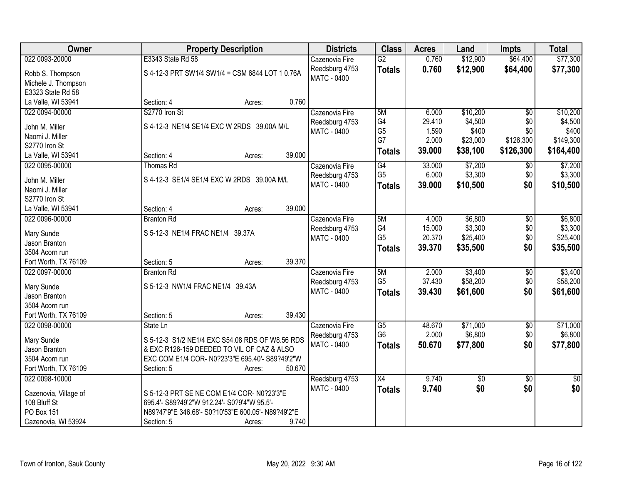| Owner                             | <b>Property Description</b>                        | <b>Districts</b>              | <b>Class</b>         | <b>Acres</b>     | Land            | <b>Impts</b>    | <b>Total</b>    |
|-----------------------------------|----------------------------------------------------|-------------------------------|----------------------|------------------|-----------------|-----------------|-----------------|
| 022 0093-20000                    | E3343 State Rd 58                                  | Cazenovia Fire                | $\overline{G2}$      | 0.760            | \$12,900        | \$64,400        | \$77,300        |
| Robb S. Thompson                  | S 4-12-3 PRT SW1/4 SW1/4 = CSM 6844 LOT 1 0.76A    | Reedsburg 4753                | <b>Totals</b>        | 0.760            | \$12,900        | \$64,400        | \$77,300        |
| Michele J. Thompson               |                                                    | <b>MATC - 0400</b>            |                      |                  |                 |                 |                 |
| E3323 State Rd 58                 |                                                    |                               |                      |                  |                 |                 |                 |
| La Valle, WI 53941                | 0.760<br>Section: 4<br>Acres:                      |                               |                      |                  |                 |                 |                 |
| 022 0094-00000                    | S2770 Iron St                                      | Cazenovia Fire                | 5M                   | 6.000            | \$10,200        | $\overline{50}$ | \$10,200        |
|                                   |                                                    |                               | G4                   | 29.410           | \$4,500         | \$0             | \$4,500         |
| John M. Miller                    | S 4-12-3 NE1/4 SE1/4 EXC W 2RDS 39.00A M/L         | Reedsburg 4753<br>MATC - 0400 | G <sub>5</sub>       | 1.590            | \$400           | \$0             | \$400           |
| Naomi J. Miller                   |                                                    |                               | G7                   | 2.000            | \$23,000        | \$126,300       | \$149,300       |
| S2770 Iron St                     |                                                    |                               |                      | 39.000           | \$38,100        | \$126,300       | \$164,400       |
| La Valle, WI 53941                | 39.000<br>Section: 4<br>Acres:                     |                               | <b>Totals</b>        |                  |                 |                 |                 |
| 022 0095-00000                    | Thomas Rd                                          | Cazenovia Fire                | G4                   | 33.000           | \$7,200         | $\sqrt[6]{30}$  | \$7,200         |
|                                   | S 4-12-3 SE1/4 SE1/4 EXC W 2RDS 39.00A M/L         | Reedsburg 4753                | G <sub>5</sub>       | 6.000            | \$3,300         | \$0             | \$3,300         |
| John M. Miller<br>Naomi J. Miller |                                                    | MATC - 0400                   | <b>Totals</b>        | 39.000           | \$10,500        | \$0             | \$10,500        |
| S2770 Iron St                     |                                                    |                               |                      |                  |                 |                 |                 |
| La Valle, WI 53941                | 39.000<br>Section: 4                               |                               |                      |                  |                 |                 |                 |
|                                   | Acres:                                             |                               |                      |                  |                 |                 |                 |
| 022 0096-00000                    | <b>Branton Rd</b>                                  | Cazenovia Fire                | 5M                   | 4.000            | \$6,800         | \$0             | \$6,800         |
| Mary Sunde                        | S 5-12-3 NE1/4 FRAC NE1/4 39.37A                   | Reedsburg 4753                | G4<br>G <sub>5</sub> | 15.000<br>20.370 | \$3,300         | \$0             | \$3,300         |
| Jason Branton                     |                                                    | MATC - 0400                   |                      |                  | \$25,400        | \$0             | \$25,400        |
| 3504 Acorn run                    |                                                    |                               | <b>Totals</b>        | 39.370           | \$35,500        | \$0             | \$35,500        |
| Fort Worth, TX 76109              | 39.370<br>Section: 5<br>Acres:                     |                               |                      |                  |                 |                 |                 |
| 022 0097-00000                    | <b>Branton Rd</b>                                  | Cazenovia Fire                | 5M                   | 2.000            | \$3,400         | \$0             | \$3,400         |
|                                   |                                                    | Reedsburg 4753                | G <sub>5</sub>       | 37.430           | \$58,200        | \$0             | \$58,200        |
| Mary Sunde                        | S 5-12-3 NW1/4 FRAC NE1/4 39.43A                   | MATC - 0400                   | <b>Totals</b>        | 39.430           | \$61,600        | \$0             | \$61,600        |
| Jason Branton                     |                                                    |                               |                      |                  |                 |                 |                 |
| 3504 Acorn run                    |                                                    |                               |                      |                  |                 |                 |                 |
| Fort Worth, TX 76109              | 39.430<br>Section: 5<br>Acres:                     |                               |                      |                  |                 |                 |                 |
| 022 0098-00000                    | State Ln                                           | Cazenovia Fire                | $\overline{G5}$      | 48.670           | \$71,000        | $\overline{60}$ | \$71,000        |
| Mary Sunde                        | S 5-12-3 S1/2 NE1/4 EXC S54.08 RDS OF W8.56 RDS    | Reedsburg 4753                | G <sub>6</sub>       | 2.000            | \$6,800         | \$0             | \$6,800         |
| Jason Branton                     | & EXC R126-159 DEEDED TO VIL OF CAZ & ALSO         | <b>MATC - 0400</b>            | <b>Totals</b>        | 50.670           | \$77,800        | \$0             | \$77,800        |
| 3504 Acorn run                    | EXC COM E1/4 COR- N0?23'3"E 695.40'- S89?49'2"W    |                               |                      |                  |                 |                 |                 |
| Fort Worth, TX 76109              | 50.670<br>Section: 5<br>Acres:                     |                               |                      |                  |                 |                 |                 |
| 022 0098-10000                    |                                                    | Reedsburg 4753                | X4                   | 9.740            | $\overline{50}$ | $\overline{30}$ | $\overline{50}$ |
|                                   |                                                    | MATC - 0400                   | <b>Totals</b>        | 9.740            | \$0             | \$0             | \$0             |
| Cazenovia, Village of             | S 5-12-3 PRT SE NE COM E1/4 COR- N0?23'3"E         |                               |                      |                  |                 |                 |                 |
| 108 Bluff St                      | 695.4'- S89?49'2"W 912.24'- S0?9'4"W 95.5'-        |                               |                      |                  |                 |                 |                 |
| <b>PO Box 151</b>                 | N89?47'9"E 346.68'- S0?10'53"E 600.05'- N89?49'2"E |                               |                      |                  |                 |                 |                 |
| Cazenovia, WI 53924               | 9.740<br>Section: 5<br>Acres:                      |                               |                      |                  |                 |                 |                 |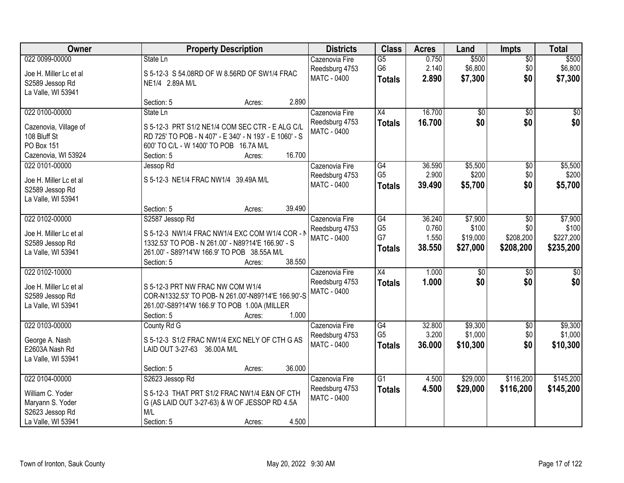| Owner                                                                                           |                                                                                                                                                                                      | <b>Property Description</b> |        | <b>Districts</b>                                       | <b>Class</b>                                       | <b>Acres</b>                       | Land                                     | <b>Impts</b>                                   | <b>Total</b>                               |
|-------------------------------------------------------------------------------------------------|--------------------------------------------------------------------------------------------------------------------------------------------------------------------------------------|-----------------------------|--------|--------------------------------------------------------|----------------------------------------------------|------------------------------------|------------------------------------------|------------------------------------------------|--------------------------------------------|
| 022 0099-00000<br>Joe H. Miller Lc et al<br>S2589 Jessop Rd<br>La Valle, WI 53941               | State Ln<br>S 5-12-3 S 54.08RD OF W 8.56RD OF SW1/4 FRAC<br>NE1/4 2.89A M/L                                                                                                          |                             |        | Cazenovia Fire<br>Reedsburg 4753<br>MATC - 0400        | $\overline{G5}$<br>G <sub>6</sub><br><b>Totals</b> | 0.750<br>2.140<br>2.890            | \$500<br>\$6,800<br>\$7,300              | \$0<br>\$0<br>\$0                              | \$500<br>\$6,800<br>\$7,300                |
|                                                                                                 | Section: 5                                                                                                                                                                           | Acres:                      | 2.890  |                                                        |                                                    |                                    |                                          |                                                |                                            |
| 022 0100-00000<br>Cazenovia, Village of<br>108 Bluff St<br>PO Box 151<br>Cazenovia, WI 53924    | State Ln<br>S 5-12-3 PRT S1/2 NE1/4 COM SEC CTR - E ALG C/L<br>RD 725' TO POB - N 407' - E 340' - N 193' - E 1060' - S<br>600' TO C/L - W 1400' TO POB 16.7A M/L<br>Section: 5       | Acres:                      | 16.700 | Cazenovia Fire<br>Reedsburg 4753<br><b>MATC - 0400</b> | X4<br><b>Totals</b>                                | 16.700<br>16.700                   | $\overline{50}$<br>\$0                   | $\overline{50}$<br>\$0                         | \$0<br>\$0                                 |
| 022 0101-00000<br>Joe H. Miller Lc et al<br>S2589 Jessop Rd<br>La Valle, WI 53941               | Jessop Rd<br>S 5-12-3 NE1/4 FRAC NW1/4 39.49A M/L<br>Section: 5                                                                                                                      | Acres:                      | 39.490 | Cazenovia Fire<br>Reedsburg 4753<br><b>MATC - 0400</b> | $\overline{G4}$<br>G <sub>5</sub><br><b>Totals</b> | 36.590<br>2.900<br>39.490          | \$5,500<br>\$200<br>\$5,700              | \$0<br>\$0<br>\$0                              | \$5,500<br>\$200<br>\$5,700                |
| 022 0102-00000<br>Joe H. Miller Lc et al<br>S2589 Jessop Rd<br>La Valle, WI 53941               | S2587 Jessop Rd<br>S 5-12-3 NW1/4 FRAC NW1/4 EXC COM W1/4 COR - N<br>1332.53' TO POB - N 261.00' - N89?14'E 166.90' - S<br>261.00' - S89?14'W 166.9' TO POB 38.55A M/L<br>Section: 5 | Acres:                      | 38.550 | Cazenovia Fire<br>Reedsburg 4753<br>MATC - 0400        | G4<br>G <sub>5</sub><br>G7<br><b>Totals</b>        | 36.240<br>0.760<br>1.550<br>38.550 | \$7,900<br>\$100<br>\$19,000<br>\$27,000 | $\sqrt[6]{3}$<br>\$0<br>\$208,200<br>\$208,200 | \$7,900<br>\$100<br>\$227,200<br>\$235,200 |
| 022 0102-10000<br>Joe H. Miller Lc et al<br>S2589 Jessop Rd<br>La Valle, WI 53941               | S 5-12-3 PRT NW FRAC NW COM W1/4<br>COR-N1332.53' TO POB- N 261.00'-N89?14'E 166.90'-S<br>261.00'-S89?14'W 166.9' TO POB 1.00A (MILLER<br>Section: 5                                 | Acres:                      | 1.000  | Cazenovia Fire<br>Reedsburg 4753<br>MATC - 0400        | X4<br><b>Totals</b>                                | 1.000<br>1.000                     | $\overline{50}$<br>\$0                   | $\overline{50}$<br>\$0                         | $\overline{50}$<br>\$0                     |
| 022 0103-00000<br>George A. Nash<br>E2603A Nash Rd<br>La Valle, WI 53941                        | County Rd G<br>S 5-12-3 S1/2 FRAC NW1/4 EXC NELY OF CTH G AS<br>LAID OUT 3-27-63 36.00A M/L<br>Section: 5                                                                            | Acres:                      | 36.000 | Cazenovia Fire<br>Reedsburg 4753<br>MATC - 0400        | G4<br>G <sub>5</sub><br><b>Totals</b>              | 32.800<br>3.200<br>36.000          | \$9,300<br>\$1,000<br>\$10,300           | $\sqrt{6}$<br>\$0<br>\$0                       | \$9,300<br>\$1,000<br>\$10,300             |
| 022 0104-00000<br>William C. Yoder<br>Maryann S. Yoder<br>S2623 Jessop Rd<br>La Valle, WI 53941 | S2623 Jessop Rd<br>S 5-12-3 THAT PRT S1/2 FRAC NW1/4 E&N OF CTH<br>G (AS LAID OUT 3-27-63) & W OF JESSOP RD 4.5A<br>M/L<br>Section: 5                                                | Acres:                      | 4.500  | Cazenovia Fire<br>Reedsburg 4753<br><b>MATC - 0400</b> | $\overline{G1}$<br><b>Totals</b>                   | 4.500<br>4.500                     | \$29,000<br>\$29,000                     | \$116,200<br>\$116,200                         | \$145,200<br>\$145,200                     |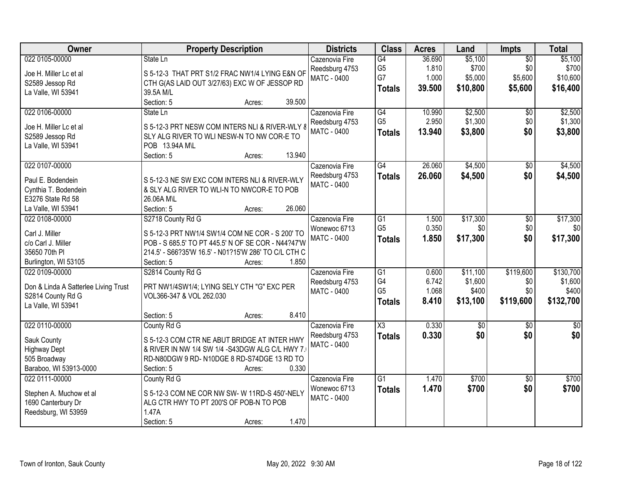| Owner                                | <b>Property Description</b>                          | <b>Districts</b>   | <b>Class</b>         | <b>Acres</b>   | Land             | Impts           | <b>Total</b>      |
|--------------------------------------|------------------------------------------------------|--------------------|----------------------|----------------|------------------|-----------------|-------------------|
| 022 0105-00000                       | State Ln                                             | Cazenovia Fire     | G4                   | 36.690         | \$5,100          | $\overline{50}$ | \$5,100           |
| Joe H. Miller Lc et al               | S 5-12-3 THAT PRT S1/2 FRAC NW1/4 LYING E&N OF       | Reedsburg 4753     | G <sub>5</sub><br>G7 | 1.810<br>1.000 | \$700<br>\$5,000 | \$0<br>\$5,600  | \$700<br>\$10,600 |
| S2589 Jessop Rd                      | CTH G(AS LAID OUT 3/27/63) EXC W OF JESSOP RD        | <b>MATC - 0400</b> |                      |                |                  |                 |                   |
| La Valle, WI 53941                   | 39.5A M/L                                            |                    | <b>Totals</b>        | 39.500         | \$10,800         | \$5,600         | \$16,400          |
|                                      | Section: 5<br>39.500<br>Acres:                       |                    |                      |                |                  |                 |                   |
| 022 0106-00000                       | State Ln                                             | Cazenovia Fire     | G4                   | 10.990         | \$2,500          | \$0             | \$2,500           |
| Joe H. Miller Lc et al               | S 5-12-3 PRT NESW COM INTERS NLI & RIVER-WLY &       | Reedsburg 4753     | G <sub>5</sub>       | 2.950          | \$1,300          | \$0             | \$1,300           |
| S2589 Jessop Rd                      | SLY ALG RIVER TO WLI NESW-N TO NW COR-E TO           | MATC - 0400        | <b>Totals</b>        | 13.940         | \$3,800          | \$0             | \$3,800           |
| La Valle, WI 53941                   | POB 13.94A M\L                                       |                    |                      |                |                  |                 |                   |
|                                      | 13.940<br>Section: 5<br>Acres:                       |                    |                      |                |                  |                 |                   |
| 022 0107-00000                       |                                                      | Cazenovia Fire     | $\overline{G4}$      | 26.060         | \$4,500          | $\overline{50}$ | \$4,500           |
| Paul E. Bodendein                    | S 5-12-3 NE SW EXC COM INTERS NLI & RIVER-WLY        | Reedsburg 4753     | <b>Totals</b>        | 26.060         | \$4,500          | \$0             | \$4,500           |
| Cynthia T. Bodendein                 | & SLY ALG RIVER TO WLI-N TO NWCOR-E TO POB           | <b>MATC - 0400</b> |                      |                |                  |                 |                   |
| E3276 State Rd 58                    | 26.06A M\L                                           |                    |                      |                |                  |                 |                   |
| La Valle, WI 53941                   | 26.060<br>Section: 5<br>Acres:                       |                    |                      |                |                  |                 |                   |
| 022 0108-00000                       | S2718 County Rd G                                    | Cazenovia Fire     | G1                   | 1.500          | \$17,300         | \$0             | \$17,300          |
|                                      |                                                      | Wonewoc 6713       | G <sub>5</sub>       | 0.350          | \$0              | \$0             | \$0               |
| Carl J. Miller                       | S 5-12-3 PRT NW1/4 SW1/4 COM NE COR - S 200' TO      | <b>MATC - 0400</b> | <b>Totals</b>        | 1.850          | \$17,300         | \$0             | \$17,300          |
| c/o Carl J. Miller                   | POB - S 685.5' TO PT 445.5' N OF SE COR - N44?47'W   |                    |                      |                |                  |                 |                   |
| 35650 70th PI                        | 214.5' - S66?35'W 16.5' - N01?15'W 286' TO C/L CTH C |                    |                      |                |                  |                 |                   |
| Burlington, WI 53105                 | 1.850<br>Section: 5<br>Acres:                        |                    |                      |                |                  |                 |                   |
| 022 0109-00000                       | S2814 County Rd G                                    | Cazenovia Fire     | $\overline{G1}$      | 0.600          | \$11,100         | \$119,600       | \$130,700         |
| Don & Linda A Satterlee Living Trust | PRT NW1/4SW1/4; LYING SELY CTH "G" EXC PER           | Reedsburg 4753     | G4                   | 6.742          | \$1,600          | \$0             | \$1,600           |
| S2814 County Rd G                    | VOL366-347 & VOL 262.030                             | MATC - 0400        | G <sub>5</sub>       | 1.068          | \$400            | \$0             | \$400             |
| La Valle, WI 53941                   |                                                      |                    | <b>Totals</b>        | 8.410          | \$13,100         | \$119,600       | \$132,700         |
|                                      | 8.410<br>Section: 5<br>Acres:                        |                    |                      |                |                  |                 |                   |
| 022 0110-00000                       | County Rd G                                          | Cazenovia Fire     | X3                   | 0.330          | $\sqrt{50}$      | $\sqrt{6}$      | $\frac{6}{3}$     |
| Sauk County                          | S 5-12-3 COM CTR NE ABUT BRIDGE AT INTER HWY         | Reedsburg 4753     | <b>Totals</b>        | 0.330          | \$0              | \$0             | \$0               |
| <b>Highway Dept</b>                  | & RIVER IN NW 1/4 SW 1/4 -S43DGW ALG C/L HWY 7.      | <b>MATC - 0400</b> |                      |                |                  |                 |                   |
| 505 Broadway                         | RD-N80DGW 9 RD-N10DGE 8 RD-S74DGE 13 RD TO           |                    |                      |                |                  |                 |                   |
| Baraboo, WI 53913-0000               | 0.330<br>Section: 5<br>Acres:                        |                    |                      |                |                  |                 |                   |
| 022 0111-00000                       | County Rd G                                          | Cazenovia Fire     | $\overline{G1}$      | 1.470          | \$700            | $\overline{50}$ | \$700             |
|                                      |                                                      | Wonewoc 6713       | <b>Totals</b>        | 1.470          | \$700            | \$0             | \$700             |
| Stephen A. Muchow et al              | S 5-12-3 COM NE COR NW SW-W 11RD-S 450'-NELY         | <b>MATC - 0400</b> |                      |                |                  |                 |                   |
| 1690 Canterbury Dr                   | ALG CTR HWY TO PT 200'S OF POB-N TO POB              |                    |                      |                |                  |                 |                   |
| Reedsburg, WI 53959                  | 1.47A                                                |                    |                      |                |                  |                 |                   |
|                                      | 1.470<br>Section: 5<br>Acres:                        |                    |                      |                |                  |                 |                   |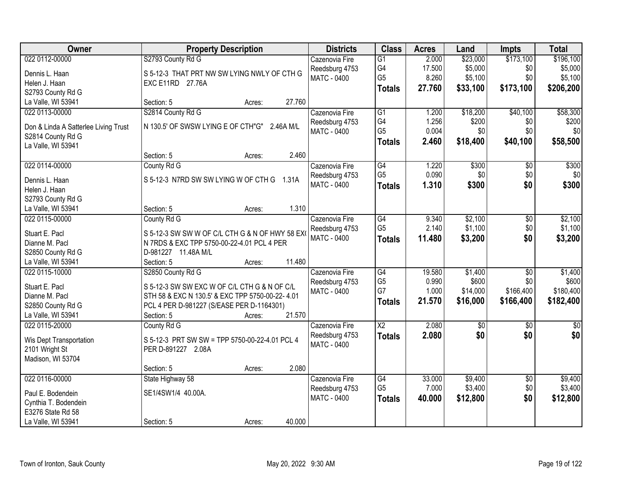| Owner                                | <b>Property Description</b>                      |           | <b>Districts</b>   | <b>Class</b>    | <b>Acres</b> | Land        | <b>Impts</b>    | <b>Total</b>  |
|--------------------------------------|--------------------------------------------------|-----------|--------------------|-----------------|--------------|-------------|-----------------|---------------|
| 022 0112-00000                       | S2793 County Rd G                                |           | Cazenovia Fire     | $\overline{G1}$ | 2.000        | \$23,000    | \$173,100       | \$196,100     |
| Dennis L. Haan                       | S 5-12-3 THAT PRT NW SW LYING NWLY OF CTH G      |           | Reedsburg 4753     | G4              | 17.500       | \$5,000     | \$0             | \$5,000       |
| Helen J. Haan                        | EXC E11RD 27.76A                                 |           | MATC - 0400        | G <sub>5</sub>  | 8.260        | \$5,100     | \$0             | \$5,100       |
| S2793 County Rd G                    |                                                  |           |                    | <b>Totals</b>   | 27.760       | \$33,100    | \$173,100       | \$206,200     |
| La Valle, WI 53941                   | Section: 5<br>Acres:                             | 27.760    |                    |                 |              |             |                 |               |
| 022 0113-00000                       | S2814 County Rd G                                |           | Cazenovia Fire     | $\overline{G1}$ | 1.200        | \$18,200    | \$40,100        | \$58,300      |
|                                      |                                                  |           | Reedsburg 4753     | G4              | 1.256        | \$200       | \$0             | \$200         |
| Don & Linda A Satterlee Living Trust | N 130.5' OF SWSW LYING E OF CTH"G"               | 2.46A M/L | MATC - 0400        | G <sub>5</sub>  | 0.004        | \$0         | \$0             | \$0           |
| S2814 County Rd G                    |                                                  |           |                    | <b>Totals</b>   | 2.460        | \$18,400    | \$40,100        | \$58,500      |
| La Valle, WI 53941                   |                                                  | 2.460     |                    |                 |              |             |                 |               |
|                                      | Section: 5<br>Acres:                             |           |                    |                 |              |             |                 |               |
| 022 0114-00000                       | County Rd G                                      |           | Cazenovia Fire     | G4              | 1.220        | \$300       | $\overline{50}$ | \$300         |
| Dennis L. Haan                       | S 5-12-3 N7RD SW SW LYING W OF CTH G 1.31A       |           | Reedsburg 4753     | G <sub>5</sub>  | 0.090        | \$0         | \$0             | \$0           |
| Helen J. Haan                        |                                                  |           | <b>MATC - 0400</b> | Totals          | 1.310        | \$300       | \$0             | \$300         |
| S2793 County Rd G                    |                                                  |           |                    |                 |              |             |                 |               |
| La Valle, WI 53941                   | Section: 5<br>Acres:                             | 1.310     |                    |                 |              |             |                 |               |
| 022 0115-00000                       | County Rd G                                      |           | Cazenovia Fire     | G4              | 9.340        | \$2,100     | \$0             | \$2,100       |
| Stuart E. Pacl                       | S 5-12-3 SW SW W OF C/L CTH G & N OF HWY 58 EX   |           | Reedsburg 4753     | G <sub>5</sub>  | 2.140        | \$1,100     | \$0             | \$1,100       |
| Dianne M. Pacl                       | N 7RDS & EXC TPP 5750-00-22-4.01 PCL 4 PER       |           | MATC - 0400        | <b>Totals</b>   | 11.480       | \$3,200     | \$0             | \$3,200       |
| S2850 County Rd G                    | D-981227 11.48A M/L                              |           |                    |                 |              |             |                 |               |
| La Valle, WI 53941                   | Section: 5<br>Acres:                             | 11.480    |                    |                 |              |             |                 |               |
| 022 0115-10000                       | S2850 County Rd G                                |           | Cazenovia Fire     | G4              | 19.580       | \$1,400     | $\overline{50}$ | \$1,400       |
|                                      |                                                  |           | Reedsburg 4753     | G <sub>5</sub>  | 0.990        | \$600       | \$0             | \$600         |
| Stuart E. Pacl                       | S 5-12-3 SW SW EXC W OF C/L CTH G & N OF C/L     |           | MATC - 0400        | G7              | 1.000        | \$14,000    | \$166,400       | \$180,400     |
| Dianne M. Pacl                       | STH 58 & EXC N 130.5' & EXC TPP 5750-00-22- 4.01 |           |                    | <b>Totals</b>   | 21.570       | \$16,000    | \$166,400       | \$182,400     |
| S2850 County Rd G                    | PCL 4 PER D-981227 (S/EASE PER D-1164301)        |           |                    |                 |              |             |                 |               |
| La Valle, WI 53941                   | Section: 5<br>Acres:                             | 21.570    |                    |                 |              |             |                 |               |
| 022 0115-20000                       | County Rd G                                      |           | Cazenovia Fire     | $\overline{X2}$ | 2.080        | $\sqrt{50}$ | $\sqrt{$0}$     | $\frac{6}{3}$ |
| Wis Dept Transportation              | S 5-12-3 PRT SW SW = TPP 5750-00-22-4.01 PCL 4   |           | Reedsburg 4753     | <b>Totals</b>   | 2.080        | \$0         | \$0             | \$0           |
| 2101 Wright St                       | PER D-891227 2.08A                               |           | <b>MATC - 0400</b> |                 |              |             |                 |               |
| Madison, WI 53704                    |                                                  |           |                    |                 |              |             |                 |               |
|                                      | Section: 5<br>Acres:                             | 2.080     |                    |                 |              |             |                 |               |
| 022 0116-00000                       | State Highway 58                                 |           | Cazenovia Fire     | G4              | 33.000       | \$9,400     | $\sqrt{$0}$     | \$9,400       |
|                                      |                                                  |           | Reedsburg 4753     | G <sub>5</sub>  | 7.000        | \$3,400     | \$0             | \$3,400       |
| Paul E. Bodendein                    | SE1/4SW1/4 40.00A.                               |           | MATC - 0400        | <b>Totals</b>   | 40.000       | \$12,800    | \$0             | \$12,800      |
| Cynthia T. Bodendein                 |                                                  |           |                    |                 |              |             |                 |               |
| E3276 State Rd 58                    |                                                  |           |                    |                 |              |             |                 |               |
| La Valle, WI 53941                   | Section: 5<br>Acres:                             | 40.000    |                    |                 |              |             |                 |               |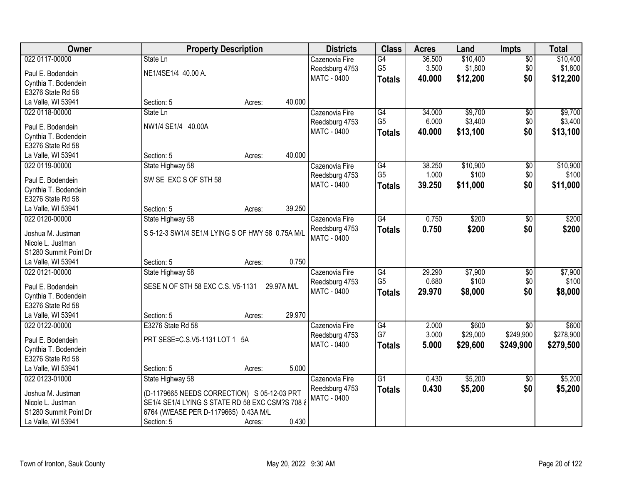| Owner                 | <b>Property Description</b>                      |        |            | <b>Districts</b>   | <b>Class</b>    | <b>Acres</b> | Land     | <b>Impts</b>    | <b>Total</b> |
|-----------------------|--------------------------------------------------|--------|------------|--------------------|-----------------|--------------|----------|-----------------|--------------|
| 022 0117-00000        | State Ln                                         |        |            | Cazenovia Fire     | G4              | 36.500       | \$10,400 | $\overline{50}$ | \$10,400     |
| Paul E. Bodendein     | NE1/4SE1/4 40.00 A.                              |        |            | Reedsburg 4753     | G <sub>5</sub>  | 3.500        | \$1,800  | \$0             | \$1,800      |
| Cynthia T. Bodendein  |                                                  |        |            | MATC - 0400        | <b>Totals</b>   | 40.000       | \$12,200 | \$0             | \$12,200     |
| E3276 State Rd 58     |                                                  |        |            |                    |                 |              |          |                 |              |
| La Valle, WI 53941    | Section: 5                                       | Acres: | 40.000     |                    |                 |              |          |                 |              |
| 022 0118-00000        | State Ln                                         |        |            | Cazenovia Fire     | G4              | 34.000       | \$9,700  | \$0             | \$9,700      |
|                       |                                                  |        |            | Reedsburg 4753     | G <sub>5</sub>  | 6.000        | \$3,400  | \$0             | \$3,400      |
| Paul E. Bodendein     | NW1/4 SE1/4 40.00A                               |        |            | MATC - 0400        | <b>Totals</b>   | 40.000       | \$13,100 | \$0             | \$13,100     |
| Cynthia T. Bodendein  |                                                  |        |            |                    |                 |              |          |                 |              |
| E3276 State Rd 58     |                                                  |        |            |                    |                 |              |          |                 |              |
| La Valle, WI 53941    | Section: 5                                       | Acres: | 40.000     |                    |                 |              |          |                 |              |
| 022 0119-00000        | State Highway 58                                 |        |            | Cazenovia Fire     | G4              | 38.250       | \$10,900 | \$0             | \$10,900     |
| Paul E. Bodendein     | SW SE EXC S OF STH 58                            |        |            | Reedsburg 4753     | G <sub>5</sub>  | 1.000        | \$100    | \$0             | \$100        |
| Cynthia T. Bodendein  |                                                  |        |            | MATC - 0400        | <b>Totals</b>   | 39.250       | \$11,000 | \$0             | \$11,000     |
| E3276 State Rd 58     |                                                  |        |            |                    |                 |              |          |                 |              |
| La Valle, WI 53941    | Section: 5                                       | Acres: | 39.250     |                    |                 |              |          |                 |              |
| 022 0120-00000        | State Highway 58                                 |        |            | Cazenovia Fire     | $\overline{G4}$ | 0.750        | \$200    | \$0             | \$200        |
|                       |                                                  |        |            | Reedsburg 4753     | <b>Totals</b>   | 0.750        | \$200    | \$0             | \$200        |
| Joshua M. Justman     | S 5-12-3 SW1/4 SE1/4 LYING S OF HWY 58 0.75A M/L |        |            | <b>MATC - 0400</b> |                 |              |          |                 |              |
| Nicole L. Justman     |                                                  |        |            |                    |                 |              |          |                 |              |
| S1280 Summit Point Dr |                                                  |        |            |                    |                 |              |          |                 |              |
| La Valle, WI 53941    | Section: 5                                       | Acres: | 0.750      |                    |                 |              |          |                 |              |
| 022 0121-00000        | State Highway 58                                 |        |            | Cazenovia Fire     | $\overline{G4}$ | 29.290       | \$7,900  | $\overline{50}$ | \$7,900      |
| Paul E. Bodendein     | SESE N OF STH 58 EXC C.S. V5-1131                |        | 29.97A M/L | Reedsburg 4753     | G <sub>5</sub>  | 0.680        | \$100    | \$0             | \$100        |
| Cynthia T. Bodendein  |                                                  |        |            | MATC - 0400        | <b>Totals</b>   | 29.970       | \$8,000  | \$0             | \$8,000      |
| E3276 State Rd 58     |                                                  |        |            |                    |                 |              |          |                 |              |
| La Valle, WI 53941    | Section: 5                                       | Acres: | 29.970     |                    |                 |              |          |                 |              |
| 022 0122-00000        | E3276 State Rd 58                                |        |            | Cazenovia Fire     | G4              | 2.000        | \$600    | $\overline{50}$ | \$600        |
|                       |                                                  |        |            | Reedsburg 4753     | G7              | 3.000        | \$29,000 | \$249,900       | \$278,900    |
| Paul E. Bodendein     | PRT SESE=C.S.V5-1131 LOT 1 5A                    |        |            | <b>MATC - 0400</b> | <b>Totals</b>   | 5.000        | \$29,600 | \$249,900       | \$279,500    |
| Cynthia T. Bodendein  |                                                  |        |            |                    |                 |              |          |                 |              |
| E3276 State Rd 58     |                                                  |        |            |                    |                 |              |          |                 |              |
| La Valle, WI 53941    | Section: 5                                       | Acres: | 5.000      |                    |                 |              |          |                 |              |
| 022 0123-01000        | State Highway 58                                 |        |            | Cazenovia Fire     | G1              | 0.430        | \$5,200  | $\overline{50}$ | \$5,200      |
| Joshua M. Justman     | (D-1179665 NEEDS CORRECTION) S 05-12-03 PRT      |        |            | Reedsburg 4753     | <b>Totals</b>   | 0.430        | \$5,200  | \$0             | \$5,200      |
| Nicole L. Justman     | SE1/4 SE1/4 LYING S STATE RD 58 EXC CSM?S 708 &  |        |            | MATC - 0400        |                 |              |          |                 |              |
| S1280 Summit Point Dr | 6764 (W/EASE PER D-1179665) 0.43A M/L            |        |            |                    |                 |              |          |                 |              |
| La Valle, WI 53941    | Section: 5                                       | Acres: | 0.430      |                    |                 |              |          |                 |              |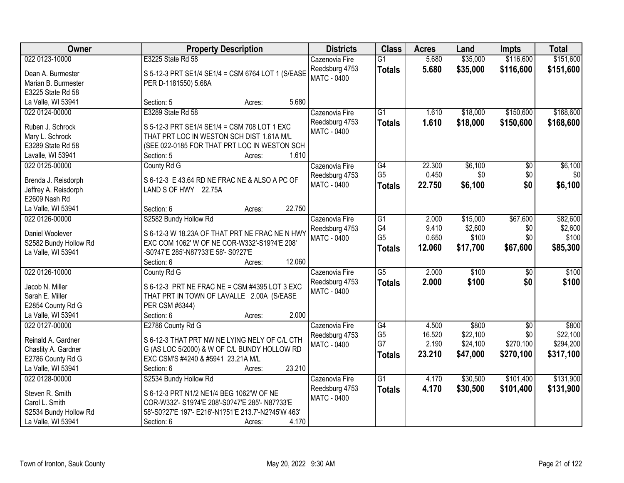| Owner                 | <b>Property Description</b>                         | <b>Districts</b>   | <b>Class</b>    | <b>Acres</b> | Land     | <b>Impts</b>    | <b>Total</b> |
|-----------------------|-----------------------------------------------------|--------------------|-----------------|--------------|----------|-----------------|--------------|
| 022 0123-10000        | E3225 State Rd 58                                   | Cazenovia Fire     | $\overline{G1}$ | 5.680        | \$35,000 | \$116,600       | \$151,600    |
| Dean A. Burmester     | S 5-12-3 PRT SE1/4 SE1/4 = CSM 6764 LOT 1 (S/EASE   | Reedsburg 4753     | <b>Totals</b>   | 5.680        | \$35,000 | \$116,600       | \$151,600    |
| Marian B. Burmester   | PER D-1181550) 5.68A                                | MATC - 0400        |                 |              |          |                 |              |
| E3225 State Rd 58     |                                                     |                    |                 |              |          |                 |              |
| La Valle, WI 53941    | 5.680<br>Section: 5<br>Acres:                       |                    |                 |              |          |                 |              |
| 022 0124-00000        | E3289 State Rd 58                                   | Cazenovia Fire     | $\overline{G1}$ | 1.610        | \$18,000 | \$150,600       | \$168,600    |
|                       |                                                     | Reedsburg 4753     | <b>Totals</b>   | 1.610        | \$18,000 | \$150,600       | \$168,600    |
| Ruben J. Schrock      | S 5-12-3 PRT SE1/4 SE1/4 = CSM 708 LOT 1 EXC        | MATC - 0400        |                 |              |          |                 |              |
| Mary L. Schrock       | THAT PRT LOC IN WESTON SCH DIST 1.61A M/L           |                    |                 |              |          |                 |              |
| E3289 State Rd 58     | (SEE 022-0185 FOR THAT PRT LOC IN WESTON SCH        |                    |                 |              |          |                 |              |
| Lavalle, WI 53941     | 1.610<br>Section: 5<br>Acres:                       |                    |                 |              |          |                 |              |
| 022 0125-00000        | County Rd G                                         | Cazenovia Fire     | $\overline{G4}$ | 22.300       | \$6,100  | \$0             | \$6,100      |
| Brenda J. Reisdorph   | S 6-12-3 E 43.64 RD NE FRAC NE & ALSO A PC OF       | Reedsburg 4753     | G <sub>5</sub>  | 0.450        | \$0      | \$0             | \$0          |
| Jeffrey A. Reisdorph  | LAND S OF HWY 22.75A                                | <b>MATC - 0400</b> | <b>Totals</b>   | 22.750       | \$6,100  | \$0             | \$6,100      |
| E2609 Nash Rd         |                                                     |                    |                 |              |          |                 |              |
| La Valle, WI 53941    | 22.750<br>Section: 6<br>Acres:                      |                    |                 |              |          |                 |              |
| 022 0126-00000        | S2582 Bundy Hollow Rd                               | Cazenovia Fire     | G1              | 2.000        | \$15,000 | \$67,600        | \$82,600     |
|                       |                                                     | Reedsburg 4753     | G4              | 9.410        | \$2,600  | \$0             | \$2,600      |
| Daniel Woolever       | S 6-12-3 W 18.23A OF THAT PRT NE FRAC NE N HWY      | MATC - 0400        | G <sub>5</sub>  | 0.650        | \$100    | \$0             | \$100        |
| S2582 Bundy Hollow Rd | EXC COM 1062' W OF NE COR-W332'-S19?4'E 208'        |                    | <b>Totals</b>   | 12.060       | \$17,700 | \$67,600        | \$85,300     |
| La Valle, WI 53941    | -S0?47'E 285'-N87?33'E 58'- S0?27'E                 |                    |                 |              |          |                 |              |
|                       | 12.060<br>Section: 6<br>Acres:                      |                    |                 |              |          |                 |              |
| 022 0126-10000        | County Rd G                                         | Cazenovia Fire     | $\overline{G5}$ | 2.000        | \$100    | \$0             | \$100        |
| Jacob N. Miller       | S 6-12-3 PRT NE FRAC NE = CSM #4395 LOT 3 EXC       | Reedsburg 4753     | <b>Totals</b>   | 2.000        | \$100    | \$0             | \$100        |
| Sarah E. Miller       | THAT PRT IN TOWN OF LAVALLE 2.00A (S/EASE           | MATC - 0400        |                 |              |          |                 |              |
| E2854 County Rd G     | PER CSM #6344)                                      |                    |                 |              |          |                 |              |
| La Valle, WI 53941    | 2.000<br>Section: 6<br>Acres:                       |                    |                 |              |          |                 |              |
| 022 0127-00000        | E2786 County Rd G                                   | Cazenovia Fire     | G4              | 4.500        | \$800    | $\overline{50}$ | \$800        |
|                       |                                                     | Reedsburg 4753     | G <sub>5</sub>  | 16.520       | \$22,100 | \$0             | \$22,100     |
| Reinald A. Gardner    | S 6-12-3 THAT PRT NW NE LYING NELY OF C/L CTH       | <b>MATC - 0400</b> | G7              | 2.190        | \$24,100 | \$270,100       | \$294,200    |
| Chastity A. Gardner   | G (AS LOC 5/2000) & W OF C/L BUNDY HOLLOW RD        |                    | <b>Totals</b>   | 23.210       | \$47,000 | \$270,100       | \$317,100    |
| E2786 County Rd G     | EXC CSM'S #4240 & #5941 23.21A M/L                  |                    |                 |              |          |                 |              |
| La Valle, WI 53941    | 23.210<br>Section: 6<br>Acres:                      |                    |                 |              |          |                 |              |
| 022 0128-00000        | S2534 Bundy Hollow Rd                               | Cazenovia Fire     | $\overline{G1}$ | 4.170        | \$30,500 | \$101,400       | \$131,900    |
| Steven R. Smith       | S 6-12-3 PRT N1/2 NE1/4 BEG 1062'W OF NE            | Reedsburg 4753     | <b>Totals</b>   | 4.170        | \$30,500 | \$101,400       | \$131,900    |
| Carol L. Smith        | COR-W332'- S19?4'E 208'-S0?47'E 285'- N87?33'E      | <b>MATC - 0400</b> |                 |              |          |                 |              |
| S2534 Bundy Hollow Rd | 58'-S0?27'E 197'- E216'-N1?51'E 213.7'-N2?45'W 463' |                    |                 |              |          |                 |              |
| La Valle, WI 53941    | 4.170<br>Section: 6<br>Acres:                       |                    |                 |              |          |                 |              |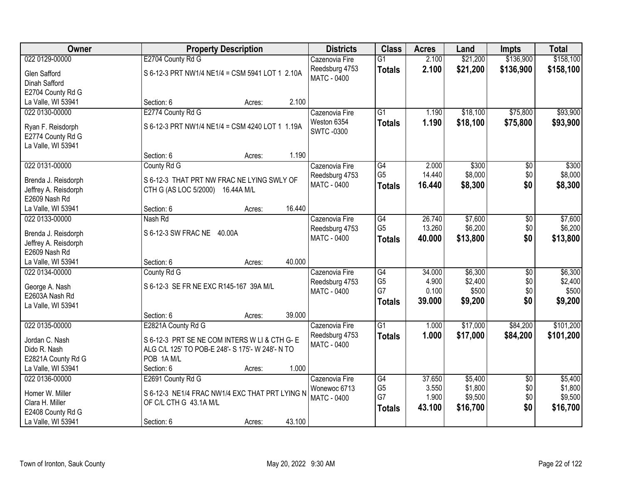| Owner                | <b>Property Description</b>                      | <b>Districts</b>   | <b>Class</b>         | <b>Acres</b>   | Land               | <b>Impts</b>    | <b>Total</b>       |
|----------------------|--------------------------------------------------|--------------------|----------------------|----------------|--------------------|-----------------|--------------------|
| 022 0129-00000       | E2704 County Rd G                                | Cazenovia Fire     | $\overline{G1}$      | 2.100          | \$21,200           | \$136,900       | \$158,100          |
| Glen Safford         | S 6-12-3 PRT NW1/4 NE1/4 = CSM 5941 LOT 1 2.10A  | Reedsburg 4753     | <b>Totals</b>        | 2.100          | \$21,200           | \$136,900       | \$158,100          |
| Dinah Safford        |                                                  | MATC - 0400        |                      |                |                    |                 |                    |
| E2704 County Rd G    |                                                  |                    |                      |                |                    |                 |                    |
| La Valle, WI 53941   | 2.100<br>Section: 6<br>Acres:                    |                    |                      |                |                    |                 |                    |
| 022 0130-00000       | E2774 County Rd G                                | Cazenovia Fire     | $\overline{G1}$      | 1.190          | \$18,100           | \$75,800        | \$93,900           |
|                      |                                                  | Weston 6354        | <b>Totals</b>        | 1.190          | \$18,100           | \$75,800        | \$93,900           |
| Ryan F. Reisdorph    | S 6-12-3 PRT NW1/4 NE1/4 = CSM 4240 LOT 1 1.19A  | <b>SWTC-0300</b>   |                      |                |                    |                 |                    |
| E2774 County Rd G    |                                                  |                    |                      |                |                    |                 |                    |
| La Valle, WI 53941   | 1.190<br>Section: 6                              |                    |                      |                |                    |                 |                    |
| 022 0131-00000       | Acres:<br>County Rd G                            | Cazenovia Fire     | $\overline{G4}$      | 2.000          | \$300              | \$0             | \$300              |
|                      |                                                  | Reedsburg 4753     | G <sub>5</sub>       | 14.440         | \$8,000            | \$0             | \$8,000            |
| Brenda J. Reisdorph  | S 6-12-3 THAT PRT NW FRAC NE LYING SWLY OF       | <b>MATC - 0400</b> | <b>Totals</b>        | 16.440         | \$8,300            | \$0             | \$8,300            |
| Jeffrey A. Reisdorph | CTH G (AS LOC 5/2000) 16.44A M/L                 |                    |                      |                |                    |                 |                    |
| E2609 Nash Rd        |                                                  |                    |                      |                |                    |                 |                    |
| La Valle, WI 53941   | 16.440<br>Section: 6<br>Acres:                   |                    |                      |                |                    |                 |                    |
| 022 0133-00000       | Nash Rd                                          | Cazenovia Fire     | G4                   | 26.740         | \$7,600            | \$0             | \$7,600            |
| Brenda J. Reisdorph  | S 6-12-3 SW FRAC NE 40.00A                       | Reedsburg 4753     | G <sub>5</sub>       | 13.260         | \$6,200            | \$0             | \$6,200            |
| Jeffrey A. Reisdorph |                                                  | MATC - 0400        | <b>Totals</b>        | 40.000         | \$13,800           | \$0             | \$13,800           |
| E2609 Nash Rd        |                                                  |                    |                      |                |                    |                 |                    |
| La Valle, WI 53941   | 40.000<br>Section: 6<br>Acres:                   |                    |                      |                |                    |                 |                    |
| 022 0134-00000       | County Rd G                                      | Cazenovia Fire     | G4                   | 34.000         | \$6,300            | $\overline{50}$ | \$6,300            |
| George A. Nash       | S 6-12-3 SE FR NE EXC R145-167 39A M/L           | Reedsburg 4753     | G <sub>5</sub>       | 4.900          | \$2,400            | \$0             | \$2,400            |
| E2603A Nash Rd       |                                                  | MATC - 0400        | G7                   | 0.100          | \$500              | \$0             | \$500              |
| La Valle, WI 53941   |                                                  |                    | <b>Totals</b>        | 39.000         | \$9,200            | \$0             | \$9,200            |
|                      | 39.000<br>Section: 6<br>Acres:                   |                    |                      |                |                    |                 |                    |
| 022 0135-00000       | E2821A County Rd G                               | Cazenovia Fire     | G1                   | 1.000          | \$17,000           | \$84,200        | \$101,200          |
|                      |                                                  | Reedsburg 4753     | <b>Totals</b>        | 1.000          | \$17,000           | \$84,200        | \$101,200          |
| Jordan C. Nash       | S 6-12-3 PRT SE NE COM INTERS W LI & CTH G- E    | MATC - 0400        |                      |                |                    |                 |                    |
| Dido R. Nash         | ALG C/L 125' TO POB-E 248'- S 175'- W 248'- N TO |                    |                      |                |                    |                 |                    |
| E2821A County Rd G   | POB 1A M/L                                       |                    |                      |                |                    |                 |                    |
| La Valle, WI 53941   | 1.000<br>Section: 6<br>Acres:                    |                    |                      |                |                    |                 |                    |
| 022 0136-00000       | E2691 County Rd G                                | Cazenovia Fire     | G4                   | 37.650         | \$5,400            | $\overline{50}$ | \$5,400            |
| Homer W. Miller      | S 6-12-3 NE1/4 FRAC NW1/4 EXC THAT PRT LYING N   | Wonewoc 6713       | G <sub>5</sub><br>G7 | 3.550<br>1.900 | \$1,800<br>\$9,500 | \$0<br>\$0      | \$1,800<br>\$9,500 |
| Clara H. Miller      | OF C/L CTH G 43.1A M/L                           | <b>MATC - 0400</b> |                      | 43.100         | \$16,700           | \$0             | \$16,700           |
| E2408 County Rd G    |                                                  |                    | <b>Totals</b>        |                |                    |                 |                    |
| La Valle, WI 53941   | 43.100<br>Section: 6<br>Acres:                   |                    |                      |                |                    |                 |                    |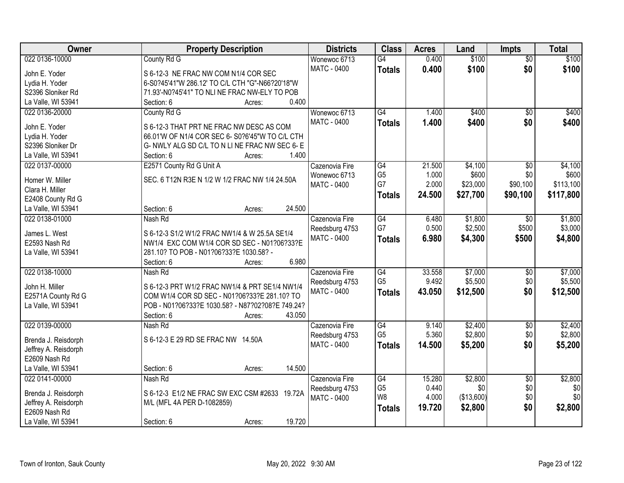| Owner                | <b>Property Description</b>                                | <b>Districts</b>                     | <b>Class</b>         | <b>Acres</b> | Land               | <b>Impts</b>      | <b>Total</b>       |
|----------------------|------------------------------------------------------------|--------------------------------------|----------------------|--------------|--------------------|-------------------|--------------------|
| 022 0136-10000       | County Rd G                                                | Wonewoc 6713                         | G4                   | 0.400        | \$100              | $\overline{50}$   | \$100              |
| John E. Yoder        | S 6-12-3 NE FRAC NW COM N1/4 COR SEC                       | <b>MATC - 0400</b>                   | <b>Totals</b>        | 0.400        | \$100              | \$0               | \$100              |
| Lydia H. Yoder       | 6-S0?45'41"W 286.12' TO C/L CTH "G"-N66?20'18"W            |                                      |                      |              |                    |                   |                    |
| S2396 Sloniker Rd    | 71.93'-N0?45'41" TO NLI NE FRAC NW-ELY TO POB              |                                      |                      |              |                    |                   |                    |
| La Valle, WI 53941   | 0.400<br>Section: 6<br>Acres:                              |                                      |                      |              |                    |                   |                    |
| 022 0136-20000       | County Rd G                                                | Wonewoc 6713                         | $\overline{G4}$      | 1.400        | \$400              | $\overline{50}$   | \$400              |
| John E. Yoder        | S 6-12-3 THAT PRT NE FRAC NW DESC AS COM                   | <b>MATC - 0400</b>                   | <b>Totals</b>        | 1.400        | \$400              | \$0               | \$400              |
| Lydia H. Yoder       | 66.01'W OF N1/4 COR SEC 6- S0?6'45"W TO C/L CTH            |                                      |                      |              |                    |                   |                    |
| S2396 Sloniker Dr    | G- NWLY ALG SD C/L TO N LINE FRAC NW SEC 6-E               |                                      |                      |              |                    |                   |                    |
| La Valle, WI 53941   | 1.400<br>Section: 6<br>Acres:                              |                                      |                      |              |                    |                   |                    |
| 022 0137-00000       | E2571 County Rd G Unit A                                   | Cazenovia Fire                       | G4                   | 21.500       | \$4,100            | \$0               | \$4,100            |
|                      |                                                            | Wonewoc 6713                         | G <sub>5</sub>       | 1.000        | \$600              | \$0               | \$600              |
| Homer W. Miller      | SEC. 6 T12N R3E N 1/2 W 1/2 FRAC NW 1/4 24.50A             | <b>MATC - 0400</b>                   | G7                   | 2.000        | \$23,000           | \$90,100          | \$113,100          |
| Clara H. Miller      |                                                            |                                      | <b>Totals</b>        | 24.500       | \$27,700           | \$90,100          | \$117,800          |
| E2408 County Rd G    |                                                            |                                      |                      |              |                    |                   |                    |
| La Valle, WI 53941   | 24.500<br>Section: 6<br>Acres:                             |                                      |                      |              |                    |                   |                    |
| 022 0138-01000       | Nash Rd                                                    | Cazenovia Fire                       | G4                   | 6.480        | \$1,800            | \$0               | \$1,800            |
| James L. West        | S 6-12-3 S1/2 W1/2 FRAC NW1/4 & W 25.5A SE1/4              | Reedsburg 4753                       | G7                   | 0.500        | \$2,500            | \$500             | \$3,000            |
| E2593 Nash Rd        | NW1/4 EXC COM W1/4 COR SD SEC - N01?06?33?E                | <b>MATC - 0400</b>                   | <b>Totals</b>        | 6.980        | \$4,300            | \$500             | \$4,800            |
| La Valle, WI 53941   | 281.10? TO POB - N01?06?33?E 1030.58? -                    |                                      |                      |              |                    |                   |                    |
|                      | 6.980<br>Section: 6<br>Acres:                              |                                      |                      |              |                    |                   |                    |
| 022 0138-10000       | Nash Rd                                                    | Cazenovia Fire                       | G4                   | 33.558       | \$7,000            | $\overline{30}$   | \$7,000            |
|                      |                                                            | Reedsburg 4753                       | G <sub>5</sub>       | 9.492        | \$5,500            | \$0               | \$5,500            |
| John H. Miller       | S 6-12-3 PRT W1/2 FRAC NW1/4 & PRT SE1/4 NW1/4             | <b>MATC - 0400</b>                   | <b>Totals</b>        | 43.050       | \$12,500           | \$0               | \$12,500           |
| E2571A County Rd G   | COM W1/4 COR SD SEC - N01?06?33?E 281.10? TO               |                                      |                      |              |                    |                   |                    |
| La Valle, WI 53941   | POB - N01?06?33?E 1030.58? - N87?02?08?E 749.24?<br>43.050 |                                      |                      |              |                    |                   |                    |
| 022 0139-00000       | Section: 6<br>Acres:                                       |                                      |                      | 9.140        |                    |                   |                    |
|                      | Nash Rd                                                    | Cazenovia Fire                       | G4<br>G <sub>5</sub> | 5.360        | \$2,400<br>\$2,800 | $\sqrt{6}$<br>\$0 | \$2,400<br>\$2,800 |
| Brenda J. Reisdorph  | S 6-12-3 E 29 RD SE FRAC NW 14.50A                         | Reedsburg 4753<br><b>MATC - 0400</b> |                      |              |                    | \$0               |                    |
| Jeffrey A. Reisdorph |                                                            |                                      | <b>Totals</b>        | 14.500       | \$5,200            |                   | \$5,200            |
| E2609 Nash Rd        |                                                            |                                      |                      |              |                    |                   |                    |
| La Valle, WI 53941   | 14.500<br>Section: 6<br>Acres:                             |                                      |                      |              |                    |                   |                    |
| 022 0141-00000       | Nash Rd                                                    | Cazenovia Fire                       | G4                   | 15.280       | \$2,800            | $\overline{50}$   | \$2,800            |
| Brenda J. Reisdorph  | S 6-12-3 E1/2 NE FRAC SW EXC CSM #2633 19.72A              | Reedsburg 4753                       | G <sub>5</sub>       | 0.440        | \$0                | \$0               | \$0                |
| Jeffrey A. Reisdorph | M/L (MFL 4A PER D-1082859)                                 | <b>MATC - 0400</b>                   | W8                   | 4.000        | (\$13,600)         | \$0               | \$0                |
| E2609 Nash Rd        |                                                            |                                      | <b>Totals</b>        | 19.720       | \$2,800            | \$0               | \$2,800            |
| La Valle, WI 53941   | 19.720<br>Section: 6<br>Acres:                             |                                      |                      |              |                    |                   |                    |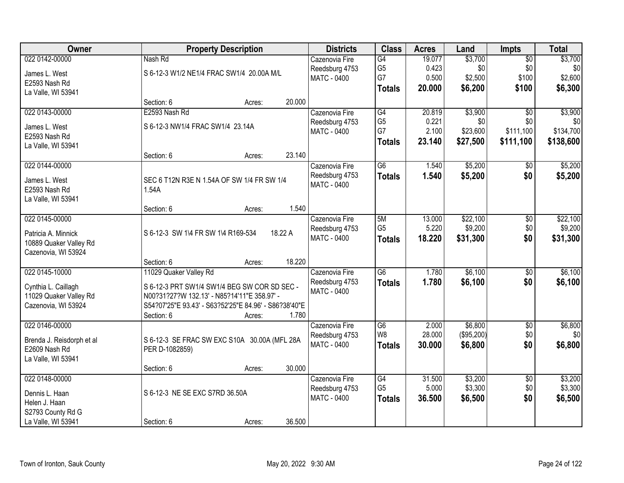| Owner                     |                                    | <b>Property Description</b>                           |         | <b>Districts</b>   | <b>Class</b>    | <b>Acres</b> | Land       | <b>Impts</b>    | <b>Total</b> |
|---------------------------|------------------------------------|-------------------------------------------------------|---------|--------------------|-----------------|--------------|------------|-----------------|--------------|
| 022 0142-00000            | Nash Rd                            |                                                       |         | Cazenovia Fire     | $\overline{G4}$ | 19.077       | \$3,700    | $\overline{50}$ | \$3,700      |
| James L. West             |                                    | S 6-12-3 W1/2 NE1/4 FRAC SW1/4 20.00A M/L             |         | Reedsburg 4753     | G <sub>5</sub>  | 0.423        | \$0        | \$0             | \$0          |
| E2593 Nash Rd             |                                    |                                                       |         | <b>MATC - 0400</b> | G7              | 0.500        | \$2,500    | \$100           | \$2,600      |
| La Valle, WI 53941        |                                    |                                                       |         |                    | <b>Totals</b>   | 20.000       | \$6,200    | \$100           | \$6,300      |
|                           | Section: 6                         | Acres:                                                | 20.000  |                    |                 |              |            |                 |              |
| 022 0143-00000            | E2593 Nash Rd                      |                                                       |         | Cazenovia Fire     | G4              | 20.819       | \$3,900    | $\overline{50}$ | \$3,900      |
| James L. West             | S 6-12-3 NW1/4 FRAC SW1/4 23.14A   |                                                       |         | Reedsburg 4753     | G <sub>5</sub>  | 0.221        | \$0        | \$0             | \$0          |
| E2593 Nash Rd             |                                    |                                                       |         | <b>MATC - 0400</b> | G7              | 2.100        | \$23,600   | \$111,100       | \$134,700    |
| La Valle, WI 53941        |                                    |                                                       |         |                    | <b>Totals</b>   | 23.140       | \$27,500   | \$111,100       | \$138,600    |
|                           | Section: 6                         | Acres:                                                | 23.140  |                    |                 |              |            |                 |              |
| 022 0144-00000            |                                    |                                                       |         | Cazenovia Fire     | G6              | 1.540        | \$5,200    | \$0             | \$5,200      |
| James L. West             |                                    | SEC 6 T12N R3E N 1.54A OF SW 1/4 FR SW 1/4            |         | Reedsburg 4753     | <b>Totals</b>   | 1.540        | \$5,200    | \$0             | \$5,200      |
| E2593 Nash Rd             | 1.54A                              |                                                       |         | <b>MATC - 0400</b> |                 |              |            |                 |              |
| La Valle, WI 53941        |                                    |                                                       |         |                    |                 |              |            |                 |              |
|                           | Section: 6                         | Acres:                                                | 1.540   |                    |                 |              |            |                 |              |
| 022 0145-00000            |                                    |                                                       |         | Cazenovia Fire     | 5M              | 13.000       | \$22,100   | \$0             | \$22,100     |
| Patricia A. Minnick       | S 6-12-3 SW 1\4 FR SW 1\4 R169-534 |                                                       | 18.22 A | Reedsburg 4753     | G <sub>5</sub>  | 5.220        | \$9,200    | \$0             | \$9,200      |
| 10889 Quaker Valley Rd    |                                    |                                                       |         | MATC - 0400        | <b>Totals</b>   | 18.220       | \$31,300   | \$0             | \$31,300     |
| Cazenovia, WI 53924       |                                    |                                                       |         |                    |                 |              |            |                 |              |
|                           | Section: 6                         | Acres:                                                | 18.220  |                    |                 |              |            |                 |              |
| 022 0145-10000            | 11029 Quaker Valley Rd             |                                                       |         | Cazenovia Fire     | $\overline{G6}$ | 1.780        | \$6,100    | $\overline{30}$ | \$6,100      |
| Cynthia L. Caillagh       |                                    | S 6-12-3 PRT SW1/4 SW1/4 BEG SW COR SD SEC -          |         | Reedsburg 4753     | <b>Totals</b>   | 1.780        | \$6,100    | \$0             | \$6,100      |
| 11029 Quaker Valley Rd    |                                    | N00?31?27?W 132.13' - N85?14'11"E 358.97' -           |         | <b>MATC - 0400</b> |                 |              |            |                 |              |
| Cazenovia, WI 53924       |                                    | S54?07'25"E 93.43' - S63?52'25"E 84.96' - S86?38'40"E |         |                    |                 |              |            |                 |              |
|                           | Section: 6                         | Acres:                                                | 1.780   |                    |                 |              |            |                 |              |
| 022 0146-00000            |                                    |                                                       |         | Cazenovia Fire     | $\overline{G6}$ | 2.000        | \$6,800    | $\overline{50}$ | \$6,800      |
| Brenda J. Reisdorph et al |                                    | S 6-12-3 SE FRAC SW EXC S10A 30.00A (MFL 28A          |         | Reedsburg 4753     | W8              | 28.000       | (\$95,200) | \$0             | \$0          |
| E2609 Nash Rd             | PER D-1082859)                     |                                                       |         | <b>MATC - 0400</b> | <b>Totals</b>   | 30,000       | \$6,800    | \$0             | \$6,800      |
| La Valle, WI 53941        |                                    |                                                       |         |                    |                 |              |            |                 |              |
|                           | Section: 6                         | Acres:                                                | 30.000  |                    |                 |              |            |                 |              |
| 022 0148-00000            |                                    |                                                       |         | Cazenovia Fire     | G4              | 31.500       | \$3,200    | $\overline{50}$ | \$3,200      |
| Dennis L. Haan            | S 6-12-3 NE SE EXC S7RD 36.50A     |                                                       |         | Reedsburg 4753     | G <sub>5</sub>  | 5.000        | \$3,300    | \$0             | \$3,300      |
| Helen J. Haan             |                                    |                                                       |         | <b>MATC - 0400</b> | <b>Totals</b>   | 36.500       | \$6,500    | \$0             | \$6,500      |
| S2793 County Rd G         |                                    |                                                       |         |                    |                 |              |            |                 |              |
| La Valle, WI 53941        | Section: 6                         | Acres:                                                | 36.500  |                    |                 |              |            |                 |              |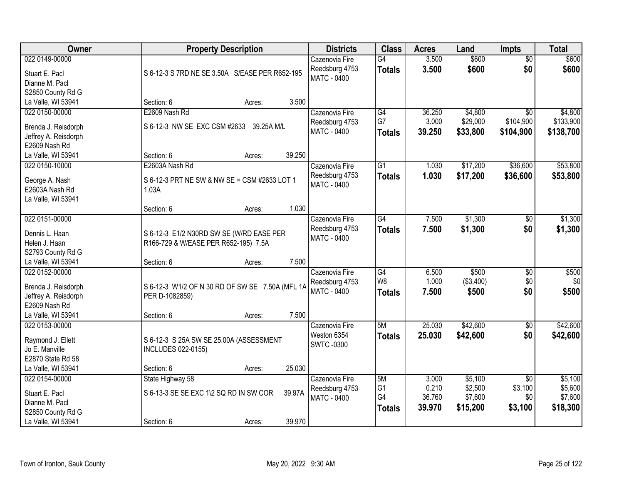| Owner                | <b>Property Description</b>                     |        |        | <b>Districts</b>   | <b>Class</b>    | <b>Acres</b> | Land      | <b>Impts</b>    | <b>Total</b> |
|----------------------|-------------------------------------------------|--------|--------|--------------------|-----------------|--------------|-----------|-----------------|--------------|
| 022 0149-00000       |                                                 |        |        | Cazenovia Fire     | $\overline{G4}$ | 3.500        | \$600     | $\overline{60}$ | \$600        |
| Stuart E. Pacl       | S 6-12-3 S 7RD NE SE 3.50A S/EASE PER R652-195  |        |        | Reedsburg 4753     | <b>Totals</b>   | 3.500        | \$600     | \$0             | \$600        |
| Dianne M. Pacl       |                                                 |        |        | <b>MATC - 0400</b> |                 |              |           |                 |              |
| S2850 County Rd G    |                                                 |        |        |                    |                 |              |           |                 |              |
| La Valle, WI 53941   | Section: 6                                      | Acres: | 3.500  |                    |                 |              |           |                 |              |
| 022 0150-00000       | E2609 Nash Rd                                   |        |        | Cazenovia Fire     | G4              | 36.250       | \$4,800   | $\overline{50}$ | \$4,800      |
| Brenda J. Reisdorph  | S 6-12-3 NW SE EXC CSM #2633 39.25A M/L         |        |        | Reedsburg 4753     | G7              | 3.000        | \$29,000  | \$104,900       | \$133,900    |
| Jeffrey A. Reisdorph |                                                 |        |        | MATC - 0400        | <b>Totals</b>   | 39.250       | \$33,800  | \$104,900       | \$138,700    |
| E2609 Nash Rd        |                                                 |        |        |                    |                 |              |           |                 |              |
| La Valle, WI 53941   | Section: 6                                      | Acres: | 39.250 |                    |                 |              |           |                 |              |
| 022 0150-10000       | E2603A Nash Rd                                  |        |        | Cazenovia Fire     | $\overline{G1}$ | 1.030        | \$17,200  | \$36,600        | \$53,800     |
|                      |                                                 |        |        | Reedsburg 4753     | <b>Totals</b>   | 1.030        | \$17,200  | \$36,600        | \$53,800     |
| George A. Nash       | S 6-12-3 PRT NE SW & NW SE = CSM #2633 LOT 1    |        |        | <b>MATC - 0400</b> |                 |              |           |                 |              |
| E2603A Nash Rd       | 1.03A                                           |        |        |                    |                 |              |           |                 |              |
| La Valle, WI 53941   | Section: 6                                      | Acres: | 1.030  |                    |                 |              |           |                 |              |
| 022 0151-00000       |                                                 |        |        | Cazenovia Fire     | G4              | 7.500        | \$1,300   | \$0             | \$1,300      |
|                      |                                                 |        |        | Reedsburg 4753     | <b>Totals</b>   | 7.500        | \$1,300   | \$0             | \$1,300      |
| Dennis L. Haan       | S 6-12-3 E1/2 N30RD SW SE (W/RD EASE PER        |        |        | MATC - 0400        |                 |              |           |                 |              |
| Helen J. Haan        | R166-729 & W/EASE PER R652-195) 7.5A            |        |        |                    |                 |              |           |                 |              |
| S2793 County Rd G    |                                                 |        |        |                    |                 |              |           |                 |              |
| La Valle, WI 53941   | Section: 6                                      | Acres: | 7.500  |                    |                 |              |           |                 |              |
| 022 0152-00000       |                                                 |        |        | Cazenovia Fire     | G4              | 6.500        | \$500     | $\overline{50}$ | \$500        |
| Brenda J. Reisdorph  | S 6-12-3 W1/2 OF N 30 RD OF SW SE 7.50A (MFL 1A |        |        | Reedsburg 4753     | W <sub>8</sub>  | 1.000        | (\$3,400) | \$0             | \$0          |
| Jeffrey A. Reisdorph | PER D-1082859)                                  |        |        | MATC - 0400        | <b>Totals</b>   | 7.500        | \$500     | \$0             | \$500        |
| E2609 Nash Rd        |                                                 |        |        |                    |                 |              |           |                 |              |
| La Valle, WI 53941   | Section: 6                                      | Acres: | 7.500  |                    |                 |              |           |                 |              |
| 022 0153-00000       |                                                 |        |        | Cazenovia Fire     | 5M              | 25.030       | \$42,600  | $\sqrt{$0}$     | \$42,600     |
| Raymond J. Ellett    | S 6-12-3 S 25A SW SE 25.00A (ASSESSMENT         |        |        | Weston 6354        | <b>Totals</b>   | 25.030       | \$42,600  | \$0             | \$42,600     |
| Jo E. Manville       | <b>INCLUDES 022-0155)</b>                       |        |        | <b>SWTC-0300</b>   |                 |              |           |                 |              |
| E2870 State Rd 58    |                                                 |        |        |                    |                 |              |           |                 |              |
| La Valle, WI 53941   | Section: 6                                      | Acres: | 25.030 |                    |                 |              |           |                 |              |
| 022 0154-00000       | State Highway 58                                |        |        | Cazenovia Fire     | 5M              | 3.000        | \$5,100   | $\overline{50}$ | \$5,100      |
| Stuart E. Pacl       | S 6-13-3 SE SE EXC 1\2 SQ RD IN SW COR          |        | 39.97A | Reedsburg 4753     | G <sub>1</sub>  | 0.210        | \$2,500   | \$3,100         | \$5,600      |
| Dianne M. Pacl       |                                                 |        |        | <b>MATC - 0400</b> | G4              | 36.760       | \$7,600   | \$0             | \$7,600      |
| S2850 County Rd G    |                                                 |        |        |                    | <b>Totals</b>   | 39.970       | \$15,200  | \$3,100         | \$18,300     |
| La Valle, WI 53941   | Section: 6                                      | Acres: | 39.970 |                    |                 |              |           |                 |              |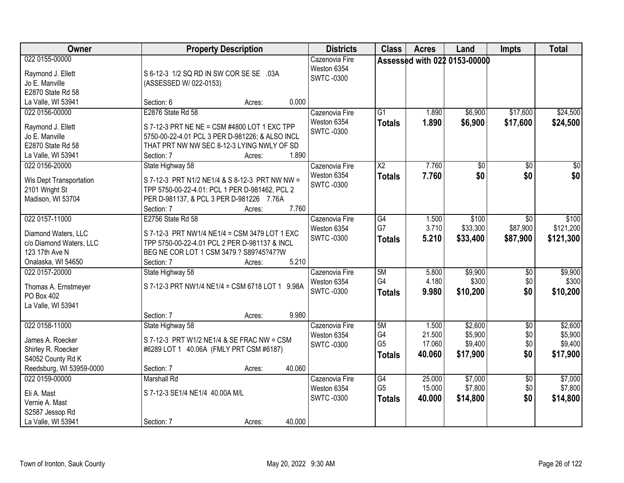| Owner                                                                                                     | <b>Property Description</b>                                                                                                                                                                                               | <b>Districts</b>                                  | <b>Class</b>                                       | <b>Acres</b>                        | Land                                      | Impts                                | <b>Total</b>                              |
|-----------------------------------------------------------------------------------------------------------|---------------------------------------------------------------------------------------------------------------------------------------------------------------------------------------------------------------------------|---------------------------------------------------|----------------------------------------------------|-------------------------------------|-------------------------------------------|--------------------------------------|-------------------------------------------|
| 022 0155-00000<br>Raymond J. Ellett<br>Jo E. Manville<br>E2870 State Rd 58                                | S 6-12-3 1/2 SQ RD IN SW COR SE SE .03A<br>(ASSESSED W/022-0153)                                                                                                                                                          | Cazenovia Fire<br>Weston 6354<br><b>SWTC-0300</b> |                                                    |                                     | Assessed with 022 0153-00000              |                                      |                                           |
| La Valle, WI 53941<br>022 0156-00000<br>Raymond J. Ellett<br>Jo E. Manville<br>E2870 State Rd 58          | 0.000<br>Section: 6<br>Acres:<br>E2876 State Rd 58<br>S 7-12-3 PRT NE NE = CSM #4800 LOT 1 EXC TPP<br>5750-00-22-4.01 PCL 3 PER D-981226; & ALSO INCL<br>THAT PRT NW NW SEC 8-12-3 LYING NWLY OF SD<br>1.890              | Cazenovia Fire<br>Weston 6354<br><b>SWTC-0300</b> | $\overline{G1}$<br><b>Totals</b>                   | 1.890<br>1.890                      | \$6,900<br>\$6,900                        | \$17,600<br>\$17,600                 | \$24,500<br>\$24,500                      |
| La Valle, WI 53941<br>022 0156-20000<br>Wis Dept Transportation<br>2101 Wright St<br>Madison, WI 53704    | Section: 7<br>Acres:<br>State Highway 58<br>S 7-12-3 PRT N1/2 NE1/4 & S 8-12-3 PRT NW NW =<br>TPP 5750-00-22-4.01: PCL 1 PER D-981462, PCL 2<br>PER D-981137, & PCL 3 PER D-981226 7.76A<br>7.760<br>Section: 7<br>Acres: | Cazenovia Fire<br>Weston 6354<br><b>SWTC-0300</b> | $\overline{X2}$<br><b>Totals</b>                   | 7.760<br>7.760                      | $\overline{50}$<br>\$0                    | $\overline{50}$<br>\$0               | $\overline{30}$<br>\$0                    |
| 022 0157-11000<br>Diamond Waters, LLC<br>c/o Diamond Waters, LLC<br>123 17th Ave N<br>Onalaska, WI 54650  | E2756 State Rd 58<br>S 7-12-3 PRT NW1/4 NE1/4 = CSM 3479 LOT 1 EXC<br>TPP 5750-00-22-4.01 PCL 2 PER D-981137 & INCL<br>BEG NE COR LOT 1 CSM 3479 ? S89?45?47?W<br>5.210<br>Section: 7<br>Acres:                           | Cazenovia Fire<br>Weston 6354<br><b>SWTC-0300</b> | G4<br>G7<br><b>Totals</b>                          | 1.500<br>3.710<br>5.210             | \$100<br>\$33,300<br>\$33,400             | $\sqrt{6}$<br>\$87,900<br>\$87,900   | \$100<br>\$121,200<br>\$121,300           |
| 022 0157-20000<br>Thomas A. Ernstmeyer<br>PO Box 402<br>La Valle, WI 53941                                | State Highway 58<br>S 7-12-3 PRT NW1/4 NE1/4 = CSM 6718 LOT 1 9.98A<br>9.980<br>Section: 7<br>Acres:                                                                                                                      | Cazenovia Fire<br>Weston 6354<br><b>SWTC-0300</b> | 5M<br>G4<br><b>Totals</b>                          | 5.800<br>4.180<br>9.980             | \$9,900<br>\$300<br>\$10,200              | $\overline{30}$<br>\$0<br>\$0        | \$9,900<br>\$300<br>\$10,200              |
| 022 0158-11000<br>James A. Roecker<br>Shirley R. Roecker<br>S4052 County Rd K<br>Reedsburg, WI 53959-0000 | State Highway 58<br>S 7-12-3 PRT W1/2 NE1/4 & SE FRAC NW = CSM<br>#6289 LOT 1 40.06A (FMLY PRT CSM #6187)<br>40.060<br>Section: 7<br>Acres:                                                                               | Cazenovia Fire<br>Weston 6354<br><b>SWTC-0300</b> | 5M<br>G4<br>G <sub>5</sub><br><b>Totals</b>        | 1.500<br>21.500<br>17.060<br>40.060 | \$2,600<br>\$5,900<br>\$9,400<br>\$17,900 | $\overline{50}$<br>\$0<br>\$0<br>\$0 | \$2,600<br>\$5,900<br>\$9,400<br>\$17,900 |
| 022 0159-00000<br>Eli A. Mast<br>Vernie A. Mast<br>S2587 Jessop Rd<br>La Valle, WI 53941                  | <b>Marshall Rd</b><br>S 7-12-3 SE1/4 NE1/4 40.00A M/L<br>40.000<br>Section: 7<br>Acres:                                                                                                                                   | Cazenovia Fire<br>Weston 6354<br><b>SWTC-0300</b> | $\overline{G4}$<br>G <sub>5</sub><br><b>Totals</b> | 25.000<br>15.000<br>40.000          | \$7,000<br>\$7,800<br>\$14,800            | $\overline{50}$<br>\$0<br>\$0        | \$7,000<br>\$7,800<br>\$14,800            |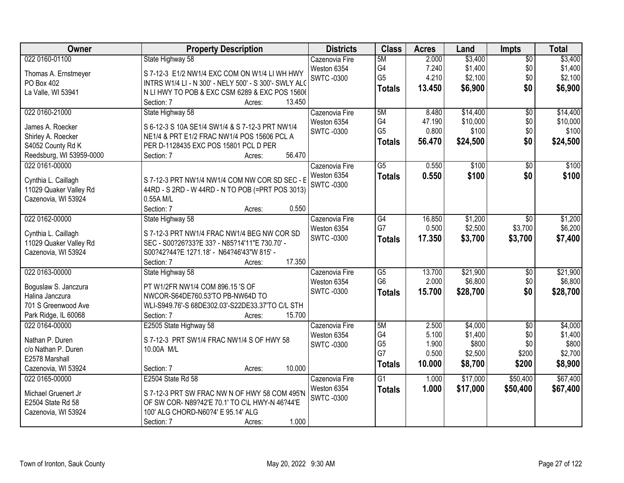| Owner                                   | <b>Property Description</b>                                                          | <b>Districts</b> | <b>Class</b>    | <b>Acres</b> | Land     | <b>Impts</b>    | <b>Total</b> |
|-----------------------------------------|--------------------------------------------------------------------------------------|------------------|-----------------|--------------|----------|-----------------|--------------|
| 022 0160-01100                          | State Highway 58                                                                     | Cazenovia Fire   | 5M              | 2.000        | \$3,400  | $\overline{50}$ | \$3,400      |
| Thomas A. Ernstmeyer                    | S 7-12-3 E1/2 NW1/4 EXC COM ON W1/4 LI WH HWY                                        | Weston 6354      | G4              | 7.240        | \$1,400  | \$0             | \$1,400      |
| PO Box 402                              | INTRS W1/4 LI - N 300' - NELY 500' - S 300'- SWLY ALG                                | <b>SWTC-0300</b> | G <sub>5</sub>  | 4.210        | \$2,100  | \$0             | \$2,100      |
| La Valle, WI 53941                      | N LI HWY TO POB & EXC CSM 6289 & EXC POS 15606                                       |                  | <b>Totals</b>   | 13.450       | \$6,900  | \$0             | \$6,900      |
|                                         | 13.450<br>Section: 7<br>Acres:                                                       |                  |                 |              |          |                 |              |
| 022 0160-21000                          | State Highway 58                                                                     | Cazenovia Fire   | 5M              | 8.480        | \$14,400 | $\overline{50}$ | \$14,400     |
|                                         |                                                                                      | Weston 6354      | G4              | 47.190       | \$10,000 | \$0             | \$10,000     |
| James A. Roecker                        | S 6-12-3 S 10A SE1/4 SW1/4 & S 7-12-3 PRT NW1/4                                      | <b>SWTC-0300</b> | G <sub>5</sub>  | 0.800        | \$100    | \$0             | \$100        |
| Shirley A. Roecker<br>S4052 County Rd K | NE1/4 & PRT E1/2 FRAC NW1/4 POS 15606 PCL A<br>PER D-1128435 EXC POS 15801 PCL D PER |                  | <b>Totals</b>   | 56.470       | \$24,500 | \$0             | \$24,500     |
| Reedsburg, WI 53959-0000                | 56.470<br>Section: 7<br>Acres:                                                       |                  |                 |              |          |                 |              |
| 022 0161-00000                          |                                                                                      | Cazenovia Fire   | $\overline{G5}$ | 0.550        | \$100    | \$0             | \$100        |
|                                         |                                                                                      | Weston 6354      |                 |              |          |                 |              |
| Cynthia L. Caillagh                     | S 7-12-3 PRT NW1/4 NW1/4 COM NW COR SD SEC - E                                       | <b>SWTC-0300</b> | <b>Totals</b>   | 0.550        | \$100    | \$0             | \$100        |
| 11029 Quaker Valley Rd                  | 44RD - S 2RD - W 44RD - N TO POB (=PRT POS 3013)                                     |                  |                 |              |          |                 |              |
| Cazenovia, WI 53924                     | 0.55A M/L                                                                            |                  |                 |              |          |                 |              |
|                                         | Section: 7<br>0.550<br>Acres:                                                        |                  |                 |              |          |                 |              |
| 022 0162-00000                          | State Highway 58                                                                     | Cazenovia Fire   | $\overline{G4}$ | 16.850       | \$1,200  | $\sqrt{6}$      | \$1,200      |
| Cynthia L. Caillagh                     | S 7-12-3 PRT NW1/4 FRAC NW1/4 BEG NW COR SD                                          | Weston 6354      | G7              | 0.500        | \$2,500  | \$3,700         | \$6,200      |
| 11029 Quaker Valley Rd                  | SEC - S00?26?33?E 33? - N85?14'11"E 730.70' -                                        | <b>SWTC-0300</b> | <b>Totals</b>   | 17.350       | \$3,700  | \$3,700         | \$7,400      |
| Cazenovia, WI 53924                     | S00?42?44?E 1271.18' - N64?46'43"W 815' -                                            |                  |                 |              |          |                 |              |
|                                         | 17.350<br>Section: 7<br>Acres:                                                       |                  |                 |              |          |                 |              |
| 022 0163-00000                          | State Highway 58                                                                     | Cazenovia Fire   | $\overline{G5}$ | 13.700       | \$21,900 | $\overline{50}$ | \$21,900     |
|                                         |                                                                                      | Weston 6354      | G <sub>6</sub>  | 2.000        | \$6,800  | \$0             | \$6,800      |
| Boguslaw S. Janczura                    | PT W1/2FR NW1/4 COM 896.15 'S OF                                                     | <b>SWTC-0300</b> |                 | 15.700       | \$28,700 | \$0             | \$28,700     |
| Halina Janczura                         | NWCOR-S64DE760.53'TO PB-NW64D TO                                                     |                  | <b>Totals</b>   |              |          |                 |              |
| 701 S Greenwood Ave                     | WLI-S949.76'-S 68DE302.03'-S22DE33.37'TO C/L STH                                     |                  |                 |              |          |                 |              |
| Park Ridge, IL 60068                    | 15.700<br>Section: 7<br>Acres:                                                       |                  |                 |              |          |                 |              |
| 022 0164-00000                          | E2505 State Highway 58                                                               | Cazenovia Fire   | 5M              | 2.500        | \$4,000  | $\sqrt{6}$      | \$4,000      |
| Nathan P. Duren                         | S 7-12-3 PRT SW1/4 FRAC NW1/4 S OF HWY 58                                            | Weston 6354      | G4              | 5.100        | \$1,400  | \$0             | \$1,400      |
| c/o Nathan P. Duren                     | 10.00A M/L                                                                           | <b>SWTC-0300</b> | G <sub>5</sub>  | 1.900        | \$800    | \$0             | \$800        |
| E2578 Marshall                          |                                                                                      |                  | G7              | 0.500        | \$2,500  | \$200           | \$2,700      |
| Cazenovia, WI 53924                     | 10.000<br>Section: 7<br>Acres:                                                       |                  | <b>Totals</b>   | 10.000       | \$8,700  | \$200           | \$8,900      |
| 022 0165-00000                          | E2504 State Rd 58                                                                    | Cazenovia Fire   | $\overline{G1}$ | 1.000        | \$17,000 | \$50,400        | \$67,400     |
|                                         |                                                                                      | Weston 6354      | <b>Totals</b>   | 1.000        | \$17,000 | \$50,400        | \$67,400     |
| Michael Gruenert Jr                     | S 7-12-3 PRT SW FRAC NW N OF HWY 58 COM 495'N                                        | <b>SWTC-0300</b> |                 |              |          |                 |              |
| E2504 State Rd 58                       | OF SW COR- N89?42'E 70.1' TO C\L HWY-N 46?44'E                                       |                  |                 |              |          |                 |              |
| Cazenovia, WI 53924                     | 100' ALG CHORD-N60?4' E 95.14' ALG                                                   |                  |                 |              |          |                 |              |
|                                         | 1.000<br>Section: 7<br>Acres:                                                        |                  |                 |              |          |                 |              |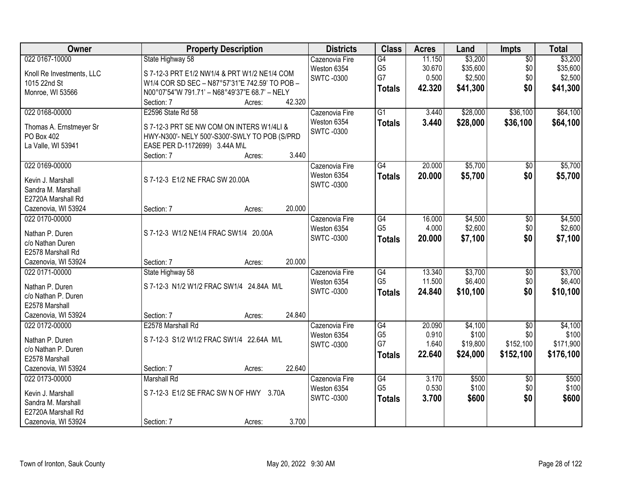| Owner                                 | <b>Property Description</b>                    | <b>Districts</b>  | <b>Class</b>    | <b>Acres</b> | Land     | <b>Impts</b>           | <b>Total</b> |
|---------------------------------------|------------------------------------------------|-------------------|-----------------|--------------|----------|------------------------|--------------|
| 022 0167-10000                        | State Highway 58                               | Cazenovia Fire    | G4              | 11.150       | \$3,200  | $\overline{50}$        | \$3,200      |
| Knoll Re Investments, LLC             | S 7-12-3 PRT E1/2 NW1/4 & PRT W1/2 NE1/4 COM   | Weston 6354       | G <sub>5</sub>  | 30.670       | \$35,600 | \$0                    | \$35,600     |
| 1015 22nd St                          | W1/4 COR SD SEC - N87°57'31"E 742.59' TO POB - | <b>SWTC-0300</b>  | G7              | 0.500        | \$2,500  | \$0                    | \$2,500      |
| Monroe, WI 53566                      | N00°07'54"W 791.71' - N68°49'37"E 68.7' - NELY |                   | <b>Totals</b>   | 42.320       | \$41,300 | \$0                    | \$41,300     |
|                                       | 42.320<br>Section: 7<br>Acres:                 |                   |                 |              |          |                        |              |
| 022 0168-00000                        | E2596 State Rd 58                              | Cazenovia Fire    | $\overline{G1}$ | 3.440        | \$28,000 | \$36,100               | \$64,100     |
|                                       |                                                | Weston 6354       | <b>Totals</b>   | 3.440        | \$28,000 | \$36,100               | \$64,100     |
| Thomas A. Ernstmeyer Sr               | S 7-12-3 PRT SE NW COM ON INTERS W1/4LI &      | <b>SWTC-0300</b>  |                 |              |          |                        |              |
| PO Box 402                            | HWY-N300'- NELY 500'-S300'-SWLY TO POB (S/PRD  |                   |                 |              |          |                        |              |
| La Valle, WI 53941                    | EASE PER D-1172699) 3.44A M\L                  |                   |                 |              |          |                        |              |
|                                       | 3.440<br>Section: 7<br>Acres:                  |                   |                 |              |          |                        |              |
| 022 0169-00000                        |                                                | Cazenovia Fire    | G4              | 20.000       | \$5,700  | \$0                    | \$5,700      |
| Kevin J. Marshall                     | S 7-12-3 E1/2 NE FRAC SW 20.00A                | Weston 6354       | <b>Totals</b>   | 20.000       | \$5,700  | \$0                    | \$5,700      |
| Sandra M. Marshall                    |                                                | SWTC -0300        |                 |              |          |                        |              |
| E2720A Marshall Rd                    |                                                |                   |                 |              |          |                        |              |
| Cazenovia, WI 53924                   | 20.000<br>Section: 7<br>Acres:                 |                   |                 |              |          |                        |              |
| 022 0170-00000                        |                                                | Cazenovia Fire    | $\overline{G4}$ | 16.000       | \$4,500  | \$0                    | \$4,500      |
|                                       |                                                | Weston 6354       | G <sub>5</sub>  | 4.000        | \$2,600  | \$0                    | \$2,600      |
| Nathan P. Duren                       | S 7-12-3 W1/2 NE1/4 FRAC SW1/4 20.00A          | <b>SWTC-0300</b>  | <b>Totals</b>   | 20.000       | \$7,100  | \$0                    | \$7,100      |
| c/o Nathan Duren<br>E2578 Marshall Rd |                                                |                   |                 |              |          |                        |              |
|                                       | 20.000                                         |                   |                 |              |          |                        |              |
| Cazenovia, WI 53924<br>022 0171-00000 | Section: 7<br>Acres:                           |                   | G4              | 13.340       | \$3,700  |                        | \$3,700      |
|                                       | State Highway 58                               | Cazenovia Fire    | G <sub>5</sub>  | 11.500       | \$6,400  | $\overline{50}$<br>\$0 | \$6,400      |
| Nathan P. Duren                       | S 7-12-3 N1/2 W1/2 FRAC SW1/4 24.84A M/L       | Weston 6354       |                 |              |          |                        |              |
| c/o Nathan P. Duren                   |                                                | <b>SWTC -0300</b> | <b>Totals</b>   | 24.840       | \$10,100 | \$0                    | \$10,100     |
| E2578 Marshall                        |                                                |                   |                 |              |          |                        |              |
| Cazenovia, WI 53924                   | 24.840<br>Section: 7<br>Acres:                 |                   |                 |              |          |                        |              |
| 022 0172-00000                        | E2578 Marshall Rd                              | Cazenovia Fire    | G4              | 20.090       | \$4,100  | $\sqrt{6}$             | \$4,100      |
| Nathan P. Duren                       | S 7-12-3 S1/2 W1/2 FRAC SW1/4 22.64A M/L       | Weston 6354       | G <sub>5</sub>  | 0.910        | \$100    | \$0                    | \$100        |
| c/o Nathan P. Duren                   |                                                | <b>SWTC-0300</b>  | G7              | 1.640        | \$19,800 | \$152,100              | \$171,900    |
| E2578 Marshall                        |                                                |                   | <b>Totals</b>   | 22.640       | \$24,000 | \$152,100              | \$176,100    |
| Cazenovia, WI 53924                   | 22.640<br>Section: 7<br>Acres:                 |                   |                 |              |          |                        |              |
| 022 0173-00000                        | <b>Marshall Rd</b>                             | Cazenovia Fire    | $\overline{G4}$ | 3.170        | \$500    | $\overline{30}$        | \$500        |
|                                       |                                                | Weston 6354       | G <sub>5</sub>  | 0.530        | \$100    | \$0                    | \$100        |
| Kevin J. Marshall                     | S 7-12-3 E1/2 SE FRAC SW N OF HWY 3.70A        | <b>SWTC-0300</b>  | <b>Totals</b>   | 3.700        | \$600    | \$0                    | \$600        |
| Sandra M. Marshall                    |                                                |                   |                 |              |          |                        |              |
| E2720A Marshall Rd                    |                                                |                   |                 |              |          |                        |              |
| Cazenovia, WI 53924                   | 3.700<br>Section: 7<br>Acres:                  |                   |                 |              |          |                        |              |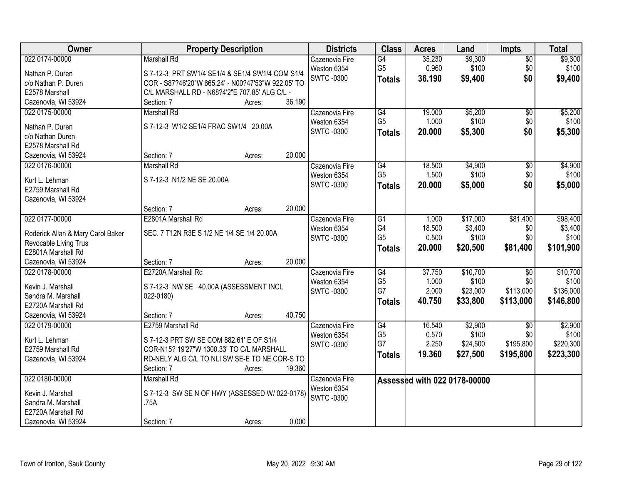| Owner                             | <b>Property Description</b>                        | <b>Districts</b>                 | <b>Class</b>         | <b>Acres</b>    | Land                         | <b>Impts</b>    | <b>Total</b>     |
|-----------------------------------|----------------------------------------------------|----------------------------------|----------------------|-----------------|------------------------------|-----------------|------------------|
| 022 0174-00000                    | <b>Marshall Rd</b>                                 | Cazenovia Fire                   | $\overline{G4}$      | 35.230          | \$9,300                      | $\overline{50}$ | \$9,300          |
| Nathan P. Duren                   | S 7-12-3 PRT SW1/4 SE1/4 & SE1/4 SW1/4 COM S1/4    | Weston 6354                      | G <sub>5</sub>       | 0.960           | \$100                        | \$0             | \$100            |
| c/o Nathan P. Duren               | COR - S87?46'20"W 665.24' - N00?47'53"W 922.05' TO | <b>SWTC -0300</b>                | <b>Totals</b>        | 36.190          | \$9,400                      | \$0             | \$9,400          |
| E2578 Marshall                    | C/L MARSHALL RD - N68?4'2"E 707.85' ALG C/L -      |                                  |                      |                 |                              |                 |                  |
| Cazenovia, WI 53924               | 36.190<br>Section: 7<br>Acres:                     |                                  |                      |                 |                              |                 |                  |
| 022 0175-00000                    | <b>Marshall Rd</b>                                 | Cazenovia Fire                   | G4                   | 19.000          | \$5,200                      | $\overline{50}$ | \$5,200          |
|                                   |                                                    | Weston 6354                      | G <sub>5</sub>       | 1.000           | \$100                        | \$0             | \$100            |
| Nathan P. Duren                   | S 7-12-3 W1/2 SE1/4 FRAC SW1/4 20.00A              | <b>SWTC-0300</b>                 | <b>Totals</b>        | 20.000          | \$5,300                      | \$0             | \$5,300          |
| c/o Nathan Duren                  |                                                    |                                  |                      |                 |                              |                 |                  |
| E2578 Marshall Rd                 | 20.000                                             |                                  |                      |                 |                              |                 |                  |
| Cazenovia, WI 53924               | Section: 7<br>Acres:                               |                                  |                      |                 |                              |                 |                  |
| 022 0176-00000                    | <b>Marshall Rd</b>                                 | Cazenovia Fire                   | G4<br>G <sub>5</sub> | 18.500<br>1.500 | \$4,900<br>\$100             | \$0             | \$4,900<br>\$100 |
| Kurt L. Lehman                    | S 7-12-3 N1/2 NE SE 20.00A                         | Weston 6354<br><b>SWTC -0300</b> |                      |                 |                              | \$0             |                  |
| E2759 Marshall Rd                 |                                                    |                                  | <b>Totals</b>        | 20.000          | \$5,000                      | \$0             | \$5,000          |
| Cazenovia, WI 53924               |                                                    |                                  |                      |                 |                              |                 |                  |
|                                   | 20.000<br>Section: 7<br>Acres:                     |                                  |                      |                 |                              |                 |                  |
| 022 0177-00000                    | E2801A Marshall Rd                                 | Cazenovia Fire                   | G1                   | 1.000           | \$17,000                     | \$81,400        | \$98,400         |
| Roderick Allan & Mary Carol Baker | SEC. 7 T12N R3E S 1/2 NE 1/4 SE 1/4 20.00A         | Weston 6354                      | G4                   | 18.500          | \$3,400                      | \$0             | \$3,400          |
| Revocable Living Trus             |                                                    | <b>SWTC-0300</b>                 | G <sub>5</sub>       | 0.500           | \$100                        | \$0             | \$100            |
| E2801A Marshall Rd                |                                                    |                                  | <b>Totals</b>        | 20.000          | \$20,500                     | \$81,400        | \$101,900        |
| Cazenovia, WI 53924               | 20.000<br>Section: 7<br>Acres:                     |                                  |                      |                 |                              |                 |                  |
| 022 0178-00000                    | E2720A Marshall Rd                                 | Cazenovia Fire                   | $\overline{G4}$      | 37.750          | \$10,700                     | $\overline{50}$ | \$10,700         |
|                                   |                                                    | Weston 6354                      | G <sub>5</sub>       | 1.000           | \$100                        | \$0             | \$100            |
| Kevin J. Marshall                 | S 7-12-3 NW SE 40.00A (ASSESSMENT INCL             | <b>SWTC -0300</b>                | G7                   | 2.000           | \$23,000                     | \$113,000       | \$136,000        |
| Sandra M. Marshall                | 022-0180)                                          |                                  | <b>Totals</b>        | 40.750          | \$33,800                     | \$113,000       | \$146,800        |
| E2720A Marshall Rd                |                                                    |                                  |                      |                 |                              |                 |                  |
| Cazenovia, WI 53924               | 40.750<br>Section: 7<br>Acres:                     |                                  |                      |                 |                              |                 |                  |
| 022 0179-00000                    | E2759 Marshall Rd                                  | Cazenovia Fire                   | G4                   | 16.540          | \$2,900                      | $\overline{50}$ | \$2,900          |
| Kurt L. Lehman                    | S 7-12-3 PRT SW SE COM 882.61' E OF S1/4           | Weston 6354                      | G <sub>5</sub>       | 0.570           | \$100                        | \$0             | \$100            |
| E2759 Marshall Rd                 | COR-N15? 19'27"W 1300.33' TO C/L MARSHALL          | <b>SWTC -0300</b>                | G7                   | 2.250           | \$24,500                     | \$195,800       | \$220,300        |
| Cazenovia, WI 53924               | RD-NELY ALG C/L TO NLI SW SE-E TO NE COR-S TO      |                                  | <b>Totals</b>        | 19.360          | \$27,500                     | \$195,800       | \$223,300        |
|                                   | 19.360<br>Section: 7<br>Acres:                     |                                  |                      |                 |                              |                 |                  |
| 022 0180-00000                    | <b>Marshall Rd</b>                                 | Cazenovia Fire                   |                      |                 | Assessed with 022 0178-00000 |                 |                  |
|                                   |                                                    | Weston 6354                      |                      |                 |                              |                 |                  |
| Kevin J. Marshall                 | S 7-12-3 SW SE N OF HWY (ASSESSED W/ 022-0178)     | <b>SWTC-0300</b>                 |                      |                 |                              |                 |                  |
| Sandra M. Marshall                | .75A                                               |                                  |                      |                 |                              |                 |                  |
| E2720A Marshall Rd                |                                                    |                                  |                      |                 |                              |                 |                  |
| Cazenovia, WI 53924               | 0.000<br>Section: 7<br>Acres:                      |                                  |                      |                 |                              |                 |                  |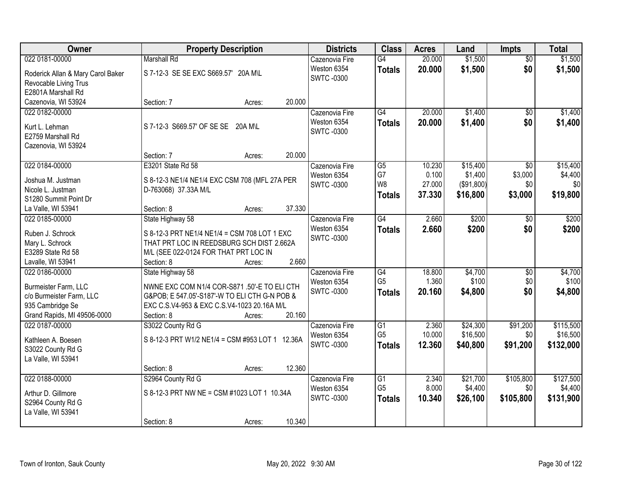| Owner                             | <b>Property Description</b>                     |        | <b>Districts</b>                | <b>Class</b>                      | <b>Acres</b>   | Land                | <b>Impts</b>     | <b>Total</b>         |
|-----------------------------------|-------------------------------------------------|--------|---------------------------------|-----------------------------------|----------------|---------------------|------------------|----------------------|
| 022 0181-00000                    | <b>Marshall Rd</b>                              |        | Cazenovia Fire                  | G4                                | 20.000         | \$1,500             | $\overline{50}$  | \$1,500              |
| Roderick Allan & Mary Carol Baker | S 7-12-3 SE SE EXC S669.57' 20A M\L             |        | Weston 6354                     | <b>Totals</b>                     | 20.000         | \$1,500             | \$0              | \$1,500              |
| Revocable Living Trus             |                                                 |        | <b>SWTC-0300</b>                |                                   |                |                     |                  |                      |
| E2801A Marshall Rd                |                                                 |        |                                 |                                   |                |                     |                  |                      |
| Cazenovia, WI 53924               | Section: 7<br>Acres:                            | 20.000 |                                 |                                   |                |                     |                  |                      |
| 022 0182-00000                    |                                                 |        | Cazenovia Fire                  | G4                                | 20.000         | \$1,400             | $\overline{50}$  | \$1,400              |
| Kurt L. Lehman                    | S 7-12-3 S669.57' OF SE SE 20A M\L              |        | Weston 6354                     | <b>Totals</b>                     | 20.000         | \$1,400             | \$0              | \$1,400              |
| E2759 Marshall Rd                 |                                                 |        | <b>SWTC-0300</b>                |                                   |                |                     |                  |                      |
| Cazenovia, WI 53924               |                                                 |        |                                 |                                   |                |                     |                  |                      |
|                                   | Section: 7<br>Acres:                            | 20.000 |                                 |                                   |                |                     |                  |                      |
| 022 0184-00000                    | E3201 State Rd 58                               |        | Cazenovia Fire                  | G5                                | 10.230         | \$15,400            | \$0              | \$15,400             |
|                                   |                                                 |        | Weston 6354                     | G7                                | 0.100          | \$1,400             | \$3,000          | \$4,400              |
| Joshua M. Justman                 | S 8-12-3 NE1/4 NE1/4 EXC CSM 708 (MFL 27A PER   |        | <b>SWTC-0300</b>                | W <sub>8</sub>                    | 27.000         | (\$91,800)          | \$0              | \$0                  |
| Nicole L. Justman                 | D-763068) 37.33A M/L                            |        |                                 | Totals                            | 37.330         | \$16,800            | \$3,000          | \$19,800             |
| S1280 Summit Point Dr             |                                                 |        |                                 |                                   |                |                     |                  |                      |
| La Valle, WI 53941                | Section: 8<br>Acres:                            | 37.330 |                                 |                                   |                |                     |                  |                      |
| 022 0185-00000                    | State Highway 58                                |        | Cazenovia Fire                  | G4                                | 2.660          | \$200               | \$0              | \$200                |
| Ruben J. Schrock                  | S 8-12-3 PRT NE1/4 NE1/4 = CSM 708 LOT 1 EXC    |        | Weston 6354                     | <b>Totals</b>                     | 2.660          | \$200               | \$0              | \$200                |
| Mary L. Schrock                   | THAT PRT LOC IN REEDSBURG SCH DIST 2.662A       |        | SWTC -0300                      |                                   |                |                     |                  |                      |
| E3289 State Rd 58                 | M/L (SEE 022-0124 FOR THAT PRT LOC IN           |        |                                 |                                   |                |                     |                  |                      |
| Lavalle, WI 53941                 | Section: 8<br>Acres:                            | 2.660  |                                 |                                   |                |                     |                  |                      |
| 022 0186-00000                    | State Highway 58                                |        | Cazenovia Fire                  | $\overline{G4}$                   | 18.800         | \$4,700             | $\overline{30}$  | \$4,700              |
| Burmeister Farm, LLC              | NWNE EXC COM N1/4 COR-S871 .50'-E TO ELI CTH    |        | Weston 6354                     | G <sub>5</sub>                    | 1.360          | \$100               | \$0              | \$100                |
| c/o Burmeister Farm, LLC          | G&POB: E 547.05'-S187'-W TO ELI CTH G-N POB &   |        | <b>SWTC-0300</b>                | <b>Totals</b>                     | 20.160         | \$4,800             | \$0              | \$4,800              |
| 935 Cambridge Se                  | EXC C.S.V4-953 & EXC C.S.V4-1023 20.16A M/L     |        |                                 |                                   |                |                     |                  |                      |
| Grand Rapids, MI 49506-0000       | Section: 8<br>Acres:                            | 20.160 |                                 |                                   |                |                     |                  |                      |
| 022 0187-00000                    | S3022 County Rd G                               |        | Cazenovia Fire                  | $\overline{G1}$                   | 2.360          | \$24,300            | \$91,200         | \$115,500            |
|                                   |                                                 |        | Weston 6354                     | G <sub>5</sub>                    | 10.000         | \$16,500            | \$0              | \$16,500             |
| Kathleen A. Boesen                | S 8-12-3 PRT W1/2 NE1/4 = CSM #953 LOT 1 12.36A |        | <b>SWTC-0300</b>                | <b>Totals</b>                     | 12.360         | \$40,800            | \$91,200         | \$132,000            |
| S3022 County Rd G                 |                                                 |        |                                 |                                   |                |                     |                  |                      |
| La Valle, WI 53941                |                                                 |        |                                 |                                   |                |                     |                  |                      |
|                                   | Section: 8<br>Acres:                            | 12.360 |                                 |                                   |                |                     |                  |                      |
| 022 0188-00000                    | S2964 County Rd G                               |        | Cazenovia Fire                  | $\overline{G1}$<br>G <sub>5</sub> | 2.340<br>8.000 | \$21,700<br>\$4,400 | \$105,800<br>\$0 | \$127,500<br>\$4,400 |
| Arthur D. Gillmore                | S 8-12-3 PRT NW NE = CSM #1023 LOT 1 10.34A     |        | Weston 6354<br><b>SWTC-0300</b> |                                   |                |                     |                  |                      |
| S2964 County Rd G                 |                                                 |        |                                 | <b>Totals</b>                     | 10.340         | \$26,100            | \$105,800        | \$131,900            |
| La Valle, WI 53941                |                                                 |        |                                 |                                   |                |                     |                  |                      |
|                                   | Section: 8<br>Acres:                            | 10.340 |                                 |                                   |                |                     |                  |                      |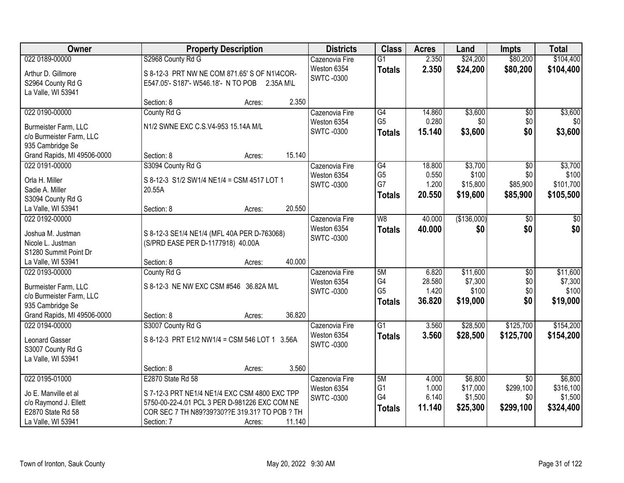| Owner                                         |                                             | <b>Property Description</b>                                                                    | <b>Districts</b>                | <b>Class</b>    | <b>Acres</b> | Land        | <b>Impts</b>    | <b>Total</b> |
|-----------------------------------------------|---------------------------------------------|------------------------------------------------------------------------------------------------|---------------------------------|-----------------|--------------|-------------|-----------------|--------------|
| 022 0189-00000                                | S2968 County Rd G                           |                                                                                                | Cazenovia Fire                  | $\overline{G1}$ | 2.350        | \$24,200    | \$80,200        | \$104,400    |
| Arthur D. Gillmore                            |                                             | S 8-12-3 PRT NW NE COM 871.65' S OF N1\4COR-                                                   | Weston 6354<br><b>SWTC-0300</b> | <b>Totals</b>   | 2.350        | \$24,200    | \$80,200        | \$104,400    |
| S2964 County Rd G                             |                                             | E547.05'- S187'- W546.18'- N TO POB 2.35A M\L                                                  |                                 |                 |              |             |                 |              |
| La Valle, WI 53941                            |                                             |                                                                                                |                                 |                 |              |             |                 |              |
|                                               | Section: 8                                  | Acres:                                                                                         | 2.350                           |                 |              |             |                 |              |
| 022 0190-00000                                | County Rd G                                 |                                                                                                | Cazenovia Fire                  | G4              | 14.860       | \$3,600     | $\overline{50}$ | \$3,600      |
| Burmeister Farm, LLC                          | N1/2 SWNE EXC C.S.V4-953 15.14A M/L         |                                                                                                | Weston 6354<br>SWTC-0300        | G <sub>5</sub>  | 0.280        | \$0         | \$0             | \$0          |
| c/o Burmeister Farm, LLC                      |                                             |                                                                                                |                                 | <b>Totals</b>   | 15.140       | \$3,600     | \$0             | \$3,600      |
| 935 Cambridge Se                              |                                             |                                                                                                |                                 |                 |              |             |                 |              |
| Grand Rapids, MI 49506-0000                   | Section: 8                                  | Acres:                                                                                         | 15.140                          |                 |              |             |                 |              |
| 022 0191-00000                                | S3094 County Rd G                           |                                                                                                | Cazenovia Fire                  | $\overline{G4}$ | 18.800       | \$3,700     | $\overline{50}$ | \$3,700      |
| Orla H. Miller                                | S 8-12-3 S1/2 SW1/4 NE1/4 = CSM 4517 LOT 1  |                                                                                                | Weston 6354                     | G <sub>5</sub>  | 0.550        | \$100       | \$0             | \$100        |
| Sadie A. Miller                               | 20.55A                                      |                                                                                                | <b>SWTC-0300</b>                | G7              | 1.200        | \$15,800    | \$85,900        | \$101,700    |
| S3094 County Rd G                             |                                             |                                                                                                |                                 | <b>Totals</b>   | 20.550       | \$19,600    | \$85,900        | \$105,500    |
| La Valle, WI 53941                            | Section: 8                                  | Acres:                                                                                         | 20.550                          |                 |              |             |                 |              |
| 022 0192-00000                                |                                             |                                                                                                | Cazenovia Fire                  | W8              | 40.000       | (\$136,000) | \$0             | \$0          |
| Joshua M. Justman                             | S 8-12-3 SE1/4 NE1/4 (MFL 40A PER D-763068) |                                                                                                | Weston 6354                     | <b>Totals</b>   | 40.000       | \$0         | \$0             | \$0          |
| Nicole L. Justman                             | (S/PRD EASE PER D-1177918) 40.00A           |                                                                                                | SWTC -0300                      |                 |              |             |                 |              |
| S1280 Summit Point Dr                         |                                             |                                                                                                |                                 |                 |              |             |                 |              |
| La Valle, WI 53941                            | Section: 8                                  | Acres:                                                                                         | 40.000                          |                 |              |             |                 |              |
| 022 0193-00000                                | County Rd G                                 |                                                                                                | Cazenovia Fire                  | 5M              | 6.820        | \$11,600    | $\overline{50}$ | \$11,600     |
| Burmeister Farm, LLC                          | S 8-12-3 NE NW EXC CSM #546 36.82A M/L      |                                                                                                | Weston 6354                     | G4              | 28.580       | \$7,300     | \$0             | \$7,300      |
| c/o Burmeister Farm, LLC                      |                                             |                                                                                                | SWTC-0300                       | G <sub>5</sub>  | 1.420        | \$100       | \$0             | \$100        |
| 935 Cambridge Se                              |                                             |                                                                                                |                                 | <b>Totals</b>   | 36.820       | \$19,000    | \$0             | \$19,000     |
| Grand Rapids, MI 49506-0000                   | Section: 8                                  | Acres:                                                                                         | 36.820                          |                 |              |             |                 |              |
| 022 0194-00000                                | S3007 County Rd G                           |                                                                                                | Cazenovia Fire                  | $\overline{G1}$ | 3.560        | \$28,500    | \$125,700       | \$154,200    |
| Leonard Gasser                                |                                             | S 8-12-3 PRT E1/2 NW1/4 = CSM 546 LOT 1 3.56A                                                  | Weston 6354                     | <b>Totals</b>   | 3.560        | \$28,500    | \$125,700       | \$154,200    |
| S3007 County Rd G                             |                                             |                                                                                                | <b>SWTC-0300</b>                |                 |              |             |                 |              |
| La Valle, WI 53941                            |                                             |                                                                                                |                                 |                 |              |             |                 |              |
|                                               | Section: 8                                  | Acres:                                                                                         | 3.560                           |                 |              |             |                 |              |
| 022 0195-01000                                | E2870 State Rd 58                           |                                                                                                | Cazenovia Fire                  | 5M              | 4.000        | \$6,800     | $\overline{50}$ | \$6,800      |
|                                               |                                             |                                                                                                | Weston 6354                     | G1              | 1.000        | \$17,000    | \$299,100       | \$316,100    |
| Jo E. Manville et al<br>c/o Raymond J. Ellett |                                             | S 7-12-3 PRT NE1/4 NE1/4 EXC CSM 4800 EXC TPP<br>5750-00-22-4.01 PCL 3 PER D-981226 EXC COM NE | <b>SWTC-0300</b>                | G4              | 6.140        | \$1,500     | \$0             | \$1,500      |
| E2870 State Rd 58                             |                                             | COR SEC 7 TH N89?39?30??E 319.31? TO POB ? TH                                                  |                                 | <b>Totals</b>   | 11.140       | \$25,300    | \$299,100       | \$324,400    |
| La Valle, WI 53941                            | Section: 7                                  | Acres:                                                                                         | 11.140                          |                 |              |             |                 |              |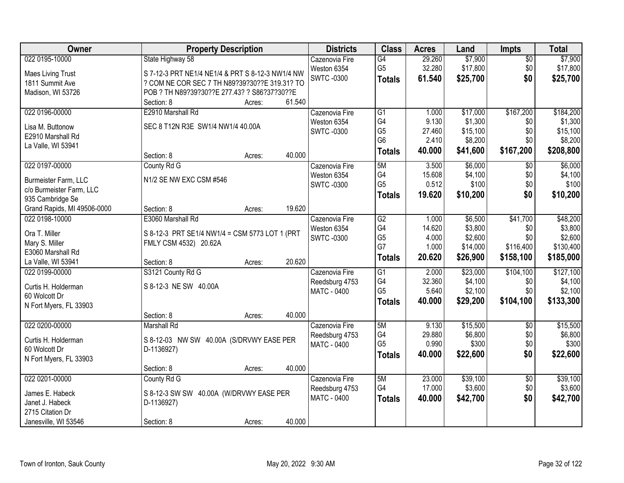| Owner                                           | <b>Property Description</b>                      |        | <b>Districts</b>   | <b>Class</b>    | <b>Acres</b> | Land     | <b>Impts</b>    | <b>Total</b> |
|-------------------------------------------------|--------------------------------------------------|--------|--------------------|-----------------|--------------|----------|-----------------|--------------|
| 022 0195-10000                                  | State Highway 58                                 |        | Cazenovia Fire     | G4              | 29.260       | \$7,900  | $\sqrt{$0}$     | \$7,900      |
| <b>Maes Living Trust</b>                        | S 7-12-3 PRT NE1/4 NE1/4 & PRT S 8-12-3 NW1/4 NW |        | Weston 6354        | G <sub>5</sub>  | 32.280       | \$17,800 | \$0             | \$17,800     |
| 1811 Summit Ave                                 | ? COM NE COR SEC 7 TH N89?39?30??E 319.31? TO    |        | <b>SWTC-0300</b>   | <b>Totals</b>   | 61.540       | \$25,700 | \$0             | \$25,700     |
| Madison, WI 53726                               | POB ? TH N89?39?30??E 277.43? ? S86?37?30??E     |        |                    |                 |              |          |                 |              |
|                                                 | Section: 8<br>Acres:                             | 61.540 |                    |                 |              |          |                 |              |
| 022 0196-00000                                  | E2910 Marshall Rd                                |        | Cazenovia Fire     | $\overline{G1}$ | 1.000        | \$17,000 | \$167,200       | \$184,200    |
|                                                 | SEC 8 T12N R3E SW1/4 NW1/4 40.00A                |        | Weston 6354        | G4              | 9.130        | \$1,300  | \$0             | \$1,300      |
| Lisa M. Buttonow                                |                                                  |        | <b>SWTC-0300</b>   | G <sub>5</sub>  | 27.460       | \$15,100 | \$0             | \$15,100     |
| E2910 Marshall Rd                               |                                                  |        |                    | G <sub>6</sub>  | 2.410        | \$8,200  | \$0             | \$8,200      |
| La Valle, WI 53941                              | Section: 8<br>Acres:                             | 40.000 |                    | <b>Totals</b>   | 40.000       | \$41,600 | \$167,200       | \$208,800    |
| 022 0197-00000                                  | County Rd G                                      |        | Cazenovia Fire     | 5M              | 3.500        | \$6,000  | \$0             | \$6,000      |
|                                                 |                                                  |        | Weston 6354        | G4              | 15.608       | \$4,100  | \$0             | \$4,100      |
| Burmeister Farm, LLC                            | N1/2 SE NW EXC CSM #546                          |        | <b>SWTC-0300</b>   | G <sub>5</sub>  | 0.512        | \$100    | \$0             | \$100        |
| c/o Burmeister Farm, LLC                        |                                                  |        |                    | <b>Totals</b>   | 19.620       | \$10,200 | \$0             | \$10,200     |
| 935 Cambridge Se<br>Grand Rapids, MI 49506-0000 | Section: 8<br>Acres:                             | 19.620 |                    |                 |              |          |                 |              |
| 022 0198-10000                                  | E3060 Marshall Rd                                |        | Cazenovia Fire     | G2              | 1.000        | \$6,500  | \$41,700        | \$48,200     |
|                                                 |                                                  |        | Weston 6354        | G4              | 14.620       | \$3,800  | \$0             | \$3,800      |
| Ora T. Miller                                   | S 8-12-3 PRT SE1/4 NW1/4 = CSM 5773 LOT 1 (PRT   |        | <b>SWTC-0300</b>   | G <sub>5</sub>  | 4.000        | \$2,600  | \$0             | \$2,600      |
| Mary S. Miller                                  | FMLY CSM 4532) 20.62A                            |        |                    | G7              | 1.000        | \$14,000 | \$116,400       | \$130,400    |
| E3060 Marshall Rd                               |                                                  |        |                    | <b>Totals</b>   | 20.620       | \$26,900 | \$158,100       | \$185,000    |
| La Valle, WI 53941                              | Section: 8<br>Acres:                             | 20.620 |                    |                 |              |          |                 |              |
| 022 0199-00000                                  | S3121 County Rd G                                |        | Cazenovia Fire     | $\overline{G1}$ | 2.000        | \$23,000 | \$104,100       | \$127,100    |
| Curtis H. Holderman                             | S 8-12-3 NE SW 40.00A                            |        | Reedsburg 4753     | G4              | 32.360       | \$4,100  | \$0             | \$4,100      |
| 60 Wolcott Dr                                   |                                                  |        | MATC - 0400        | G <sub>5</sub>  | 5.640        | \$2,100  | \$0             | \$2,100      |
| N Fort Myers, FL 33903                          |                                                  |        |                    | <b>Totals</b>   | 40.000       | \$29,200 | \$104,100       | \$133,300    |
|                                                 | Section: 8<br>Acres:                             | 40.000 |                    |                 |              |          |                 |              |
| 022 0200-00000                                  | <b>Marshall Rd</b>                               |        | Cazenovia Fire     | 5M              | 9.130        | \$15,500 | $\sqrt{6}$      | \$15,500     |
| Curtis H. Holderman                             | S 8-12-03 NW SW 40.00A (S/DRVWY EASE PER         |        | Reedsburg 4753     | G4              | 29.880       | \$6,800  | \$0             | \$6,800      |
| 60 Wolcott Dr                                   | D-1136927)                                       |        | MATC - 0400        | G <sub>5</sub>  | 0.990        | \$300    | \$0             | \$300        |
| N Fort Myers, FL 33903                          |                                                  |        |                    | <b>Totals</b>   | 40.000       | \$22,600 | \$0             | \$22,600     |
|                                                 | Section: 8<br>Acres:                             | 40.000 |                    |                 |              |          |                 |              |
| 022 0201-00000                                  | County Rd G                                      |        | Cazenovia Fire     | 5M              | 23.000       | \$39,100 | $\overline{50}$ | \$39,100     |
| James E. Habeck                                 | S 8-12-3 SW SW 40.00A (W/DRVWY EASE PER          |        | Reedsburg 4753     | G4              | 17.000       | \$3,600  | \$0             | \$3,600      |
| Janet J. Habeck                                 | D-1136927)                                       |        | <b>MATC - 0400</b> | <b>Totals</b>   | 40.000       | \$42,700 | \$0             | \$42,700     |
| 2715 Citation Dr                                |                                                  |        |                    |                 |              |          |                 |              |
| Janesville, WI 53546                            | Section: 8<br>Acres:                             | 40.000 |                    |                 |              |          |                 |              |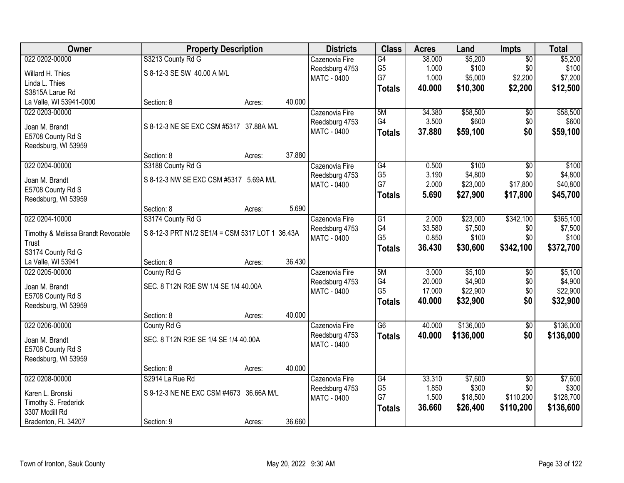| <b>Owner</b>                       | <b>Property Description</b>                     |                  | <b>Districts</b>              | <b>Class</b>    | <b>Acres</b> | Land      | <b>Impts</b>    | <b>Total</b> |
|------------------------------------|-------------------------------------------------|------------------|-------------------------------|-----------------|--------------|-----------|-----------------|--------------|
| 022 0202-00000                     | S3213 County Rd G                               |                  | Cazenovia Fire                | $\overline{G4}$ | 38.000       | \$5,200   | $\overline{50}$ | \$5,200      |
| Willard H. Thies                   | S 8-12-3 SE SW 40.00 A M/L                      |                  | Reedsburg 4753                | G <sub>5</sub>  | 1.000        | \$100     | \$0             | \$100        |
| Linda L. Thies                     |                                                 |                  | <b>MATC - 0400</b>            | G7              | 1.000        | \$5,000   | \$2,200         | \$7,200      |
| S3815A Larue Rd                    |                                                 |                  |                               | <b>Totals</b>   | 40.000       | \$10,300  | \$2,200         | \$12,500     |
| La Valle, WI 53941-0000            | Section: 8                                      | 40.000<br>Acres: |                               |                 |              |           |                 |              |
| 022 0203-00000                     |                                                 |                  | Cazenovia Fire                | 5M              | 34.380       | \$58,500  | \$0             | \$58,500     |
|                                    |                                                 |                  |                               | G4              | 3.500        | \$600     | \$0             | \$600        |
| Joan M. Brandt                     | S 8-12-3 NE SE EXC CSM #5317 37.88A M/L         |                  | Reedsburg 4753<br>MATC - 0400 |                 |              |           |                 |              |
| E5708 County Rd S                  |                                                 |                  |                               | <b>Totals</b>   | 37.880       | \$59,100  | \$0             | \$59,100     |
| Reedsburg, WI 53959                |                                                 |                  |                               |                 |              |           |                 |              |
|                                    | Section: 8                                      | 37.880<br>Acres: |                               |                 |              |           |                 |              |
| 022 0204-00000                     | S3188 County Rd G                               |                  | Cazenovia Fire                | G4              | 0.500        | \$100     | \$0             | \$100        |
|                                    |                                                 |                  | Reedsburg 4753                | G <sub>5</sub>  | 3.190        | \$4,800   | \$0             | \$4,800      |
| Joan M. Brandt                     | S 8-12-3 NW SE EXC CSM #5317 5.69A M/L          |                  | MATC - 0400                   | G7              | 2.000        | \$23,000  | \$17,800        | \$40,800     |
| E5708 County Rd S                  |                                                 |                  |                               | <b>Totals</b>   | 5.690        | \$27,900  | \$17,800        | \$45,700     |
| Reedsburg, WI 53959                |                                                 |                  |                               |                 |              |           |                 |              |
|                                    | Section: 8                                      | 5.690<br>Acres:  |                               |                 |              |           |                 |              |
| 022 0204-10000                     | S3174 County Rd G                               |                  | Cazenovia Fire                | $\overline{G1}$ | 2.000        | \$23,000  | \$342,100       | \$365,100    |
| Timothy & Melissa Brandt Revocable | S 8-12-3 PRT N1/2 SE1/4 = CSM 5317 LOT 1 36.43A |                  | Reedsburg 4753                | G4              | 33.580       | \$7,500   | \$0             | \$7,500      |
| Trust                              |                                                 |                  | <b>MATC - 0400</b>            | G <sub>5</sub>  | 0.850        | \$100     | \$0             | \$100        |
| S3174 County Rd G                  |                                                 |                  |                               | <b>Totals</b>   | 36.430       | \$30,600  | \$342,100       | \$372,700    |
| La Valle, WI 53941                 | Section: 8                                      | 36.430<br>Acres: |                               |                 |              |           |                 |              |
| 022 0205-00000                     | County Rd G                                     |                  | Cazenovia Fire                | 5M              | 3.000        | \$5,100   | $\overline{50}$ | \$5,100      |
|                                    |                                                 |                  | Reedsburg 4753                | G4              | 20.000       | \$4,900   | \$0             | \$4,900      |
| Joan M. Brandt                     | SEC. 8 T12N R3E SW 1/4 SE 1/4 40.00A            |                  | <b>MATC - 0400</b>            | G <sub>5</sub>  | 17.000       | \$22,900  | \$0             | \$22,900     |
| E5708 County Rd S                  |                                                 |                  |                               | <b>Totals</b>   | 40.000       | \$32,900  | \$0             | \$32,900     |
| Reedsburg, WI 53959                |                                                 |                  |                               |                 |              |           |                 |              |
|                                    | Section: 8<br>Acres:                            | 40.000           |                               |                 |              |           |                 |              |
| 022 0206-00000                     | County Rd G                                     |                  | Cazenovia Fire                | $\overline{G6}$ | 40.000       | \$136,000 | $\overline{60}$ | \$136,000    |
| Joan M. Brandt                     | SEC. 8 T12N R3E SE 1/4 SE 1/4 40.00A            |                  | Reedsburg 4753                | <b>Totals</b>   | 40.000       | \$136,000 | \$0             | \$136,000    |
| E5708 County Rd S                  |                                                 |                  | MATC - 0400                   |                 |              |           |                 |              |
| Reedsburg, WI 53959                |                                                 |                  |                               |                 |              |           |                 |              |
|                                    | Section: 8                                      | 40.000<br>Acres: |                               |                 |              |           |                 |              |
| 022 0208-00000                     | S2914 La Rue Rd                                 |                  | Cazenovia Fire                | G4              | 33.310       | \$7,600   | $\overline{30}$ | \$7,600      |
|                                    |                                                 |                  | Reedsburg 4753                | G <sub>5</sub>  | 1.850        | \$300     | \$0             | \$300        |
| Karen L. Bronski                   | S 9-12-3 NE NE EXC CSM #4673 36.66A M/L         |                  | <b>MATC - 0400</b>            | G7              | 1.500        | \$18,500  | \$110,200       | \$128,700    |
| Timothy S. Frederick               |                                                 |                  |                               | <b>Totals</b>   | 36.660       | \$26,400  | \$110,200       | \$136,600    |
| 3307 Mcdill Rd                     |                                                 |                  |                               |                 |              |           |                 |              |
| Bradenton, FL 34207                | Section: 9                                      | 36.660<br>Acres: |                               |                 |              |           |                 |              |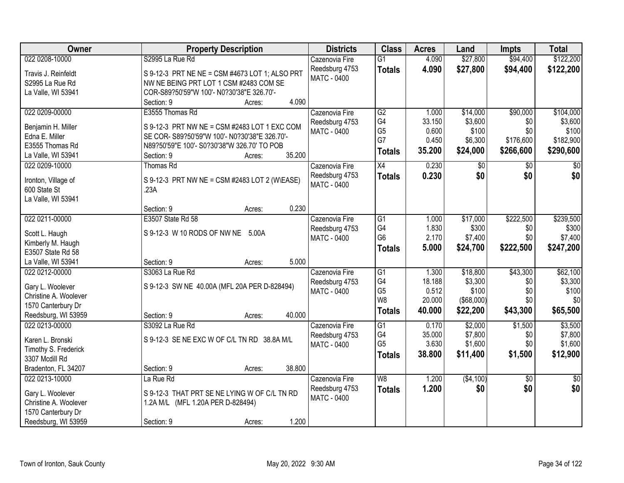| Owner                                     | <b>Property Description</b>                    | <b>Districts</b>   | <b>Class</b>    | <b>Acres</b> | Land              | <b>Impts</b>    | <b>Total</b>    |
|-------------------------------------------|------------------------------------------------|--------------------|-----------------|--------------|-------------------|-----------------|-----------------|
| 022 0208-10000                            | S2995 La Rue Rd                                | Cazenovia Fire     | $\overline{G1}$ | 4.090        | \$27,800          | \$94,400        | \$122,200       |
| Travis J. Reinfeldt                       | S 9-12-3 PRT NE NE = CSM #4673 LOT 1; ALSO PRT | Reedsburg 4753     | <b>Totals</b>   | 4.090        | \$27,800          | \$94,400        | \$122,200       |
| S2995 La Rue Rd                           | NW NE BEING PRT LOT 1 CSM #2483 COM SE         | <b>MATC - 0400</b> |                 |              |                   |                 |                 |
| La Valle, WI 53941                        | COR-S89?50'59"W 100'- N0?30'38"E 326.70'-      |                    |                 |              |                   |                 |                 |
|                                           | 4.090<br>Section: 9<br>Acres:                  |                    |                 |              |                   |                 |                 |
| 022 0209-00000                            | E3555 Thomas Rd                                | Cazenovia Fire     | $\overline{G2}$ | 1.000        | \$14,000          | \$90,000        | \$104,000       |
|                                           | S 9-12-3 PRT NW NE = CSM #2483 LOT 1 EXC COM   | Reedsburg 4753     | G4              | 33.150       | \$3,600           | \$0             | \$3,600         |
| Benjamin H. Miller<br>Edna E. Miller      | SE COR- S89?50'59"W 100'- N0?30'38"E 326.70'-  | MATC - 0400        | G <sub>5</sub>  | 0.600        | \$100             | \$0             | \$100           |
| E3555 Thomas Rd                           | N89?50'59"E 100'- S0?30'38"W 326.70' TO POB    |                    | G7              | 0.450        | \$6,300           | \$176,600       | \$182,900       |
| La Valle, WI 53941                        | 35.200<br>Section: 9<br>Acres:                 |                    | <b>Totals</b>   | 35.200       | \$24,000          | \$266,600       | \$290,600       |
| 022 0209-10000                            | Thomas Rd                                      | Cazenovia Fire     | X4              | 0.230        | $\sqrt[6]{}$      | \$0             | $\sqrt{50}$     |
|                                           |                                                | Reedsburg 4753     | <b>Totals</b>   | 0.230        | \$0               | \$0             | \$0             |
| Ironton, Village of                       | S 9-12-3 PRT NW NE = CSM #2483 LOT 2 (W\EASE)  | <b>MATC - 0400</b> |                 |              |                   |                 |                 |
| 600 State St                              | .23A                                           |                    |                 |              |                   |                 |                 |
| La Valle, WI 53941                        |                                                |                    |                 |              |                   |                 |                 |
|                                           | 0.230<br>Section: 9<br>Acres:                  |                    |                 |              |                   |                 |                 |
| 022 0211-00000                            | E3507 State Rd 58                              | Cazenovia Fire     | G1              | 1.000        | \$17,000          | \$222,500       | \$239,500       |
| Scott L. Haugh                            | S 9-12-3 W 10 RODS OF NW NE 5.00A              | Reedsburg 4753     | G4              | 1.830        | \$300             | \$0             | \$300           |
| Kimberly M. Haugh                         |                                                | MATC - 0400        | G <sub>6</sub>  | 2.170        | \$7,400           | \$0             | \$7,400         |
| E3507 State Rd 58                         |                                                |                    | <b>Totals</b>   | 5.000        | \$24,700          | \$222,500       | \$247,200       |
| La Valle, WI 53941                        | 5.000<br>Section: 9<br>Acres:                  |                    |                 |              |                   |                 |                 |
| 022 0212-00000                            | S3063 La Rue Rd                                | Cazenovia Fire     | G1              | 1.300        | \$18,800          | \$43,300        | \$62,100        |
|                                           |                                                | Reedsburg 4753     | G4              | 18.188       | \$3,300           | \$0             | \$3,300         |
| Gary L. Woolever<br>Christine A. Woolever | S 9-12-3 SW NE 40.00A (MFL 20A PER D-828494)   | MATC - 0400        | G <sub>5</sub>  | 0.512        | \$100             | \$0             | \$100           |
| 1570 Canterbury Dr                        |                                                |                    | W <sub>8</sub>  | 20.000       | $($ \$68,000) $ $ | \$0             | \$0             |
| Reedsburg, WI 53959                       | 40.000<br>Section: 9<br>Acres:                 |                    | <b>Totals</b>   | 40.000       | \$22,200          | \$43,300        | \$65,500        |
| 022 0213-00000                            | S3092 La Rue Rd                                | Cazenovia Fire     | G1              | 0.170        | \$2,000           | \$1,500         | \$3,500         |
|                                           |                                                | Reedsburg 4753     | G4              | 35.000       | \$7,800           | \$0             | \$7,800         |
| Karen L. Bronski                          | S 9-12-3 SE NE EXC W OF C/L TN RD 38.8A M/L    | <b>MATC - 0400</b> | G <sub>5</sub>  | 3.630        | \$1,600           | \$0             | \$1,600         |
| Timothy S. Frederick                      |                                                |                    | <b>Totals</b>   | 38.800       | \$11,400          | \$1,500         | \$12,900        |
| 3307 Mcdill Rd                            |                                                |                    |                 |              |                   |                 |                 |
| Bradenton, FL 34207                       | 38.800<br>Section: 9<br>Acres:                 |                    |                 |              |                   |                 |                 |
| 022 0213-10000                            | La Rue Rd                                      | Cazenovia Fire     | W8              | 1.200        | ( \$4,100)        | $\overline{50}$ | $\overline{50}$ |
| Gary L. Woolever                          | S 9-12-3 THAT PRT SE NE LYING W OF C/L TN RD   | Reedsburg 4753     | <b>Totals</b>   | 1.200        | \$0               | \$0             | \$0             |
| Christine A. Woolever                     | 1.2A M/L (MFL 1.20A PER D-828494)              | <b>MATC - 0400</b> |                 |              |                   |                 |                 |
| 1570 Canterbury Dr                        |                                                |                    |                 |              |                   |                 |                 |
| Reedsburg, WI 53959                       | 1.200<br>Section: 9<br>Acres:                  |                    |                 |              |                   |                 |                 |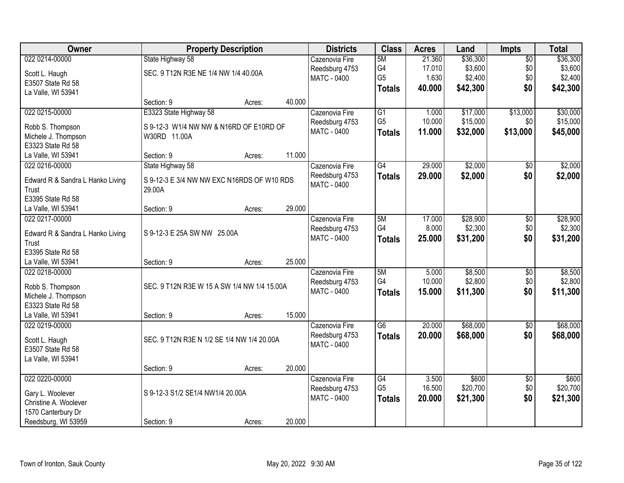| Owner                                    |                                             | <b>Property Description</b> |        | <b>Districts</b>   | <b>Class</b>    | <b>Acres</b> | Land     | <b>Impts</b>    | <b>Total</b> |
|------------------------------------------|---------------------------------------------|-----------------------------|--------|--------------------|-----------------|--------------|----------|-----------------|--------------|
| 022 0214-00000                           | State Highway 58                            |                             |        | Cazenovia Fire     | 5M              | 21.360       | \$36,300 | $\overline{50}$ | \$36,300     |
| Scott L. Haugh                           | SEC. 9 T12N R3E NE 1/4 NW 1/4 40.00A        |                             |        | Reedsburg 4753     | G4              | 17.010       | \$3,600  | \$0             | \$3,600      |
| E3507 State Rd 58                        |                                             |                             |        | <b>MATC - 0400</b> | G <sub>5</sub>  | 1.630        | \$2,400  | \$0             | \$2,400      |
| La Valle, WI 53941                       |                                             |                             |        |                    | <b>Totals</b>   | 40.000       | \$42,300 | \$0             | \$42,300     |
|                                          | Section: 9                                  | Acres:                      | 40.000 |                    |                 |              |          |                 |              |
| 022 0215-00000                           | E3323 State Highway 58                      |                             |        | Cazenovia Fire     | $\overline{G1}$ | 1.000        | \$17,000 | \$13,000        | \$30,000     |
|                                          |                                             |                             |        | Reedsburg 4753     | G <sub>5</sub>  | 10.000       | \$15,000 | \$0             | \$15,000     |
| Robb S. Thompson                         | S 9-12-3 W1/4 NW NW & N16RD OF E10RD OF     |                             |        | <b>MATC - 0400</b> | <b>Totals</b>   | 11.000       | \$32,000 | \$13,000        | \$45,000     |
| Michele J. Thompson<br>E3323 State Rd 58 | W30RD 11.00A                                |                             |        |                    |                 |              |          |                 |              |
| La Valle, WI 53941                       | Section: 9                                  | Acres:                      | 11.000 |                    |                 |              |          |                 |              |
| 022 0216-00000                           | State Highway 58                            |                             |        | Cazenovia Fire     | G4              | 29.000       | \$2,000  | $\sqrt{6}$      | \$2,000      |
|                                          |                                             |                             |        | Reedsburg 4753     | <b>Totals</b>   | 29.000       | \$2,000  | \$0             | \$2,000      |
| Edward R & Sandra L Hanko Living         | S 9-12-3 E 3/4 NW NW EXC N16RDS OF W10 RDS  |                             |        | MATC - 0400        |                 |              |          |                 |              |
| Trust                                    | 29.00A                                      |                             |        |                    |                 |              |          |                 |              |
| E3395 State Rd 58                        |                                             |                             |        |                    |                 |              |          |                 |              |
| La Valle, WI 53941                       | Section: 9                                  | Acres:                      | 29.000 |                    |                 |              |          |                 |              |
| 022 0217-00000                           |                                             |                             |        | Cazenovia Fire     | 5M              | 17.000       | \$28,900 | \$0             | \$28,900     |
| Edward R & Sandra L Hanko Living         | S 9-12-3 E 25A SW NW 25.00A                 |                             |        | Reedsburg 4753     | G4              | 8.000        | \$2,300  | \$0             | \$2,300      |
| Trust                                    |                                             |                             |        | MATC - 0400        | <b>Totals</b>   | 25.000       | \$31,200 | \$0             | \$31,200     |
| E3395 State Rd 58                        |                                             |                             |        |                    |                 |              |          |                 |              |
| La Valle, WI 53941                       | Section: 9                                  | Acres:                      | 25.000 |                    |                 |              |          |                 |              |
| 022 0218-00000                           |                                             |                             |        | Cazenovia Fire     | 5M              | 5.000        | \$8,500  | $\overline{30}$ | \$8,500      |
|                                          |                                             |                             |        | Reedsburg 4753     | G4              | 10.000       | \$2,800  | \$0             | \$2,800      |
| Robb S. Thompson                         | SEC. 9 T12N R3E W 15 A SW 1/4 NW 1/4 15.00A |                             |        | <b>MATC - 0400</b> | <b>Totals</b>   | 15.000       | \$11,300 | \$0             | \$11,300     |
| Michele J. Thompson                      |                                             |                             |        |                    |                 |              |          |                 |              |
| E3323 State Rd 58                        |                                             |                             |        |                    |                 |              |          |                 |              |
| La Valle, WI 53941                       | Section: 9                                  | Acres:                      | 15.000 |                    |                 |              |          |                 |              |
| 022 0219-00000                           |                                             |                             |        | Cazenovia Fire     | $\overline{G6}$ | 20.000       | \$68,000 | $\overline{60}$ | \$68,000     |
| Scott L. Haugh                           | SEC. 9 T12N R3E N 1/2 SE 1/4 NW 1/4 20.00A  |                             |        | Reedsburg 4753     | <b>Totals</b>   | 20.000       | \$68,000 | \$0             | \$68,000     |
| E3507 State Rd 58                        |                                             |                             |        | <b>MATC - 0400</b> |                 |              |          |                 |              |
| La Valle, WI 53941                       |                                             |                             |        |                    |                 |              |          |                 |              |
|                                          | Section: 9                                  | Acres:                      | 20.000 |                    |                 |              |          |                 |              |
| 022 0220-00000                           |                                             |                             |        | Cazenovia Fire     | G4              | 3.500        | \$600    | $\overline{50}$ | \$600        |
| Gary L. Woolever                         | S 9-12-3 S1/2 SE1/4 NW1/4 20.00A            |                             |        | Reedsburg 4753     | G <sub>5</sub>  | 16.500       | \$20,700 | \$0             | \$20,700     |
| Christine A. Woolever                    |                                             |                             |        | <b>MATC - 0400</b> | <b>Totals</b>   | 20.000       | \$21,300 | \$0             | \$21,300     |
| 1570 Canterbury Dr                       |                                             |                             |        |                    |                 |              |          |                 |              |
| Reedsburg, WI 53959                      | Section: 9                                  | Acres:                      | 20.000 |                    |                 |              |          |                 |              |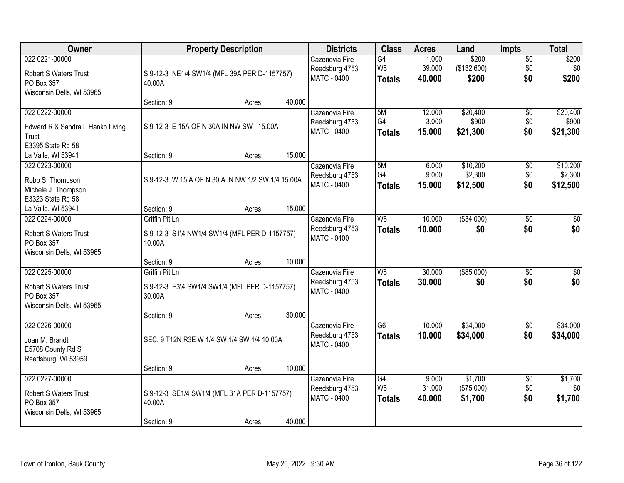| Owner                                      | <b>Property Description</b>                             |        | <b>Districts</b>   | <b>Class</b>    | <b>Acres</b> | Land        | <b>Impts</b>    | <b>Total</b> |
|--------------------------------------------|---------------------------------------------------------|--------|--------------------|-----------------|--------------|-------------|-----------------|--------------|
| 022 0221-00000                             |                                                         |        | Cazenovia Fire     | G4              | 1.000        | \$200       | $\overline{$0}$ | \$200        |
| <b>Robert S Waters Trust</b>               | S 9-12-3 NE1/4 SW1/4 (MFL 39A PER D-1157757)            |        | Reedsburg 4753     | W <sub>6</sub>  | 39.000       | (\$132,600) | \$0             | \$0          |
| PO Box 357                                 | 40.00A                                                  |        | <b>MATC - 0400</b> | <b>Totals</b>   | 40.000       | \$200       | \$0             | \$200        |
| Wisconsin Dells, WI 53965                  |                                                         |        |                    |                 |              |             |                 |              |
|                                            | Section: 9<br>Acres:                                    | 40.000 |                    |                 |              |             |                 |              |
| 022 0222-00000                             |                                                         |        | Cazenovia Fire     | 5M              | 12.000       | \$20,400    | \$0             | \$20,400     |
| Edward R & Sandra L Hanko Living           | S 9-12-3 E 15A OF N 30A IN NW SW 15.00A                 |        | Reedsburg 4753     | G4              | 3.000        | \$900       | \$0             | \$900        |
| Trust                                      |                                                         |        | <b>MATC - 0400</b> | <b>Totals</b>   | 15.000       | \$21,300    | \$0             | \$21,300     |
| E3395 State Rd 58                          |                                                         |        |                    |                 |              |             |                 |              |
| La Valle, WI 53941                         | Section: 9<br>Acres:                                    | 15.000 |                    |                 |              |             |                 |              |
| 022 0223-00000                             |                                                         |        | Cazenovia Fire     | 5M              | 6.000        | \$10,200    | $\sqrt[6]{3}$   | \$10,200     |
| Robb S. Thompson                           | S 9-12-3 W 15 A OF N 30 A IN NW 1/2 SW 1/4 15.00A       |        | Reedsburg 4753     | G4              | 9.000        | \$2,300     | \$0             | \$2,300      |
| Michele J. Thompson                        |                                                         |        | <b>MATC - 0400</b> | <b>Totals</b>   | 15.000       | \$12,500    | \$0             | \$12,500     |
| E3323 State Rd 58                          |                                                         |        |                    |                 |              |             |                 |              |
| La Valle, WI 53941                         | Section: 9<br>Acres:                                    | 15.000 |                    |                 |              |             |                 |              |
| 022 0224-00000                             | <b>Griffin Pit Ln</b>                                   |        | Cazenovia Fire     | W6              | 10.000       | ( \$34,000) | \$0             | $\sqrt{50}$  |
| <b>Robert S Waters Trust</b>               |                                                         |        | Reedsburg 4753     | <b>Totals</b>   | 10.000       | \$0         | \$0             | \$0          |
| PO Box 357                                 | S 9-12-3 S1\4 NW1/4 SW1/4 (MFL PER D-1157757)<br>10.00A |        | <b>MATC - 0400</b> |                 |              |             |                 |              |
| Wisconsin Dells, WI 53965                  |                                                         |        |                    |                 |              |             |                 |              |
|                                            | Section: 9<br>Acres:                                    | 10.000 |                    |                 |              |             |                 |              |
| 022 0225-00000                             | Griffin Pit Ln                                          |        | Cazenovia Fire     | W <sub>6</sub>  | 30.000       | ( \$85,000) | \$0             | $\sqrt{50}$  |
|                                            |                                                         |        | Reedsburg 4753     | <b>Totals</b>   | 30.000       | \$0         | \$0             | \$0          |
| <b>Robert S Waters Trust</b><br>PO Box 357 | S 9-12-3 E3\4 SW1/4 SW1/4 (MFL PER D-1157757)<br>30.00A |        | <b>MATC - 0400</b> |                 |              |             |                 |              |
| Wisconsin Dells, WI 53965                  |                                                         |        |                    |                 |              |             |                 |              |
|                                            | Section: 9<br>Acres:                                    | 30.000 |                    |                 |              |             |                 |              |
| 022 0226-00000                             |                                                         |        | Cazenovia Fire     | $\overline{G6}$ | 10.000       | \$34,000    | \$0             | \$34,000     |
|                                            |                                                         |        | Reedsburg 4753     | <b>Totals</b>   | 10.000       | \$34,000    | \$0             | \$34,000     |
| Joan M. Brandt<br>E5708 County Rd S        | SEC. 9 T12N R3E W 1/4 SW 1/4 SW 1/4 10.00A              |        | MATC - 0400        |                 |              |             |                 |              |
| Reedsburg, WI 53959                        |                                                         |        |                    |                 |              |             |                 |              |
|                                            | Section: 9<br>Acres:                                    | 10.000 |                    |                 |              |             |                 |              |
| 022 0227-00000                             |                                                         |        | Cazenovia Fire     | G4              | 9.000        | \$1,700     | $\overline{60}$ | \$1,700      |
|                                            |                                                         |        | Reedsburg 4753     | W <sub>6</sub>  | 31.000       | (\$75,000)  | \$0             | \$0          |
| <b>Robert S Waters Trust</b>               | S 9-12-3 SE1/4 SW1/4 (MFL 31A PER D-1157757)            |        | <b>MATC - 0400</b> | <b>Totals</b>   | 40.000       | \$1,700     | \$0             | \$1,700      |
| PO Box 357<br>Wisconsin Dells, WI 53965    | 40.00A                                                  |        |                    |                 |              |             |                 |              |
|                                            | Section: 9<br>Acres:                                    | 40.000 |                    |                 |              |             |                 |              |
|                                            |                                                         |        |                    |                 |              |             |                 |              |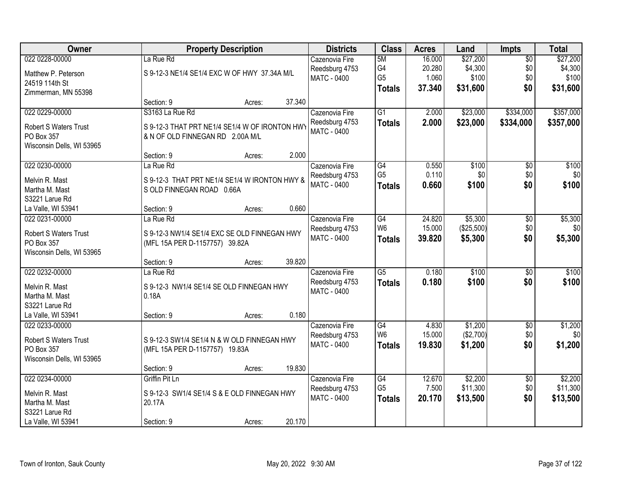| Owner                                      | <b>Property Description</b>                    | <b>Districts</b>                     | <b>Class</b>         | <b>Acres</b>    | Land                 | <b>Impts</b>           | <b>Total</b>   |
|--------------------------------------------|------------------------------------------------|--------------------------------------|----------------------|-----------------|----------------------|------------------------|----------------|
| 022 0228-00000                             | La Rue Rd                                      | Cazenovia Fire                       | 5M                   | 16.000          | \$27,200             | $\overline{$0}$        | \$27,200       |
| Matthew P. Peterson                        | S 9-12-3 NE1/4 SE1/4 EXC W OF HWY 37.34A M/L   | Reedsburg 4753                       | G4                   | 20.280          | \$4,300              | \$0                    | \$4,300        |
| 24519 114th St                             |                                                | <b>MATC - 0400</b>                   | G <sub>5</sub>       | 1.060           | \$100                | \$0                    | \$100          |
| Zimmerman, MN 55398                        |                                                |                                      | <b>Totals</b>        | 37.340          | \$31,600             | \$0                    | \$31,600       |
|                                            | 37.340<br>Section: 9<br>Acres:                 |                                      |                      |                 |                      |                        |                |
| 022 0229-00000                             | S3163 La Rue Rd                                | Cazenovia Fire                       | $\overline{G1}$      | 2.000           | \$23,000             | \$334,000              | \$357,000      |
| Robert S Waters Trust                      | S 9-12-3 THAT PRT NE1/4 SE1/4 W OF IRONTON HWY | Reedsburg 4753                       | <b>Totals</b>        | 2.000           | \$23,000             | \$334,000              | \$357,000      |
| PO Box 357                                 | & N OF OLD FINNEGAN RD 2.00A M/L               | <b>MATC - 0400</b>                   |                      |                 |                      |                        |                |
| Wisconsin Dells, WI 53965                  |                                                |                                      |                      |                 |                      |                        |                |
|                                            | 2.000<br>Section: 9<br>Acres:                  |                                      |                      |                 |                      |                        |                |
| 022 0230-00000                             | La Rue Rd                                      | Cazenovia Fire                       | G4                   | 0.550           | \$100                | \$0                    | \$100          |
| Melvin R. Mast                             | S 9-12-3 THAT PRT NE1/4 SE1/4 W IRONTON HWY &  | Reedsburg 4753                       | G <sub>5</sub>       | 0.110           | \$0                  | \$0                    | \$0]           |
| Martha M. Mast                             | S OLD FINNEGAN ROAD 0.66A                      | <b>MATC - 0400</b>                   | <b>Totals</b>        | 0.660           | \$100                | \$0                    | \$100          |
| S3221 Larue Rd                             |                                                |                                      |                      |                 |                      |                        |                |
| La Valle, WI 53941                         | 0.660<br>Section: 9<br>Acres:                  |                                      |                      |                 |                      |                        |                |
| 022 0231-00000                             | La Rue Rd                                      | Cazenovia Fire                       | G4                   | 24.820          | \$5,300              | \$0                    | \$5,300        |
|                                            |                                                | Reedsburg 4753                       | W <sub>6</sub>       | 15.000          | (\$25,500)           | \$0                    | \$0            |
| <b>Robert S Waters Trust</b><br>PO Box 357 | S 9-12-3 NW1/4 SE1/4 EXC SE OLD FINNEGAN HWY   | <b>MATC - 0400</b>                   | <b>Totals</b>        | 39.820          | \$5,300              | \$0                    | \$5,300        |
| Wisconsin Dells, WI 53965                  | (MFL 15A PER D-1157757) 39.82A                 |                                      |                      |                 |                      |                        |                |
|                                            | 39.820<br>Section: 9<br>Acres:                 |                                      |                      |                 |                      |                        |                |
| 022 0232-00000                             | La Rue Rd                                      | Cazenovia Fire                       | $\overline{G5}$      | 0.180           | \$100                | $\overline{50}$        | \$100          |
|                                            |                                                | Reedsburg 4753                       | <b>Totals</b>        | 0.180           | \$100                | \$0                    | \$100          |
| Melvin R. Mast                             | S 9-12-3 NW1/4 SE1/4 SE OLD FINNEGAN HWY       | <b>MATC - 0400</b>                   |                      |                 |                      |                        |                |
| Martha M. Mast                             | 0.18A                                          |                                      |                      |                 |                      |                        |                |
| S3221 Larue Rd                             |                                                |                                      |                      |                 |                      |                        |                |
| La Valle, WI 53941                         | 0.180<br>Section: 9<br>Acres:                  |                                      |                      |                 |                      |                        |                |
| 022 0233-00000                             |                                                | Cazenovia Fire                       | G4<br>W <sub>6</sub> | 4.830<br>15.000 | \$1,200<br>(\$2,700) | $\overline{$0}$<br>\$0 | \$1,200<br>\$0 |
| Robert S Waters Trust                      | S 9-12-3 SW1/4 SE1/4 N & W OLD FINNEGAN HWY    | Reedsburg 4753<br><b>MATC - 0400</b> |                      |                 |                      | \$0                    |                |
| PO Box 357                                 | (MFL 15A PER D-1157757) 19.83A                 |                                      | <b>Totals</b>        | 19.830          | \$1,200              |                        | \$1,200        |
| Wisconsin Dells, WI 53965                  |                                                |                                      |                      |                 |                      |                        |                |
|                                            | 19.830<br>Section: 9<br>Acres:                 |                                      |                      |                 |                      |                        |                |
| 022 0234-00000                             | Griffin Pit Ln                                 | Cazenovia Fire                       | G4                   | 12.670          | \$2,200              | $\overline{60}$        | \$2,200        |
| Melvin R. Mast                             | S 9-12-3 SW1/4 SE1/4 S & E OLD FINNEGAN HWY    | Reedsburg 4753                       | G <sub>5</sub>       | 7.500           | \$11,300             | \$0                    | \$11,300       |
| Martha M. Mast                             | 20.17A                                         | <b>MATC - 0400</b>                   | <b>Totals</b>        | 20.170          | \$13,500             | \$0                    | \$13,500       |
| S3221 Larue Rd                             |                                                |                                      |                      |                 |                      |                        |                |
| La Valle, WI 53941                         | 20.170<br>Section: 9<br>Acres:                 |                                      |                      |                 |                      |                        |                |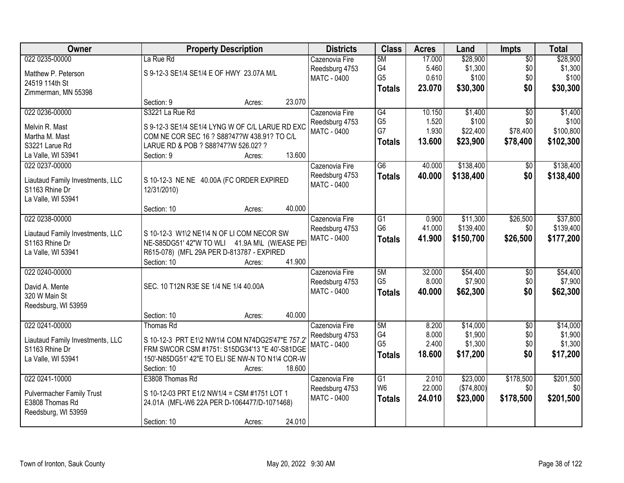| Owner                                              | <b>Property Description</b>                                                               | <b>Districts</b>   | <b>Class</b>   | <b>Acres</b> | Land       | Impts           | <b>Total</b> |
|----------------------------------------------------|-------------------------------------------------------------------------------------------|--------------------|----------------|--------------|------------|-----------------|--------------|
| 022 0235-00000                                     | La Rue Rd                                                                                 | Cazenovia Fire     | 5M             | 17.000       | \$28,900   | $\overline{50}$ | \$28,900     |
| Matthew P. Peterson                                | S 9-12-3 SE1/4 SE1/4 E OF HWY 23.07A M/L                                                  | Reedsburg 4753     | G4             | 5.460        | \$1,300    | \$0             | \$1,300      |
| 24519 114th St                                     |                                                                                           | <b>MATC - 0400</b> | G <sub>5</sub> | 0.610        | \$100      | \$0             | \$100        |
| Zimmerman, MN 55398                                |                                                                                           |                    | <b>Totals</b>  | 23.070       | \$30,300   | \$0             | \$30,300     |
|                                                    | Section: 9<br>Acres:                                                                      | 23.070             |                |              |            |                 |              |
| 022 0236-00000                                     | S3221 La Rue Rd                                                                           | Cazenovia Fire     | G4             | 10.150       | \$1,400    | $\overline{50}$ | \$1,400      |
| Melvin R. Mast                                     | S 9-12-3 SE1/4 SE1/4 LYNG W OF C/L LARUE RD EXC                                           | Reedsburg 4753     | G <sub>5</sub> | 1.520        | \$100      | \$0             | \$100        |
| Martha M. Mast                                     | COM NE COR SEC 16 ? S88?47?W 438.91? TO C/L                                               | MATC - 0400        | G7             | 1.930        | \$22,400   | \$78,400        | \$100,800    |
| S3221 Larue Rd                                     | LARUE RD & POB ? S88?47?W 526.02? ?                                                       |                    | <b>Totals</b>  | 13.600       | \$23,900   | \$78,400        | \$102,300    |
| La Valle, WI 53941                                 | Section: 9<br>Acres:                                                                      | 13.600             |                |              |            |                 |              |
| 022 0237-00000                                     |                                                                                           | Cazenovia Fire     | G6             | 40.000       | \$138,400  | \$0             | \$138,400    |
|                                                    |                                                                                           | Reedsburg 4753     | <b>Totals</b>  | 40.000       | \$138,400  | \$0             | \$138,400    |
| Liautaud Family Investments, LLC<br>S1163 Rhine Dr | S 10-12-3 NE NE 40.00A (FC ORDER EXPIRED<br>12/31/2010)                                   | <b>MATC - 0400</b> |                |              |            |                 |              |
| La Valle, WI 53941                                 |                                                                                           |                    |                |              |            |                 |              |
|                                                    | Section: 10<br>Acres:                                                                     | 40.000             |                |              |            |                 |              |
| 022 0238-00000                                     |                                                                                           | Cazenovia Fire     | G1             | 0.900        | \$11,300   | \$26,500        | \$37,800     |
|                                                    |                                                                                           | Reedsburg 4753     | G <sub>6</sub> | 41.000       | \$139,400  | \$0             | \$139,400    |
| Liautaud Family Investments, LLC                   | S 10-12-3 W1\2 NE1\4 N OF LI COM NECOR SW                                                 | <b>MATC - 0400</b> | <b>Totals</b>  | 41.900       | \$150,700  | \$26,500        | \$177,200    |
| S1163 Rhine Dr                                     | NE-S85DG51' 42"W TO WLI 41.9A M\L (W/EASE PE<br>R615-078) (MFL 29A PER D-813787 - EXPIRED |                    |                |              |            |                 |              |
| La Valle, WI 53941                                 | Section: 10<br>Acres:                                                                     | 41.900             |                |              |            |                 |              |
| 022 0240-00000                                     |                                                                                           | Cazenovia Fire     | 5M             | 32.000       | \$54,400   | $\overline{50}$ | \$54,400     |
|                                                    |                                                                                           | Reedsburg 4753     | G <sub>5</sub> | 8.000        | \$7,900    | \$0             | \$7,900      |
| David A. Mente                                     | SEC. 10 T12N R3E SE 1/4 NE 1/4 40.00A                                                     | MATC - 0400        | <b>Totals</b>  | 40.000       | \$62,300   | \$0             | \$62,300     |
| 320 W Main St                                      |                                                                                           |                    |                |              |            |                 |              |
| Reedsburg, WI 53959                                |                                                                                           |                    |                |              |            |                 |              |
|                                                    | Section: 10<br>Acres:                                                                     | 40.000             |                |              |            |                 |              |
| 022 0241-00000                                     | Thomas Rd                                                                                 | Cazenovia Fire     | 5M             | 8.200        | \$14,000   | $\overline{50}$ | \$14,000     |
| Liautaud Family Investments, LLC                   | S 10-12-3 PRT E1\2 NW1\4 COM N74DG25'47"E 757.2                                           | Reedsburg 4753     | G4             | 8.000        | \$1,900    | \$0             | \$1,900      |
| S1163 Rhine Dr                                     | FRM SWCOR CSM #1751: S15DG34'13 "E 40'-S81DGE                                             | <b>MATC - 0400</b> | G <sub>5</sub> | 2.400        | \$1,300    | \$0             | \$1,300      |
| La Valle, WI 53941                                 | 150'-N85DG51' 42"E TO ELI SE NW-N TO N1\4 COR-W                                           |                    | <b>Totals</b>  | 18.600       | \$17,200   | \$0             | \$17,200     |
|                                                    | Section: 10<br>Acres:                                                                     | 18.600             |                |              |            |                 |              |
| 022 0241-10000                                     | E3808 Thomas Rd                                                                           | Cazenovia Fire     | G1             | 2.010        | \$23,000   | \$178,500       | \$201,500    |
| <b>Pulvermacher Family Trust</b>                   | S 10-12-03 PRT E1/2 NW1/4 = CSM #1751 LOT 1                                               | Reedsburg 4753     | W <sub>6</sub> | 22.000       | (\$74,800) | \$0             | \$0          |
| E3808 Thomas Rd                                    | 24.01A (MFL-W6 22A PER D-1064477/D-1071468)                                               | MATC - 0400        | <b>Totals</b>  | 24.010       | \$23,000   | \$178,500       | \$201,500    |
| Reedsburg, WI 53959                                |                                                                                           |                    |                |              |            |                 |              |
|                                                    | Section: 10<br>Acres:                                                                     | 24.010             |                |              |            |                 |              |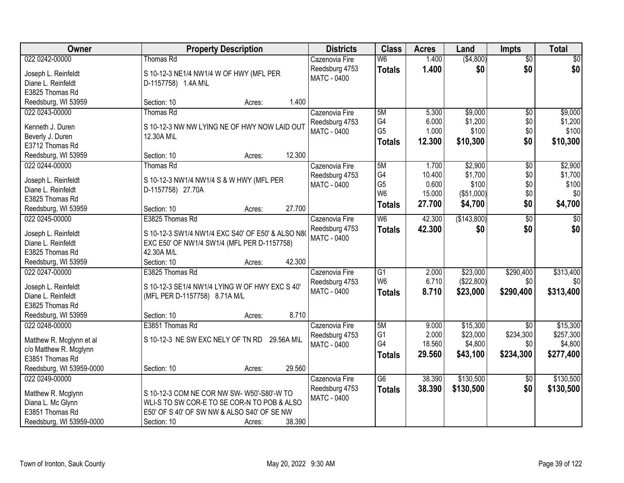| Owner                                     | <b>Property Description</b>                       | <b>Districts</b>   | <b>Class</b>    | <b>Acres</b>    | Land               | <b>Impts</b>    | <b>Total</b>     |
|-------------------------------------------|---------------------------------------------------|--------------------|-----------------|-----------------|--------------------|-----------------|------------------|
| 022 0242-00000                            | <b>Thomas Rd</b>                                  | Cazenovia Fire     | W <sub>6</sub>  | 1.400           | (\$4,800)          | $\overline{50}$ | \$0              |
| Joseph L. Reinfeldt                       | S 10-12-3 NE1/4 NW1/4 W OF HWY (MFL PER           | Reedsburg 4753     | <b>Totals</b>   | 1.400           | \$0                | \$0             | \$0              |
| Diane L. Reinfeldt                        | D-1157758) 1.4A M\L                               | MATC - 0400        |                 |                 |                    |                 |                  |
| E3825 Thomas Rd                           |                                                   |                    |                 |                 |                    |                 |                  |
| Reedsburg, WI 53959                       | 1.400<br>Section: 10<br>Acres:                    |                    |                 |                 |                    |                 |                  |
| 022 0243-00000                            | Thomas Rd                                         | Cazenovia Fire     | 5M              | 5.300           | \$9,000            | $\overline{50}$ | \$9,000          |
|                                           |                                                   | Reedsburg 4753     | G <sub>4</sub>  | 6.000           | \$1,200            | \$0             | \$1,200          |
| Kenneth J. Duren                          | S 10-12-3 NW NW LYING NE OF HWY NOW LAID OUT      | MATC - 0400        | G <sub>5</sub>  | 1.000           | \$100              | \$0             | \$100            |
| Beverly J. Duren                          | 12.30A M\L                                        |                    | <b>Totals</b>   | 12.300          | \$10,300           | \$0             | \$10,300         |
| E3712 Thomas Rd                           | 12.300                                            |                    |                 |                 |                    |                 |                  |
| Reedsburg, WI 53959                       | Section: 10<br>Acres:                             |                    |                 |                 |                    |                 |                  |
| 022 0244-00000                            | Thomas Rd                                         | Cazenovia Fire     | 5M<br>G4        | 1.700           | \$2,900<br>\$1,700 | $\overline{50}$ | \$2,900          |
| Joseph L. Reinfeldt                       | S 10-12-3 NW1/4 NW1/4 S & W HWY (MFL PER          | Reedsburg 4753     | G <sub>5</sub>  | 10.400<br>0.600 | \$100              | \$0<br>\$0      | \$1,700<br>\$100 |
| Diane L. Reinfeldt                        | D-1157758) 27.70A                                 | <b>MATC - 0400</b> | W <sub>6</sub>  | 15.000          | (\$51,000)         | \$0             | \$0              |
| E3825 Thomas Rd                           |                                                   |                    |                 | 27.700          |                    | \$0             | \$4,700          |
| Reedsburg, WI 53959                       | 27.700<br>Section: 10<br>Acres:                   |                    | <b>Totals</b>   |                 | \$4,700            |                 |                  |
| 022 0245-00000                            | E3825 Thomas Rd                                   | Cazenovia Fire     | W6              | 42.300          | (\$143,800)        | $\overline{50}$ | $\sqrt{50}$      |
|                                           | S 10-12-3 SW1/4 NW1/4 EXC S40' OF E50' & ALSO N80 | Reedsburg 4753     | <b>Totals</b>   | 42.300          | \$0                | \$0             | \$0              |
| Joseph L. Reinfeldt<br>Diane L. Reinfeldt | EXC E50' OF NW1/4 SW1/4 (MFL PER D-1157758)       | MATC - 0400        |                 |                 |                    |                 |                  |
| E3825 Thomas Rd                           | 42.30A M/L                                        |                    |                 |                 |                    |                 |                  |
| Reedsburg, WI 53959                       | 42.300<br>Section: 10<br>Acres:                   |                    |                 |                 |                    |                 |                  |
| 022 0247-00000                            | E3825 Thomas Rd                                   | Cazenovia Fire     | $\overline{G1}$ | 2.000           | \$23,000           | \$290,400       | \$313,400        |
|                                           |                                                   | Reedsburg 4753     | W <sub>6</sub>  | 6.710           | (\$22,800)         | \$0             | \$0              |
| Joseph L. Reinfeldt                       | S 10-12-3 SE1/4 NW1/4 LYING W OF HWY EXC S 40'    | MATC - 0400        | <b>Totals</b>   | 8.710           | \$23,000           | \$290,400       | \$313,400        |
| Diane L. Reinfeldt                        | (MFL PER D-1157758) 8.71A M/L                     |                    |                 |                 |                    |                 |                  |
| E3825 Thomas Rd                           |                                                   |                    |                 |                 |                    |                 |                  |
| Reedsburg, WI 53959                       | 8.710<br>Section: 10<br>Acres:                    |                    |                 |                 |                    |                 |                  |
| 022 0248-00000                            | E3851 Thomas Rd                                   | Cazenovia Fire     | 5M              | 9.000           | \$15,300           | $\overline{50}$ | \$15,300         |
| Matthew R. Mcglynn et al                  | S 10-12-3 NE SW EXC NELY OF TN RD 29.56A M\L      | Reedsburg 4753     | G <sub>1</sub>  | 2.000           | \$23,000           | \$234,300       | \$257,300        |
| c/o Matthew R. Mcglynn                    |                                                   | <b>MATC - 0400</b> | G4              | 18.560          | \$4,800            | \$0             | \$4,800          |
| E3851 Thomas Rd                           |                                                   |                    | <b>Totals</b>   | 29.560          | \$43,100           | \$234,300       | \$277,400        |
| Reedsburg, WI 53959-0000                  | 29.560<br>Section: 10<br>Acres:                   |                    |                 |                 |                    |                 |                  |
| 022 0249-00000                            |                                                   | Cazenovia Fire     | G <sub>6</sub>  | 38.390          | \$130,500          | $\overline{50}$ | \$130,500        |
|                                           |                                                   | Reedsburg 4753     | <b>Totals</b>   | 38.390          | \$130,500          | \$0             | \$130,500        |
| Matthew R. Mcglynn                        | S 10-12-3 COM NE COR NW SW- W50'-S80'-W TO        | <b>MATC - 0400</b> |                 |                 |                    |                 |                  |
| Diana L. Mc Glynn                         | WLI-S TO SW COR-E TO SE COR-N TO POB & ALSO       |                    |                 |                 |                    |                 |                  |
| E3851 Thomas Rd                           | E50' OF S 40' OF SW NW & ALSO S40' OF SE NW       |                    |                 |                 |                    |                 |                  |
| Reedsburg, WI 53959-0000                  | 38.390<br>Section: 10<br>Acres:                   |                    |                 |                 |                    |                 |                  |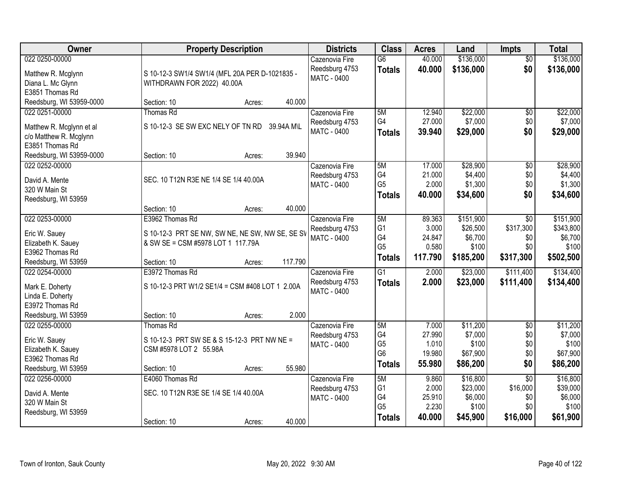| Owner                               | <b>Property Description</b>                                                          |            | <b>Districts</b>   | <b>Class</b>    | <b>Acres</b> | Land      | <b>Impts</b>    | <b>Total</b> |
|-------------------------------------|--------------------------------------------------------------------------------------|------------|--------------------|-----------------|--------------|-----------|-----------------|--------------|
| 022 0250-00000                      |                                                                                      |            | Cazenovia Fire     | $\overline{G6}$ | 40.000       | \$136,000 | $\overline{50}$ | \$136,000    |
| Matthew R. Mcglynn                  | S 10-12-3 SW1/4 SW1/4 (MFL 20A PER D-1021835 -                                       |            | Reedsburg 4753     | <b>Totals</b>   | 40.000       | \$136,000 | \$0             | \$136,000    |
| Diana L. Mc Glynn                   | WITHDRAWN FOR 2022) 40.00A                                                           |            | <b>MATC - 0400</b> |                 |              |           |                 |              |
| E3851 Thomas Rd                     |                                                                                      |            |                    |                 |              |           |                 |              |
| Reedsburg, WI 53959-0000            | Section: 10<br>Acres:                                                                | 40.000     |                    |                 |              |           |                 |              |
| 022 0251-00000                      | <b>Thomas Rd</b>                                                                     |            | Cazenovia Fire     | 5M              | 12.940       | \$22,000  | \$0             | \$22,000     |
| Matthew R. Mcglynn et al            | S 10-12-3 SE SW EXC NELY OF TN RD                                                    | 39.94A M\L | Reedsburg 4753     | G4              | 27.000       | \$7,000   | \$0             | \$7,000      |
| c/o Matthew R. Mcglynn              |                                                                                      |            | MATC - 0400        | <b>Totals</b>   | 39.940       | \$29,000  | \$0             | \$29,000     |
| E3851 Thomas Rd                     |                                                                                      |            |                    |                 |              |           |                 |              |
| Reedsburg, WI 53959-0000            | Section: 10<br>Acres:                                                                | 39.940     |                    |                 |              |           |                 |              |
| 022 0252-00000                      |                                                                                      |            | Cazenovia Fire     | 5M              | 17.000       | \$28,900  | \$0             | \$28,900     |
| David A. Mente                      | SEC. 10 T12N R3E NE 1/4 SE 1/4 40.00A                                                |            | Reedsburg 4753     | G4              | 21.000       | \$4,400   | \$0             | \$4,400      |
| 320 W Main St                       |                                                                                      |            | <b>MATC - 0400</b> | G <sub>5</sub>  | 2.000        | \$1,300   | \$0             | \$1,300      |
| Reedsburg, WI 53959                 |                                                                                      |            |                    | <b>Totals</b>   | 40.000       | \$34,600  | \$0             | \$34,600     |
|                                     | Section: 10<br>Acres:                                                                | 40.000     |                    |                 |              |           |                 |              |
| 022 0253-00000                      | E3962 Thomas Rd                                                                      |            | Cazenovia Fire     | 5M              | 89.363       | \$151,900 | \$0             | \$151,900    |
|                                     |                                                                                      |            | Reedsburg 4753     | G <sub>1</sub>  | 3.000        | \$26,500  | \$317,300       | \$343,800    |
| Eric W. Sauey<br>Elizabeth K. Sauey | S 10-12-3 PRT SE NW, SW NE, NE SW, NW SE, SE SV<br>& SW SE = CSM #5978 LOT 1 117.79A |            | MATC - 0400        | G4              | 24.847       | \$6,700   | \$0             | \$6,700      |
| E3962 Thomas Rd                     |                                                                                      |            |                    | G <sub>5</sub>  | 0.580        | \$100     | \$0             | \$100        |
| Reedsburg, WI 53959                 | Section: 10<br>Acres:                                                                | 117.790    |                    | <b>Totals</b>   | 117.790      | \$185,200 | \$317,300       | \$502,500    |
| 022 0254-00000                      | E3972 Thomas Rd                                                                      |            | Cazenovia Fire     | $\overline{G1}$ | 2.000        | \$23,000  | \$111,400       | \$134,400    |
|                                     | S 10-12-3 PRT W1/2 SE1/4 = CSM #408 LOT 1 2.00A                                      |            | Reedsburg 4753     | <b>Totals</b>   | 2.000        | \$23,000  | \$111,400       | \$134,400    |
| Mark E. Doherty<br>Linda E. Doherty |                                                                                      |            | MATC - 0400        |                 |              |           |                 |              |
| E3972 Thomas Rd                     |                                                                                      |            |                    |                 |              |           |                 |              |
| Reedsburg, WI 53959                 | Section: 10<br>Acres:                                                                | 2.000      |                    |                 |              |           |                 |              |
| 022 0255-00000                      | Thomas Rd                                                                            |            | Cazenovia Fire     | 5M              | 7.000        | \$11,200  | $\overline{50}$ | \$11,200     |
|                                     |                                                                                      |            | Reedsburg 4753     | G4              | 27.990       | \$7,000   | \$0             | \$7,000      |
| Eric W. Sauey<br>Elizabeth K. Sauey | S 10-12-3 PRT SW SE & S 15-12-3 PRT NW NE =<br>CSM #5978 LOT 2 55.98A                |            | MATC - 0400        | G <sub>5</sub>  | 1.010        | \$100     | \$0             | \$100        |
| E3962 Thomas Rd                     |                                                                                      |            |                    | G <sub>6</sub>  | 19.980       | \$67,900  | \$0             | \$67,900     |
| Reedsburg, WI 53959                 | Section: 10<br>Acres:                                                                | 55.980     |                    | <b>Totals</b>   | 55.980       | \$86,200  | \$0             | \$86,200     |
| 022 0256-00000                      | E4060 Thomas Rd                                                                      |            | Cazenovia Fire     | 5M              | 9.860        | \$16,800  | $\overline{30}$ | \$16,800     |
|                                     |                                                                                      |            | Reedsburg 4753     | G <sub>1</sub>  | 2.000        | \$23,000  | \$16,000        | \$39,000     |
| David A. Mente<br>320 W Main St     | SEC. 10 T12N R3E SE 1/4 SE 1/4 40.00A                                                |            | MATC - 0400        | G4              | 25.910       | \$6,000   | \$0             | \$6,000      |
| Reedsburg, WI 53959                 |                                                                                      |            |                    | G <sub>5</sub>  | 2.230        | \$100     | \$0             | \$100        |
|                                     | Section: 10<br>Acres:                                                                | 40.000     |                    | <b>Totals</b>   | 40.000       | \$45,900  | \$16,000        | \$61,900     |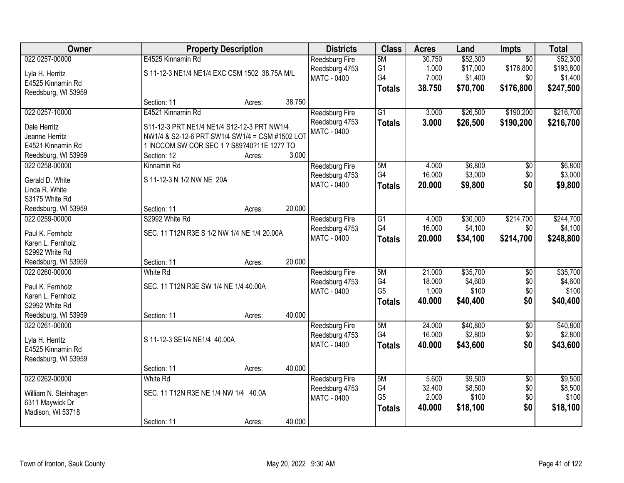| Owner                 | <b>Property Description</b>                     |        |        | <b>Districts</b>      | <b>Class</b>    | <b>Acres</b> | Land     | <b>Impts</b>    | <b>Total</b> |
|-----------------------|-------------------------------------------------|--------|--------|-----------------------|-----------------|--------------|----------|-----------------|--------------|
| 022 0257-00000        | E4525 Kinnamin Rd                               |        |        | Reedsburg Fire        | 5M              | 30.750       | \$52,300 | $\overline{30}$ | \$52,300     |
| Lyla H. Herritz       | S 11-12-3 NE1/4 NE1/4 EXC CSM 1502 38.75A M/L   |        |        | Reedsburg 4753        | G1              | 1.000        | \$17,000 | \$176,800       | \$193,800    |
| E4525 Kinnamin Rd     |                                                 |        |        | <b>MATC - 0400</b>    | G4              | 7.000        | \$1,400  | \$0             | \$1,400      |
| Reedsburg, WI 53959   |                                                 |        |        |                       | <b>Totals</b>   | 38.750       | \$70,700 | \$176,800       | \$247,500    |
|                       | Section: 11                                     | Acres: | 38.750 |                       |                 |              |          |                 |              |
| 022 0257-10000        | E4521 Kinnamin Rd                               |        |        | Reedsburg Fire        | $\overline{G1}$ | 3.000        | \$26,500 | \$190,200       | \$216,700    |
| Dale Herritz          | S11-12-3 PRT NE1/4 NE1/4 S12-12-3 PRT NW1/4     |        |        | Reedsburg 4753        | <b>Totals</b>   | 3.000        | \$26,500 | \$190,200       | \$216,700    |
| Jeanne Herritz        | NW1/4 & S2-12-6 PRT SW1/4 SW1/4 = CSM #1502 LOT |        |        | MATC - 0400           |                 |              |          |                 |              |
| E4521 Kinnamin Rd     | 1 INCCOM SW COR SEC 1 ? S89?40?11E 127? TO      |        |        |                       |                 |              |          |                 |              |
| Reedsburg, WI 53959   | Section: 12                                     | Acres: | 3.000  |                       |                 |              |          |                 |              |
| 022 0258-00000        | Kinnamin Rd                                     |        |        | Reedsburg Fire        | 5M              | 4.000        | \$6,800  | $\overline{50}$ | \$6,800      |
|                       |                                                 |        |        | Reedsburg 4753        | G4              | 16.000       | \$3,000  | \$0             | \$3,000      |
| Gerald D. White       | S 11-12-3 N 1/2 NW NE 20A                       |        |        | MATC - 0400           | <b>Totals</b>   | 20,000       | \$9,800  | \$0             | \$9,800      |
| Linda R. White        |                                                 |        |        |                       |                 |              |          |                 |              |
| S3175 White Rd        |                                                 |        |        |                       |                 |              |          |                 |              |
| Reedsburg, WI 53959   | Section: 11                                     | Acres: | 20.000 |                       |                 |              |          |                 |              |
| 022 0259-00000        | S2992 White Rd                                  |        |        | Reedsburg Fire        | G1              | 4.000        | \$30,000 | \$214,700       | \$244,700    |
| Paul K. Fernholz      | SEC. 11 T12N R3E S 1/2 NW 1/4 NE 1/4 20.00A     |        |        | Reedsburg 4753        | G4              | 16.000       | \$4,100  | \$0             | \$4,100      |
| Karen L. Fernholz     |                                                 |        |        | <b>MATC - 0400</b>    | <b>Totals</b>   | 20.000       | \$34,100 | \$214,700       | \$248,800    |
| S2992 White Rd        |                                                 |        |        |                       |                 |              |          |                 |              |
| Reedsburg, WI 53959   | Section: 11                                     | Acres: | 20.000 |                       |                 |              |          |                 |              |
| 022 0260-00000        | White Rd                                        |        |        | Reedsburg Fire        | 5M              | 21.000       | \$35,700 | $\overline{50}$ | \$35,700     |
| Paul K. Fernholz      | SEC. 11 T12N R3E SW 1/4 NE 1/4 40.00A           |        |        | Reedsburg 4753        | G4              | 18.000       | \$4,600  | \$0             | \$4,600      |
| Karen L. Fernholz     |                                                 |        |        | <b>MATC - 0400</b>    | G <sub>5</sub>  | 1.000        | \$100    | \$0             | \$100        |
| S2992 White Rd        |                                                 |        |        |                       | <b>Totals</b>   | 40.000       | \$40,400 | \$0             | \$40,400     |
| Reedsburg, WI 53959   | Section: 11                                     | Acres: | 40.000 |                       |                 |              |          |                 |              |
| 022 0261-00000        |                                                 |        |        | Reedsburg Fire        | 5M              | 24.000       | \$40,800 | $\overline{60}$ | \$40,800     |
|                       |                                                 |        |        | Reedsburg 4753        | G4              | 16.000       | \$2,800  | \$0             | \$2,800      |
| Lyla H. Herritz       | S 11-12-3 SE1/4 NE1/4 40.00A                    |        |        | MATC - 0400           | <b>Totals</b>   | 40.000       | \$43,600 | \$0             | \$43,600     |
| E4525 Kinnamin Rd     |                                                 |        |        |                       |                 |              |          |                 |              |
| Reedsburg, WI 53959   |                                                 |        |        |                       |                 |              |          |                 |              |
|                       | Section: 11                                     | Acres: | 40.000 |                       |                 |              |          |                 |              |
| 022 0262-00000        | <b>White Rd</b>                                 |        |        | <b>Reedsburg Fire</b> | 5M              | 5.600        | \$9,500  | $\overline{30}$ | \$9,500      |
| William N. Steinhagen | SEC. 11 T12N R3E NE 1/4 NW 1/4 40.0A            |        |        | Reedsburg 4753        | G4              | 32.400       | \$8,500  | \$0             | \$8,500      |
| 6311 Maywick Dr       |                                                 |        |        | MATC - 0400           | G <sub>5</sub>  | 2.000        | \$100    | \$0             | \$100        |
| Madison, WI 53718     |                                                 |        |        |                       | <b>Totals</b>   | 40.000       | \$18,100 | \$0             | \$18,100     |
|                       | Section: 11                                     | Acres: | 40.000 |                       |                 |              |          |                 |              |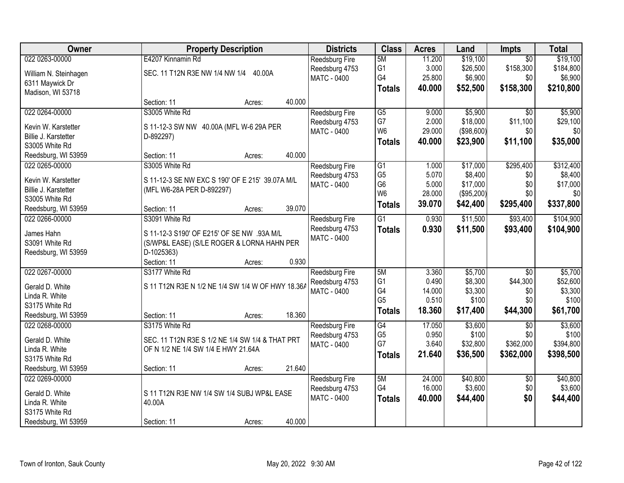| Owner                 | <b>Property Description</b>                       | <b>Districts</b>                     | <b>Class</b>    | <b>Acres</b> | Land       | <b>Impts</b>    | <b>Total</b> |
|-----------------------|---------------------------------------------------|--------------------------------------|-----------------|--------------|------------|-----------------|--------------|
| 022 0263-00000        | E4207 Kinnamin Rd                                 | Reedsburg Fire                       | 5M              | 11.200       | \$19,100   | $\overline{30}$ | \$19,100     |
| William N. Steinhagen | SEC. 11 T12N R3E NW 1/4 NW 1/4 40.00A             | Reedsburg 4753                       | G1              | 3.000        | \$26,500   | \$158,300       | \$184,800    |
| 6311 Maywick Dr       |                                                   | <b>MATC - 0400</b>                   | G4              | 25.800       | \$6,900    | \$0             | \$6,900      |
| Madison, WI 53718     |                                                   |                                      | <b>Totals</b>   | 40.000       | \$52,500   | \$158,300       | \$210,800    |
|                       | 40.000<br>Section: 11<br>Acres:                   |                                      |                 |              |            |                 |              |
| 022 0264-00000        | S3005 White Rd                                    | <b>Reedsburg Fire</b>                | $\overline{G5}$ | 9.000        | \$5,900    | $\overline{30}$ | \$5,900      |
| Kevin W. Karstetter   | S 11-12-3 SW NW 40.00A (MFL W-6 29A PER           | Reedsburg 4753                       | G7              | 2.000        | \$18,000   | \$11,100        | \$29,100     |
| Billie J. Karstetter  | D-892297)                                         | <b>MATC - 0400</b>                   | W <sub>6</sub>  | 29.000       | (\$98,600) | \$0             | \$0          |
| S3005 White Rd        |                                                   |                                      | <b>Totals</b>   | 40.000       | \$23,900   | \$11,100        | \$35,000     |
| Reedsburg, WI 53959   | 40.000<br>Section: 11<br>Acres:                   |                                      |                 |              |            |                 |              |
| 022 0265-00000        | S3005 White Rd                                    | Reedsburg Fire                       | $\overline{G1}$ | 1.000        | \$17,000   | \$295,400       | \$312,400    |
|                       |                                                   | Reedsburg 4753                       | G <sub>5</sub>  | 5.070        | \$8,400    | \$0             | \$8,400      |
| Kevin W. Karstetter   | S 11-12-3 SE NW EXC S 190' OF E 215' 39.07A M/L   | <b>MATC - 0400</b>                   | G <sub>6</sub>  | 5.000        | \$17,000   | \$0             | \$17,000     |
| Billie J. Karstetter  | (MFL W6-28A PER D-892297)                         |                                      | W <sub>6</sub>  | 28.000       | (\$95,200) | \$0             | \$0          |
| S3005 White Rd        |                                                   |                                      | <b>Totals</b>   | 39.070       | \$42,400   | \$295,400       | \$337,800    |
| Reedsburg, WI 53959   | 39.070<br>Section: 11<br>Acres:                   |                                      |                 |              |            |                 |              |
| 022 0266-00000        | S3091 White Rd                                    | <b>Reedsburg Fire</b>                | $\overline{G1}$ | 0.930        | \$11,500   | \$93,400        | \$104,900    |
| James Hahn            | S 11-12-3 S190' OF E215' OF SE NW .93A M/L        | Reedsburg 4753<br><b>MATC - 0400</b> | <b>Totals</b>   | 0.930        | \$11,500   | \$93,400        | \$104,900    |
| S3091 White Rd        | (S/WP&L EASE) (S/LE ROGER & LORNA HAHN PER        |                                      |                 |              |            |                 |              |
| Reedsburg, WI 53959   | D-1025363)                                        |                                      |                 |              |            |                 |              |
|                       | Section: 11<br>0.930<br>Acres:                    |                                      |                 |              |            |                 |              |
| 022 0267-00000        | S3177 White Rd                                    | Reedsburg Fire                       | 5M              | 3.360        | \$5,700    | $\overline{50}$ | \$5,700      |
| Gerald D. White       | S 11 T12N R3E N 1/2 NE 1/4 SW 1/4 W OF HWY 18.36A | Reedsburg 4753                       | G <sub>1</sub>  | 0.490        | \$8,300    | \$44,300        | \$52,600     |
| Linda R. White        |                                                   | <b>MATC - 0400</b>                   | G4              | 14.000       | \$3,300    | \$0             | \$3,300      |
| S3175 White Rd        |                                                   |                                      | G <sub>5</sub>  | 0.510        | \$100      | \$0             | \$100        |
| Reedsburg, WI 53959   | 18.360<br>Section: 11<br>Acres:                   |                                      | <b>Totals</b>   | 18.360       | \$17,400   | \$44,300        | \$61,700     |
| 022 0268-00000        | S3175 White Rd                                    | Reedsburg Fire                       | G4              | 17.050       | \$3,600    | $\overline{50}$ | \$3,600      |
| Gerald D. White       | SEC. 11 T12N R3E S 1/2 NE 1/4 SW 1/4 & THAT PRT   | Reedsburg 4753                       | G <sub>5</sub>  | 0.950        | \$100      | \$0             | \$100        |
| Linda R. White        | OF N 1/2 NE 1/4 SW 1/4 E HWY 21.64A               | <b>MATC - 0400</b>                   | G7              | 3.640        | \$32,800   | \$362,000       | \$394,800    |
| S3175 White Rd        |                                                   |                                      | <b>Totals</b>   | 21.640       | \$36,500   | \$362,000       | \$398,500    |
| Reedsburg, WI 53959   | 21.640<br>Section: 11<br>Acres:                   |                                      |                 |              |            |                 |              |
| 022 0269-00000        |                                                   | <b>Reedsburg Fire</b>                | 5M              | 24.000       | \$40,800   | $\overline{30}$ | \$40,800     |
|                       |                                                   | Reedsburg 4753                       | G4              | 16.000       | \$3,600    | \$0             | \$3,600      |
| Gerald D. White       | S 11 T12N R3E NW 1/4 SW 1/4 SUBJ WP&L EASE        | <b>MATC - 0400</b>                   | <b>Totals</b>   | 40.000       | \$44,400   | \$0             | \$44,400     |
| Linda R. White        | 40.00A                                            |                                      |                 |              |            |                 |              |
| S3175 White Rd        |                                                   |                                      |                 |              |            |                 |              |
| Reedsburg, WI 53959   | 40.000<br>Section: 11<br>Acres:                   |                                      |                 |              |            |                 |              |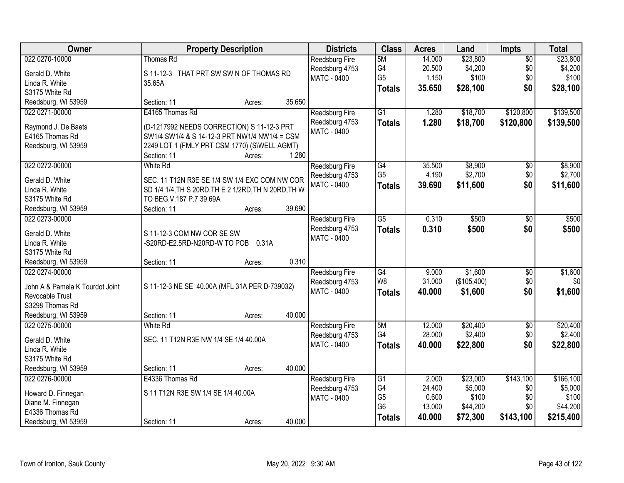| Owner                           | <b>Property Description</b>                           | <b>Districts</b>                     | <b>Class</b>    | <b>Acres</b> | Land        | <b>Impts</b>    | <b>Total</b> |
|---------------------------------|-------------------------------------------------------|--------------------------------------|-----------------|--------------|-------------|-----------------|--------------|
| 022 0270-10000                  | Thomas Rd                                             | Reedsburg Fire                       | 5M              | 14.000       | \$23,800    | $\overline{50}$ | \$23,800     |
| Gerald D. White                 | S 11-12-3 THAT PRT SW SW N OF THOMAS RD               | Reedsburg 4753                       | G4              | 20.500       | \$4,200     | \$0             | \$4,200      |
| Linda R. White                  | 35.65A                                                | MATC - 0400                          | G <sub>5</sub>  | 1.150        | \$100       | \$0             | \$100        |
| S3175 White Rd                  |                                                       |                                      | <b>Totals</b>   | 35.650       | \$28,100    | \$0             | \$28,100     |
| Reedsburg, WI 53959             | 35.650<br>Section: 11<br>Acres:                       |                                      |                 |              |             |                 |              |
| 022 0271-00000                  | E4165 Thomas Rd                                       | Reedsburg Fire                       | $\overline{G1}$ | 1.280        | \$18,700    | \$120,800       | \$139,500    |
|                                 |                                                       | Reedsburg 4753                       | <b>Totals</b>   | 1.280        | \$18,700    | \$120,800       | \$139,500    |
| Raymond J. De Baets             | (D-1217992 NEEDS CORRECTION) S 11-12-3 PRT            | MATC - 0400                          |                 |              |             |                 |              |
| E4165 Thomas Rd                 | SW1/4 SW1/4 & S 14-12-3 PRT NW1/4 NW1/4 = CSM         |                                      |                 |              |             |                 |              |
| Reedsburg, WI 53959             | 2249 LOT 1 (FMLY PRT CSM 1770) (S\WELL AGMT)<br>1.280 |                                      |                 |              |             |                 |              |
| 022 0272-00000                  | Section: 11<br>Acres:<br><b>White Rd</b>              |                                      | G4              | 35.500       | \$8,900     |                 | \$8,900      |
|                                 |                                                       | <b>Reedsburg Fire</b>                | G <sub>5</sub>  | 4.190        | \$2,700     | \$0<br>\$0      | \$2,700      |
| Gerald D. White                 | SEC. 11 T12N R3E SE 1/4 SW 1/4 EXC COM NW COR         | Reedsburg 4753<br><b>MATC - 0400</b> |                 | 39.690       | \$11,600    | \$0             |              |
| Linda R. White                  | SD 1/4 1/4, TH S 20RD. TH E 2 1/2RD, TH N 20RD, TH W  |                                      | <b>Totals</b>   |              |             |                 | \$11,600     |
| S3175 White Rd                  | TO BEG.V.187 P.7 39.69A                               |                                      |                 |              |             |                 |              |
| Reedsburg, WI 53959             | 39.690<br>Section: 11<br>Acres:                       |                                      |                 |              |             |                 |              |
| 022 0273-00000                  |                                                       | Reedsburg Fire                       | $\overline{G5}$ | 0.310        | \$500       | \$0             | \$500        |
| Gerald D. White                 | S 11-12-3 COM NW COR SE SW                            | Reedsburg 4753                       | <b>Totals</b>   | 0.310        | \$500       | \$0             | \$500        |
| Linda R. White                  | -S20RD-E2.5RD-N20RD-W TO POB 0.31A                    | MATC - 0400                          |                 |              |             |                 |              |
| S3175 White Rd                  |                                                       |                                      |                 |              |             |                 |              |
| Reedsburg, WI 53959             | 0.310<br>Section: 11<br>Acres:                        |                                      |                 |              |             |                 |              |
| 022 0274-00000                  |                                                       | Reedsburg Fire                       | G4              | 9.000        | \$1,600     | $\overline{50}$ | \$1,600      |
|                                 |                                                       | Reedsburg 4753                       | W <sub>8</sub>  | 31.000       | (\$105,400) | \$0             | \$0          |
| John A & Pamela K Tourdot Joint | S 11-12-3 NE SE 40.00A (MFL 31A PER D-739032)         | MATC - 0400                          | <b>Totals</b>   | 40.000       | \$1,600     | \$0             | \$1,600      |
| Revocable Trust                 |                                                       |                                      |                 |              |             |                 |              |
| S3298 Thomas Rd                 |                                                       |                                      |                 |              |             |                 |              |
| Reedsburg, WI 53959             | 40.000<br>Section: 11<br>Acres:                       |                                      |                 |              |             |                 |              |
| 022 0275-00000                  | <b>White Rd</b>                                       | Reedsburg Fire                       | 5M<br>G4        | 12.000       | \$20,400    | $\sqrt{6}$      | \$20,400     |
| Gerald D. White                 | SEC. 11 T12N R3E NW 1/4 SE 1/4 40.00A                 | Reedsburg 4753                       |                 | 28.000       | \$2,400     | \$0             | \$2,400      |
| Linda R. White                  |                                                       | MATC - 0400                          | <b>Totals</b>   | 40.000       | \$22,800    | \$0             | \$22,800     |
| S3175 White Rd                  |                                                       |                                      |                 |              |             |                 |              |
| Reedsburg, WI 53959             | 40.000<br>Section: 11<br>Acres:                       |                                      |                 |              |             |                 |              |
| 022 0276-00000                  | E4336 Thomas Rd                                       | <b>Reedsburg Fire</b>                | G1              | 2.000        | \$23,000    | \$143,100       | \$166, 100   |
| Howard D. Finnegan              | S 11 T12N R3E SW 1/4 SE 1/4 40.00A                    | Reedsburg 4753                       | G4              | 24.400       | \$5,000     | \$0             | \$5,000      |
| Diane M. Finnegan               |                                                       | <b>MATC - 0400</b>                   | G <sub>5</sub>  | 0.600        | \$100       | \$0             | \$100        |
| E4336 Thomas Rd                 |                                                       |                                      | G <sub>6</sub>  | 13.000       | \$44,200    | \$0             | \$44,200     |
| Reedsburg, WI 53959             | 40.000<br>Section: 11<br>Acres:                       |                                      | <b>Totals</b>   | 40.000       | \$72,300    | \$143,100       | \$215,400    |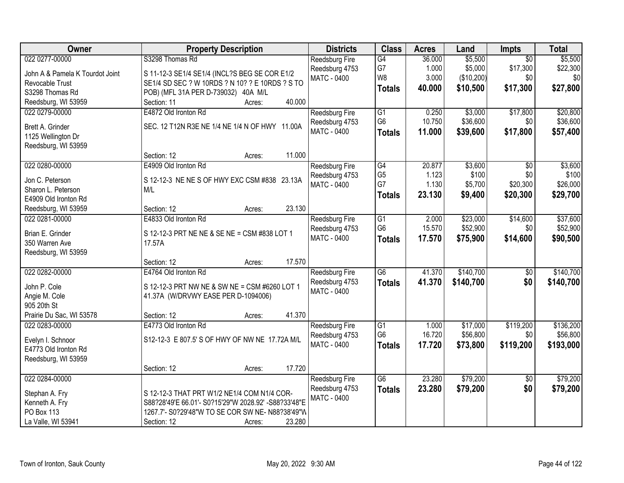| Owner                           | <b>Property Description</b>                          | <b>Districts</b>      | <b>Class</b>    | <b>Acres</b> | Land       | Impts           | <b>Total</b> |
|---------------------------------|------------------------------------------------------|-----------------------|-----------------|--------------|------------|-----------------|--------------|
| 022 0277-00000                  | S3298 Thomas Rd                                      | <b>Reedsburg Fire</b> | $\overline{G4}$ | 36.000       | \$5,500    | $\overline{50}$ | \$5,500      |
| John A & Pamela K Tourdot Joint | S 11-12-3 SE1/4 SE1/4 (INCL?S BEG SE COR E1/2        | Reedsburg 4753        | G7              | 1.000        | \$5,000    | \$17,300        | \$22,300     |
| Revocable Trust                 | SE1/4 SD SEC ? W 10RDS ? N 10? ? E 10RDS ? S TO      | <b>MATC - 0400</b>    | W8              | 3.000        | (\$10,200) | \$0             | \$0          |
| S3298 Thomas Rd                 | POB) (MFL 31A PER D-739032) 40A M/L                  |                       | <b>Totals</b>   | 40.000       | \$10,500   | \$17,300        | \$27,800     |
| Reedsburg, WI 53959             | 40.000<br>Section: 11<br>Acres:                      |                       |                 |              |            |                 |              |
| 022 0279-00000                  | E4872 Old Ironton Rd                                 | Reedsburg Fire        | $\overline{G1}$ | 0.250        | \$3,000    | \$17,800        | \$20,800     |
|                                 |                                                      | Reedsburg 4753        | G <sub>6</sub>  | 10.750       | \$36,600   | \$0             | \$36,600     |
| Brett A. Grinder                | SEC. 12 T12N R3E NE 1/4 NE 1/4 N OF HWY 11.00A       | MATC - 0400           | <b>Totals</b>   | 11.000       | \$39,600   | \$17,800        | \$57,400     |
| 1125 Wellington Dr              |                                                      |                       |                 |              |            |                 |              |
| Reedsburg, WI 53959             |                                                      |                       |                 |              |            |                 |              |
|                                 | 11.000<br>Section: 12<br>Acres:                      |                       |                 |              |            |                 |              |
| 022 0280-00000                  | E4909 Old Ironton Rd                                 | Reedsburg Fire        | G4              | 20.877       | \$3,600    | \$0             | \$3,600      |
| Jon C. Peterson                 | S 12-12-3 NE NE S OF HWY EXC CSM #838 23.13A         | Reedsburg 4753        | G <sub>5</sub>  | 1.123        | \$100      | \$0             | \$100        |
| Sharon L. Peterson              | M/L                                                  | MATC - 0400           | G7              | 1.130        | \$5,700    | \$20,300        | \$26,000     |
| E4909 Old Ironton Rd            |                                                      |                       | <b>Totals</b>   | 23.130       | \$9,400    | \$20,300        | \$29,700     |
| Reedsburg, WI 53959             | 23.130<br>Section: 12<br>Acres:                      |                       |                 |              |            |                 |              |
| 022 0281-00000                  | E4833 Old Ironton Rd                                 | Reedsburg Fire        | G1              | 2.000        | \$23,000   | \$14,600        | \$37,600     |
|                                 |                                                      | Reedsburg 4753        | G <sub>6</sub>  | 15.570       | \$52,900   | \$0             | \$52,900     |
| Brian E. Grinder                | S 12-12-3 PRT NE NE & SE NE = CSM #838 LOT 1         | MATC - 0400           | <b>Totals</b>   | 17.570       | \$75,900   | \$14,600        | \$90,500     |
| 350 Warren Ave                  | 17.57A                                               |                       |                 |              |            |                 |              |
| Reedsburg, WI 53959             |                                                      |                       |                 |              |            |                 |              |
|                                 | 17.570<br>Section: 12<br>Acres:                      |                       |                 |              |            |                 |              |
| 022 0282-00000                  | E4764 Old Ironton Rd                                 | Reedsburg Fire        | $\overline{G6}$ | 41.370       | \$140,700  | $\overline{50}$ | \$140,700    |
| John P. Cole                    | S 12-12-3 PRT NW NE & SW NE = CSM #6260 LOT 1        | Reedsburg 4753        | <b>Totals</b>   | 41.370       | \$140,700  | \$0             | \$140,700    |
| Angie M. Cole                   | 41.37A (W/DRVWY EASE PER D-1094006)                  | <b>MATC - 0400</b>    |                 |              |            |                 |              |
| 905 20th St                     |                                                      |                       |                 |              |            |                 |              |
| Prairie Du Sac, WI 53578        | 41.370<br>Section: 12<br>Acres:                      |                       |                 |              |            |                 |              |
| 022 0283-00000                  | E4773 Old Ironton Rd                                 | Reedsburg Fire        | G1              | 1.000        | \$17,000   | \$119,200       | \$136,200    |
|                                 | S12-12-3 E 807.5' S OF HWY OF NW NE 17.72A M/L       | Reedsburg 4753        | G <sub>6</sub>  | 16.720       | \$56,800   | \$0             | \$56,800     |
| Evelyn I. Schnoor               |                                                      | <b>MATC - 0400</b>    | <b>Totals</b>   | 17.720       | \$73,800   | \$119,200       | \$193,000    |
| E4773 Old Ironton Rd            |                                                      |                       |                 |              |            |                 |              |
| Reedsburg, WI 53959             | 17.720                                               |                       |                 |              |            |                 |              |
|                                 | Section: 12<br>Acres:                                |                       | $\overline{G6}$ | 23.280       |            |                 |              |
| 022 0284-00000                  |                                                      | Reedsburg Fire        |                 |              | \$79,200   | \$0             | \$79,200     |
| Stephan A. Fry                  | S 12-12-3 THAT PRT W1/2 NE1/4 COM N1/4 COR-          | Reedsburg 4753        | <b>Totals</b>   | 23.280       | \$79,200   | \$0             | \$79,200     |
| Kenneth A. Fry                  | S88?28'49'E 66.01'- S0?15'29"W 2028.92' -S88?33'48"E | <b>MATC - 0400</b>    |                 |              |            |                 |              |
| PO Box 113                      | 1267.7'- S0?29'48"W TO SE COR SW NE- N88?38'49"W     |                       |                 |              |            |                 |              |
| La Valle, WI 53941              | 23.280<br>Section: 12<br>Acres:                      |                       |                 |              |            |                 |              |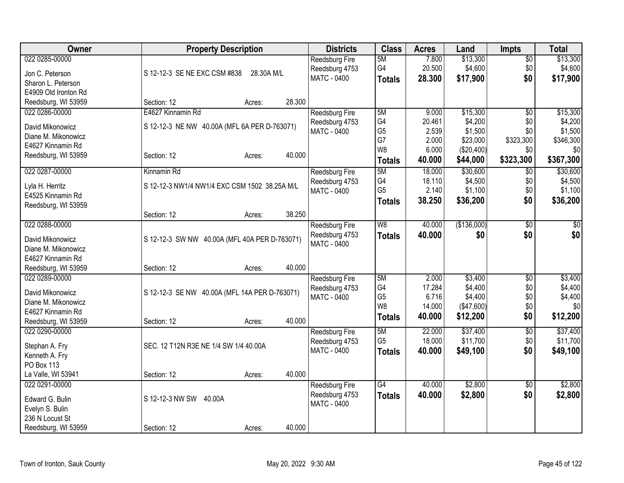| Owner                | <b>Property Description</b>                   |                  | <b>Districts</b>                     | <b>Class</b>         | <b>Acres</b>     | Land                 | <b>Impts</b>    | <b>Total</b>         |
|----------------------|-----------------------------------------------|------------------|--------------------------------------|----------------------|------------------|----------------------|-----------------|----------------------|
| 022 0285-00000       |                                               |                  | Reedsburg Fire                       | 5M                   | 7.800            | \$13,300             | $\overline{50}$ | \$13,300             |
| Jon C. Peterson      | S 12-12-3 SE NE EXC CSM #838                  | 28.30A M/L       | Reedsburg 4753                       | G4                   | 20.500           | \$4,600              | \$0             | \$4,600              |
| Sharon L. Peterson   |                                               |                  | <b>MATC - 0400</b>                   | <b>Totals</b>        | 28.300           | \$17,900             | \$0             | \$17,900             |
| E4909 Old Ironton Rd |                                               |                  |                                      |                      |                  |                      |                 |                      |
| Reedsburg, WI 53959  | Section: 12<br>Acres:                         | 28.300           |                                      |                      |                  |                      |                 |                      |
| 022 0286-00000       | E4627 Kinnamin Rd                             |                  | Reedsburg Fire                       | 5M                   | 9.000            | \$15,300             | \$0             | \$15,300             |
| David Mikonowicz     | S 12-12-3 NE NW 40.00A (MFL 6A PER D-763071)  |                  | Reedsburg 4753                       | G4                   | 20.461           | \$4,200              | \$0             | \$4,200              |
| Diane M. Mikonowicz  |                                               |                  | <b>MATC - 0400</b>                   | G <sub>5</sub>       | 2.539            | \$1,500              | \$0             | \$1,500              |
| E4627 Kinnamin Rd    |                                               |                  |                                      | G7                   | 2.000            | \$23,000             | \$323,300       | \$346,300            |
| Reedsburg, WI 53959  | Section: 12                                   | 40.000<br>Acres: |                                      | W <sub>8</sub>       | 6.000            | (\$20,400)           | \$0             | \$0                  |
|                      |                                               |                  |                                      | <b>Totals</b>        | 40.000           | \$44,000             | \$323,300       | \$367,300            |
| 022 0287-00000       | Kinnamin Rd                                   |                  | Reedsburg Fire                       | 5M                   | 18.000           | \$30,600             | $\overline{50}$ | \$30,600             |
| Lyla H. Herritz      | S 12-12-3 NW1/4 NW1/4 EXC CSM 1502 38.25A M/L |                  | Reedsburg 4753                       | G4                   | 18.110           | \$4,500              | \$0             | \$4,500              |
| E4525 Kinnamin Rd    |                                               |                  | MATC - 0400                          | G <sub>5</sub>       | 2.140            | \$1,100              | \$0             | \$1,100              |
| Reedsburg, WI 53959  |                                               |                  |                                      | <b>Totals</b>        | 38.250           | \$36,200             | \$0             | \$36,200             |
|                      | Section: 12<br>Acres:                         | 38.250           |                                      |                      |                  |                      |                 |                      |
| 022 0288-00000       |                                               |                  | <b>Reedsburg Fire</b>                | W <sub>8</sub>       | 40.000           | (\$136,000)          | $\sqrt{$0}$     | \$0                  |
| David Mikonowicz     | S 12-12-3 SW NW 40.00A (MFL 40A PER D-763071) |                  | Reedsburg 4753                       | <b>Totals</b>        | 40,000           | \$0                  | \$0             | \$0                  |
| Diane M. Mikonowicz  |                                               |                  | <b>MATC - 0400</b>                   |                      |                  |                      |                 |                      |
| E4627 Kinnamin Rd    |                                               |                  |                                      |                      |                  |                      |                 |                      |
| Reedsburg, WI 53959  | Section: 12<br>Acres:                         | 40.000           |                                      |                      |                  |                      |                 |                      |
| 022 0289-00000       |                                               |                  | <b>Reedsburg Fire</b>                | 5M                   | 2.000            | \$3,400              | \$0             | \$3,400              |
|                      |                                               |                  | Reedsburg 4753                       | G4                   | 17.284           | \$4,400              | \$0             | \$4,400              |
| David Mikonowicz     | S 12-12-3 SE NW 40.00A (MFL 14A PER D-763071) |                  | MATC - 0400                          | G <sub>5</sub>       | 6.716            | \$4,400              | \$0             | \$4,400              |
| Diane M. Mikonowicz  |                                               |                  |                                      | W <sub>8</sub>       | 14.000           | (\$47,600)           | \$0             | \$0                  |
| E4627 Kinnamin Rd    |                                               |                  |                                      | <b>Totals</b>        | 40.000           | \$12,200             | \$0             | \$12,200             |
| Reedsburg, WI 53959  | Section: 12                                   | 40.000<br>Acres: |                                      |                      |                  |                      |                 |                      |
| 022 0290-00000       |                                               |                  | Reedsburg Fire                       | 5M<br>G <sub>5</sub> | 22.000<br>18.000 | \$37,400<br>\$11,700 | \$0<br>\$0      | \$37,400<br>\$11,700 |
| Stephan A. Fry       | SEC. 12 T12N R3E NE 1/4 SW 1/4 40.00A         |                  | Reedsburg 4753<br><b>MATC - 0400</b> |                      | 40.000           | \$49,100             | \$0             |                      |
| Kenneth A. Fry       |                                               |                  |                                      | <b>Totals</b>        |                  |                      |                 | \$49,100             |
| PO Box 113           |                                               |                  |                                      |                      |                  |                      |                 |                      |
| La Valle, WI 53941   | Section: 12                                   | 40.000<br>Acres: |                                      |                      |                  |                      |                 |                      |
| 022 0291-00000       |                                               |                  | Reedsburg Fire                       | G4                   | 40.000           | \$2,800              | \$0             | \$2,800              |
| Edward G. Bulin      | S 12-12-3 NW SW<br>40.00A                     |                  | Reedsburg 4753                       | <b>Totals</b>        | 40.000           | \$2,800              | \$0             | \$2,800              |
| Evelyn S. Bulin      |                                               |                  | MATC - 0400                          |                      |                  |                      |                 |                      |
| 236 N Locust St      |                                               |                  |                                      |                      |                  |                      |                 |                      |
| Reedsburg, WI 53959  | Section: 12<br>Acres:                         | 40.000           |                                      |                      |                  |                      |                 |                      |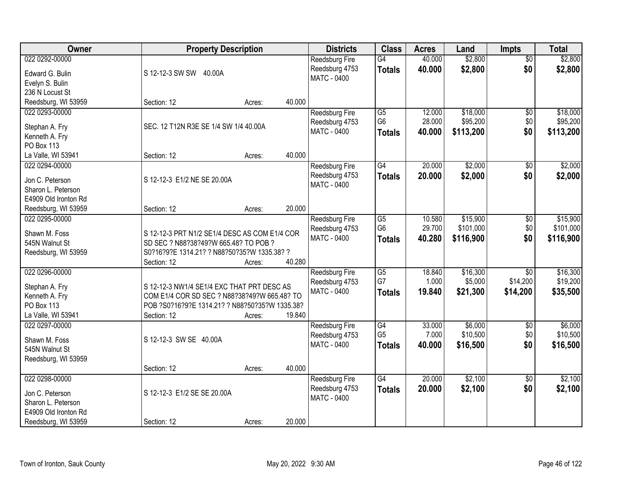| <b>Owner</b>                          | <b>Property Description</b>                    |        |        | <b>Districts</b>              | <b>Class</b>    | <b>Acres</b> | Land      | <b>Impts</b>         | <b>Total</b> |
|---------------------------------------|------------------------------------------------|--------|--------|-------------------------------|-----------------|--------------|-----------|----------------------|--------------|
| 022 0292-00000                        |                                                |        |        | Reedsburg Fire                | G4              | 40.000       | \$2,800   | $\overline{50}$      | \$2,800      |
| Edward G. Bulin                       | S 12-12-3 SW SW 40.00A                         |        |        | Reedsburg 4753                | <b>Totals</b>   | 40.000       | \$2,800   | \$0                  | \$2,800      |
| Evelyn S. Bulin                       |                                                |        |        | <b>MATC - 0400</b>            |                 |              |           |                      |              |
| 236 N Locust St                       |                                                |        |        |                               |                 |              |           |                      |              |
| Reedsburg, WI 53959                   | Section: 12                                    | Acres: | 40.000 |                               |                 |              |           |                      |              |
| 022 0293-00000                        |                                                |        |        | Reedsburg Fire                | $\overline{G5}$ | 12.000       | \$18,000  | $\overline{50}$      | \$18,000     |
| Stephan A. Fry                        | SEC. 12 T12N R3E SE 1/4 SW 1/4 40.00A          |        |        | Reedsburg 4753                | G <sub>6</sub>  | 28.000       | \$95,200  | \$0                  | \$95,200     |
| Kenneth A. Fry                        |                                                |        |        | <b>MATC - 0400</b>            | <b>Totals</b>   | 40.000       | \$113,200 | \$0                  | \$113,200    |
| PO Box 113                            |                                                |        |        |                               |                 |              |           |                      |              |
| La Valle, WI 53941                    | Section: 12                                    | Acres: | 40.000 |                               |                 |              |           |                      |              |
| 022 0294-00000                        |                                                |        |        | Reedsburg Fire                | G4              | 20.000       | \$2,000   | \$0                  | \$2,000      |
|                                       |                                                |        |        | Reedsburg 4753                | <b>Totals</b>   | 20.000       | \$2,000   | \$0                  | \$2,000      |
| Jon C. Peterson                       | S 12-12-3 E1/2 NE SE 20.00A                    |        |        | MATC - 0400                   |                 |              |           |                      |              |
| Sharon L. Peterson                    |                                                |        |        |                               |                 |              |           |                      |              |
| E4909 Old Ironton Rd                  |                                                |        | 20.000 |                               |                 |              |           |                      |              |
| Reedsburg, WI 53959<br>022 0295-00000 | Section: 12                                    | Acres: |        |                               | $\overline{G5}$ | 10.580       | \$15,900  |                      | \$15,900     |
|                                       |                                                |        |        | Reedsburg Fire                | G <sub>6</sub>  | 29.700       | \$101,000 | $\sqrt[6]{3}$<br>\$0 | \$101,000    |
| Shawn M. Foss                         | S 12-12-3 PRT N1/2 SE1/4 DESC AS COM E1/4 COR  |        |        | Reedsburg 4753<br>MATC - 0400 |                 | 40.280       | \$116,900 | \$0                  | \$116,900    |
| 545N Walnut St                        | SD SEC ? N88?38?49?W 665.48? TO POB ?          |        |        |                               | <b>Totals</b>   |              |           |                      |              |
| Reedsburg, WI 53959                   | S0?16?9?E 1314.21? ? N88?50?35?W 1335.38? ?    |        |        |                               |                 |              |           |                      |              |
|                                       | Section: 12                                    | Acres: | 40.280 |                               |                 |              |           |                      |              |
| 022 0296-00000                        |                                                |        |        | Reedsburg Fire                | $\overline{G5}$ | 18.840       | \$16,300  | $\overline{30}$      | \$16,300     |
| Stephan A. Fry                        | S 12-12-3 NW1/4 SE1/4 EXC THAT PRT DESC AS     |        |        | Reedsburg 4753                | G7              | 1.000        | \$5,000   | \$14,200             | \$19,200     |
| Kenneth A. Fry                        | COM E1/4 COR SD SEC ? N88?38?49?W 665.48? TO   |        |        | <b>MATC - 0400</b>            | <b>Totals</b>   | 19.840       | \$21,300  | \$14,200             | \$35,500     |
| PO Box 113                            | POB ?S0?16?9?E 1314.21? ? N88?50?35?W 1335.38? |        |        |                               |                 |              |           |                      |              |
| La Valle, WI 53941                    | Section: 12                                    | Acres: | 19.840 |                               |                 |              |           |                      |              |
| 022 0297-00000                        |                                                |        |        | Reedsburg Fire                | G4              | 33.000       | \$6,000   | $\overline{50}$      | \$6,000      |
| Shawn M. Foss                         | S 12-12-3 SW SE 40.00A                         |        |        | Reedsburg 4753                | G <sub>5</sub>  | 7.000        | \$10,500  | \$0                  | \$10,500     |
| 545N Walnut St                        |                                                |        |        | <b>MATC - 0400</b>            | <b>Totals</b>   | 40,000       | \$16,500  | \$0                  | \$16,500     |
| Reedsburg, WI 53959                   |                                                |        |        |                               |                 |              |           |                      |              |
|                                       | Section: 12                                    | Acres: | 40.000 |                               |                 |              |           |                      |              |
| 022 0298-00000                        |                                                |        |        | Reedsburg Fire                | G4              | 20.000       | \$2,100   | $\overline{50}$      | \$2,100      |
|                                       |                                                |        |        | Reedsburg 4753                | <b>Totals</b>   | 20.000       | \$2,100   | \$0                  | \$2,100      |
| Jon C. Peterson                       | S 12-12-3 E1/2 SE SE 20.00A                    |        |        | <b>MATC - 0400</b>            |                 |              |           |                      |              |
| Sharon L. Peterson                    |                                                |        |        |                               |                 |              |           |                      |              |
| E4909 Old Ironton Rd                  |                                                |        |        |                               |                 |              |           |                      |              |
| Reedsburg, WI 53959                   | Section: 12                                    | Acres: | 20.000 |                               |                 |              |           |                      |              |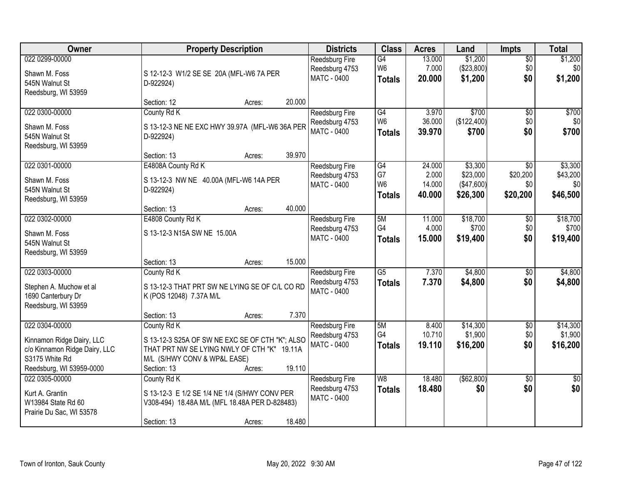| Owner                         | <b>Property Description</b>                     | <b>Districts</b>                     | <b>Class</b>         | <b>Acres</b>    | Land                   | <b>Impts</b>           | <b>Total</b>        |
|-------------------------------|-------------------------------------------------|--------------------------------------|----------------------|-----------------|------------------------|------------------------|---------------------|
| 022 0299-00000                |                                                 | <b>Reedsburg Fire</b>                | G4                   | 13.000          | \$1,200                | \$0                    | \$1,200             |
| Shawn M. Foss                 | S 12-12-3 W1/2 SE SE 20A (MFL-W6 7A PER         | Reedsburg 4753                       | W <sub>6</sub>       | 7.000           | (\$23,800)             | \$0                    | \$0                 |
| 545N Walnut St                | D-922924)                                       | <b>MATC - 0400</b>                   | <b>Totals</b>        | 20.000          | \$1,200                | \$0                    | \$1,200             |
| Reedsburg, WI 53959           |                                                 |                                      |                      |                 |                        |                        |                     |
|                               | 20.000<br>Section: 12<br>Acres:                 |                                      |                      |                 |                        |                        |                     |
| 022 0300-00000                | County Rd K                                     | Reedsburg Fire                       | G4                   | 3.970           | \$700                  | \$0                    | \$700               |
| Shawn M. Foss                 | S 13-12-3 NE NE EXC HWY 39.97A (MFL-W6 36A PER  | Reedsburg 4753                       | W <sub>6</sub>       | 36.000          | (\$122,400)            | \$0                    | \$0                 |
| 545N Walnut St                | D-922924)                                       | MATC - 0400                          | <b>Totals</b>        | 39.970          | \$700                  | \$0                    | \$700               |
| Reedsburg, WI 53959           |                                                 |                                      |                      |                 |                        |                        |                     |
|                               | 39.970<br>Section: 13<br>Acres:                 |                                      |                      |                 |                        |                        |                     |
| 022 0301-00000                | E4808A County Rd K                              | <b>Reedsburg Fire</b>                | G4                   | 24.000          | \$3,300                | \$0                    | \$3,300             |
| Shawn M. Foss                 | S 13-12-3 NW NE 40.00A (MFL-W6 14A PER          | Reedsburg 4753<br>MATC - 0400        | G7<br>W <sub>6</sub> | 2.000<br>14.000 | \$23,000<br>(\$47,600) | \$20,200<br>\$0        | \$43,200<br>\$0     |
| 545N Walnut St                | D-922924)                                       |                                      | <b>Totals</b>        | 40.000          | \$26,300               | \$20,200               | \$46,500            |
| Reedsburg, WI 53959           |                                                 |                                      |                      |                 |                        |                        |                     |
|                               | 40.000<br>Section: 13<br>Acres:                 |                                      |                      |                 |                        |                        |                     |
| 022 0302-00000                | E4808 County Rd K                               | Reedsburg Fire                       | 5M                   | 11.000          | \$18,700               | $\sqrt[6]{3}$          | \$18,700            |
| Shawn M. Foss                 | S 13-12-3 N15A SW NE 15.00A                     | Reedsburg 4753<br><b>MATC - 0400</b> | G4                   | 4.000<br>15.000 | \$700                  | \$0<br>\$0             | \$700               |
| 545N Walnut St                |                                                 |                                      | <b>Totals</b>        |                 | \$19,400               |                        | \$19,400            |
| Reedsburg, WI 53959           |                                                 |                                      |                      |                 |                        |                        |                     |
|                               | 15.000<br>Section: 13<br>Acres:                 |                                      |                      |                 |                        |                        |                     |
| 022 0303-00000                | County Rd K                                     | Reedsburg Fire                       | $\overline{G5}$      | 7.370           | \$4,800                | \$0                    | \$4,800             |
| Stephen A. Muchow et al       | S 13-12-3 THAT PRT SW NE LYING SE OF C/L CO RD  | Reedsburg 4753<br><b>MATC - 0400</b> | <b>Totals</b>        | 7.370           | \$4,800                | \$0                    | \$4,800             |
| 1690 Canterbury Dr            | K (POS 12048) 7.37A M/L                         |                                      |                      |                 |                        |                        |                     |
| Reedsburg, WI 53959           |                                                 |                                      |                      |                 |                        |                        |                     |
|                               | 7.370<br>Section: 13<br>Acres:                  |                                      |                      |                 |                        |                        |                     |
| 022 0304-00000                | County Rd K                                     | Reedsburg Fire                       | 5M<br>G4             | 8.400<br>10.710 | \$14,300<br>\$1,900    | $\overline{50}$<br>\$0 | \$14,300<br>\$1,900 |
| Kinnamon Ridge Dairy, LLC     | S 13-12-3 S25A OF SW NE EXC SE OF CTH "K"; ALSO | Reedsburg 4753<br>MATC - 0400        | <b>Totals</b>        | 19.110          | \$16,200               | \$0                    | \$16,200            |
| c/o Kinnamon Ridge Dairy, LLC | THAT PRT NW SE LYING NWLY OF CTH "K" 19.11A     |                                      |                      |                 |                        |                        |                     |
| S3175 White Rd                | M/L (S/HWY CONV & WP&L EASE)                    |                                      |                      |                 |                        |                        |                     |
| Reedsburg, WI 53959-0000      | 19.110<br>Section: 13<br>Acres:                 |                                      |                      |                 |                        |                        |                     |
| 022 0305-00000                | County Rd K                                     | <b>Reedsburg Fire</b>                | W8                   | 18.480          | ( \$62, 800)           | $\overline{50}$<br>\$0 | $\overline{30}$     |
| Kurt A. Grantin               | S 13-12-3 E 1/2 SE 1/4 NE 1/4 (S/HWY CONV PER   | Reedsburg 4753<br><b>MATC - 0400</b> | <b>Totals</b>        | 18.480          | \$0                    |                        | \$0                 |
| W13984 State Rd 60            | V308-494) 18.48A M/L (MFL 18.48A PER D-828483)  |                                      |                      |                 |                        |                        |                     |
| Prairie Du Sac, WI 53578      |                                                 |                                      |                      |                 |                        |                        |                     |
|                               | 18.480<br>Section: 13<br>Acres:                 |                                      |                      |                 |                        |                        |                     |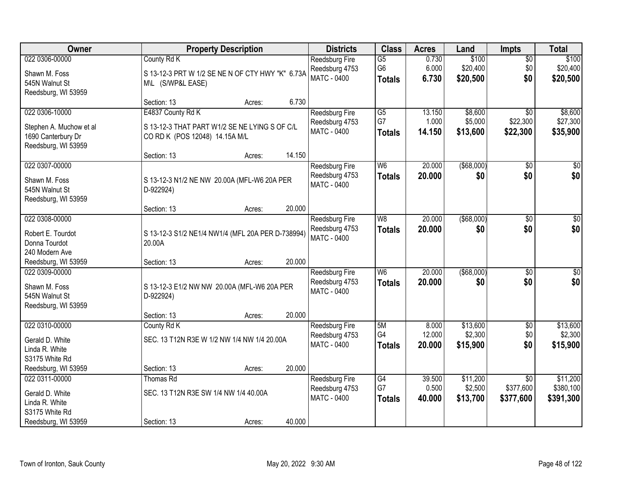| Owner                                         | <b>Property Description</b>                                                     | <b>Districts</b>                     | <b>Class</b>                    | <b>Acres</b>     | Land                 | <b>Impts</b>                 | <b>Total</b>          |
|-----------------------------------------------|---------------------------------------------------------------------------------|--------------------------------------|---------------------------------|------------------|----------------------|------------------------------|-----------------------|
| 022 0306-00000                                | County Rd K                                                                     | Reedsburg Fire                       | $\overline{G5}$                 | 0.730            | \$100                | $\overline{50}$              | \$100                 |
| Shawn M. Foss                                 | S 13-12-3 PRT W 1/2 SE NE N OF CTY HWY "K" 6.73A                                | Reedsburg 4753<br><b>MATC - 0400</b> | G <sub>6</sub><br><b>Totals</b> | 6.000<br>6.730   | \$20,400<br>\$20,500 | \$0<br>\$0                   | \$20,400<br>\$20,500  |
| 545N Walnut St                                | M\L (S/WP&L EASE)                                                               |                                      |                                 |                  |                      |                              |                       |
| Reedsburg, WI 53959                           | Section: 13<br>Acres:                                                           | 6.730                                |                                 |                  |                      |                              |                       |
| 022 0306-10000                                | E4837 County Rd K                                                               | Reedsburg Fire                       | $\overline{G5}$                 | 13.150           | \$8,600              | $\overline{30}$              | \$8,600               |
|                                               |                                                                                 | Reedsburg 4753                       | G7                              | 1.000            | \$5,000              | \$22,300                     | \$27,300              |
| Stephen A. Muchow et al<br>1690 Canterbury Dr | S 13-12-3 THAT PART W1/2 SE NE LYING S OF C/L<br>CO RD K (POS 12048) 14.15A M/L | MATC - 0400                          | <b>Totals</b>                   | 14.150           | \$13,600             | \$22,300                     | \$35,900              |
| Reedsburg, WI 53959                           |                                                                                 |                                      |                                 |                  |                      |                              |                       |
|                                               | Section: 13<br>Acres:                                                           | 14.150                               |                                 |                  |                      |                              |                       |
| 022 0307-00000                                |                                                                                 | Reedsburg Fire                       | W <sub>6</sub>                  | 20.000           | $($ \$68,000)        | \$0                          | \$0                   |
| Shawn M. Foss                                 | S 13-12-3 N1/2 NE NW 20.00A (MFL-W6 20A PER                                     | Reedsburg 4753                       | <b>Totals</b>                   | 20.000           | \$0                  | \$0                          | \$0                   |
| 545N Walnut St                                | D-922924)                                                                       | <b>MATC - 0400</b>                   |                                 |                  |                      |                              |                       |
| Reedsburg, WI 53959                           |                                                                                 |                                      |                                 |                  |                      |                              |                       |
|                                               | Section: 13<br>Acres:                                                           | 20.000                               |                                 |                  |                      |                              |                       |
| 022 0308-00000                                |                                                                                 | Reedsburg Fire<br>Reedsburg 4753     | W <sub>8</sub>                  | 20.000<br>20,000 | ( \$68,000)<br>\$0   | \$0<br>\$0                   | \$0<br>\$0            |
| Robert E. Tourdot                             | S 13-12-3 S1/2 NE1/4 NW1/4 (MFL 20A PER D-738994)                               | <b>MATC - 0400</b>                   | <b>Totals</b>                   |                  |                      |                              |                       |
| Donna Tourdot                                 | 20.00A                                                                          |                                      |                                 |                  |                      |                              |                       |
| 240 Modern Ave<br>Reedsburg, WI 53959         | Section: 13<br>Acres:                                                           | 20.000                               |                                 |                  |                      |                              |                       |
| 022 0309-00000                                |                                                                                 | Reedsburg Fire                       | $\overline{\mathsf{W6}}$        | 20.000           | $($ \$68,000)        | $\overline{30}$              | $\overline{\$0}$      |
| Shawn M. Foss                                 |                                                                                 | Reedsburg 4753                       | <b>Totals</b>                   | 20.000           | \$0                  | \$0                          | \$0                   |
| 545N Walnut St                                | S 13-12-3 E1/2 NW NW 20.00A (MFL-W6 20A PER<br>D-922924)                        | MATC - 0400                          |                                 |                  |                      |                              |                       |
| Reedsburg, WI 53959                           |                                                                                 |                                      |                                 |                  |                      |                              |                       |
|                                               | Section: 13<br>Acres:                                                           | 20.000                               |                                 |                  |                      |                              |                       |
| 022 0310-00000                                | County Rd K                                                                     | Reedsburg Fire                       | 5M                              | 8.000            | \$13,600             | $\overline{60}$              | \$13,600              |
| Gerald D. White                               | SEC. 13 T12N R3E W 1/2 NW 1/4 NW 1/4 20.00A                                     | Reedsburg 4753                       | G4                              | 12.000           | \$2,300              | \$0                          | \$2,300               |
| Linda R. White                                |                                                                                 | MATC - 0400                          | <b>Totals</b>                   | 20,000           | \$15,900             | \$0                          | \$15,900              |
| S3175 White Rd                                |                                                                                 |                                      |                                 |                  |                      |                              |                       |
| Reedsburg, WI 53959                           | Section: 13<br>Acres:                                                           | 20.000                               |                                 |                  |                      |                              |                       |
| 022 0311-00000                                | <b>Thomas Rd</b>                                                                | Reedsburg Fire<br>Reedsburg 4753     | $\overline{G4}$<br>G7           | 39.500<br>0.500  | \$11,200<br>\$2,500  | $\overline{30}$<br>\$377,600 | \$11,200<br>\$380,100 |
| Gerald D. White                               | SEC. 13 T12N R3E SW 1/4 NW 1/4 40.00A                                           | <b>MATC - 0400</b>                   | <b>Totals</b>                   | 40.000           | \$13,700             | \$377,600                    | \$391,300             |
| Linda R. White<br>S3175 White Rd              |                                                                                 |                                      |                                 |                  |                      |                              |                       |
| Reedsburg, WI 53959                           | Section: 13<br>Acres:                                                           | 40.000                               |                                 |                  |                      |                              |                       |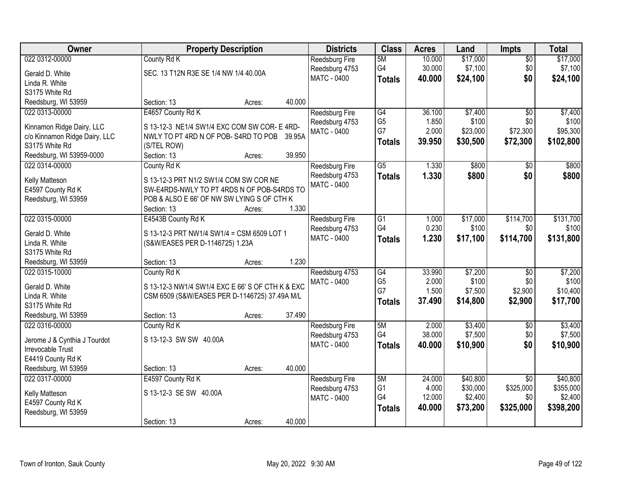| Owner                         | <b>Property Description</b>                      |        |        | <b>Districts</b>      | <b>Class</b>    | <b>Acres</b> | Land     | Impts           | <b>Total</b> |
|-------------------------------|--------------------------------------------------|--------|--------|-----------------------|-----------------|--------------|----------|-----------------|--------------|
| 022 0312-00000                | County Rd K                                      |        |        | Reedsburg Fire        | 5M              | 10.000       | \$17,000 | $\overline{50}$ | \$17,000     |
| Gerald D. White               | SEC. 13 T12N R3E SE 1/4 NW 1/4 40.00A            |        |        | Reedsburg 4753        | G4              | 30.000       | \$7,100  | \$0             | \$7,100      |
| Linda R. White                |                                                  |        |        | MATC - 0400           | <b>Totals</b>   | 40.000       | \$24,100 | \$0             | \$24,100     |
| S3175 White Rd                |                                                  |        |        |                       |                 |              |          |                 |              |
| Reedsburg, WI 53959           | Section: 13                                      | Acres: | 40.000 |                       |                 |              |          |                 |              |
| 022 0313-00000                | E4657 County Rd K                                |        |        | <b>Reedsburg Fire</b> | G4              | 36.100       | \$7,400  | $\overline{50}$ | \$7,400      |
|                               |                                                  |        |        | Reedsburg 4753        | G <sub>5</sub>  | 1.850        | \$100    | \$0             | \$100        |
| Kinnamon Ridge Dairy, LLC     | S 13-12-3 NE1/4 SW1/4 EXC COM SW COR- E 4RD-     |        |        | MATC - 0400           | G7              | 2.000        | \$23,000 | \$72,300        | \$95,300     |
| c/o Kinnamon Ridge Dairy, LLC | NWLY TO PT 4RD N OF POB-S4RD TO POB 39.95A       |        |        |                       | <b>Totals</b>   | 39.950       | \$30,500 | \$72,300        | \$102,800    |
| S3175 White Rd                | (S/TEL ROW)                                      |        |        |                       |                 |              |          |                 |              |
| Reedsburg, WI 53959-0000      | Section: 13                                      | Acres: | 39.950 |                       |                 |              |          |                 |              |
| 022 0314-00000                | County Rd K                                      |        |        | Reedsburg Fire        | $\overline{G5}$ | 1.330        | \$800    | $\overline{50}$ | \$800        |
| Kelly Matteson                | S 13-12-3 PRT N1/2 SW1/4 COM SW COR NE           |        |        | Reedsburg 4753        | <b>Totals</b>   | 1.330        | \$800    | \$0             | \$800        |
| E4597 County Rd K             | SW-E4RDS-NWLY TO PT 4RDS N OF POB-S4RDS TO       |        |        | MATC - 0400           |                 |              |          |                 |              |
| Reedsburg, WI 53959           | POB & ALSO E 66' OF NW SW LYING S OF CTH K       |        |        |                       |                 |              |          |                 |              |
|                               | Section: 13                                      | Acres: | 1.330  |                       |                 |              |          |                 |              |
| 022 0315-00000                | E4543B County Rd K                               |        |        | Reedsburg Fire        | $\overline{G1}$ | 1.000        | \$17,000 | \$114,700       | \$131,700    |
| Gerald D. White               | S 13-12-3 PRT NW1/4 SW1/4 = CSM 6509 LOT 1       |        |        | Reedsburg 4753        | G4              | 0.230        | \$100    | \$0             | \$100        |
| Linda R. White                | (S&W/EASES PER D-1146725) 1.23A                  |        |        | MATC - 0400           | <b>Totals</b>   | 1.230        | \$17,100 | \$114,700       | \$131,800    |
| S3175 White Rd                |                                                  |        |        |                       |                 |              |          |                 |              |
| Reedsburg, WI 53959           | Section: 13                                      | Acres: | 1.230  |                       |                 |              |          |                 |              |
| 022 0315-10000                | County Rd K                                      |        |        | Reedsburg 4753        | G4              | 33.990       | \$7,200  | $\overline{50}$ | \$7,200      |
|                               |                                                  |        |        | MATC - 0400           | G <sub>5</sub>  | 2.000        | \$100    | \$0             | \$100        |
| Gerald D. White               | S 13-12-3 NW1/4 SW1/4 EXC E 66' S OF CTH K & EXC |        |        |                       | G7              | 1.500        | \$7,500  | \$2,900         | \$10,400     |
| Linda R. White                | CSM 6509 (S&W/EASES PER D-1146725) 37.49A M/L    |        |        |                       | <b>Totals</b>   | 37.490       | \$14,800 | \$2,900         | \$17,700     |
| S3175 White Rd                |                                                  |        |        |                       |                 |              |          |                 |              |
| Reedsburg, WI 53959           | Section: 13                                      | Acres: | 37.490 |                       |                 |              |          |                 |              |
| 022 0316-00000                | County Rd K                                      |        |        | Reedsburg Fire        | 5M              | 2.000        | \$3,400  | $\overline{50}$ | \$3,400      |
| Jerome J & Cynthia J Tourdot  | S 13-12-3 SW SW 40.00A                           |        |        | Reedsburg 4753        | G4              | 38.000       | \$7,500  | \$0             | \$7,500      |
| Irrevocable Trust             |                                                  |        |        | MATC - 0400           | <b>Totals</b>   | 40.000       | \$10,900 | \$0             | \$10,900     |
| E4419 County Rd K             |                                                  |        |        |                       |                 |              |          |                 |              |
| Reedsburg, WI 53959           | Section: 13                                      | Acres: | 40.000 |                       |                 |              |          |                 |              |
| 022 0317-00000                | E4597 County Rd K                                |        |        | Reedsburg Fire        | 5M              | 24.000       | \$40,800 | $\overline{30}$ | \$40,800     |
|                               |                                                  |        |        | Reedsburg 4753        | G <sub>1</sub>  | 4.000        | \$30,000 | \$325,000       | \$355,000    |
| Kelly Matteson                | S 13-12-3 SE SW 40.00A                           |        |        | <b>MATC - 0400</b>    | G4              | 12.000       | \$2,400  | \$0             | \$2,400      |
| E4597 County Rd K             |                                                  |        |        |                       | <b>Totals</b>   | 40.000       | \$73,200 | \$325,000       | \$398,200    |
| Reedsburg, WI 53959           |                                                  |        |        |                       |                 |              |          |                 |              |
|                               | Section: 13                                      | Acres: | 40.000 |                       |                 |              |          |                 |              |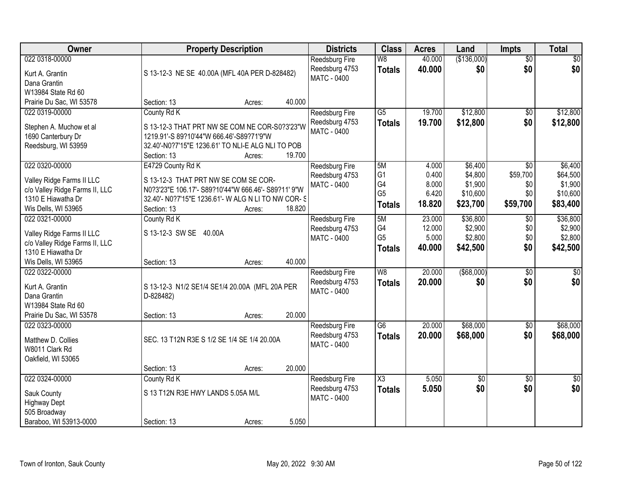| Owner                                |                                                             | <b>Property Description</b> |        | <b>Districts</b>      | <b>Class</b>        | <b>Acres</b> | Land            | <b>Impts</b>    | <b>Total</b>    |
|--------------------------------------|-------------------------------------------------------------|-----------------------------|--------|-----------------------|---------------------|--------------|-----------------|-----------------|-----------------|
| 022 0318-00000                       |                                                             |                             |        | <b>Reedsburg Fire</b> | W8                  | 40.000       | (\$136,000)     | $\overline{50}$ | $\sqrt{30}$     |
| Kurt A. Grantin                      | S 13-12-3 NE SE 40.00A (MFL 40A PER D-828482)               |                             |        | Reedsburg 4753        | <b>Totals</b>       | 40.000       | \$0             | \$0             | \$0             |
| Dana Grantin                         |                                                             |                             |        | <b>MATC - 0400</b>    |                     |              |                 |                 |                 |
| W13984 State Rd 60                   |                                                             |                             |        |                       |                     |              |                 |                 |                 |
| Prairie Du Sac, WI 53578             | Section: 13                                                 | Acres:                      | 40.000 |                       |                     |              |                 |                 |                 |
| 022 0319-00000                       | County Rd K                                                 |                             |        | Reedsburg Fire        | $\overline{G5}$     | 19.700       | \$12,800        | $\overline{50}$ | \$12,800        |
| Stephen A. Muchow et al              | S 13-12-3 THAT PRT NW SE COM NE COR-S0?3'23"W               |                             |        | Reedsburg 4753        | <b>Totals</b>       | 19.700       | \$12,800        | \$0             | \$12,800        |
| 1690 Canterbury Dr                   | 1219.91'-S 89?10'44"W 666.46'-S89?71'9"W                    |                             |        | MATC - 0400           |                     |              |                 |                 |                 |
| Reedsburg, WI 53959                  | 32.40'-N0?7'15"E 1236.61' TO NLI-E ALG NLI TO POB           |                             |        |                       |                     |              |                 |                 |                 |
|                                      | Section: 13                                                 | Acres:                      | 19.700 |                       |                     |              |                 |                 |                 |
| 022 0320-00000                       | E4729 County Rd K                                           |                             |        | Reedsburg Fire        | 5M                  | 4.000        | \$6,400         | \$0             | \$6,400         |
| Valley Ridge Farms II LLC            | S 13-12-3 THAT PRT NW SE COM SE COR-                        |                             |        | Reedsburg 4753        | G <sub>1</sub>      | 0.400        | \$4,800         | \$59,700        | \$64,500        |
| c/o Valley Ridge Farms II, LLC       | N0?3'23"E 106.17'- S89?10'44"W 666.46'- S89?11' 9"W         |                             |        | <b>MATC - 0400</b>    | G4                  | 8.000        | \$1,900         | \$0             | \$1,900         |
| 1310 E Hiawatha Dr                   | 32.40'- N0?7'15"E 1236.61'- W ALG N LI TO NW COR- S         |                             |        |                       | G <sub>5</sub>      | 6.420        | \$10,600        | \$0             | \$10,600        |
| Wis Dells, WI 53965                  | Section: 13                                                 | Acres:                      | 18.820 |                       | <b>Totals</b>       | 18.820       | \$23,700        | \$59,700        | \$83,400        |
| 022 0321-00000                       | County Rd K                                                 |                             |        | Reedsburg Fire        | 5M                  | 23.000       | \$36,800        | $\sqrt[6]{}$    | \$36,800        |
| Valley Ridge Farms II LLC            | S 13-12-3 SW SE 40.00A                                      |                             |        | Reedsburg 4753        | G4                  | 12.000       | \$2,900         | \$0             | \$2,900         |
| c/o Valley Ridge Farms II, LLC       |                                                             |                             |        | <b>MATC - 0400</b>    | G <sub>5</sub>      | 5.000        | \$2,800         | \$0             | \$2,800         |
| 1310 E Hiawatha Dr                   |                                                             |                             |        |                       | <b>Totals</b>       | 40.000       | \$42,500        | \$0             | \$42,500        |
| Wis Dells, WI 53965                  | Section: 13                                                 | Acres:                      | 40.000 |                       |                     |              |                 |                 |                 |
| 022 0322-00000                       |                                                             |                             |        | Reedsburg Fire        | W8                  | 20.000       | $($ \$68,000)   | $\overline{30}$ | $\overline{30}$ |
| Kurt A. Grantin                      |                                                             |                             |        | Reedsburg 4753        | Totals              | 20,000       | \$0             | \$0             | \$0             |
| Dana Grantin                         | S 13-12-3 N1/2 SE1/4 SE1/4 20.00A (MFL 20A PER<br>D-828482) |                             |        | <b>MATC - 0400</b>    |                     |              |                 |                 |                 |
| W13984 State Rd 60                   |                                                             |                             |        |                       |                     |              |                 |                 |                 |
| Prairie Du Sac, WI 53578             | Section: 13                                                 | Acres:                      | 20.000 |                       |                     |              |                 |                 |                 |
| 022 0323-00000                       |                                                             |                             |        | Reedsburg Fire        | G6                  | 20.000       | \$68,000        | $\sqrt{6}$      | \$68,000        |
|                                      | SEC. 13 T12N R3E S 1/2 SE 1/4 SE 1/4 20.00A                 |                             |        | Reedsburg 4753        | <b>Totals</b>       | 20.000       | \$68,000        | \$0             | \$68,000        |
| Matthew D. Collies<br>W8011 Clark Rd |                                                             |                             |        | <b>MATC - 0400</b>    |                     |              |                 |                 |                 |
| Oakfield, WI 53065                   |                                                             |                             |        |                       |                     |              |                 |                 |                 |
|                                      | Section: 13                                                 | Acres:                      | 20.000 |                       |                     |              |                 |                 |                 |
| 022 0324-00000                       | County Rd K                                                 |                             |        | <b>Reedsburg Fire</b> | $\overline{\chi_3}$ | 5.050        | $\overline{50}$ | $\overline{50}$ | $\overline{50}$ |
|                                      | S 13 T12N R3E HWY LANDS 5.05A M/L                           |                             |        | Reedsburg 4753        | <b>Totals</b>       | 5.050        | \$0             | \$0             | \$0             |
| Sauk County<br><b>Highway Dept</b>   |                                                             |                             |        | <b>MATC - 0400</b>    |                     |              |                 |                 |                 |
| 505 Broadway                         |                                                             |                             |        |                       |                     |              |                 |                 |                 |
| Baraboo, WI 53913-0000               | Section: 13                                                 | Acres:                      | 5.050  |                       |                     |              |                 |                 |                 |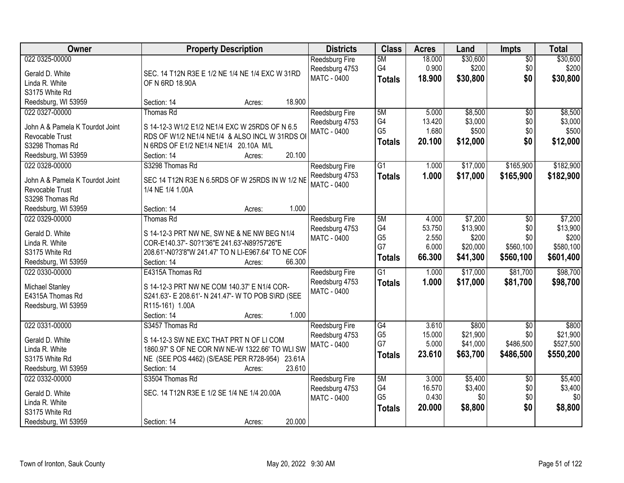| Owner                             | <b>Property Description</b>                                                                | <b>Districts</b>                 | <b>Class</b>    | <b>Acres</b> | Land     | Impts           | <b>Total</b> |
|-----------------------------------|--------------------------------------------------------------------------------------------|----------------------------------|-----------------|--------------|----------|-----------------|--------------|
| 022 0325-00000                    |                                                                                            | Reedsburg Fire                   | 5M              | 18.000       | \$30,600 | $\overline{50}$ | \$30,600     |
| Gerald D. White                   | SEC. 14 T12N R3E E 1/2 NE 1/4 NE 1/4 EXC W 31RD                                            | Reedsburg 4753                   | G4              | 0.900        | \$200    | \$0             | \$200        |
| Linda R. White                    | OF N 6RD 18.90A                                                                            | <b>MATC - 0400</b>               | <b>Totals</b>   | 18.900       | \$30,800 | \$0             | \$30,800     |
| S3175 White Rd                    |                                                                                            |                                  |                 |              |          |                 |              |
| Reedsburg, WI 53959               | 18.900<br>Section: 14<br>Acres:                                                            |                                  |                 |              |          |                 |              |
| 022 0327-00000                    | <b>Thomas Rd</b>                                                                           | <b>Reedsburg Fire</b>            | 5M              | 5.000        | \$8,500  | $\overline{50}$ | \$8,500      |
|                                   |                                                                                            | Reedsburg 4753                   | G4              | 13.420       | \$3,000  | \$0             | \$3,000      |
| John A & Pamela K Tourdot Joint   | S 14-12-3 W1/2 E1/2 NE1/4 EXC W 25RDS OF N 6.5                                             | MATC - 0400                      | G <sub>5</sub>  | 1.680        | \$500    | \$0             | \$500        |
| Revocable Trust                   | RDS OF W1/2 NE1/4 NE1/4 & ALSO INCL W 31RDS OF                                             |                                  | <b>Totals</b>   | 20.100       | \$12,000 | \$0             | \$12,000     |
| S3298 Thomas Rd                   | N 6RDS OF E1/2 NE1/4 NE1/4 20.10A M/L<br>20.100                                            |                                  |                 |              |          |                 |              |
| Reedsburg, WI 53959               | Section: 14<br>Acres:                                                                      |                                  |                 |              |          |                 |              |
| 022 0328-00000                    | S3298 Thomas Rd                                                                            | Reedsburg Fire                   | G1              | 1.000        | \$17,000 | \$165,900       | \$182,900    |
| John A & Pamela K Tourdot Joint   | SEC 14 T12N R3E N 6.5RDS OF W 25RDS IN W 1/2 NE                                            | Reedsburg 4753                   | <b>Totals</b>   | 1.000        | \$17,000 | \$165,900       | \$182,900    |
| Revocable Trust                   | 1/4 NE 1/4 1.00A                                                                           | <b>MATC - 0400</b>               |                 |              |          |                 |              |
| S3298 Thomas Rd                   |                                                                                            |                                  |                 |              |          |                 |              |
| Reedsburg, WI 53959               | 1.000<br>Section: 14<br>Acres:                                                             |                                  |                 |              |          |                 |              |
| 022 0329-00000                    | Thomas Rd                                                                                  | <b>Reedsburg Fire</b>            | 5M              | 4.000        | \$7,200  | \$0             | \$7,200      |
|                                   |                                                                                            | Reedsburg 4753                   | G4              | 53.750       | \$13,900 | \$0             | \$13,900     |
| Gerald D. White<br>Linda R. White | S 14-12-3 PRT NW NE, SW NE & NE NW BEG N1/4<br>COR-E140.37'- S0?1'36"E 241.63'-N89?57'26"E | <b>MATC - 0400</b>               | G <sub>5</sub>  | 2.550        | \$200    | \$0             | \$200        |
| S3175 White Rd                    | 208.61'-N0?3'8"W 241.47' TO N LI-E967.64' TO NE COF                                        |                                  | G7              | 6.000        | \$20,000 | \$560,100       | \$580,100    |
| Reedsburg, WI 53959               | 66.300<br>Section: 14<br>Acres:                                                            |                                  | <b>Totals</b>   | 66.300       | \$41,300 | \$560,100       | \$601,400    |
| 022 0330-00000                    | E4315A Thomas Rd                                                                           |                                  | $\overline{G1}$ | 1.000        | \$17,000 | \$81,700        | \$98,700     |
|                                   |                                                                                            | Reedsburg Fire<br>Reedsburg 4753 |                 | 1.000        | \$17,000 | \$81,700        | \$98,700     |
| <b>Michael Stanley</b>            | S 14-12-3 PRT NW NE COM 140.37' E N1/4 COR-                                                | <b>MATC - 0400</b>               | <b>Totals</b>   |              |          |                 |              |
| E4315A Thomas Rd                  | S241.63'- E 208.61'- N 241.47'- W TO POB S\RD (SEE                                         |                                  |                 |              |          |                 |              |
| Reedsburg, WI 53959               | R115-161) 1.00A                                                                            |                                  |                 |              |          |                 |              |
|                                   | 1.000<br>Section: 14<br>Acres:                                                             |                                  |                 |              |          |                 |              |
| 022 0331-00000                    | S3457 Thomas Rd                                                                            | <b>Reedsburg Fire</b>            | G4              | 3.610        | \$800    | $\overline{50}$ | \$800        |
| Gerald D. White                   | S 14-12-3 SW NE EXC THAT PRT N OF LI COM                                                   | Reedsburg 4753                   | G <sub>5</sub>  | 15.000       | \$21,900 | \$0             | \$21,900     |
| Linda R. White                    | 1860.97' S OF NE COR NW NE-W 1322.66' TO WLI SW                                            | <b>MATC - 0400</b>               | G7              | 5.000        | \$41,000 | \$486,500       | \$527,500    |
| S3175 White Rd                    | NE (SEE POS 4462) (S/EASE PER R728-954) 23.61A                                             |                                  | <b>Totals</b>   | 23.610       | \$63,700 | \$486,500       | \$550,200    |
| Reedsburg, WI 53959               | 23.610<br>Section: 14<br>Acres:                                                            |                                  |                 |              |          |                 |              |
| 022 0332-00000                    | S3504 Thomas Rd                                                                            | Reedsburg Fire                   | 5M              | 3.000        | \$5,400  | $\overline{50}$ | \$5,400      |
|                                   |                                                                                            | Reedsburg 4753                   | G4              | 16.570       | \$3,400  | \$0             | \$3,400      |
| Gerald D. White                   | SEC. 14 T12N R3E E 1/2 SE 1/4 NE 1/4 20.00A                                                | MATC - 0400                      | G <sub>5</sub>  | 0.430        | \$0      | \$0             | \$0          |
| Linda R. White                    |                                                                                            |                                  | <b>Totals</b>   | 20.000       | \$8,800  | \$0             | \$8,800      |
| S3175 White Rd                    |                                                                                            |                                  |                 |              |          |                 |              |
| Reedsburg, WI 53959               | 20.000<br>Section: 14<br>Acres:                                                            |                                  |                 |              |          |                 |              |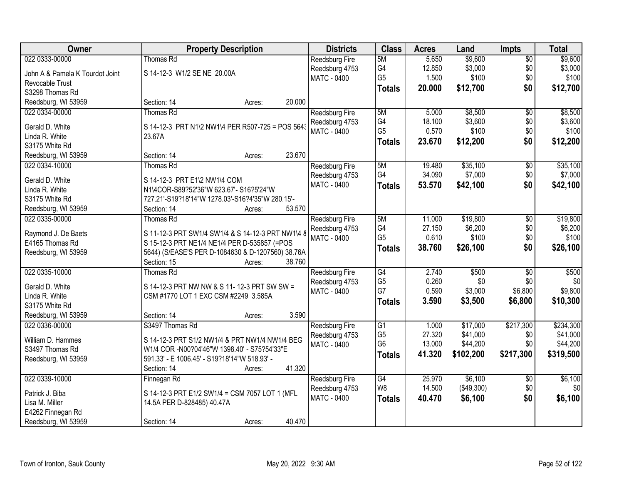| Owner                           | <b>Property Description</b>                       | <b>Districts</b>      | <b>Class</b>   | <b>Acres</b>    | Land             | <b>Impts</b>    | <b>Total</b>     |
|---------------------------------|---------------------------------------------------|-----------------------|----------------|-----------------|------------------|-----------------|------------------|
| 022 0333-00000                  | <b>Thomas Rd</b>                                  | <b>Reedsburg Fire</b> | 5M             | 5.650           | \$9,600          | $\overline{50}$ | \$9,600          |
| John A & Pamela K Tourdot Joint | S 14-12-3 W1/2 SE NE 20.00A                       | Reedsburg 4753        | G4             | 12.850          | \$3,000          | \$0             | \$3,000          |
| Revocable Trust                 |                                                   | <b>MATC - 0400</b>    | G <sub>5</sub> | 1.500           | \$100            | \$0             | \$100            |
| S3298 Thomas Rd                 |                                                   |                       | <b>Totals</b>  | 20.000          | \$12,700         | \$0             | \$12,700         |
| Reedsburg, WI 53959             | 20.000<br>Section: 14<br>Acres:                   |                       |                |                 |                  |                 |                  |
| 022 0334-00000                  | Thomas Rd                                         |                       | 5M             | 5.000           | \$8,500          |                 | \$8,500          |
|                                 |                                                   | Reedsburg Fire        | G4             |                 |                  | $\overline{30}$ |                  |
| Gerald D. White                 | S 14-12-3 PRT N1\2 NW1\4 PER R507-725 = POS 5643  | Reedsburg 4753        | G <sub>5</sub> | 18.100<br>0.570 | \$3,600<br>\$100 | \$0<br>\$0      | \$3,600<br>\$100 |
| Linda R. White                  | 23.67A                                            | MATC - 0400           |                |                 |                  |                 |                  |
| S3175 White Rd                  |                                                   |                       | <b>Totals</b>  | 23.670          | \$12,200         | \$0             | \$12,200         |
| Reedsburg, WI 53959             | 23.670<br>Section: 14<br>Acres:                   |                       |                |                 |                  |                 |                  |
| 022 0334-10000                  | Thomas Rd                                         | Reedsburg Fire        | 5M             | 19.480          | \$35,100         | \$0             | \$35,100         |
|                                 |                                                   | Reedsburg 4753        | G4             | 34.090          | \$7,000          | \$0             | \$7,000          |
| Gerald D. White                 | S 14-12-3 PRT E1\2 NW1\4 COM                      | <b>MATC - 0400</b>    | <b>Totals</b>  | 53.570          | \$42,100         | \$0             | \$42,100         |
| Linda R. White                  | N1\4COR-S89?52'36"W 623.67'- S16?5'24"W           |                       |                |                 |                  |                 |                  |
| S3175 White Rd                  | 727.21'-S19?18'14"W 1278.03'-S16?4'35"W 280.15'-  |                       |                |                 |                  |                 |                  |
| Reedsburg, WI 53959             | 53.570<br>Section: 14<br>Acres:                   |                       |                |                 |                  |                 |                  |
| 022 0335-00000                  | <b>Thomas Rd</b>                                  | <b>Reedsburg Fire</b> | 5M             | 11.000          | \$19,800         | \$0             | \$19,800         |
| Raymond J. De Baets             | S 11-12-3 PRT SW1/4 SW1/4 & S 14-12-3 PRT NW1\4 8 | Reedsburg 4753        | G4             | 27.150          | \$6,200          | \$0             | \$6,200          |
| E4165 Thomas Rd                 | S 15-12-3 PRT NE1/4 NE1/4 PER D-535857 (=POS      | <b>MATC - 0400</b>    | G <sub>5</sub> | 0.610           | \$100            | \$0             | \$100            |
| Reedsburg, WI 53959             | 5644) (S/EASE'S PER D-1084630 & D-1207560) 38.76A |                       | <b>Totals</b>  | 38.760          | \$26,100         | \$0             | \$26,100         |
|                                 | 38.760<br>Section: 15<br>Acres:                   |                       |                |                 |                  |                 |                  |
| 022 0335-10000                  | Thomas Rd                                         | Reedsburg Fire        | G4             | 2.740           | \$500            | $\overline{50}$ | \$500            |
|                                 |                                                   | Reedsburg 4753        | G <sub>5</sub> | 0.260           | \$0              | \$0             | \$0              |
| Gerald D. White                 | S 14-12-3 PRT NW NW & S 11- 12-3 PRT SW SW =      | MATC - 0400           | G7             | 0.590           | \$3,000          | \$6,800         | \$9,800          |
| Linda R. White                  | CSM #1770 LOT 1 EXC CSM #2249 3.585A              |                       | <b>Totals</b>  | 3.590           | \$3,500          | \$6,800         | \$10,300         |
| S3175 White Rd                  |                                                   |                       |                |                 |                  |                 |                  |
| Reedsburg, WI 53959             | 3.590<br>Section: 14<br>Acres:                    |                       |                |                 |                  |                 |                  |
| 022 0336-00000                  | S3497 Thomas Rd                                   | Reedsburg Fire        | G1             | 1.000           | \$17,000         | \$217,300       | \$234,300        |
| William D. Hammes               | S 14-12-3 PRT S1/2 NW1/4 & PRT NW1/4 NW1/4 BEG    | Reedsburg 4753        | G <sub>5</sub> | 27.320          | \$41,000         | \$0             | \$41,000         |
| S3497 Thomas Rd                 | W1/4 COR -N00?04'46"W 1398.40' - S75?54'33"E      | <b>MATC - 0400</b>    | G <sub>6</sub> | 13.000          | \$44,200         | \$0             | \$44,200         |
| Reedsburg, WI 53959             | 591.33' - E 1006.45' - S19?18'14"W 518.93' -      |                       | <b>Totals</b>  | 41.320          | \$102,200        | \$217,300       | \$319,500        |
|                                 | 41.320<br>Section: 14<br>Acres:                   |                       |                |                 |                  |                 |                  |
| 022 0339-10000                  | Finnegan Rd                                       | Reedsburg Fire        | G4             | 25.970          | \$6,100          | $\overline{30}$ | \$6,100          |
|                                 |                                                   | Reedsburg 4753        | W8             | 14.500          | (\$49,300)       | \$0             | \$0              |
| Patrick J. Biba                 | S 14-12-3 PRT E1/2 SW1/4 = CSM 7057 LOT 1 (MFL    | MATC - 0400           | <b>Totals</b>  | 40.470          | \$6,100          | \$0             | \$6,100          |
| Lisa M. Miller                  | 14.5A PER D-828485) 40.47A                        |                       |                |                 |                  |                 |                  |
| E4262 Finnegan Rd               |                                                   |                       |                |                 |                  |                 |                  |
| Reedsburg, WI 53959             | 40.470<br>Section: 14<br>Acres:                   |                       |                |                 |                  |                 |                  |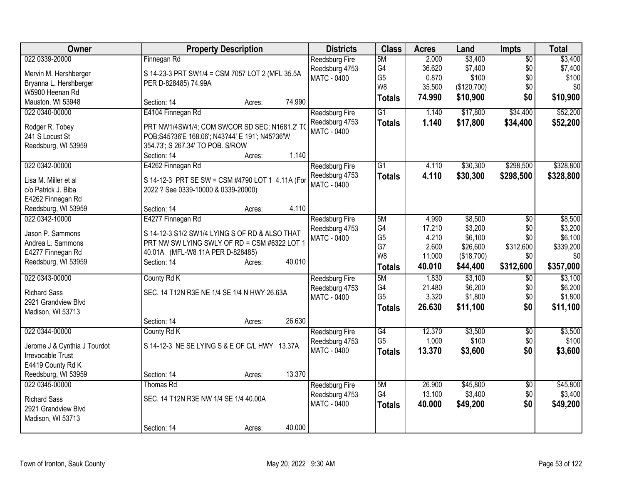| <b>Owner</b>                              | <b>Property Description</b>                                                                     | <b>Districts</b>                                              | <b>Class</b>                     | <b>Acres</b>             | Land                        | <b>Impts</b>                  | <b>Total</b>                |
|-------------------------------------------|-------------------------------------------------------------------------------------------------|---------------------------------------------------------------|----------------------------------|--------------------------|-----------------------------|-------------------------------|-----------------------------|
| 022 0339-20000<br>Mervin M. Hershberger   | Finnegan Rd<br>S 14-23-3 PRT SW1/4 = CSM 7057 LOT 2 (MFL 35.5A                                  | <b>Reedsburg Fire</b><br>Reedsburg 4753<br><b>MATC - 0400</b> | 5M<br>G4<br>G <sub>5</sub>       | 2.000<br>36.620<br>0.870 | \$3,400<br>\$7,400<br>\$100 | $\overline{50}$<br>\$0<br>\$0 | \$3,400<br>\$7,400<br>\$100 |
| Bryanna L. Hershberger<br>W5900 Heenan Rd | PER D-828485) 74.99A                                                                            |                                                               | W <sub>8</sub><br><b>Totals</b>  | 35.500<br>74.990         | (\$120,700)<br>\$10,900     | \$0<br>\$0                    | \$0<br>\$10,900             |
| Mauston, WI 53948                         | 74.990<br>Section: 14<br>Acres:                                                                 |                                                               |                                  |                          |                             |                               |                             |
| 022 0340-00000                            | E4104 Finnegan Rd                                                                               | Reedsburg Fire<br>Reedsburg 4753                              | $\overline{G1}$<br><b>Totals</b> | 1.140<br>1.140           | \$17,800<br>\$17,800        | \$34,400<br>\$34,400          | \$52,200<br>\$52,200        |
| Rodger R. Tobey<br>241 S Locust St        | PRT NW1/4SW1/4; COM SWCOR SD SEC; N1681.2' TO<br>POB;S45?36'E 168.06'; N43?44' E 191'; N45?36'W | <b>MATC - 0400</b>                                            |                                  |                          |                             |                               |                             |
| Reedsburg, WI 53959                       | 354.73'; S 267.34' TO POB. S/ROW                                                                |                                                               |                                  |                          |                             |                               |                             |
|                                           | 1.140<br>Section: 14<br>Acres:                                                                  |                                                               |                                  |                          |                             |                               |                             |
| 022 0342-00000                            | E4262 Finnegan Rd                                                                               | Reedsburg Fire<br>Reedsburg 4753                              | $\overline{G1}$                  | 4.110<br>4.110           | \$30,300<br>\$30,300        | \$298,500<br>\$298,500        | \$328,800<br>\$328,800      |
| Lisa M. Miller et al                      | S 14-12-3 PRT SE SW = CSM #4790 LOT 1 4.11A (For                                                | MATC - 0400                                                   | <b>Totals</b>                    |                          |                             |                               |                             |
| c/o Patrick J. Biba<br>E4262 Finnegan Rd  | 2022 ? See 0339-10000 & 0339-20000)                                                             |                                                               |                                  |                          |                             |                               |                             |
| Reedsburg, WI 53959                       | 4.110<br>Section: 14<br>Acres:                                                                  |                                                               |                                  |                          |                             |                               |                             |
| 022 0342-10000                            | E4277 Finnegan Rd                                                                               | <b>Reedsburg Fire</b>                                         | 5M                               | 4.990                    | \$8,500                     | \$0                           | \$8,500                     |
| Jason P. Sammons                          | S 14-12-3 S1/2 SW1/4 LYING S OF RD & ALSO THAT                                                  | Reedsburg 4753                                                | G4                               | 17.210                   | \$3,200                     | \$0                           | \$3,200                     |
| Andrea L. Sammons                         | PRT NW SW LYING SWLY OF RD = CSM #6322 LOT 1                                                    | MATC - 0400                                                   | G <sub>5</sub>                   | 4.210                    | \$6,100                     | \$0                           | \$6,100                     |
| E4277 Finnegan Rd                         | 40.01A (MFL-W8 11A PER D-828485)                                                                |                                                               | G7                               | 2.600                    | \$26,600                    | \$312,600                     | \$339,200                   |
| Reedsburg, WI 53959                       | Section: 14<br>40.010<br>Acres:                                                                 |                                                               | W <sub>8</sub>                   | 11.000                   | (\$18,700)                  | \$0                           | \$0                         |
|                                           |                                                                                                 |                                                               | <b>Totals</b>                    | 40.010                   | \$44,400                    | \$312,600                     | \$357,000                   |
| 022 0343-00000                            | County Rd K                                                                                     | Reedsburg Fire                                                | 5M                               | 1.830                    | \$3,100                     | $\overline{50}$               | \$3,100                     |
| <b>Richard Sass</b>                       | SEC. 14 T12N R3E NE 1/4 SE 1/4 N HWY 26.63A                                                     | Reedsburg 4753                                                | G4                               | 21.480                   | \$6,200                     | \$0                           | \$6,200                     |
| 2921 Grandview Blvd                       |                                                                                                 | MATC - 0400                                                   | G <sub>5</sub>                   | 3.320                    | \$1,800                     | \$0                           | \$1,800                     |
| Madison, WI 53713                         |                                                                                                 |                                                               | <b>Totals</b>                    | 26.630                   | \$11,100                    | \$0                           | \$11,100                    |
|                                           | 26.630<br>Section: 14<br>Acres:                                                                 |                                                               |                                  |                          |                             |                               |                             |
| 022 0344-00000                            | County Rd K                                                                                     | <b>Reedsburg Fire</b>                                         | $\overline{G4}$                  | 12.370                   | \$3,500                     | \$0                           | \$3,500                     |
| Jerome J & Cynthia J Tourdot              | S 14-12-3 NE SE LYING S & E OF C/L HWY 13.37A                                                   | Reedsburg 4753                                                | G <sub>5</sub>                   | 1.000                    | \$100                       | \$0                           | \$100                       |
| Irrevocable Trust                         |                                                                                                 | MATC - 0400                                                   | <b>Totals</b>                    | 13.370                   | \$3,600                     | \$0                           | \$3,600                     |
| E4419 County Rd K                         |                                                                                                 |                                                               |                                  |                          |                             |                               |                             |
| Reedsburg, WI 53959                       | 13.370<br>Section: 14<br>Acres:                                                                 |                                                               |                                  |                          |                             |                               |                             |
| 022 0345-00000                            | Thomas Rd                                                                                       | Reedsburg Fire                                                | 5M                               | 26.900                   | \$45,800                    | \$0                           | \$45,800                    |
| <b>Richard Sass</b>                       | SEC. 14 T12N R3E NW 1/4 SE 1/4 40.00A                                                           | Reedsburg 4753                                                | G4                               | 13.100                   | \$3,400                     | \$0                           | \$3,400                     |
| 2921 Grandview Blvd                       |                                                                                                 | <b>MATC - 0400</b>                                            | <b>Totals</b>                    | 40.000                   | \$49,200                    | \$0                           | \$49,200                    |
| Madison, WI 53713                         |                                                                                                 |                                                               |                                  |                          |                             |                               |                             |
|                                           | 40.000<br>Section: 14<br>Acres:                                                                 |                                                               |                                  |                          |                             |                               |                             |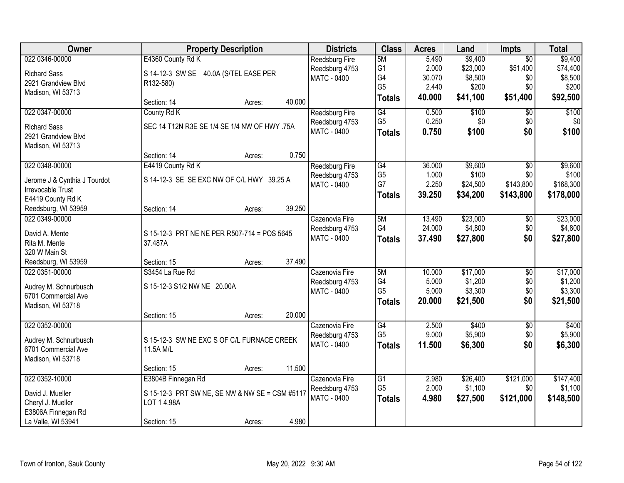| Owner                                             |                                                | <b>Property Description</b> |        | <b>Districts</b>   | <b>Class</b>         | <b>Acres</b>   | Land               | <b>Impts</b>    | <b>Total</b> |
|---------------------------------------------------|------------------------------------------------|-----------------------------|--------|--------------------|----------------------|----------------|--------------------|-----------------|--------------|
| 022 0346-00000                                    | E4360 County Rd K                              |                             |        | Reedsburg Fire     | 5M                   | 5.490          | \$9,400            | $\overline{50}$ | \$9,400      |
| <b>Richard Sass</b>                               | S 14-12-3 SW SE 40.0A (S/TEL EASE PER          |                             |        | Reedsburg 4753     | G <sub>1</sub>       | 2.000          | \$23,000           | \$51,400        | \$74,400     |
| 2921 Grandview Blvd                               | R132-580)                                      |                             |        | <b>MATC - 0400</b> | G4                   | 30.070         | \$8,500            | \$0             | \$8,500      |
| Madison, WI 53713                                 |                                                |                             |        |                    | G <sub>5</sub>       | 2.440          | \$200              | \$0             | \$200        |
|                                                   | Section: 14                                    | Acres:                      | 40.000 |                    | <b>Totals</b>        | 40.000         | \$41,100           | \$51,400        | \$92,500     |
| 022 0347-00000                                    | County Rd K                                    |                             |        | Reedsburg Fire     | G4                   | 0.500          | \$100              | $\overline{50}$ | \$100        |
| <b>Richard Sass</b>                               | SEC 14 T12N R3E SE 1/4 SE 1/4 NW OF HWY .75A   |                             |        | Reedsburg 4753     | G <sub>5</sub>       | 0.250          | \$0                | \$0             | \$0          |
| 2921 Grandview Blvd                               |                                                |                             |        | <b>MATC - 0400</b> | <b>Totals</b>        | 0.750          | \$100              | \$0             | \$100        |
| Madison, WI 53713                                 |                                                |                             |        |                    |                      |                |                    |                 |              |
|                                                   | Section: 14                                    | Acres:                      | 0.750  |                    |                      |                |                    |                 |              |
| 022 0348-00000                                    | E4419 County Rd K                              |                             |        | Reedsburg Fire     | G4                   | 36.000         | \$9,600            | $\overline{50}$ | \$9,600      |
|                                                   | S 14-12-3 SE SE EXC NW OF C/L HWY 39.25 A      |                             |        | Reedsburg 4753     | G <sub>5</sub>       | 1.000          | \$100              | \$0             | \$100        |
| Jerome J & Cynthia J Tourdot<br>Irrevocable Trust |                                                |                             |        | MATC - 0400        | G7                   | 2.250          | \$24,500           | \$143,800       | \$168,300    |
| E4419 County Rd K                                 |                                                |                             |        |                    | <b>Totals</b>        | 39.250         | \$34,200           | \$143,800       | \$178,000    |
| Reedsburg, WI 53959                               | Section: 14                                    | Acres:                      | 39.250 |                    |                      |                |                    |                 |              |
| 022 0349-00000                                    |                                                |                             |        | Cazenovia Fire     | 5M                   | 13.490         | \$23,000           | \$0             | \$23,000     |
|                                                   |                                                |                             |        | Reedsburg 4753     | G4                   | 24.000         | \$4,800            | \$0             | \$4,800      |
| David A. Mente                                    | S 15-12-3 PRT NE NE PER R507-714 = POS 5645    |                             |        | <b>MATC - 0400</b> | <b>Totals</b>        | 37.490         | \$27,800           | \$0             | \$27,800     |
| Rita M. Mente                                     | 37.487A                                        |                             |        |                    |                      |                |                    |                 |              |
| 320 W Main St                                     |                                                |                             |        |                    |                      |                |                    |                 |              |
| Reedsburg, WI 53959                               | Section: 15                                    | Acres:                      | 37.490 |                    |                      |                |                    |                 |              |
| 022 0351-00000                                    | S3454 La Rue Rd                                |                             |        | Cazenovia Fire     | 5M                   | 10.000         | \$17,000           | $\overline{30}$ | \$17,000     |
| Audrey M. Schnurbusch                             | S 15-12-3 S1/2 NW NE 20.00A                    |                             |        | Reedsburg 4753     | G4<br>G <sub>5</sub> | 5.000<br>5.000 | \$1,200<br>\$3,300 | \$0             | \$1,200      |
| 6701 Commercial Ave                               |                                                |                             |        | <b>MATC - 0400</b> |                      |                |                    | \$0             | \$3,300      |
| Madison, WI 53718                                 |                                                |                             |        |                    | <b>Totals</b>        | 20.000         | \$21,500           | \$0             | \$21,500     |
|                                                   | Section: 15                                    | Acres:                      | 20.000 |                    |                      |                |                    |                 |              |
| 022 0352-00000                                    |                                                |                             |        | Cazenovia Fire     | G4                   | 2.500          | \$400              | $\overline{60}$ | \$400        |
| Audrey M. Schnurbusch                             | S 15-12-3 SW NE EXC S OF C/L FURNACE CREEK     |                             |        | Reedsburg 4753     | G <sub>5</sub>       | 9.000          | \$5,900            | \$0             | \$5,900      |
| 6701 Commercial Ave                               | 11.5A M/L                                      |                             |        | <b>MATC - 0400</b> | <b>Totals</b>        | 11.500         | \$6,300            | \$0             | \$6,300      |
| Madison, WI 53718                                 |                                                |                             |        |                    |                      |                |                    |                 |              |
|                                                   | Section: 15                                    | Acres:                      | 11.500 |                    |                      |                |                    |                 |              |
| 022 0352-10000                                    | E3804B Finnegan Rd                             |                             |        | Cazenovia Fire     | $\overline{G1}$      | 2.980          | \$26,400           | \$121,000       | \$147,400    |
| David J. Mueller                                  | S 15-12-3 PRT SW NE, SE NW & NW SE = CSM #5117 |                             |        | Reedsburg 4753     | G <sub>5</sub>       | 2.000          | \$1,100            | \$0             | \$1,100      |
| Cheryl J. Mueller                                 | LOT 14.98A                                     |                             |        | <b>MATC - 0400</b> | <b>Totals</b>        | 4.980          | \$27,500           | \$121,000       | \$148,500    |
| E3806A Finnegan Rd                                |                                                |                             |        |                    |                      |                |                    |                 |              |
| La Valle, WI 53941                                | Section: 15                                    | Acres:                      | 4.980  |                    |                      |                |                    |                 |              |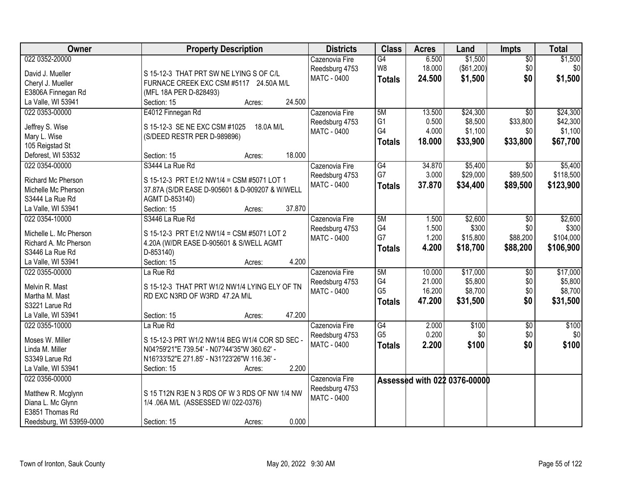| 022 0352-20000<br>\$1,500<br>\$1,500<br>6.500<br>Cazenovia Fire<br>G4<br>$\overline{50}$<br>\$0<br>W8<br>18.000<br>(\$61,200)<br>\$0<br>Reedsburg 4753<br>David J. Mueller<br>S 15-12-3 THAT PRT SW NE LYING S OF C/L<br>\$0<br>\$1,500<br><b>MATC - 0400</b><br>24.500<br>\$1,500<br><b>Totals</b><br>FURNACE CREEK EXC CSM #5117 24.50A M/L<br>Cheryl J. Mueller<br>E3806A Finnegan Rd<br>(MFL 18A PER D-828493)<br>24.500<br>La Valle, WI 53941<br>Section: 15<br>Acres:<br>5M<br>13.500<br>\$24,300<br>\$24,300<br>022 0353-00000<br>E4012 Finnegan Rd<br>$\overline{50}$<br>Cazenovia Fire<br>G <sub>1</sub><br>\$8,500<br>\$33,800<br>\$42,300<br>0.500<br>Reedsburg 4753<br>Jeffrey S. Wise<br>S 15-12-3 SE NE EXC CSM #1025<br>18.0A M/L<br>G4<br>4.000<br>\$1,100<br>\$1,100<br>\$0<br><b>MATC - 0400</b><br>Mary L. Wise<br>(S/DEED RESTR PER D-989896)<br>18.000<br>\$33,900<br>\$33,800<br>\$67,700<br><b>Totals</b><br>105 Reigstad St<br>18.000<br>Deforest, WI 53532<br>Section: 15<br>Acres:<br>022 0354-00000<br>S3444 La Rue Rd<br>\$5,400<br>\$5,400<br>G4<br>34.870<br>\$0<br>Cazenovia Fire<br>G7<br>\$89,500<br>\$29,000<br>\$118,500 |
|-------------------------------------------------------------------------------------------------------------------------------------------------------------------------------------------------------------------------------------------------------------------------------------------------------------------------------------------------------------------------------------------------------------------------------------------------------------------------------------------------------------------------------------------------------------------------------------------------------------------------------------------------------------------------------------------------------------------------------------------------------------------------------------------------------------------------------------------------------------------------------------------------------------------------------------------------------------------------------------------------------------------------------------------------------------------------------------------------------------------------------------------------------------|
|                                                                                                                                                                                                                                                                                                                                                                                                                                                                                                                                                                                                                                                                                                                                                                                                                                                                                                                                                                                                                                                                                                                                                             |
|                                                                                                                                                                                                                                                                                                                                                                                                                                                                                                                                                                                                                                                                                                                                                                                                                                                                                                                                                                                                                                                                                                                                                             |
|                                                                                                                                                                                                                                                                                                                                                                                                                                                                                                                                                                                                                                                                                                                                                                                                                                                                                                                                                                                                                                                                                                                                                             |
|                                                                                                                                                                                                                                                                                                                                                                                                                                                                                                                                                                                                                                                                                                                                                                                                                                                                                                                                                                                                                                                                                                                                                             |
|                                                                                                                                                                                                                                                                                                                                                                                                                                                                                                                                                                                                                                                                                                                                                                                                                                                                                                                                                                                                                                                                                                                                                             |
|                                                                                                                                                                                                                                                                                                                                                                                                                                                                                                                                                                                                                                                                                                                                                                                                                                                                                                                                                                                                                                                                                                                                                             |
|                                                                                                                                                                                                                                                                                                                                                                                                                                                                                                                                                                                                                                                                                                                                                                                                                                                                                                                                                                                                                                                                                                                                                             |
|                                                                                                                                                                                                                                                                                                                                                                                                                                                                                                                                                                                                                                                                                                                                                                                                                                                                                                                                                                                                                                                                                                                                                             |
|                                                                                                                                                                                                                                                                                                                                                                                                                                                                                                                                                                                                                                                                                                                                                                                                                                                                                                                                                                                                                                                                                                                                                             |
|                                                                                                                                                                                                                                                                                                                                                                                                                                                                                                                                                                                                                                                                                                                                                                                                                                                                                                                                                                                                                                                                                                                                                             |
|                                                                                                                                                                                                                                                                                                                                                                                                                                                                                                                                                                                                                                                                                                                                                                                                                                                                                                                                                                                                                                                                                                                                                             |
|                                                                                                                                                                                                                                                                                                                                                                                                                                                                                                                                                                                                                                                                                                                                                                                                                                                                                                                                                                                                                                                                                                                                                             |
| 3.000<br>Reedsburg 4753<br>Richard Mc Pherson<br>S 15-12-3 PRT E1/2 NW1/4 = CSM #5071 LOT 1                                                                                                                                                                                                                                                                                                                                                                                                                                                                                                                                                                                                                                                                                                                                                                                                                                                                                                                                                                                                                                                                 |
| 37.870<br>MATC - 0400<br>\$34,400<br>\$89,500<br>\$123,900<br><b>Totals</b><br>Michelle Mc Pherson<br>37.87A (S/DR EASE D-905601 & D-909207 & W/WELL                                                                                                                                                                                                                                                                                                                                                                                                                                                                                                                                                                                                                                                                                                                                                                                                                                                                                                                                                                                                        |
| S3444 La Rue Rd<br>AGMT D-853140)                                                                                                                                                                                                                                                                                                                                                                                                                                                                                                                                                                                                                                                                                                                                                                                                                                                                                                                                                                                                                                                                                                                           |
| 37.870<br>La Valle, WI 53941<br>Section: 15<br>Acres:                                                                                                                                                                                                                                                                                                                                                                                                                                                                                                                                                                                                                                                                                                                                                                                                                                                                                                                                                                                                                                                                                                       |
| \$2,600<br>S3446 La Rue Rd<br>5M<br>\$2,600<br>022 0354-10000<br>Cazenovia Fire<br>1.500<br>$\sqrt{6}$                                                                                                                                                                                                                                                                                                                                                                                                                                                                                                                                                                                                                                                                                                                                                                                                                                                                                                                                                                                                                                                      |
| G4<br>1.500<br>\$300<br>\$0<br>\$300<br>Reedsburg 4753                                                                                                                                                                                                                                                                                                                                                                                                                                                                                                                                                                                                                                                                                                                                                                                                                                                                                                                                                                                                                                                                                                      |
| Michelle L. Mc Pherson<br>S 15-12-3 PRT E1/2 NW1/4 = CSM #5071 LOT 2<br>G7<br>\$88,200<br>1.200<br>\$15,800<br>\$104,000<br><b>MATC - 0400</b>                                                                                                                                                                                                                                                                                                                                                                                                                                                                                                                                                                                                                                                                                                                                                                                                                                                                                                                                                                                                              |
| Richard A. Mc Pherson<br>4.20A (W/DR EASE D-905601 & S/WELL AGMT<br>4.200<br>\$18,700<br>\$88,200<br>\$106,900<br><b>Totals</b>                                                                                                                                                                                                                                                                                                                                                                                                                                                                                                                                                                                                                                                                                                                                                                                                                                                                                                                                                                                                                             |
| S3446 La Rue Rd<br>D-853140)                                                                                                                                                                                                                                                                                                                                                                                                                                                                                                                                                                                                                                                                                                                                                                                                                                                                                                                                                                                                                                                                                                                                |
| 4.200<br>La Valle, WI 53941<br>Section: 15<br>Acres:                                                                                                                                                                                                                                                                                                                                                                                                                                                                                                                                                                                                                                                                                                                                                                                                                                                                                                                                                                                                                                                                                                        |
| 5M<br>\$17,000<br>\$17,000<br>022 0355-00000<br>La Rue Rd<br>10.000<br>\$0<br>Cazenovia Fire                                                                                                                                                                                                                                                                                                                                                                                                                                                                                                                                                                                                                                                                                                                                                                                                                                                                                                                                                                                                                                                                |
| G4<br>21.000<br>\$5,800<br>\$0<br>\$5,800<br>Reedsburg 4753<br>Melvin R. Mast<br>S 15-12-3 THAT PRT W1/2 NW1/4 LYING ELY OF TN                                                                                                                                                                                                                                                                                                                                                                                                                                                                                                                                                                                                                                                                                                                                                                                                                                                                                                                                                                                                                              |
| G <sub>5</sub><br>\$0<br>16.200<br>\$8,700<br>\$8,700<br><b>MATC - 0400</b><br>Martha M. Mast<br>RD EXC N3RD OF W3RD 47.2A M\L                                                                                                                                                                                                                                                                                                                                                                                                                                                                                                                                                                                                                                                                                                                                                                                                                                                                                                                                                                                                                              |
| \$0<br>47.200<br>\$31,500<br>\$31,500<br><b>Totals</b><br>S3221 Larue Rd                                                                                                                                                                                                                                                                                                                                                                                                                                                                                                                                                                                                                                                                                                                                                                                                                                                                                                                                                                                                                                                                                    |
| 47.200<br>La Valle, WI 53941<br>Section: 15<br>Acres:                                                                                                                                                                                                                                                                                                                                                                                                                                                                                                                                                                                                                                                                                                                                                                                                                                                                                                                                                                                                                                                                                                       |
| G4<br>\$100<br>\$100<br>022 0355-10000<br>Cazenovia Fire<br>2.000<br>$\overline{60}$<br>La Rue Rd                                                                                                                                                                                                                                                                                                                                                                                                                                                                                                                                                                                                                                                                                                                                                                                                                                                                                                                                                                                                                                                           |
| G <sub>5</sub><br>0.200<br>\$0<br>\$0<br>\$0<br>Reedsburg 4753                                                                                                                                                                                                                                                                                                                                                                                                                                                                                                                                                                                                                                                                                                                                                                                                                                                                                                                                                                                                                                                                                              |
| Moses W. Miller<br>S 15-12-3 PRT W1/2 NW1/4 BEG W1/4 COR SD SEC -<br>\$100<br>2.200<br>\$100<br>\$0<br><b>MATC - 0400</b>                                                                                                                                                                                                                                                                                                                                                                                                                                                                                                                                                                                                                                                                                                                                                                                                                                                                                                                                                                                                                                   |
| <b>Totals</b><br>Linda M. Miller<br>N04?59'21"E 739.54' - N07?44'35"W 360.62' -                                                                                                                                                                                                                                                                                                                                                                                                                                                                                                                                                                                                                                                                                                                                                                                                                                                                                                                                                                                                                                                                             |
| S3349 Larue Rd<br>N16?33'52"E 271.85' - N31?23'26"W 116.36' -                                                                                                                                                                                                                                                                                                                                                                                                                                                                                                                                                                                                                                                                                                                                                                                                                                                                                                                                                                                                                                                                                               |
| 2.200<br>La Valle, WI 53941<br>Section: 15<br>Acres:                                                                                                                                                                                                                                                                                                                                                                                                                                                                                                                                                                                                                                                                                                                                                                                                                                                                                                                                                                                                                                                                                                        |
| 022 0356-00000<br>Cazenovia Fire<br>Assessed with 022 0376-00000                                                                                                                                                                                                                                                                                                                                                                                                                                                                                                                                                                                                                                                                                                                                                                                                                                                                                                                                                                                                                                                                                            |
| Reedsburg 4753<br>S 15 T12N R3E N 3 RDS OF W 3 RDS OF NW 1/4 NW<br>Matthew R. Mcglynn                                                                                                                                                                                                                                                                                                                                                                                                                                                                                                                                                                                                                                                                                                                                                                                                                                                                                                                                                                                                                                                                       |
| <b>MATC - 0400</b><br>Diana L. Mc Glynn<br>1/4 .06A M/L (ASSESSED W/ 022-0376)                                                                                                                                                                                                                                                                                                                                                                                                                                                                                                                                                                                                                                                                                                                                                                                                                                                                                                                                                                                                                                                                              |
| E3851 Thomas Rd                                                                                                                                                                                                                                                                                                                                                                                                                                                                                                                                                                                                                                                                                                                                                                                                                                                                                                                                                                                                                                                                                                                                             |
| 0.000<br>Reedsburg, WI 53959-0000<br>Section: 15<br>Acres:                                                                                                                                                                                                                                                                                                                                                                                                                                                                                                                                                                                                                                                                                                                                                                                                                                                                                                                                                                                                                                                                                                  |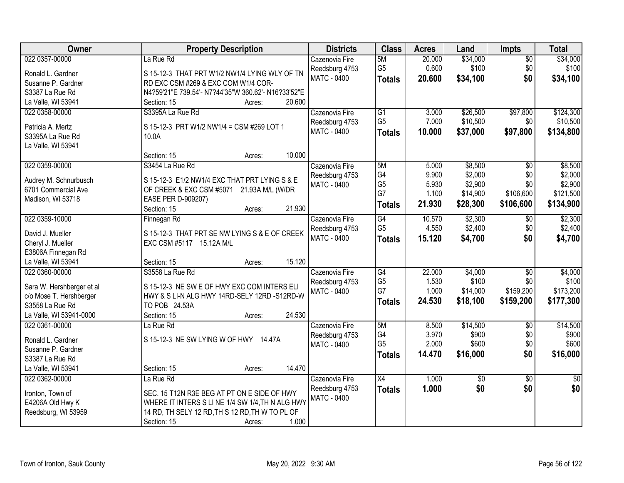| Owner                                 | <b>Property Description</b>                         | <b>Districts</b>                     | <b>Class</b>    | <b>Acres</b> | Land     | Impts           | <b>Total</b>    |
|---------------------------------------|-----------------------------------------------------|--------------------------------------|-----------------|--------------|----------|-----------------|-----------------|
| 022 0357-00000                        | La Rue Rd                                           | Cazenovia Fire                       | 5M              | 20.000       | \$34,000 | $\overline{50}$ | \$34,000        |
| Ronald L. Gardner                     | S 15-12-3 THAT PRT W1/2 NW1/4 LYING WLY OF TN       | Reedsburg 4753                       | G <sub>5</sub>  | 0.600        | \$100    | \$0             | \$100           |
| Susanne P. Gardner                    | RD EXC CSM #269 & EXC COM W1/4 COR-                 | MATC - 0400                          | <b>Totals</b>   | 20.600       | \$34,100 | \$0             | \$34,100        |
| S3387 La Rue Rd                       | N4?59'21"E 739.54'- N7?44'35"W 360.62'- N16?33'52"E |                                      |                 |              |          |                 |                 |
| La Valle, WI 53941                    | 20.600<br>Section: 15<br>Acres:                     |                                      |                 |              |          |                 |                 |
| 022 0358-00000                        | S3395A La Rue Rd                                    | Cazenovia Fire                       | $\overline{G1}$ | 3.000        | \$26,500 | \$97,800        | \$124,300       |
|                                       |                                                     | Reedsburg 4753                       | G <sub>5</sub>  | 7.000        | \$10,500 | \$0             | \$10,500        |
| Patricia A. Mertz<br>S3395A La Rue Rd | S 15-12-3 PRT W1/2 NW1/4 = CSM #269 LOT 1<br>10.0A  | MATC - 0400                          | <b>Totals</b>   | 10.000       | \$37,000 | \$97,800        | \$134,800       |
| La Valle, WI 53941                    |                                                     |                                      |                 |              |          |                 |                 |
|                                       | 10.000<br>Section: 15<br>Acres:                     |                                      |                 |              |          |                 |                 |
| 022 0359-00000                        | S3454 La Rue Rd                                     | Cazenovia Fire                       | 5M              | 5.000        | \$8,500  | $\overline{50}$ | \$8,500         |
|                                       |                                                     | Reedsburg 4753                       | G4              | 9.900        | \$2,000  | \$0             | \$2,000         |
| Audrey M. Schnurbusch                 | S 15-12-3 E1/2 NW1/4 EXC THAT PRT LYING S & E       | MATC - 0400                          | G <sub>5</sub>  | 5.930        | \$2,900  | \$0             | \$2,900         |
| 6701 Commercial Ave                   | OF CREEK & EXC CSM #5071<br>21.93A M/L (W/DR        |                                      | G7              | 1.100        | \$14,900 | \$106,600       | \$121,500       |
| Madison, WI 53718                     | EASE PER D-909207)                                  |                                      | <b>Totals</b>   | 21.930       | \$28,300 | \$106,600       | \$134,900       |
|                                       | 21.930<br>Section: 15<br>Acres:                     |                                      |                 |              |          |                 |                 |
| 022 0359-10000                        | Finnegan Rd                                         | Cazenovia Fire                       | $\overline{G4}$ | 10.570       | \$2,300  | \$0             | \$2,300         |
| David J. Mueller                      | S 15-12-3 THAT PRT SE NW LYING S & E OF CREEK       | Reedsburg 4753<br>MATC - 0400        | G <sub>5</sub>  | 4.550        | \$2,400  | \$0<br>\$0      | \$2,400         |
| Cheryl J. Mueller                     | EXC CSM #5117 15.12A M/L                            |                                      | <b>Totals</b>   | 15.120       | \$4,700  |                 | \$4,700         |
| E3806A Finnegan Rd                    |                                                     |                                      |                 |              |          |                 |                 |
| La Valle, WI 53941                    | 15.120<br>Section: 15<br>Acres:                     |                                      |                 |              |          |                 |                 |
| 022 0360-00000                        | S3558 La Rue Rd                                     | Cazenovia Fire                       | $\overline{G4}$ | 22.000       | \$4,000  | $\overline{50}$ | \$4,000         |
| Sara W. Hershberger et al             | S 15-12-3 NE SW E OF HWY EXC COM INTERS ELI         | Reedsburg 4753                       | G <sub>5</sub>  | 1.530        | \$100    | \$0             | \$100           |
| c/o Mose T. Hershberger               | HWY & S LI-N ALG HWY 14RD-SELY 12RD -S12RD-W        | MATC - 0400                          | G7              | 1.000        | \$14,000 | \$159,200       | \$173,200       |
| S3558 La Rue Rd                       | TO POB 24.53A                                       |                                      | <b>Totals</b>   | 24.530       | \$18,100 | \$159,200       | \$177,300       |
| La Valle, WI 53941-0000               | 24.530<br>Section: 15<br>Acres:                     |                                      |                 |              |          |                 |                 |
| 022 0361-00000                        | La Rue Rd                                           | Cazenovia Fire                       | 5M              | 8.500        | \$14,500 | $\overline{50}$ | \$14,500        |
|                                       |                                                     | Reedsburg 4753                       | G4              | 3.970        | \$900    | \$0             | \$900           |
| Ronald L. Gardner                     | S 15-12-3 NE SW LYING W OF HWY 14.47A               | MATC - 0400                          | G <sub>5</sub>  | 2.000        | \$600    | \$0             | \$600           |
| Susanne P. Gardner                    |                                                     |                                      | <b>Totals</b>   | 14.470       | \$16,000 | \$0             | \$16,000        |
| S3387 La Rue Rd                       |                                                     |                                      |                 |              |          |                 |                 |
| La Valle, WI 53941                    | 14.470<br>Section: 15<br>Acres:                     |                                      |                 |              |          |                 |                 |
| 022 0362-00000                        | La Rue Rd                                           | Cazenovia Fire                       | $\overline{X4}$ | 1.000        | \$0      | $\overline{30}$ | $\overline{50}$ |
| Ironton, Town of                      | SEC. 15 T12N R3E BEG AT PT ON E SIDE OF HWY         | Reedsburg 4753<br><b>MATC - 0400</b> | <b>Totals</b>   | 1.000        | \$0      | \$0             | \$0             |
| E4206A Old Hwy K                      | WHERE IT INTERS S LINE 1/4 SW 1/4, TH N ALG HWY     |                                      |                 |              |          |                 |                 |
| Reedsburg, WI 53959                   | 14 RD, TH SELY 12 RD, TH S 12 RD, TH W TO PL OF     |                                      |                 |              |          |                 |                 |
|                                       | 1.000<br>Section: 15<br>Acres:                      |                                      |                 |              |          |                 |                 |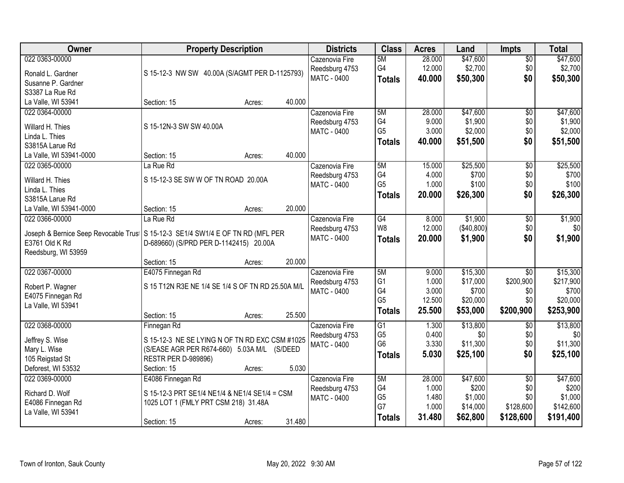| Owner                                                                            | <b>Property Description</b>                       |        |        | <b>Districts</b>   | <b>Class</b>         | <b>Acres</b>   | Land       | <b>Impts</b>     | <b>Total</b>       |
|----------------------------------------------------------------------------------|---------------------------------------------------|--------|--------|--------------------|----------------------|----------------|------------|------------------|--------------------|
| 022 0363-00000                                                                   |                                                   |        |        | Cazenovia Fire     | 5M                   | 28.000         | \$47,600   | $\overline{50}$  | \$47,600           |
| Ronald L. Gardner                                                                | S 15-12-3 NW SW 40.00A (S/AGMT PER D-1125793)     |        |        | Reedsburg 4753     | G4                   | 12.000         | \$2,700    | \$0              | \$2,700            |
| Susanne P. Gardner                                                               |                                                   |        |        | MATC - 0400        | <b>Totals</b>        | 40.000         | \$50,300   | \$0              | \$50,300           |
| S3387 La Rue Rd                                                                  |                                                   |        |        |                    |                      |                |            |                  |                    |
| La Valle, WI 53941                                                               | Section: 15                                       | Acres: | 40.000 |                    |                      |                |            |                  |                    |
| 022 0364-00000                                                                   |                                                   |        |        | Cazenovia Fire     | 5M                   | 28.000         | \$47,600   | $\overline{50}$  | \$47,600           |
|                                                                                  |                                                   |        |        | Reedsburg 4753     | G <sub>4</sub>       | 9.000          | \$1,900    | \$0              | \$1,900            |
| Willard H. Thies                                                                 | S 15-12N-3 SW SW 40.00A                           |        |        | <b>MATC - 0400</b> | G <sub>5</sub>       | 3.000          | \$2,000    | \$0              | \$2,000            |
| Linda L. Thies                                                                   |                                                   |        |        |                    | <b>Totals</b>        | 40.000         | \$51,500   | \$0              | \$51,500           |
| S3815A Larue Rd                                                                  |                                                   |        |        |                    |                      |                |            |                  |                    |
| La Valle, WI 53941-0000                                                          | Section: 15                                       | Acres: | 40.000 |                    |                      |                |            |                  |                    |
| 022 0365-00000                                                                   | La Rue Rd                                         |        |        | Cazenovia Fire     | 5M                   | 15.000         | \$25,500   | $\overline{50}$  | \$25,500           |
| Willard H. Thies                                                                 | S 15-12-3 SE SW W OF TN ROAD 20.00A               |        |        | Reedsburg 4753     | G4<br>G <sub>5</sub> | 4.000          | \$700      | \$0              | \$700<br>\$100     |
| Linda L. Thies                                                                   |                                                   |        |        | MATC - 0400        |                      | 1.000          | \$100      | \$0              |                    |
| S3815A Larue Rd                                                                  |                                                   |        |        |                    | <b>Totals</b>        | 20.000         | \$26,300   | \$0              | \$26,300           |
| La Valle, WI 53941-0000                                                          | Section: 15                                       | Acres: | 20.000 |                    |                      |                |            |                  |                    |
| 022 0366-00000                                                                   | La Rue Rd                                         |        |        | Cazenovia Fire     | G4                   | 8.000          | \$1,900    | \$0              | \$1,900            |
|                                                                                  |                                                   |        |        | Reedsburg 4753     | W8                   | 12.000         | (\$40,800) | \$0              | \$0                |
| Joseph & Bernice Seep Revocable Trus   S 15-12-3 SE1/4 SW1/4 E OF TN RD (MFL PER |                                                   |        |        | <b>MATC - 0400</b> | <b>Totals</b>        | 20.000         | \$1,900    | \$0              | \$1,900            |
| E3761 Old K Rd                                                                   | D-689660) (S/PRD PER D-1142415) 20.00A            |        |        |                    |                      |                |            |                  |                    |
| Reedsburg, WI 53959                                                              |                                                   |        | 20.000 |                    |                      |                |            |                  |                    |
|                                                                                  | Section: 15                                       | Acres: |        |                    |                      |                | \$15,300   | $\overline{30}$  |                    |
| 022 0367-00000                                                                   | E4075 Finnegan Rd                                 |        |        | Cazenovia Fire     | 5M<br>G <sub>1</sub> | 9.000<br>1.000 | \$17,000   |                  | \$15,300           |
| Robert P. Wagner                                                                 | S 15 T12N R3E NE 1/4 SE 1/4 S OF TN RD 25.50A M/L |        |        | Reedsburg 4753     | G4                   | 3.000          | \$700      | \$200,900<br>\$0 | \$217,900<br>\$700 |
| E4075 Finnegan Rd                                                                |                                                   |        |        | <b>MATC - 0400</b> | G <sub>5</sub>       | 12.500         | \$20,000   | \$0              | \$20,000           |
| La Valle, WI 53941                                                               |                                                   |        |        |                    |                      | 25.500         |            | \$200,900        |                    |
|                                                                                  | Section: 15                                       | Acres: | 25.500 |                    | <b>Totals</b>        |                | \$53,000   |                  | \$253,900          |
| 022 0368-00000                                                                   | Finnegan Rd                                       |        |        | Cazenovia Fire     | $\overline{G1}$      | 1.300          | \$13,800   | \$0              | \$13,800           |
| Jeffrey S. Wise                                                                  | S 15-12-3 NE SE LYING N OF TN RD EXC CSM #1025    |        |        | Reedsburg 4753     | G <sub>5</sub>       | 0.400          | \$0        | \$0              | \$0                |
| Mary L. Wise                                                                     | (S/EASE AGR PER R674-660) 5.03A M/L (S/DEED       |        |        | <b>MATC - 0400</b> | G <sub>6</sub>       | 3.330          | \$11,300   | \$0              | \$11,300           |
| 105 Reigstad St                                                                  | <b>RESTR PER D-989896)</b>                        |        |        |                    | <b>Totals</b>        | 5.030          | \$25,100   | \$0              | \$25,100           |
| Deforest, WI 53532                                                               | Section: 15                                       | Acres: | 5.030  |                    |                      |                |            |                  |                    |
| 022 0369-00000                                                                   | E4086 Finnegan Rd                                 |        |        | Cazenovia Fire     | 5M                   | 28.000         | \$47,600   | $\overline{50}$  | \$47,600           |
|                                                                                  |                                                   |        |        | Reedsburg 4753     | G4                   | 1.000          | \$200      | \$0              | \$200              |
| Richard D. Wolf                                                                  | S 15-12-3 PRT SE1/4 NE1/4 & NE1/4 SE1/4 = CSM     |        |        | <b>MATC - 0400</b> | G <sub>5</sub>       | 1.480          | \$1,000    | \$0              | \$1,000            |
| E4086 Finnegan Rd                                                                | 1025 LOT 1 (FMLY PRT CSM 218) 31.48A              |        |        |                    | G7                   | 1.000          | \$14,000   | \$128,600        | \$142,600          |
| La Valle, WI 53941                                                               |                                                   |        |        |                    | <b>Totals</b>        | 31.480         | \$62,800   | \$128,600        | \$191,400          |
|                                                                                  | Section: 15                                       | Acres: | 31.480 |                    |                      |                |            |                  |                    |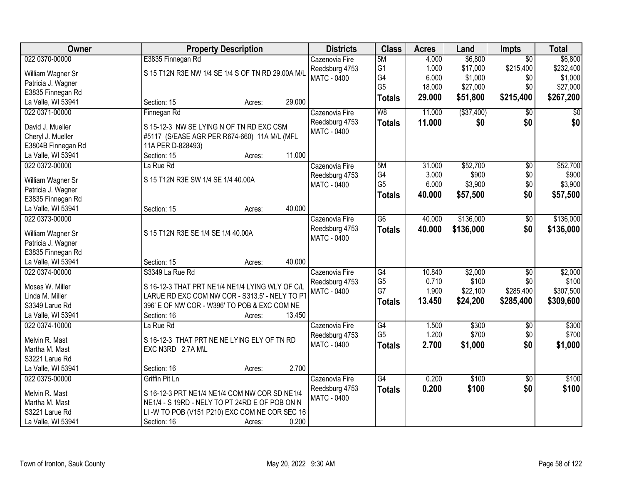| Owner              | <b>Property Description</b>                       |        | <b>Districts</b>   | <b>Class</b>    | <b>Acres</b> | Land        | Impts                  | <b>Total</b>    |
|--------------------|---------------------------------------------------|--------|--------------------|-----------------|--------------|-------------|------------------------|-----------------|
| 022 0370-00000     | E3835 Finnegan Rd                                 |        | Cazenovia Fire     | 5M              | 4.000        | \$6,800     | $\overline{50}$        | \$6,800         |
| William Wagner Sr  | S 15 T12N R3E NW 1/4 SE 1/4 S OF TN RD 29.00A M/L |        | Reedsburg 4753     | G1              | 1.000        | \$17,000    | \$215,400              | \$232,400       |
| Patricia J. Wagner |                                                   |        | <b>MATC - 0400</b> | G4              | 6.000        | \$1,000     | \$0                    | \$1,000         |
| E3835 Finnegan Rd  |                                                   |        |                    | G <sub>5</sub>  | 18.000       | \$27,000    | \$0                    | \$27,000        |
| La Valle, WI 53941 | Section: 15<br>Acres:                             | 29.000 |                    | <b>Totals</b>   | 29.000       | \$51,800    | \$215,400              | \$267,200       |
| 022 0371-00000     | Finnegan Rd                                       |        | Cazenovia Fire     | W8              | 11.000       | ( \$37,400) | \$0                    | $\overline{50}$ |
|                    |                                                   |        | Reedsburg 4753     | <b>Totals</b>   | 11.000       | \$0         | \$0                    | \$0             |
| David J. Mueller   | S 15-12-3 NW SE LYING N OF TN RD EXC CSM          |        | <b>MATC - 0400</b> |                 |              |             |                        |                 |
| Cheryl J. Mueller  | #5117 (S/EASE AGR PER R674-660) 11A M/L (MFL      |        |                    |                 |              |             |                        |                 |
| E3804B Finnegan Rd | 11A PER D-828493)                                 |        |                    |                 |              |             |                        |                 |
| La Valle, WI 53941 | Section: 15<br>Acres:                             | 11.000 |                    |                 |              |             |                        |                 |
| 022 0372-00000     | La Rue Rd                                         |        | Cazenovia Fire     | 5M              | 31.000       | \$52,700    | $\overline{50}$        | \$52,700        |
| William Wagner Sr  | S 15 T12N R3E SW 1/4 SE 1/4 40.00A                |        | Reedsburg 4753     | G4              | 3.000        | \$900       | \$0                    | \$900           |
| Patricia J. Wagner |                                                   |        | MATC - 0400        | G <sub>5</sub>  | 6.000        | \$3,900     | \$0                    | \$3,900         |
| E3835 Finnegan Rd  |                                                   |        |                    | <b>Totals</b>   | 40.000       | \$57,500    | \$0                    | \$57,500        |
| La Valle, WI 53941 | Section: 15<br>Acres:                             | 40.000 |                    |                 |              |             |                        |                 |
| 022 0373-00000     |                                                   |        | Cazenovia Fire     | $\overline{G6}$ | 40.000       | \$136,000   | \$0                    | \$136,000       |
|                    |                                                   |        | Reedsburg 4753     | <b>Totals</b>   | 40.000       | \$136,000   | \$0                    | \$136,000       |
| William Wagner Sr  | S 15 T12N R3E SE 1/4 SE 1/4 40.00A                |        | MATC - 0400        |                 |              |             |                        |                 |
| Patricia J. Wagner |                                                   |        |                    |                 |              |             |                        |                 |
| E3835 Finnegan Rd  |                                                   |        |                    |                 |              |             |                        |                 |
| La Valle, WI 53941 | Section: 15<br>Acres:                             | 40.000 |                    |                 |              |             |                        |                 |
| 022 0374-00000     | S3349 La Rue Rd                                   |        | Cazenovia Fire     | $\overline{G4}$ | 10.840       | \$2,000     | $\overline{50}$        | \$2,000         |
| Moses W. Miller    | S 16-12-3 THAT PRT NE1/4 NE1/4 LYING WLY OF C/L   |        | Reedsburg 4753     | G <sub>5</sub>  | 0.710        | \$100       | \$0                    | \$100           |
| Linda M. Miller    | LARUE RD EXC COM NW COR - S313.5' - NELY TO PT    |        | <b>MATC - 0400</b> | G7              | 1.900        | \$22,100    | \$285,400              | \$307,500       |
| S3349 Larue Rd     | 396' E OF NW COR - W396' TO POB & EXC COM NE      |        |                    | <b>Totals</b>   | 13.450       | \$24,200    | \$285,400              | \$309,600       |
| La Valle, WI 53941 | Section: 16<br>Acres:                             | 13.450 |                    |                 |              |             |                        |                 |
| 022 0374-10000     | La Rue Rd                                         |        |                    | $\overline{G4}$ | 1.500        | \$300       |                        | \$300           |
|                    |                                                   |        | Cazenovia Fire     | G <sub>5</sub>  | 1.200        | \$700       | $\overline{50}$<br>\$0 | \$700           |
| Melvin R. Mast     | S 16-12-3 THAT PRT NE NE LYING ELY OF TN RD       |        | Reedsburg 4753     |                 |              |             |                        |                 |
| Martha M. Mast     | EXC N3RD 2.7A M\L                                 |        | MATC - 0400        | <b>Totals</b>   | 2.700        | \$1,000     | \$0                    | \$1,000         |
| S3221 Larue Rd     |                                                   |        |                    |                 |              |             |                        |                 |
| La Valle, WI 53941 | Section: 16<br>Acres:                             | 2.700  |                    |                 |              |             |                        |                 |
| 022 0375-00000     | Griffin Pit Ln                                    |        | Cazenovia Fire     | $\overline{G4}$ | 0.200        | \$100       | $\overline{30}$        | \$100           |
| Melvin R. Mast     | S 16-12-3 PRT NE1/4 NE1/4 COM NW COR SD NE1/4     |        | Reedsburg 4753     | <b>Totals</b>   | 0.200        | \$100       | \$0                    | \$100           |
| Martha M. Mast     | NE1/4 - S 19RD - NELY TO PT 24RD E OF POB ON N    |        | <b>MATC - 0400</b> |                 |              |             |                        |                 |
|                    |                                                   |        |                    |                 |              |             |                        |                 |
| S3221 Larue Rd     | LI-W TO POB (V151 P210) EXC COM NE COR SEC 16     |        |                    |                 |              |             |                        |                 |
| La Valle, WI 53941 | Section: 16<br>Acres:                             | 0.200  |                    |                 |              |             |                        |                 |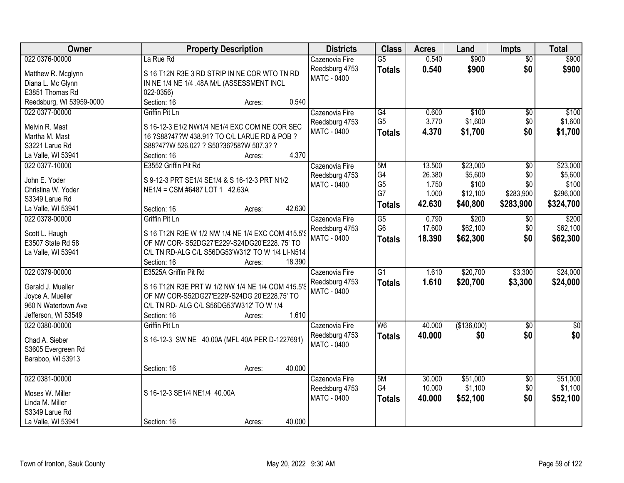| Owner                    | <b>Property Description</b>                       | <b>Districts</b>   | <b>Class</b>    | <b>Acres</b> | Land        | <b>Impts</b>    | <b>Total</b> |
|--------------------------|---------------------------------------------------|--------------------|-----------------|--------------|-------------|-----------------|--------------|
| 022 0376-00000           | La Rue Rd                                         | Cazenovia Fire     | $\overline{G5}$ | 0.540        | \$900       | $\overline{50}$ | \$900        |
| Matthew R. Mcglynn       | S 16 T12N R3E 3 RD STRIP IN NE COR WTO TN RD      | Reedsburg 4753     | <b>Totals</b>   | 0.540        | \$900       | \$0             | \$900        |
| Diana L. Mc Glynn        | IN NE 1/4 NE 1/4 .48A M/L (ASSESSMENT INCL        | MATC - 0400        |                 |              |             |                 |              |
| E3851 Thomas Rd          | 022-0356)                                         |                    |                 |              |             |                 |              |
| Reedsburg, WI 53959-0000 | 0.540<br>Section: 16<br>Acres:                    |                    |                 |              |             |                 |              |
| 022 0377-00000           | Griffin Pit Ln                                    | Cazenovia Fire     | $\overline{G4}$ | 0.600        | \$100       | \$0             | \$100        |
|                          |                                                   | Reedsburg 4753     | G <sub>5</sub>  | 3.770        | \$1,600     | \$0             | \$1,600      |
| Melvin R. Mast           | S 16-12-3 E1/2 NW1/4 NE1/4 EXC COM NE COR SEC     | MATC - 0400        | <b>Totals</b>   | 4.370        | \$1,700     | \$0             | \$1,700      |
| Martha M. Mast           | 16 ?S88?47?W 438.91? TO C/L LARUE RD & POB ?      |                    |                 |              |             |                 |              |
| S3221 Larue Rd           | S88?47?W 526.02? ? S50?36?58?W 507.3? ?           |                    |                 |              |             |                 |              |
| La Valle, WI 53941       | 4.370<br>Section: 16<br>Acres:                    |                    |                 |              |             |                 |              |
| 022 0377-10000           | E3552 Griffin Pit Rd                              | Cazenovia Fire     | 5M              | 13.500       | \$23,000    | \$0             | \$23,000     |
| John E. Yoder            | S 9-12-3 PRT SE1/4 SE1/4 & S 16-12-3 PRT N1/2     | Reedsburg 4753     | G4              | 26.380       | \$5,600     | \$0             | \$5,600      |
| Christina W. Yoder       | NE1/4 = CSM #6487 LOT 1 42.63A                    | <b>MATC - 0400</b> | G <sub>5</sub>  | 1.750        | \$100       | \$0             | \$100        |
| S3349 Larue Rd           |                                                   |                    | G7              | 1.000        | \$12,100    | \$283,900       | \$296,000    |
| La Valle, WI 53941       | 42.630<br>Section: 16<br>Acres:                   |                    | <b>Totals</b>   | 42.630       | \$40,800    | \$283,900       | \$324,700    |
| 022 0378-00000           | Griffin Pit Ln                                    | Cazenovia Fire     | $\overline{G5}$ | 0.790        | \$200       | $\sqrt[6]{3}$   | \$200        |
|                          |                                                   | Reedsburg 4753     | G <sub>6</sub>  | 17.600       | \$62,100    | \$0             | \$62,100     |
| Scott L. Haugh           | S 16 T12N R3E W 1/2 NW 1/4 NE 1/4 EXC COM 415.5'S | MATC - 0400        | <b>Totals</b>   | 18.390       | \$62,300    | \$0             | \$62,300     |
| E3507 State Rd 58        | OF NW COR-S52DG27'E229'-S24DG20'E228.75' TO       |                    |                 |              |             |                 |              |
| La Valle, WI 53941       | C/L TN RD-ALG C/L S56DG53'W312' TO W 1/4 LI-N514' |                    |                 |              |             |                 |              |
|                          | 18.390<br>Section: 16<br>Acres:                   |                    |                 |              |             |                 |              |
| 022 0379-00000           | E3525A Griffin Pit Rd                             | Cazenovia Fire     | $\overline{G1}$ | 1.610        | \$20,700    | \$3,300         | \$24,000     |
| Gerald J. Mueller        | S 16 T12N R3E PRT W 1/2 NW 1/4 NE 1/4 COM 415.5'S | Reedsburg 4753     | <b>Totals</b>   | 1.610        | \$20,700    | \$3,300         | \$24,000     |
| Joyce A. Mueller         | OF NW COR-S52DG27'E229'-S24DG 20'E228.75' TO      | <b>MATC - 0400</b> |                 |              |             |                 |              |
| 960 N Watertown Ave      | C/L TN RD- ALG C/L S56DG53'W312' TO W 1/4         |                    |                 |              |             |                 |              |
| Jefferson, WI 53549      | 1.610<br>Section: 16<br>Acres:                    |                    |                 |              |             |                 |              |
| 022 0380-00000           | Griffin Pit Ln                                    | Cazenovia Fire     | W <sub>6</sub>  | 40.000       | (\$136,000) | $\overline{50}$ | \$0          |
|                          |                                                   | Reedsburg 4753     | <b>Totals</b>   | 40.000       | \$0         | \$0             | \$0          |
| Chad A. Sieber           | S 16-12-3 SW NE 40.00A (MFL 40A PER D-1227691)    | <b>MATC - 0400</b> |                 |              |             |                 |              |
| S3605 Evergreen Rd       |                                                   |                    |                 |              |             |                 |              |
| Baraboo, WI 53913        |                                                   |                    |                 |              |             |                 |              |
|                          | 40.000<br>Section: 16<br>Acres:                   |                    |                 |              |             |                 |              |
| 022 0381-00000           |                                                   | Cazenovia Fire     | 5M              | 30.000       | \$51,000    | $\overline{50}$ | \$51,000     |
| Moses W. Miller          | S 16-12-3 SE1/4 NE1/4 40.00A                      | Reedsburg 4753     | G4              | 10.000       | \$1,100     | \$0             | \$1,100      |
| Linda M. Miller          |                                                   | MATC - 0400        | <b>Totals</b>   | 40.000       | \$52,100    | \$0             | \$52,100     |
| S3349 Larue Rd           |                                                   |                    |                 |              |             |                 |              |
| La Valle, WI 53941       | 40.000<br>Section: 16<br>Acres:                   |                    |                 |              |             |                 |              |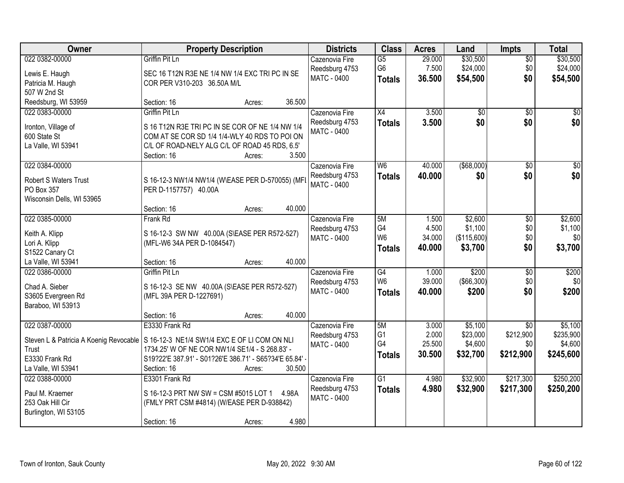| Owner                            | <b>Property Description</b>                                                           | <b>Districts</b>                 | <b>Class</b>                      | <b>Acres</b>    | Land                   | <b>Impts</b>     | <b>Total</b>         |
|----------------------------------|---------------------------------------------------------------------------------------|----------------------------------|-----------------------------------|-----------------|------------------------|------------------|----------------------|
| 022 0382-00000<br>Lewis E. Haugh | Griffin Pit Ln<br>SEC 16 T12N R3E NE 1/4 NW 1/4 EXC TRI PC IN SE                      | Cazenovia Fire<br>Reedsburg 4753 | $\overline{G5}$<br>G <sub>6</sub> | 29.000<br>7.500 | \$30,500<br>\$24,000   | \$0<br>\$0       | \$30,500<br>\$24,000 |
| Patricia M. Haugh                | COR PER V310-203 36.50A M/L                                                           | <b>MATC - 0400</b>               | <b>Totals</b>                     | 36.500          | \$54,500               | \$0              | \$54,500             |
| 507 W 2nd St                     |                                                                                       |                                  |                                   |                 |                        |                  |                      |
| Reedsburg, WI 53959              | 36.500<br>Section: 16<br>Acres:                                                       |                                  |                                   |                 |                        |                  |                      |
| 022 0383-00000                   | Griffin Pit Ln                                                                        | Cazenovia Fire                   | X4                                | 3.500           | $\overline{50}$        | $\overline{50}$  | \$0                  |
| Ironton, Village of              | S 16 T12N R3E TRI PC IN SE COR OF NE 1/4 NW 1/4                                       | Reedsburg 4753                   | <b>Totals</b>                     | 3.500           | \$0                    | \$0              | \$0                  |
| 600 State St                     | COM AT SE COR SD 1/4 1/4-WLY 40 RDS TO POI ON                                         | MATC - 0400                      |                                   |                 |                        |                  |                      |
| La Valle, WI 53941               | C/L OF ROAD-NELY ALG C/L OF ROAD 45 RDS, 6.5'                                         |                                  |                                   |                 |                        |                  |                      |
|                                  | 3.500<br>Section: 16<br>Acres:                                                        |                                  |                                   |                 |                        |                  |                      |
| 022 0384-00000                   |                                                                                       | Cazenovia Fire                   | W <sub>6</sub>                    | 40.000          | ( \$68,000)            | \$0              | $\overline{50}$      |
| <b>Robert S Waters Trust</b>     | S 16-12-3 NW1/4 NW1/4 (W\EASE PER D-570055) (MFL                                      | Reedsburg 4753                   | <b>Totals</b>                     | 40.000          | \$0                    | \$0              | \$0                  |
| PO Box 357                       | PER D-1157757) 40.00A                                                                 | <b>MATC - 0400</b>               |                                   |                 |                        |                  |                      |
| Wisconsin Dells, WI 53965        |                                                                                       |                                  |                                   |                 |                        |                  |                      |
|                                  | 40.000<br>Section: 16<br>Acres:                                                       |                                  |                                   |                 |                        |                  |                      |
| 022 0385-00000                   | Frank Rd                                                                              | Cazenovia Fire                   | 5M                                | 1.500           | \$2,600                | \$0              | \$2,600              |
| Keith A. Klipp                   | S 16-12-3 SW NW 40.00A (S\EASE PER R572-527)                                          | Reedsburg 4753                   | G4<br>W <sub>6</sub>              | 4.500<br>34.000 | \$1,100                | \$0<br>\$0       | \$1,100<br>\$0       |
| Lori A. Klipp                    | (MFL-W6 34A PER D-1084547)                                                            | MATC - 0400                      | <b>Totals</b>                     | 40,000          | (\$115,600)<br>\$3,700 | \$0              | \$3,700              |
| S1522 Canary Ct                  |                                                                                       |                                  |                                   |                 |                        |                  |                      |
| La Valle, WI 53941               | 40.000<br>Section: 16<br>Acres:                                                       |                                  |                                   |                 |                        |                  |                      |
| 022 0386-00000                   | <b>Griffin Pit Ln</b>                                                                 | Cazenovia Fire                   | G4                                | 1.000           | \$200                  | $\overline{50}$  | \$200                |
| Chad A. Sieber                   | S 16-12-3 SE NW 40.00A (S\EASE PER R572-527)                                          | Reedsburg 4753                   | W <sub>6</sub>                    | 39.000          | $($ \$66,300) $ $      | \$0              | \$0                  |
| S3605 Evergreen Rd               | (MFL 39A PER D-1227691)                                                               | MATC - 0400                      | <b>Totals</b>                     | 40.000          | \$200                  | \$0              | \$200                |
| Baraboo, WI 53913                |                                                                                       |                                  |                                   |                 |                        |                  |                      |
|                                  | 40.000<br>Section: 16<br>Acres:                                                       |                                  |                                   |                 |                        |                  |                      |
| 022 0387-00000                   | E3330 Frank Rd                                                                        | Cazenovia Fire                   | 5M                                | 3.000           | \$5,100                | $\overline{50}$  | \$5,100              |
|                                  | Steven L & Patricia A Koenig Revocable   S 16-12-3 NE1/4 SW1/4 EXC E OF LI COM ON NLI | Reedsburg 4753<br>MATC - 0400    | G <sub>1</sub><br>G4              | 2.000<br>25.500 | \$23,000<br>\$4,600    | \$212,900<br>\$0 | \$235,900<br>\$4,600 |
| Trust                            | 1734.25' W OF NE COR NW1/4 SE1/4 - S 268.83' -                                        |                                  | <b>Totals</b>                     | 30.500          | \$32,700               | \$212,900        | \$245,600            |
| E3330 Frank Rd                   | S19?22'E 387.91' - S01?26'E 386.71' - S65?34'E 65.84' -                               |                                  |                                   |                 |                        |                  |                      |
| La Valle, WI 53941               | 30.500<br>Section: 16<br>Acres:                                                       |                                  |                                   |                 |                        |                  |                      |
| 022 0388-00000                   | E3301 Frank Rd                                                                        | Cazenovia Fire                   | $\overline{G1}$                   | 4.980           | \$32,900               | \$217,300        | \$250,200            |
| Paul M. Kraemer                  | S 16-12-3 PRT NW SW = CSM #5015 LOT 1<br>4.98A                                        | Reedsburg 4753                   | <b>Totals</b>                     | 4.980           | \$32,900               | \$217,300        | \$250,200            |
| 253 Oak Hill Cir                 | (FMLY PRT CSM #4814) (W/EASE PER D-938842)                                            | <b>MATC - 0400</b>               |                                   |                 |                        |                  |                      |
| Burlington, WI 53105             |                                                                                       |                                  |                                   |                 |                        |                  |                      |
|                                  | 4.980<br>Section: 16<br>Acres:                                                        |                                  |                                   |                 |                        |                  |                      |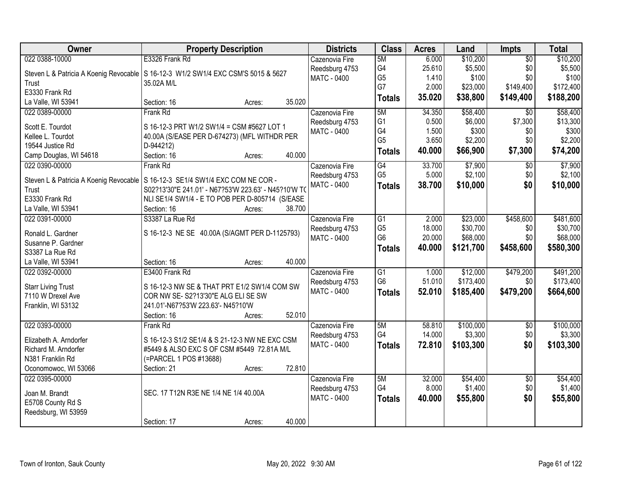| 022 0388-10000<br>E3326 Frank Rd<br>5M<br>6.000<br>\$10,200<br>$\overline{50}$<br>\$10,200<br>Cazenovia Fire<br>G4<br>25.610<br>\$5,500<br>\$0<br>\$5,500<br>Reedsburg 4753<br>Steven L & Patricia A Koenig Revocable<br>S 16-12-3 W1/2 SW1/4 EXC CSM'S 5015 & 5627<br>G <sub>5</sub><br>1.410<br>\$100<br>\$0<br>\$100<br><b>MATC - 0400</b><br>35.02A M/L<br>Trust<br>G7<br>\$149,400<br>2.000<br>\$23,000<br>\$172,400<br>E3330 Frank Rd<br>35.020<br>\$38,800<br>\$149,400<br>\$188,200<br><b>Totals</b><br>35.020<br>La Valle, WI 53941<br>Section: 16<br>Acres:<br>\$58,400<br>\$58,400<br>022 0389-00000<br><b>Frank Rd</b><br>5M<br>34.350<br>$\overline{50}$<br>Cazenovia Fire<br>G <sub>1</sub><br>\$7,300<br>0.500<br>\$6,000<br>Reedsburg 4753<br>Scott E. Tourdot<br>S 16-12-3 PRT W1/2 SW1/4 = CSM #5627 LOT 1<br>G4<br>\$300<br>1.500<br>\$0<br>\$300<br>MATC - 0400<br>40.00A (S/EASE PER D-674273) (MFL WITHDR PER<br>Kellee L. Tourdot<br>G <sub>5</sub><br>3.650<br>\$2,200<br>\$0<br>19544 Justice Rd<br>D-944212)<br>\$7,300<br>\$74,200<br>40.000<br>\$66,900<br><b>Totals</b><br>40.000<br>Section: 16<br>Camp Douglas, WI 54618<br>Acres:<br>G4<br>\$7,900<br>022 0390-00000<br>Cazenovia Fire<br>33.700<br>\$0<br>Frank Rd<br>G <sub>5</sub><br>\$2,100<br>\$0<br>5.000<br>Reedsburg 4753<br>Steven L & Patricia A Koenig Revocable   S 16-12-3 SE1/4 SW1/4 EXC COM NE COR -<br>38.700<br>\$0<br>MATC - 0400<br>\$10,000<br><b>Totals</b><br>S02?13'30"E 241.01' - N67?53'W 223.63' - N45?10'W TO<br>Trust<br>E3330 Frank Rd<br>NLI SE1/4 SW1/4 - E TO POB PER D-805714 (S/EASE<br>38.700<br>La Valle, WI 53941<br>Section: 16<br>Acres:<br>\$458,600<br>S3387 La Rue Rd<br>$\overline{G1}$<br>\$23,000<br>\$481,600<br>022 0391-00000<br>Cazenovia Fire<br>2.000<br>G <sub>5</sub><br>18.000<br>\$30,700<br>\$0<br>Reedsburg 4753<br>S 16-12-3 NE SE 40.00A (S/AGMT PER D-1125793)<br>Ronald L. Gardner<br>G <sub>6</sub><br>\$68,000<br>\$0<br><b>MATC - 0400</b><br>20.000<br>Susanne P. Gardner<br>\$121,700<br>\$458,600<br>40.000<br><b>Totals</b><br>S3387 La Rue Rd<br>40.000<br>La Valle, WI 53941<br>Section: 16<br>Acres:<br>E3400 Frank Rd<br>$\overline{G1}$<br>\$12,000<br>\$479,200<br>022 0392-00000<br>1.000<br>Cazenovia Fire<br>G <sub>6</sub><br>51.010<br>\$173,400<br>\$0<br>Reedsburg 4753<br>S 16-12-3 NW SE & THAT PRT E1/2 SW1/4 COM SW<br><b>Starr Living Trust</b><br>\$479,200<br>52.010<br>\$185,400<br>MATC - 0400<br><b>Totals</b><br>7110 W Drexel Ave<br>COR NW SE-S2?13'30"E ALG ELI SE SW<br>Franklin, WI 53132<br>241.01'-N67?53'W 223.63'- N45?10'W<br>52.010<br>Section: 16<br>Acres:<br>022 0393-00000<br>5M<br>\$100,000<br>Cazenovia Fire<br>58.810<br>$\sqrt{6}$<br>Frank Rd<br>G4<br>\$3,300<br>\$0<br>14.000<br>Reedsburg 4753<br>S 16-12-3 S1/2 SE1/4 & S 21-12-3 NW NE EXC CSM<br>Elizabeth A. Arndorfer<br><b>MATC - 0400</b><br>72.810<br>\$103,300<br>\$0<br><b>Totals</b> | Owner                | <b>Property Description</b>                | <b>Districts</b> | <b>Class</b> | <b>Acres</b> | Land | <b>Impts</b> | <b>Total</b> |
|-------------------------------------------------------------------------------------------------------------------------------------------------------------------------------------------------------------------------------------------------------------------------------------------------------------------------------------------------------------------------------------------------------------------------------------------------------------------------------------------------------------------------------------------------------------------------------------------------------------------------------------------------------------------------------------------------------------------------------------------------------------------------------------------------------------------------------------------------------------------------------------------------------------------------------------------------------------------------------------------------------------------------------------------------------------------------------------------------------------------------------------------------------------------------------------------------------------------------------------------------------------------------------------------------------------------------------------------------------------------------------------------------------------------------------------------------------------------------------------------------------------------------------------------------------------------------------------------------------------------------------------------------------------------------------------------------------------------------------------------------------------------------------------------------------------------------------------------------------------------------------------------------------------------------------------------------------------------------------------------------------------------------------------------------------------------------------------------------------------------------------------------------------------------------------------------------------------------------------------------------------------------------------------------------------------------------------------------------------------------------------------------------------------------------------------------------------------------------------------------------------------------------------------------------------------------------------------------------------------------------------------------------------------------------------------------------------------------------------------------------------------------------------------------------------------------------------------------------------------------------------------------------------------------------------------------------------|----------------------|--------------------------------------------|------------------|--------------|--------------|------|--------------|--------------|
|                                                                                                                                                                                                                                                                                                                                                                                                                                                                                                                                                                                                                                                                                                                                                                                                                                                                                                                                                                                                                                                                                                                                                                                                                                                                                                                                                                                                                                                                                                                                                                                                                                                                                                                                                                                                                                                                                                                                                                                                                                                                                                                                                                                                                                                                                                                                                                                                                                                                                                                                                                                                                                                                                                                                                                                                                                                                                                                                                       |                      |                                            |                  |              |              |      |              |              |
|                                                                                                                                                                                                                                                                                                                                                                                                                                                                                                                                                                                                                                                                                                                                                                                                                                                                                                                                                                                                                                                                                                                                                                                                                                                                                                                                                                                                                                                                                                                                                                                                                                                                                                                                                                                                                                                                                                                                                                                                                                                                                                                                                                                                                                                                                                                                                                                                                                                                                                                                                                                                                                                                                                                                                                                                                                                                                                                                                       |                      |                                            |                  |              |              |      |              |              |
|                                                                                                                                                                                                                                                                                                                                                                                                                                                                                                                                                                                                                                                                                                                                                                                                                                                                                                                                                                                                                                                                                                                                                                                                                                                                                                                                                                                                                                                                                                                                                                                                                                                                                                                                                                                                                                                                                                                                                                                                                                                                                                                                                                                                                                                                                                                                                                                                                                                                                                                                                                                                                                                                                                                                                                                                                                                                                                                                                       |                      |                                            |                  |              |              |      |              |              |
|                                                                                                                                                                                                                                                                                                                                                                                                                                                                                                                                                                                                                                                                                                                                                                                                                                                                                                                                                                                                                                                                                                                                                                                                                                                                                                                                                                                                                                                                                                                                                                                                                                                                                                                                                                                                                                                                                                                                                                                                                                                                                                                                                                                                                                                                                                                                                                                                                                                                                                                                                                                                                                                                                                                                                                                                                                                                                                                                                       |                      |                                            |                  |              |              |      |              |              |
|                                                                                                                                                                                                                                                                                                                                                                                                                                                                                                                                                                                                                                                                                                                                                                                                                                                                                                                                                                                                                                                                                                                                                                                                                                                                                                                                                                                                                                                                                                                                                                                                                                                                                                                                                                                                                                                                                                                                                                                                                                                                                                                                                                                                                                                                                                                                                                                                                                                                                                                                                                                                                                                                                                                                                                                                                                                                                                                                                       |                      |                                            |                  |              |              |      |              |              |
| \$13,300<br>\$2,200                                                                                                                                                                                                                                                                                                                                                                                                                                                                                                                                                                                                                                                                                                                                                                                                                                                                                                                                                                                                                                                                                                                                                                                                                                                                                                                                                                                                                                                                                                                                                                                                                                                                                                                                                                                                                                                                                                                                                                                                                                                                                                                                                                                                                                                                                                                                                                                                                                                                                                                                                                                                                                                                                                                                                                                                                                                                                                                                   |                      |                                            |                  |              |              |      |              |              |
|                                                                                                                                                                                                                                                                                                                                                                                                                                                                                                                                                                                                                                                                                                                                                                                                                                                                                                                                                                                                                                                                                                                                                                                                                                                                                                                                                                                                                                                                                                                                                                                                                                                                                                                                                                                                                                                                                                                                                                                                                                                                                                                                                                                                                                                                                                                                                                                                                                                                                                                                                                                                                                                                                                                                                                                                                                                                                                                                                       |                      |                                            |                  |              |              |      |              |              |
|                                                                                                                                                                                                                                                                                                                                                                                                                                                                                                                                                                                                                                                                                                                                                                                                                                                                                                                                                                                                                                                                                                                                                                                                                                                                                                                                                                                                                                                                                                                                                                                                                                                                                                                                                                                                                                                                                                                                                                                                                                                                                                                                                                                                                                                                                                                                                                                                                                                                                                                                                                                                                                                                                                                                                                                                                                                                                                                                                       |                      |                                            |                  |              |              |      |              |              |
|                                                                                                                                                                                                                                                                                                                                                                                                                                                                                                                                                                                                                                                                                                                                                                                                                                                                                                                                                                                                                                                                                                                                                                                                                                                                                                                                                                                                                                                                                                                                                                                                                                                                                                                                                                                                                                                                                                                                                                                                                                                                                                                                                                                                                                                                                                                                                                                                                                                                                                                                                                                                                                                                                                                                                                                                                                                                                                                                                       |                      |                                            |                  |              |              |      |              |              |
| \$7,900<br>\$2,100<br>\$10,000<br>\$580,300<br>\$491,200<br>\$664,600<br>\$103,300                                                                                                                                                                                                                                                                                                                                                                                                                                                                                                                                                                                                                                                                                                                                                                                                                                                                                                                                                                                                                                                                                                                                                                                                                                                                                                                                                                                                                                                                                                                                                                                                                                                                                                                                                                                                                                                                                                                                                                                                                                                                                                                                                                                                                                                                                                                                                                                                                                                                                                                                                                                                                                                                                                                                                                                                                                                                    |                      |                                            |                  |              |              |      |              |              |
|                                                                                                                                                                                                                                                                                                                                                                                                                                                                                                                                                                                                                                                                                                                                                                                                                                                                                                                                                                                                                                                                                                                                                                                                                                                                                                                                                                                                                                                                                                                                                                                                                                                                                                                                                                                                                                                                                                                                                                                                                                                                                                                                                                                                                                                                                                                                                                                                                                                                                                                                                                                                                                                                                                                                                                                                                                                                                                                                                       |                      |                                            |                  |              |              |      |              |              |
| \$30,700<br>\$68,000<br>\$173,400<br>\$100,000<br>\$3,300                                                                                                                                                                                                                                                                                                                                                                                                                                                                                                                                                                                                                                                                                                                                                                                                                                                                                                                                                                                                                                                                                                                                                                                                                                                                                                                                                                                                                                                                                                                                                                                                                                                                                                                                                                                                                                                                                                                                                                                                                                                                                                                                                                                                                                                                                                                                                                                                                                                                                                                                                                                                                                                                                                                                                                                                                                                                                             |                      |                                            |                  |              |              |      |              |              |
|                                                                                                                                                                                                                                                                                                                                                                                                                                                                                                                                                                                                                                                                                                                                                                                                                                                                                                                                                                                                                                                                                                                                                                                                                                                                                                                                                                                                                                                                                                                                                                                                                                                                                                                                                                                                                                                                                                                                                                                                                                                                                                                                                                                                                                                                                                                                                                                                                                                                                                                                                                                                                                                                                                                                                                                                                                                                                                                                                       |                      |                                            |                  |              |              |      |              |              |
|                                                                                                                                                                                                                                                                                                                                                                                                                                                                                                                                                                                                                                                                                                                                                                                                                                                                                                                                                                                                                                                                                                                                                                                                                                                                                                                                                                                                                                                                                                                                                                                                                                                                                                                                                                                                                                                                                                                                                                                                                                                                                                                                                                                                                                                                                                                                                                                                                                                                                                                                                                                                                                                                                                                                                                                                                                                                                                                                                       |                      |                                            |                  |              |              |      |              |              |
|                                                                                                                                                                                                                                                                                                                                                                                                                                                                                                                                                                                                                                                                                                                                                                                                                                                                                                                                                                                                                                                                                                                                                                                                                                                                                                                                                                                                                                                                                                                                                                                                                                                                                                                                                                                                                                                                                                                                                                                                                                                                                                                                                                                                                                                                                                                                                                                                                                                                                                                                                                                                                                                                                                                                                                                                                                                                                                                                                       |                      |                                            |                  |              |              |      |              |              |
|                                                                                                                                                                                                                                                                                                                                                                                                                                                                                                                                                                                                                                                                                                                                                                                                                                                                                                                                                                                                                                                                                                                                                                                                                                                                                                                                                                                                                                                                                                                                                                                                                                                                                                                                                                                                                                                                                                                                                                                                                                                                                                                                                                                                                                                                                                                                                                                                                                                                                                                                                                                                                                                                                                                                                                                                                                                                                                                                                       |                      |                                            |                  |              |              |      |              |              |
|                                                                                                                                                                                                                                                                                                                                                                                                                                                                                                                                                                                                                                                                                                                                                                                                                                                                                                                                                                                                                                                                                                                                                                                                                                                                                                                                                                                                                                                                                                                                                                                                                                                                                                                                                                                                                                                                                                                                                                                                                                                                                                                                                                                                                                                                                                                                                                                                                                                                                                                                                                                                                                                                                                                                                                                                                                                                                                                                                       |                      |                                            |                  |              |              |      |              |              |
|                                                                                                                                                                                                                                                                                                                                                                                                                                                                                                                                                                                                                                                                                                                                                                                                                                                                                                                                                                                                                                                                                                                                                                                                                                                                                                                                                                                                                                                                                                                                                                                                                                                                                                                                                                                                                                                                                                                                                                                                                                                                                                                                                                                                                                                                                                                                                                                                                                                                                                                                                                                                                                                                                                                                                                                                                                                                                                                                                       |                      |                                            |                  |              |              |      |              |              |
|                                                                                                                                                                                                                                                                                                                                                                                                                                                                                                                                                                                                                                                                                                                                                                                                                                                                                                                                                                                                                                                                                                                                                                                                                                                                                                                                                                                                                                                                                                                                                                                                                                                                                                                                                                                                                                                                                                                                                                                                                                                                                                                                                                                                                                                                                                                                                                                                                                                                                                                                                                                                                                                                                                                                                                                                                                                                                                                                                       |                      |                                            |                  |              |              |      |              |              |
|                                                                                                                                                                                                                                                                                                                                                                                                                                                                                                                                                                                                                                                                                                                                                                                                                                                                                                                                                                                                                                                                                                                                                                                                                                                                                                                                                                                                                                                                                                                                                                                                                                                                                                                                                                                                                                                                                                                                                                                                                                                                                                                                                                                                                                                                                                                                                                                                                                                                                                                                                                                                                                                                                                                                                                                                                                                                                                                                                       |                      |                                            |                  |              |              |      |              |              |
|                                                                                                                                                                                                                                                                                                                                                                                                                                                                                                                                                                                                                                                                                                                                                                                                                                                                                                                                                                                                                                                                                                                                                                                                                                                                                                                                                                                                                                                                                                                                                                                                                                                                                                                                                                                                                                                                                                                                                                                                                                                                                                                                                                                                                                                                                                                                                                                                                                                                                                                                                                                                                                                                                                                                                                                                                                                                                                                                                       |                      |                                            |                  |              |              |      |              |              |
|                                                                                                                                                                                                                                                                                                                                                                                                                                                                                                                                                                                                                                                                                                                                                                                                                                                                                                                                                                                                                                                                                                                                                                                                                                                                                                                                                                                                                                                                                                                                                                                                                                                                                                                                                                                                                                                                                                                                                                                                                                                                                                                                                                                                                                                                                                                                                                                                                                                                                                                                                                                                                                                                                                                                                                                                                                                                                                                                                       |                      |                                            |                  |              |              |      |              |              |
|                                                                                                                                                                                                                                                                                                                                                                                                                                                                                                                                                                                                                                                                                                                                                                                                                                                                                                                                                                                                                                                                                                                                                                                                                                                                                                                                                                                                                                                                                                                                                                                                                                                                                                                                                                                                                                                                                                                                                                                                                                                                                                                                                                                                                                                                                                                                                                                                                                                                                                                                                                                                                                                                                                                                                                                                                                                                                                                                                       |                      |                                            |                  |              |              |      |              |              |
|                                                                                                                                                                                                                                                                                                                                                                                                                                                                                                                                                                                                                                                                                                                                                                                                                                                                                                                                                                                                                                                                                                                                                                                                                                                                                                                                                                                                                                                                                                                                                                                                                                                                                                                                                                                                                                                                                                                                                                                                                                                                                                                                                                                                                                                                                                                                                                                                                                                                                                                                                                                                                                                                                                                                                                                                                                                                                                                                                       |                      |                                            |                  |              |              |      |              |              |
|                                                                                                                                                                                                                                                                                                                                                                                                                                                                                                                                                                                                                                                                                                                                                                                                                                                                                                                                                                                                                                                                                                                                                                                                                                                                                                                                                                                                                                                                                                                                                                                                                                                                                                                                                                                                                                                                                                                                                                                                                                                                                                                                                                                                                                                                                                                                                                                                                                                                                                                                                                                                                                                                                                                                                                                                                                                                                                                                                       |                      |                                            |                  |              |              |      |              |              |
|                                                                                                                                                                                                                                                                                                                                                                                                                                                                                                                                                                                                                                                                                                                                                                                                                                                                                                                                                                                                                                                                                                                                                                                                                                                                                                                                                                                                                                                                                                                                                                                                                                                                                                                                                                                                                                                                                                                                                                                                                                                                                                                                                                                                                                                                                                                                                                                                                                                                                                                                                                                                                                                                                                                                                                                                                                                                                                                                                       |                      |                                            |                  |              |              |      |              |              |
|                                                                                                                                                                                                                                                                                                                                                                                                                                                                                                                                                                                                                                                                                                                                                                                                                                                                                                                                                                                                                                                                                                                                                                                                                                                                                                                                                                                                                                                                                                                                                                                                                                                                                                                                                                                                                                                                                                                                                                                                                                                                                                                                                                                                                                                                                                                                                                                                                                                                                                                                                                                                                                                                                                                                                                                                                                                                                                                                                       |                      |                                            |                  |              |              |      |              |              |
|                                                                                                                                                                                                                                                                                                                                                                                                                                                                                                                                                                                                                                                                                                                                                                                                                                                                                                                                                                                                                                                                                                                                                                                                                                                                                                                                                                                                                                                                                                                                                                                                                                                                                                                                                                                                                                                                                                                                                                                                                                                                                                                                                                                                                                                                                                                                                                                                                                                                                                                                                                                                                                                                                                                                                                                                                                                                                                                                                       |                      |                                            |                  |              |              |      |              |              |
|                                                                                                                                                                                                                                                                                                                                                                                                                                                                                                                                                                                                                                                                                                                                                                                                                                                                                                                                                                                                                                                                                                                                                                                                                                                                                                                                                                                                                                                                                                                                                                                                                                                                                                                                                                                                                                                                                                                                                                                                                                                                                                                                                                                                                                                                                                                                                                                                                                                                                                                                                                                                                                                                                                                                                                                                                                                                                                                                                       |                      |                                            |                  |              |              |      |              |              |
|                                                                                                                                                                                                                                                                                                                                                                                                                                                                                                                                                                                                                                                                                                                                                                                                                                                                                                                                                                                                                                                                                                                                                                                                                                                                                                                                                                                                                                                                                                                                                                                                                                                                                                                                                                                                                                                                                                                                                                                                                                                                                                                                                                                                                                                                                                                                                                                                                                                                                                                                                                                                                                                                                                                                                                                                                                                                                                                                                       |                      |                                            |                  |              |              |      |              |              |
|                                                                                                                                                                                                                                                                                                                                                                                                                                                                                                                                                                                                                                                                                                                                                                                                                                                                                                                                                                                                                                                                                                                                                                                                                                                                                                                                                                                                                                                                                                                                                                                                                                                                                                                                                                                                                                                                                                                                                                                                                                                                                                                                                                                                                                                                                                                                                                                                                                                                                                                                                                                                                                                                                                                                                                                                                                                                                                                                                       | Richard M. Arndorfer | #5449 & ALSO EXC S OF CSM #5449 72.81A M/L |                  |              |              |      |              |              |
| (=PARCEL 1 POS #13688)<br>N381 Franklin Rd                                                                                                                                                                                                                                                                                                                                                                                                                                                                                                                                                                                                                                                                                                                                                                                                                                                                                                                                                                                                                                                                                                                                                                                                                                                                                                                                                                                                                                                                                                                                                                                                                                                                                                                                                                                                                                                                                                                                                                                                                                                                                                                                                                                                                                                                                                                                                                                                                                                                                                                                                                                                                                                                                                                                                                                                                                                                                                            |                      |                                            |                  |              |              |      |              |              |
| 72.810<br>Oconomowoc, WI 53066<br>Section: 21<br>Acres:                                                                                                                                                                                                                                                                                                                                                                                                                                                                                                                                                                                                                                                                                                                                                                                                                                                                                                                                                                                                                                                                                                                                                                                                                                                                                                                                                                                                                                                                                                                                                                                                                                                                                                                                                                                                                                                                                                                                                                                                                                                                                                                                                                                                                                                                                                                                                                                                                                                                                                                                                                                                                                                                                                                                                                                                                                                                                               |                      |                                            |                  |              |              |      |              |              |
| \$54,400<br>\$54,400<br>022 0395-00000<br>5M<br>32.000<br>$\overline{50}$<br>Cazenovia Fire                                                                                                                                                                                                                                                                                                                                                                                                                                                                                                                                                                                                                                                                                                                                                                                                                                                                                                                                                                                                                                                                                                                                                                                                                                                                                                                                                                                                                                                                                                                                                                                                                                                                                                                                                                                                                                                                                                                                                                                                                                                                                                                                                                                                                                                                                                                                                                                                                                                                                                                                                                                                                                                                                                                                                                                                                                                           |                      |                                            |                  |              |              |      |              |              |
| G4<br>8.000<br>\$1,400<br>\$0<br>\$1,400<br>Reedsburg 4753<br>SEC. 17 T12N R3E NE 1/4 NE 1/4 40.00A<br>Joan M. Brandt                                                                                                                                                                                                                                                                                                                                                                                                                                                                                                                                                                                                                                                                                                                                                                                                                                                                                                                                                                                                                                                                                                                                                                                                                                                                                                                                                                                                                                                                                                                                                                                                                                                                                                                                                                                                                                                                                                                                                                                                                                                                                                                                                                                                                                                                                                                                                                                                                                                                                                                                                                                                                                                                                                                                                                                                                                 |                      |                                            |                  |              |              |      |              |              |
| \$0<br><b>MATC - 0400</b><br>\$55,800<br>\$55,800<br>40.000<br><b>Totals</b><br>E5708 County Rd S                                                                                                                                                                                                                                                                                                                                                                                                                                                                                                                                                                                                                                                                                                                                                                                                                                                                                                                                                                                                                                                                                                                                                                                                                                                                                                                                                                                                                                                                                                                                                                                                                                                                                                                                                                                                                                                                                                                                                                                                                                                                                                                                                                                                                                                                                                                                                                                                                                                                                                                                                                                                                                                                                                                                                                                                                                                     |                      |                                            |                  |              |              |      |              |              |
| Reedsburg, WI 53959                                                                                                                                                                                                                                                                                                                                                                                                                                                                                                                                                                                                                                                                                                                                                                                                                                                                                                                                                                                                                                                                                                                                                                                                                                                                                                                                                                                                                                                                                                                                                                                                                                                                                                                                                                                                                                                                                                                                                                                                                                                                                                                                                                                                                                                                                                                                                                                                                                                                                                                                                                                                                                                                                                                                                                                                                                                                                                                                   |                      |                                            |                  |              |              |      |              |              |
| 40.000<br>Section: 17<br>Acres:                                                                                                                                                                                                                                                                                                                                                                                                                                                                                                                                                                                                                                                                                                                                                                                                                                                                                                                                                                                                                                                                                                                                                                                                                                                                                                                                                                                                                                                                                                                                                                                                                                                                                                                                                                                                                                                                                                                                                                                                                                                                                                                                                                                                                                                                                                                                                                                                                                                                                                                                                                                                                                                                                                                                                                                                                                                                                                                       |                      |                                            |                  |              |              |      |              |              |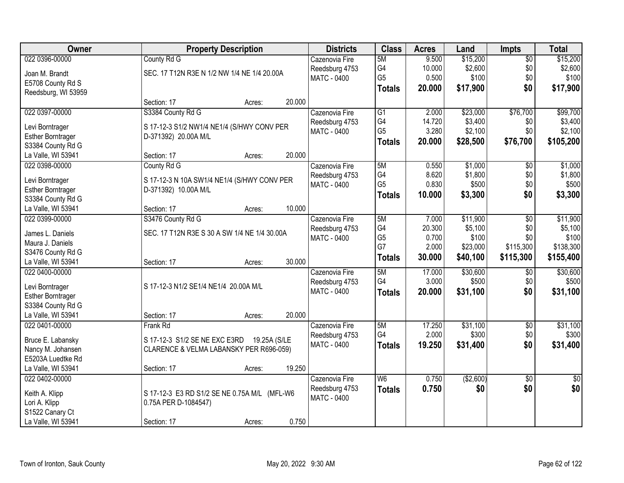| Owner                                       | <b>Property Description</b>                                        | <b>Districts</b>   | <b>Class</b>    | <b>Acres</b> | Land      | <b>Impts</b>    | <b>Total</b> |
|---------------------------------------------|--------------------------------------------------------------------|--------------------|-----------------|--------------|-----------|-----------------|--------------|
| 022 0396-00000                              | County Rd G                                                        | Cazenovia Fire     | 5M              | 9.500        | \$15,200  | $\overline{$0}$ | \$15,200     |
| Joan M. Brandt                              | SEC. 17 T12N R3E N 1/2 NW 1/4 NE 1/4 20.00A                        | Reedsburg 4753     | G4              | 10.000       | \$2,600   | \$0             | \$2,600      |
| E5708 County Rd S                           |                                                                    | MATC - 0400        | G <sub>5</sub>  | 0.500        | \$100     | \$0             | \$100        |
| Reedsburg, WI 53959                         |                                                                    |                    | <b>Totals</b>   | 20.000       | \$17,900  | \$0             | \$17,900     |
|                                             | 20.000<br>Section: 17<br>Acres:                                    |                    |                 |              |           |                 |              |
| 022 0397-00000                              | S3384 County Rd G                                                  | Cazenovia Fire     | $\overline{G1}$ | 2.000        | \$23,000  | \$76,700        | \$99,700     |
|                                             |                                                                    | Reedsburg 4753     | G4              | 14.720       | \$3,400   | \$0             | \$3,400      |
| Levi Borntrager<br><b>Esther Borntrager</b> | S 17-12-3 S1/2 NW1/4 NE1/4 (S/HWY CONV PER<br>D-371392) 20.00A M/L | MATC - 0400        | G <sub>5</sub>  | 3.280        | \$2,100   | \$0             | \$2,100      |
| S3384 County Rd G                           |                                                                    |                    | <b>Totals</b>   | 20.000       | \$28,500  | \$76,700        | \$105,200    |
| La Valle, WI 53941                          | 20.000<br>Section: 17<br>Acres:                                    |                    |                 |              |           |                 |              |
| 022 0398-00000                              | County Rd G                                                        | Cazenovia Fire     | 5M              | 0.550        | \$1,000   | $\sqrt[6]{}$    | \$1,000      |
|                                             |                                                                    | Reedsburg 4753     | G4              | 8.620        | \$1,800   | \$0             | \$1,800      |
| Levi Borntrager                             | S 17-12-3 N 10A SW1/4 NE1/4 (S/HWY CONV PER                        | <b>MATC - 0400</b> | G <sub>5</sub>  | 0.830        | \$500     | \$0             | \$500        |
| <b>Esther Borntrager</b>                    | D-371392) 10.00A M/L                                               |                    |                 | 10.000       | \$3,300   | \$0             | \$3,300      |
| S3384 County Rd G                           |                                                                    |                    | <b>Totals</b>   |              |           |                 |              |
| La Valle, WI 53941                          | 10.000<br>Section: 17<br>Acres:                                    |                    |                 |              |           |                 |              |
| 022 0399-00000                              | S3476 County Rd G                                                  | Cazenovia Fire     | 5M              | 7.000        | \$11,900  | $\overline{50}$ | \$11,900     |
| James L. Daniels                            | SEC. 17 T12N R3E S 30 A SW 1/4 NE 1/4 30.00A                       | Reedsburg 4753     | G4              | 20.300       | \$5,100   | \$0             | \$5,100      |
| Maura J. Daniels                            |                                                                    | MATC - 0400        | G <sub>5</sub>  | 0.700        | \$100     | \$0             | \$100        |
| S3476 County Rd G                           |                                                                    |                    | G7              | 2.000        | \$23,000  | \$115,300       | \$138,300    |
| La Valle, WI 53941                          | 30.000<br>Section: 17<br>Acres:                                    |                    | <b>Totals</b>   | 30.000       | \$40,100  | \$115,300       | \$155,400    |
| 022 0400-00000                              |                                                                    | Cazenovia Fire     | 5M              | 17.000       | \$30,600  | \$0             | \$30,600     |
|                                             |                                                                    | Reedsburg 4753     | G4              | 3.000        | \$500     | \$0             | \$500        |
| Levi Borntrager                             | S 17-12-3 N1/2 SE1/4 NE1/4 20.00A M/L                              | MATC - 0400        | <b>Totals</b>   | 20.000       | \$31,100  | \$0             | \$31,100     |
| <b>Esther Borntrager</b>                    |                                                                    |                    |                 |              |           |                 |              |
| S3384 County Rd G                           |                                                                    |                    |                 |              |           |                 |              |
| La Valle, WI 53941                          | 20.000<br>Section: 17<br>Acres:                                    |                    |                 |              |           |                 |              |
| 022 0401-00000                              | <b>Frank Rd</b>                                                    | Cazenovia Fire     | 5M              | 17.250       | \$31,100  | $\overline{60}$ | \$31,100     |
| Bruce E. Labansky                           | S 17-12-3 S1/2 SE NE EXC E3RD<br>19.25A (S/LE                      | Reedsburg 4753     | G4              | 2.000        | \$300     | \$0             | \$300        |
| Nancy M. Johansen                           | CLARENCE & VELMA LABANSKY PER R696-059)                            | MATC - 0400        | <b>Totals</b>   | 19.250       | \$31,400  | \$0             | \$31,400     |
| E5203A Luedtke Rd                           |                                                                    |                    |                 |              |           |                 |              |
| La Valle, WI 53941                          | 19.250<br>Section: 17<br>Acres:                                    |                    |                 |              |           |                 |              |
| 022 0402-00000                              |                                                                    | Cazenovia Fire     | W6              | 0.750        | (\$2,600) | $\overline{50}$ | $\sqrt{50}$  |
|                                             |                                                                    | Reedsburg 4753     | <b>Totals</b>   | 0.750        | \$0       | \$0             | \$0          |
| Keith A. Klipp                              | S 17-12-3 E3 RD S1/2 SE NE 0.75A M/L (MFL-W6                       | <b>MATC - 0400</b> |                 |              |           |                 |              |
| Lori A. Klipp                               | 0.75A PER D-1084547)                                               |                    |                 |              |           |                 |              |
| S1522 Canary Ct                             |                                                                    |                    |                 |              |           |                 |              |
| La Valle, WI 53941                          | 0.750<br>Section: 17<br>Acres:                                     |                    |                 |              |           |                 |              |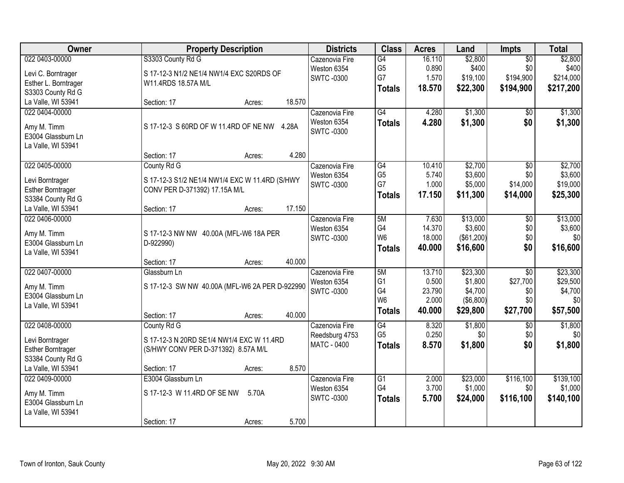| 022 0403-00000<br>S3303 County Rd G<br>16.110<br>\$2,800<br>Cazenovia Fire<br>G4<br>$\overline{50}$<br>G <sub>5</sub><br>0.890<br>\$400<br>\$0<br>Weston 6354<br>S 17-12-3 N1/2 NE1/4 NW1/4 EXC S20RDS OF<br>Levi C. Borntrager<br>G7<br>\$194,900<br>1.570<br>\$19,100<br>\$214,000<br><b>SWTC-0300</b><br>Esther L. Borntrager<br>W11.4RDS 18.57A M/L<br>18.570<br>\$22,300<br>\$194,900<br>\$217,200<br><b>Totals</b><br>S3303 County Rd G<br>18.570<br>La Valle, WI 53941<br>Section: 17<br>Acres:<br>G4<br>\$1,300<br>022 0404-00000<br>4.280<br>\$1,300<br>Cazenovia Fire<br>\$0<br>Weston 6354<br>4.280<br>\$1,300<br>\$0<br>\$1,300<br><b>Totals</b><br>S 17-12-3 S 60RD OF W 11.4RD OF NE NW 4.28A<br>Amy M. Timm<br><b>SWTC-0300</b><br>E3004 Glassburn Ln<br>La Valle, WI 53941<br>4.280<br>Section: 17<br>Acres:<br>022 0405-00000<br>\$2,700<br>$\overline{50}$<br>\$2,700<br>County Rd G<br>G4<br>10.410<br>Cazenovia Fire<br>G <sub>5</sub><br>\$3,600<br>\$0<br>\$3,600<br>5.740<br>Weston 6354<br>S 17-12-3 S1/2 NE1/4 NW1/4 EXC W 11.4RD (S/HWY<br>Levi Borntrager<br>G7<br>1.000<br>\$5,000<br>\$14,000<br>\$19,000<br><b>SWTC-0300</b> | Owner                    | <b>Property Description</b>   | <b>Districts</b> | <b>Class</b> | <b>Acres</b> | Land | <b>Impts</b> | <b>Total</b> |
|------------------------------------------------------------------------------------------------------------------------------------------------------------------------------------------------------------------------------------------------------------------------------------------------------------------------------------------------------------------------------------------------------------------------------------------------------------------------------------------------------------------------------------------------------------------------------------------------------------------------------------------------------------------------------------------------------------------------------------------------------------------------------------------------------------------------------------------------------------------------------------------------------------------------------------------------------------------------------------------------------------------------------------------------------------------------------------------------------------------------------------------------------------|--------------------------|-------------------------------|------------------|--------------|--------------|------|--------------|--------------|
|                                                                                                                                                                                                                                                                                                                                                                                                                                                                                                                                                                                                                                                                                                                                                                                                                                                                                                                                                                                                                                                                                                                                                            |                          |                               |                  |              |              |      |              | \$2,800      |
|                                                                                                                                                                                                                                                                                                                                                                                                                                                                                                                                                                                                                                                                                                                                                                                                                                                                                                                                                                                                                                                                                                                                                            |                          |                               |                  |              |              |      |              | \$400        |
|                                                                                                                                                                                                                                                                                                                                                                                                                                                                                                                                                                                                                                                                                                                                                                                                                                                                                                                                                                                                                                                                                                                                                            |                          |                               |                  |              |              |      |              |              |
|                                                                                                                                                                                                                                                                                                                                                                                                                                                                                                                                                                                                                                                                                                                                                                                                                                                                                                                                                                                                                                                                                                                                                            |                          |                               |                  |              |              |      |              |              |
|                                                                                                                                                                                                                                                                                                                                                                                                                                                                                                                                                                                                                                                                                                                                                                                                                                                                                                                                                                                                                                                                                                                                                            |                          |                               |                  |              |              |      |              |              |
|                                                                                                                                                                                                                                                                                                                                                                                                                                                                                                                                                                                                                                                                                                                                                                                                                                                                                                                                                                                                                                                                                                                                                            |                          |                               |                  |              |              |      |              |              |
|                                                                                                                                                                                                                                                                                                                                                                                                                                                                                                                                                                                                                                                                                                                                                                                                                                                                                                                                                                                                                                                                                                                                                            |                          |                               |                  |              |              |      |              |              |
|                                                                                                                                                                                                                                                                                                                                                                                                                                                                                                                                                                                                                                                                                                                                                                                                                                                                                                                                                                                                                                                                                                                                                            |                          |                               |                  |              |              |      |              |              |
|                                                                                                                                                                                                                                                                                                                                                                                                                                                                                                                                                                                                                                                                                                                                                                                                                                                                                                                                                                                                                                                                                                                                                            |                          |                               |                  |              |              |      |              |              |
|                                                                                                                                                                                                                                                                                                                                                                                                                                                                                                                                                                                                                                                                                                                                                                                                                                                                                                                                                                                                                                                                                                                                                            |                          |                               |                  |              |              |      |              |              |
|                                                                                                                                                                                                                                                                                                                                                                                                                                                                                                                                                                                                                                                                                                                                                                                                                                                                                                                                                                                                                                                                                                                                                            |                          |                               |                  |              |              |      |              |              |
|                                                                                                                                                                                                                                                                                                                                                                                                                                                                                                                                                                                                                                                                                                                                                                                                                                                                                                                                                                                                                                                                                                                                                            |                          |                               |                  |              |              |      |              |              |
|                                                                                                                                                                                                                                                                                                                                                                                                                                                                                                                                                                                                                                                                                                                                                                                                                                                                                                                                                                                                                                                                                                                                                            |                          |                               |                  |              |              |      |              |              |
|                                                                                                                                                                                                                                                                                                                                                                                                                                                                                                                                                                                                                                                                                                                                                                                                                                                                                                                                                                                                                                                                                                                                                            | <b>Esther Borntrager</b> | CONV PER D-371392) 17.15A M/L |                  |              |              |      |              |              |
| \$11,300<br>17.150<br>\$14,000<br><b>Totals</b><br>S3384 County Rd G                                                                                                                                                                                                                                                                                                                                                                                                                                                                                                                                                                                                                                                                                                                                                                                                                                                                                                                                                                                                                                                                                       |                          |                               |                  |              |              |      |              | \$25,300     |
| 17.150<br>La Valle, WI 53941<br>Section: 17<br>Acres:                                                                                                                                                                                                                                                                                                                                                                                                                                                                                                                                                                                                                                                                                                                                                                                                                                                                                                                                                                                                                                                                                                      |                          |                               |                  |              |              |      |              |              |
| \$13,000<br>022 0406-00000<br>5M<br>7.630<br>\$0<br>Cazenovia Fire                                                                                                                                                                                                                                                                                                                                                                                                                                                                                                                                                                                                                                                                                                                                                                                                                                                                                                                                                                                                                                                                                         |                          |                               |                  |              |              |      |              | \$13,000     |
| G4<br>14.370<br>\$3,600<br>\$0<br>Weston 6354<br>Amy M. Timm<br>S 17-12-3 NW NW 40.00A (MFL-W6 18A PER                                                                                                                                                                                                                                                                                                                                                                                                                                                                                                                                                                                                                                                                                                                                                                                                                                                                                                                                                                                                                                                     |                          |                               |                  |              |              |      |              | \$3,600      |
| W <sub>6</sub><br>\$0<br>18.000<br>$($ \$61,200) $ $<br><b>SWTC-0300</b><br>E3004 Glassburn Ln<br>D-922990)                                                                                                                                                                                                                                                                                                                                                                                                                                                                                                                                                                                                                                                                                                                                                                                                                                                                                                                                                                                                                                                |                          |                               |                  |              |              |      |              | \$0          |
| \$0<br>40.000<br>\$16,600<br><b>Totals</b><br>La Valle, WI 53941                                                                                                                                                                                                                                                                                                                                                                                                                                                                                                                                                                                                                                                                                                                                                                                                                                                                                                                                                                                                                                                                                           |                          |                               |                  |              |              |      |              | \$16,600     |
| 40.000<br>Section: 17<br>Acres:                                                                                                                                                                                                                                                                                                                                                                                                                                                                                                                                                                                                                                                                                                                                                                                                                                                                                                                                                                                                                                                                                                                            |                          |                               |                  |              |              |      |              |              |
| 022 0407-00000<br>5M<br>13.710<br>\$23,300<br>$\overline{50}$<br>Glassburn Ln<br>Cazenovia Fire                                                                                                                                                                                                                                                                                                                                                                                                                                                                                                                                                                                                                                                                                                                                                                                                                                                                                                                                                                                                                                                            |                          |                               |                  |              |              |      |              | \$23,300     |
| G <sub>1</sub><br>0.500<br>\$1,800<br>\$27,700<br>Weston 6354                                                                                                                                                                                                                                                                                                                                                                                                                                                                                                                                                                                                                                                                                                                                                                                                                                                                                                                                                                                                                                                                                              |                          |                               |                  |              |              |      |              | \$29,500     |
| S 17-12-3 SW NW 40.00A (MFL-W6 2A PER D-922990)<br>Amy M. Timm<br>G4<br>23.790<br>\$4,700<br>\$0<br><b>SWTC-0300</b>                                                                                                                                                                                                                                                                                                                                                                                                                                                                                                                                                                                                                                                                                                                                                                                                                                                                                                                                                                                                                                       |                          |                               |                  |              |              |      |              | \$4,700      |
| E3004 Glassburn Ln<br>W <sub>6</sub><br>\$0<br>2.000<br>( \$6,800)                                                                                                                                                                                                                                                                                                                                                                                                                                                                                                                                                                                                                                                                                                                                                                                                                                                                                                                                                                                                                                                                                         |                          |                               |                  |              |              |      |              | \$0          |
| La Valle, WI 53941<br>40.000<br>\$29,800<br>\$27,700<br><b>Totals</b>                                                                                                                                                                                                                                                                                                                                                                                                                                                                                                                                                                                                                                                                                                                                                                                                                                                                                                                                                                                                                                                                                      |                          |                               |                  |              |              |      |              | \$57,500     |
| 40.000<br>Section: 17<br>Acres:                                                                                                                                                                                                                                                                                                                                                                                                                                                                                                                                                                                                                                                                                                                                                                                                                                                                                                                                                                                                                                                                                                                            |                          |                               |                  |              |              |      |              |              |
| G4<br>\$1,800<br>022 0408-00000<br>Cazenovia Fire<br>8.320<br>$\overline{50}$<br>County Rd G                                                                                                                                                                                                                                                                                                                                                                                                                                                                                                                                                                                                                                                                                                                                                                                                                                                                                                                                                                                                                                                               |                          |                               |                  |              |              |      |              | \$1,800      |
| G <sub>5</sub><br>0.250<br>\$0<br>\$0<br>Reedsburg 4753<br>S 17-12-3 N 20RD SE1/4 NW1/4 EXC W 11.4RD<br>Levi Borntrager                                                                                                                                                                                                                                                                                                                                                                                                                                                                                                                                                                                                                                                                                                                                                                                                                                                                                                                                                                                                                                    |                          |                               |                  |              |              |      |              | \$0          |
| MATC - 0400<br>8.570<br>\$1,800<br>\$0<br><b>Totals</b><br>Esther Borntrager<br>(S/HWY CONV PER D-371392) 8.57A M/L                                                                                                                                                                                                                                                                                                                                                                                                                                                                                                                                                                                                                                                                                                                                                                                                                                                                                                                                                                                                                                        |                          |                               |                  |              |              |      |              | \$1,800      |
| S3384 County Rd G                                                                                                                                                                                                                                                                                                                                                                                                                                                                                                                                                                                                                                                                                                                                                                                                                                                                                                                                                                                                                                                                                                                                          |                          |                               |                  |              |              |      |              |              |
| 8.570<br>La Valle, WI 53941<br>Section: 17<br>Acres:                                                                                                                                                                                                                                                                                                                                                                                                                                                                                                                                                                                                                                                                                                                                                                                                                                                                                                                                                                                                                                                                                                       |                          |                               |                  |              |              |      |              |              |
| 022 0409-00000<br>\$23,000<br>\$116,100<br>E3004 Glassburn Ln<br>$\overline{G1}$<br>2.000<br>Cazenovia Fire                                                                                                                                                                                                                                                                                                                                                                                                                                                                                                                                                                                                                                                                                                                                                                                                                                                                                                                                                                                                                                                |                          |                               |                  |              |              |      |              | \$139,100    |
| G4<br>3.700<br>\$1,000<br>\$0<br>Weston 6354<br>S 17-12-3 W 11.4RD OF SE NW<br>5.70A                                                                                                                                                                                                                                                                                                                                                                                                                                                                                                                                                                                                                                                                                                                                                                                                                                                                                                                                                                                                                                                                       |                          |                               |                  |              |              |      |              | \$1,000      |
| Amy M. Timm<br>5.700<br>\$116,100<br><b>SWTC-0300</b><br>\$24,000<br><b>Totals</b><br>E3004 Glassburn Ln                                                                                                                                                                                                                                                                                                                                                                                                                                                                                                                                                                                                                                                                                                                                                                                                                                                                                                                                                                                                                                                   |                          |                               |                  |              |              |      |              | \$140,100    |
| La Valle, WI 53941                                                                                                                                                                                                                                                                                                                                                                                                                                                                                                                                                                                                                                                                                                                                                                                                                                                                                                                                                                                                                                                                                                                                         |                          |                               |                  |              |              |      |              |              |
| 5.700<br>Section: 17<br>Acres:                                                                                                                                                                                                                                                                                                                                                                                                                                                                                                                                                                                                                                                                                                                                                                                                                                                                                                                                                                                                                                                                                                                             |                          |                               |                  |              |              |      |              |              |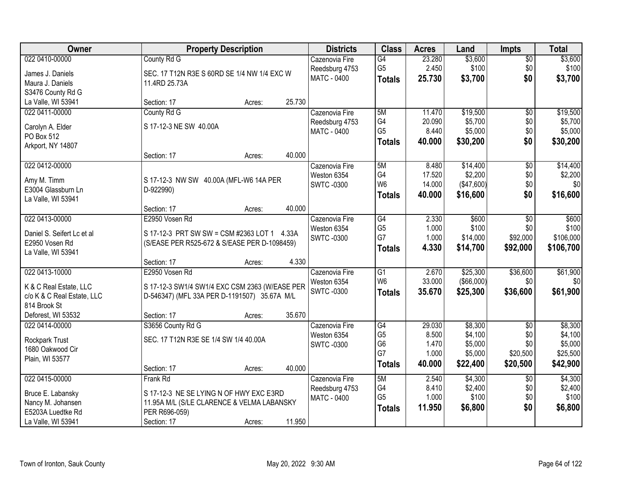| Owner                                  |                                                             | <b>Property Description</b> |        | <b>Districts</b>   | <b>Class</b>    | <b>Acres</b> | Land        | <b>Impts</b>    | <b>Total</b> |
|----------------------------------------|-------------------------------------------------------------|-----------------------------|--------|--------------------|-----------------|--------------|-------------|-----------------|--------------|
| 022 0410-00000                         | County Rd G                                                 |                             |        | Cazenovia Fire     | $\overline{G4}$ | 23.280       | \$3,600     | $\overline{60}$ | \$3,600      |
| James J. Daniels                       | SEC. 17 T12N R3E S 60RD SE 1/4 NW 1/4 EXC W                 |                             |        | Reedsburg 4753     | G <sub>5</sub>  | 2.450        | \$100       | \$0             | \$100        |
| Maura J. Daniels                       | 11.4RD 25.73A                                               |                             |        | MATC - 0400        | <b>Totals</b>   | 25.730       | \$3,700     | \$0             | \$3,700      |
| S3476 County Rd G                      |                                                             |                             |        |                    |                 |              |             |                 |              |
| La Valle, WI 53941                     | Section: 17                                                 | Acres:                      | 25.730 |                    |                 |              |             |                 |              |
| 022 0411-00000                         | County Rd G                                                 |                             |        | Cazenovia Fire     | 5M              | 11.470       | \$19,500    | $\overline{50}$ | \$19,500     |
| Carolyn A. Elder                       | S 17-12-3 NE SW 40.00A                                      |                             |        | Reedsburg 4753     | G4              | 20.090       | \$5,700     | \$0             | \$5,700      |
| PO Box 512                             |                                                             |                             |        | <b>MATC - 0400</b> | G <sub>5</sub>  | 8.440        | \$5,000     | \$0             | \$5,000      |
| Arkport, NY 14807                      |                                                             |                             |        |                    | <b>Totals</b>   | 40.000       | \$30,200    | \$0             | \$30,200     |
|                                        | Section: 17                                                 | Acres:                      | 40.000 |                    |                 |              |             |                 |              |
| 022 0412-00000                         |                                                             |                             |        | Cazenovia Fire     | 5M              | 8.480        | \$14,400    | \$0             | \$14,400     |
| Amy M. Timm                            | S 17-12-3 NW SW 40.00A (MFL-W6 14A PER                      |                             |        | Weston 6354        | G4              | 17.520       | \$2,200     | \$0             | \$2,200      |
| E3004 Glassburn Ln                     | D-922990)                                                   |                             |        | <b>SWTC-0300</b>   | W <sub>6</sub>  | 14.000       | (\$47,600)  | \$0             | \$0          |
| La Valle, WI 53941                     |                                                             |                             |        |                    | <b>Totals</b>   | 40.000       | \$16,600    | \$0             | \$16,600     |
|                                        | Section: 17                                                 | Acres:                      | 40.000 |                    |                 |              |             |                 |              |
| 022 0413-00000                         | E2950 Vosen Rd                                              |                             |        | Cazenovia Fire     | G4              | 2.330        | \$600       | \$0             | \$600        |
| Daniel S. Seifert Lc et al             | S 17-12-3 PRT SW SW = CSM #2363 LOT 1 4.33A                 |                             |        | Weston 6354        | G <sub>5</sub>  | 1.000        | \$100       | \$0             | \$100        |
| E2950 Vosen Rd                         | (S/EASE PER R525-672 & S/EASE PER D-1098459)                |                             |        | <b>SWTC -0300</b>  | G7              | 1.000        | \$14,000    | \$92,000        | \$106,000    |
| La Valle, WI 53941                     |                                                             |                             |        |                    | <b>Totals</b>   | 4.330        | \$14,700    | \$92,000        | \$106,700    |
|                                        | Section: 17                                                 | Acres:                      | 4.330  |                    |                 |              |             |                 |              |
| 022 0413-10000                         | E2950 Vosen Rd                                              |                             |        | Cazenovia Fire     | $\overline{G1}$ | 2.670        | \$25,300    | \$36,600        | \$61,900     |
| K & C Real Estate, LLC                 | S 17-12-3 SW1/4 SW1/4 EXC CSM 2363 (W/EASE PER              |                             |        | Weston 6354        | W <sub>6</sub>  | 33.000       | ( \$66,000) | \$0             | \$0          |
| c/o K & C Real Estate, LLC             | D-546347) (MFL 33A PER D-1191507) 35.67A M/L                |                             |        | <b>SWTC-0300</b>   | <b>Totals</b>   | 35.670       | \$25,300    | \$36,600        | \$61,900     |
| 814 Brook St                           |                                                             |                             |        |                    |                 |              |             |                 |              |
| Deforest, WI 53532                     | Section: 17                                                 | Acres:                      | 35.670 |                    |                 |              |             |                 |              |
| 022 0414-00000                         | S3656 County Rd G                                           |                             |        | Cazenovia Fire     | $\overline{G4}$ | 29.030       | \$8,300     | $\overline{50}$ | \$8,300      |
|                                        | SEC. 17 T12N R3E SE 1/4 SW 1/4 40.00A                       |                             |        | Weston 6354        | G <sub>5</sub>  | 8.500        | \$4,100     | \$0             | \$4,100      |
| Rockpark Trust<br>1680 Oakwood Cir     |                                                             |                             |        | <b>SWTC-0300</b>   | G <sub>6</sub>  | 1.470        | \$5,000     | \$0             | \$5,000      |
| Plain, WI 53577                        |                                                             |                             |        |                    | G7              | 1.000        | \$5,000     | \$20,500        | \$25,500     |
|                                        | Section: 17                                                 | Acres:                      | 40.000 |                    | <b>Totals</b>   | 40.000       | \$22,400    | \$20,500        | \$42,900     |
| 022 0415-00000                         | Frank Rd                                                    |                             |        | Cazenovia Fire     | 5M              | 2.540        | \$4,300     | $\overline{30}$ | \$4,300      |
|                                        |                                                             |                             |        | Reedsburg 4753     | G4              | 8.410        | \$2,400     | \$0             | \$2,400      |
| Bruce E. Labansky                      | S 17-12-3 NE SE LYING N OF HWY EXC E3RD                     |                             |        | <b>MATC - 0400</b> | G <sub>5</sub>  | 1.000        | \$100       | \$0             | \$100        |
| Nancy M. Johansen<br>E5203A Luedtke Rd | 11.95A M/L (S/LE CLARENCE & VELMA LABANSKY<br>PER R696-059) |                             |        |                    | <b>Totals</b>   | 11.950       | \$6,800     | \$0             | \$6,800      |
| La Valle, WI 53941                     | Section: 17                                                 | Acres:                      | 11.950 |                    |                 |              |             |                 |              |
|                                        |                                                             |                             |        |                    |                 |              |             |                 |              |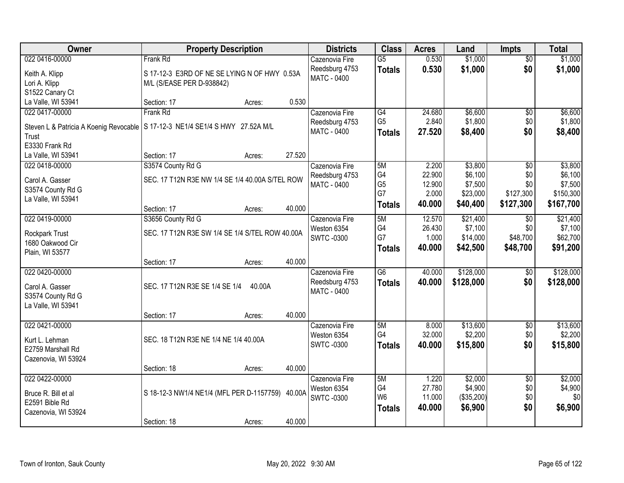| Owner                                  | <b>Property Description</b>                         | <b>Districts</b>              | <b>Class</b>    | <b>Acres</b>    | Land       | <b>Impts</b>           | <b>Total</b>       |
|----------------------------------------|-----------------------------------------------------|-------------------------------|-----------------|-----------------|------------|------------------------|--------------------|
| 022 0416-00000                         | Frank Rd                                            | Cazenovia Fire                | $\overline{G5}$ | 0.530           | \$1,000    | \$0                    | \$1,000            |
| Keith A. Klipp                         | S 17-12-3 E3RD OF NE SE LYING N OF HWY 0.53A        | Reedsburg 4753                | <b>Totals</b>   | 0.530           | \$1,000    | \$0                    | \$1,000            |
| Lori A. Klipp                          | M/L (S/EASE PER D-938842)                           | <b>MATC - 0400</b>            |                 |                 |            |                        |                    |
| S1522 Canary Ct                        |                                                     |                               |                 |                 |            |                        |                    |
| La Valle, WI 53941                     | 0.530<br>Section: 17<br>Acres:                      |                               |                 |                 |            |                        |                    |
| 022 0417-00000                         | Frank Rd                                            | Cazenovia Fire                | G4              | 24.680          | \$6,600    | $\overline{50}$        | \$6,600            |
| Steven L & Patricia A Koenig Revocable | S 17-12-3 NE1/4 SE1/4 S HWY 27.52A M/L              | Reedsburg 4753                | G <sub>5</sub>  | 2.840           | \$1,800    | \$0                    | \$1,800            |
| Trust                                  |                                                     | MATC - 0400                   | <b>Totals</b>   | 27.520          | \$8,400    | \$0                    | \$8,400            |
| E3330 Frank Rd                         |                                                     |                               |                 |                 |            |                        |                    |
| La Valle, WI 53941                     | 27.520<br>Section: 17<br>Acres:                     |                               |                 |                 |            |                        |                    |
| 022 0418-00000                         | S3574 County Rd G                                   | Cazenovia Fire                | 5M              | 2.200           | \$3,800    | \$0                    | \$3,800            |
|                                        | SEC. 17 T12N R3E NW 1/4 SE 1/4 40.00A S/TEL ROW     | Reedsburg 4753                | G4              | 22.900          | \$6,100    | \$0                    | \$6,100            |
| Carol A. Gasser<br>S3574 County Rd G   |                                                     | <b>MATC - 0400</b>            | G <sub>5</sub>  | 12.900          | \$7,500    | \$0                    | \$7,500            |
| La Valle, WI 53941                     |                                                     |                               | G7              | 2.000           | \$23,000   | \$127,300              | \$150,300          |
|                                        | 40.000<br>Section: 17<br>Acres:                     |                               | <b>Totals</b>   | 40.000          | \$40,400   | \$127,300              | \$167,700          |
| 022 0419-00000                         | S3656 County Rd G                                   | Cazenovia Fire                | 5M              | 12.570          | \$21,400   | $\sqrt[6]{}$           | \$21,400           |
|                                        |                                                     | Weston 6354                   | G4              | 26.430          | \$7,100    | \$0                    | \$7,100            |
| Rockpark Trust                         | SEC. 17 T12N R3E SW 1/4 SE 1/4 S/TEL ROW 40.00A     | <b>SWTC-0300</b>              | G7              | 1.000           | \$14,000   | \$48,700               | \$62,700           |
| 1680 Oakwood Cir<br>Plain, WI 53577    |                                                     |                               | <b>Totals</b>   | 40.000          | \$42,500   | \$48,700               | \$91,200           |
|                                        | 40.000<br>Section: 17<br>Acres:                     |                               |                 |                 |            |                        |                    |
| 022 0420-00000                         |                                                     | Cazenovia Fire                | $\overline{G6}$ | 40.000          | \$128,000  | $\overline{60}$        | \$128,000          |
|                                        |                                                     | Reedsburg 4753                | <b>Totals</b>   | 40.000          | \$128,000  | \$0                    | \$128,000          |
| Carol A. Gasser                        | SEC. 17 T12N R3E SE 1/4 SE 1/4<br>40.00A            | <b>MATC - 0400</b>            |                 |                 |            |                        |                    |
| S3574 County Rd G                      |                                                     |                               |                 |                 |            |                        |                    |
| La Valle, WI 53941                     | 40.000<br>Section: 17                               |                               |                 |                 |            |                        |                    |
| 022 0421-00000                         | Acres:                                              | Cazenovia Fire                | 5M              | 8.000           | \$13,600   | $\overline{50}$        | \$13,600           |
|                                        |                                                     | Weston 6354                   | G4              | 32.000          | \$2,200    | \$0                    | \$2,200            |
| Kurt L. Lehman                         | SEC. 18 T12N R3E NE 1/4 NE 1/4 40.00A               | <b>SWTC-0300</b>              | <b>Totals</b>   | 40,000          | \$15,800   | \$0                    | \$15,800           |
| E2759 Marshall Rd                      |                                                     |                               |                 |                 |            |                        |                    |
| Cazenovia, WI 53924                    |                                                     |                               |                 |                 |            |                        |                    |
| 022 0422-00000                         | 40.000<br>Section: 18<br>Acres:                     |                               |                 |                 | \$2,000    |                        |                    |
|                                        |                                                     | Cazenovia Fire<br>Weston 6354 | 5M<br>G4        | 1.220<br>27.780 | \$4,900    | $\overline{50}$<br>\$0 | \$2,000<br>\$4,900 |
| Bruce R. Bill et al                    | S 18-12-3 NW1/4 NE1/4 (MFL PER D-1157759)<br>40.00A | <b>SWTC-0300</b>              | W <sub>6</sub>  | 11.000          | (\$35,200) | \$0                    | \$0                |
| E2591 Bible Rd                         |                                                     |                               | <b>Totals</b>   | 40.000          | \$6,900    | \$0                    | \$6,900            |
| Cazenovia, WI 53924                    |                                                     |                               |                 |                 |            |                        |                    |
|                                        | 40.000<br>Section: 18<br>Acres:                     |                               |                 |                 |            |                        |                    |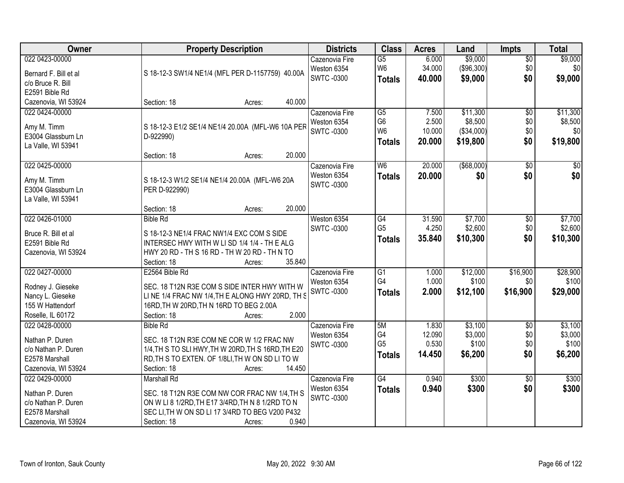| Owner                 | <b>Property Description</b>                        | <b>Districts</b>                | <b>Class</b>    | <b>Acres</b> | Land          | <b>Impts</b>    | <b>Total</b> |
|-----------------------|----------------------------------------------------|---------------------------------|-----------------|--------------|---------------|-----------------|--------------|
| 022 0423-00000        |                                                    | Cazenovia Fire                  | $\overline{G5}$ | 6.000        | \$9,000       | $\overline{50}$ | \$9,000      |
| Bernard F. Bill et al | S 18-12-3 SW1/4 NE1/4 (MFL PER D-1157759) 40.00A   | Weston 6354                     | W <sub>6</sub>  | 34.000       | (\$96,300)    | \$0             | \$0          |
| c/o Bruce R. Bill     |                                                    | <b>SWTC-0300</b>                | <b>Totals</b>   | 40.000       | \$9,000       | \$0             | \$9,000      |
| E2591 Bible Rd        |                                                    |                                 |                 |              |               |                 |              |
| Cazenovia, WI 53924   | 40.000<br>Section: 18<br>Acres:                    |                                 |                 |              |               |                 |              |
| 022 0424-00000        |                                                    | Cazenovia Fire                  | $\overline{G5}$ | 7.500        | \$11,300      | $\overline{50}$ | \$11,300     |
|                       |                                                    | Weston 6354                     | G <sub>6</sub>  | 2.500        | \$8,500       | \$0             | \$8,500      |
| Amy M. Timm           | S 18-12-3 E1/2 SE1/4 NE1/4 20.00A (MFL-W6 10A PER  | <b>SWTC-0300</b>                | W <sub>6</sub>  | 10.000       | (\$34,000)    | \$0             | \$0          |
| E3004 Glassburn Ln    | D-922990)                                          |                                 | <b>Totals</b>   | 20.000       | \$19,800      | \$0             | \$19,800     |
| La Valle, WI 53941    | 20.000                                             |                                 |                 |              |               |                 |              |
|                       | Section: 18<br>Acres:                              |                                 |                 |              |               |                 |              |
| 022 0425-00000        |                                                    | Cazenovia Fire                  | W <sub>6</sub>  | 20.000       | $($ \$68,000) | \$0             | \$0          |
| Amy M. Timm           | S 18-12-3 W1/2 SE1/4 NE1/4 20.00A (MFL-W6 20A      | Weston 6354<br><b>SWTC-0300</b> | <b>Totals</b>   | 20.000       | \$0           | \$0             | \$0          |
| E3004 Glassburn Ln    | PER D-922990)                                      |                                 |                 |              |               |                 |              |
| La Valle, WI 53941    |                                                    |                                 |                 |              |               |                 |              |
|                       | 20.000<br>Section: 18<br>Acres:                    |                                 |                 |              |               |                 |              |
| 022 0426-01000        | <b>Bible Rd</b>                                    | Weston 6354                     | G4              | 31.590       | \$7,700       | \$0             | \$7,700      |
| Bruce R. Bill et al   | S 18-12-3 NE1/4 FRAC NW1/4 EXC COM S SIDE          | <b>SWTC-0300</b>                | G <sub>5</sub>  | 4.250        | \$2,600       | \$0             | \$2,600      |
| E2591 Bible Rd        | INTERSEC HWY WITH W LI SD 1/4 1/4 - TH E ALG       |                                 | <b>Totals</b>   | 35.840       | \$10,300      | \$0             | \$10,300     |
| Cazenovia, WI 53924   | HWY 20 RD - TH S 16 RD - TH W 20 RD - TH N TO      |                                 |                 |              |               |                 |              |
|                       | 35.840<br>Section: 18<br>Acres:                    |                                 |                 |              |               |                 |              |
| 022 0427-00000        | E2564 Bible Rd                                     | Cazenovia Fire                  | $\overline{G1}$ | 1.000        | \$12,000      | \$16,900        | \$28,900     |
|                       |                                                    | Weston 6354                     | G4              | 1.000        | \$100         | \$0             | \$100        |
| Rodney J. Gieseke     | SEC. 18 T12N R3E COM S SIDE INTER HWY WITH W       | <b>SWTC-0300</b>                | <b>Totals</b>   | 2.000        | \$12,100      | \$16,900        | \$29,000     |
| Nancy L. Gieseke      | LINE 1/4 FRAC NW 1/4, THE ALONG HWY 20RD, TH S     |                                 |                 |              |               |                 |              |
| 155 W Hattendorf      | 16RD, TH W 20RD, TH N 16RD TO BEG 2.00A            |                                 |                 |              |               |                 |              |
| Roselle, IL 60172     | 2.000<br>Section: 18<br>Acres:                     |                                 |                 |              |               |                 |              |
| 022 0428-00000        | <b>Bible Rd</b>                                    | Cazenovia Fire                  | 5M              | 1.830        | \$3,100       | $\sqrt{6}$      | \$3,100      |
| Nathan P. Duren       | SEC. 18 T12N R3E COM NE COR W 1/2 FRAC NW          | Weston 6354                     | G4              | 12.090       | \$3,000       | \$0             | \$3,000      |
| c/o Nathan P. Duren   | 1/4, TH S TO SLI HWY, TH W 20RD, TH S 16RD, TH E20 | <b>SWTC-0300</b>                | G <sub>5</sub>  | 0.530        | \$100         | \$0             | \$100        |
| E2578 Marshall        | RD, TH S TO EXTEN. OF 1/8LI, TH W ON SD LI TO W    |                                 | <b>Totals</b>   | 14.450       | \$6,200       | \$0             | \$6,200      |
| Cazenovia, WI 53924   | 14.450<br>Section: 18<br>Acres:                    |                                 |                 |              |               |                 |              |
| 022 0429-00000        | <b>Marshall Rd</b>                                 | Cazenovia Fire                  | G4              | 0.940        | \$300         | $\overline{50}$ | \$300        |
|                       |                                                    | Weston 6354                     | <b>Totals</b>   | 0.940        | \$300         | \$0             | \$300        |
| Nathan P. Duren       | SEC. 18 T12N R3E COM NW COR FRAC NW 1/4, TH S      | <b>SWTC-0300</b>                |                 |              |               |                 |              |
| c/o Nathan P. Duren   | ON W LI 8 1/2RD, TH E17 3/4RD, TH N 8 1/2RD TO N   |                                 |                 |              |               |                 |              |
| E2578 Marshall        | SEC LI, TH W ON SD LI 17 3/4RD TO BEG V200 P432    |                                 |                 |              |               |                 |              |
| Cazenovia, WI 53924   | 0.940<br>Section: 18<br>Acres:                     |                                 |                 |              |               |                 |              |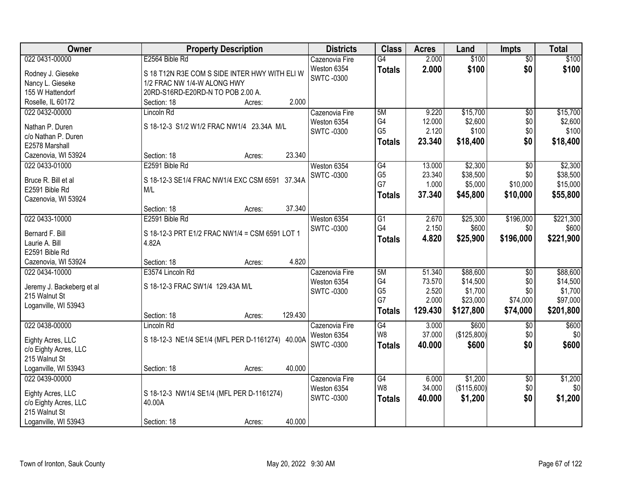| Owner                                 | <b>Property Description</b>                       | <b>Districts</b>                | <b>Class</b>    | <b>Acres</b> | Land        | <b>Impts</b>           | <b>Total</b> |
|---------------------------------------|---------------------------------------------------|---------------------------------|-----------------|--------------|-------------|------------------------|--------------|
| 022 0431-00000                        | E2564 Bible Rd                                    | Cazenovia Fire                  | $\overline{G4}$ | 2.000        | \$100       | $\overline{50}$        | \$100        |
| Rodney J. Gieseke                     | S 18 T12N R3E COM S SIDE INTER HWY WITH ELI W     | Weston 6354                     | <b>Totals</b>   | 2.000        | \$100       | \$0                    | \$100        |
| Nancy L. Gieseke                      | 1/2 FRAC NW 1/4-W ALONG HWY                       | <b>SWTC-0300</b>                |                 |              |             |                        |              |
| 155 W Hattendorf                      | 20RD-S16RD-E20RD-N TO POB 2.00 A.                 |                                 |                 |              |             |                        |              |
| Roselle, IL 60172                     | 2.000<br>Section: 18<br>Acres:                    |                                 |                 |              |             |                        |              |
| 022 0432-00000                        | Lincoln Rd                                        | Cazenovia Fire                  | 5M              | 9.220        | \$15,700    | $\overline{50}$        | \$15,700     |
|                                       |                                                   | Weston 6354                     | G4              | 12.000       | \$2,600     | \$0                    | \$2,600      |
| Nathan P. Duren                       | S 18-12-3 S1/2 W1/2 FRAC NW1/4 23.34A M/L         | <b>SWTC-0300</b>                | G <sub>5</sub>  | 2.120        | \$100       | \$0                    | \$100        |
| c/o Nathan P. Duren                   |                                                   |                                 | <b>Totals</b>   | 23.340       | \$18,400    | \$0                    | \$18,400     |
| E2578 Marshall<br>Cazenovia, WI 53924 | 23.340<br>Section: 18                             |                                 |                 |              |             |                        |              |
| 022 0433-01000                        | Acres:<br>E2591 Bible Rd                          | Weston 6354                     | G4              | 13.000       | \$2,300     | $\overline{50}$        | \$2,300      |
|                                       |                                                   | <b>SWTC-0300</b>                | G <sub>5</sub>  | 23.340       | \$38,500    | \$0                    | \$38,500     |
| Bruce R. Bill et al                   | S 18-12-3 SE1/4 FRAC NW1/4 EXC CSM 6591<br>37.34A |                                 | G7              | 1.000        | \$5,000     | \$10,000               | \$15,000     |
| E2591 Bible Rd                        | M/L                                               |                                 | <b>Totals</b>   | 37.340       | \$45,800    | \$10,000               | \$55,800     |
| Cazenovia, WI 53924                   |                                                   |                                 |                 |              |             |                        |              |
|                                       | 37.340<br>Section: 18<br>Acres:                   |                                 |                 |              |             |                        |              |
| 022 0433-10000                        | E2591 Bible Rd                                    | Weston 6354                     | G1              | 2.670        | \$25,300    | \$196,000              | \$221,300    |
| Bernard F. Bill                       | S 18-12-3 PRT E1/2 FRAC NW1/4 = CSM 6591 LOT 1    | <b>SWTC-0300</b>                | G4              | 2.150        | \$600       | \$0                    | \$600        |
| Laurie A. Bill                        | 4.82A                                             |                                 | <b>Totals</b>   | 4.820        | \$25,900    | \$196,000              | \$221,900    |
| E2591 Bible Rd                        |                                                   |                                 |                 |              |             |                        |              |
| Cazenovia, WI 53924                   | 4.820<br>Section: 18<br>Acres:                    |                                 |                 |              |             |                        |              |
| 022 0434-10000                        | E3574 Lincoln Rd                                  | Cazenovia Fire                  | 5M              | 51.340       | \$88,600    | \$0                    | \$88,600     |
|                                       |                                                   | Weston 6354                     | G4              | 73.570       | \$14,500    | \$0                    | \$14,500     |
| Jeremy J. Backeberg et al             | S 18-12-3 FRAC SW1/4 129.43A M/L                  | <b>SWTC-0300</b>                | G <sub>5</sub>  | 2.520        | \$1,700     | \$0                    | \$1,700      |
| 215 Walnut St                         |                                                   |                                 | G7              | 2.000        | \$23,000    | \$74,000               | \$97,000     |
| Loganville, WI 53943                  | 129.430                                           |                                 | <b>Totals</b>   | 129.430      | \$127,800   | \$74,000               | \$201,800    |
| 022 0438-00000                        | Section: 18<br>Acres:                             |                                 | $\overline{G4}$ | 3.000        | \$600       |                        |              |
|                                       | Lincoln Rd                                        | Cazenovia Fire                  | W <sub>8</sub>  | 37.000       | (\$125,800) | $\overline{$0}$<br>\$0 | \$600<br>\$0 |
| Eighty Acres, LLC                     | S 18-12-3 NE1/4 SE1/4 (MFL PER D-1161274) 40.00A  | Weston 6354<br><b>SWTC-0300</b> |                 |              |             |                        |              |
| c/o Eighty Acres, LLC                 |                                                   |                                 | <b>Totals</b>   | 40.000       | \$600       | \$0                    | \$600        |
| 215 Walnut St                         |                                                   |                                 |                 |              |             |                        |              |
| Loganville, WI 53943                  | 40.000<br>Section: 18<br>Acres:                   |                                 |                 |              |             |                        |              |
| 022 0439-00000                        |                                                   | Cazenovia Fire                  | G4              | 6.000        | \$1,200     | $\sqrt{$0}$            | \$1,200      |
| Eighty Acres, LLC                     | S 18-12-3 NW1/4 SE1/4 (MFL PER D-1161274)         | Weston 6354                     | W8              | 34.000       | (\$115,600) | \$0                    | \$0          |
| c/o Eighty Acres, LLC                 | 40.00A                                            | <b>SWTC-0300</b>                | <b>Totals</b>   | 40.000       | \$1,200     | \$0                    | \$1,200      |
| 215 Walnut St                         |                                                   |                                 |                 |              |             |                        |              |
| Loganville, WI 53943                  | 40.000<br>Section: 18<br>Acres:                   |                                 |                 |              |             |                        |              |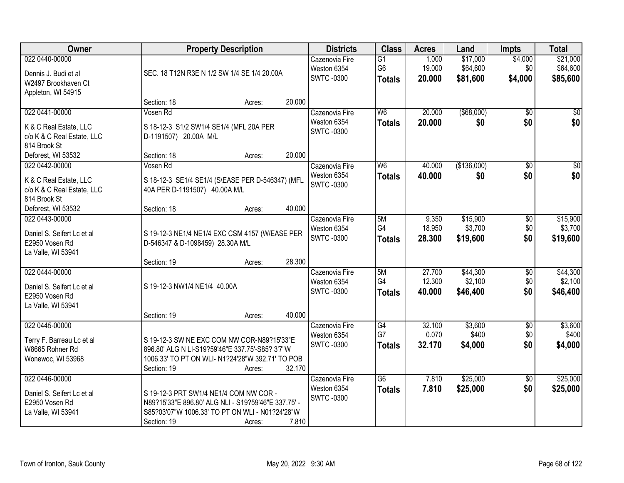| Owner                                                                                  |                                                                                                                                                                  | <b>Property Description</b> |        | <b>Districts</b>                                  | <b>Class</b>                                       | <b>Acres</b>               | Land                             | <b>Impts</b>              | <b>Total</b>                     |
|----------------------------------------------------------------------------------------|------------------------------------------------------------------------------------------------------------------------------------------------------------------|-----------------------------|--------|---------------------------------------------------|----------------------------------------------------|----------------------------|----------------------------------|---------------------------|----------------------------------|
| 022 0440-00000<br>Dennis J. Budi et al<br>W2497 Brookhaven Ct<br>Appleton, WI 54915    | SEC. 18 T12N R3E N 1/2 SW 1/4 SE 1/4 20.00A                                                                                                                      |                             |        | Cazenovia Fire<br>Weston 6354<br><b>SWTC-0300</b> | $\overline{G1}$<br>G <sub>6</sub><br><b>Totals</b> | 1.000<br>19.000<br>20.000  | \$17,000<br>\$64,600<br>\$81,600 | \$4,000<br>\$0<br>\$4,000 | \$21,000<br>\$64,600<br>\$85,600 |
|                                                                                        | Section: 18                                                                                                                                                      | Acres:                      | 20.000 |                                                   |                                                    |                            |                                  |                           |                                  |
| 022 0441-00000<br>K & C Real Estate, LLC<br>c/o K & C Real Estate, LLC<br>814 Brook St | Vosen Rd<br>S 18-12-3 S1/2 SW1/4 SE1/4 (MFL 20A PER<br>D-1191507) 20.00A M/L                                                                                     |                             |        | Cazenovia Fire<br>Weston 6354<br><b>SWTC-0300</b> | W6<br><b>Totals</b>                                | 20.000<br>20.000           | $($ \$68,000)<br>\$0             | $\overline{50}$<br>\$0    | \$0<br>\$0                       |
| Deforest, WI 53532                                                                     | Section: 18                                                                                                                                                      | Acres:                      | 20.000 |                                                   |                                                    |                            |                                  |                           |                                  |
| 022 0442-00000<br>K & C Real Estate, LLC<br>c/o K & C Real Estate, LLC<br>814 Brook St | Vosen Rd<br>S 18-12-3 SE1/4 SE1/4 (S\EASE PER D-546347) (MFL<br>40A PER D-1191507) 40.00A M/L                                                                    |                             |        | Cazenovia Fire<br>Weston 6354<br><b>SWTC-0300</b> | W <sub>6</sub><br><b>Totals</b>                    | 40.000<br>40.000           | (\$136,000)<br>\$0               | \$0<br>\$0                | \$0<br>\$0                       |
| Deforest, WI 53532                                                                     | Section: 18                                                                                                                                                      | Acres:                      | 40.000 |                                                   |                                                    |                            |                                  |                           |                                  |
| 022 0443-00000<br>Daniel S. Seifert Lc et al<br>E2950 Vosen Rd<br>La Valle, WI 53941   | S 19-12-3 NE1/4 NE1/4 EXC CSM 4157 (W/EASE PER<br>D-546347 & D-1098459) 28.30A M/L                                                                               |                             |        | Cazenovia Fire<br>Weston 6354<br><b>SWTC-0300</b> | 5M<br>G4<br><b>Totals</b>                          | 9.350<br>18.950<br>28.300  | \$15,900<br>\$3,700<br>\$19,600  | \$0<br>\$0<br>\$0         | \$15,900<br>\$3,700<br>\$19,600  |
|                                                                                        | Section: 19                                                                                                                                                      | Acres:                      | 28.300 |                                                   |                                                    |                            |                                  |                           |                                  |
| 022 0444-00000<br>Daniel S. Seifert Lc et al<br>E2950 Vosen Rd<br>La Valle, WI 53941   | S 19-12-3 NW1/4 NE1/4 40.00A                                                                                                                                     |                             | 40.000 | Cazenovia Fire<br>Weston 6354<br><b>SWTC-0300</b> | 5M<br>G4<br><b>Totals</b>                          | 27.700<br>12.300<br>40.000 | \$44,300<br>\$2,100<br>\$46,400  | \$0<br>\$0<br>\$0         | \$44,300<br>\$2,100<br>\$46,400  |
| 022 0445-00000                                                                         | Section: 19                                                                                                                                                      | Acres:                      |        | Cazenovia Fire                                    | $\overline{G4}$                                    | 32.100                     | \$3,600                          | $\overline{60}$           | \$3,600                          |
| Terry F. Barreau Lc et al<br>W8665 Rohner Rd<br>Wonewoc, WI 53968                      | S 19-12-3 SW NE EXC COM NW COR-N89?15'33"E<br>896.80' ALG N LI-S19?59'46"E 337.75'-S85? 3'7"W<br>1006.33' TO PT ON WLI- N1?24'28"W 392.71' TO POB<br>Section: 19 | Acres:                      | 32.170 | Weston 6354<br><b>SWTC -0300</b>                  | G7<br><b>Totals</b>                                | 0.070<br>32.170            | \$400<br>\$4,000                 | \$0<br>\$0                | \$400<br>\$4,000                 |
| 022 0446-00000<br>Daniel S. Seifert Lc et al<br>E2950 Vosen Rd<br>La Valle, WI 53941   | S 19-12-3 PRT SW1/4 NE1/4 COM NW COR -<br>N89?15'33"E 896.80' ALG NLI - S19?59'46"E 337.75' -<br>S85?03'07"W 1006.33' TO PT ON WLI - N01?24'28"W<br>Section: 19  | Acres:                      | 7.810  | Cazenovia Fire<br>Weston 6354<br><b>SWTC-0300</b> | $\overline{G6}$<br><b>Totals</b>                   | 7.810<br>7.810             | \$25,000<br>\$25,000             | $\overline{30}$<br>\$0    | \$25,000<br>\$25,000             |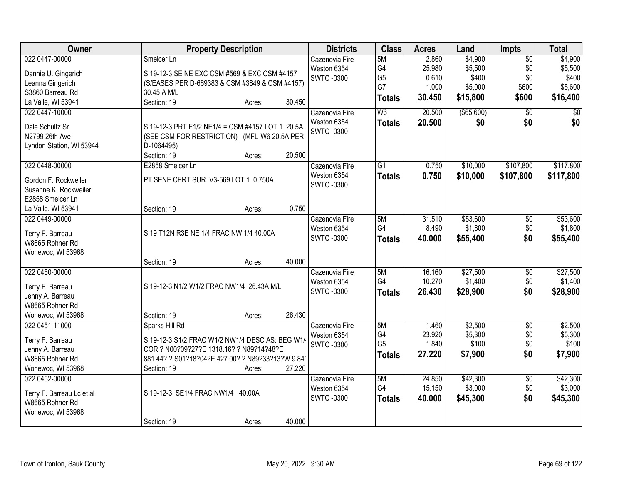| Owner                     | <b>Property Description</b>                       | <b>Districts</b>  | <b>Class</b>   | <b>Acres</b> | Land        | Impts           | <b>Total</b>    |
|---------------------------|---------------------------------------------------|-------------------|----------------|--------------|-------------|-----------------|-----------------|
| 022 0447-00000            | Smelcer Ln                                        | Cazenovia Fire    | 5M             | 2.860        | \$4,900     | $\overline{50}$ | \$4,900         |
| Dannie U. Gingerich       | S 19-12-3 SE NE EXC CSM #569 & EXC CSM #4157      | Weston 6354       | G4             | 25.980       | \$5,500     | \$0             | \$5,500         |
| Leanna Gingerich          | (S/EASES PER D-669383 & CSM #3849 & CSM #4157)    | <b>SWTC -0300</b> | G <sub>5</sub> | 0.610        | \$400       | \$0             | \$400           |
| S3860 Barreau Rd          | 30.45 A M/L                                       |                   | G7             | 1.000        | \$5,000     | \$600           | \$5,600         |
| La Valle, WI 53941        | Section: 19<br>30.450<br>Acres:                   |                   | <b>Totals</b>  | 30.450       | \$15,800    | \$600           | \$16,400        |
| 022 0447-10000            |                                                   | Cazenovia Fire    | W6             | 20.500       | ( \$65,600) | $\overline{50}$ | $\overline{50}$ |
|                           |                                                   | Weston 6354       | <b>Totals</b>  | 20.500       | \$0         | \$0             | \$0             |
| Dale Schultz Sr           | S 19-12-3 PRT E1/2 NE1/4 = CSM #4157 LOT 1 20.5A  | <b>SWTC-0300</b>  |                |              |             |                 |                 |
| N2799 26th Ave            | (SEE CSM FOR RESTRICTION) (MFL-W6 20.5A PER       |                   |                |              |             |                 |                 |
| Lyndon Station, WI 53944  | D-1064495)                                        |                   |                |              |             |                 |                 |
|                           | 20.500<br>Section: 19<br>Acres:                   |                   |                |              |             |                 |                 |
| 022 0448-00000            | E2858 Smelcer Ln                                  | Cazenovia Fire    | G1             | 0.750        | \$10,000    | \$107,800       | \$117,800       |
| Gordon F. Rockweiler      | PT SENE CERT.SUR. V3-569 LOT 1 0.750A             | Weston 6354       | <b>Totals</b>  | 0.750        | \$10,000    | \$107,800       | \$117,800       |
| Susanne K. Rockweiler     |                                                   | <b>SWTC-0300</b>  |                |              |             |                 |                 |
| E2858 Smelcer Ln          |                                                   |                   |                |              |             |                 |                 |
| La Valle, WI 53941        | 0.750<br>Section: 19<br>Acres:                    |                   |                |              |             |                 |                 |
| 022 0449-00000            |                                                   | Cazenovia Fire    | 5M             | 31.510       | \$53,600    | \$0             | \$53,600        |
|                           |                                                   | Weston 6354       | G4             | 8.490        | \$1,800     | \$0             | \$1,800         |
| Terry F. Barreau          | S 19 T12N R3E NE 1/4 FRAC NW 1/4 40.00A           | <b>SWTC-0300</b>  |                |              |             |                 |                 |
| W8665 Rohner Rd           |                                                   |                   | <b>Totals</b>  | 40.000       | \$55,400    | \$0             | \$55,400        |
| Wonewoc, WI 53968         |                                                   |                   |                |              |             |                 |                 |
|                           | 40.000<br>Section: 19<br>Acres:                   |                   |                |              |             |                 |                 |
| 022 0450-00000            |                                                   | Cazenovia Fire    | 5M             | 16.160       | \$27,500    | $\overline{50}$ | \$27,500        |
|                           |                                                   | Weston 6354       | G4             | 10.270       | \$1,400     | \$0             | \$1,400         |
| Terry F. Barreau          | S 19-12-3 N1/2 W1/2 FRAC NW1/4 26.43A M/L         | <b>SWTC-0300</b>  | <b>Totals</b>  | 26.430       | \$28,900    | \$0             | \$28,900        |
| Jenny A. Barreau          |                                                   |                   |                |              |             |                 |                 |
| W8665 Rohner Rd           |                                                   |                   |                |              |             |                 |                 |
| Wonewoc, WI 53968         | 26.430<br>Section: 19<br>Acres:                   |                   |                |              |             |                 |                 |
| 022 0451-11000            | Sparks Hill Rd                                    | Cazenovia Fire    | 5M             | 1.460        | \$2,500     | $\overline{50}$ | \$2,500         |
| Terry F. Barreau          | S 19-12-3 S1/2 FRAC W1/2 NW1/4 DESC AS: BEG W1/   | Weston 6354       | G4             | 23.920       | \$5,300     | \$0             | \$5,300         |
| Jenny A. Barreau          | COR ? N00?09?27?E 1318.16? ? N89?14?48?E          | <b>SWTC-0300</b>  | G <sub>5</sub> | 1.840        | \$100       | \$0             | \$100           |
| W8665 Rohner Rd           | 881.44? ? S01?18?04?E 427.00? ? N89?33?13?W 9.84? |                   | <b>Totals</b>  | 27.220       | \$7,900     | \$0             | \$7,900         |
| Wonewoc, WI 53968         | 27.220<br>Section: 19<br>Acres:                   |                   |                |              |             |                 |                 |
| 022 0452-00000            |                                                   | Cazenovia Fire    | 5M             | 24.850       | \$42,300    | $\overline{50}$ | \$42,300        |
|                           |                                                   | Weston 6354       | G4             | 15.150       | \$3,000     | \$0             | \$3,000         |
| Terry F. Barreau Lc et al | S 19-12-3 SE1/4 FRAC NW1/4 40.00A                 | <b>SWTC-0300</b>  | <b>Totals</b>  | 40.000       | \$45,300    | \$0             | \$45,300        |
| W8665 Rohner Rd           |                                                   |                   |                |              |             |                 |                 |
| Wonewoc, WI 53968         |                                                   |                   |                |              |             |                 |                 |
|                           | 40.000<br>Section: 19<br>Acres:                   |                   |                |              |             |                 |                 |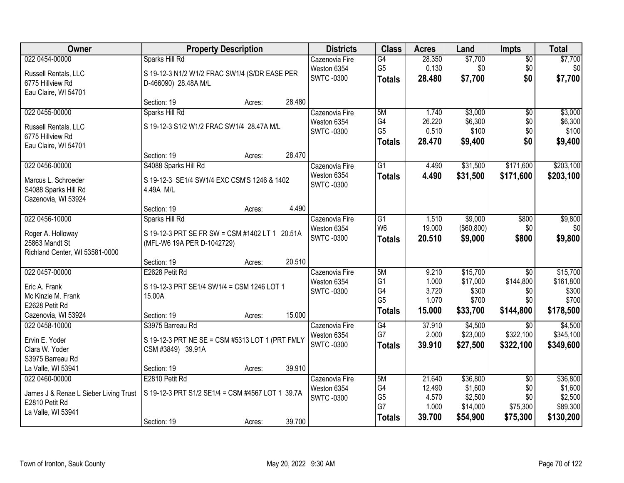| Owner                                 | <b>Property Description</b>                       | <b>Districts</b>  | <b>Class</b>    | <b>Acres</b> | Land         | Impts           | <b>Total</b> |
|---------------------------------------|---------------------------------------------------|-------------------|-----------------|--------------|--------------|-----------------|--------------|
| 022 0454-00000                        | Sparks Hill Rd                                    | Cazenovia Fire    | G4              | 28.350       | \$7,700      | $\overline{50}$ | \$7,700      |
| Russell Rentals, LLC                  | S 19-12-3 N1/2 W1/2 FRAC SW1/4 (S/DR EASE PER     | Weston 6354       | G <sub>5</sub>  | 0.130        | \$0          | \$0             | \$0          |
| 6775 Hillview Rd                      | D-466090) 28.48A M/L                              | <b>SWTC -0300</b> | <b>Totals</b>   | 28.480       | \$7,700      | \$0             | \$7,700      |
| Eau Claire, WI 54701                  |                                                   |                   |                 |              |              |                 |              |
|                                       | 28.480<br>Section: 19<br>Acres:                   |                   |                 |              |              |                 |              |
| 022 0455-00000                        | Sparks Hill Rd                                    | Cazenovia Fire    | 5M              | 1.740        | \$3,000      | $\overline{50}$ | \$3,000      |
| Russell Rentals, LLC                  | S 19-12-3 S1/2 W1/2 FRAC SW1/4 28.47A M/L         | Weston 6354       | G4              | 26.220       | \$6,300      | \$0             | \$6,300      |
| 6775 Hillview Rd                      |                                                   | <b>SWTC-0300</b>  | G <sub>5</sub>  | 0.510        | \$100        | \$0             | \$100        |
| Eau Claire, WI 54701                  |                                                   |                   | <b>Totals</b>   | 28.470       | \$9,400      | \$0             | \$9,400      |
|                                       | 28.470<br>Section: 19<br>Acres:                   |                   |                 |              |              |                 |              |
| 022 0456-00000                        | S4088 Sparks Hill Rd                              | Cazenovia Fire    | $\overline{G1}$ | 4.490        | \$31,500     | \$171,600       | \$203,100    |
| Marcus L. Schroeder                   | S 19-12-3 SE1/4 SW1/4 EXC CSM'S 1246 & 1402       | Weston 6354       | <b>Totals</b>   | 4.490        | \$31,500     | \$171,600       | \$203,100    |
| S4088 Sparks Hill Rd                  | 4.49A M/L                                         | <b>SWTC-0300</b>  |                 |              |              |                 |              |
| Cazenovia, WI 53924                   |                                                   |                   |                 |              |              |                 |              |
|                                       | 4.490<br>Section: 19<br>Acres:                    |                   |                 |              |              |                 |              |
| 022 0456-10000                        | Sparks Hill Rd                                    | Cazenovia Fire    | G1              | 1.510        | \$9,000      | \$800           | \$9,800      |
| Roger A. Holloway                     | S 19-12-3 PRT SE FR SW = CSM #1402 LT 1<br>20.51A | Weston 6354       | W <sub>6</sub>  | 19.000       | ( \$60, 800) | \$0             | \$0          |
| 25863 Mandt St                        | (MFL-W6 19A PER D-1042729)                        | <b>SWTC-0300</b>  | <b>Totals</b>   | 20.510       | \$9,000      | \$800           | \$9,800      |
| Richland Center, WI 53581-0000        |                                                   |                   |                 |              |              |                 |              |
|                                       | 20.510<br>Section: 19<br>Acres:                   |                   |                 |              |              |                 |              |
| 022 0457-00000                        | E2628 Petit Rd                                    | Cazenovia Fire    | 5M              | 9.210        | \$15,700     | $\overline{30}$ | \$15,700     |
| Eric A. Frank                         | S 19-12-3 PRT SE1/4 SW1/4 = CSM 1246 LOT 1        | Weston 6354       | G1              | 1.000        | \$17,000     | \$144,800       | \$161,800    |
| Mc Kinzie M. Frank                    | 15.00A                                            | <b>SWTC-0300</b>  | G4              | 3.720        | \$300        | \$0             | \$300        |
| E2628 Petit Rd                        |                                                   |                   | G <sub>5</sub>  | 1.070        | \$700        | \$0             | \$700        |
| Cazenovia, WI 53924                   | 15.000<br>Section: 19<br>Acres:                   |                   | <b>Totals</b>   | 15.000       | \$33,700     | \$144,800       | \$178,500    |
| 022 0458-10000                        | S3975 Barreau Rd                                  | Cazenovia Fire    | G4              | 37.910       | \$4,500      | $\overline{50}$ | \$4,500      |
| Ervin E. Yoder                        | S 19-12-3 PRT NE SE = CSM #5313 LOT 1 (PRT FMLY   | Weston 6354       | G7              | 2.000        | \$23,000     | \$322,100       | \$345,100    |
| Clara W. Yoder                        | CSM #3849) 39.91A                                 | <b>SWTC-0300</b>  | <b>Totals</b>   | 39.910       | \$27,500     | \$322,100       | \$349,600    |
| S3975 Barreau Rd                      |                                                   |                   |                 |              |              |                 |              |
| La Valle, WI 53941                    | 39.910<br>Section: 19<br>Acres:                   |                   |                 |              |              |                 |              |
| 022 0460-00000                        | E2810 Petit Rd                                    | Cazenovia Fire    | 5M              | 21.640       | \$36,800     | $\overline{50}$ | \$36,800     |
| James J & Renae L Sieber Living Trust | S 19-12-3 PRT S1/2 SE1/4 = CSM #4567 LOT 1 39.7A  | Weston 6354       | G4              | 12.490       | \$1,600      | \$0             | \$1,600      |
| E2810 Petit Rd                        |                                                   | <b>SWTC-0300</b>  | G <sub>5</sub>  | 4.570        | \$2,500      | \$0             | \$2,500      |
| La Valle, WI 53941                    |                                                   |                   | G7              | 1.000        | \$14,000     | \$75,300        | \$89,300     |
|                                       | 39.700<br>Section: 19<br>Acres:                   |                   | <b>Totals</b>   | 39.700       | \$54,900     | \$75,300        | \$130,200    |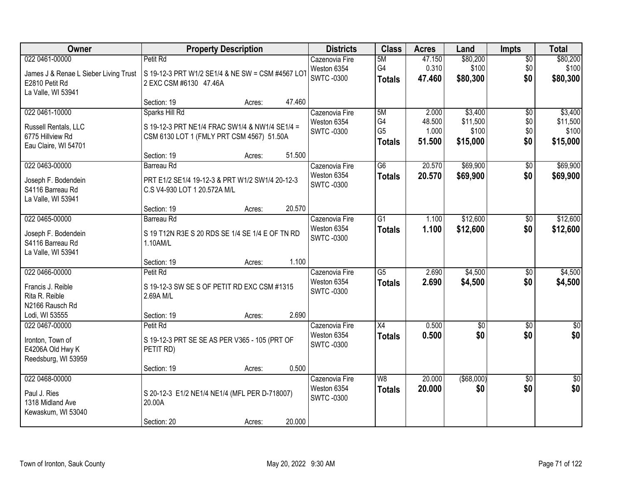| Owner                                                                                           | <b>Property Description</b>                                                                                                                      | <b>Districts</b>                                   | <b>Class</b>                                | <b>Acres</b>                       | Land                                     | Impts                         | <b>Total</b>                             |
|-------------------------------------------------------------------------------------------------|--------------------------------------------------------------------------------------------------------------------------------------------------|----------------------------------------------------|---------------------------------------------|------------------------------------|------------------------------------------|-------------------------------|------------------------------------------|
| 022 0461-00000<br>James J & Renae L Sieber Living Trust<br>E2810 Petit Rd<br>La Valle, WI 53941 | Petit Rd<br>S 19-12-3 PRT W1/2 SE1/4 & NE SW = CSM #4567 LOT<br>2 EXC CSM #6130 47.46A                                                           | Cazenovia Fire<br>Weston 6354<br>SWTC -0300        | 5M<br>G4<br><b>Totals</b>                   | 47.150<br>0.310<br>47.460          | \$80,200<br>\$100<br>\$80,300            | $\overline{50}$<br>\$0<br>\$0 | \$80,200<br>\$100<br>\$80,300            |
|                                                                                                 | 47.460<br>Section: 19<br>Acres:                                                                                                                  |                                                    |                                             |                                    |                                          |                               |                                          |
| 022 0461-10000<br>Russell Rentals, LLC<br>6775 Hillview Rd<br>Eau Claire, WI 54701              | Sparks Hill Rd<br>S 19-12-3 PRT NE1/4 FRAC SW1/4 & NW1/4 SE1/4 =<br>CSM 6130 LOT 1 (FMLY PRT CSM 4567) 51.50A<br>51.500<br>Section: 19<br>Acres: | Cazenovia Fire<br>Weston 6354<br><b>SWTC-0300</b>  | 5M<br>G4<br>G <sub>5</sub><br><b>Totals</b> | 2.000<br>48.500<br>1.000<br>51.500 | \$3,400<br>\$11,500<br>\$100<br>\$15,000 | \$0<br>\$0<br>\$0<br>\$0      | \$3,400<br>\$11,500<br>\$100<br>\$15,000 |
| 022 0463-00000                                                                                  | <b>Barreau Rd</b>                                                                                                                                | Cazenovia Fire                                     | $\overline{G6}$                             | 20.570                             | \$69,900                                 | $\overline{50}$               | \$69,900                                 |
| Joseph F. Bodendein<br>S4116 Barreau Rd<br>La Valle, WI 53941                                   | PRT E1/2 SE1/4 19-12-3 & PRT W1/2 SW1/4 20-12-3<br>C.S V4-930 LOT 1 20.572A M/L                                                                  | Weston 6354<br><b>SWTC-0300</b>                    | <b>Totals</b>                               | 20.570                             | \$69,900                                 | \$0                           | \$69,900                                 |
|                                                                                                 | 20.570<br>Section: 19<br>Acres:                                                                                                                  |                                                    |                                             |                                    |                                          |                               |                                          |
| 022 0465-00000<br>Joseph F. Bodendein<br>S4116 Barreau Rd<br>La Valle, WI 53941                 | Barreau Rd<br>S 19 T12N R3E S 20 RDS SE 1/4 SE 1/4 E OF TN RD<br>1.10AM/L                                                                        | Cazenovia Fire<br>Weston 6354<br><b>SWTC -0300</b> | $\overline{G1}$<br><b>Totals</b>            | 1.100<br>1.100                     | \$12,600<br>\$12,600                     | \$0<br>\$0                    | \$12,600<br>\$12,600                     |
|                                                                                                 | 1.100<br>Section: 19<br>Acres:                                                                                                                   |                                                    |                                             |                                    |                                          |                               |                                          |
| 022 0466-00000<br>Francis J. Reible<br>Rita R. Reible<br>N2166 Rausch Rd                        | Petit Rd<br>S 19-12-3 SW SE S OF PETIT RD EXC CSM #1315<br>2.69A M/L                                                                             | Cazenovia Fire<br>Weston 6354<br><b>SWTC-0300</b>  | $\overline{G5}$<br><b>Totals</b>            | 2.690<br>2.690                     | \$4,500<br>\$4,500                       | \$0<br>\$0                    | \$4,500<br>\$4,500                       |
| Lodi, WI 53555<br>022 0467-00000                                                                | 2.690<br>Section: 19<br>Acres:<br>Petit Rd                                                                                                       | Cazenovia Fire                                     | $\overline{X4}$                             | 0.500                              | $\sqrt{50}$                              | $\overline{60}$               | $\sqrt{50}$                              |
| Ironton, Town of<br>E4206A Old Hwy K<br>Reedsburg, WI 53959                                     | S 19-12-3 PRT SE SE AS PER V365 - 105 (PRT OF<br>PETIT RD)                                                                                       | Weston 6354<br><b>SWTC-0300</b>                    | <b>Totals</b>                               | 0.500                              | \$0                                      | \$0                           | \$0                                      |
|                                                                                                 | 0.500<br>Section: 19<br>Acres:                                                                                                                   |                                                    |                                             |                                    |                                          |                               |                                          |
| 022 0468-00000<br>Paul J. Ries<br>1318 Midland Ave<br>Kewaskum, WI 53040                        | S 20-12-3 E1/2 NE1/4 NE1/4 (MFL PER D-718007)<br>20.00A                                                                                          | Cazenovia Fire<br>Weston 6354<br><b>SWTC-0300</b>  | W8<br><b>Totals</b>                         | 20.000<br>20.000                   | ( \$68,000)<br>\$0                       | $\overline{30}$<br>\$0        | $\overline{50}$<br>\$0                   |
|                                                                                                 | 20.000<br>Section: 20<br>Acres:                                                                                                                  |                                                    |                                             |                                    |                                          |                               |                                          |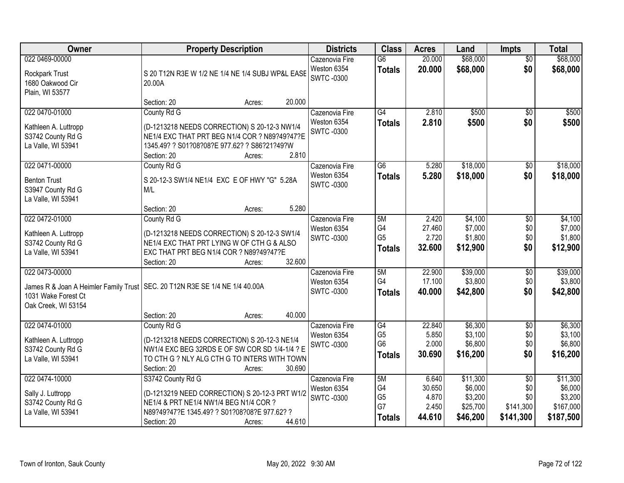| Owner                                                                             | <b>Property Description</b>                                                                                                                                                                                | <b>Districts</b>                                   | <b>Class</b>                                            | <b>Acres</b>                                | Land                                                   | Impts                                                   | <b>Total</b>                                             |
|-----------------------------------------------------------------------------------|------------------------------------------------------------------------------------------------------------------------------------------------------------------------------------------------------------|----------------------------------------------------|---------------------------------------------------------|---------------------------------------------|--------------------------------------------------------|---------------------------------------------------------|----------------------------------------------------------|
| 022 0469-00000<br>Rockpark Trust<br>1680 Oakwood Cir<br>Plain, WI 53577           | S 20 T12N R3E W 1/2 NE 1/4 NE 1/4 SUBJ WP&L EASE<br>20.00A                                                                                                                                                 | Cazenovia Fire<br>Weston 6354<br><b>SWTC-0300</b>  | $\overline{G6}$<br><b>Totals</b>                        | 20.000<br>20.000                            | \$68,000<br>\$68,000                                   | $\overline{50}$<br>\$0                                  | \$68,000<br>\$68,000                                     |
| 022 0470-01000                                                                    | 20.000<br>Section: 20<br>Acres:<br>County Rd G                                                                                                                                                             | Cazenovia Fire<br>Weston 6354                      | G4<br><b>Totals</b>                                     | 2.810<br>2.810                              | \$500<br>\$500                                         | $\overline{50}$<br>\$0                                  | \$500<br>\$500                                           |
| Kathleen A. Luttropp<br>S3742 County Rd G<br>La Valle, WI 53941                   | (D-1213218 NEEDS CORRECTION) S 20-12-3 NW1/4<br>NE1/4 EXC THAT PRT BEG N1/4 COR ? N89?49?47?E<br>1345.49? ? S01?08?08?E 977.62? ? S86?21?49?W<br>2.810<br>Section: 20<br>Acres:                            | <b>SWTC-0300</b>                                   |                                                         |                                             |                                                        |                                                         |                                                          |
| 022 0471-00000<br><b>Benton Trust</b><br>S3947 County Rd G<br>La Valle, WI 53941  | County Rd G<br>S 20-12-3 SW1/4 NE1/4 EXC E OF HWY "G" 5.28A<br>M/L<br>5.280<br>Section: 20<br>Acres:                                                                                                       | Cazenovia Fire<br>Weston 6354<br><b>SWTC-0300</b>  | G6<br><b>Totals</b>                                     | 5.280<br>5.280                              | \$18,000<br>\$18,000                                   | \$0<br>\$0                                              | \$18,000<br>\$18,000                                     |
| 022 0472-01000<br>Kathleen A. Luttropp<br>S3742 County Rd G<br>La Valle, WI 53941 | County Rd G<br>(D-1213218 NEEDS CORRECTION) S 20-12-3 SW1/4<br>NE1/4 EXC THAT PRT LYING W OF CTH G & ALSO<br>EXC THAT PRT BEG N1/4 COR ? N89?49?47?E<br>32.600<br>Section: 20<br>Acres:                    | Cazenovia Fire<br>Weston 6354<br><b>SWTC-0300</b>  | 5M<br>G4<br>G <sub>5</sub><br><b>Totals</b>             | 2.420<br>27.460<br>2.720<br>32.600          | \$4,100<br>\$7,000<br>\$1,800<br>\$12,900              | \$0<br>\$0<br>\$0<br>\$0                                | \$4,100<br>\$7,000<br>\$1,800<br>\$12,900                |
| 022 0473-00000<br>1031 Wake Forest Ct<br>Oak Creek, WI 53154                      | James R & Joan A Heimler Family Trust   SEC. 20 T12N R3E SE 1/4 NE 1/4 40.00A<br>40.000<br>Section: 20                                                                                                     | Cazenovia Fire<br>Weston 6354<br><b>SWTC -0300</b> | 5M<br>G4<br><b>Totals</b>                               | 22.900<br>17.100<br>40.000                  | \$39,000<br>\$3,800<br>\$42,800                        | \$0<br>\$0<br>\$0                                       | \$39,000<br>\$3,800<br>\$42,800                          |
| 022 0474-01000<br>Kathleen A. Luttropp<br>S3742 County Rd G<br>La Valle, WI 53941 | Acres:<br>County Rd G<br>(D-1213218 NEEDS CORRECTION) S 20-12-3 NE1/4<br>NW1/4 EXC BEG 32RDS E OF SW COR SD 1/4-1/4 ? E<br>TO CTH G ? NLY ALG CTH G TO INTERS WITH TOWN<br>30.690<br>Section: 20<br>Acres: | Cazenovia Fire<br>Weston 6354<br><b>SWTC-0300</b>  | G4<br>G <sub>5</sub><br>G <sub>6</sub><br><b>Totals</b> | 22.840<br>5.850<br>2.000<br>30.690          | \$6,300<br>\$3,100<br>\$6,800<br>\$16,200              | $\sqrt{$0}$<br>\$0<br>\$0<br>\$0                        | \$6,300<br>\$3,100<br>\$6,800<br>\$16,200                |
| 022 0474-10000<br>Sally J. Luttropp<br>S3742 County Rd G<br>La Valle, WI 53941    | S3742 County Rd G<br>(D-1213219 NEED CORRECTION) S 20-12-3 PRT W1/2<br>NE1/4 & PRT NE1/4 NW1/4 BEG N1/4 COR ?<br>N89?49?47?E 1345.49? ? S01?08?08?E 977.62? ?<br>44.610<br>Section: 20<br>Acres:           | Cazenovia Fire<br>Weston 6354<br><b>SWTC-0300</b>  | 5M<br>G4<br>G <sub>5</sub><br>G7<br><b>Totals</b>       | 6.640<br>30.650<br>4.870<br>2.450<br>44.610 | \$11,300<br>\$6,000<br>\$3,200<br>\$25,700<br>\$46,200 | $\overline{50}$<br>\$0<br>\$0<br>\$141,300<br>\$141,300 | \$11,300<br>\$6,000<br>\$3,200<br>\$167,000<br>\$187,500 |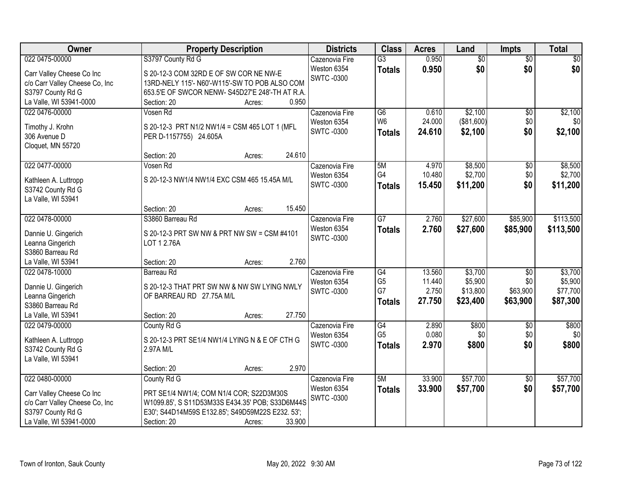| Owner                                  | <b>Property Description</b>                      | <b>Districts</b>                | <b>Class</b>         | <b>Acres</b>    | Land            | <b>Impts</b>      | <b>Total</b> |
|----------------------------------------|--------------------------------------------------|---------------------------------|----------------------|-----------------|-----------------|-------------------|--------------|
| 022 0475-00000                         | S3797 County Rd G                                | Cazenovia Fire                  | $\overline{G3}$      | 0.950           | $\overline{50}$ | $\overline{50}$   | $\sqrt{50}$  |
| Carr Valley Cheese Co Inc              | S 20-12-3 COM 32RD E OF SW COR NE NW-E           | Weston 6354                     | <b>Totals</b>        | 0.950           | \$0             | \$0               | \$0          |
| c/o Carr Valley Cheese Co, Inc         | 13RD-NELY 115'- N60'-W115'-SW TO POB ALSO COM    | <b>SWTC -0300</b>               |                      |                 |                 |                   |              |
| S3797 County Rd G                      | 653.5'E OF SWCOR NENW- S45D27'E 248'-TH AT R.A.  |                                 |                      |                 |                 |                   |              |
| La Valle, WI 53941-0000                | 0.950<br>Section: 20<br>Acres:                   |                                 |                      |                 |                 |                   |              |
| 022 0476-00000                         | Vosen Rd                                         | Cazenovia Fire                  | $\overline{G6}$      | 0.610           | \$2,100         | $\overline{50}$   | \$2,100      |
|                                        |                                                  | Weston 6354                     | W <sub>6</sub>       | 24.000          | (\$81,600)      | \$0               | \$0          |
| Timothy J. Krohn                       | S 20-12-3 PRT N1/2 NW1/4 = CSM 465 LOT 1 (MFL    | <b>SWTC-0300</b>                | <b>Totals</b>        | 24.610          | \$2,100         | \$0               | \$2,100      |
| 306 Avenue D                           | PER D-1157755) 24.605A                           |                                 |                      |                 |                 |                   |              |
| Cloquet, MN 55720                      | 24.610<br>Section: 20                            |                                 |                      |                 |                 |                   |              |
| 022 0477-00000                         | Acres:                                           |                                 |                      |                 | \$8,500         |                   | \$8,500      |
|                                        | Vosen Rd                                         | Cazenovia Fire                  | 5M<br>G <sub>4</sub> | 4.970<br>10.480 | \$2,700         | \$0<br>\$0        | \$2,700      |
| Kathleen A. Luttropp                   | S 20-12-3 NW1/4 NW1/4 EXC CSM 465 15.45A M/L     | Weston 6354<br><b>SWTC-0300</b> |                      | 15.450          | \$11,200        | \$0               |              |
| S3742 County Rd G                      |                                                  |                                 | <b>Totals</b>        |                 |                 |                   | \$11,200     |
| La Valle, WI 53941                     |                                                  |                                 |                      |                 |                 |                   |              |
|                                        | 15.450<br>Section: 20<br>Acres:                  |                                 |                      |                 |                 |                   |              |
| 022 0478-00000                         | S3860 Barreau Rd                                 | Cazenovia Fire                  | G7                   | 2.760           | \$27,600        | \$85,900          | \$113,500    |
| Dannie U. Gingerich                    | S 20-12-3 PRT SW NW & PRT NW SW = CSM #4101      | Weston 6354                     | <b>Totals</b>        | 2.760           | \$27,600        | \$85,900          | \$113,500    |
| Leanna Gingerich                       | LOT 1 2.76A                                      | <b>SWTC-0300</b>                |                      |                 |                 |                   |              |
| S3860 Barreau Rd                       |                                                  |                                 |                      |                 |                 |                   |              |
| La Valle, WI 53941                     | 2.760<br>Section: 20<br>Acres:                   |                                 |                      |                 |                 |                   |              |
| 022 0478-10000                         | Barreau Rd                                       | Cazenovia Fire                  | $\overline{G4}$      | 13.560          | \$3,700         | $\overline{50}$   | \$3,700      |
|                                        |                                                  | Weston 6354                     | G <sub>5</sub>       | 11.440          | \$5,900         | \$0               | \$5,900      |
| Dannie U. Gingerich                    | S 20-12-3 THAT PRT SW NW & NW SW LYING NWLY      | <b>SWTC -0300</b>               | G7                   | 2.750           | \$13,800        | \$63,900          | \$77,700     |
| Leanna Gingerich                       | OF BARREAU RD 27.75A M/L                         |                                 | <b>Totals</b>        | 27.750          | \$23,400        | \$63,900          | \$87,300     |
| S3860 Barreau Rd<br>La Valle, WI 53941 | 27.750                                           |                                 |                      |                 |                 |                   |              |
|                                        | Section: 20<br>Acres:                            |                                 | G4                   | 2.890           | \$800           |                   |              |
| 022 0479-00000                         | County Rd G                                      | Cazenovia Fire<br>Weston 6354   | G <sub>5</sub>       | 0.080           | \$0             | $\sqrt{6}$<br>\$0 | \$800<br>\$0 |
| Kathleen A. Luttropp                   | S 20-12-3 PRT SE1/4 NW1/4 LYING N & E OF CTH G   | <b>SWTC-0300</b>                | <b>Totals</b>        | 2.970           | \$800           | \$0               | \$800        |
| S3742 County Rd G                      | 2.97A M/L                                        |                                 |                      |                 |                 |                   |              |
| La Valle, WI 53941                     |                                                  |                                 |                      |                 |                 |                   |              |
|                                        | 2.970<br>Section: 20<br>Acres:                   |                                 |                      |                 |                 |                   |              |
| 022 0480-00000                         | County Rd G                                      | Cazenovia Fire                  | 5M                   | 33.900          | \$57,700        | \$0               | \$57,700     |
| Carr Valley Cheese Co Inc              | PRT SE1/4 NW1/4; COM N1/4 COR; S22D3M30S         | Weston 6354                     | <b>Totals</b>        | 33.900          | \$57,700        | \$0               | \$57,700     |
| c/o Carr Valley Cheese Co, Inc         | W1099.85', S S11D53M33S E434.35' POB; S33D6M44S  | <b>SWTC-0300</b>                |                      |                 |                 |                   |              |
| S3797 County Rd G                      | E30'; S44D14M59S E132.85'; S49D59M22S E232. 53'; |                                 |                      |                 |                 |                   |              |
| La Valle, WI 53941-0000                | 33.900<br>Section: 20<br>Acres:                  |                                 |                      |                 |                 |                   |              |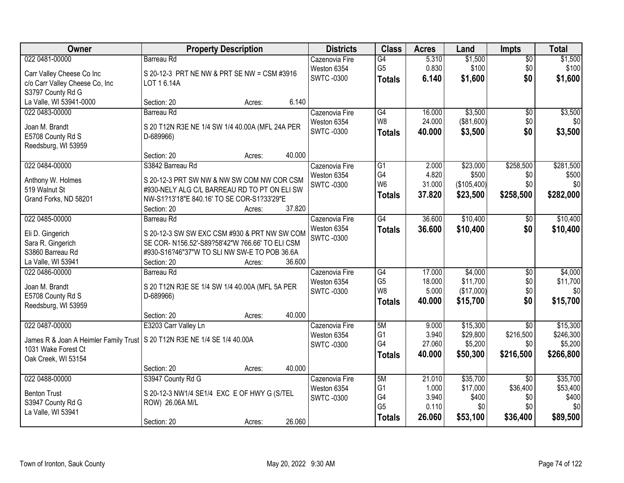| Owner                                                                      | <b>Property Description</b>                                                                     | <b>Districts</b>  | <b>Class</b>    | <b>Acres</b> | Land        | <b>Impts</b>    | <b>Total</b> |
|----------------------------------------------------------------------------|-------------------------------------------------------------------------------------------------|-------------------|-----------------|--------------|-------------|-----------------|--------------|
| 022 0481-00000                                                             | <b>Barreau Rd</b>                                                                               | Cazenovia Fire    | G4              | 5.310        | \$1,500     | $\overline{50}$ | \$1,500      |
| Carr Valley Cheese Co Inc                                                  | S 20-12-3 PRT NE NW & PRT SE NW = CSM #3916                                                     | Weston 6354       | G <sub>5</sub>  | 0.830        | \$100       | \$0             | \$100        |
| c/o Carr Valley Cheese Co, Inc                                             | LOT 16.14A                                                                                      | <b>SWTC-0300</b>  | <b>Totals</b>   | 6.140        | \$1,600     | \$0             | \$1,600      |
| S3797 County Rd G                                                          |                                                                                                 |                   |                 |              |             |                 |              |
| La Valle, WI 53941-0000                                                    | 6.140<br>Section: 20<br>Acres:                                                                  |                   |                 |              |             |                 |              |
| 022 0483-00000                                                             | Barreau Rd                                                                                      | Cazenovia Fire    | $\overline{G4}$ | 16.000       | \$3,500     | \$0             | \$3,500      |
| Joan M. Brandt                                                             | S 20 T12N R3E NE 1/4 SW 1/4 40.00A (MFL 24A PER                                                 | Weston 6354       | W8              | 24.000       | (\$81,600)  | \$0             | \$0          |
| E5708 County Rd S                                                          | D-689966)                                                                                       | <b>SWTC-0300</b>  | <b>Totals</b>   | 40.000       | \$3,500     | \$0             | \$3,500      |
| Reedsburg, WI 53959                                                        |                                                                                                 |                   |                 |              |             |                 |              |
|                                                                            | 40.000<br>Section: 20<br>Acres:                                                                 |                   |                 |              |             |                 |              |
| 022 0484-00000                                                             | S3842 Barreau Rd                                                                                | Cazenovia Fire    | $\overline{G1}$ | 2.000        | \$23,000    | \$258,500       | \$281,500    |
| Anthony W. Holmes                                                          | S 20-12-3 PRT SW NW & NW SW COM NW COR CSM                                                      | Weston 6354       | G4              | 4.820        | \$500       | \$0             | \$500        |
| 519 Walnut St                                                              | #930-NELY ALG C/L BARREAU RD TO PT ON ELI SW                                                    | <b>SWTC-0300</b>  | W <sub>6</sub>  | 31.000       | (\$105,400) | \$0             | \$0          |
| Grand Forks, ND 58201                                                      | NW-S1?13'18"E 840.16' TO SE COR-S1?33'29"E                                                      |                   | <b>Totals</b>   | 37.820       | \$23,500    | \$258,500       | \$282,000    |
|                                                                            | 37.820<br>Section: 20<br>Acres:                                                                 |                   |                 |              |             |                 |              |
| 022 0485-00000                                                             | <b>Barreau Rd</b>                                                                               | Cazenovia Fire    | $\overline{G4}$ | 36.600       | \$10,400    | \$0             | \$10,400     |
|                                                                            |                                                                                                 | Weston 6354       | <b>Totals</b>   | 36.600       | \$10,400    | \$0             | \$10,400     |
| Eli D. Gingerich<br>Sara R. Gingerich                                      | S 20-12-3 SW SW EXC CSM #930 & PRT NW SW COM<br>SE COR- N156.52'-S89?58'42"W 766.66' TO ELI CSM | <b>SWTC-0300</b>  |                 |              |             |                 |              |
| S3860 Barreau Rd                                                           | #930-S16?46"37"W TO SLI NW SW-E TO POB 36.6A                                                    |                   |                 |              |             |                 |              |
| La Valle, WI 53941                                                         | 36.600<br>Section: 20<br>Acres:                                                                 |                   |                 |              |             |                 |              |
| 022 0486-00000                                                             | Barreau Rd                                                                                      | Cazenovia Fire    | G4              | 17.000       | \$4,000     | \$0             | \$4,000      |
|                                                                            |                                                                                                 | Weston 6354       | G <sub>5</sub>  | 18.000       | \$11,700    | \$0             | \$11,700     |
| Joan M. Brandt                                                             | S 20 T12N R3E SE 1/4 SW 1/4 40.00A (MFL 5A PER                                                  | <b>SWTC -0300</b> | W8              | 5.000        | (\$17,000)  | \$0             | \$0          |
| E5708 County Rd S<br>Reedsburg, WI 53959                                   | D-689966)                                                                                       |                   | <b>Totals</b>   | 40.000       | \$15,700    | \$0             | \$15,700     |
|                                                                            | 40.000<br>Section: 20<br>Acres:                                                                 |                   |                 |              |             |                 |              |
| 022 0487-00000                                                             | E3203 Carr Valley Ln                                                                            | Cazenovia Fire    | 5M              | 9.000        | \$15,300    | $\overline{30}$ | \$15,300     |
|                                                                            |                                                                                                 | Weston 6354       | G <sub>1</sub>  | 3.940        | \$29,800    | \$216,500       | \$246,300    |
| James R & Joan A Heimler Family Trust   S 20 T12N R3E NE 1/4 SE 1/4 40.00A |                                                                                                 | <b>SWTC -0300</b> | G4              | 27.060       | \$5,200     | \$0             | \$5,200      |
| 1031 Wake Forest Ct                                                        |                                                                                                 |                   | <b>Totals</b>   | 40.000       | \$50,300    | \$216,500       | \$266,800    |
| Oak Creek, WI 53154                                                        | 40.000<br>Section: 20<br>Acres:                                                                 |                   |                 |              |             |                 |              |
| 022 0488-00000                                                             | S3947 County Rd G                                                                               | Cazenovia Fire    | 5M              | 21.010       | \$35,700    | $\overline{30}$ | \$35,700     |
|                                                                            |                                                                                                 | Weston 6354       | G <sub>1</sub>  | 1.000        | \$17,000    | \$36,400        | \$53,400     |
| <b>Benton Trust</b>                                                        | S 20-12-3 NW1/4 SE1/4 EXC E OF HWY G (S/TEL                                                     | <b>SWTC -0300</b> | G4              | 3.940        | \$400       | \$0             | \$400        |
| S3947 County Rd G                                                          | ROW) 26.06A M/L                                                                                 |                   | G <sub>5</sub>  | 0.110        | \$0         | \$0             | \$0          |
| La Valle, WI 53941                                                         |                                                                                                 |                   | <b>Totals</b>   | 26,060       | \$53,100    | \$36,400        | \$89,500     |
|                                                                            | 26.060<br>Section: 20<br>Acres:                                                                 |                   |                 |              |             |                 |              |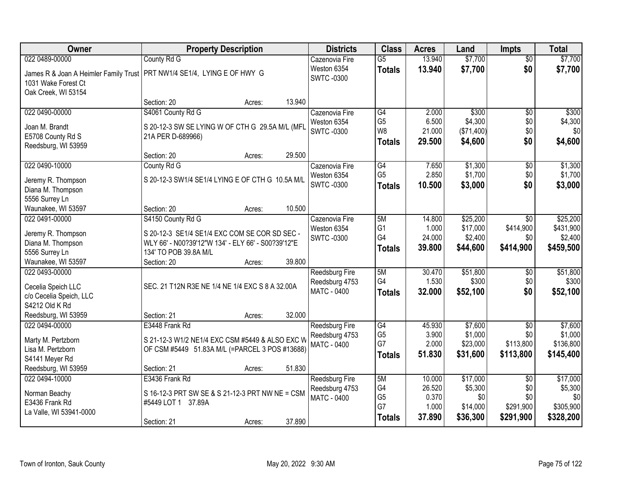| Owner                                         | <b>Property Description</b>                                                                       | <b>Districts</b>   | <b>Class</b>    | <b>Acres</b> | Land       | <b>Impts</b>    | <b>Total</b> |
|-----------------------------------------------|---------------------------------------------------------------------------------------------------|--------------------|-----------------|--------------|------------|-----------------|--------------|
| 022 0489-00000                                | County Rd G                                                                                       | Cazenovia Fire     | $\overline{G5}$ | 13.940       | \$7,700    | $\overline{50}$ | \$7,700      |
|                                               | James R & Joan A Heimler Family Trust   PRT NW1/4 SE1/4, LYING E OF HWY G                         | Weston 6354        | <b>Totals</b>   | 13.940       | \$7,700    | \$0             | \$7,700      |
| 1031 Wake Forest Ct                           |                                                                                                   | <b>SWTC -0300</b>  |                 |              |            |                 |              |
| Oak Creek, WI 53154                           |                                                                                                   |                    |                 |              |            |                 |              |
|                                               | 13.940<br>Section: 20<br>Acres:                                                                   |                    |                 |              |            |                 |              |
| 022 0490-00000                                | S4061 County Rd G                                                                                 | Cazenovia Fire     | G4              | 2.000        | \$300      | \$0             | \$300        |
| Joan M. Brandt                                | S 20-12-3 SW SE LYING W OF CTH G 29.5A M/L (MFL                                                   | Weston 6354        | G <sub>5</sub>  | 6.500        | \$4,300    | \$0             | \$4,300      |
| E5708 County Rd S                             | 21A PER D-689966)                                                                                 | <b>SWTC-0300</b>   | W8              | 21.000       | (\$71,400) | \$0             | \$0          |
| Reedsburg, WI 53959                           |                                                                                                   |                    | <b>Totals</b>   | 29.500       | \$4,600    | \$0             | \$4,600      |
|                                               | 29.500<br>Section: 20<br>Acres:                                                                   |                    |                 |              |            |                 |              |
| 022 0490-10000                                | County Rd G                                                                                       | Cazenovia Fire     | G4              | 7.650        | \$1,300    | \$0             | \$1,300      |
| Jeremy R. Thompson                            | S 20-12-3 SW1/4 SE1/4 LYING E OF CTH G 10.5A M/L                                                  | Weston 6354        | G <sub>5</sub>  | 2.850        | \$1,700    | \$0             | \$1,700      |
| Diana M. Thompson                             |                                                                                                   | <b>SWTC-0300</b>   | <b>Totals</b>   | 10.500       | \$3,000    | \$0             | \$3,000      |
| 5556 Surrey Ln                                |                                                                                                   |                    |                 |              |            |                 |              |
| Waunakee, WI 53597                            | 10.500<br>Section: 20<br>Acres:                                                                   |                    |                 |              |            |                 |              |
| 022 0491-00000                                | S4150 County Rd G                                                                                 | Cazenovia Fire     | 5M              | 14.800       | \$25,200   | $\sqrt[6]{}$    | \$25,200     |
| Jeremy R. Thompson                            | S 20-12-3 SE1/4 SE1/4 EXC COM SE COR SD SEC -                                                     | Weston 6354        | G <sub>1</sub>  | 1.000        | \$17,000   | \$414,900       | \$431,900    |
| Diana M. Thompson                             | WLY 66' - N00?39'12"W 134' - ELY 66' - S00?39'12"E                                                | <b>SWTC-0300</b>   | G4              | 24.000       | \$2,400    | \$0             | \$2,400      |
| 5556 Surrey Ln                                | 134' TO POB 39.8A M/L                                                                             |                    | <b>Totals</b>   | 39.800       | \$44,600   | \$414,900       | \$459,500    |
| Waunakee, WI 53597                            | 39.800<br>Section: 20<br>Acres:                                                                   |                    |                 |              |            |                 |              |
| 022 0493-00000                                |                                                                                                   | Reedsburg Fire     | 5M              | 30.470       | \$51,800   | \$0             | \$51,800     |
|                                               | SEC. 21 T12N R3E NE 1/4 NE 1/4 EXC S 8 A 32.00A                                                   | Reedsburg 4753     | G4              | 1.530        | \$300      | \$0             | \$300        |
| Cecelia Speich LLC<br>c/o Cecelia Speich, LLC |                                                                                                   | MATC - 0400        | <b>Totals</b>   | 32.000       | \$52,100   | \$0             | \$52,100     |
| S4212 Old K Rd                                |                                                                                                   |                    |                 |              |            |                 |              |
| Reedsburg, WI 53959                           | 32.000<br>Section: 21<br>Acres:                                                                   |                    |                 |              |            |                 |              |
| 022 0494-00000                                | E3448 Frank Rd                                                                                    | Reedsburg Fire     | G4              | 45.930       | \$7,600    | $\sqrt{$0}$     | \$7,600      |
|                                               |                                                                                                   | Reedsburg 4753     | G <sub>5</sub>  | 3.900        | \$1,000    | \$0             | \$1,000      |
| Marty M. Pertzborn<br>Lisa M. Pertzborn       | S 21-12-3 W1/2 NE1/4 EXC CSM #5449 & ALSO EXC W<br>OF CSM #5449 51.83A M/L (=PARCEL 3 POS #13688) | <b>MATC - 0400</b> | G7              | 2.000        | \$23,000   | \$113,800       | \$136,800    |
| S4141 Meyer Rd                                |                                                                                                   |                    | <b>Totals</b>   | 51.830       | \$31,600   | \$113,800       | \$145,400    |
| Reedsburg, WI 53959                           | 51.830<br>Section: 21<br>Acres:                                                                   |                    |                 |              |            |                 |              |
| 022 0494-10000                                | E3436 Frank Rd                                                                                    | Reedsburg Fire     | 5M              | 10.000       | \$17,000   | $\overline{50}$ | \$17,000     |
|                                               |                                                                                                   | Reedsburg 4753     | G4              | 26.520       | \$5,300    | \$0             | \$5,300      |
| Norman Beachy<br>E3436 Frank Rd               | S 16-12-3 PRT SW SE & S 21-12-3 PRT NW NE = CSM                                                   | <b>MATC - 0400</b> | G <sub>5</sub>  | 0.370        | \$0        | \$0             | \$0          |
| La Valle, WI 53941-0000                       | #5449 LOT 1 37.89A                                                                                |                    | G7              | 1.000        | \$14,000   | \$291,900       | \$305,900    |
|                                               | 37.890<br>Section: 21<br>Acres:                                                                   |                    | <b>Totals</b>   | 37.890       | \$36,300   | \$291,900       | \$328,200    |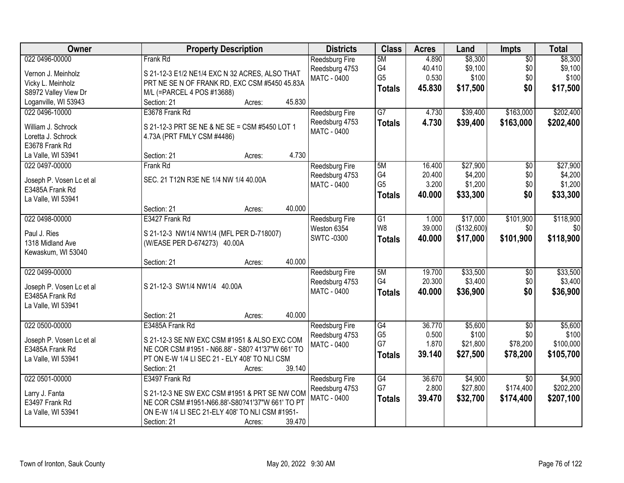| <b>Owner</b>                                                                                              | <b>Property Description</b>                                                                                                                                                                              | <b>Districts</b>                                              | <b>Class</b>                                | <b>Acres</b>                        | Land                                       | Impts                                     | <b>Total</b>                               |
|-----------------------------------------------------------------------------------------------------------|----------------------------------------------------------------------------------------------------------------------------------------------------------------------------------------------------------|---------------------------------------------------------------|---------------------------------------------|-------------------------------------|--------------------------------------------|-------------------------------------------|--------------------------------------------|
| 022 0496-00000<br>Vernon J. Meinholz<br>Vicky L. Meinholz<br>S8972 Valley View Dr                         | Frank Rd<br>S 21-12-3 E1/2 NE1/4 EXC N 32 ACRES, ALSO THAT<br>PRT NE SE N OF FRANK RD, EXC CSM #5450 45.83A<br>M/L (=PARCEL 4 POS #13688)                                                                | <b>Reedsburg Fire</b><br>Reedsburg 4753<br><b>MATC - 0400</b> | 5M<br>G4<br>G <sub>5</sub><br><b>Totals</b> | 4.890<br>40.410<br>0.530<br>45.830  | \$8,300<br>\$9,100<br>\$100<br>\$17,500    | $\overline{50}$<br>\$0<br>\$0<br>\$0      | \$8,300<br>\$9,100<br>\$100<br>\$17,500    |
| Loganville, WI 53943<br>022 0496-10000<br>William J. Schrock<br>Loretta J. Schrock<br>E3678 Frank Rd      | 45.830<br>Section: 21<br>Acres:<br>E3678 Frank Rd<br>S 21-12-3 PRT SE NE & NE SE = CSM #5450 LOT 1<br>4.73A (PRT FMLY CSM #4486)                                                                         | <b>Reedsburg Fire</b><br>Reedsburg 4753<br><b>MATC - 0400</b> | $\overline{G7}$<br><b>Totals</b>            | 4.730<br>4.730                      | \$39,400<br>\$39,400                       | \$163,000<br>\$163,000                    | \$202,400<br>\$202,400                     |
| La Valle, WI 53941<br>022 0497-00000<br>Joseph P. Vosen Lc et al<br>E3485A Frank Rd<br>La Valle, WI 53941 | 4.730<br>Section: 21<br>Acres:<br>Frank Rd<br>SEC. 21 T12N R3E NE 1/4 NW 1/4 40.00A<br>40.000<br>Section: 21<br>Acres:                                                                                   | <b>Reedsburg Fire</b><br>Reedsburg 4753<br><b>MATC - 0400</b> | 5M<br>G4<br>G <sub>5</sub><br><b>Totals</b> | 16.400<br>20.400<br>3.200<br>40.000 | \$27,900<br>\$4,200<br>\$1,200<br>\$33,300 | $\overline{50}$<br>\$0<br>\$0<br>\$0      | \$27,900<br>\$4,200<br>\$1,200<br>\$33,300 |
| 022 0498-00000<br>Paul J. Ries<br>1318 Midland Ave<br>Kewaskum, WI 53040                                  | E3427 Frank Rd<br>S 21-12-3 NW1/4 NW1/4 (MFL PER D-718007)<br>(W/EASE PER D-674273) 40.00A<br>40.000<br>Section: 21<br>Acres:                                                                            | Reedsburg Fire<br>Weston 6354<br><b>SWTC-0300</b>             | G1<br>W <sub>8</sub><br><b>Totals</b>       | 1.000<br>39.000<br>40.000           | \$17,000<br>(\$132,600)<br>\$17,000        | \$101,900<br>\$0<br>\$101,900             | \$118,900<br>\$0<br>\$118,900              |
| 022 0499-00000<br>Joseph P. Vosen Lc et al<br>E3485A Frank Rd<br>La Valle, WI 53941                       | S 21-12-3 SW1/4 NW1/4 40.00A<br>40.000<br>Section: 21<br>Acres:                                                                                                                                          | Reedsburg Fire<br>Reedsburg 4753<br><b>MATC - 0400</b>        | 5M<br>G <sub>4</sub><br><b>Totals</b>       | 19.700<br>20.300<br>40.000          | \$33,500<br>\$3,400<br>\$36,900            | $\overline{50}$<br>\$0<br>\$0             | \$33,500<br>\$3,400<br>\$36,900            |
| 022 0500-00000<br>Joseph P. Vosen Lc et al<br>E3485A Frank Rd<br>La Valle, WI 53941                       | E3485A Frank Rd<br>S 21-12-3 SE NW EXC CSM #1951 & ALSO EXC COM<br>NE COR CSM #1951 - N66.88' - S80? 41'37"W 661' TO<br>PT ON E-W 1/4 LI SEC 21 - ELY 408' TO NLI CSM<br>39.140<br>Section: 21<br>Acres: | Reedsburg Fire<br>Reedsburg 4753<br><b>MATC - 0400</b>        | G4<br>G <sub>5</sub><br>G7<br><b>Totals</b> | 36.770<br>0.500<br>1.870<br>39.140  | \$5,600<br>\$100<br>\$21,800<br>\$27,500   | $\sqrt{6}$<br>\$0<br>\$78,200<br>\$78,200 | \$5,600<br>\$100<br>\$100,000<br>\$105,700 |
| 022 0501-00000<br>Larry J. Fanta<br>E3497 Frank Rd<br>La Valle, WI 53941                                  | E3497 Frank Rd<br>S 21-12-3 NE SW EXC CSM #1951 & PRT SE NW COM<br>NE COR CSM #1951-N66.88'-S80?41'37"W 661' TO PT<br>ON E-W 1/4 LI SEC 21-ELY 408' TO NLI CSM #1951-<br>39.470<br>Section: 21<br>Acres: | <b>Reedsburg Fire</b><br>Reedsburg 4753<br><b>MATC - 0400</b> | G4<br>G7<br><b>Totals</b>                   | 36.670<br>2.800<br>39.470           | \$4,900<br>\$27,800<br>\$32,700            | $\overline{50}$<br>\$174,400<br>\$174,400 | \$4,900<br>\$202,200<br>\$207,100          |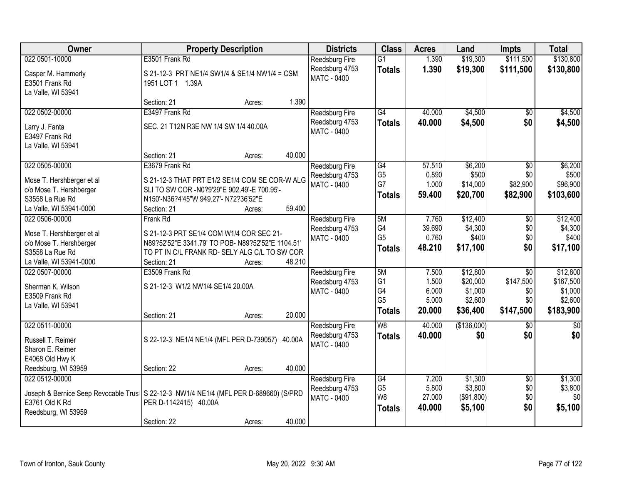| Owner                                                                                              | <b>Property Description</b>                                                                                                                                                       | <b>Districts</b>                                              | <b>Class</b>                                                  | <b>Acres</b>                               | Land                                                   | <b>Impts</b>                                            | <b>Total</b>                                             |
|----------------------------------------------------------------------------------------------------|-----------------------------------------------------------------------------------------------------------------------------------------------------------------------------------|---------------------------------------------------------------|---------------------------------------------------------------|--------------------------------------------|--------------------------------------------------------|---------------------------------------------------------|----------------------------------------------------------|
| 022 0501-10000                                                                                     | E3501 Frank Rd                                                                                                                                                                    | <b>Reedsburg Fire</b>                                         | $\overline{G1}$                                               | 1.390                                      | \$19,300                                               | \$111,500                                               | \$130,800                                                |
| Casper M. Hammerly<br>E3501 Frank Rd<br>La Valle, WI 53941                                         | S 21-12-3 PRT NE1/4 SW1/4 & SE1/4 NW1/4 = CSM<br>1951 LOT 1 1.39A                                                                                                                 | Reedsburg 4753<br><b>MATC - 0400</b>                          | <b>Totals</b>                                                 | 1.390                                      | \$19,300                                               | \$111,500                                               | \$130,800                                                |
|                                                                                                    | 1.390<br>Section: 21<br>Acres:                                                                                                                                                    |                                                               |                                                               |                                            |                                                        |                                                         |                                                          |
| 022 0502-00000                                                                                     | E3497 Frank Rd                                                                                                                                                                    | <b>Reedsburg Fire</b>                                         | G4                                                            | 40.000                                     | \$4,500                                                | $\overline{50}$                                         | \$4,500                                                  |
| Larry J. Fanta<br>E3497 Frank Rd<br>La Valle, WI 53941                                             | SEC. 21 T12N R3E NW 1/4 SW 1/4 40.00A                                                                                                                                             | Reedsburg 4753<br>MATC - 0400                                 | <b>Totals</b>                                                 | 40.000                                     | \$4,500                                                | \$0                                                     | \$4,500                                                  |
|                                                                                                    | 40.000<br>Section: 21<br>Acres:                                                                                                                                                   |                                                               |                                                               |                                            |                                                        |                                                         |                                                          |
| 022 0505-00000<br>Mose T. Hershberger et al<br>c/o Mose T. Hershberger<br>S3558 La Rue Rd          | E3679 Frank Rd<br>S 21-12-3 THAT PRT E1/2 SE1/4 COM SE COR-W ALG<br>SLI TO SW COR -N0?9'29"E 902.49'-E 700.95'-<br>N150'-N36?4'45"W 949.27'- N72?36'52"E<br>59.400                | <b>Reedsburg Fire</b><br>Reedsburg 4753<br>MATC - 0400        | G4<br>G <sub>5</sub><br>G7<br><b>Totals</b>                   | 57.510<br>0.890<br>1.000<br>59.400         | \$6,200<br>\$500<br>\$14,000<br>\$20,700               | $\sqrt{6}$<br>\$0<br>\$82,900<br>\$82,900               | \$6,200<br>\$500<br>\$96,900<br>\$103,600                |
| La Valle, WI 53941-0000<br>022 0506-00000                                                          | Section: 21<br>Acres:<br>Frank Rd                                                                                                                                                 | <b>Reedsburg Fire</b>                                         | 5M                                                            | 7.760                                      | \$12,400                                               | \$0                                                     | \$12,400                                                 |
| Mose T. Hershberger et al<br>c/o Mose T. Hershberger<br>S3558 La Rue Rd<br>La Valle, WI 53941-0000 | S 21-12-3 PRT SE1/4 COM W1/4 COR SEC 21-<br>N89?52'52"E 3341.79' TO POB- N89?52'52"E 1104.51'<br>TO PT IN C/L FRANK RD- SELY ALG C/L TO SW COR<br>48.210<br>Section: 21<br>Acres: | Reedsburg 4753<br><b>MATC - 0400</b>                          | G4<br>G <sub>5</sub><br><b>Totals</b>                         | 39.690<br>0.760<br>48.210                  | \$4,300<br>\$400<br>\$17,100                           | \$0<br>\$0<br>\$0                                       | \$4,300<br>\$400<br>\$17,100                             |
| 022 0507-00000<br>Sherman K. Wilson<br>E3509 Frank Rd<br>La Valle, WI 53941                        | E3509 Frank Rd<br>S 21-12-3 W1/2 NW1/4 SE1/4 20.00A<br>20.000<br>Section: 21<br>Acres:                                                                                            | Reedsburg Fire<br>Reedsburg 4753<br>MATC - 0400               | 5M<br>G <sub>1</sub><br>G4<br>G <sub>5</sub><br><b>Totals</b> | 7.500<br>1.500<br>6.000<br>5.000<br>20.000 | \$12,800<br>\$20,000<br>\$1,000<br>\$2,600<br>\$36,400 | $\overline{50}$<br>\$147,500<br>\$0<br>\$0<br>\$147,500 | \$12,800<br>\$167,500<br>\$1,000<br>\$2,600<br>\$183,900 |
| 022 0511-00000<br>Russell T. Reimer<br>Sharon E. Reimer<br>E4068 Old Hwy K<br>Reedsburg, WI 53959  | S 22-12-3 NE1/4 NE1/4 (MFL PER D-739057) 40.00A<br>40.000<br>Section: 22<br>Acres:                                                                                                | Reedsburg Fire<br>Reedsburg 4753<br>MATC - 0400               | $\overline{W8}$<br><b>Totals</b>                              | 40.000<br>40.000                           | (\$136,000)<br>\$0                                     | \$0<br>\$0                                              | $\overline{50}$<br>\$0                                   |
| 022 0512-00000<br>E3761 Old K Rd<br>Reedsburg, WI 53959                                            | Joseph & Bernice Seep Revocable Trus   S 22-12-3 NW1/4 NE1/4 (MFL PER D-689660) (S/PRD<br>PER D-1142415) 40.00A<br>40.000<br>Section: 22<br>Acres:                                | <b>Reedsburg Fire</b><br>Reedsburg 4753<br><b>MATC - 0400</b> | G4<br>G <sub>5</sub><br>W8<br><b>Totals</b>                   | 7.200<br>5.800<br>27.000<br>40.000         | \$1,300<br>\$3,800<br>(\$91,800)<br>\$5,100            | $\overline{50}$<br>\$0<br>\$0<br>\$0                    | \$1,300<br>\$3,800<br>\$0<br>\$5,100                     |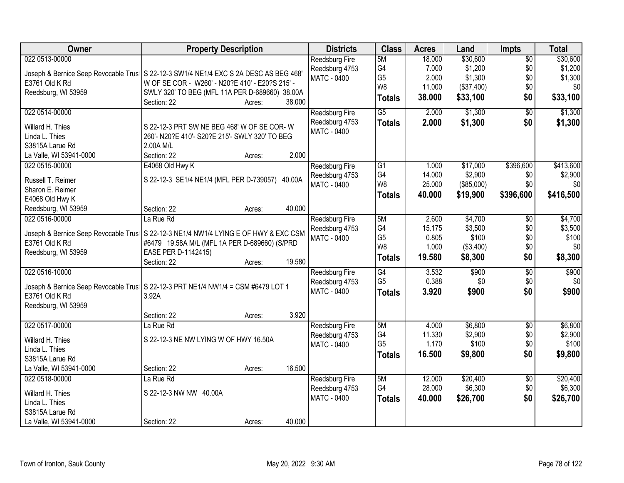| Owner                   | <b>Property Description</b>                                                            | <b>Districts</b>                     | <b>Class</b>    | <b>Acres</b> | Land       | <b>Impts</b>    | <b>Total</b> |
|-------------------------|----------------------------------------------------------------------------------------|--------------------------------------|-----------------|--------------|------------|-----------------|--------------|
| 022 0513-00000          |                                                                                        | Reedsburg Fire                       | 5M              | 18.000       | \$30,600   | $\overline{50}$ | \$30,600     |
|                         | Joseph & Bernice Seep Revocable Trus   S 22-12-3 SW1/4 NE1/4 EXC S 2A DESC AS BEG 468' | Reedsburg 4753                       | G4              | 7.000        | \$1,200    | \$0             | \$1,200      |
| E3761 Old K Rd          | W OF SE COR - W260' - N20?E 410' - E20?S 215' -                                        | <b>MATC - 0400</b>                   | G <sub>5</sub>  | 2.000        | \$1,300    | \$0             | \$1,300      |
| Reedsburg, WI 53959     | SWLY 320' TO BEG (MFL 11A PER D-689660) 38.00A                                         |                                      | W <sub>8</sub>  | 11.000       | (\$37,400) | \$0             | \$0          |
|                         | 38.000<br>Section: 22<br>Acres:                                                        |                                      | <b>Totals</b>   | 38.000       | \$33,100   | \$0             | \$33,100     |
| 022 0514-00000          |                                                                                        | Reedsburg Fire                       | $\overline{G5}$ | 2.000        | \$1,300    | $\overline{50}$ | \$1,300      |
| Willard H. Thies        | S 22-12-3 PRT SW NE BEG 468' W OF SE COR-W                                             | Reedsburg 4753                       | <b>Totals</b>   | 2.000        | \$1,300    | \$0             | \$1,300      |
| Linda L. Thies          | 260'- N20?E 410'- S20?E 215'- SWLY 320' TO BEG                                         | MATC - 0400                          |                 |              |            |                 |              |
| S3815A Larue Rd         | 2.00A M/L                                                                              |                                      |                 |              |            |                 |              |
| La Valle, WI 53941-0000 | 2.000<br>Section: 22<br>Acres:                                                         |                                      |                 |              |            |                 |              |
| 022 0515-00000          |                                                                                        |                                      | G1              | 1.000        | \$17,000   | \$396,600       | \$413,600    |
|                         | E4068 Old Hwy K                                                                        | <b>Reedsburg Fire</b>                | G4              | 14.000       | \$2,900    | \$0             | \$2,900      |
| Russell T. Reimer       | S 22-12-3 SE1/4 NE1/4 (MFL PER D-739057) 40.00A                                        | Reedsburg 4753<br><b>MATC - 0400</b> | W8              | 25.000       | (\$85,000) | \$0             | \$0          |
| Sharon E. Reimer        |                                                                                        |                                      |                 | 40.000       | \$19,900   | \$396,600       | \$416,500    |
| E4068 Old Hwy K         |                                                                                        |                                      | <b>Totals</b>   |              |            |                 |              |
| Reedsburg, WI 53959     | 40.000<br>Section: 22<br>Acres:                                                        |                                      |                 |              |            |                 |              |
| 022 0516-00000          | La Rue Rd                                                                              | Reedsburg Fire                       | 5M              | 2.600        | \$4,700    | \$0             | \$4,700      |
|                         | Joseph & Bernice Seep Revocable Trus   S 22-12-3 NE1/4 NW1/4 LYING E OF HWY & EXC CSM  | Reedsburg 4753                       | G4              | 15.175       | \$3,500    | \$0             | \$3,500      |
| E3761 Old K Rd          | #6479 19.58A M/L (MFL 1A PER D-689660) (S/PRD                                          | <b>MATC - 0400</b>                   | G <sub>5</sub>  | 0.805        | \$100      | \$0             | \$100        |
| Reedsburg, WI 53959     | EASE PER D-1142415)                                                                    |                                      | W8              | 1.000        | (\$3,400)  | \$0             | \$0          |
|                         | 19.580<br>Section: 22<br>Acres:                                                        |                                      | <b>Totals</b>   | 19.580       | \$8,300    | \$0             | \$8,300      |
| 022 0516-10000          |                                                                                        | Reedsburg Fire                       | $\overline{G4}$ | 3.532        | \$900      | $\overline{50}$ | \$900        |
|                         |                                                                                        | Reedsburg 4753                       | G <sub>5</sub>  | 0.388        | \$0        | \$0             | \$0          |
|                         | Joseph & Bernice Seep Revocable Trus   S 22-12-3 PRT NE1/4 NW1/4 = CSM #6479 LOT 1     | <b>MATC - 0400</b>                   | <b>Totals</b>   | 3.920        | \$900      | \$0             | \$900        |
| E3761 Old K Rd          | 3.92A                                                                                  |                                      |                 |              |            |                 |              |
| Reedsburg, WI 53959     |                                                                                        |                                      |                 |              |            |                 |              |
|                         | 3.920<br>Section: 22<br>Acres:                                                         |                                      |                 |              |            |                 |              |
| 022 0517-00000          | La Rue Rd                                                                              | Reedsburg Fire                       | 5M              | 4.000        | \$6,800    | $\overline{50}$ | \$6,800      |
| Willard H. Thies        | S 22-12-3 NE NW LYING W OF HWY 16.50A                                                  | Reedsburg 4753                       | G4              | 11.330       | \$2,900    | \$0             | \$2,900      |
| Linda L. Thies          |                                                                                        | MATC - 0400                          | G <sub>5</sub>  | 1.170        | \$100      | \$0             | \$100        |
| S3815A Larue Rd         |                                                                                        |                                      | <b>Totals</b>   | 16.500       | \$9,800    | \$0             | \$9,800      |
| La Valle, WI 53941-0000 | 16.500<br>Section: 22<br>Acres:                                                        |                                      |                 |              |            |                 |              |
| 022 0518-00000          | La Rue Rd                                                                              | <b>Reedsburg Fire</b>                | 5M              | 12.000       | \$20,400   | $\overline{60}$ | \$20,400     |
|                         |                                                                                        | Reedsburg 4753                       | G4              | 28.000       | \$6,300    | \$0             | \$6,300      |
| Willard H. Thies        | S 22-12-3 NW NW 40.00A                                                                 | <b>MATC - 0400</b>                   | <b>Totals</b>   | 40.000       | \$26,700   | \$0             | \$26,700     |
| Linda L. Thies          |                                                                                        |                                      |                 |              |            |                 |              |
| S3815A Larue Rd         |                                                                                        |                                      |                 |              |            |                 |              |
| La Valle, WI 53941-0000 | 40.000<br>Section: 22<br>Acres:                                                        |                                      |                 |              |            |                 |              |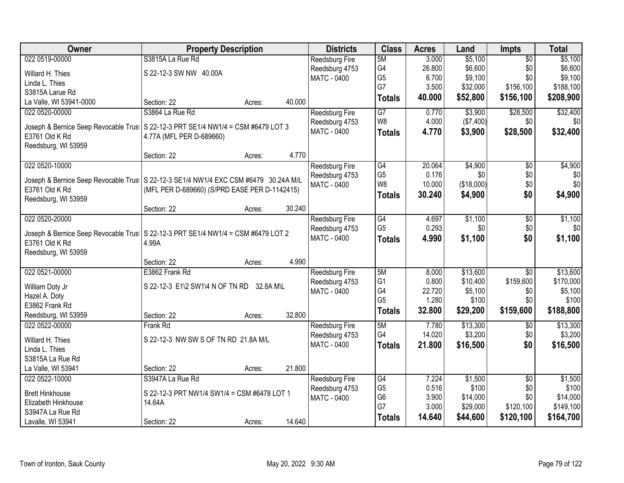| Owner                                   | <b>Property Description</b>                                                           | <b>Districts</b>                        | <b>Class</b>    | <b>Acres</b> | Land       | Impts           | <b>Total</b> |
|-----------------------------------------|---------------------------------------------------------------------------------------|-----------------------------------------|-----------------|--------------|------------|-----------------|--------------|
| 022 0519-00000                          | S3815A La Rue Rd                                                                      | <b>Reedsburg Fire</b>                   | 5M              | 3.000        | \$5,100    | $\overline{50}$ | \$5,100      |
| Willard H. Thies                        | S 22-12-3 SW NW 40.00A                                                                | Reedsburg 4753                          | G4              | 26.800       | \$6,600    | \$0             | \$6,600      |
| Linda L. Thies                          |                                                                                       | MATC - 0400                             | G <sub>5</sub>  | 6.700        | \$9,100    | \$0             | \$9,100      |
| S3815A Larue Rd                         |                                                                                       |                                         | G7              | 3.500        | \$32,000   | \$156,100       | \$188,100    |
| La Valle, WI 53941-0000                 | 40.000<br>Section: 22<br>Acres:                                                       |                                         | <b>Totals</b>   | 40.000       | \$52,800   | \$156,100       | \$208,900    |
| 022 0520-00000                          | S3864 La Rue Rd                                                                       | Reedsburg Fire                          | $\overline{G7}$ | 0.770        | \$3,900    | \$28,500        | \$32,400     |
|                                         |                                                                                       | Reedsburg 4753                          | W8              | 4.000        | (\$7,400)  | \$0             | \$0          |
| Joseph & Bernice Seep Revocable Trus    | S 22-12-3 PRT SE1/4 NW1/4 = CSM #6479 LOT 3                                           | MATC - 0400                             | <b>Totals</b>   | 4.770        | \$3,900    | \$28,500        | \$32,400     |
| E3761 Old K Rd<br>Reedsburg, WI 53959   | 4.77A (MFL PER D-689660)                                                              |                                         |                 |              |            |                 |              |
|                                         | 4.770<br>Section: 22<br>Acres:                                                        |                                         |                 |              |            |                 |              |
| 022 0520-10000                          |                                                                                       | Reedsburg Fire                          | G4              | 20.064       | \$4,900    | \$0             | \$4,900      |
|                                         |                                                                                       | Reedsburg 4753                          | G <sub>5</sub>  | 0.176        | \$0        | \$0             | \$0          |
|                                         | Joseph & Bernice Seep Revocable Trus   S 22-12-3 SE1/4 NW1/4 EXC CSM #6479 30.24A M/L | <b>MATC - 0400</b>                      | W <sub>8</sub>  | 10.000       | (\$18,000) | \$0             | \$0          |
| E3761 Old K Rd                          | (MFL PER D-689660) (S/PRD EASE PER D-1142415)                                         |                                         | <b>Totals</b>   | 30.240       | \$4,900    | \$0             | \$4,900      |
| Reedsburg, WI 53959                     | 30.240                                                                                |                                         |                 |              |            |                 |              |
| 022 0520-20000                          | Section: 22<br>Acres:                                                                 |                                         | G4              | 4.697        | \$1,100    | $\sqrt[6]{}$    | \$1,100      |
|                                         |                                                                                       | <b>Reedsburg Fire</b><br>Reedsburg 4753 | G <sub>5</sub>  | 0.293        | \$0        | \$0             | \$0          |
| Joseph & Bernice Seep Revocable Trus    | S 22-12-3 PRT SE1/4 NW1/4 = CSM #6479 LOT 2                                           | MATC - 0400                             | <b>Totals</b>   | 4.990        | \$1,100    | \$0             | \$1,100      |
| E3761 Old K Rd                          | 4.99A                                                                                 |                                         |                 |              |            |                 |              |
| Reedsburg, WI 53959                     |                                                                                       |                                         |                 |              |            |                 |              |
|                                         | 4.990<br>Section: 22<br>Acres:                                                        |                                         |                 |              |            |                 |              |
| 022 0521-00000                          | E3862 Frank Rd                                                                        | Reedsburg Fire                          | 5M              | 8.000        | \$13,600   | $\overline{30}$ | \$13,600     |
| William Doty Jr                         | S 22-12-3 E1\2 SW1\4 N OF TN RD 32.8A M\L                                             | Reedsburg 4753                          | G <sub>1</sub>  | 0.800        | \$10,400   | \$159,600       | \$170,000    |
| Hazel A. Doty                           |                                                                                       | <b>MATC - 0400</b>                      | G4              | 22.720       | \$5,100    | \$0             | \$5,100      |
| E3862 Frank Rd                          |                                                                                       |                                         | G <sub>5</sub>  | 1.280        | \$100      | \$0             | \$100        |
| Reedsburg, WI 53959                     | 32.800<br>Section: 22<br>Acres:                                                       |                                         | <b>Totals</b>   | 32.800       | \$29,200   | \$159,600       | \$188,800    |
| 022 0522-00000                          | Frank Rd                                                                              | Reedsburg Fire                          | 5M              | 7.780        | \$13,300   | $\sqrt{6}$      | \$13,300     |
| Willard H. Thies                        | S 22-12-3 NW SW S OF TN RD 21.8A M/L                                                  | Reedsburg 4753                          | G4              | 14.020       | \$3,200    | \$0             | \$3,200      |
| Linda L. Thies                          |                                                                                       | <b>MATC - 0400</b>                      | <b>Totals</b>   | 21.800       | \$16,500   | \$0             | \$16,500     |
| S3815A La Rue Rd                        |                                                                                       |                                         |                 |              |            |                 |              |
| La Valle, WI 53941                      | 21.800<br>Section: 22<br>Acres:                                                       |                                         |                 |              |            |                 |              |
| 022 0522-10000                          | S3947A La Rue Rd                                                                      | <b>Reedsburg Fire</b>                   | G4              | 7.224        | \$1,500    | $\overline{50}$ | \$1,500      |
|                                         |                                                                                       | Reedsburg 4753                          | G <sub>5</sub>  | 0.516        | \$100      | \$0             | \$100        |
| <b>Brett Hinkhouse</b>                  | S 22-12-3 PRT NW1/4 SW1/4 = CSM #6478 LOT 1                                           | <b>MATC - 0400</b>                      | G6              | 3.900        | \$14,000   | \$0             | \$14,000     |
| Elizabeth Hinkhouse<br>S3947A La Rue Rd | 14.64A                                                                                |                                         | G7              | 3.000        | \$29,000   | \$120,100       | \$149,100    |
| Lavalle, WI 53941                       | 14.640<br>Section: 22                                                                 |                                         | <b>Totals</b>   | 14.640       | \$44,600   | \$120,100       | \$164,700    |
|                                         | Acres:                                                                                |                                         |                 |              |            |                 |              |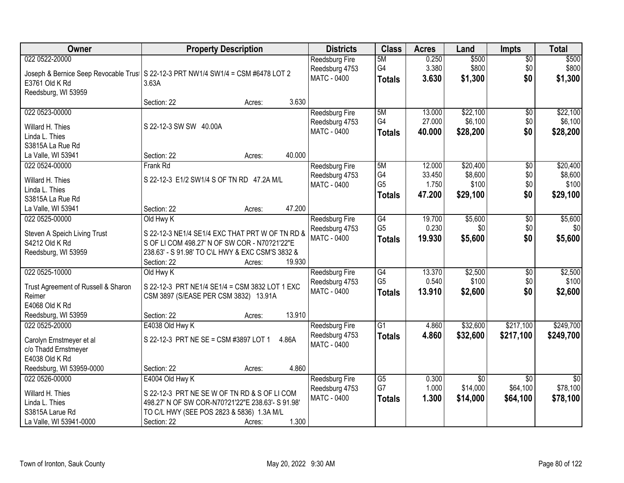| <b>Owner</b>                        | <b>Property Description</b>                                                        | <b>Districts</b>              | <b>Class</b>                      | <b>Acres</b>    | Land             | <b>Impts</b>           | <b>Total</b>     |
|-------------------------------------|------------------------------------------------------------------------------------|-------------------------------|-----------------------------------|-----------------|------------------|------------------------|------------------|
| 022 0522-20000                      |                                                                                    | <b>Reedsburg Fire</b>         | 5M                                | 0.250           | \$500            | $\overline{50}$        | \$500            |
|                                     | Joseph & Bernice Seep Revocable Trus   S 22-12-3 PRT NW1/4 SW1/4 = CSM #6478 LOT 2 | Reedsburg 4753                | G4                                | 3.380           | \$800            | \$0                    | \$800            |
| E3761 Old K Rd                      | 3.63A                                                                              | <b>MATC - 0400</b>            | <b>Totals</b>                     | 3.630           | \$1,300          | \$0                    | \$1,300          |
| Reedsburg, WI 53959                 |                                                                                    |                               |                                   |                 |                  |                        |                  |
|                                     | 3.630<br>Section: 22<br>Acres:                                                     |                               |                                   |                 |                  |                        |                  |
| 022 0523-00000                      |                                                                                    | <b>Reedsburg Fire</b>         | 5M                                | 13.000          | \$22,100         | \$0                    | \$22,100         |
| Willard H. Thies                    | S 22-12-3 SW SW 40.00A                                                             | Reedsburg 4753                | G4                                | 27.000          | \$6,100          | \$0                    | \$6,100          |
| Linda L. Thies                      |                                                                                    | MATC - 0400                   | <b>Totals</b>                     | 40.000          | \$28,200         | \$0                    | \$28,200         |
| S3815A La Rue Rd                    |                                                                                    |                               |                                   |                 |                  |                        |                  |
| La Valle, WI 53941                  | 40.000<br>Section: 22<br>Acres:                                                    |                               |                                   |                 |                  |                        |                  |
| 022 0524-00000                      | Frank Rd                                                                           | <b>Reedsburg Fire</b>         | 5M                                | 12.000          | \$20,400         | $\overline{50}$        | \$20,400         |
|                                     |                                                                                    | Reedsburg 4753                | G4                                | 33.450          | \$8,600          | $$0$$                  | \$8,600          |
| Willard H. Thies                    | S 22-12-3 E1/2 SW1/4 S OF TN RD 47.2A M/L                                          | MATC - 0400                   | G <sub>5</sub>                    | 1.750           | \$100            | \$0                    | \$100            |
| Linda L. Thies<br>S3815A La Rue Rd  |                                                                                    |                               | <b>Totals</b>                     | 47.200          | \$29,100         | \$0                    | \$29,100         |
| La Valle, WI 53941                  | 47.200<br>Section: 22<br>Acres:                                                    |                               |                                   |                 |                  |                        |                  |
| 022 0525-00000                      | Old Hwy K                                                                          | <b>Reedsburg Fire</b>         | G4                                | 19.700          | \$5,600          | \$0                    | \$5,600          |
|                                     |                                                                                    | Reedsburg 4753                | G <sub>5</sub>                    | 0.230           | \$0              | \$0                    | \$0              |
| Steven A Speich Living Trust        | S 22-12-3 NE1/4 SE1/4 EXC THAT PRT W OF TN RD &                                    | MATC - 0400                   | <b>Totals</b>                     | 19.930          | \$5,600          | \$0                    | \$5,600          |
| S4212 Old K Rd                      | S OF LI COM 498.27' N OF SW COR - N70?21'22"E                                      |                               |                                   |                 |                  |                        |                  |
| Reedsburg, WI 53959                 | 238.63' - S 91.98' TO C\L HWY & EXC CSM'S 3832 &                                   |                               |                                   |                 |                  |                        |                  |
|                                     | 19.930<br>Section: 22<br>Acres:                                                    |                               |                                   |                 |                  |                        |                  |
| 022 0525-10000                      | Old Hwy K                                                                          | Reedsburg Fire                | $\overline{G4}$<br>G <sub>5</sub> | 13.370<br>0.540 | \$2,500<br>\$100 | $\overline{50}$<br>\$0 | \$2,500<br>\$100 |
| Trust Agreement of Russell & Sharon | S 22-12-3 PRT NE1/4 SE1/4 = CSM 3832 LOT 1 EXC                                     | Reedsburg 4753<br>MATC - 0400 |                                   | 13.910          |                  | \$0                    |                  |
| Reimer                              | CSM 3897 (S/EASE PER CSM 3832) 13.91A                                              |                               | <b>Totals</b>                     |                 | \$2,600          |                        | \$2,600          |
| E4068 Old K Rd                      |                                                                                    |                               |                                   |                 |                  |                        |                  |
| Reedsburg, WI 53959                 | 13.910<br>Section: 22<br>Acres:                                                    |                               |                                   |                 |                  |                        |                  |
| 022 0525-20000                      | E4038 Old Hwy K                                                                    | Reedsburg Fire                | $\overline{G1}$                   | 4.860           | \$32,600         | \$217,100              | \$249,700        |
| Carolyn Ernstmeyer et al            | S 22-12-3 PRT NE SE = CSM #3897 LOT 1<br>4.86A                                     | Reedsburg 4753                | <b>Totals</b>                     | 4.860           | \$32,600         | \$217,100              | \$249,700        |
| c/o Thadd Ernstmeyer                |                                                                                    | MATC - 0400                   |                                   |                 |                  |                        |                  |
| E4038 Old K Rd                      |                                                                                    |                               |                                   |                 |                  |                        |                  |
| Reedsburg, WI 53959-0000            | Section: 22<br>4.860<br>Acres:                                                     |                               |                                   |                 |                  |                        |                  |
| 022 0526-00000                      | E4004 Old Hwy K                                                                    | <b>Reedsburg Fire</b>         | $\overline{G5}$                   | 0.300           | $\overline{50}$  | $\overline{30}$        | $\overline{50}$  |
| Willard H. Thies                    | S 22-12-3 PRT NE SEW OF TN RD & S OF LICOM                                         | Reedsburg 4753                | G7                                | 1.000           | \$14,000         | \$64,100               | \$78,100         |
| Linda L. Thies                      | 498.27' N OF SW COR-N70?21'22"E 238.63'- S 91.98'                                  | <b>MATC - 0400</b>            | <b>Totals</b>                     | 1.300           | \$14,000         | \$64,100               | \$78,100         |
| S3815A Larue Rd                     | TO C/L HWY (SEE POS 2823 & 5836) 1.3A M/L                                          |                               |                                   |                 |                  |                        |                  |
| La Valle, WI 53941-0000             | 1.300<br>Section: 22<br>Acres:                                                     |                               |                                   |                 |                  |                        |                  |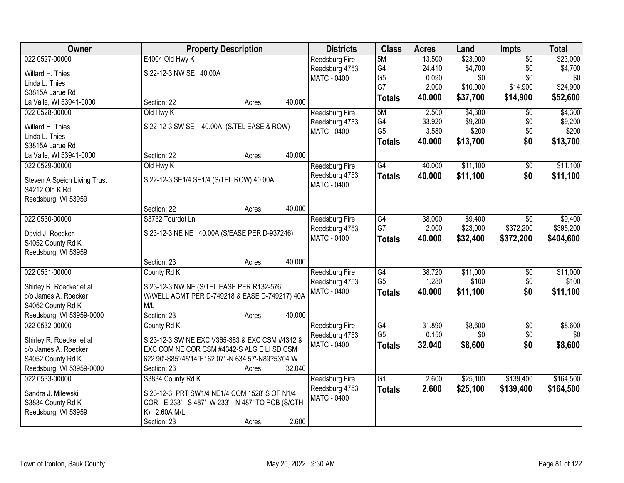| <b>Owner</b>                 | <b>Property Description</b>                          | <b>Districts</b>      | <b>Class</b>    | <b>Acres</b> | Land     | Impts           | <b>Total</b> |
|------------------------------|------------------------------------------------------|-----------------------|-----------------|--------------|----------|-----------------|--------------|
| 022 0527-00000               | E4004 Old Hwy K                                      | <b>Reedsburg Fire</b> | 5M              | 13.500       | \$23,000 | $\overline{50}$ | \$23,000     |
| Willard H. Thies             | S 22-12-3 NW SE 40.00A                               | Reedsburg 4753        | G4              | 24.410       | \$4,700  | \$0             | \$4,700      |
| Linda L. Thies               |                                                      | <b>MATC - 0400</b>    | G <sub>5</sub>  | 0.090        | \$0      | \$0             | \$0          |
| S3815A Larue Rd              |                                                      |                       | G7              | 2.000        | \$10,000 | \$14,900        | \$24,900     |
| La Valle, WI 53941-0000      | 40.000<br>Section: 22<br>Acres:                      |                       | <b>Totals</b>   | 40.000       | \$37,700 | \$14,900        | \$52,600     |
| 022 0528-00000               | Old Hwy K                                            | Reedsburg Fire        | 5M              | 2.500        | \$4,300  | $\overline{50}$ | \$4,300      |
|                              |                                                      | Reedsburg 4753        | G4              | 33.920       | \$9,200  | \$0             | \$9,200      |
| Willard H. Thies             | S 22-12-3 SW SE 40.00A (S/TEL EASE & ROW)            | <b>MATC - 0400</b>    | G <sub>5</sub>  | 3.580        | \$200    | \$0             | \$200        |
| Linda L. Thies               |                                                      |                       | <b>Totals</b>   | 40.000       | \$13,700 | \$0             | \$13,700     |
| S3815A Larue Rd              |                                                      |                       |                 |              |          |                 |              |
| La Valle, WI 53941-0000      | Section: 22<br>40.000<br>Acres:                      |                       |                 |              |          |                 |              |
| 022 0529-00000               | Old Hwy K                                            | <b>Reedsburg Fire</b> | G4              | 40.000       | \$11,100 | \$0             | \$11,100     |
| Steven A Speich Living Trust | S 22-12-3 SE1/4 SE1/4 (S/TEL ROW) 40.00A             | Reedsburg 4753        | <b>Totals</b>   | 40.000       | \$11,100 | \$0             | \$11,100     |
| S4212 Old K Rd               |                                                      | <b>MATC - 0400</b>    |                 |              |          |                 |              |
| Reedsburg, WI 53959          |                                                      |                       |                 |              |          |                 |              |
|                              | 40.000<br>Section: 22<br>Acres:                      |                       |                 |              |          |                 |              |
| 022 0530-00000               | S3732 Tourdot Ln                                     | Reedsburg Fire        | G4              | 38.000       | \$9,400  | $\sqrt{6}$      | \$9,400      |
| David J. Roecker             | S 23-12-3 NE NE 40.00A (S/EASE PER D-937246)         | Reedsburg 4753        | G7              | 2.000        | \$23,000 | \$372,200       | \$395,200    |
| S4052 County Rd K            |                                                      | <b>MATC - 0400</b>    | <b>Totals</b>   | 40.000       | \$32,400 | \$372,200       | \$404,600    |
| Reedsburg, WI 53959          |                                                      |                       |                 |              |          |                 |              |
|                              | 40.000<br>Section: 23<br>Acres:                      |                       |                 |              |          |                 |              |
| 022 0531-00000               | County Rd K                                          | <b>Reedsburg Fire</b> | $\overline{G4}$ | 38.720       | \$11,000 | $\overline{50}$ | \$11,000     |
|                              |                                                      | Reedsburg 4753        | G <sub>5</sub>  | 1.280        | \$100    | \$0             | \$100        |
| Shirley R. Roecker et al     | S 23-12-3 NW NE (S/TEL EASE PER R132-576,            | MATC - 0400           | <b>Totals</b>   | 40.000       | \$11,100 | \$0             | \$11,100     |
| c/o James A. Roecker         | W/WELL AGMT PER D-749218 & EASE D-749217) 40A        |                       |                 |              |          |                 |              |
| S4052 County Rd K            | M/L                                                  |                       |                 |              |          |                 |              |
| Reedsburg, WI 53959-0000     | Section: 23<br>40.000<br>Acres:                      |                       |                 |              |          |                 |              |
| 022 0532-00000               | County Rd K                                          | Reedsburg Fire        | G4              | 31.890       | \$8,600  | $\overline{50}$ | \$8,600      |
| Shirley R. Roecker et al     | S 23-12-3 SW NE EXC V365-383 & EXC CSM #4342 &       | Reedsburg 4753        | G <sub>5</sub>  | 0.150        | \$0      | \$0             | \$0          |
| c/o James A. Roecker         | EXC COM NE COR CSM #4342-S ALG E LI SD CSM           | <b>MATC - 0400</b>    | <b>Totals</b>   | 32.040       | \$8,600  | \$0             | \$8,600      |
| S4052 County Rd K            | 622.90'-S85?45'14"E162.07' -N 634.57'-N89?53'04"W    |                       |                 |              |          |                 |              |
| Reedsburg, WI 53959-0000     | 32.040<br>Section: 23<br>Acres:                      |                       |                 |              |          |                 |              |
| 022 0533-00000               | S3834 County Rd K                                    | <b>Reedsburg Fire</b> | $\overline{G1}$ | 2.600        | \$25,100 | \$139,400       | \$164,500    |
|                              |                                                      | Reedsburg 4753        | <b>Totals</b>   | 2.600        | \$25,100 | \$139,400       | \$164,500    |
| Sandra J. Milewski           | S 23-12-3 PRT SW1/4 NE1/4 COM 1528' S OF N1/4        | <b>MATC - 0400</b>    |                 |              |          |                 |              |
| S3834 County Rd K            | COR - E 233' - S 487' -W 233' - N 487' TO POB (S/CTH |                       |                 |              |          |                 |              |
| Reedsburg, WI 53959          | K) 2.60A M/L                                         |                       |                 |              |          |                 |              |
|                              | 2.600<br>Section: 23<br>Acres:                       |                       |                 |              |          |                 |              |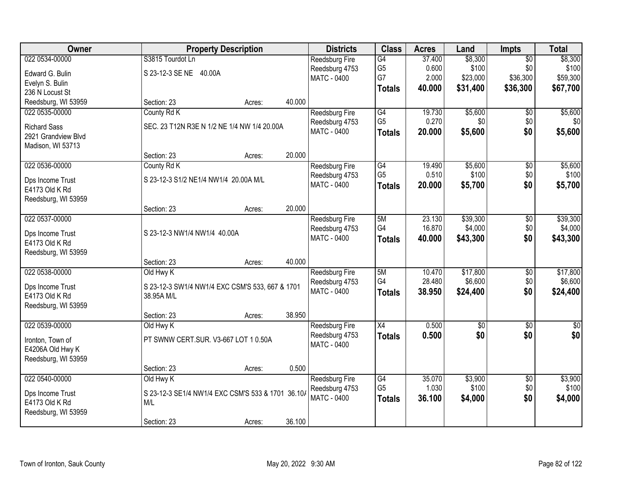| 022 0534-00000<br>S3815 Tourdot Ln<br>\$8,300<br>\$8,300<br>Reedsburg Fire<br>G4<br>37.400<br>$\overline{50}$<br>G <sub>5</sub><br>0.600<br>\$100<br>\$0<br>\$100<br>Reedsburg 4753<br>S 23-12-3 SE NE 40.00A<br>Edward G. Bulin<br>G7<br>\$36,300<br>\$59,300<br>2.000<br>\$23,000<br><b>MATC - 0400</b><br>Evelyn S. Bulin<br>\$36,300<br>40.000<br>\$31,400<br>\$67,700<br><b>Totals</b><br>236 N Locust St<br>Reedsburg, WI 53959<br>40.000<br>Section: 23<br>Acres:<br>G4<br>\$5,600<br>\$5,600<br>022 0535-00000<br>County Rd K<br>19.730<br>Reedsburg Fire<br>$\overline{50}$<br>G <sub>5</sub><br>0.270<br>\$0<br>\$0<br>Reedsburg 4753<br>SEC. 23 T12N R3E N 1/2 NE 1/4 NW 1/4 20.00A<br><b>Richard Sass</b><br>\$0<br>MATC - 0400<br>20.000<br>\$5,600<br><b>Totals</b><br>2921 Grandview Blvd<br>Madison, WI 53713<br>20.000<br>Section: 23<br>Acres:<br>022 0536-00000<br>G4<br>19.490<br>\$5,600<br>County Rd K<br><b>Reedsburg Fire</b><br>$\sqrt[6]{30}$<br>G <sub>5</sub><br>\$100<br>\$0<br>0.510<br>Reedsburg 4753<br>S 23-12-3 S1/2 NE1/4 NW1/4 20.00A M/L<br>Dps Income Trust<br>MATC - 0400<br>20.000<br>\$5,700<br>\$0<br>\$5,700<br><b>Totals</b><br>E4173 Old K Rd<br>Reedsburg, WI 53959<br>20.000<br>Section: 23<br>Acres:<br>022 0537-00000<br>23.130<br>\$39,300<br>5M<br>Reedsburg Fire<br>\$0<br>G4<br>16.870<br>\$4,000<br>\$0<br>Reedsburg 4753<br>S 23-12-3 NW1/4 NW1/4 40.00A<br>Dps Income Trust<br>\$0<br><b>MATC - 0400</b><br>40.000<br>\$43,300<br>\$43,300<br><b>Totals</b><br>E4173 Old K Rd<br>Reedsburg, WI 53959<br>40.000<br>Section: 23<br>Acres:<br>022 0538-00000<br>5M<br>10.470<br>\$17,800<br>$\overline{30}$<br>Old Hwy K<br>Reedsburg Fire<br>G4<br>\$6,600<br>28.480<br>\$0<br>Reedsburg 4753<br>S 23-12-3 SW1/4 NW1/4 EXC CSM'S 533, 667 & 1701<br>Dps Income Trust<br>38.950<br>\$0<br>MATC - 0400<br>\$24,400<br><b>Totals</b><br>E4173 Old K Rd<br>38.95A M/L<br>Reedsburg, WI 53959<br>38.950<br>Section: 23<br>Acres:<br>X4<br>0.500<br>$\overline{50}$<br>022 0539-00000<br>$\overline{50}$<br>Old Hwy K<br>Reedsburg Fire<br>\$0<br>\$0<br>\$0<br>Reedsburg 4753<br>0.500<br><b>Totals</b><br>PT SWNW CERT.SUR. V3-667 LOT 1 0.50A<br>Ironton, Town of<br>MATC - 0400<br>E4206A Old Hwy K<br>Reedsburg, WI 53959<br>0.500<br>Section: 23<br>Acres:<br>022 0540-00000<br>G4<br>35.070<br>\$3,900<br>Old Hwy K<br>$\overline{50}$<br>Reedsburg Fire<br>G <sub>5</sub><br>1.030<br>\$100<br>\$0<br>Reedsburg 4753<br>S 23-12-3 SE1/4 NW1/4 EXC CSM'S 533 & 1701 36.10/<br>Dps Income Trust<br>\$0<br><b>MATC - 0400</b><br>36.100<br>\$4,000<br>\$4,000<br><b>Totals</b><br>E4173 Old K Rd<br>M/L<br>Reedsburg, WI 53959 | Owner |             | <b>Property Description</b> |        | <b>Districts</b> | <b>Class</b> | <b>Acres</b> | Land | <b>Impts</b> | <b>Total</b> |
|-------------------------------------------------------------------------------------------------------------------------------------------------------------------------------------------------------------------------------------------------------------------------------------------------------------------------------------------------------------------------------------------------------------------------------------------------------------------------------------------------------------------------------------------------------------------------------------------------------------------------------------------------------------------------------------------------------------------------------------------------------------------------------------------------------------------------------------------------------------------------------------------------------------------------------------------------------------------------------------------------------------------------------------------------------------------------------------------------------------------------------------------------------------------------------------------------------------------------------------------------------------------------------------------------------------------------------------------------------------------------------------------------------------------------------------------------------------------------------------------------------------------------------------------------------------------------------------------------------------------------------------------------------------------------------------------------------------------------------------------------------------------------------------------------------------------------------------------------------------------------------------------------------------------------------------------------------------------------------------------------------------------------------------------------------------------------------------------------------------------------------------------------------------------------------------------------------------------------------------------------------------------------------------------------------------------------------------------------------------------------------------------------------------------------------------------------------------------------------------------------------------------------------------------------------------------------------------------------------------------------------------------------------------------------------------|-------|-------------|-----------------------------|--------|------------------|--------------|--------------|------|--------------|--------------|
|                                                                                                                                                                                                                                                                                                                                                                                                                                                                                                                                                                                                                                                                                                                                                                                                                                                                                                                                                                                                                                                                                                                                                                                                                                                                                                                                                                                                                                                                                                                                                                                                                                                                                                                                                                                                                                                                                                                                                                                                                                                                                                                                                                                                                                                                                                                                                                                                                                                                                                                                                                                                                                                                                     |       |             |                             |        |                  |              |              |      |              |              |
|                                                                                                                                                                                                                                                                                                                                                                                                                                                                                                                                                                                                                                                                                                                                                                                                                                                                                                                                                                                                                                                                                                                                                                                                                                                                                                                                                                                                                                                                                                                                                                                                                                                                                                                                                                                                                                                                                                                                                                                                                                                                                                                                                                                                                                                                                                                                                                                                                                                                                                                                                                                                                                                                                     |       |             |                             |        |                  |              |              |      |              |              |
| \$24,400                                                                                                                                                                                                                                                                                                                                                                                                                                                                                                                                                                                                                                                                                                                                                                                                                                                                                                                                                                                                                                                                                                                                                                                                                                                                                                                                                                                                                                                                                                                                                                                                                                                                                                                                                                                                                                                                                                                                                                                                                                                                                                                                                                                                                                                                                                                                                                                                                                                                                                                                                                                                                                                                            |       |             |                             |        |                  |              |              |      |              |              |
|                                                                                                                                                                                                                                                                                                                                                                                                                                                                                                                                                                                                                                                                                                                                                                                                                                                                                                                                                                                                                                                                                                                                                                                                                                                                                                                                                                                                                                                                                                                                                                                                                                                                                                                                                                                                                                                                                                                                                                                                                                                                                                                                                                                                                                                                                                                                                                                                                                                                                                                                                                                                                                                                                     |       |             |                             |        |                  |              |              |      |              |              |
|                                                                                                                                                                                                                                                                                                                                                                                                                                                                                                                                                                                                                                                                                                                                                                                                                                                                                                                                                                                                                                                                                                                                                                                                                                                                                                                                                                                                                                                                                                                                                                                                                                                                                                                                                                                                                                                                                                                                                                                                                                                                                                                                                                                                                                                                                                                                                                                                                                                                                                                                                                                                                                                                                     |       |             |                             |        |                  |              |              |      |              |              |
| \$0<br>\$5,600<br>\$5,600<br>\$100<br>\$39,300<br>\$4,000<br>\$17,800<br>\$6,600<br>$\overline{\$0}$<br>\$3,900<br>\$100                                                                                                                                                                                                                                                                                                                                                                                                                                                                                                                                                                                                                                                                                                                                                                                                                                                                                                                                                                                                                                                                                                                                                                                                                                                                                                                                                                                                                                                                                                                                                                                                                                                                                                                                                                                                                                                                                                                                                                                                                                                                                                                                                                                                                                                                                                                                                                                                                                                                                                                                                            |       |             |                             |        |                  |              |              |      |              |              |
|                                                                                                                                                                                                                                                                                                                                                                                                                                                                                                                                                                                                                                                                                                                                                                                                                                                                                                                                                                                                                                                                                                                                                                                                                                                                                                                                                                                                                                                                                                                                                                                                                                                                                                                                                                                                                                                                                                                                                                                                                                                                                                                                                                                                                                                                                                                                                                                                                                                                                                                                                                                                                                                                                     |       |             |                             |        |                  |              |              |      |              |              |
|                                                                                                                                                                                                                                                                                                                                                                                                                                                                                                                                                                                                                                                                                                                                                                                                                                                                                                                                                                                                                                                                                                                                                                                                                                                                                                                                                                                                                                                                                                                                                                                                                                                                                                                                                                                                                                                                                                                                                                                                                                                                                                                                                                                                                                                                                                                                                                                                                                                                                                                                                                                                                                                                                     |       |             |                             |        |                  |              |              |      |              |              |
|                                                                                                                                                                                                                                                                                                                                                                                                                                                                                                                                                                                                                                                                                                                                                                                                                                                                                                                                                                                                                                                                                                                                                                                                                                                                                                                                                                                                                                                                                                                                                                                                                                                                                                                                                                                                                                                                                                                                                                                                                                                                                                                                                                                                                                                                                                                                                                                                                                                                                                                                                                                                                                                                                     |       |             |                             |        |                  |              |              |      |              |              |
|                                                                                                                                                                                                                                                                                                                                                                                                                                                                                                                                                                                                                                                                                                                                                                                                                                                                                                                                                                                                                                                                                                                                                                                                                                                                                                                                                                                                                                                                                                                                                                                                                                                                                                                                                                                                                                                                                                                                                                                                                                                                                                                                                                                                                                                                                                                                                                                                                                                                                                                                                                                                                                                                                     |       |             |                             |        |                  |              |              |      |              |              |
|                                                                                                                                                                                                                                                                                                                                                                                                                                                                                                                                                                                                                                                                                                                                                                                                                                                                                                                                                                                                                                                                                                                                                                                                                                                                                                                                                                                                                                                                                                                                                                                                                                                                                                                                                                                                                                                                                                                                                                                                                                                                                                                                                                                                                                                                                                                                                                                                                                                                                                                                                                                                                                                                                     |       |             |                             |        |                  |              |              |      |              |              |
|                                                                                                                                                                                                                                                                                                                                                                                                                                                                                                                                                                                                                                                                                                                                                                                                                                                                                                                                                                                                                                                                                                                                                                                                                                                                                                                                                                                                                                                                                                                                                                                                                                                                                                                                                                                                                                                                                                                                                                                                                                                                                                                                                                                                                                                                                                                                                                                                                                                                                                                                                                                                                                                                                     |       |             |                             |        |                  |              |              |      |              |              |
|                                                                                                                                                                                                                                                                                                                                                                                                                                                                                                                                                                                                                                                                                                                                                                                                                                                                                                                                                                                                                                                                                                                                                                                                                                                                                                                                                                                                                                                                                                                                                                                                                                                                                                                                                                                                                                                                                                                                                                                                                                                                                                                                                                                                                                                                                                                                                                                                                                                                                                                                                                                                                                                                                     |       |             |                             |        |                  |              |              |      |              |              |
|                                                                                                                                                                                                                                                                                                                                                                                                                                                                                                                                                                                                                                                                                                                                                                                                                                                                                                                                                                                                                                                                                                                                                                                                                                                                                                                                                                                                                                                                                                                                                                                                                                                                                                                                                                                                                                                                                                                                                                                                                                                                                                                                                                                                                                                                                                                                                                                                                                                                                                                                                                                                                                                                                     |       |             |                             |        |                  |              |              |      |              |              |
|                                                                                                                                                                                                                                                                                                                                                                                                                                                                                                                                                                                                                                                                                                                                                                                                                                                                                                                                                                                                                                                                                                                                                                                                                                                                                                                                                                                                                                                                                                                                                                                                                                                                                                                                                                                                                                                                                                                                                                                                                                                                                                                                                                                                                                                                                                                                                                                                                                                                                                                                                                                                                                                                                     |       |             |                             |        |                  |              |              |      |              |              |
|                                                                                                                                                                                                                                                                                                                                                                                                                                                                                                                                                                                                                                                                                                                                                                                                                                                                                                                                                                                                                                                                                                                                                                                                                                                                                                                                                                                                                                                                                                                                                                                                                                                                                                                                                                                                                                                                                                                                                                                                                                                                                                                                                                                                                                                                                                                                                                                                                                                                                                                                                                                                                                                                                     |       |             |                             |        |                  |              |              |      |              |              |
|                                                                                                                                                                                                                                                                                                                                                                                                                                                                                                                                                                                                                                                                                                                                                                                                                                                                                                                                                                                                                                                                                                                                                                                                                                                                                                                                                                                                                                                                                                                                                                                                                                                                                                                                                                                                                                                                                                                                                                                                                                                                                                                                                                                                                                                                                                                                                                                                                                                                                                                                                                                                                                                                                     |       |             |                             |        |                  |              |              |      |              |              |
|                                                                                                                                                                                                                                                                                                                                                                                                                                                                                                                                                                                                                                                                                                                                                                                                                                                                                                                                                                                                                                                                                                                                                                                                                                                                                                                                                                                                                                                                                                                                                                                                                                                                                                                                                                                                                                                                                                                                                                                                                                                                                                                                                                                                                                                                                                                                                                                                                                                                                                                                                                                                                                                                                     |       |             |                             |        |                  |              |              |      |              |              |
|                                                                                                                                                                                                                                                                                                                                                                                                                                                                                                                                                                                                                                                                                                                                                                                                                                                                                                                                                                                                                                                                                                                                                                                                                                                                                                                                                                                                                                                                                                                                                                                                                                                                                                                                                                                                                                                                                                                                                                                                                                                                                                                                                                                                                                                                                                                                                                                                                                                                                                                                                                                                                                                                                     |       |             |                             |        |                  |              |              |      |              |              |
|                                                                                                                                                                                                                                                                                                                                                                                                                                                                                                                                                                                                                                                                                                                                                                                                                                                                                                                                                                                                                                                                                                                                                                                                                                                                                                                                                                                                                                                                                                                                                                                                                                                                                                                                                                                                                                                                                                                                                                                                                                                                                                                                                                                                                                                                                                                                                                                                                                                                                                                                                                                                                                                                                     |       |             |                             |        |                  |              |              |      |              |              |
|                                                                                                                                                                                                                                                                                                                                                                                                                                                                                                                                                                                                                                                                                                                                                                                                                                                                                                                                                                                                                                                                                                                                                                                                                                                                                                                                                                                                                                                                                                                                                                                                                                                                                                                                                                                                                                                                                                                                                                                                                                                                                                                                                                                                                                                                                                                                                                                                                                                                                                                                                                                                                                                                                     |       |             |                             |        |                  |              |              |      |              |              |
|                                                                                                                                                                                                                                                                                                                                                                                                                                                                                                                                                                                                                                                                                                                                                                                                                                                                                                                                                                                                                                                                                                                                                                                                                                                                                                                                                                                                                                                                                                                                                                                                                                                                                                                                                                                                                                                                                                                                                                                                                                                                                                                                                                                                                                                                                                                                                                                                                                                                                                                                                                                                                                                                                     |       |             |                             |        |                  |              |              |      |              |              |
|                                                                                                                                                                                                                                                                                                                                                                                                                                                                                                                                                                                                                                                                                                                                                                                                                                                                                                                                                                                                                                                                                                                                                                                                                                                                                                                                                                                                                                                                                                                                                                                                                                                                                                                                                                                                                                                                                                                                                                                                                                                                                                                                                                                                                                                                                                                                                                                                                                                                                                                                                                                                                                                                                     |       |             |                             |        |                  |              |              |      |              |              |
|                                                                                                                                                                                                                                                                                                                                                                                                                                                                                                                                                                                                                                                                                                                                                                                                                                                                                                                                                                                                                                                                                                                                                                                                                                                                                                                                                                                                                                                                                                                                                                                                                                                                                                                                                                                                                                                                                                                                                                                                                                                                                                                                                                                                                                                                                                                                                                                                                                                                                                                                                                                                                                                                                     |       |             |                             |        |                  |              |              |      |              |              |
|                                                                                                                                                                                                                                                                                                                                                                                                                                                                                                                                                                                                                                                                                                                                                                                                                                                                                                                                                                                                                                                                                                                                                                                                                                                                                                                                                                                                                                                                                                                                                                                                                                                                                                                                                                                                                                                                                                                                                                                                                                                                                                                                                                                                                                                                                                                                                                                                                                                                                                                                                                                                                                                                                     |       |             |                             |        |                  |              |              |      |              |              |
|                                                                                                                                                                                                                                                                                                                                                                                                                                                                                                                                                                                                                                                                                                                                                                                                                                                                                                                                                                                                                                                                                                                                                                                                                                                                                                                                                                                                                                                                                                                                                                                                                                                                                                                                                                                                                                                                                                                                                                                                                                                                                                                                                                                                                                                                                                                                                                                                                                                                                                                                                                                                                                                                                     |       |             |                             |        |                  |              |              |      |              |              |
|                                                                                                                                                                                                                                                                                                                                                                                                                                                                                                                                                                                                                                                                                                                                                                                                                                                                                                                                                                                                                                                                                                                                                                                                                                                                                                                                                                                                                                                                                                                                                                                                                                                                                                                                                                                                                                                                                                                                                                                                                                                                                                                                                                                                                                                                                                                                                                                                                                                                                                                                                                                                                                                                                     |       |             |                             |        |                  |              |              |      |              |              |
|                                                                                                                                                                                                                                                                                                                                                                                                                                                                                                                                                                                                                                                                                                                                                                                                                                                                                                                                                                                                                                                                                                                                                                                                                                                                                                                                                                                                                                                                                                                                                                                                                                                                                                                                                                                                                                                                                                                                                                                                                                                                                                                                                                                                                                                                                                                                                                                                                                                                                                                                                                                                                                                                                     |       |             |                             |        |                  |              |              |      |              |              |
|                                                                                                                                                                                                                                                                                                                                                                                                                                                                                                                                                                                                                                                                                                                                                                                                                                                                                                                                                                                                                                                                                                                                                                                                                                                                                                                                                                                                                                                                                                                                                                                                                                                                                                                                                                                                                                                                                                                                                                                                                                                                                                                                                                                                                                                                                                                                                                                                                                                                                                                                                                                                                                                                                     |       |             |                             |        |                  |              |              |      |              |              |
|                                                                                                                                                                                                                                                                                                                                                                                                                                                                                                                                                                                                                                                                                                                                                                                                                                                                                                                                                                                                                                                                                                                                                                                                                                                                                                                                                                                                                                                                                                                                                                                                                                                                                                                                                                                                                                                                                                                                                                                                                                                                                                                                                                                                                                                                                                                                                                                                                                                                                                                                                                                                                                                                                     |       |             |                             |        |                  |              |              |      |              |              |
|                                                                                                                                                                                                                                                                                                                                                                                                                                                                                                                                                                                                                                                                                                                                                                                                                                                                                                                                                                                                                                                                                                                                                                                                                                                                                                                                                                                                                                                                                                                                                                                                                                                                                                                                                                                                                                                                                                                                                                                                                                                                                                                                                                                                                                                                                                                                                                                                                                                                                                                                                                                                                                                                                     |       |             |                             |        |                  |              |              |      |              |              |
|                                                                                                                                                                                                                                                                                                                                                                                                                                                                                                                                                                                                                                                                                                                                                                                                                                                                                                                                                                                                                                                                                                                                                                                                                                                                                                                                                                                                                                                                                                                                                                                                                                                                                                                                                                                                                                                                                                                                                                                                                                                                                                                                                                                                                                                                                                                                                                                                                                                                                                                                                                                                                                                                                     |       |             |                             |        |                  |              |              |      |              |              |
|                                                                                                                                                                                                                                                                                                                                                                                                                                                                                                                                                                                                                                                                                                                                                                                                                                                                                                                                                                                                                                                                                                                                                                                                                                                                                                                                                                                                                                                                                                                                                                                                                                                                                                                                                                                                                                                                                                                                                                                                                                                                                                                                                                                                                                                                                                                                                                                                                                                                                                                                                                                                                                                                                     |       |             |                             |        |                  |              |              |      |              |              |
|                                                                                                                                                                                                                                                                                                                                                                                                                                                                                                                                                                                                                                                                                                                                                                                                                                                                                                                                                                                                                                                                                                                                                                                                                                                                                                                                                                                                                                                                                                                                                                                                                                                                                                                                                                                                                                                                                                                                                                                                                                                                                                                                                                                                                                                                                                                                                                                                                                                                                                                                                                                                                                                                                     |       |             |                             |        |                  |              |              |      |              |              |
|                                                                                                                                                                                                                                                                                                                                                                                                                                                                                                                                                                                                                                                                                                                                                                                                                                                                                                                                                                                                                                                                                                                                                                                                                                                                                                                                                                                                                                                                                                                                                                                                                                                                                                                                                                                                                                                                                                                                                                                                                                                                                                                                                                                                                                                                                                                                                                                                                                                                                                                                                                                                                                                                                     |       |             |                             |        |                  |              |              |      |              |              |
|                                                                                                                                                                                                                                                                                                                                                                                                                                                                                                                                                                                                                                                                                                                                                                                                                                                                                                                                                                                                                                                                                                                                                                                                                                                                                                                                                                                                                                                                                                                                                                                                                                                                                                                                                                                                                                                                                                                                                                                                                                                                                                                                                                                                                                                                                                                                                                                                                                                                                                                                                                                                                                                                                     |       |             |                             |        |                  |              |              |      |              |              |
|                                                                                                                                                                                                                                                                                                                                                                                                                                                                                                                                                                                                                                                                                                                                                                                                                                                                                                                                                                                                                                                                                                                                                                                                                                                                                                                                                                                                                                                                                                                                                                                                                                                                                                                                                                                                                                                                                                                                                                                                                                                                                                                                                                                                                                                                                                                                                                                                                                                                                                                                                                                                                                                                                     |       | Section: 23 | Acres:                      | 36.100 |                  |              |              |      |              |              |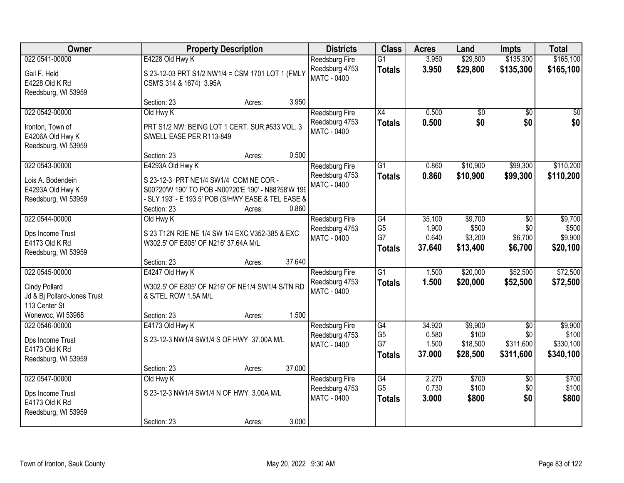| Owner                                                                           |                                                      | <b>Property Description</b>                                                                                                                                  |        | <b>Districts</b>                                              | <b>Class</b>                                | <b>Acres</b>                       | Land                                     | <b>Impts</b>                                     | <b>Total</b>                               |
|---------------------------------------------------------------------------------|------------------------------------------------------|--------------------------------------------------------------------------------------------------------------------------------------------------------------|--------|---------------------------------------------------------------|---------------------------------------------|------------------------------------|------------------------------------------|--------------------------------------------------|--------------------------------------------|
| 022 0541-00000<br>Gail F. Held<br>E4228 Old K Rd<br>Reedsburg, WI 53959         | E4228 Old Hwy K<br>CSM'S 314 & 1674) 3.95A           | S 23-12-03 PRT S1/2 NW1/4 = CSM 1701 LOT 1 (FMLY                                                                                                             |        | <b>Reedsburg Fire</b><br>Reedsburg 4753<br><b>MATC - 0400</b> | $\overline{G1}$<br><b>Totals</b>            | 3.950<br>3.950                     | \$29,800<br>\$29,800                     | \$135,300<br>\$135,300                           | \$165,100<br>\$165,100                     |
|                                                                                 | Section: 23                                          | Acres:                                                                                                                                                       | 3.950  |                                                               |                                             |                                    |                                          |                                                  |                                            |
| 022 0542-00000<br>Ironton, Town of<br>E4206A Old Hwy K<br>Reedsburg, WI 53959   | Old Hwy K<br>S/WELL EASE PER R113-849<br>Section: 23 | PRT S1/2 NW; BEING LOT 1 CERT. SUR.#533 VOL. 3                                                                                                               | 0.500  | <b>Reedsburg Fire</b><br>Reedsburg 4753<br><b>MATC - 0400</b> | X4<br><b>Totals</b>                         | 0.500<br>0.500                     | \$0<br>\$0                               | \$0<br>\$0                                       | \$0<br>\$0                                 |
| 022 0543-00000                                                                  | E4293A Old Hwy K                                     | Acres:                                                                                                                                                       |        | <b>Reedsburg Fire</b>                                         | $\overline{G1}$                             | 0.860                              | \$10,900                                 | \$99,300                                         | \$110,200                                  |
| Lois A. Bodendein<br>E4293A Old Hwy K<br>Reedsburg, WI 53959                    | Section: 23                                          | S 23-12-3 PRT NE1/4 SW1/4 COM NE COR -<br>S00?20'W 190' TO POB -N00?20'E 190' - N88?58'W 199<br>- SLY 193' - E 193.5' POB (S/HWY EASE & TEL EASE &<br>Acres: | 0.860  | Reedsburg 4753<br><b>MATC - 0400</b>                          | <b>Totals</b>                               | 0.860                              | \$10,900                                 | \$99,300                                         | \$110,200                                  |
| 022 0544-00000<br>Dps Income Trust<br>E4173 Old K Rd                            | Old Hwy K<br>W302.5' OF E805' OF N216' 37.64A M/L    | S 23 T12N R3E NE 1/4 SW 1/4 EXC V352-385 & EXC                                                                                                               |        | Reedsburg Fire<br>Reedsburg 4753<br><b>MATC - 0400</b>        | G4<br>G <sub>5</sub><br>G7<br><b>Totals</b> | 35.100<br>1.900<br>0.640<br>37.640 | \$9,700<br>\$500<br>\$3,200<br>\$13,400  | \$0<br>\$0<br>\$6,700<br>\$6,700                 | \$9,700<br>\$500<br>\$9,900<br>\$20,100    |
| Reedsburg, WI 53959                                                             | Section: 23                                          | Acres:                                                                                                                                                       | 37.640 |                                                               |                                             |                                    |                                          |                                                  |                                            |
| 022 0545-00000<br>Cindy Pollard<br>Jd & Bj Pollard-Jones Trust<br>113 Center St | E4247 Old Hwy K<br>& S/TEL ROW 1.5A M/L              | W302.5' OF E805' OF N216' OF NE1/4 SW1/4 S/TN RD                                                                                                             |        | <b>Reedsburg Fire</b><br>Reedsburg 4753<br>MATC - 0400        | $\overline{G1}$<br><b>Totals</b>            | 1.500<br>1.500                     | \$20,000<br>\$20,000                     | \$52,500<br>\$52,500                             | \$72,500<br>\$72,500                       |
| Wonewoc, WI 53968                                                               | Section: 23                                          | Acres:                                                                                                                                                       | 1.500  |                                                               |                                             |                                    |                                          |                                                  |                                            |
| 022 0546-00000<br>Dps Income Trust<br>E4173 Old K Rd<br>Reedsburg, WI 53959     | E4173 Old Hwy K                                      | S 23-12-3 NW1/4 SW1/4 S OF HWY 37.00A M/L                                                                                                                    |        | <b>Reedsburg Fire</b><br>Reedsburg 4753<br>MATC - 0400        | G4<br>G <sub>5</sub><br>G7<br><b>Totals</b> | 34.920<br>0.580<br>1.500<br>37.000 | \$9,900<br>\$100<br>\$18,500<br>\$28,500 | $\overline{50}$<br>\$0<br>\$311,600<br>\$311,600 | \$9,900<br>\$100<br>\$330,100<br>\$340,100 |
|                                                                                 | Section: 23                                          | Acres:                                                                                                                                                       | 37.000 |                                                               |                                             |                                    |                                          |                                                  |                                            |
| 022 0547-00000<br>Dps Income Trust<br>E4173 Old K Rd<br>Reedsburg, WI 53959     | Old Hwy K<br>Section: 23                             | S 23-12-3 NW1/4 SW1/4 N OF HWY 3.00A M/L<br>Acres:                                                                                                           | 3.000  | <b>Reedsburg Fire</b><br>Reedsburg 4753<br><b>MATC - 0400</b> | G4<br>G <sub>5</sub><br><b>Totals</b>       | 2.270<br>0.730<br>3.000            | \$700<br>\$100<br>\$800                  | $\overline{50}$<br>\$0<br>\$0                    | \$700<br>\$100<br>\$800                    |
|                                                                                 |                                                      |                                                                                                                                                              |        |                                                               |                                             |                                    |                                          |                                                  |                                            |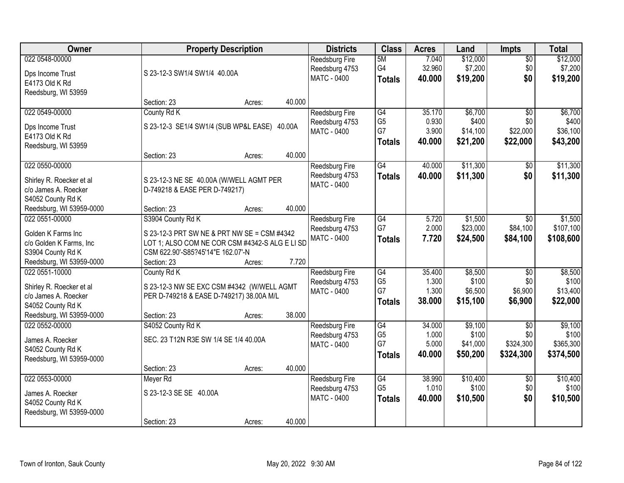| Owner                                            |                                                | <b>Property Description</b> |        | <b>Districts</b>      | <b>Class</b>    | <b>Acres</b> | Land     | <b>Impts</b>    | <b>Total</b> |
|--------------------------------------------------|------------------------------------------------|-----------------------------|--------|-----------------------|-----------------|--------------|----------|-----------------|--------------|
| 022 0548-00000                                   |                                                |                             |        | <b>Reedsburg Fire</b> | 5M              | 7.040        | \$12,000 | $\overline{50}$ | \$12,000     |
| Dps Income Trust                                 | S 23-12-3 SW1/4 SW1/4 40.00A                   |                             |        | Reedsburg 4753        | G4              | 32.960       | \$7,200  | \$0             | \$7,200      |
| E4173 Old K Rd                                   |                                                |                             |        | <b>MATC - 0400</b>    | <b>Totals</b>   | 40.000       | \$19,200 | \$0             | \$19,200     |
| Reedsburg, WI 53959                              |                                                |                             |        |                       |                 |              |          |                 |              |
|                                                  | Section: 23                                    | Acres:                      | 40.000 |                       |                 |              |          |                 |              |
| 022 0549-00000                                   | County Rd K                                    |                             |        | Reedsburg Fire        | G4              | 35.170       | \$6,700  | $\overline{30}$ | \$6,700      |
| Dps Income Trust                                 | S 23-12-3 SE1/4 SW1/4 (SUB WP&L EASE) 40.00A   |                             |        | Reedsburg 4753        | G <sub>5</sub>  | 0.930        | \$400    | \$0             | \$400        |
| E4173 Old K Rd                                   |                                                |                             |        | MATC - 0400           | G7              | 3.900        | \$14,100 | \$22,000        | \$36,100     |
| Reedsburg, WI 53959                              |                                                |                             |        |                       | <b>Totals</b>   | 40.000       | \$21,200 | \$22,000        | \$43,200     |
|                                                  | Section: 23                                    | Acres:                      | 40.000 |                       |                 |              |          |                 |              |
| 022 0550-00000                                   |                                                |                             |        | <b>Reedsburg Fire</b> | G4              | 40.000       | \$11,300 | \$0             | \$11,300     |
| Shirley R. Roecker et al                         | S 23-12-3 NE SE 40.00A (W/WELL AGMT PER        |                             |        | Reedsburg 4753        | <b>Totals</b>   | 40.000       | \$11,300 | \$0             | \$11,300     |
| c/o James A. Roecker                             | D-749218 & EASE PER D-749217)                  |                             |        | <b>MATC - 0400</b>    |                 |              |          |                 |              |
| S4052 County Rd K                                |                                                |                             |        |                       |                 |              |          |                 |              |
| Reedsburg, WI 53959-0000                         | Section: 23                                    | Acres:                      | 40.000 |                       |                 |              |          |                 |              |
| 022 0551-00000                                   | S3904 County Rd K                              |                             |        | <b>Reedsburg Fire</b> | G4              | 5.720        | \$1,500  | $\sqrt{6}$      | \$1,500      |
| Golden K Farms Inc                               | S 23-12-3 PRT SW NE & PRT NW SE = CSM #4342    |                             |        | Reedsburg 4753        | G7              | 2.000        | \$23,000 | \$84,100        | \$107,100    |
| c/o Golden K Farms, Inc                          | LOT 1; ALSO COM NE COR CSM #4342-S ALG E LI SD |                             |        | <b>MATC - 0400</b>    | <b>Totals</b>   | 7.720        | \$24,500 | \$84,100        | \$108,600    |
| S3904 County Rd K                                | CSM 622.90'-S85?45'14"E 162.07'-N              |                             |        |                       |                 |              |          |                 |              |
| Reedsburg, WI 53959-0000                         | Section: 23                                    | Acres:                      | 7.720  |                       |                 |              |          |                 |              |
| 022 0551-10000                                   | County Rd K                                    |                             |        | <b>Reedsburg Fire</b> | $\overline{G4}$ | 35.400       | \$8,500  | $\overline{50}$ | \$8,500      |
|                                                  |                                                |                             |        | Reedsburg 4753        | G <sub>5</sub>  | 1.300        | \$100    | \$0             | \$100        |
| Shirley R. Roecker et al<br>c/o James A. Roecker | S 23-12-3 NW SE EXC CSM #4342 (W/WELL AGMT     |                             |        | MATC - 0400           | G7              | 1.300        | \$6,500  | \$6,900         | \$13,400     |
| S4052 County Rd K                                | PER D-749218 & EASE D-749217) 38.00A M/L       |                             |        |                       | <b>Totals</b>   | 38.000       | \$15,100 | \$6,900         | \$22,000     |
| Reedsburg, WI 53959-0000                         | Section: 23                                    | Acres:                      | 38.000 |                       |                 |              |          |                 |              |
| 022 0552-00000                                   | S4052 County Rd K                              |                             |        | Reedsburg Fire        | G4              | 34.000       | \$9,100  | $\overline{50}$ | \$9,100      |
|                                                  |                                                |                             |        | Reedsburg 4753        | G <sub>5</sub>  | 1.000        | \$100    | \$0             | \$100        |
| James A. Roecker                                 | SEC. 23 T12N R3E SW 1/4 SE 1/4 40.00A          |                             |        | <b>MATC - 0400</b>    | G7              | 5.000        | \$41,000 | \$324,300       | \$365,300    |
| S4052 County Rd K                                |                                                |                             |        |                       | <b>Totals</b>   | 40.000       | \$50,200 | \$324,300       | \$374,500    |
| Reedsburg, WI 53959-0000                         | Section: 23                                    | Acres:                      | 40.000 |                       |                 |              |          |                 |              |
| 022 0553-00000                                   | Meyer Rd                                       |                             |        | <b>Reedsburg Fire</b> | G4              | 38.990       | \$10,400 | $\overline{50}$ | \$10,400     |
|                                                  |                                                |                             |        | Reedsburg 4753        | G <sub>5</sub>  | 1.010        | \$100    | \$0             | \$100        |
| James A. Roecker                                 | S 23-12-3 SE SE 40.00A                         |                             |        | MATC - 0400           | <b>Totals</b>   | 40.000       | \$10,500 | \$0             | \$10,500     |
| S4052 County Rd K                                |                                                |                             |        |                       |                 |              |          |                 |              |
| Reedsburg, WI 53959-0000                         |                                                |                             | 40.000 |                       |                 |              |          |                 |              |
|                                                  | Section: 23                                    | Acres:                      |        |                       |                 |              |          |                 |              |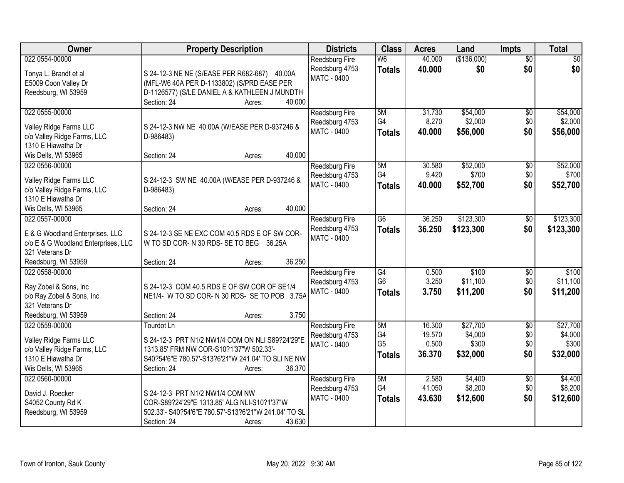| Owner                                                                                                                              | <b>Property Description</b>                                                                                                                                                                      | <b>Districts</b>                                              | <b>Class</b>                                       | <b>Acres</b>                        | Land                                     | <b>Impts</b>                    | <b>Total</b>                             |
|------------------------------------------------------------------------------------------------------------------------------------|--------------------------------------------------------------------------------------------------------------------------------------------------------------------------------------------------|---------------------------------------------------------------|----------------------------------------------------|-------------------------------------|------------------------------------------|---------------------------------|------------------------------------------|
| 022 0554-00000<br>Tonya L. Brandt et al<br>E5009 Coon Valley Dr<br>Reedsburg, WI 53959                                             | S 24-12-3 NE NE (S/EASE PER R682-687) 40.00A<br>(MFL-W6 40A PER D-1133802) (S/PRD EASE PER<br>D-1126577) (S/LE DANIEL A & KATHLEEN J MUNDTH<br>Section: 24<br>40.000<br>Acres:                   | <b>Reedsburg Fire</b><br>Reedsburg 4753<br><b>MATC - 0400</b> | W <sub>6</sub><br><b>Totals</b>                    | 40.000<br>40.000                    | (\$136,000)<br>\$0                       | $\overline{50}$<br>\$0          | $\overline{30}$<br>\$0                   |
| 022 0555-00000<br>Valley Ridge Farms LLC<br>c/o Valley Ridge Farms, LLC<br>1310 E Hiawatha Dr<br>Wis Dells, WI 53965               | S 24-12-3 NW NE 40.00A (W/EASE PER D-937246 &<br>D-986483)<br>40.000<br>Section: 24<br>Acres:                                                                                                    | Reedsburg Fire<br>Reedsburg 4753<br><b>MATC - 0400</b>        | 5M<br>G4<br><b>Totals</b>                          | 31.730<br>8.270<br>40.000           | \$54,000<br>\$2,000<br>\$56,000          | \$0<br>\$0<br>\$0               | \$54,000<br>\$2,000<br>\$56,000          |
| 022 0556-00000<br>Valley Ridge Farms LLC<br>c/o Valley Ridge Farms, LLC<br>1310 E Hiawatha Dr<br>Wis Dells, WI 53965               | S 24-12-3 SW NE 40.00A (W/EASE PER D-937246 &<br>D-986483)<br>40.000<br>Section: 24<br>Acres:                                                                                                    | Reedsburg Fire<br>Reedsburg 4753<br>MATC - 0400               | 5M<br>G4<br><b>Totals</b>                          | 30.580<br>9.420<br>40.000           | \$52,000<br>\$700<br>\$52,700            | \$0<br>\$0<br>\$0               | \$52,000<br>\$700<br>\$52,700            |
| 022 0557-00000<br>E & G Woodland Enterprises, LLC<br>c/o E & G Woodland Enterprises, LLC<br>321 Veterans Dr<br>Reedsburg, WI 53959 | S 24-12-3 SE NE EXC COM 40.5 RDS E OF SW COR-<br>W TO SD COR-N 30 RDS-SE TO BEG 36.25A<br>36.250<br>Section: 24<br>Acres:                                                                        | Reedsburg Fire<br>Reedsburg 4753<br>MATC - 0400               | $\overline{G6}$<br><b>Totals</b>                   | 36.250<br>36.250                    | \$123,300<br>\$123,300                   | $\sqrt[6]{3}$<br>\$0            | \$123,300<br>\$123,300                   |
| 022 0558-00000<br>Ray Zobel & Sons, Inc<br>c/o Ray Zobel & Sons, Inc<br>321 Veterans Dr<br>Reedsburg, WI 53959                     | S 24-12-3 COM 40.5 RDS E OF SW COR OF SE1/4<br>NE1/4- W TO SD COR-N 30 RDS-SE TO POB 3.75A<br>3.750<br>Section: 24<br>Acres:                                                                     | Reedsburg Fire<br>Reedsburg 4753<br>MATC - 0400               | $\overline{G4}$<br>G <sub>6</sub><br><b>Totals</b> | 0.500<br>3.250<br>3.750             | \$100<br>\$11,100<br>\$11,200            | \$0<br>\$0<br>\$0               | \$100<br>\$11,100<br>\$11,200            |
| 022 0559-00000<br>Valley Ridge Farms LLC<br>c/o Valley Ridge Farms, LLC<br>1310 E Hiawatha Dr<br>Wis Dells, WI 53965               | Tourdot Ln<br>S 24-12-3 PRT N1/2 NW1/4 COM ON NLI S89?24'29"E<br>1313.85' FRM NW COR-S10?1'37"W 502.33'-<br>S40?54'6"E 780.57'-S13?6'21"W 241.04' TO SLINE NW<br>36.370<br>Section: 24<br>Acres: | Reedsburg Fire<br>Reedsburg 4753<br><b>MATC - 0400</b>        | 5M<br>G4<br>G <sub>5</sub><br><b>Totals</b>        | 16.300<br>19.570<br>0.500<br>36,370 | \$27,700<br>\$4,000<br>\$300<br>\$32,000 | $\sqrt{6}$<br>\$0<br>\$0<br>\$0 | \$27,700<br>\$4,000<br>\$300<br>\$32,000 |
| 022 0560-00000<br>David J. Roecker<br>S4052 County Rd K<br>Reedsburg, WI 53959                                                     | S 24-12-3 PRT N1/2 NW1/4 COM NW<br>COR-S89?24'29"E 1313.85' ALG NLI-S10?1'37"W<br>502.33'- S40?54'6"E 780.57'-S13?6'21"W 241.04' TO SL<br>43.630<br>Section: 24<br>Acres:                        | Reedsburg Fire<br>Reedsburg 4753<br><b>MATC - 0400</b>        | 5M<br>G4<br><b>Totals</b>                          | 2.580<br>41.050<br>43.630           | \$4,400<br>\$8,200<br>\$12,600           | $\overline{30}$<br>\$0<br>\$0   | \$4,400<br>\$8,200<br>\$12,600           |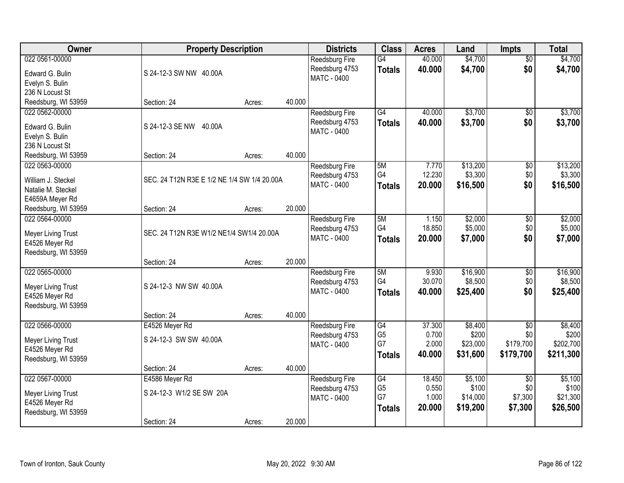| Owner                     | <b>Property Description</b>                 |        |        | <b>Districts</b>      | <b>Class</b>    | <b>Acres</b> | Land     | <b>Impts</b>    | <b>Total</b> |
|---------------------------|---------------------------------------------|--------|--------|-----------------------|-----------------|--------------|----------|-----------------|--------------|
| 022 0561-00000            |                                             |        |        | <b>Reedsburg Fire</b> | G4              | 40.000       | \$4,700  | $\overline{50}$ | \$4,700      |
| Edward G. Bulin           | S 24-12-3 SW NW 40.00A                      |        |        | Reedsburg 4753        | <b>Totals</b>   | 40.000       | \$4,700  | \$0             | \$4,700      |
| Evelyn S. Bulin           |                                             |        |        | <b>MATC - 0400</b>    |                 |              |          |                 |              |
| 236 N Locust St           |                                             |        |        |                       |                 |              |          |                 |              |
| Reedsburg, WI 53959       | Section: 24                                 | Acres: | 40.000 |                       |                 |              |          |                 |              |
| 022 0562-00000            |                                             |        |        | Reedsburg Fire        | G4              | 40.000       | \$3,700  | $\overline{50}$ | \$3,700      |
| Edward G. Bulin           | S 24-12-3 SE NW 40.00A                      |        |        | Reedsburg 4753        | <b>Totals</b>   | 40.000       | \$3,700  | \$0             | \$3,700      |
| Evelyn S. Bulin           |                                             |        |        | MATC - 0400           |                 |              |          |                 |              |
| 236 N Locust St           |                                             |        |        |                       |                 |              |          |                 |              |
| Reedsburg, WI 53959       | Section: 24                                 | Acres: | 40.000 |                       |                 |              |          |                 |              |
| 022 0563-00000            |                                             |        |        | Reedsburg Fire        | 5M              | 7.770        | \$13,200 | \$0             | \$13,200     |
| William J. Steckel        | SEC. 24 T12N R3E E 1/2 NE 1/4 SW 1/4 20.00A |        |        | Reedsburg 4753        | G4              | 12.230       | \$3,300  | \$0             | \$3,300      |
| Natalie M. Steckel        |                                             |        |        | MATC - 0400           | <b>Totals</b>   | 20.000       | \$16,500 | \$0             | \$16,500     |
| E4659A Meyer Rd           |                                             |        |        |                       |                 |              |          |                 |              |
| Reedsburg, WI 53959       | Section: 24                                 | Acres: | 20.000 |                       |                 |              |          |                 |              |
| 022 0564-00000            |                                             |        |        | <b>Reedsburg Fire</b> | 5M              | 1.150        | \$2,000  | \$0             | \$2,000      |
| <b>Meyer Living Trust</b> | SEC. 24 T12N R3E W1/2 NE1/4 SW1/4 20.00A    |        |        | Reedsburg 4753        | G4              | 18.850       | \$5,000  | \$0             | \$5,000      |
| E4526 Meyer Rd            |                                             |        |        | MATC - 0400           | <b>Totals</b>   | 20.000       | \$7,000  | \$0             | \$7,000      |
| Reedsburg, WI 53959       |                                             |        |        |                       |                 |              |          |                 |              |
|                           | Section: 24                                 | Acres: | 20.000 |                       |                 |              |          |                 |              |
| 022 0565-00000            |                                             |        |        | Reedsburg Fire        | 5M              | 9.930        | \$16,900 | \$0             | \$16,900     |
| Meyer Living Trust        | S 24-12-3 NW SW 40.00A                      |        |        | Reedsburg 4753        | G4              | 30.070       | \$8,500  | \$0             | \$8,500      |
| E4526 Meyer Rd            |                                             |        |        | MATC - 0400           | <b>Totals</b>   | 40.000       | \$25,400 | \$0             | \$25,400     |
| Reedsburg, WI 53959       |                                             |        |        |                       |                 |              |          |                 |              |
|                           | Section: 24                                 | Acres: | 40.000 |                       |                 |              |          |                 |              |
| 022 0566-00000            | E4526 Meyer Rd                              |        |        | <b>Reedsburg Fire</b> | $\overline{G4}$ | 37.300       | \$8,400  | $\sqrt{6}$      | \$8,400      |
| Meyer Living Trust        | S 24-12-3 SW SW 40.00A                      |        |        | Reedsburg 4753        | G <sub>5</sub>  | 0.700        | \$200    | \$0             | \$200        |
| E4526 Meyer Rd            |                                             |        |        | MATC - 0400           | G7              | 2.000        | \$23,000 | \$179,700       | \$202,700    |
| Reedsburg, WI 53959       |                                             |        |        |                       | <b>Totals</b>   | 40.000       | \$31,600 | \$179,700       | \$211,300    |
|                           | Section: 24                                 | Acres: | 40.000 |                       |                 |              |          |                 |              |
| 022 0567-00000            | E4586 Meyer Rd                              |        |        | Reedsburg Fire        | G4              | 18.450       | \$5,100  | $\overline{50}$ | \$5,100      |
| Meyer Living Trust        | S 24-12-3 W1/2 SE SW 20A                    |        |        | Reedsburg 4753        | G <sub>5</sub>  | 0.550        | \$100    | \$0             | \$100        |
| E4526 Meyer Rd            |                                             |        |        | <b>MATC - 0400</b>    | G7              | 1.000        | \$14,000 | \$7,300         | \$21,300     |
| Reedsburg, WI 53959       |                                             |        |        |                       | <b>Totals</b>   | 20.000       | \$19,200 | \$7,300         | \$26,500     |
|                           | Section: 24                                 | Acres: | 20.000 |                       |                 |              |          |                 |              |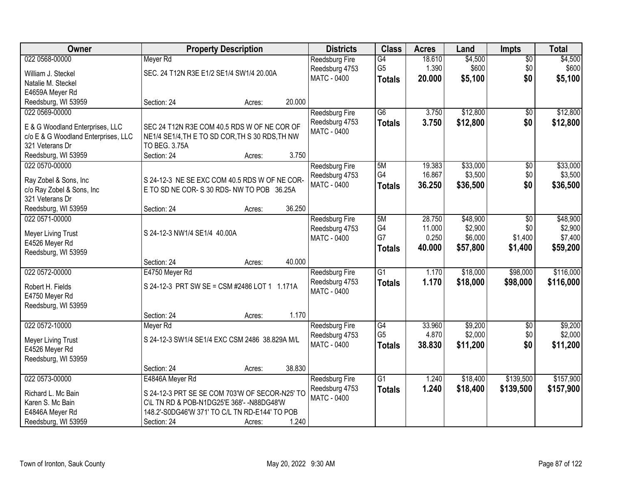| Owner                                        |                                                | <b>Property Description</b> |        | <b>Districts</b>                 | <b>Class</b>    | <b>Acres</b> | Land     | <b>Impts</b>    | <b>Total</b> |
|----------------------------------------------|------------------------------------------------|-----------------------------|--------|----------------------------------|-----------------|--------------|----------|-----------------|--------------|
| 022 0568-00000                               | Meyer Rd                                       |                             |        | Reedsburg Fire                   | G4              | 18.610       | \$4,500  | $\overline{50}$ | \$4,500      |
| William J. Steckel                           | SEC. 24 T12N R3E E1/2 SE1/4 SW1/4 20.00A       |                             |        | Reedsburg 4753                   | G <sub>5</sub>  | 1.390        | \$600    | \$0             | \$600        |
| Natalie M. Steckel                           |                                                |                             |        | MATC - 0400                      | <b>Totals</b>   | 20.000       | \$5,100  | \$0             | \$5,100      |
| E4659A Meyer Rd                              |                                                |                             |        |                                  |                 |              |          |                 |              |
| Reedsburg, WI 53959                          | Section: 24                                    | Acres:                      | 20.000 |                                  |                 |              |          |                 |              |
| 022 0569-00000                               |                                                |                             |        | <b>Reedsburg Fire</b>            | $\overline{G6}$ | 3.750        | \$12,800 | \$0             | \$12,800     |
| E & G Woodland Enterprises, LLC              | SEC 24 T12N R3E COM 40.5 RDS W OF NE COR OF    |                             |        | Reedsburg 4753                   | <b>Totals</b>   | 3.750        | \$12,800 | \$0             | \$12,800     |
| c/o E & G Woodland Enterprises, LLC          | NE1/4 SE1/4, THE TO SD COR, THS 30 RDS, TH NW  |                             |        | MATC - 0400                      |                 |              |          |                 |              |
| 321 Veterans Dr                              | TO BEG. 3.75A                                  |                             |        |                                  |                 |              |          |                 |              |
| Reedsburg, WI 53959                          | Section: 24                                    | Acres:                      | 3.750  |                                  |                 |              |          |                 |              |
| 022 0570-00000                               |                                                |                             |        | Reedsburg Fire                   | 5M              | 19.383       | \$33,000 | \$0             | \$33,000     |
|                                              |                                                |                             |        | Reedsburg 4753                   | G4              | 16.867       | \$3,500  | \$0             | \$3,500      |
| Ray Zobel & Sons, Inc                        | S 24-12-3 NE SE EXC COM 40.5 RDS W OF NE COR-  |                             |        | <b>MATC - 0400</b>               | <b>Totals</b>   | 36.250       | \$36,500 | \$0             | \$36,500     |
| c/o Ray Zobel & Sons, Inc<br>321 Veterans Dr | E TO SD NE COR-S 30 RDS-NW TO POB 36.25A       |                             |        |                                  |                 |              |          |                 |              |
| Reedsburg, WI 53959                          | Section: 24                                    | Acres:                      | 36.250 |                                  |                 |              |          |                 |              |
| 022 0571-00000                               |                                                |                             |        | <b>Reedsburg Fire</b>            | 5M              | 28.750       | \$48,900 | $\sqrt[6]{}$    | \$48,900     |
|                                              |                                                |                             |        | Reedsburg 4753                   | G4              | 11.000       | \$2,900  | \$0             | \$2,900      |
| Meyer Living Trust                           | S 24-12-3 NW1/4 SE1/4 40.00A                   |                             |        | <b>MATC - 0400</b>               | G7              | 0.250        | \$6,000  | \$1,400         | \$7,400      |
| E4526 Meyer Rd                               |                                                |                             |        |                                  | <b>Totals</b>   | 40.000       | \$57,800 | \$1,400         | \$59,200     |
| Reedsburg, WI 53959                          | Section: 24                                    |                             | 40.000 |                                  |                 |              |          |                 |              |
| 022 0572-00000                               | E4750 Meyer Rd                                 | Acres:                      |        |                                  | $\overline{G1}$ | 1.170        | \$18,000 | \$98,000        | \$116,000    |
|                                              |                                                |                             |        | Reedsburg Fire<br>Reedsburg 4753 |                 | 1.170        | \$18,000 | \$98,000        | \$116,000    |
| Robert H. Fields                             | S 24-12-3 PRT SW SE = CSM #2486 LOT 1 1.171A   |                             |        | MATC - 0400                      | <b>Totals</b>   |              |          |                 |              |
| E4750 Meyer Rd                               |                                                |                             |        |                                  |                 |              |          |                 |              |
| Reedsburg, WI 53959                          |                                                |                             |        |                                  |                 |              |          |                 |              |
|                                              | Section: 24                                    | Acres:                      | 1.170  |                                  |                 |              |          |                 |              |
| 022 0572-10000                               | Meyer Rd                                       |                             |        | Reedsburg Fire                   | G4              | 33.960       | \$9,200  | \$0             | \$9,200      |
| Meyer Living Trust                           | S 24-12-3 SW1/4 SE1/4 EXC CSM 2486 38.829A M/L |                             |        | Reedsburg 4753                   | G <sub>5</sub>  | 4.870        | \$2,000  | \$0             | \$2,000      |
| E4526 Meyer Rd                               |                                                |                             |        | MATC - 0400                      | <b>Totals</b>   | 38.830       | \$11,200 | \$0             | \$11,200     |
| Reedsburg, WI 53959                          |                                                |                             |        |                                  |                 |              |          |                 |              |
|                                              | Section: 24                                    | Acres:                      | 38.830 |                                  |                 |              |          |                 |              |
| 022 0573-00000                               | E4846A Meyer Rd                                |                             |        | <b>Reedsburg Fire</b>            | $\overline{G1}$ | 1.240        | \$18,400 | \$139,500       | \$157,900    |
| Richard L. Mc Bain                           | S 24-12-3 PRT SE SE COM 703'W OF SECOR-N25' TO |                             |        | Reedsburg 4753                   | <b>Totals</b>   | 1.240        | \$18,400 | \$139,500       | \$157,900    |
| Karen S. Mc Bain                             | C\L TN RD & POB-N1DG25'E 368'- -N88DG48'W      |                             |        | <b>MATC - 0400</b>               |                 |              |          |                 |              |
| E4846A Meyer Rd                              | 148.2'-S0DG46'W 371' TO C/L TN RD-E144' TO POB |                             |        |                                  |                 |              |          |                 |              |
| Reedsburg, WI 53959                          | Section: 24                                    | Acres:                      | 1.240  |                                  |                 |              |          |                 |              |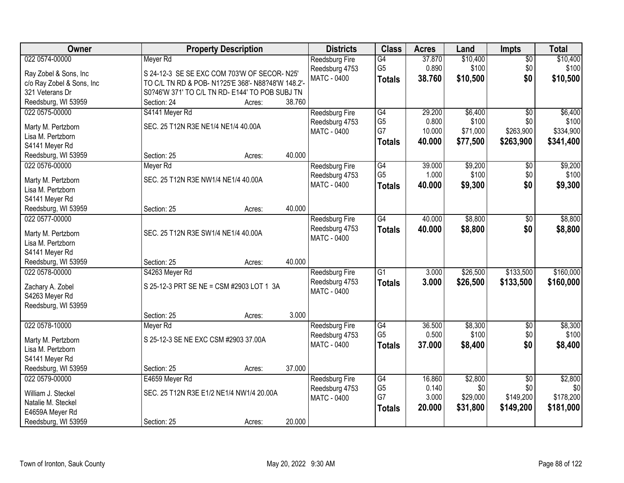| Owner                                 | <b>Property Description</b>                        |                  | <b>Districts</b>                     | <b>Class</b>    | <b>Acres</b> | Land     | <b>Impts</b>    | <b>Total</b>     |
|---------------------------------------|----------------------------------------------------|------------------|--------------------------------------|-----------------|--------------|----------|-----------------|------------------|
| 022 0574-00000                        | Meyer Rd                                           |                  | Reedsburg Fire                       | G4              | 37.870       | \$10,400 | $\overline{50}$ | \$10,400         |
| Ray Zobel & Sons, Inc                 | S 24-12-3 SE SE EXC COM 703'W OF SECOR-N25'        |                  | Reedsburg 4753                       | G <sub>5</sub>  | 0.890        | \$100    | \$0             | \$100            |
| c/o Ray Zobel & Sons, Inc             | TO C/L TN RD & POB- N1?25'E 368'- N88?48'W 148.2'- |                  | <b>MATC - 0400</b>                   | <b>Totals</b>   | 38.760       | \$10,500 | \$0             | \$10,500         |
| 321 Veterans Dr                       | S0?46'W 371' TO C/L TN RD- E144' TO POB SUBJ TN    |                  |                                      |                 |              |          |                 |                  |
| Reedsburg, WI 53959                   | Section: 24                                        | 38.760<br>Acres: |                                      |                 |              |          |                 |                  |
| 022 0575-00000                        | S4141 Meyer Rd                                     |                  | <b>Reedsburg Fire</b>                | G4              | 29.200       | \$6,400  | $\overline{50}$ | \$6,400          |
|                                       |                                                    |                  | Reedsburg 4753                       | G <sub>5</sub>  | 0.800        | \$100    | \$0             | \$100            |
| Marty M. Pertzborn                    | SEC. 25 T12N R3E NE1/4 NE1/4 40.00A                |                  | MATC - 0400                          | G7              | 10.000       | \$71,000 | \$263,900       | \$334,900        |
| Lisa M. Pertzborn                     |                                                    |                  |                                      | <b>Totals</b>   | 40.000       | \$77,500 | \$263,900       | \$341,400        |
| S4141 Meyer Rd                        |                                                    | 40.000           |                                      |                 |              |          |                 |                  |
| Reedsburg, WI 53959<br>022 0576-00000 | Section: 25                                        | Acres:           |                                      | G4              | 39.000       | \$9,200  |                 |                  |
|                                       | Meyer Rd                                           |                  | Reedsburg Fire                       | G <sub>5</sub>  | 1.000        | \$100    | \$0<br>\$0      | \$9,200<br>\$100 |
| Marty M. Pertzborn                    | SEC. 25 T12N R3E NW1/4 NE1/4 40.00A                |                  | Reedsburg 4753<br><b>MATC - 0400</b> |                 | 40.000       |          | \$0             |                  |
| Lisa M. Pertzborn                     |                                                    |                  |                                      | <b>Totals</b>   |              | \$9,300  |                 | \$9,300          |
| S4141 Meyer Rd                        |                                                    |                  |                                      |                 |              |          |                 |                  |
| Reedsburg, WI 53959                   | Section: 25                                        | 40.000<br>Acres: |                                      |                 |              |          |                 |                  |
| 022 0577-00000                        |                                                    |                  | Reedsburg Fire                       | $\overline{G4}$ | 40.000       | \$8,800  | \$0             | \$8,800          |
| Marty M. Pertzborn                    | SEC. 25 T12N R3E SW1/4 NE1/4 40.00A                |                  | Reedsburg 4753                       | <b>Totals</b>   | 40.000       | \$8,800  | \$0             | \$8,800          |
| Lisa M. Pertzborn                     |                                                    |                  | MATC - 0400                          |                 |              |          |                 |                  |
| S4141 Meyer Rd                        |                                                    |                  |                                      |                 |              |          |                 |                  |
| Reedsburg, WI 53959                   | Section: 25                                        | 40.000<br>Acres: |                                      |                 |              |          |                 |                  |
| 022 0578-00000                        | S4263 Meyer Rd                                     |                  | Reedsburg Fire                       | $\overline{G1}$ | 3.000        | \$26,500 | \$133,500       | \$160,000        |
|                                       |                                                    |                  | Reedsburg 4753                       | <b>Totals</b>   | 3.000        | \$26,500 | \$133,500       | \$160,000        |
| Zachary A. Zobel                      | S 25-12-3 PRT SE NE = CSM #2903 LOT 1 3A           |                  | MATC - 0400                          |                 |              |          |                 |                  |
| S4263 Meyer Rd                        |                                                    |                  |                                      |                 |              |          |                 |                  |
| Reedsburg, WI 53959                   |                                                    |                  |                                      |                 |              |          |                 |                  |
|                                       | Section: 25                                        | 3.000<br>Acres:  |                                      |                 |              |          |                 |                  |
| 022 0578-10000                        | Meyer Rd                                           |                  | Reedsburg Fire                       | G4              | 36.500       | \$8,300  | $\sqrt{6}$      | \$8,300          |
| Marty M. Pertzborn                    | S 25-12-3 SE NE EXC CSM #2903 37.00A               |                  | Reedsburg 4753                       | G <sub>5</sub>  | 0.500        | \$100    | \$0             | \$100            |
| Lisa M. Pertzborn                     |                                                    |                  | MATC - 0400                          | <b>Totals</b>   | 37.000       | \$8,400  | \$0             | \$8,400          |
| S4141 Meyer Rd                        |                                                    |                  |                                      |                 |              |          |                 |                  |
| Reedsburg, WI 53959                   | Section: 25                                        | 37.000<br>Acres: |                                      |                 |              |          |                 |                  |
| 022 0579-00000                        | E4659 Meyer Rd                                     |                  | <b>Reedsburg Fire</b>                | G4              | 16.860       | \$2,800  | $\overline{30}$ | \$2,800          |
|                                       |                                                    |                  | Reedsburg 4753                       | G <sub>5</sub>  | 0.140        | \$0      | \$0             | \$0              |
| William J. Steckel                    | SEC. 25 T12N R3E E1/2 NE1/4 NW1/4 20.00A           |                  | MATC - 0400                          | G7              | 3.000        | \$29,000 | \$149,200       | \$178,200        |
| Natalie M. Steckel                    |                                                    |                  |                                      | <b>Totals</b>   | 20.000       | \$31,800 | \$149,200       | \$181,000        |
| E4659A Meyer Rd                       |                                                    |                  |                                      |                 |              |          |                 |                  |
| Reedsburg, WI 53959                   | Section: 25                                        | 20.000<br>Acres: |                                      |                 |              |          |                 |                  |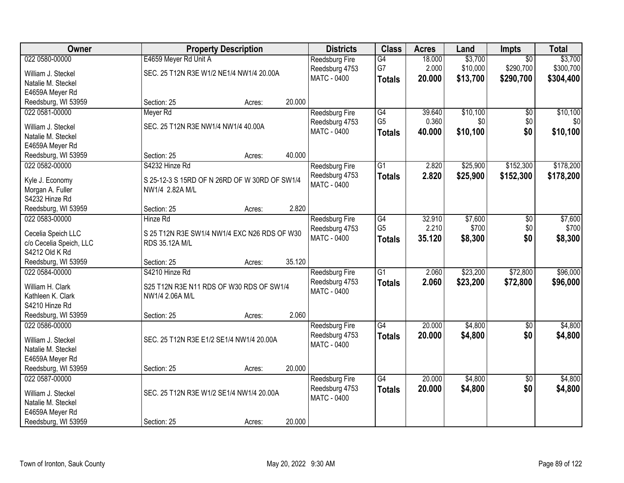| Owner                   | <b>Property Description</b>                   | <b>Districts</b> | <b>Class</b>          | <b>Acres</b>    | Land   | Impts    | <b>Total</b>    |           |
|-------------------------|-----------------------------------------------|------------------|-----------------------|-----------------|--------|----------|-----------------|-----------|
| 022 0580-00000          | E4659 Meyer Rd Unit A                         |                  | Reedsburg Fire        | $\overline{G4}$ | 18.000 | \$3,700  | $\overline{50}$ | \$3,700   |
| William J. Steckel      | SEC. 25 T12N R3E W1/2 NE1/4 NW1/4 20.00A      |                  | Reedsburg 4753        | G7              | 2.000  | \$10,000 | \$290,700       | \$300,700 |
| Natalie M. Steckel      |                                               |                  | MATC - 0400           | <b>Totals</b>   | 20.000 | \$13,700 | \$290,700       | \$304,400 |
| E4659A Meyer Rd         |                                               |                  |                       |                 |        |          |                 |           |
| Reedsburg, WI 53959     | Section: 25<br>Acres:                         | 20.000           |                       |                 |        |          |                 |           |
| 022 0581-00000          | Meyer Rd                                      |                  | <b>Reedsburg Fire</b> | G4              | 39.640 | \$10,100 | \$0             | \$10,100  |
|                         |                                               |                  | Reedsburg 4753        | G <sub>5</sub>  | 0.360  | \$0      | \$0             | \$0       |
| William J. Steckel      | SEC. 25 T12N R3E NW1/4 NW1/4 40.00A           |                  | MATC - 0400           | <b>Totals</b>   | 40.000 | \$10,100 | \$0             | \$10,100  |
| Natalie M. Steckel      |                                               |                  |                       |                 |        |          |                 |           |
| E4659A Meyer Rd         |                                               |                  |                       |                 |        |          |                 |           |
| Reedsburg, WI 53959     | Section: 25<br>Acres:                         | 40.000           |                       |                 |        |          |                 |           |
| 022 0582-00000          | S4232 Hinze Rd                                |                  | Reedsburg Fire        | $\overline{G1}$ | 2.820  | \$25,900 | \$152,300       | \$178,200 |
| Kyle J. Economy         | S 25-12-3 S 15RD OF N 26RD OF W 30RD OF SW1/4 |                  | Reedsburg 4753        | <b>Totals</b>   | 2.820  | \$25,900 | \$152,300       | \$178,200 |
| Morgan A. Fuller        | NW1/4 2.82A M/L                               |                  | MATC - 0400           |                 |        |          |                 |           |
| S4232 Hinze Rd          |                                               |                  |                       |                 |        |          |                 |           |
| Reedsburg, WI 53959     | Section: 25<br>Acres:                         | 2.820            |                       |                 |        |          |                 |           |
| 022 0583-00000          | Hinze Rd                                      |                  | <b>Reedsburg Fire</b> | G4              | 32.910 | \$7,600  | \$0             | \$7,600   |
| Cecelia Speich LLC      | S 25 T12N R3E SW1/4 NW1/4 EXC N26 RDS OF W30  |                  | Reedsburg 4753        | G <sub>5</sub>  | 2.210  | \$700    | \$0             | \$700     |
| c/o Cecelia Speich, LLC | RDS 35.12A M/L                                |                  | MATC - 0400           | <b>Totals</b>   | 35.120 | \$8,300  | \$0             | \$8,300   |
| S4212 Old K Rd          |                                               |                  |                       |                 |        |          |                 |           |
| Reedsburg, WI 53959     | Section: 25<br>Acres:                         | 35.120           |                       |                 |        |          |                 |           |
| 022 0584-00000          | S4210 Hinze Rd                                |                  | Reedsburg Fire        | $\overline{G1}$ | 2.060  | \$23,200 | \$72,800        | \$96,000  |
|                         |                                               |                  | Reedsburg 4753        | <b>Totals</b>   | 2.060  | \$23,200 | \$72,800        | \$96,000  |
| William H. Clark        | S25 T12N R3E N11 RDS OF W30 RDS OF SW1/4      |                  | MATC - 0400           |                 |        |          |                 |           |
| Kathleen K. Clark       | NW1/4 2.06A M/L                               |                  |                       |                 |        |          |                 |           |
| S4210 Hinze Rd          |                                               |                  |                       |                 |        |          |                 |           |
| Reedsburg, WI 53959     | Section: 25<br>Acres:                         | 2.060            |                       |                 |        |          |                 |           |
| 022 0586-00000          |                                               |                  | Reedsburg Fire        | G4              | 20.000 | \$4,800  | $\sqrt{6}$      | \$4,800   |
| William J. Steckel      | SEC. 25 T12N R3E E1/2 SE1/4 NW1/4 20.00A      |                  | Reedsburg 4753        | <b>Totals</b>   | 20.000 | \$4,800  | \$0             | \$4,800   |
| Natalie M. Steckel      |                                               |                  | MATC - 0400           |                 |        |          |                 |           |
| E4659A Meyer Rd         |                                               |                  |                       |                 |        |          |                 |           |
| Reedsburg, WI 53959     | Section: 25<br>Acres:                         | 20.000           |                       |                 |        |          |                 |           |
| 022 0587-00000          |                                               |                  | <b>Reedsburg Fire</b> | $\overline{G4}$ | 20.000 | \$4,800  | $\overline{30}$ | \$4,800   |
|                         |                                               |                  | Reedsburg 4753        | <b>Totals</b>   | 20.000 | \$4,800  | \$0             | \$4,800   |
| William J. Steckel      | SEC. 25 T12N R3E W1/2 SE1/4 NW1/4 20.00A      |                  | <b>MATC - 0400</b>    |                 |        |          |                 |           |
| Natalie M. Steckel      |                                               |                  |                       |                 |        |          |                 |           |
| E4659A Meyer Rd         |                                               |                  |                       |                 |        |          |                 |           |
| Reedsburg, WI 53959     | Section: 25<br>Acres:                         | 20.000           |                       |                 |        |          |                 |           |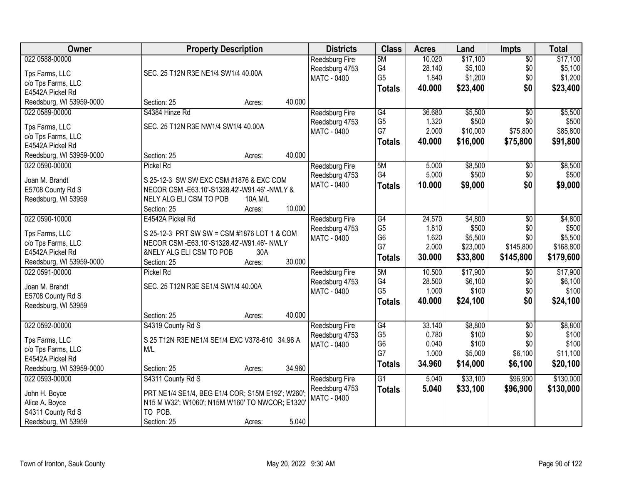| <b>Owner</b>             | <b>Property Description</b>                       | <b>Districts</b>      | <b>Class</b>    | <b>Acres</b> | Land     | <b>Impts</b>    | <b>Total</b> |
|--------------------------|---------------------------------------------------|-----------------------|-----------------|--------------|----------|-----------------|--------------|
| 022 0588-00000           |                                                   | Reedsburg Fire        | 5M              | 10.020       | \$17,100 | $\overline{$0}$ | \$17,100     |
| Tps Farms, LLC           | SEC. 25 T12N R3E NE1/4 SW1/4 40.00A               | Reedsburg 4753        | G4              | 28.140       | \$5,100  | \$0             | \$5,100      |
| c/o Tps Farms, LLC       |                                                   | MATC - 0400           | G <sub>5</sub>  | 1.840        | \$1,200  | \$0             | \$1,200      |
| E4542A Pickel Rd         |                                                   |                       | <b>Totals</b>   | 40.000       | \$23,400 | \$0             | \$23,400     |
| Reedsburg, WI 53959-0000 | 40.000<br>Section: 25<br>Acres:                   |                       |                 |              |          |                 |              |
| 022 0589-00000           | S4384 Hinze Rd                                    | <b>Reedsburg Fire</b> | G4              | 36.680       | \$5,500  | \$0             | \$5,500      |
|                          |                                                   | Reedsburg 4753        | G <sub>5</sub>  | 1.320        | \$500    | \$0             | \$500        |
| Tps Farms, LLC           | SEC. 25 T12N R3E NW1/4 SW1/4 40.00A               | <b>MATC - 0400</b>    | G7              | 2.000        | \$10,000 | \$75,800        | \$85,800     |
| c/o Tps Farms, LLC       |                                                   |                       | <b>Totals</b>   | 40.000       | \$16,000 | \$75,800        | \$91,800     |
| E4542A Pickel Rd         |                                                   |                       |                 |              |          |                 |              |
| Reedsburg, WI 53959-0000 | 40.000<br>Section: 25<br>Acres:                   |                       |                 |              |          |                 |              |
| 022 0590-00000           | <b>Pickel Rd</b>                                  | Reedsburg Fire        | 5M              | 5.000        | \$8,500  | \$0             | \$8,500      |
| Joan M. Brandt           | S 25-12-3 SW SW EXC CSM #1876 & EXC COM           | Reedsburg 4753        | G4              | 5.000        | \$500    | \$0             | \$500        |
| E5708 County Rd S        | NECOR CSM - E63.10'-S1328.42'-W91.46' - NWLY &    | MATC - 0400           | <b>Totals</b>   | 10.000       | \$9,000  | \$0             | \$9,000      |
| Reedsburg, WI 53959      | NELY ALG ELI CSM TO POB<br>10A M/L                |                       |                 |              |          |                 |              |
|                          | 10.000<br>Section: 25<br>Acres:                   |                       |                 |              |          |                 |              |
| 022 0590-10000           | E4542A Pickel Rd                                  | <b>Reedsburg Fire</b> | G4              | 24.570       | \$4,800  | \$0             | \$4,800      |
|                          |                                                   | Reedsburg 4753        | G <sub>5</sub>  | 1.810        | \$500    | \$0             | \$500        |
| Tps Farms, LLC           | S 25-12-3 PRT SW SW = CSM #1876 LOT 1 & COM       | MATC - 0400           | G <sub>6</sub>  | 1.620        | \$5,500  | \$0             | \$5,500      |
| c/o Tps Farms, LLC       | NECOR CSM - E63.10'-S1328.42'-W91.46'- NWLY       |                       | G7              | 2.000        | \$23,000 | \$145,800       | \$168,800    |
| E4542A Pickel Rd         | &NELY ALG ELI CSM TO POB<br>30A                   |                       | <b>Totals</b>   | 30.000       | \$33,800 | \$145,800       | \$179,600    |
| Reedsburg, WI 53959-0000 | 30.000<br>Section: 25<br>Acres:                   |                       |                 |              |          |                 |              |
| 022 0591-00000           | <b>Pickel Rd</b>                                  | Reedsburg Fire        | 5M              | 10.500       | \$17,900 | \$0             | \$17,900     |
| Joan M. Brandt           | SEC. 25 T12N R3E SE1/4 SW1/4 40.00A               | Reedsburg 4753        | G4              | 28.500       | \$6,100  | \$0             | \$6,100      |
| E5708 County Rd S        |                                                   | MATC - 0400           | G <sub>5</sub>  | 1.000        | \$100    | \$0             | \$100        |
| Reedsburg, WI 53959      |                                                   |                       | <b>Totals</b>   | 40.000       | \$24,100 | \$0             | \$24,100     |
|                          | 40.000<br>Section: 25<br>Acres:                   |                       |                 |              |          |                 |              |
| 022 0592-00000           | S4319 County Rd S                                 | <b>Reedsburg Fire</b> | $\overline{G4}$ | 33.140       | \$8,800  | $\overline{50}$ | \$8,800      |
| Tps Farms, LLC           | S 25 T12N R3E NE1/4 SE1/4 EXC V378-610 34.96 A    | Reedsburg 4753        | G <sub>5</sub>  | 0.780        | \$100    | \$0             | \$100        |
| c/o Tps Farms, LLC       | M/L                                               | MATC - 0400           | G <sub>6</sub>  | 0.040        | \$100    | \$0             | \$100        |
| E4542A Pickel Rd         |                                                   |                       | G7              | 1.000        | \$5,000  | \$6,100         | \$11,100     |
| Reedsburg, WI 53959-0000 | 34.960<br>Section: 25<br>Acres:                   |                       | <b>Totals</b>   | 34.960       | \$14,000 | \$6,100         | \$20,100     |
| 022 0593-00000           | S4311 County Rd S                                 | Reedsburg Fire        | $\overline{G1}$ | 5.040        | \$33,100 | \$96,900        | \$130,000    |
|                          |                                                   | Reedsburg 4753        | <b>Totals</b>   | 5.040        | \$33,100 | \$96,900        | \$130,000    |
| John H. Boyce            | PRT NE1/4 SE1/4, BEG E1/4 COR; S15M E192'; W260'; | <b>MATC - 0400</b>    |                 |              |          |                 |              |
| Alice A. Boyce           | N15 M W32'; W1060'; N15M W160' TO NWCOR; E1320'   |                       |                 |              |          |                 |              |
| S4311 County Rd S        | TO POB.                                           |                       |                 |              |          |                 |              |
| Reedsburg, WI 53959      | 5.040<br>Section: 25<br>Acres:                    |                       |                 |              |          |                 |              |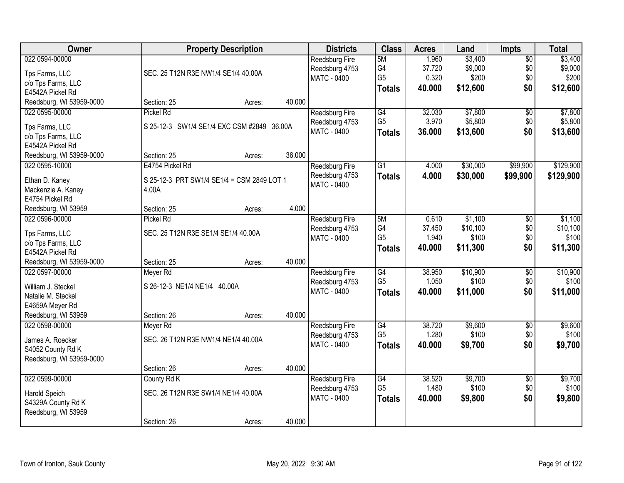| Owner                                 |                                            | <b>Property Description</b> |        | <b>Districts</b>      | <b>Class</b>    | <b>Acres</b> | Land     | <b>Impts</b>    | <b>Total</b> |
|---------------------------------------|--------------------------------------------|-----------------------------|--------|-----------------------|-----------------|--------------|----------|-----------------|--------------|
| 022 0594-00000                        |                                            |                             |        | <b>Reedsburg Fire</b> | 5M              | 1.960        | \$3,400  | $\overline{50}$ | \$3,400      |
| Tps Farms, LLC                        | SEC. 25 T12N R3E NW1/4 SE1/4 40.00A        |                             |        | Reedsburg 4753        | G4              | 37.720       | \$9,000  | \$0             | \$9,000      |
| c/o Tps Farms, LLC                    |                                            |                             |        | <b>MATC - 0400</b>    | G <sub>5</sub>  | 0.320        | \$200    | \$0             | \$200        |
| E4542A Pickel Rd                      |                                            |                             |        |                       | <b>Totals</b>   | 40.000       | \$12,600 | \$0             | \$12,600     |
| Reedsburg, WI 53959-0000              | Section: 25                                | Acres:                      | 40.000 |                       |                 |              |          |                 |              |
| 022 0595-00000                        | Pickel Rd                                  |                             |        | Reedsburg Fire        | G4              | 32.030       | \$7,800  | $\overline{50}$ | \$7,800      |
| Tps Farms, LLC                        | S 25-12-3 SW1/4 SE1/4 EXC CSM #2849 36.00A |                             |        | Reedsburg 4753        | G <sub>5</sub>  | 3.970        | \$5,800  | \$0             | \$5,800      |
| c/o Tps Farms, LLC                    |                                            |                             |        | <b>MATC - 0400</b>    | <b>Totals</b>   | 36.000       | \$13,600 | \$0             | \$13,600     |
| E4542A Pickel Rd                      |                                            |                             |        |                       |                 |              |          |                 |              |
| Reedsburg, WI 53959-0000              | Section: 25                                | Acres:                      | 36.000 |                       |                 |              |          |                 |              |
| 022 0595-10000                        | E4754 Pickel Rd                            |                             |        | <b>Reedsburg Fire</b> | G1              | 4.000        | \$30,000 | \$99,900        | \$129,900    |
|                                       |                                            |                             |        | Reedsburg 4753        | <b>Totals</b>   | 4.000        | \$30,000 | \$99,900        | \$129,900    |
| Ethan D. Kaney                        | S 25-12-3 PRT SW1/4 SE1/4 = CSM 2849 LOT 1 |                             |        | MATC - 0400           |                 |              |          |                 |              |
| Mackenzie A. Kaney<br>E4754 Pickel Rd | 4.00A                                      |                             |        |                       |                 |              |          |                 |              |
| Reedsburg, WI 53959                   | Section: 25                                | Acres:                      | 4.000  |                       |                 |              |          |                 |              |
| 022 0596-00000                        | Pickel Rd                                  |                             |        | Reedsburg Fire        | 5M              | 0.610        | \$1,100  | \$0             | \$1,100      |
|                                       |                                            |                             |        | Reedsburg 4753        | G <sub>4</sub>  | 37.450       | \$10,100 | \$0             | \$10,100     |
| Tps Farms, LLC                        | SEC. 25 T12N R3E SE1/4 SE1/4 40.00A        |                             |        | MATC - 0400           | G <sub>5</sub>  | 1.940        | \$100    | \$0             | \$100        |
| c/o Tps Farms, LLC                    |                                            |                             |        |                       | <b>Totals</b>   | 40.000       | \$11,300 | \$0             | \$11,300     |
| E4542A Pickel Rd                      |                                            |                             |        |                       |                 |              |          |                 |              |
| Reedsburg, WI 53959-0000              | Section: 25                                | Acres:                      | 40.000 |                       |                 |              |          |                 |              |
| 022 0597-00000                        | Meyer Rd                                   |                             |        | Reedsburg Fire        | $\overline{G4}$ | 38.950       | \$10,900 | $\overline{30}$ | \$10,900     |
| William J. Steckel                    | S 26-12-3 NE1/4 NE1/4 40.00A               |                             |        | Reedsburg 4753        | G <sub>5</sub>  | 1.050        | \$100    | \$0             | \$100        |
| Natalie M. Steckel                    |                                            |                             |        | <b>MATC - 0400</b>    | <b>Totals</b>   | 40.000       | \$11,000 | \$0             | \$11,000     |
| E4659A Meyer Rd                       |                                            |                             |        |                       |                 |              |          |                 |              |
| Reedsburg, WI 53959                   | Section: 26                                | Acres:                      | 40.000 |                       |                 |              |          |                 |              |
| 022 0598-00000                        | Meyer Rd                                   |                             |        | Reedsburg Fire        | G4              | 38.720       | \$9,600  | $\overline{50}$ | \$9,600      |
| James A. Roecker                      | SEC. 26 T12N R3E NW1/4 NE1/4 40.00A        |                             |        | Reedsburg 4753        | G <sub>5</sub>  | 1.280        | \$100    | \$0             | \$100        |
| S4052 County Rd K                     |                                            |                             |        | MATC - 0400           | <b>Totals</b>   | 40.000       | \$9,700  | \$0             | \$9,700      |
| Reedsburg, WI 53959-0000              |                                            |                             |        |                       |                 |              |          |                 |              |
|                                       | Section: 26                                | Acres:                      | 40.000 |                       |                 |              |          |                 |              |
| 022 0599-00000                        | County Rd K                                |                             |        | Reedsburg Fire        | G4              | 38.520       | \$9,700  | $\overline{50}$ | \$9,700      |
|                                       |                                            |                             |        | Reedsburg 4753        | G <sub>5</sub>  | 1.480        | \$100    | \$0             | \$100        |
| Harold Speich                         | SEC. 26 T12N R3E SW1/4 NE1/4 40.00A        |                             |        | <b>MATC - 0400</b>    | <b>Totals</b>   | 40.000       | \$9,800  | \$0             | \$9,800      |
| S4329A County Rd K                    |                                            |                             |        |                       |                 |              |          |                 |              |
| Reedsburg, WI 53959                   |                                            |                             | 40.000 |                       |                 |              |          |                 |              |
|                                       | Section: 26                                | Acres:                      |        |                       |                 |              |          |                 |              |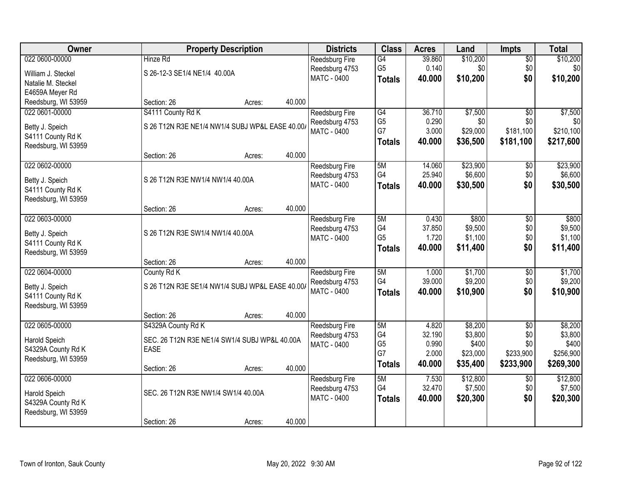| Owner               | <b>Property Description</b>                     |                  | <b>Districts</b>      | <b>Class</b>         | <b>Acres</b> | Land     | <b>Impts</b>    | <b>Total</b> |
|---------------------|-------------------------------------------------|------------------|-----------------------|----------------------|--------------|----------|-----------------|--------------|
| 022 0600-00000      | Hinze Rd                                        |                  | Reedsburg Fire        | G4                   | 39.860       | \$10,200 | $\sqrt{$0}$     | \$10,200     |
| William J. Steckel  | S 26-12-3 SE1/4 NE1/4 40.00A                    |                  | Reedsburg 4753        | G <sub>5</sub>       | 0.140        | \$0      | \$0             | \$0          |
| Natalie M. Steckel  |                                                 |                  | MATC - 0400           | <b>Totals</b>        | 40.000       | \$10,200 | \$0             | \$10,200     |
| E4659A Meyer Rd     |                                                 |                  |                       |                      |              |          |                 |              |
| Reedsburg, WI 53959 | Section: 26                                     | 40.000<br>Acres: |                       |                      |              |          |                 |              |
| 022 0601-00000      | S4111 County Rd K                               |                  | Reedsburg Fire        | G4                   | 36.710       | \$7,500  | $\overline{50}$ | \$7,500      |
| Betty J. Speich     | S 26 T12N R3E NE1/4 NW1/4 SUBJ WP&L EASE 40.00/ |                  | Reedsburg 4753        | G <sub>5</sub>       | 0.290        | \$0      | \$0             | \$0          |
| S4111 County Rd K   |                                                 |                  | MATC - 0400           | G7                   | 3.000        | \$29,000 | \$181,100       | \$210,100    |
| Reedsburg, WI 53959 |                                                 |                  |                       | <b>Totals</b>        | 40.000       | \$36,500 | \$181,100       | \$217,600    |
|                     | Section: 26                                     | 40.000<br>Acres: |                       |                      |              |          |                 |              |
| 022 0602-00000      |                                                 |                  | Reedsburg Fire        | 5M                   | 14.060       | \$23,900 | \$0             | \$23,900     |
| Betty J. Speich     | S 26 T12N R3E NW1/4 NW1/4 40.00A                |                  | Reedsburg 4753        | G4                   | 25.940       | \$6,600  | \$0             | \$6,600      |
| S4111 County Rd K   |                                                 |                  | MATC - 0400           | <b>Totals</b>        | 40.000       | \$30,500 | \$0             | \$30,500     |
| Reedsburg, WI 53959 |                                                 |                  |                       |                      |              |          |                 |              |
|                     | Section: 26                                     | 40.000<br>Acres: |                       |                      |              |          |                 |              |
| 022 0603-00000      |                                                 |                  | <b>Reedsburg Fire</b> | 5M                   | 0.430        | \$800    | $\sqrt[6]{3}$   | \$800        |
| Betty J. Speich     | S 26 T12N R3E SW1/4 NW1/4 40.00A                |                  | Reedsburg 4753        | G4                   | 37.850       | \$9,500  | \$0             | \$9,500      |
| S4111 County Rd K   |                                                 |                  | <b>MATC - 0400</b>    | G <sub>5</sub>       | 1.720        | \$1,100  | \$0             | \$1,100      |
| Reedsburg, WI 53959 |                                                 |                  |                       | <b>Totals</b>        | 40.000       | \$11,400 | \$0             | \$11,400     |
|                     | Section: 26                                     | 40.000<br>Acres: |                       |                      |              |          |                 |              |
| 022 0604-00000      | County Rd K                                     |                  | Reedsburg Fire        | 5M                   | 1.000        | \$1,700  | $\overline{50}$ | \$1,700      |
| Betty J. Speich     | S 26 T12N R3E SE1/4 NW1/4 SUBJ WP&L EASE 40.00/ |                  | Reedsburg 4753        | G4                   | 39.000       | \$9,200  | \$0             | \$9,200      |
| S4111 County Rd K   |                                                 |                  | MATC - 0400           | <b>Totals</b>        | 40.000       | \$10,900 | \$0             | \$10,900     |
| Reedsburg, WI 53959 |                                                 |                  |                       |                      |              |          |                 |              |
|                     | Section: 26                                     | 40.000<br>Acres: |                       |                      |              |          |                 |              |
| 022 0605-00000      | S4329A County Rd K                              |                  | Reedsburg Fire        | 5M                   | 4.820        | \$8,200  | $\overline{50}$ | \$8,200      |
| Harold Speich       | SEC. 26 T12N R3E NE1/4 SW1/4 SUBJ WP&L 40.00A   |                  | Reedsburg 4753        | G4                   | 32.190       | \$3,800  | \$0             | \$3,800      |
| S4329A County Rd K  | <b>EASE</b>                                     |                  | MATC - 0400           | G <sub>5</sub><br>G7 | 0.990        | \$400    | \$0             | \$400        |
| Reedsburg, WI 53959 |                                                 |                  |                       |                      | 2.000        | \$23,000 | \$233,900       | \$256,900    |
|                     | Section: 26                                     | 40.000<br>Acres: |                       | <b>Totals</b>        | 40.000       | \$35,400 | \$233,900       | \$269,300    |
| 022 0606-00000      |                                                 |                  | <b>Reedsburg Fire</b> | 5M                   | 7.530        | \$12,800 | $\overline{50}$ | \$12,800     |
| Harold Speich       | SEC. 26 T12N R3E NW1/4 SW1/4 40.00A             |                  | Reedsburg 4753        | G4                   | 32.470       | \$7,500  | \$0             | \$7,500      |
| S4329A County Rd K  |                                                 |                  | MATC - 0400           | <b>Totals</b>        | 40.000       | \$20,300 | \$0             | \$20,300     |
| Reedsburg, WI 53959 |                                                 |                  |                       |                      |              |          |                 |              |
|                     | Section: 26                                     | 40.000<br>Acres: |                       |                      |              |          |                 |              |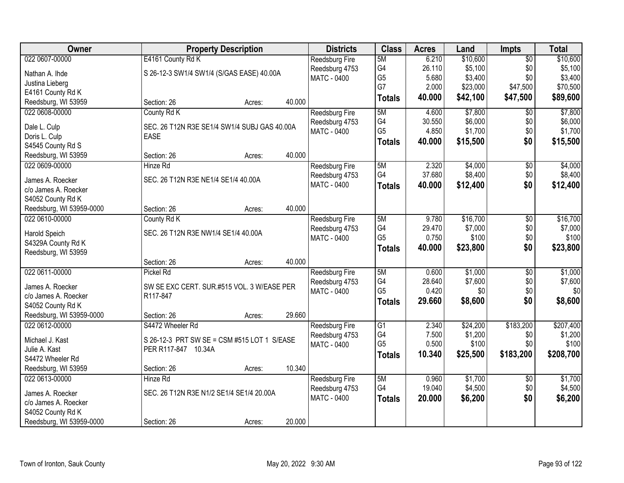| Owner                         |                                                             | <b>Property Description</b> |        | <b>Districts</b>      | <b>Class</b>         | <b>Acres</b>    | Land             | <b>Impts</b>    | <b>Total</b>     |
|-------------------------------|-------------------------------------------------------------|-----------------------------|--------|-----------------------|----------------------|-----------------|------------------|-----------------|------------------|
| 022 0607-00000                | E4161 County Rd K                                           |                             |        | Reedsburg Fire        | 5M                   | 6.210           | \$10,600         | $\overline{50}$ | \$10,600         |
| Nathan A. Ihde                | S 26-12-3 SW1/4 SW1/4 (S/GAS EASE) 40.00A                   |                             |        | Reedsburg 4753        | G4                   | 26.110          | \$5,100          | \$0             | \$5,100          |
| Justina Lieberg               |                                                             |                             |        | MATC - 0400           | G <sub>5</sub>       | 5.680           | \$3,400          | \$0             | \$3,400          |
| E4161 County Rd K             |                                                             |                             |        |                       | G7                   | 2.000           | \$23,000         | \$47,500        | \$70,500         |
| Reedsburg, WI 53959           | Section: 26                                                 | Acres:                      | 40.000 |                       | <b>Totals</b>        | 40.000          | \$42,100         | \$47,500        | \$89,600         |
| 022 0608-00000                | County Rd K                                                 |                             |        | Reedsburg Fire        | 5M                   | 4.600           | \$7,800          | $\overline{50}$ | \$7,800          |
|                               |                                                             |                             |        | Reedsburg 4753        | G4                   | 30.550          | \$6,000          | \$0             | \$6,000          |
| Dale L. Culp<br>Doris L. Culp | SEC. 26 T12N R3E SE1/4 SW1/4 SUBJ GAS 40.00A<br><b>EASE</b> |                             |        | MATC - 0400           | G <sub>5</sub>       | 4.850           | \$1,700          | \$0             | \$1,700          |
| S4545 County Rd S             |                                                             |                             |        |                       | <b>Totals</b>        | 40.000          | \$15,500         | \$0             | \$15,500         |
| Reedsburg, WI 53959           | Section: 26                                                 | Acres:                      | 40.000 |                       |                      |                 |                  |                 |                  |
| 022 0609-00000                | Hinze Rd                                                    |                             |        | <b>Reedsburg Fire</b> | 5M                   | 2.320           | \$4,000          | \$0             | \$4,000          |
|                               |                                                             |                             |        | Reedsburg 4753        | G4                   | 37.680          | \$8,400          | \$0             | \$8,400          |
| James A. Roecker              | SEC. 26 T12N R3E NE1/4 SE1/4 40.00A                         |                             |        | MATC - 0400           | <b>Totals</b>        | 40.000          | \$12,400         | \$0             | \$12,400         |
| c/o James A. Roecker          |                                                             |                             |        |                       |                      |                 |                  |                 |                  |
| S4052 County Rd K             |                                                             |                             |        |                       |                      |                 |                  |                 |                  |
| Reedsburg, WI 53959-0000      | Section: 26                                                 | Acres:                      | 40.000 |                       |                      |                 |                  |                 |                  |
| 022 0610-00000                | County Rd K                                                 |                             |        | Reedsburg Fire        | 5M                   | 9.780           | \$16,700         | \$0             | \$16,700         |
| Harold Speich                 | SEC. 26 T12N R3E NW1/4 SE1/4 40.00A                         |                             |        | Reedsburg 4753        | G4<br>G <sub>5</sub> | 29.470<br>0.750 | \$7,000<br>\$100 | \$0<br>\$0      | \$7,000<br>\$100 |
| S4329A County Rd K            |                                                             |                             |        | <b>MATC - 0400</b>    |                      |                 |                  |                 |                  |
| Reedsburg, WI 53959           |                                                             |                             |        |                       | <b>Totals</b>        | 40.000          | \$23,800         | \$0             | \$23,800         |
|                               | Section: 26                                                 | Acres:                      | 40.000 |                       |                      |                 |                  |                 |                  |
| 022 0611-00000                | Pickel Rd                                                   |                             |        | Reedsburg Fire        | 5M                   | 0.600           | \$1,000          | $\overline{30}$ | \$1,000          |
| James A. Roecker              | SW SE EXC CERT. SUR.#515 VOL. 3 W/EASE PER                  |                             |        | Reedsburg 4753        | G4                   | 28.640          | \$7,600          | \$0             | \$7,600          |
| c/o James A. Roecker          | R117-847                                                    |                             |        | <b>MATC - 0400</b>    | G <sub>5</sub>       | 0.420           | \$0              | \$0             | \$0              |
| S4052 County Rd K             |                                                             |                             |        |                       | <b>Totals</b>        | 29.660          | \$8,600          | \$0             | \$8,600          |
| Reedsburg, WI 53959-0000      | Section: 26                                                 | Acres:                      | 29.660 |                       |                      |                 |                  |                 |                  |
| 022 0612-00000                | S4472 Wheeler Rd                                            |                             |        | Reedsburg Fire        | G1                   | 2.340           | \$24,200         | \$183,200       | \$207,400        |
| Michael J. Kast               | S 26-12-3 PRT SW SE = CSM #515 LOT 1 S/EASE                 |                             |        | Reedsburg 4753        | G4                   | 7.500           | \$1,200          | \$0             | \$1,200          |
| Julie A. Kast                 | PER R117-847 10.34A                                         |                             |        | <b>MATC - 0400</b>    | G <sub>5</sub>       | 0.500           | \$100            | \$0             | \$100            |
| S4472 Wheeler Rd              |                                                             |                             |        |                       | <b>Totals</b>        | 10.340          | \$25,500         | \$183,200       | \$208,700        |
| Reedsburg, WI 53959           | Section: 26                                                 | Acres:                      | 10.340 |                       |                      |                 |                  |                 |                  |
| 022 0613-00000                | Hinze Rd                                                    |                             |        | Reedsburg Fire        | 5M                   | 0.960           | \$1,700          | $\overline{50}$ | \$1,700          |
|                               |                                                             |                             |        | Reedsburg 4753        | G4                   | 19.040          | \$4,500          | \$0             | \$4,500          |
| James A. Roecker              | SEC. 26 T12N R3E N1/2 SE1/4 SE1/4 20.00A                    |                             |        | MATC - 0400           | <b>Totals</b>        | 20.000          | \$6,200          | \$0             | \$6,200          |
| c/o James A. Roecker          |                                                             |                             |        |                       |                      |                 |                  |                 |                  |
| S4052 County Rd K             |                                                             |                             |        |                       |                      |                 |                  |                 |                  |
| Reedsburg, WI 53959-0000      | Section: 26                                                 | Acres:                      | 20.000 |                       |                      |                 |                  |                 |                  |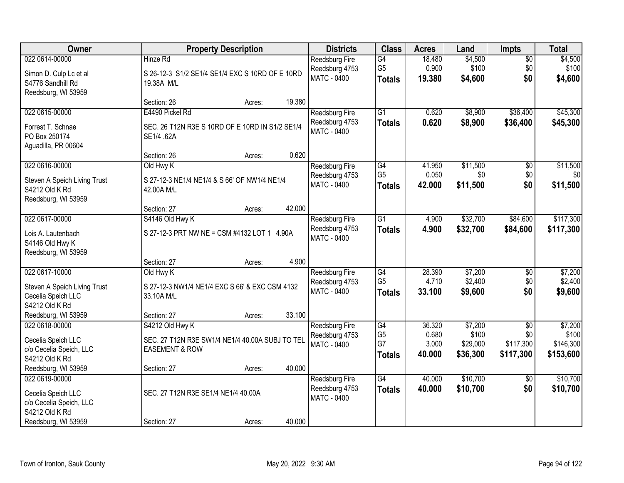| Owner                                                                             |                                                                              | <b>Property Description</b> |        | <b>Districts</b>                                              | <b>Class</b>                          | <b>Acres</b>             | Land                          | <b>Impts</b>                  | <b>Total</b>                    |
|-----------------------------------------------------------------------------------|------------------------------------------------------------------------------|-----------------------------|--------|---------------------------------------------------------------|---------------------------------------|--------------------------|-------------------------------|-------------------------------|---------------------------------|
| 022 0614-00000                                                                    | Hinze Rd                                                                     |                             |        | Reedsburg Fire<br>Reedsburg 4753                              | G4<br>G <sub>5</sub>                  | 18.480<br>0.900          | \$4,500<br>\$100              | $\overline{50}$<br>\$0        | \$4,500<br>\$100                |
| Simon D. Culp Lc et al<br>S4776 Sandhill Rd<br>Reedsburg, WI 53959                | S 26-12-3 S1/2 SE1/4 SE1/4 EXC S 10RD OF E 10RD<br>19.38A M/L                |                             |        | MATC - 0400                                                   | <b>Totals</b>                         | 19.380                   | \$4,600                       | \$0                           | \$4,600                         |
|                                                                                   | Section: 26                                                                  | Acres:                      | 19.380 |                                                               |                                       |                          |                               |                               |                                 |
| 022 0615-00000                                                                    | E4490 Pickel Rd                                                              |                             |        | Reedsburg Fire                                                | $\overline{G1}$                       | 0.620                    | \$8,900                       | \$36,400                      | \$45,300                        |
| Forrest T. Schnae<br>PO Box 250174<br>Aguadilla, PR 00604                         | SEC. 26 T12N R3E S 10RD OF E 10RD IN S1/2 SE1/4<br>SE1/4 .62A                |                             |        | Reedsburg 4753<br><b>MATC - 0400</b>                          | <b>Totals</b>                         | 0.620                    | \$8,900                       | \$36,400                      | \$45,300                        |
|                                                                                   | Section: 26                                                                  | Acres:                      | 0.620  |                                                               |                                       |                          |                               |                               |                                 |
| 022 0616-00000                                                                    | Old Hwy K                                                                    |                             |        | Reedsburg Fire                                                | G4                                    | 41.950                   | \$11,500                      | $\overline{50}$               | \$11,500                        |
| Steven A Speich Living Trust<br>S4212 Old K Rd<br>Reedsburg, WI 53959             | S 27-12-3 NE1/4 NE1/4 & S 66' OF NW1/4 NE1/4<br>42.00A M/L                   |                             |        | Reedsburg 4753<br>MATC - 0400                                 | G <sub>5</sub><br><b>Totals</b>       | 0.050<br>42.000          | \$0<br>\$11,500               | \$0<br>\$0                    | \$0<br>\$11,500                 |
|                                                                                   | Section: 27                                                                  | Acres:                      | 42.000 |                                                               |                                       |                          |                               |                               |                                 |
| 022 0617-00000                                                                    | S4146 Old Hwy K                                                              |                             |        | Reedsburg Fire                                                | $\overline{G1}$                       | 4.900                    | \$32,700                      | \$84,600                      | \$117,300                       |
| Lois A. Lautenbach<br>S4146 Old Hwy K<br>Reedsburg, WI 53959                      | S 27-12-3 PRT NW NE = CSM #4132 LOT 1 4.90A                                  |                             |        | Reedsburg 4753<br><b>MATC - 0400</b>                          | <b>Totals</b>                         | 4.900                    | \$32,700                      | \$84,600                      | \$117,300                       |
|                                                                                   | Section: 27                                                                  | Acres:                      | 4.900  |                                                               |                                       |                          |                               |                               |                                 |
| 022 0617-10000                                                                    | Old Hwy K                                                                    |                             |        | Reedsburg Fire                                                | $\overline{G4}$                       | 28.390                   | \$7,200                       | $\overline{50}$               | \$7,200                         |
| Steven A Speich Living Trust<br>Cecelia Speich LLC<br>S4212 Old K Rd              | S 27-12-3 NW1/4 NE1/4 EXC S 66' & EXC CSM 4132<br>33.10A M/L                 |                             |        | Reedsburg 4753<br>MATC - 0400                                 | G <sub>5</sub><br><b>Totals</b>       | 4.710<br>33.100          | \$2,400<br>\$9,600            | \$0<br>\$0                    | \$2,400<br>\$9,600              |
| Reedsburg, WI 53959                                                               | Section: 27                                                                  | Acres:                      | 33.100 |                                                               |                                       |                          |                               |                               |                                 |
| 022 0618-00000                                                                    | S4212 Old Hwy K                                                              |                             |        | Reedsburg Fire                                                | G4                                    | 36.320                   | \$7,200                       | $\sqrt{6}$                    | \$7,200                         |
| Cecelia Speich LLC<br>c/o Cecelia Speich, LLC<br>S4212 Old K Rd                   | SEC. 27 T12N R3E SW1/4 NE1/4 40.00A SUBJ TO TEL<br><b>EASEMENT &amp; ROW</b> |                             |        | Reedsburg 4753<br><b>MATC - 0400</b>                          | G <sub>5</sub><br>G7<br><b>Totals</b> | 0.680<br>3.000<br>40.000 | \$100<br>\$29,000<br>\$36,300 | \$0<br>\$117,300<br>\$117,300 | \$100<br>\$146,300<br>\$153,600 |
| Reedsburg, WI 53959                                                               | Section: 27                                                                  | Acres:                      | 40.000 |                                                               |                                       |                          |                               |                               |                                 |
| 022 0619-00000<br>Cecelia Speich LLC<br>c/o Cecelia Speich, LLC<br>S4212 Old K Rd | SEC. 27 T12N R3E SE1/4 NE1/4 40.00A                                          |                             |        | <b>Reedsburg Fire</b><br>Reedsburg 4753<br><b>MATC - 0400</b> | G4<br><b>Totals</b>                   | 40.000<br>40.000         | \$10,700<br>\$10,700          | $\overline{30}$<br>\$0        | \$10,700<br>\$10,700            |
| Reedsburg, WI 53959                                                               | Section: 27                                                                  | Acres:                      | 40.000 |                                                               |                                       |                          |                               |                               |                                 |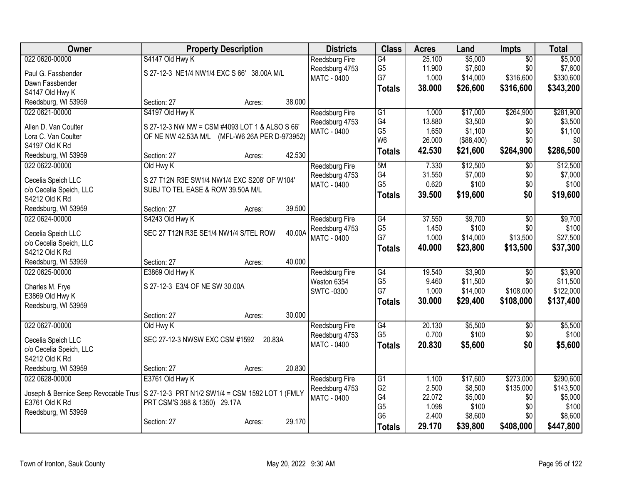| Owner                                | <b>Property Description</b>                     | <b>Districts</b>      | <b>Class</b>   | <b>Acres</b> | Land       | <b>Impts</b>    | <b>Total</b> |
|--------------------------------------|-------------------------------------------------|-----------------------|----------------|--------------|------------|-----------------|--------------|
| 022 0620-00000                       | S4147 Old Hwy K                                 | Reedsburg Fire        | G4             | 25.100       | \$5,000    | $\overline{50}$ | \$5,000      |
| Paul G. Fassbender                   | S 27-12-3 NE1/4 NW1/4 EXC S 66' 38.00A M/L      | Reedsburg 4753        | G <sub>5</sub> | 11.900       | \$7,600    | \$0             | \$7,600      |
| Dawn Fassbender                      |                                                 | <b>MATC - 0400</b>    | G7             | 1.000        | \$14,000   | \$316,600       | \$330,600    |
| S4147 Old Hwy K                      |                                                 |                       | <b>Totals</b>  | 38.000       | \$26,600   | \$316,600       | \$343,200    |
| Reedsburg, WI 53959                  | 38.000<br>Section: 27<br>Acres:                 |                       |                |              |            |                 |              |
| 022 0621-00000                       | S4197 Old Hwy K                                 | Reedsburg Fire        | G1             | 1.000        | \$17,000   | \$264,900       | \$281,900    |
|                                      |                                                 | Reedsburg 4753        | G4             | 13.880       | \$3,500    | \$0             | \$3,500      |
| Allen D. Van Coulter                 | S 27-12-3 NW NW = CSM #4093 LOT 1 & ALSO S 66'  | MATC - 0400           | G <sub>5</sub> | 1.650        | \$1,100    | \$0             | \$1,100      |
| Lora C. Van Coulter                  | OF NE NW 42.53A M/L (MFL-W6 26A PER D-973952)   |                       | W <sub>6</sub> | 26.000       | (\$88,400) | \$0             | \$0          |
| S4197 Old K Rd                       |                                                 |                       | <b>Totals</b>  | 42.530       | \$21,600   | \$264,900       | \$286,500    |
| Reedsburg, WI 53959                  | 42.530<br>Section: 27<br>Acres:                 |                       |                |              |            |                 |              |
| 022 0622-00000                       | Old Hwy K                                       | Reedsburg Fire        | 5M             | 7.330        | \$12,500   | \$0             | \$12,500     |
| Cecelia Speich LLC                   | S 27 T12N R3E SW1/4 NW1/4 EXC S208' OF W104'    | Reedsburg 4753        | G4             | 31.550       | \$7,000    | \$0             | \$7,000      |
| c/o Cecelia Speich, LLC              | SUBJ TO TEL EASE & ROW 39.50A M/L               | <b>MATC - 0400</b>    | G <sub>5</sub> | 0.620        | \$100      | \$0             | \$100        |
| S4212 Old K Rd                       |                                                 |                       | <b>Totals</b>  | 39.500       | \$19,600   | \$0             | \$19,600     |
| Reedsburg, WI 53959                  | 39.500<br>Section: 27<br>Acres:                 |                       |                |              |            |                 |              |
| 022 0624-00000                       | S4243 Old Hwy K                                 | <b>Reedsburg Fire</b> | G4             | 37.550       | \$9,700    | \$0             | \$9,700      |
|                                      |                                                 | Reedsburg 4753        | G <sub>5</sub> | 1.450        | \$100      | \$0             | \$100        |
| Cecelia Speich LLC                   | 40.00A<br>SEC 27 T12N R3E SE1/4 NW1/4 S/TEL ROW | <b>MATC - 0400</b>    | G7             | 1.000        | \$14,000   | \$13,500        | \$27,500     |
| c/o Cecelia Speich, LLC              |                                                 |                       | <b>Totals</b>  | 40.000       | \$23,800   | \$13,500        | \$37,300     |
| S4212 Old K Rd                       |                                                 |                       |                |              |            |                 |              |
| Reedsburg, WI 53959                  | 40.000<br>Section: 27<br>Acres:                 |                       |                |              |            |                 |              |
| 022 0625-00000                       | E3869 Old Hwy K                                 | Reedsburg Fire        | G4             | 19.540       | \$3,900    | \$0             | \$3,900      |
| Charles M. Frye                      | S 27-12-3 E3/4 OF NE SW 30.00A                  | Weston 6354           | G <sub>5</sub> | 9.460        | \$11,500   | \$0             | \$11,500     |
| E3869 Old Hwy K                      |                                                 | <b>SWTC-0300</b>      | G7             | 1.000        | \$14,000   | \$108,000       | \$122,000    |
| Reedsburg, WI 53959                  |                                                 |                       | <b>Totals</b>  | 30.000       | \$29,400   | \$108,000       | \$137,400    |
|                                      | 30.000<br>Section: 27<br>Acres:                 |                       |                |              |            |                 |              |
| 022 0627-00000                       | Old Hwy K                                       | <b>Reedsburg Fire</b> | G4             | 20.130       | \$5,500    | \$0             | \$5,500      |
|                                      |                                                 | Reedsburg 4753        | G <sub>5</sub> | 0.700        | \$100      | \$0             | \$100        |
| Cecelia Speich LLC                   | SEC 27-12-3 NWSW EXC CSM #1592<br>20.83A        | <b>MATC - 0400</b>    | <b>Totals</b>  | 20.830       | \$5,600    | \$0             | \$5,600      |
| c/o Cecelia Speich, LLC              |                                                 |                       |                |              |            |                 |              |
| S4212 Old K Rd                       |                                                 |                       |                |              |            |                 |              |
| Reedsburg, WI 53959                  | 20.830<br>Section: 27<br>Acres:                 |                       |                |              |            |                 |              |
| 022 0628-00000                       | E3761 Old Hwy K                                 | Reedsburg Fire        | G1             | 1.100        | \$17,600   | \$273,000       | \$290,600    |
| Joseph & Bernice Seep Revocable Trus | S 27-12-3 PRT N1/2 SW1/4 = CSM 1592 LOT 1 (FMLY | Reedsburg 4753        | G <sub>2</sub> | 2.500        | \$8,500    | \$135,000       | \$143,500    |
| E3761 Old K Rd                       | PRT CSM'S 388 & 1350) 29.17A                    | MATC - 0400           | G4             | 22.072       | \$5,000    | \$0             | \$5,000      |
| Reedsburg, WI 53959                  |                                                 |                       | G <sub>5</sub> | 1.098        | \$100      | \$0             | \$100        |
|                                      | 29.170<br>Section: 27<br>Acres:                 |                       | G <sub>6</sub> | 2.400        | \$8,600    | \$0             | \$8,600      |
|                                      |                                                 |                       | <b>Totals</b>  | 29.170       | \$39,800   | \$408,000       | \$447,800    |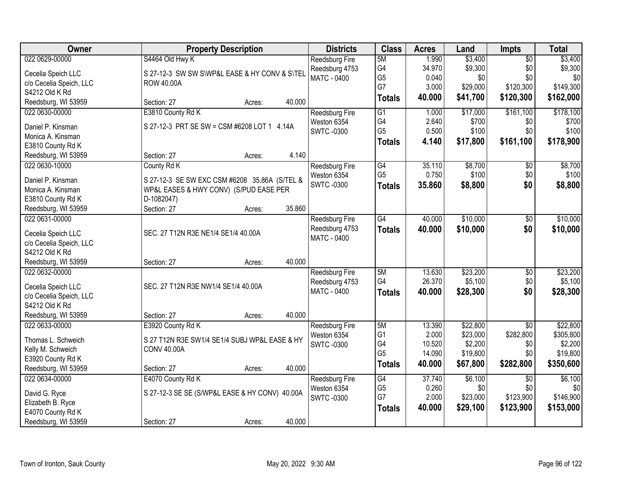| Owner                                 | <b>Property Description</b>                    | <b>Districts</b>              | <b>Class</b>    | <b>Acres</b> | Land     | <b>Impts</b>           | <b>Total</b> |
|---------------------------------------|------------------------------------------------|-------------------------------|-----------------|--------------|----------|------------------------|--------------|
| 022 0629-00000                        | S4464 Old Hwy K                                | Reedsburg Fire                | 5M              | 1.990        | \$3,400  | $\overline{50}$        | \$3,400      |
| Cecelia Speich LLC                    | S 27-12-3 SW SW SWP&L EASE & HY CONV & S\TEL   | Reedsburg 4753                | G4              | 34.970       | \$9,300  | \$0                    | \$9,300      |
| c/o Cecelia Speich, LLC               | <b>ROW 40.00A</b>                              | <b>MATC - 0400</b>            | G <sub>5</sub>  | 0.040        | \$0      | \$0                    | \$0          |
| S4212 Old K Rd                        |                                                |                               | G7              | 3.000        | \$29,000 | \$120,300              | \$149,300    |
| Reedsburg, WI 53959                   | 40.000<br>Section: 27<br>Acres:                |                               | <b>Totals</b>   | 40.000       | \$41,700 | \$120,300              | \$162,000    |
| 022 0630-00000                        | E3810 County Rd K                              | Reedsburg Fire                | $\overline{G1}$ | 1.000        | \$17,000 | \$161,100              | \$178,100    |
|                                       |                                                | Weston 6354                   | G4              | 2.640        | \$700    | \$0                    | \$700        |
| Daniel P. Kinsman                     | S 27-12-3 PRT SE SW = CSM #6208 LOT 1 4.14A    | <b>SWTC-0300</b>              | G <sub>5</sub>  | 0.500        | \$100    | \$0                    | \$100        |
| Monica A. Kinsman                     |                                                |                               | <b>Totals</b>   | 4.140        | \$17,800 | \$161,100              | \$178,900    |
| E3810 County Rd K                     | 4.140                                          |                               |                 |              |          |                        |              |
| Reedsburg, WI 53959                   | Section: 27<br>Acres:                          |                               |                 |              |          |                        |              |
| 022 0630-10000                        | County Rd K                                    | Reedsburg Fire                | G4              | 35.110       | \$8,700  | \$0                    | \$8,700      |
| Daniel P. Kinsman                     | S 27-12-3 SE SW EXC CSM #6208 35.86A (S/TEL &  | Weston 6354                   | G <sub>5</sub>  | 0.750        | \$100    | \$0                    | \$100        |
| Monica A. Kinsman                     | WP&L EASES & HWY CONV) (S/PUD EASE PER         | <b>SWTC-0300</b>              | <b>Totals</b>   | 35.860       | \$8,800  | \$0                    | \$8,800      |
| E3810 County Rd K                     | D-1082047)                                     |                               |                 |              |          |                        |              |
| Reedsburg, WI 53959                   | 35.860<br>Section: 27<br>Acres:                |                               |                 |              |          |                        |              |
| 022 0631-00000                        |                                                | Reedsburg Fire                | $\overline{G4}$ | 40.000       | \$10,000 | \$0                    | \$10,000     |
|                                       |                                                | Reedsburg 4753                | <b>Totals</b>   | 40.000       | \$10,000 | \$0                    | \$10,000     |
| Cecelia Speich LLC                    | SEC. 27 T12N R3E NE1/4 SE1/4 40.00A            | <b>MATC - 0400</b>            |                 |              |          |                        |              |
| c/o Cecelia Speich, LLC               |                                                |                               |                 |              |          |                        |              |
| S4212 Old K Rd                        |                                                |                               |                 |              |          |                        |              |
| Reedsburg, WI 53959                   | 40.000<br>Section: 27<br>Acres:                |                               |                 |              |          |                        |              |
| 022 0632-00000                        |                                                | Reedsburg Fire                | 5M              | 13.630       | \$23,200 | \$0                    | \$23,200     |
| Cecelia Speich LLC                    | SEC. 27 T12N R3E NW1/4 SE1/4 40.00A            | Reedsburg 4753                | G4              | 26.370       | \$5,100  | \$0                    | \$5,100      |
| c/o Cecelia Speich, LLC               |                                                | MATC - 0400                   | <b>Totals</b>   | 40.000       | \$28,300 | \$0                    | \$28,300     |
| S4212 Old K Rd                        |                                                |                               |                 |              |          |                        |              |
| Reedsburg, WI 53959                   | 40.000<br>Section: 27<br>Acres:                |                               |                 |              |          |                        |              |
| 022 0633-00000                        | E3920 County Rd K                              | Reedsburg Fire                | 5M              | 13.390       | \$22,800 | $\overline{50}$        | \$22,800     |
| Thomas L. Schweich                    | S 27 T12N R3E SW1/4 SE1/4 SUBJ WP&L EASE & HY  | Weston 6354                   | G <sub>1</sub>  | 2.000        | \$23,000 | \$282,800              | \$305,800    |
| Kelly M. Schweich                     | <b>CONV 40.00A</b>                             | <b>SWTC-0300</b>              | G4              | 10.520       | \$2,200  | \$0                    | \$2,200      |
| E3920 County Rd K                     |                                                |                               | G <sub>5</sub>  | 14.090       | \$19,800 | \$0                    | \$19,800     |
|                                       | 40.000                                         |                               | <b>Totals</b>   | 40.000       | \$67,800 | \$282,800              | \$350,600    |
| Reedsburg, WI 53959<br>022 0634-00000 | Section: 27<br>Acres:<br>E4070 County Rd K     |                               | G4              | 37.740       | \$6,100  |                        | \$6,100      |
|                                       |                                                | Reedsburg Fire<br>Weston 6354 | G <sub>5</sub>  | 0.260        | \$0      | $\overline{50}$<br>\$0 | \$0          |
| David G. Ryce                         | S 27-12-3 SE SE (S/WP&L EASE & HY CONV) 40.00A |                               | G7              | 2.000        | \$23,000 | \$123,900              | \$146,900    |
| Elizabeth B. Ryce                     |                                                | <b>SWTC-0300</b>              |                 | 40.000       |          |                        |              |
| E4070 County Rd K                     |                                                |                               | <b>Totals</b>   |              | \$29,100 | \$123,900              | \$153,000    |
| Reedsburg, WI 53959                   | 40.000<br>Section: 27<br>Acres:                |                               |                 |              |          |                        |              |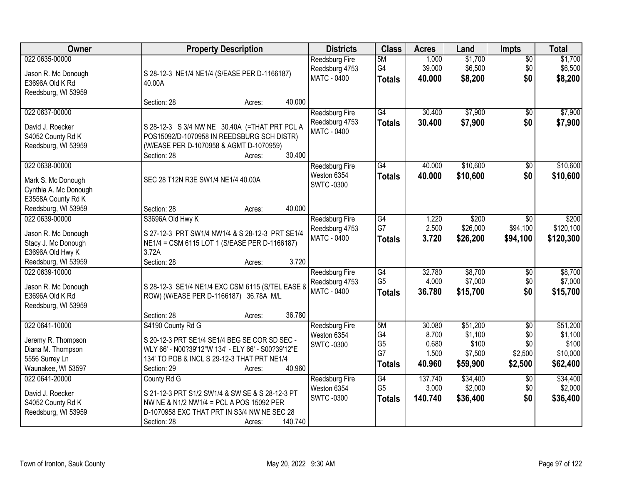| Owner                                                                                                      | <b>Property Description</b>                                                                                                                                                                                | <b>Districts</b>                                              | <b>Class</b>                                       | <b>Acres</b>                                | Land                                                | <b>Impts</b>                                        | <b>Total</b>                                         |
|------------------------------------------------------------------------------------------------------------|------------------------------------------------------------------------------------------------------------------------------------------------------------------------------------------------------------|---------------------------------------------------------------|----------------------------------------------------|---------------------------------------------|-----------------------------------------------------|-----------------------------------------------------|------------------------------------------------------|
| 022 0635-00000<br>Jason R. Mc Donough<br>E3696A Old K Rd<br>Reedsburg, WI 53959                            | S 28-12-3 NE1/4 NE1/4 (S/EASE PER D-1166187)<br>40.00A                                                                                                                                                     | Reedsburg Fire<br>Reedsburg 4753<br>MATC - 0400               | 5M<br>G4<br><b>Totals</b>                          | 1.000<br>39.000<br>40.000                   | \$1,700<br>\$6,500<br>\$8,200                       | $\overline{50}$<br>\$0<br>\$0                       | \$1,700<br>\$6,500<br>\$8,200                        |
|                                                                                                            | 40.000<br>Section: 28<br>Acres:                                                                                                                                                                            |                                                               |                                                    |                                             |                                                     |                                                     |                                                      |
| 022 0637-00000<br>David J. Roecker<br>S4052 County Rd K<br>Reedsburg, WI 53959                             | S 28-12-3 S 3/4 NW NE 30.40A (=THAT PRT PCL A<br>POS15092/D-1070958 IN REEDSBURG SCH DISTR)<br>(W/EASE PER D-1070958 & AGMT D-1070959)<br>30.400<br>Section: 28<br>Acres:                                  | <b>Reedsburg Fire</b><br>Reedsburg 4753<br><b>MATC - 0400</b> | G4<br><b>Totals</b>                                | 30.400<br>30.400                            | \$7,900<br>\$7,900                                  | $\overline{30}$<br>\$0                              | \$7,900<br>\$7,900                                   |
| 022 0638-00000<br>Mark S. Mc Donough<br>Cynthia A. Mc Donough<br>E3558A County Rd K<br>Reedsburg, WI 53959 | SEC 28 T12N R3E SW1/4 NE1/4 40.00A<br>40.000<br>Section: 28<br>Acres:                                                                                                                                      | <b>Reedsburg Fire</b><br>Weston 6354<br><b>SWTC-0300</b>      | $\overline{G4}$<br><b>Totals</b>                   | 40.000<br>40.000                            | \$10,600<br>\$10,600                                | \$0<br>\$0                                          | \$10,600<br>\$10,600                                 |
| 022 0639-00000<br>Jason R. Mc Donough<br>Stacy J. Mc Donough<br>E3696A Old Hwy K<br>Reedsburg, WI 53959    | S3696A Old Hwy K<br>S 27-12-3 PRT SW1/4 NW1/4 & S 28-12-3 PRT SE1/4<br>NE1/4 = CSM 6115 LOT 1 (S/EASE PER D-1166187)<br>3.72A<br>3.720<br>Section: 28<br>Acres:                                            | Reedsburg Fire<br>Reedsburg 4753<br>MATC - 0400               | $\overline{G4}$<br>G7<br><b>Totals</b>             | 1.220<br>2.500<br>3.720                     | \$200<br>\$26,000<br>\$26,200                       | $\sqrt{6}$<br>\$94,100<br>\$94,100                  | \$200<br>\$120,100<br>\$120,300                      |
| 022 0639-10000<br>Jason R. Mc Donough<br>E3696A Old K Rd<br>Reedsburg, WI 53959                            | S 28-12-3 SE1/4 NE1/4 EXC CSM 6115 (S/TEL EASE &<br>ROW) (W/EASE PER D-1166187) 36.78A M/L<br>36.780<br>Section: 28<br>Acres:                                                                              | Reedsburg Fire<br>Reedsburg 4753<br><b>MATC - 0400</b>        | $\overline{G4}$<br>G <sub>5</sub><br><b>Totals</b> | 32.780<br>4.000<br>36.780                   | \$8,700<br>\$7,000<br>\$15,700                      | \$0<br>\$0<br>\$0                                   | \$8,700<br>\$7,000<br>\$15,700                       |
| 022 0641-10000<br>Jeremy R. Thompson<br>Diana M. Thompson<br>5556 Surrey Ln<br>Waunakee, WI 53597          | S4190 County Rd G<br>S 20-12-3 PRT SE1/4 SE1/4 BEG SE COR SD SEC -<br>WLY 66' - N00?39'12"W 134' - ELY 66' - S00?39'12"E<br>134' TO POB & INCL S 29-12-3 THAT PRT NE1/4<br>40.960<br>Section: 29<br>Acres: | Reedsburg Fire<br>Weston 6354<br><b>SWTC-0300</b>             | 5M<br>G4<br>G <sub>5</sub><br>G7<br>Totals         | 30.080<br>8.700<br>0.680<br>1.500<br>40.960 | \$51,200<br>\$1,100<br>\$100<br>\$7,500<br>\$59,900 | $\overline{50}$<br>\$0<br>\$0<br>\$2,500<br>\$2,500 | \$51,200<br>\$1,100<br>\$100<br>\$10,000<br>\$62,400 |
| 022 0641-20000<br>David J. Roecker<br>S4052 County Rd K<br>Reedsburg, WI 53959                             | County Rd G<br>S 21-12-3 PRT S1/2 SW1/4 & SW SE & S 28-12-3 PT<br>NW NE & N1/2 NW1/4 = PCL A POS 15092 PER<br>D-1070958 EXC THAT PRT IN S3/4 NW NE SEC 28<br>140.740<br>Section: 28<br>Acres:              | Reedsburg Fire<br>Weston 6354<br><b>SWTC-0300</b>             | G4<br>G <sub>5</sub><br><b>Totals</b>              | 137.740<br>3.000<br>140.740                 | \$34,400<br>\$2,000<br>\$36,400                     | $\overline{50}$<br>\$0<br>\$0                       | \$34,400<br>\$2,000<br>\$36,400                      |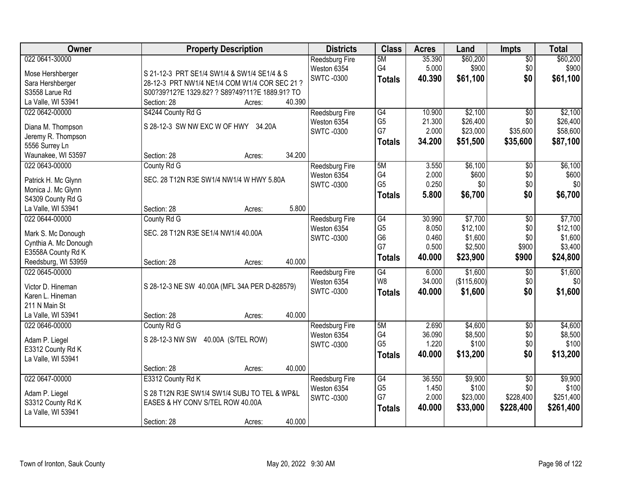| Owner                                 | <b>Property Description</b>                    | <b>Districts</b>      | <b>Class</b>   | <b>Acres</b>   | Land             | <b>Impts</b>    | <b>Total</b> |
|---------------------------------------|------------------------------------------------|-----------------------|----------------|----------------|------------------|-----------------|--------------|
| 022 0641-30000                        |                                                | <b>Reedsburg Fire</b> | 5M             | 35.390         | \$60,200         | $\overline{50}$ | \$60,200     |
| Mose Hershberger                      | S 21-12-3 PRT SE1/4 SW1/4 & SW1/4 SE1/4 & S    | Weston 6354           | G4             | 5.000          | \$900            | \$0             | \$900        |
| Sara Hershberger                      | 28-12-3 PRT NW1/4 NE1/4 COM W1/4 COR SEC 21 ?  | <b>SWTC-0300</b>      | <b>Totals</b>  | 40.390         | \$61,100         | \$0             | \$61,100     |
| S3558 Larue Rd                        | S00?39?12?E 1329.82? ? S89?49?11?E 1889.91? TO |                       |                |                |                  |                 |              |
| La Valle, WI 53941                    | 40.390<br>Section: 28<br>Acres:                |                       |                |                |                  |                 |              |
| 022 0642-00000                        | S4244 County Rd G                              | Reedsburg Fire        | G4             | 10.900         | \$2,100          | $\overline{50}$ | \$2,100      |
|                                       |                                                | Weston 6354           | G <sub>5</sub> | 21.300         | \$26,400         | \$0             | \$26,400     |
| Diana M. Thompson                     | S 28-12-3 SW NW EXC W OF HWY 34.20A            | <b>SWTC-0300</b>      | G7             | 2.000          | \$23,000         | \$35,600        | \$58,600     |
| Jeremy R. Thompson                    |                                                |                       | <b>Totals</b>  | 34.200         | \$51,500         | \$35,600        | \$87,100     |
| 5556 Surrey Ln                        | 34.200<br>Section: 28                          |                       |                |                |                  |                 |              |
| Waunakee, WI 53597                    | Acres:                                         |                       |                |                |                  |                 |              |
| 022 0643-00000                        | County Rd G                                    | <b>Reedsburg Fire</b> | 5M<br>G4       | 3.550<br>2.000 | \$6,100<br>\$600 | \$0             | \$6,100      |
| Patrick H. Mc Glynn                   | SEC. 28 T12N R3E SW1/4 NW1/4 W HWY 5.80A       | Weston 6354           | G <sub>5</sub> | 0.250          | \$0              | \$0<br>\$0      | \$600<br>\$0 |
| Monica J. Mc Glynn                    |                                                | <b>SWTC-0300</b>      |                |                |                  |                 |              |
| S4309 County Rd G                     |                                                |                       | <b>Totals</b>  | 5.800          | \$6,700          | \$0             | \$6,700      |
| La Valle, WI 53941                    | 5.800<br>Section: 28<br>Acres:                 |                       |                |                |                  |                 |              |
| 022 0644-00000                        | County Rd G                                    | Reedsburg Fire        | G4             | 30.990         | \$7,700          | \$0             | \$7,700      |
|                                       | SEC. 28 T12N R3E SE1/4 NW1/4 40.00A            | Weston 6354           | G <sub>5</sub> | 8.050          | \$12,100         | \$0             | \$12,100     |
| Mark S. Mc Donough                    |                                                | <b>SWTC-0300</b>      | G <sub>6</sub> | 0.460          | \$1,600          | \$0             | \$1,600      |
| Cynthia A. Mc Donough                 |                                                |                       | G7             | 0.500          | \$2,500          | \$900           | \$3,400      |
| E3558A County Rd K                    | 40.000                                         |                       | <b>Totals</b>  | 40.000         | \$23,900         | \$900           | \$24,800     |
| Reedsburg, WI 53959<br>022 0645-00000 | Section: 28<br>Acres:                          |                       | G4             | 6.000          | \$1,600          |                 | \$1,600      |
|                                       |                                                | Reedsburg Fire        | W <sub>8</sub> | 34.000         | (\$115,600)      | \$0<br>\$0      | \$0          |
| Victor D. Hineman                     | S 28-12-3 NE SW 40.00A (MFL 34A PER D-828579)  | Weston 6354           |                |                |                  | \$0             |              |
| Karen L. Hineman                      |                                                | <b>SWTC -0300</b>     | <b>Totals</b>  | 40.000         | \$1,600          |                 | \$1,600      |
| 211 N Main St                         |                                                |                       |                |                |                  |                 |              |
| La Valle, WI 53941                    | 40.000<br>Section: 28<br>Acres:                |                       |                |                |                  |                 |              |
| 022 0646-00000                        | County Rd G                                    | Reedsburg Fire        | 5M             | 2.690          | \$4,600          | $\sqrt{6}$      | \$4,600      |
| Adam P. Liegel                        | S 28-12-3 NW SW<br>40.00A (S/TEL ROW)          | Weston 6354           | G4             | 36.090         | \$8,500          | \$0             | \$8,500      |
| E3312 County Rd K                     |                                                | <b>SWTC-0300</b>      | G <sub>5</sub> | 1.220          | \$100            | \$0             | \$100        |
| La Valle, WI 53941                    |                                                |                       | <b>Totals</b>  | 40.000         | \$13,200         | \$0             | \$13,200     |
|                                       | 40.000<br>Section: 28<br>Acres:                |                       |                |                |                  |                 |              |
| 022 0647-00000                        | E3312 County Rd K                              | <b>Reedsburg Fire</b> | G4             | 36.550         | \$9,900          | $\overline{50}$ | \$9,900      |
|                                       |                                                | Weston 6354           | G <sub>5</sub> | 1.450          | \$100            | \$0             | \$100        |
| Adam P. Liegel                        | S 28 T12N R3E SW1/4 SW1/4 SUBJ TO TEL & WP&L   | <b>SWTC-0300</b>      | G7             | 2.000          | \$23,000         | \$228,400       | \$251,400    |
| S3312 County Rd K                     | EASES & HY CONV S/TEL ROW 40.00A               |                       |                | 40.000         |                  | \$228,400       | \$261,400    |
| La Valle, WI 53941                    |                                                |                       | <b>Totals</b>  |                | \$33,000         |                 |              |
|                                       | 40.000<br>Section: 28<br>Acres:                |                       |                |                |                  |                 |              |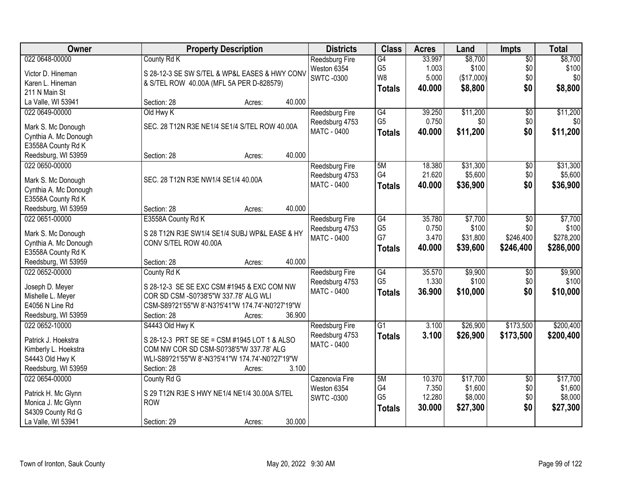| Owner                                       | <b>Property Description</b>                     | <b>Districts</b>              | <b>Class</b>                      | <b>Acres</b>    | Land             | <b>Impts</b>    | <b>Total</b>     |
|---------------------------------------------|-------------------------------------------------|-------------------------------|-----------------------------------|-----------------|------------------|-----------------|------------------|
| 022 0648-00000                              | County Rd K                                     | Reedsburg Fire                | G4                                | 33.997          | \$8,700          | $\overline{50}$ | \$8,700          |
| Victor D. Hineman                           | S 28-12-3 SE SW S/TEL & WP&L EASES & HWY CONV   | Weston 6354                   | G <sub>5</sub>                    | 1.003           | \$100            | \$0             | \$100            |
| Karen L. Hineman                            | & S/TEL ROW 40.00A (MFL 5A PER D-828579)        | <b>SWTC-0300</b>              | W8                                | 5.000           | (\$17,000)       | \$0             | \$0              |
| 211 N Main St                               |                                                 |                               | <b>Totals</b>                     | 40.000          | \$8,800          | \$0             | \$8,800          |
| La Valle, WI 53941                          | 40.000<br>Section: 28<br>Acres:                 |                               |                                   |                 |                  |                 |                  |
| 022 0649-00000                              | Old Hwy K                                       | <b>Reedsburg Fire</b>         | $\overline{G4}$                   | 39.250          | \$11,200         | $\overline{50}$ | \$11,200         |
| Mark S. Mc Donough                          | SEC. 28 T12N R3E NE1/4 SE1/4 S/TEL ROW 40.00A   | Reedsburg 4753                | G <sub>5</sub>                    | 0.750           | \$0              | \$0             | \$0              |
| Cynthia A. Mc Donough                       |                                                 | MATC - 0400                   | <b>Totals</b>                     | 40.000          | \$11,200         | \$0             | \$11,200         |
| E3558A County Rd K                          |                                                 |                               |                                   |                 |                  |                 |                  |
| Reedsburg, WI 53959                         | 40.000<br>Section: 28<br>Acres:                 |                               |                                   |                 |                  |                 |                  |
| 022 0650-00000                              |                                                 | Reedsburg Fire                | 5M                                | 18.380          | \$31,300         | $\overline{50}$ | \$31,300         |
|                                             | SEC. 28 T12N R3E NW1/4 SE1/4 40.00A             | Reedsburg 4753                | G4                                | 21.620          | \$5,600          | \$0             | \$5,600          |
| Mark S. Mc Donough                          |                                                 | <b>MATC - 0400</b>            | <b>Totals</b>                     | 40.000          | \$36,900         | \$0             | \$36,900         |
| Cynthia A. Mc Donough<br>E3558A County Rd K |                                                 |                               |                                   |                 |                  |                 |                  |
| Reedsburg, WI 53959                         | 40.000<br>Section: 28<br>Acres:                 |                               |                                   |                 |                  |                 |                  |
| 022 0651-00000                              | E3558A County Rd K                              | <b>Reedsburg Fire</b>         | $\overline{G4}$                   | 35.780          | \$7,700          | \$0             | \$7,700          |
|                                             |                                                 | Reedsburg 4753                | G <sub>5</sub>                    | 0.750           | \$100            | \$0             | \$100            |
| Mark S. Mc Donough                          | S 28 T12N R3E SW1/4 SE1/4 SUBJ WP&L EASE & HY   | MATC - 0400                   | G7                                | 3.470           | \$31,800         | \$246,400       | \$278,200        |
| Cynthia A. Mc Donough                       | CONV S/TEL ROW 40.00A                           |                               | <b>Totals</b>                     | 40.000          | \$39,600         | \$246,400       | \$286,000        |
| E3558A County Rd K                          |                                                 |                               |                                   |                 |                  |                 |                  |
| Reedsburg, WI 53959                         | 40.000<br>Section: 28<br>Acres:                 |                               |                                   |                 |                  |                 |                  |
| 022 0652-00000                              | County Rd K                                     | Reedsburg Fire                | $\overline{G4}$<br>G <sub>5</sub> | 35.570<br>1.330 | \$9,900<br>\$100 | \$0<br>\$0      | \$9,900<br>\$100 |
| Joseph D. Meyer                             | S 28-12-3 SE SE EXC CSM #1945 & EXC COM NW      | Reedsburg 4753<br>MATC - 0400 |                                   | 36.900          | \$10,000         | \$0             | \$10,000         |
| Mishelle L. Meyer                           | COR SD CSM -S0?38'5"W 337.78' ALG WLI           |                               | <b>Totals</b>                     |                 |                  |                 |                  |
| E4056 N Line Rd                             | CSM-S89?21'55"W 8'-N3?5'41"W 174.74'-N0?27'19"W |                               |                                   |                 |                  |                 |                  |
| Reedsburg, WI 53959                         | 36.900<br>Section: 28<br>Acres:                 |                               |                                   |                 |                  |                 |                  |
| 022 0652-10000                              | S4443 Old Hwy K                                 | Reedsburg Fire                | $\overline{G1}$                   | 3.100           | \$26,900         | \$173,500       | \$200,400        |
| Patrick J. Hoekstra                         | S 28-12-3 PRT SE SE = CSM #1945 LOT 1 & ALSO    | Reedsburg 4753                | <b>Totals</b>                     | 3.100           | \$26,900         | \$173,500       | \$200,400        |
| Kimberly L. Hoekstra                        | COM NW COR SD CSM-S0?38'5"W 337.78' ALG         | MATC - 0400                   |                                   |                 |                  |                 |                  |
| S4443 Old Hwy K                             | WLI-S89?21'55"W 8'-N3?5'41"W 174.74'-N0?27'19"W |                               |                                   |                 |                  |                 |                  |
| Reedsburg, WI 53959                         | 3.100<br>Section: 28<br>Acres:                  |                               |                                   |                 |                  |                 |                  |
| 022 0654-00000                              | County Rd G                                     | Cazenovia Fire                | 5M                                | 10.370          | \$17,700         | $\overline{50}$ | \$17,700         |
| Patrick H. Mc Glynn                         | S 29 T12N R3E S HWY NE1/4 NE1/4 30.00A S/TEL    | Weston 6354                   | G4                                | 7.350           | \$1,600          | \$0             | \$1,600          |
| Monica J. Mc Glynn                          | <b>ROW</b>                                      | <b>SWTC-0300</b>              | G <sub>5</sub>                    | 12.280          | \$8,000          | \$0             | \$8,000          |
| S4309 County Rd G                           |                                                 |                               | <b>Totals</b>                     | 30.000          | \$27,300         | \$0             | \$27,300         |
| La Valle, WI 53941                          | 30.000<br>Section: 29<br>Acres:                 |                               |                                   |                 |                  |                 |                  |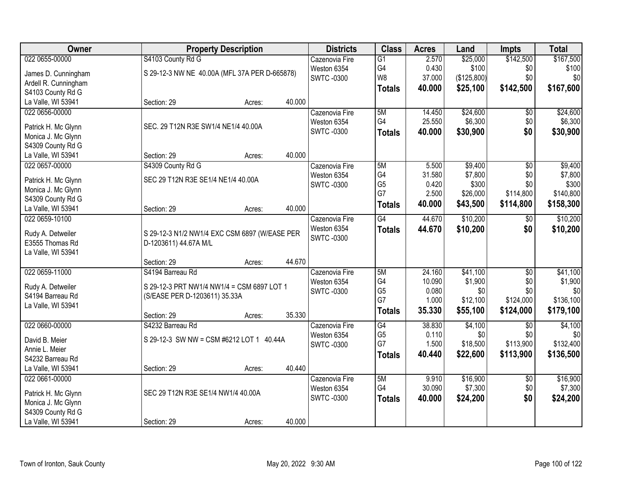| Owner                                   | <b>Property Description</b>                   | <b>Districts</b>                | <b>Class</b>    | <b>Acres</b> | Land           | <b>Impts</b>    | <b>Total</b>   |
|-----------------------------------------|-----------------------------------------------|---------------------------------|-----------------|--------------|----------------|-----------------|----------------|
| 022 0655-00000                          | S4103 County Rd G                             | Cazenovia Fire                  | $\overline{G1}$ | 2.570        | \$25,000       | \$142,500       | \$167,500      |
| James D. Cunningham                     | S 29-12-3 NW NE 40.00A (MFL 37A PER D-665878) | Weston 6354                     | G4              | 0.430        | \$100          | \$0             | \$100          |
| Ardell R. Cunningham                    |                                               | <b>SWTC-0300</b>                | W8              | 37.000       | (\$125,800)    | \$0             | \$0            |
| S4103 County Rd G                       |                                               |                                 | <b>Totals</b>   | 40.000       | \$25,100       | \$142,500       | \$167,600      |
| La Valle, WI 53941                      | 40.000<br>Section: 29<br>Acres:               |                                 |                 |              |                |                 |                |
| 022 0656-00000                          |                                               | Cazenovia Fire                  | 5M              | 14.450       | \$24,600       | \$0             | \$24,600       |
|                                         | SEC. 29 T12N R3E SW1/4 NE1/4 40.00A           | Weston 6354                     | G4              | 25.550       | \$6,300        | \$0             | \$6,300        |
| Patrick H. Mc Glynn                     |                                               | <b>SWTC-0300</b>                | <b>Totals</b>   | 40.000       | \$30,900       | \$0             | \$30,900       |
| Monica J. Mc Glynn                      |                                               |                                 |                 |              |                |                 |                |
| S4309 County Rd G<br>La Valle, WI 53941 | 40.000<br>Section: 29                         |                                 |                 |              |                |                 |                |
| 022 0657-00000                          | Acres:<br>S4309 County Rd G                   | Cazenovia Fire                  | 5M              | 5.500        | \$9,400        | $\overline{50}$ | \$9,400        |
|                                         |                                               |                                 | G4              | 31.580       | \$7,800        | \$0             | \$7,800        |
| Patrick H. Mc Glynn                     | SEC 29 T12N R3E SE1/4 NE1/4 40.00A            | Weston 6354<br><b>SWTC-0300</b> | G <sub>5</sub>  | 0.420        | \$300          | \$0             | \$300          |
| Monica J. Mc Glynn                      |                                               |                                 | G7              | 2.500        | \$26,000       | \$114,800       | \$140,800      |
| S4309 County Rd G                       |                                               |                                 |                 | 40.000       |                | \$114,800       |                |
| La Valle, WI 53941                      | 40.000<br>Section: 29<br>Acres:               |                                 | <b>Totals</b>   |              | \$43,500       |                 | \$158,300      |
| 022 0659-10100                          |                                               | Cazenovia Fire                  | $\overline{G4}$ | 44.670       | \$10,200       | $\frac{1}{20}$  | \$10,200       |
|                                         |                                               | Weston 6354                     | <b>Totals</b>   | 44.670       | \$10,200       | \$0             | \$10,200       |
| Rudy A. Detweiler                       | S 29-12-3 N1/2 NW1/4 EXC CSM 6897 (W/EASE PER | <b>SWTC -0300</b>               |                 |              |                |                 |                |
| E3555 Thomas Rd                         | D-1203611) 44.67A M/L                         |                                 |                 |              |                |                 |                |
| La Valle, WI 53941                      | 44.670                                        |                                 |                 |              |                |                 |                |
| 022 0659-11000                          | Section: 29<br>Acres:<br>S4194 Barreau Rd     |                                 | 5M              | 24.160       | \$41,100       | $\overline{50}$ |                |
|                                         |                                               | Cazenovia Fire                  | G4              | 10.090       |                |                 | \$41,100       |
| Rudy A. Detweiler                       | S 29-12-3 PRT NW1/4 NW1/4 = CSM 6897 LOT 1    | Weston 6354                     | G <sub>5</sub>  | 0.080        | \$1,900<br>\$0 | \$0<br>\$0      | \$1,900<br>\$0 |
| S4194 Barreau Rd                        | (S/EASE PER D-1203611) 35.33A                 | <b>SWTC-0300</b>                | G7              | 1.000        | \$12,100       | \$124,000       | \$136,100      |
| La Valle, WI 53941                      |                                               |                                 |                 |              |                |                 |                |
|                                         | 35.330<br>Section: 29<br>Acres:               |                                 | <b>Totals</b>   | 35.330       | \$55,100       | \$124,000       | \$179,100      |
| 022 0660-00000                          | S4232 Barreau Rd                              | Cazenovia Fire                  | $\overline{G4}$ | 38.830       | \$4,100        | \$0             | \$4,100        |
| David B. Meier                          | S 29-12-3 SW NW = CSM #6212 LOT 1 40.44A      | Weston 6354                     | G <sub>5</sub>  | 0.110        | \$0            | \$0             | \$0            |
| Annie L. Meier                          |                                               | <b>SWTC -0300</b>               | G7              | 1.500        | \$18,500       | \$113,900       | \$132,400      |
| S4232 Barreau Rd                        |                                               |                                 | <b>Totals</b>   | 40.440       | \$22,600       | \$113,900       | \$136,500      |
| La Valle, WI 53941                      | 40.440<br>Section: 29<br>Acres:               |                                 |                 |              |                |                 |                |
| 022 0661-00000                          |                                               | Cazenovia Fire                  | 5M              | 9.910        | \$16,900       | $\overline{50}$ | \$16,900       |
|                                         |                                               | Weston 6354                     | G4              | 30.090       | \$7,300        | \$0             | \$7,300        |
| Patrick H. Mc Glynn                     | SEC 29 T12N R3E SE1/4 NW1/4 40.00A            | <b>SWTC-0300</b>                | <b>Totals</b>   | 40.000       | \$24,200       | \$0             | \$24,200       |
| Monica J. Mc Glynn                      |                                               |                                 |                 |              |                |                 |                |
| S4309 County Rd G                       |                                               |                                 |                 |              |                |                 |                |
| La Valle, WI 53941                      | 40.000<br>Section: 29<br>Acres:               |                                 |                 |              |                |                 |                |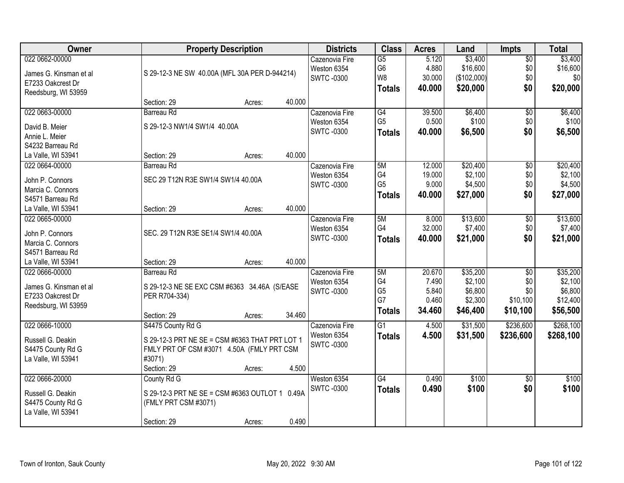| Owner                  |                                                | <b>Property Description</b> |        | <b>Districts</b> | <b>Class</b>    | <b>Acres</b> | Land        | Impts           | <b>Total</b> |
|------------------------|------------------------------------------------|-----------------------------|--------|------------------|-----------------|--------------|-------------|-----------------|--------------|
| 022 0662-00000         |                                                |                             |        | Cazenovia Fire   | $\overline{G5}$ | 5.120        | \$3,400     | $\overline{50}$ | \$3,400      |
| James G. Kinsman et al | S 29-12-3 NE SW 40.00A (MFL 30A PER D-944214)  |                             |        | Weston 6354      | G6              | 4.880        | \$16,600    | \$0             | \$16,600     |
| E7233 Oakcrest Dr      |                                                |                             |        | <b>SWTC-0300</b> | W <sub>8</sub>  | 30.000       | (\$102,000) | \$0             | \$0          |
| Reedsburg, WI 53959    |                                                |                             |        |                  | <b>Totals</b>   | 40.000       | \$20,000    | \$0             | \$20,000     |
|                        | Section: 29                                    | Acres:                      | 40.000 |                  |                 |              |             |                 |              |
| 022 0663-00000         | Barreau Rd                                     |                             |        | Cazenovia Fire   | G4              | 39.500       | \$6,400     | $\overline{50}$ | \$6,400      |
| David B. Meier         | S 29-12-3 NW1/4 SW1/4 40.00A                   |                             |        | Weston 6354      | G <sub>5</sub>  | 0.500        | \$100       | \$0             | \$100        |
| Annie L. Meier         |                                                |                             |        | <b>SWTC-0300</b> | <b>Totals</b>   | 40.000       | \$6,500     | \$0             | \$6,500      |
| S4232 Barreau Rd       |                                                |                             |        |                  |                 |              |             |                 |              |
| La Valle, WI 53941     | Section: 29                                    | Acres:                      | 40.000 |                  |                 |              |             |                 |              |
| 022 0664-00000         | Barreau Rd                                     |                             |        | Cazenovia Fire   | 5M              | 12.000       | \$20,400    | $\overline{50}$ | \$20,400     |
|                        |                                                |                             |        | Weston 6354      | G4              | 19.000       | \$2,100     | \$0             | \$2,100      |
| John P. Connors        | SEC 29 T12N R3E SW1/4 SW1/4 40.00A             |                             |        | <b>SWTC-0300</b> | G <sub>5</sub>  | 9.000        | \$4,500     | \$0             | \$4,500      |
| Marcia C. Connors      |                                                |                             |        |                  | <b>Totals</b>   | 40.000       | \$27,000    | \$0             | \$27,000     |
| S4571 Barreau Rd       |                                                |                             |        |                  |                 |              |             |                 |              |
| La Valle, WI 53941     | Section: 29                                    | Acres:                      | 40.000 |                  |                 |              |             |                 |              |
| 022 0665-00000         |                                                |                             |        | Cazenovia Fire   | 5M              | 8.000        | \$13,600    | \$0             | \$13,600     |
| John P. Connors        | SEC. 29 T12N R3E SE1/4 SW1/4 40.00A            |                             |        | Weston 6354      | G4              | 32.000       | \$7,400     | \$0             | \$7,400      |
| Marcia C. Connors      |                                                |                             |        | <b>SWTC-0300</b> | <b>Totals</b>   | 40.000       | \$21,000    | \$0             | \$21,000     |
| S4571 Barreau Rd       |                                                |                             |        |                  |                 |              |             |                 |              |
| La Valle, WI 53941     | Section: 29                                    | Acres:                      | 40.000 |                  |                 |              |             |                 |              |
| 022 0666-00000         | <b>Barreau Rd</b>                              |                             |        | Cazenovia Fire   | 5M              | 20.670       | \$35,200    | $\overline{50}$ | \$35,200     |
|                        |                                                |                             |        | Weston 6354      | G4              | 7.490        | \$2,100     | \$0             | \$2,100      |
| James G. Kinsman et al | S 29-12-3 NE SE EXC CSM #6363 34.46A (S/EASE   |                             |        | <b>SWTC-0300</b> | G <sub>5</sub>  | 5.840        | \$6,800     | \$0             | \$6,800      |
| E7233 Oakcrest Dr      | PER R704-334)                                  |                             |        |                  | G7              | 0.460        | \$2,300     | \$10,100        | \$12,400     |
| Reedsburg, WI 53959    |                                                |                             |        |                  | <b>Totals</b>   | 34.460       | \$46,400    | \$10,100        | \$56,500     |
|                        | Section: 29                                    | Acres:                      | 34.460 |                  |                 |              |             |                 |              |
| 022 0666-10000         | S4475 County Rd G                              |                             |        | Cazenovia Fire   | G1              | 4.500        | \$31,500    | \$236,600       | \$268,100    |
| Russell G. Deakin      | S 29-12-3 PRT NE SE = CSM #6363 THAT PRT LOT 1 |                             |        | Weston 6354      | <b>Totals</b>   | 4.500        | \$31,500    | \$236,600       | \$268,100    |
| S4475 County Rd G      | FMLY PRT OF CSM #3071 4.50A (FMLY PRT CSM      |                             |        | <b>SWTC-0300</b> |                 |              |             |                 |              |
| La Valle, WI 53941     | #3071)                                         |                             |        |                  |                 |              |             |                 |              |
|                        | Section: 29                                    | Acres:                      | 4.500  |                  |                 |              |             |                 |              |
| 022 0666-20000         | County Rd G                                    |                             |        | Weston 6354      | $\overline{G4}$ | 0.490        | \$100       | $\overline{50}$ | \$100        |
| Russell G. Deakin      | S 29-12-3 PRT NE SE = CSM #6363 OUTLOT 1 0.49A |                             |        | <b>SWTC-0300</b> | <b>Totals</b>   | 0.490        | \$100       | \$0             | \$100        |
|                        |                                                |                             |        |                  |                 |              |             |                 |              |
| S4475 County Rd G      | (FMLY PRT CSM #3071)                           |                             |        |                  |                 |              |             |                 |              |
| La Valle, WI 53941     |                                                |                             | 0.490  |                  |                 |              |             |                 |              |
|                        | Section: 29                                    | Acres:                      |        |                  |                 |              |             |                 |              |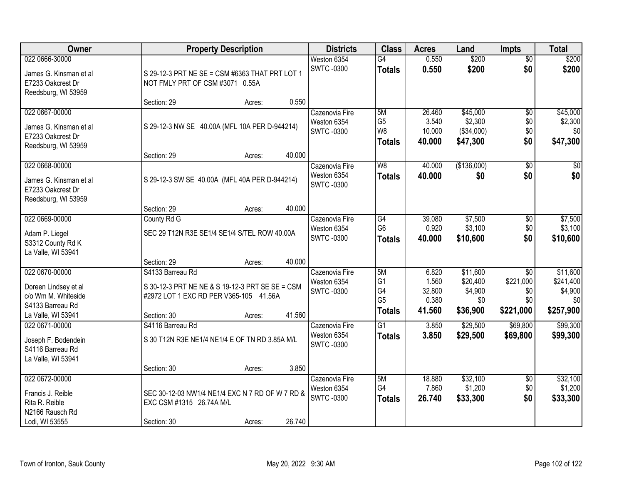| Owner                                                                                                   | <b>Property Description</b>                                                                                                                      | <b>Districts</b>                                   | <b>Class</b>                                                  | <b>Acres</b>                                | Land                                               | <b>Impts</b>                                            | <b>Total</b>                                         |
|---------------------------------------------------------------------------------------------------------|--------------------------------------------------------------------------------------------------------------------------------------------------|----------------------------------------------------|---------------------------------------------------------------|---------------------------------------------|----------------------------------------------------|---------------------------------------------------------|------------------------------------------------------|
| 022 0666-30000<br>James G. Kinsman et al<br>E7233 Oakcrest Dr<br>Reedsburg, WI 53959                    | S 29-12-3 PRT NE SE = CSM #6363 THAT PRT LOT 1<br>NOT FMLY PRT OF CSM #3071 0.55A                                                                | Weston 6354<br><b>SWTC-0300</b>                    | $\overline{G4}$<br><b>Totals</b>                              | 0.550<br>0.550                              | \$200<br>\$200                                     | $\overline{50}$<br>\$0                                  | \$200<br>\$200                                       |
|                                                                                                         | 0.550<br>Section: 29<br>Acres:                                                                                                                   |                                                    |                                                               |                                             |                                                    |                                                         |                                                      |
| 022 0667-00000<br>James G. Kinsman et al<br>E7233 Oakcrest Dr<br>Reedsburg, WI 53959                    | S 29-12-3 NW SE 40.00A (MFL 10A PER D-944214)<br>40.000<br>Section: 29<br>Acres:                                                                 | Cazenovia Fire<br>Weston 6354<br><b>SWTC-0300</b>  | 5M<br>G <sub>5</sub><br>W <sub>8</sub><br><b>Totals</b>       | 26.460<br>3.540<br>10.000<br>40.000         | \$45,000<br>\$2,300<br>(\$34,000)<br>\$47,300      | $\overline{50}$<br>\$0<br>\$0<br>\$0                    | \$45,000<br>\$2,300<br>\$0<br>\$47,300               |
| 022 0668-00000                                                                                          |                                                                                                                                                  | Cazenovia Fire                                     | W <sub>8</sub>                                                | 40.000                                      | (\$136,000)                                        | $\overline{50}$                                         | $\overline{30}$                                      |
| James G. Kinsman et al<br>E7233 Oakcrest Dr<br>Reedsburg, WI 53959                                      | S 29-12-3 SW SE 40.00A (MFL 40A PER D-944214)                                                                                                    | Weston 6354<br><b>SWTC-0300</b>                    | <b>Totals</b>                                                 | 40.000                                      | \$0                                                | \$0                                                     | \$0                                                  |
|                                                                                                         | 40.000<br>Section: 29<br>Acres:                                                                                                                  |                                                    |                                                               |                                             |                                                    |                                                         |                                                      |
| 022 0669-00000<br>Adam P. Liegel<br>S3312 County Rd K<br>La Valle, WI 53941                             | County Rd G<br>SEC 29 T12N R3E SE1/4 SE1/4 S/TEL ROW 40.00A                                                                                      | Cazenovia Fire<br>Weston 6354<br><b>SWTC-0300</b>  | G4<br>G <sub>6</sub><br><b>Totals</b>                         | 39.080<br>0.920<br>40.000                   | \$7,500<br>\$3,100<br>\$10,600                     | \$0<br>\$0<br>\$0                                       | \$7,500<br>\$3,100<br>\$10,600                       |
|                                                                                                         | 40.000<br>Section: 29<br>Acres:                                                                                                                  |                                                    |                                                               |                                             |                                                    |                                                         |                                                      |
| 022 0670-00000<br>Doreen Lindsey et al<br>c/o Wm M. Whiteside<br>S4133 Barreau Rd<br>La Valle, WI 53941 | S4133 Barreau Rd<br>S 30-12-3 PRT NE NE & S 19-12-3 PRT SE SE = CSM<br>#2972 LOT 1 EXC RD PER V365-105 41.56A<br>41.560<br>Section: 30<br>Acres: | Cazenovia Fire<br>Weston 6354<br><b>SWTC -0300</b> | 5M<br>G <sub>1</sub><br>G4<br>G <sub>5</sub><br><b>Totals</b> | 6.820<br>1.560<br>32.800<br>0.380<br>41.560 | \$11,600<br>\$20,400<br>\$4,900<br>\$0<br>\$36,900 | $\overline{30}$<br>\$221,000<br>\$0<br>\$0<br>\$221,000 | \$11,600<br>\$241,400<br>\$4,900<br>\$0<br>\$257,900 |
| 022 0671-00000<br>Joseph F. Bodendein<br>S4116 Barreau Rd<br>La Valle, WI 53941                         | S4116 Barreau Rd<br>S 30 T12N R3E NE1/4 NE1/4 E OF TN RD 3.85A M/L<br>3.850<br>Section: 30<br>Acres:                                             | Cazenovia Fire<br>Weston 6354<br><b>SWTC-0300</b>  | $\overline{G1}$<br><b>Totals</b>                              | 3.850<br>3.850                              | \$29,500<br>\$29,500                               | \$69,800<br>\$69,800                                    | \$99,300<br>\$99,300                                 |
| 022 0672-00000<br>Francis J. Reible<br>Rita R. Reible<br>N2166 Rausch Rd<br>Lodi, WI 53555              | SEC 30-12-03 NW1/4 NE1/4 EXC N 7 RD OF W 7 RD &<br>EXC CSM #1315 26.74A M/L<br>26.740<br>Section: 30<br>Acres:                                   | Cazenovia Fire<br>Weston 6354<br><b>SWTC-0300</b>  | 5M<br>G4<br><b>Totals</b>                                     | 18.880<br>7.860<br>26.740                   | \$32,100<br>\$1,200<br>\$33,300                    | $\overline{60}$<br>\$0<br>\$0                           | \$32,100<br>\$1,200<br>\$33,300                      |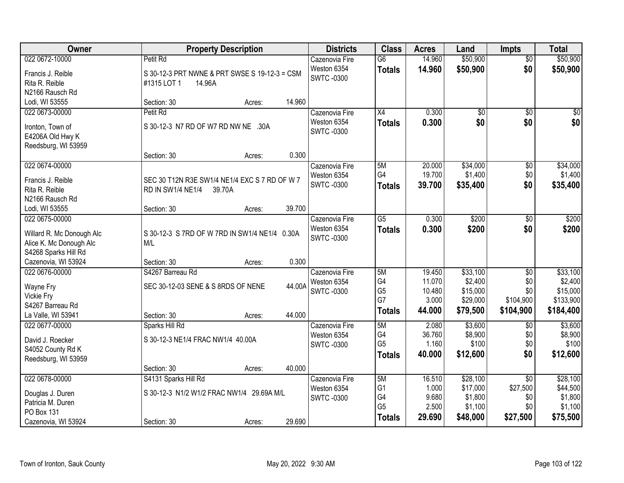| Owner                                           | <b>Property Description</b>                   | <b>Districts</b> | <b>Class</b>         | <b>Acres</b>    | Land             | <b>Impts</b>    | <b>Total</b>     |
|-------------------------------------------------|-----------------------------------------------|------------------|----------------------|-----------------|------------------|-----------------|------------------|
| 022 0672-10000                                  | Petit Rd                                      | Cazenovia Fire   | $\overline{G6}$      | 14.960          | \$50,900         | \$0             | \$50,900         |
| Francis J. Reible                               | S 30-12-3 PRT NWNE & PRT SWSE S 19-12-3 = CSM | Weston 6354      | <b>Totals</b>        | 14.960          | \$50,900         | \$0             | \$50,900         |
| Rita R. Reible                                  | 14.96A<br>#1315 LOT 1                         | <b>SWTC-0300</b> |                      |                 |                  |                 |                  |
| N2166 Rausch Rd                                 |                                               |                  |                      |                 |                  |                 |                  |
| Lodi, WI 53555                                  | 14.960<br>Section: 30<br>Acres:               |                  |                      |                 |                  |                 |                  |
| 022 0673-00000                                  | Petit Rd                                      | Cazenovia Fire   | X4                   | 0.300           | $\overline{60}$  | $\overline{50}$ | \$0              |
| Ironton, Town of                                | S 30-12-3 N7 RD OF W7 RD NW NE .30A           | Weston 6354      | <b>Totals</b>        | 0.300           | \$0              | \$0             | \$0              |
| E4206A Old Hwy K                                |                                               | <b>SWTC-0300</b> |                      |                 |                  |                 |                  |
| Reedsburg, WI 53959                             |                                               |                  |                      |                 |                  |                 |                  |
|                                                 | 0.300<br>Section: 30<br>Acres:                |                  |                      |                 |                  |                 |                  |
| 022 0674-00000                                  |                                               | Cazenovia Fire   | 5M                   | 20.000          | \$34,000         | \$0             | \$34,000         |
| Francis J. Reible                               | SEC 30 T12N R3E SW1/4 NE1/4 EXC S 7 RD OF W 7 | Weston 6354      | G4                   | 19.700          | \$1,400          | \$0             | \$1,400          |
| Rita R. Reible                                  | RD IN SW1/4 NE1/4<br>39.70A                   | <b>SWTC-0300</b> | <b>Totals</b>        | 39.700          | \$35,400         | \$0             | \$35,400         |
| N2166 Rausch Rd                                 |                                               |                  |                      |                 |                  |                 |                  |
| Lodi, WI 53555                                  | 39.700<br>Section: 30<br>Acres:               |                  |                      |                 |                  |                 |                  |
| 022 0675-00000                                  |                                               | Cazenovia Fire   | $\overline{G5}$      | 0.300           | \$200            | \$0             | \$200            |
|                                                 |                                               | Weston 6354      | <b>Totals</b>        | 0.300           | \$200            | \$0             | \$200            |
| Willard R. Mc Donough Alc                       | S 30-12-3 S 7RD OF W 7RD IN SW1/4 NE1/4 0.30A | <b>SWTC-0300</b> |                      |                 |                  |                 |                  |
| Alice K. Mc Donough Alc<br>S4268 Sparks Hill Rd | M/L                                           |                  |                      |                 |                  |                 |                  |
| Cazenovia, WI 53924                             | 0.300<br>Section: 30<br>Acres:                |                  |                      |                 |                  |                 |                  |
| 022 0676-00000                                  | S4267 Barreau Rd                              | Cazenovia Fire   | 5M                   | 19.450          | \$33,100         | $\overline{50}$ | \$33,100         |
|                                                 |                                               | Weston 6354      | G4                   | 11.070          | \$2,400          | \$0             | \$2,400          |
| Wayne Fry                                       | 44.00A<br>SEC 30-12-03 SENE & S 8RDS OF NENE  | <b>SWTC-0300</b> | G <sub>5</sub>       | 10.480          | \$15,000         | \$0             | \$15,000         |
| <b>Vickie Fry</b>                               |                                               |                  | G7                   | 3.000           | \$29,000         | \$104,900       | \$133,900        |
| S4267 Barreau Rd                                |                                               |                  | <b>Totals</b>        | 44.000          | \$79,500         | \$104,900       | \$184,400        |
| La Valle, WI 53941                              | 44.000<br>Section: 30<br>Acres:               |                  |                      |                 |                  |                 |                  |
| 022 0677-00000                                  | Sparks Hill Rd                                | Cazenovia Fire   | 5M                   | 2.080           | \$3,600          | \$0             | \$3,600          |
| David J. Roecker                                | S 30-12-3 NE1/4 FRAC NW1/4 40.00A             | Weston 6354      | G4<br>G <sub>5</sub> | 36.760<br>1.160 | \$8,900<br>\$100 | \$0<br>\$0      | \$8,900<br>\$100 |
| S4052 County Rd K                               |                                               | <b>SWTC-0300</b> |                      | 40.000          |                  | \$0             |                  |
| Reedsburg, WI 53959                             |                                               |                  | <b>Totals</b>        |                 | \$12,600         |                 | \$12,600         |
|                                                 | 40.000<br>Section: 30<br>Acres:               |                  |                      |                 |                  |                 |                  |
| 022 0678-00000                                  | S4131 Sparks Hill Rd                          | Cazenovia Fire   | 5M                   | 16.510          | \$28,100         | $\overline{50}$ | \$28,100         |
| Douglas J. Duren                                | S 30-12-3 N1/2 W1/2 FRAC NW1/4 29.69A M/L     | Weston 6354      | G <sub>1</sub>       | 1.000           | \$17,000         | \$27,500        | \$44,500         |
| Patricia M. Duren                               |                                               | <b>SWTC-0300</b> | G4                   | 9.680           | \$1,800          | \$0             | \$1,800          |
| <b>PO Box 131</b>                               |                                               |                  | G <sub>5</sub>       | 2.500           | \$1,100          | \$0             | \$1,100          |
| Cazenovia, WI 53924                             | 29.690<br>Section: 30<br>Acres:               |                  | <b>Totals</b>        | 29.690          | \$48,000         | \$27,500        | \$75,500         |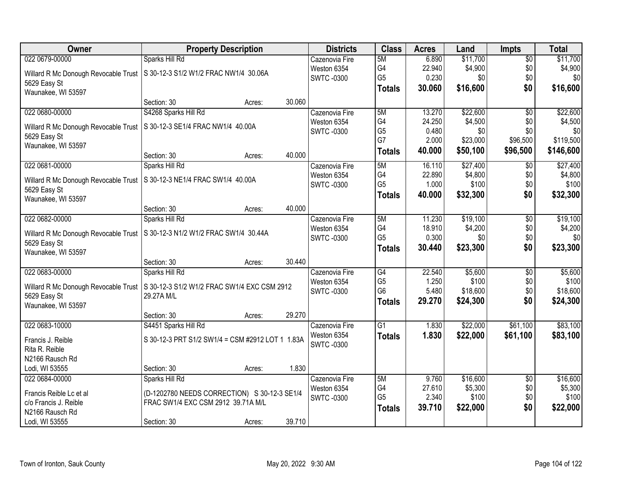| Owner                                                | <b>Property Description</b>                                                  |        | <b>Districts</b>  | <b>Class</b>    | <b>Acres</b> | Land     | <b>Impts</b>    | <b>Total</b> |
|------------------------------------------------------|------------------------------------------------------------------------------|--------|-------------------|-----------------|--------------|----------|-----------------|--------------|
| 022 0679-00000                                       | Sparks Hill Rd                                                               |        | Cazenovia Fire    | 5M              | 6.890        | \$11,700 | $\overline{50}$ | \$11,700     |
|                                                      | Willard R Mc Donough Revocable Trust   S 30-12-3 S1/2 W1/2 FRAC NW1/4 30.06A |        | Weston 6354       | G4              | 22.940       | \$4,900  | \$0             | \$4,900      |
| 5629 Easy St                                         |                                                                              |        | <b>SWTC-0300</b>  | G <sub>5</sub>  | 0.230        | \$0      | \$0             | \$0          |
| Waunakee, WI 53597                                   |                                                                              |        |                   | <b>Totals</b>   | 30.060       | \$16,600 | \$0             | \$16,600     |
|                                                      | Section: 30<br>Acres:                                                        | 30.060 |                   |                 |              |          |                 |              |
| 022 0680-00000                                       | S4268 Sparks Hill Rd                                                         |        | Cazenovia Fire    | 5M              | 13.270       | \$22,600 | $\overline{50}$ | \$22,600     |
|                                                      | S 30-12-3 SE1/4 FRAC NW1/4 40.00A                                            |        | Weston 6354       | G4              | 24.250       | \$4,500  | \$0             | \$4,500      |
| Willard R Mc Donough Revocable Trust<br>5629 Easy St |                                                                              |        | <b>SWTC-0300</b>  | G <sub>5</sub>  | 0.480        | \$0      | \$0             | \$0          |
| Waunakee, WI 53597                                   |                                                                              |        |                   | G7              | 2.000        | \$23,000 | \$96,500        | \$119,500    |
|                                                      | Section: 30<br>Acres:                                                        | 40.000 |                   | <b>Totals</b>   | 40.000       | \$50,100 | \$96,500        | \$146,600    |
| 022 0681-00000                                       | Sparks Hill Rd                                                               |        | Cazenovia Fire    | 5M              | 16.110       | \$27,400 | \$0             | \$27,400     |
| Willard R Mc Donough Revocable Trust                 | S 30-12-3 NE1/4 FRAC SW1/4 40.00A                                            |        | Weston 6354       | G4              | 22.890       | \$4,800  | \$0             | \$4,800      |
| 5629 Easy St                                         |                                                                              |        | <b>SWTC -0300</b> | G <sub>5</sub>  | 1.000        | \$100    | \$0             | \$100        |
| Waunakee, WI 53597                                   |                                                                              |        |                   | <b>Totals</b>   | 40.000       | \$32,300 | \$0             | \$32,300     |
|                                                      | Section: 30<br>Acres:                                                        | 40.000 |                   |                 |              |          |                 |              |
| 022 0682-00000                                       | Sparks Hill Rd                                                               |        | Cazenovia Fire    | 5M              | 11.230       | \$19,100 | \$0             | \$19,100     |
|                                                      |                                                                              |        | Weston 6354       | G4              | 18.910       | \$4,200  | \$0             | \$4,200      |
| Willard R Mc Donough Revocable Trust<br>5629 Easy St | S 30-12-3 N1/2 W1/2 FRAC SW1/4 30.44A                                        |        | <b>SWTC-0300</b>  | G <sub>5</sub>  | 0.300        | \$0      | \$0             | \$0          |
| Waunakee, WI 53597                                   |                                                                              |        |                   | <b>Totals</b>   | 30.440       | \$23,300 | \$0             | \$23,300     |
|                                                      | Section: 30<br>Acres:                                                        | 30.440 |                   |                 |              |          |                 |              |
| 022 0683-00000                                       | Sparks Hill Rd                                                               |        | Cazenovia Fire    | $\overline{G4}$ | 22.540       | \$5,600  | $\overline{50}$ | \$5,600      |
|                                                      |                                                                              |        | Weston 6354       | G <sub>5</sub>  | 1.250        | \$100    | \$0             | \$100        |
| Willard R Mc Donough Revocable Trust                 | S 30-12-3 S1/2 W1/2 FRAC SW1/4 EXC CSM 2912                                  |        | <b>SWTC -0300</b> | G <sub>6</sub>  | 5.480        | \$18,600 | \$0             | \$18,600     |
| 5629 Easy St                                         | 29.27A M/L                                                                   |        |                   | <b>Totals</b>   | 29.270       | \$24,300 | \$0             | \$24,300     |
| Waunakee, WI 53597                                   | Section: 30                                                                  | 29.270 |                   |                 |              |          |                 |              |
| 022 0683-10000                                       | Acres:<br>S4451 Sparks Hill Rd                                               |        | Cazenovia Fire    | $\overline{G1}$ | 1.830        | \$22,000 | \$61,100        | \$83,100     |
|                                                      |                                                                              |        | Weston 6354       |                 | 1.830        | \$22,000 | \$61,100        | \$83,100     |
| Francis J. Reible                                    | S 30-12-3 PRT S1/2 SW1/4 = CSM #2912 LOT 1 1.83A                             |        | SWTC-0300         | <b>Totals</b>   |              |          |                 |              |
| Rita R. Reible                                       |                                                                              |        |                   |                 |              |          |                 |              |
| N2166 Rausch Rd                                      |                                                                              |        |                   |                 |              |          |                 |              |
| Lodi, WI 53555                                       | Section: 30<br>Acres:                                                        | 1.830  |                   |                 |              |          |                 |              |
| 022 0684-00000                                       | Sparks Hill Rd                                                               |        | Cazenovia Fire    | 5M              | 9.760        | \$16,600 | $\overline{30}$ | \$16,600     |
| Francis Reible Lc et al                              | (D-1202780 NEEDS CORRECTION) S 30-12-3 SE1/4                                 |        | Weston 6354       | G4              | 27.610       | \$5,300  | \$0             | \$5,300      |
| c/o Francis J. Reible                                | FRAC SW1/4 EXC CSM 2912 39.71A M/L                                           |        | <b>SWTC -0300</b> | G <sub>5</sub>  | 2.340        | \$100    | \$0             | \$100        |
| N2166 Rausch Rd                                      |                                                                              |        |                   | <b>Totals</b>   | 39.710       | \$22,000 | \$0             | \$22,000     |
| Lodi, WI 53555                                       | Section: 30<br>Acres:                                                        | 39.710 |                   |                 |              |          |                 |              |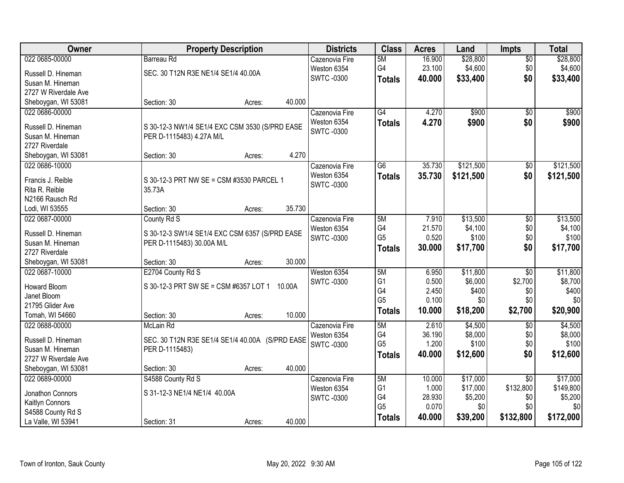| Owner                                 | <b>Property Description</b>                     | <b>Districts</b>  | <b>Class</b>   | <b>Acres</b> | Land      | <b>Impts</b>    | <b>Total</b> |
|---------------------------------------|-------------------------------------------------|-------------------|----------------|--------------|-----------|-----------------|--------------|
| 022 0685-00000                        | <b>Barreau Rd</b>                               | Cazenovia Fire    | 5M             | 16.900       | \$28,800  | $\overline{50}$ | \$28,800     |
| Russell D. Hineman                    | SEC. 30 T12N R3E NE1/4 SE1/4 40.00A             | Weston 6354       | G4             | 23.100       | \$4,600   | \$0             | \$4,600      |
| Susan M. Hineman                      |                                                 | <b>SWTC-0300</b>  | <b>Totals</b>  | 40.000       | \$33,400  | \$0             | \$33,400     |
| 2727 W Riverdale Ave                  |                                                 |                   |                |              |           |                 |              |
| Sheboygan, WI 53081                   | 40.000<br>Section: 30<br>Acres:                 |                   |                |              |           |                 |              |
| 022 0686-00000                        |                                                 | Cazenovia Fire    | G4             | 4.270        | \$900     | $\overline{50}$ | \$900        |
|                                       |                                                 | Weston 6354       | <b>Totals</b>  | 4.270        | \$900     | \$0             | \$900        |
| Russell D. Hineman                    | S 30-12-3 NW1/4 SE1/4 EXC CSM 3530 (S/PRD EASE  | <b>SWTC-0300</b>  |                |              |           |                 |              |
| Susan M. Hineman                      | PER D-1115483) 4.27A M/L                        |                   |                |              |           |                 |              |
| 2727 Riverdale                        |                                                 |                   |                |              |           |                 |              |
| Sheboygan, WI 53081                   | 4.270<br>Section: 30<br>Acres:                  |                   |                |              |           |                 |              |
| 022 0686-10000                        |                                                 | Cazenovia Fire    | G6             | 35.730       | \$121,500 | \$0             | \$121,500    |
| Francis J. Reible                     | S 30-12-3 PRT NW SE = CSM #3530 PARCEL 1        | Weston 6354       | <b>Totals</b>  | 35.730       | \$121,500 | \$0             | \$121,500    |
| Rita R. Reible                        | 35.73A                                          | <b>SWTC-0300</b>  |                |              |           |                 |              |
| N2166 Rausch Rd                       |                                                 |                   |                |              |           |                 |              |
| Lodi, WI 53555                        | 35.730<br>Section: 30<br>Acres:                 |                   |                |              |           |                 |              |
| 022 0687-00000                        | County Rd S                                     | Cazenovia Fire    | 5M             | 7.910        | \$13,500  | \$0             | \$13,500     |
|                                       |                                                 | Weston 6354       | G4             | 21.570       | \$4,100   | \$0             | \$4,100      |
| Russell D. Hineman                    | S 30-12-3 SW1/4 SE1/4 EXC CSM 6357 (S/PRD EASE  | <b>SWTC -0300</b> | G <sub>5</sub> | 0.520        | \$100     | \$0             | \$100        |
| Susan M. Hineman<br>2727 Riverdale    | PER D-1115483) 30.00A M/L                       |                   | <b>Totals</b>  | 30.000       | \$17,700  | \$0             | \$17,700     |
|                                       | 30.000<br>Section: 30                           |                   |                |              |           |                 |              |
| Sheboygan, WI 53081<br>022 0687-10000 | Acres:<br>E2704 County Rd S                     |                   | 5M             | 6.950        | \$11,800  | $\overline{30}$ | \$11,800     |
|                                       |                                                 | Weston 6354       | G <sub>1</sub> | 0.500        | \$6,000   | \$2,700         | \$8,700      |
| <b>Howard Bloom</b>                   | S 30-12-3 PRT SW SE = CSM #6357 LOT 1 10.00A    | <b>SWTC -0300</b> | G4             | 2.450        | \$400     | \$0             | \$400        |
| Janet Bloom                           |                                                 |                   | G <sub>5</sub> | 0.100        | \$0       | \$0             | \$0          |
| 21795 Glider Ave                      |                                                 |                   | <b>Totals</b>  | 10.000       | \$18,200  | \$2,700         | \$20,900     |
| Tomah, WI 54660                       | 10.000<br>Section: 30<br>Acres:                 |                   |                |              |           |                 |              |
| 022 0688-00000                        | McLain Rd                                       | Cazenovia Fire    | 5M             | 2.610        | \$4,500   | $\overline{50}$ | \$4,500      |
| Russell D. Hineman                    | SEC. 30 T12N R3E SE1/4 SE1/4 40.00A (S/PRD EASE | Weston 6354       | G4             | 36.190       | \$8,000   | \$0             | \$8,000      |
| Susan M. Hineman                      | PER D-1115483)                                  | <b>SWTC -0300</b> | G <sub>5</sub> | 1.200        | \$100     | \$0             | \$100        |
| 2727 W Riverdale Ave                  |                                                 |                   | <b>Totals</b>  | 40.000       | \$12,600  | \$0             | \$12,600     |
| Sheboygan, WI 53081                   | 40.000<br>Section: 30<br>Acres:                 |                   |                |              |           |                 |              |
| 022 0689-00000                        | S4588 County Rd S                               | Cazenovia Fire    | 5M             | 10.000       | \$17,000  | $\overline{50}$ | \$17,000     |
|                                       |                                                 | Weston 6354       | G <sub>1</sub> | 1.000        | \$17,000  | \$132,800       | \$149,800    |
| Jonathon Connors                      | S 31-12-3 NE1/4 NE1/4 40.00A                    | <b>SWTC-0300</b>  | G4             | 28.930       | \$5,200   | \$0             | \$5,200      |
| Kaitlyn Connors                       |                                                 |                   | G <sub>5</sub> | 0.070        | \$0       | \$0             | \$0          |
| S4588 County Rd S                     |                                                 |                   | <b>Totals</b>  | 40.000       | \$39,200  | \$132,800       | \$172,000    |
| La Valle, WI 53941                    | 40.000<br>Section: 31<br>Acres:                 |                   |                |              |           |                 |              |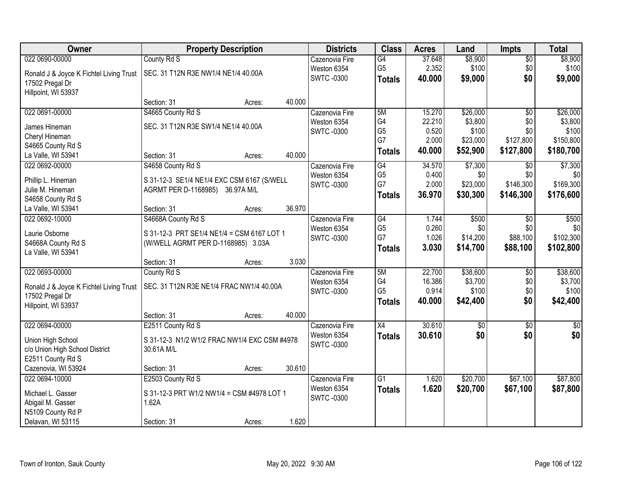| Owner                                   | <b>Property Description</b>                  | <b>Districts</b>              | <b>Class</b>    | <b>Acres</b> | Land        | <b>Impts</b>    | <b>Total</b>  |
|-----------------------------------------|----------------------------------------------|-------------------------------|-----------------|--------------|-------------|-----------------|---------------|
| 022 0690-00000                          | County Rd S                                  | Cazenovia Fire                | G4              | 37.648       | \$8,900     | $\overline{50}$ | \$8,900       |
| Ronald J & Joyce K Fichtel Living Trust | SEC. 31 T12N R3E NW1/4 NE1/4 40.00A          | Weston 6354                   | G <sub>5</sub>  | 2.352        | \$100       | \$0             | \$100         |
| 17502 Pregal Dr                         |                                              | <b>SWTC-0300</b>              | <b>Totals</b>   | 40.000       | \$9,000     | \$0             | \$9,000       |
| Hillpoint, WI 53937                     |                                              |                               |                 |              |             |                 |               |
|                                         | 40.000<br>Section: 31<br>Acres:              |                               |                 |              |             |                 |               |
| 022 0691-00000                          | S4665 County Rd S                            | Cazenovia Fire                | 5M              | 15.270       | \$26,000    | $\overline{50}$ | \$26,000      |
| James Hineman                           | SEC. 31 T12N R3E SW1/4 NE1/4 40.00A          | Weston 6354                   | G4              | 22.210       | \$3,800     | \$0             | \$3,800       |
| Cheryl Hineman                          |                                              | <b>SWTC-0300</b>              | G <sub>5</sub>  | 0.520        | \$100       | \$0             | \$100         |
| S4665 County Rd S                       |                                              |                               | G7              | 2.000        | \$23,000    | \$127,800       | \$150,800     |
| La Valle, WI 53941                      | 40.000<br>Section: 31<br>Acres:              |                               | <b>Totals</b>   | 40.000       | \$52,900    | \$127,800       | \$180,700     |
| 022 0692-00000                          | S4658 County Rd S                            | Cazenovia Fire                | G4              | 34.570       | \$7,300     | \$0             | \$7,300       |
|                                         |                                              | Weston 6354                   | G <sub>5</sub>  | 0.400        | \$0         | \$0             | \$0           |
| Phillip L. Hineman                      | S 31-12-3 SE1/4 NE1/4 EXC CSM 6167 (S/WELL   | <b>SWTC -0300</b>             | G7              | 2.000        | \$23,000    | \$146,300       | \$169,300     |
| Julie M. Hineman                        | AGRMT PER D-1168985) 36.97A M/L              |                               | <b>Totals</b>   | 36.970       | \$30,300    | \$146,300       | \$176,600     |
| S4658 County Rd S                       | 36.970<br>Section: 31                        |                               |                 |              |             |                 |               |
| La Valle, WI 53941<br>022 0692-10000    | Acres:                                       |                               | G4              | 1.744        | \$500       |                 | \$500         |
|                                         | S4668A County Rd S                           | Cazenovia Fire<br>Weston 6354 | G <sub>5</sub>  | 0.260        | \$0         | \$0<br>\$0      | \$0           |
| Laurie Osborne                          | S 31-12-3 PRT SE1/4 NE1/4 = CSM 6167 LOT 1   | <b>SWTC-0300</b>              | G7              | 1.026        | \$14,200    | \$88,100        | \$102,300     |
| S4668A County Rd S                      | (W/WELL AGRMT PER D-1168985) 3.03A           |                               |                 | 3.030        | \$14,700    | \$88,100        | \$102,800     |
| La Valle, WI 53941                      |                                              |                               | <b>Totals</b>   |              |             |                 |               |
|                                         | 3.030<br>Section: 31<br>Acres:               |                               |                 |              |             |                 |               |
| 022 0693-00000                          | County Rd S                                  | Cazenovia Fire                | 5M              | 22.700       | \$38,600    | $\overline{50}$ | \$38,600      |
| Ronald J & Joyce K Fichtel Living Trust | SEC. 31 T12N R3E NE1/4 FRAC NW1/4 40.00A     | Weston 6354                   | G <sub>4</sub>  | 16.386       | \$3,700     | \$0             | \$3,700       |
| 17502 Pregal Dr                         |                                              | <b>SWTC-0300</b>              | G <sub>5</sub>  | 0.914        | \$100       | \$0             | \$100         |
| Hillpoint, WI 53937                     |                                              |                               | <b>Totals</b>   | 40.000       | \$42,400    | \$0             | \$42,400      |
|                                         | 40.000<br>Section: 31<br>Acres:              |                               |                 |              |             |                 |               |
| 022 0694-00000                          | E2511 County Rd S                            | Cazenovia Fire                | X4              | 30.610       | $\sqrt{$0}$ | $\sqrt{6}$      | $\frac{1}{6}$ |
| Union High School                       | S 31-12-3 N1/2 W1/2 FRAC NW1/4 EXC CSM #4978 | Weston 6354                   | <b>Totals</b>   | 30.610       | \$0         | \$0             | \$0           |
| c/o Union High School District          | 30.61A M/L                                   | <b>SWTC-0300</b>              |                 |              |             |                 |               |
| E2511 County Rd S                       |                                              |                               |                 |              |             |                 |               |
| Cazenovia, WI 53924                     | 30.610<br>Section: 31<br>Acres:              |                               |                 |              |             |                 |               |
| 022 0694-10000                          | E2503 County Rd S                            | Cazenovia Fire                | $\overline{G1}$ | 1.620        | \$20,700    | \$67,100        | \$87,800      |
|                                         |                                              | Weston 6354                   | <b>Totals</b>   | 1.620        | \$20,700    | \$67,100        | \$87,800      |
| Michael L. Gasser                       | S 31-12-3 PRT W1/2 NW1/4 = CSM #4978 LOT 1   | <b>SWTC -0300</b>             |                 |              |             |                 |               |
| Abigail M. Gasser                       | 1.62A                                        |                               |                 |              |             |                 |               |
| N5109 County Rd P                       | 1.620                                        |                               |                 |              |             |                 |               |
| Delavan, WI 53115                       | Section: 31<br>Acres:                        |                               |                 |              |             |                 |               |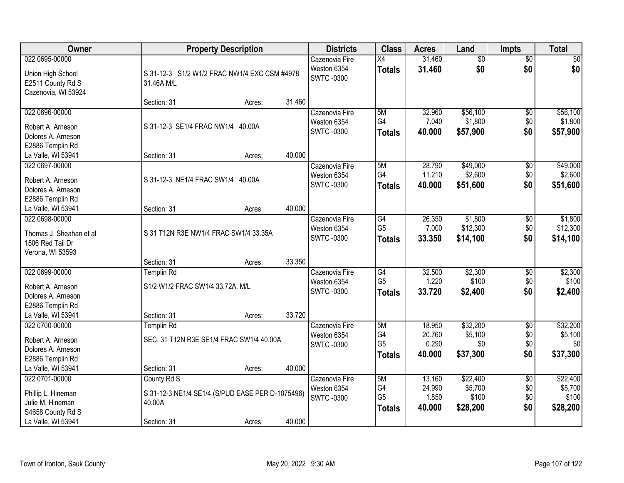| Owner                                                                                               | <b>Property Description</b>                                                              |                  | <b>Districts</b>                                   | <b>Class</b>                                       | <b>Acres</b>                        | Land                                     | <b>Impts</b>                         | <b>Total</b>                             |
|-----------------------------------------------------------------------------------------------------|------------------------------------------------------------------------------------------|------------------|----------------------------------------------------|----------------------------------------------------|-------------------------------------|------------------------------------------|--------------------------------------|------------------------------------------|
| 022 0695-00000<br>Union High School<br>E2511 County Rd S<br>Cazenovia, WI 53924                     | S 31-12-3 S1/2 W1/2 FRAC NW1/4 EXC CSM #4978<br>31.46A M/L                               |                  | Cazenovia Fire<br>Weston 6354<br><b>SWTC-0300</b>  | $\overline{X4}$<br><b>Totals</b>                   | 31.460<br>31.460                    | $\overline{60}$<br>\$0                   | $\overline{60}$<br>\$0               | \$0<br>\$0                               |
|                                                                                                     | Section: 31                                                                              | 31.460<br>Acres: |                                                    |                                                    |                                     |                                          |                                      |                                          |
| 022 0696-00000<br>Robert A. Arneson<br>Dolores A. Arneson<br>E2886 Templin Rd                       | S 31-12-3 SE1/4 FRAC NW1/4 40.00A                                                        |                  | Cazenovia Fire<br>Weston 6354<br><b>SWTC-0300</b>  | 5M<br>G4<br><b>Totals</b>                          | 32.960<br>7.040<br>40.000           | \$56,100<br>\$1,800<br>\$57,900          | $\overline{50}$<br>\$0<br>\$0        | \$56,100<br>\$1,800<br>\$57,900          |
| La Valle, WI 53941                                                                                  | Section: 31                                                                              | 40.000<br>Acres: |                                                    |                                                    |                                     |                                          |                                      |                                          |
| 022 0697-00000<br>Robert A. Arneson<br>Dolores A. Arneson<br>E2886 Templin Rd                       | S 31-12-3 NE1/4 FRAC SW1/4 40.00A                                                        |                  | Cazenovia Fire<br>Weston 6354<br><b>SWTC-0300</b>  | 5M<br>G4<br><b>Totals</b>                          | 28.790<br>11.210<br>40.000          | \$49,000<br>\$2,600<br>\$51,600          | $\sqrt[6]{3}$<br>\$0<br>\$0          | \$49,000<br>\$2,600<br>\$51,600          |
| La Valle, WI 53941                                                                                  | Section: 31                                                                              | 40.000<br>Acres: |                                                    |                                                    |                                     |                                          |                                      |                                          |
| 022 0698-00000<br>Thomas J. Sheahan et al<br>1506 Red Tail Dr<br>Verona, WI 53593                   | S 31 T12N R3E NW1/4 FRAC SW1/4 33.35A                                                    |                  | Cazenovia Fire<br>Weston 6354<br><b>SWTC-0300</b>  | G4<br>G <sub>5</sub><br><b>Totals</b>              | 26.350<br>7.000<br>33.350           | \$1,800<br>\$12,300<br>\$14,100          | $\sqrt[6]{3}$<br>\$0<br>\$0          | \$1,800<br>\$12,300<br>\$14,100          |
|                                                                                                     | Section: 31                                                                              | 33.350<br>Acres: |                                                    |                                                    |                                     |                                          |                                      |                                          |
| 022 0699-00000<br>Robert A. Arneson<br>Dolores A. Arneson<br>E2886 Templin Rd<br>La Valle, WI 53941 | <b>Templin Rd</b><br>S1/2 W1/2 FRAC SW1/4 33.72A. M/L<br>Section: 31                     | 33.720<br>Acres: | Cazenovia Fire<br>Weston 6354<br><b>SWTC -0300</b> | $\overline{G4}$<br>G <sub>5</sub><br><b>Totals</b> | 32.500<br>1.220<br>33.720           | \$2,300<br>\$100<br>\$2,400              | \$0<br>\$0<br>\$0                    | \$2,300<br>\$100<br>\$2,400              |
| 022 0700-00000<br>Robert A. Arneson<br>Dolores A. Arneson<br>E2886 Templin Rd<br>La Valle, WI 53941 | <b>Templin Rd</b><br>SEC. 31 T12N R3E SE1/4 FRAC SW1/4 40.00A<br>Section: 31             | 40.000<br>Acres: | Cazenovia Fire<br>Weston 6354<br><b>SWTC-0300</b>  | 5M<br>G4<br>G <sub>5</sub><br><b>Totals</b>        | 18.950<br>20.760<br>0.290<br>40.000 | \$32,200<br>\$5,100<br>\$0<br>\$37,300   | $\overline{50}$<br>\$0<br>\$0<br>\$0 | \$32,200<br>\$5,100<br>\$0<br>\$37,300   |
| 022 0701-00000<br>Phillip L. Hineman<br>Julie M. Hineman<br>S4658 County Rd S<br>La Valle, WI 53941 | County Rd S<br>S 31-12-3 NE1/4 SE1/4 (S/PUD EASE PER D-1075496)<br>40.00A<br>Section: 31 | 40.000<br>Acres: | Cazenovia Fire<br>Weston 6354<br><b>SWTC-0300</b>  | 5M<br>G4<br>G <sub>5</sub><br><b>Totals</b>        | 13.160<br>24.990<br>1.850<br>40.000 | \$22,400<br>\$5,700<br>\$100<br>\$28,200 | $\overline{50}$<br>\$0<br>\$0<br>\$0 | \$22,400<br>\$5,700<br>\$100<br>\$28,200 |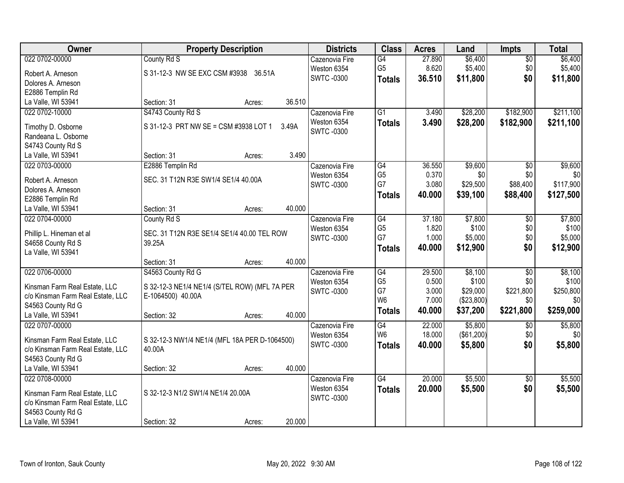| Owner                             | <b>Property Description</b>                   |        | <b>Districts</b>              | <b>Class</b>         | <b>Acres</b>   | Land       | <b>Impts</b>    | <b>Total</b>     |
|-----------------------------------|-----------------------------------------------|--------|-------------------------------|----------------------|----------------|------------|-----------------|------------------|
| 022 0702-00000                    | County Rd S                                   |        | Cazenovia Fire                | G4                   | 27.890         | \$6,400    | $\overline{50}$ | \$6,400          |
| Robert A. Arneson                 | S 31-12-3 NW SE EXC CSM #3938 36.51A          |        | Weston 6354                   | G <sub>5</sub>       | 8.620          | \$5,400    | \$0             | \$5,400          |
| Dolores A. Arneson                |                                               |        | <b>SWTC -0300</b>             | <b>Totals</b>        | 36.510         | \$11,800   | \$0             | \$11,800         |
| E2886 Templin Rd                  |                                               |        |                               |                      |                |            |                 |                  |
| La Valle, WI 53941                | Section: 31<br>Acres:                         | 36.510 |                               |                      |                |            |                 |                  |
| 022 0702-10000                    | S4743 County Rd S                             |        | Cazenovia Fire                | $\overline{G1}$      | 3.490          | \$28,200   | \$182,900       | \$211,100        |
|                                   |                                               |        | Weston 6354                   | <b>Totals</b>        | 3.490          | \$28,200   | \$182,900       | \$211,100        |
| Timothy D. Osborne                | S 31-12-3 PRT NW SE = CSM #3938 LOT 1         | 3.49A  | <b>SWTC-0300</b>              |                      |                |            |                 |                  |
| Randeana L. Osborne               |                                               |        |                               |                      |                |            |                 |                  |
| S4743 County Rd S                 |                                               |        |                               |                      |                |            |                 |                  |
| La Valle, WI 53941                | Section: 31<br>Acres:                         | 3.490  |                               |                      |                |            |                 |                  |
| 022 0703-00000                    | E2886 Templin Rd                              |        | Cazenovia Fire                | G4                   | 36.550         | \$9,600    | \$0             | \$9,600          |
| Robert A. Arneson                 | SEC. 31 T12N R3E SW1/4 SE1/4 40.00A           |        | Weston 6354                   | G <sub>5</sub><br>G7 | 0.370<br>3.080 | \$0        | \$0<br>\$88,400 | \$0<br>\$117,900 |
| Dolores A. Arneson                |                                               |        | <b>SWTC-0300</b>              |                      |                | \$29,500   |                 |                  |
| E2886 Templin Rd                  |                                               |        |                               | <b>Totals</b>        | 40.000         | \$39,100   | \$88,400        | \$127,500        |
| La Valle, WI 53941                | Section: 31<br>Acres:                         | 40.000 |                               |                      |                |            |                 |                  |
| 022 0704-00000                    | County Rd S                                   |        | Cazenovia Fire                | G4                   | 37.180         | \$7,800    | $\overline{50}$ | \$7,800          |
|                                   |                                               |        | Weston 6354                   | G <sub>5</sub>       | 1.820          | \$100      | \$0             | \$100            |
| Phillip L. Hineman et al          | SEC. 31 T12N R3E SE1/4 SE1/4 40.00 TEL ROW    |        | <b>SWTC-0300</b>              | G7                   | 1.000          | \$5,000    | \$0             | \$5,000          |
| S4658 County Rd S                 | 39.25A                                        |        |                               | <b>Totals</b>        | 40.000         | \$12,900   | \$0             | \$12,900         |
| La Valle, WI 53941                | Section: 31                                   | 40.000 |                               |                      |                |            |                 |                  |
| 022 0706-00000                    | Acres:<br>S4563 County Rd G                   |        |                               | G4                   | 29.500         | \$8,100    | $\overline{30}$ | \$8,100          |
|                                   |                                               |        | Cazenovia Fire<br>Weston 6354 | G <sub>5</sub>       | 0.500          | \$100      | \$0             | \$100            |
| Kinsman Farm Real Estate, LLC     | S 32-12-3 NE1/4 NE1/4 (S/TEL ROW) (MFL 7A PER |        | <b>SWTC-0300</b>              | G7                   | 3.000          | \$29,000   | \$221,800       | \$250,800        |
| c/o Kinsman Farm Real Estate, LLC | E-1064500) 40.00A                             |        |                               | W <sub>6</sub>       | 7.000          | (\$23,800) | \$0             | \$0              |
| S4563 County Rd G                 |                                               |        |                               |                      | 40.000         | \$37,200   | \$221,800       | \$259,000        |
| La Valle, WI 53941                | Section: 32<br>Acres:                         | 40.000 |                               | <b>Totals</b>        |                |            |                 |                  |
| 022 0707-00000                    |                                               |        | Cazenovia Fire                | G4                   | 22.000         | \$5,800    | \$0             | \$5,800          |
| Kinsman Farm Real Estate, LLC     | S 32-12-3 NW1/4 NE1/4 (MFL 18A PER D-1064500) |        | Weston 6354                   | W <sub>6</sub>       | 18.000         | (\$61,200) | \$0             | \$0              |
| c/o Kinsman Farm Real Estate, LLC | 40.00A                                        |        | <b>SWTC-0300</b>              | <b>Totals</b>        | 40.000         | \$5,800    | \$0             | \$5,800          |
| S4563 County Rd G                 |                                               |        |                               |                      |                |            |                 |                  |
| La Valle, WI 53941                | Section: 32<br>Acres:                         | 40.000 |                               |                      |                |            |                 |                  |
| 022 0708-00000                    |                                               |        | Cazenovia Fire                | $\overline{G4}$      | 20.000         | \$5,500    | \$0             | \$5,500          |
|                                   |                                               |        | Weston 6354                   | <b>Totals</b>        | 20.000         | \$5,500    | \$0             | \$5,500          |
| Kinsman Farm Real Estate, LLC     | S 32-12-3 N1/2 SW1/4 NE1/4 20.00A             |        | <b>SWTC-0300</b>              |                      |                |            |                 |                  |
| c/o Kinsman Farm Real Estate, LLC |                                               |        |                               |                      |                |            |                 |                  |
| S4563 County Rd G                 |                                               |        |                               |                      |                |            |                 |                  |
| La Valle, WI 53941                | Section: 32<br>Acres:                         | 20.000 |                               |                      |                |            |                 |                  |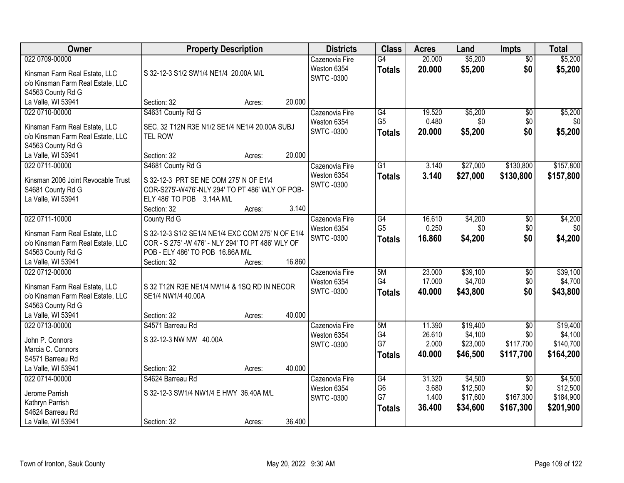| Owner                                                                                                                           | <b>Property Description</b>                                                                                                                                                                  | <b>Districts</b>                                  | <b>Class</b>                                       | <b>Acres</b>                        | Land                                        | <b>Impts</b>                                     | <b>Total</b>                                  |
|---------------------------------------------------------------------------------------------------------------------------------|----------------------------------------------------------------------------------------------------------------------------------------------------------------------------------------------|---------------------------------------------------|----------------------------------------------------|-------------------------------------|---------------------------------------------|--------------------------------------------------|-----------------------------------------------|
| 022 0709-00000<br>Kinsman Farm Real Estate, LLC<br>c/o Kinsman Farm Real Estate, LLC<br>S4563 County Rd G                       | S 32-12-3 S1/2 SW1/4 NE1/4 20.00A M/L                                                                                                                                                        | Cazenovia Fire<br>Weston 6354<br><b>SWTC-0300</b> | $\overline{G4}$<br><b>Totals</b>                   | 20.000<br>20.000                    | \$5,200<br>\$5,200                          | $\overline{50}$<br>\$0                           | \$5,200<br>\$5,200                            |
| La Valle, WI 53941                                                                                                              | 20.000<br>Section: 32<br>Acres:                                                                                                                                                              |                                                   |                                                    |                                     |                                             |                                                  |                                               |
| 022 0710-00000<br>Kinsman Farm Real Estate, LLC<br>c/o Kinsman Farm Real Estate, LLC<br>S4563 County Rd G                       | S4631 County Rd G<br>SEC. 32 T12N R3E N1/2 SE1/4 NE1/4 20.00A SUBJ<br><b>TEL ROW</b>                                                                                                         | Cazenovia Fire<br>Weston 6354<br><b>SWTC-0300</b> | $\overline{G4}$<br>G <sub>5</sub><br><b>Totals</b> | 19.520<br>0.480<br>20.000           | \$5,200<br>\$0<br>\$5,200                   | \$0<br>\$0<br>\$0                                | \$5,200<br>\$0<br>\$5,200                     |
| La Valle, WI 53941                                                                                                              | 20.000<br>Section: 32<br>Acres:                                                                                                                                                              |                                                   |                                                    |                                     |                                             |                                                  |                                               |
| 022 0711-00000<br>Kinsman 2006 Joint Revocable Trust<br>S4681 County Rd G<br>La Valle, WI 53941                                 | S4681 County Rd G<br>S 32-12-3 PRT SE NE COM 275' N OF E1\4<br>COR-S275'-W476'-NLY 294' TO PT 486' WLY OF POB-<br>ELY 486' TO POB 3.14A M/L<br>3.140<br>Section: 32<br>Acres:                | Cazenovia Fire<br>Weston 6354<br><b>SWTC-0300</b> | $\overline{G1}$<br><b>Totals</b>                   | 3.140<br>3.140                      | \$27,000<br>\$27,000                        | \$130,800<br>\$130,800                           | \$157,800<br>\$157,800                        |
| 022 0711-10000<br>Kinsman Farm Real Estate, LLC<br>c/o Kinsman Farm Real Estate, LLC<br>S4563 County Rd G<br>La Valle, WI 53941 | County Rd G<br>S 32-12-3 S1/2 SE1/4 NE1/4 EXC COM 275' N OF E1/4<br>COR - S 275' -W 476' - NLY 294' TO PT 486' WLY OF<br>POB - ELY 486' TO POB 16.86A M\L<br>16.860<br>Section: 32<br>Acres: | Cazenovia Fire<br>Weston 6354<br><b>SWTC-0300</b> | G4<br>G <sub>5</sub><br><b>Totals</b>              | 16.610<br>0.250<br>16.860           | \$4,200<br>\$0<br>\$4,200                   | \$0<br>\$0<br>\$0                                | \$4,200<br>\$0<br>\$4,200                     |
| 022 0712-00000<br>Kinsman Farm Real Estate, LLC<br>c/o Kinsman Farm Real Estate, LLC<br>S4563 County Rd G<br>La Valle, WI 53941 | S 32 T12N R3E NE1/4 NW1/4 & 1SQ RD IN NECOR<br>SE1/4 NW1/4 40.00A<br>40.000<br>Section: 32<br>Acres:                                                                                         | Cazenovia Fire<br>Weston 6354<br><b>SWTC-0300</b> | 5M<br>G <sub>4</sub><br><b>Totals</b>              | 23.000<br>17.000<br>40.000          | \$39,100<br>\$4,700<br>\$43,800             | $\overline{30}$<br>\$0<br>\$0                    | \$39,100<br>\$4,700<br>\$43,800               |
| 022 0713-00000<br>John P. Connors<br>Marcia C. Connors<br>S4571 Barreau Rd<br>La Valle, WI 53941                                | S4571 Barreau Rd<br>S 32-12-3 NW NW 40.00A<br>40.000<br>Section: 32<br>Acres:                                                                                                                | Cazenovia Fire<br>Weston 6354<br><b>SWTC-0300</b> | 5M<br>G4<br>G7<br><b>Totals</b>                    | 11.390<br>26.610<br>2.000<br>40,000 | \$19,400<br>\$4,100<br>\$23,000<br>\$46,500 | $\sqrt{6}$<br>\$0<br>\$117,700<br>\$117,700      | \$19,400<br>\$4,100<br>\$140,700<br>\$164,200 |
| 022 0714-00000<br>Jerome Parrish<br>Kathryn Parrish<br>S4624 Barreau Rd<br>La Valle, WI 53941                                   | S4624 Barreau Rd<br>S 32-12-3 SW1/4 NW1/4 E HWY 36.40A M/L<br>36.400<br>Section: 32<br>Acres:                                                                                                | Cazenovia Fire<br>Weston 6354<br><b>SWTC-0300</b> | G4<br>G <sub>6</sub><br>G7<br><b>Totals</b>        | 31.320<br>3.680<br>1.400<br>36.400  | \$4,500<br>\$12,500<br>\$17,600<br>\$34,600 | $\overline{30}$<br>\$0<br>\$167,300<br>\$167,300 | \$4,500<br>\$12,500<br>\$184,900<br>\$201,900 |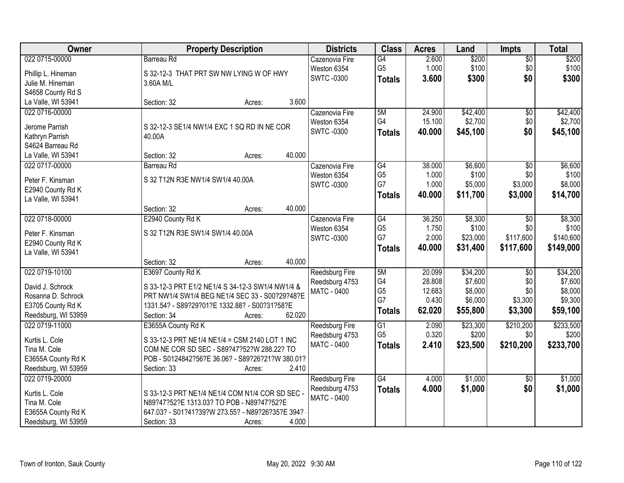| Owner               | <b>Property Description</b>                      | <b>Districts</b>      | <b>Class</b>    | <b>Acres</b> | Land     | <b>Impts</b>           | <b>Total</b> |
|---------------------|--------------------------------------------------|-----------------------|-----------------|--------------|----------|------------------------|--------------|
| 022 0715-00000      | <b>Barreau Rd</b>                                | Cazenovia Fire        | G4              | 2.600        | \$200    | $\overline{50}$        | \$200        |
| Phillip L. Hineman  | S 32-12-3 THAT PRT SW NW LYING W OF HWY          | Weston 6354           | G <sub>5</sub>  | 1.000        | \$100    | \$0                    | \$100        |
| Julie M. Hineman    | 3.60A M/L                                        | <b>SWTC -0300</b>     | <b>Totals</b>   | 3.600        | \$300    | \$0                    | \$300        |
| S4658 County Rd S   |                                                  |                       |                 |              |          |                        |              |
| La Valle, WI 53941  | 3.600<br>Section: 32<br>Acres:                   |                       |                 |              |          |                        |              |
| 022 0716-00000      |                                                  | Cazenovia Fire        | 5M              | 24.900       | \$42,400 | $\overline{50}$        | \$42,400     |
|                     |                                                  | Weston 6354           | G4              | 15.100       | \$2,700  | \$0                    | \$2,700      |
| Jerome Parrish      | S 32-12-3 SE1/4 NW1/4 EXC 1 SQ RD IN NE COR      | <b>SWTC-0300</b>      | <b>Totals</b>   | 40.000       | \$45,100 | \$0                    | \$45,100     |
| Kathryn Parrish     | 40.00A                                           |                       |                 |              |          |                        |              |
| S4624 Barreau Rd    |                                                  |                       |                 |              |          |                        |              |
| La Valle, WI 53941  | 40.000<br>Section: 32<br>Acres:                  |                       |                 |              |          |                        |              |
| 022 0717-00000      | <b>Barreau Rd</b>                                | Cazenovia Fire        | $\overline{G4}$ | 38.000       | \$6,600  | $\overline{50}$        | \$6,600      |
| Peter F. Kinsman    | S 32 T12N R3E NW1/4 SW1/4 40.00A                 | Weston 6354           | G <sub>5</sub>  | 1.000        | \$100    | \$0                    | \$100        |
| E2940 County Rd K   |                                                  | <b>SWTC -0300</b>     | G7              | 1.000        | \$5,000  | \$3,000                | \$8,000      |
| La Valle, WI 53941  |                                                  |                       | <b>Totals</b>   | 40.000       | \$11,700 | \$3,000                | \$14,700     |
|                     | 40.000<br>Section: 32<br>Acres:                  |                       |                 |              |          |                        |              |
| 022 0718-00000      | E2940 County Rd K                                | Cazenovia Fire        | G4              | 36.250       | \$8,300  | $\sqrt{6}$             | \$8,300      |
|                     |                                                  | Weston 6354           | G <sub>5</sub>  | 1.750        | \$100    | \$0                    | \$100        |
| Peter F. Kinsman    | S 32 T12N R3E SW1/4 SW1/4 40.00A                 | <b>SWTC -0300</b>     | G7              | 2.000        | \$23,000 | \$117,600              | \$140,600    |
| E2940 County Rd K   |                                                  |                       | <b>Totals</b>   | 40.000       | \$31,400 | \$117,600              | \$149,000    |
| La Valle, WI 53941  | 40.000<br>Section: 32                            |                       |                 |              |          |                        |              |
| 022 0719-10100      | Acres:                                           |                       | 5M              | 20.099       | \$34,200 |                        | \$34,200     |
|                     | E3697 County Rd K                                | Reedsburg Fire        | G4              | 28.808       | \$7,600  | $\overline{50}$<br>\$0 | \$7,600      |
| David J. Schrock    | S 33-12-3 PRT E1/2 NE1/4 S 34-12-3 SW1/4 NW1/4 & | Reedsburg 4753        | G <sub>5</sub>  | 12.683       | \$8,000  | \$0                    | \$8,000      |
| Rosanna D. Schrock  | PRT NW1/4 SW1/4 BEG NE1/4 SEC 33 - S00?29?48?E   | <b>MATC - 0400</b>    | G7              | 0.430        | \$6,000  | \$3,300                | \$9,300      |
| E3705 County Rd K   | 1331.54? - S89?29?01?E 1332.88? - S00?31?58?E    |                       |                 | 62.020       |          |                        |              |
| Reedsburg, WI 53959 | 62.020<br>Section: 34<br>Acres:                  |                       | <b>Totals</b>   |              | \$55,800 | \$3,300                | \$59,100     |
| 022 0719-11000      | E3655A County Rd K                               | Reedsburg Fire        | G1              | 2.090        | \$23,300 | \$210,200              | \$233,500    |
| Kurtis L. Cole      | S 33-12-3 PRT NE1/4 NE1/4 = CSM 2140 LOT 1 INC   | Reedsburg 4753        | G <sub>5</sub>  | 0.320        | \$200    | \$0                    | \$200        |
| Tina M. Cole        | COM NE COR SD SEC - S89?47?52?W 288.22? TO       | MATC - 0400           | <b>Totals</b>   | 2.410        | \$23,500 | \$210,200              | \$233,700    |
| E3655A County Rd K  | POB - S0124842?56?E 36.06? - S89?26?21?W 380.01? |                       |                 |              |          |                        |              |
| Reedsburg, WI 53959 | Section: 33<br>2.410<br>Acres:                   |                       |                 |              |          |                        |              |
| 022 0719-20000      |                                                  | <b>Reedsburg Fire</b> | G4              | 4.000        | \$1,000  | \$0                    | \$1,000      |
|                     |                                                  | Reedsburg 4753        | <b>Totals</b>   | 4.000        | \$1,000  | \$0                    | \$1,000      |
| Kurtis L. Cole      | S 33-12-3 PRT NE1/4 NE1/4 COM N1/4 COR SD SEC -  | MATC - 0400           |                 |              |          |                        |              |
| Tina M. Cole        | N89?47?52?E 1313.03? TO POB - N89?47?52?E        |                       |                 |              |          |                        |              |
| E3655A County Rd K  | 647.03? - S01?41?39?W 273.55? - N89?26?35?E 394? |                       |                 |              |          |                        |              |
| Reedsburg, WI 53959 | 4.000<br>Section: 33<br>Acres:                   |                       |                 |              |          |                        |              |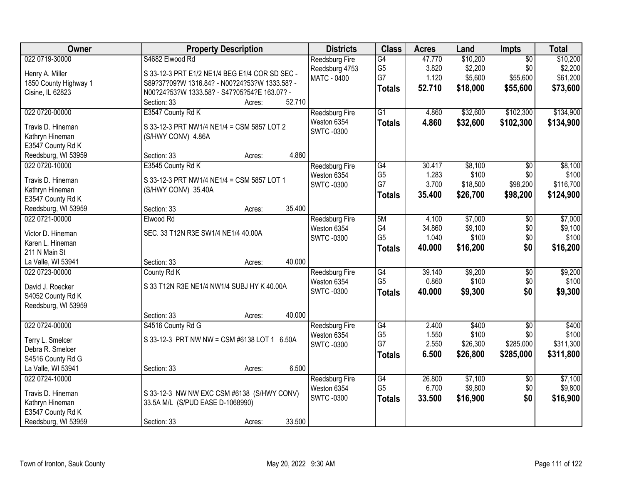| Owner                                 | <b>Property Description</b>                    | <b>Districts</b>              | <b>Class</b>    | <b>Acres</b> | Land     | <b>Impts</b>    | <b>Total</b> |
|---------------------------------------|------------------------------------------------|-------------------------------|-----------------|--------------|----------|-----------------|--------------|
| 022 0719-30000                        | S4682 Elwood Rd                                | Reedsburg Fire                | G4              | 47.770       | \$10,200 | $\overline{50}$ | \$10,200     |
| Henry A. Miller                       | S 33-12-3 PRT E1/2 NE1/4 BEG E1/4 COR SD SEC - | Reedsburg 4753                | G <sub>5</sub>  | 3.820        | \$2,200  | \$0             | \$2,200      |
| 1850 County Highway 1                 | S89?37?09?W 1316.84? - N00?24?53?W 1333.58? -  | <b>MATC - 0400</b>            | G7              | 1.120        | \$5,600  | \$55,600        | \$61,200     |
| Cisine, IL 62823                      | N00?24?53?W 1333.58? - S47?05?54?E 163.07? -   |                               | <b>Totals</b>   | 52.710       | \$18,000 | \$55,600        | \$73,600     |
|                                       | 52.710<br>Section: 33<br>Acres:                |                               |                 |              |          |                 |              |
| 022 0720-00000                        | E3547 County Rd K                              | <b>Reedsburg Fire</b>         | $\overline{G1}$ | 4.860        | \$32,600 | \$102,300       | \$134,900    |
| Travis D. Hineman                     | S 33-12-3 PRT NW1/4 NE1/4 = CSM 5857 LOT 2     | Weston 6354                   | <b>Totals</b>   | 4.860        | \$32,600 | \$102,300       | \$134,900    |
| Kathryn Hineman                       | (S/HWY CONV) 4.86A                             | <b>SWTC-0300</b>              |                 |              |          |                 |              |
| E3547 County Rd K                     |                                                |                               |                 |              |          |                 |              |
| Reedsburg, WI 53959                   | 4.860<br>Section: 33<br>Acres:                 |                               |                 |              |          |                 |              |
| 022 0720-10000                        | E3545 County Rd K                              | Reedsburg Fire                | G4              | 30.417       | \$8,100  | $\overline{50}$ | \$8,100      |
|                                       |                                                | Weston 6354                   | G <sub>5</sub>  | 1.283        | \$100    | \$0             | \$100        |
| Travis D. Hineman                     | S 33-12-3 PRT NW1/4 NE1/4 = CSM 5857 LOT 1     | <b>SWTC-0300</b>              | G7              | 3.700        | \$18,500 | \$98,200        | \$116,700    |
| Kathryn Hineman                       | (S/HWY CONV) 35.40A                            |                               | <b>Totals</b>   | 35.400       | \$26,700 | \$98,200        | \$124,900    |
| E3547 County Rd K                     | 35.400<br>Section: 33<br>Acres:                |                               |                 |              |          |                 |              |
| Reedsburg, WI 53959<br>022 0721-00000 | Elwood Rd                                      |                               | 5M              | 4.100        | \$7,000  |                 | \$7,000      |
|                                       |                                                | Reedsburg Fire<br>Weston 6354 | G4              | 34.860       | \$9,100  | \$0<br>\$0      | \$9,100      |
| Victor D. Hineman                     | SEC. 33 T12N R3E SW1/4 NE1/4 40.00A            | <b>SWTC-0300</b>              | G <sub>5</sub>  | 1.040        | \$100    | \$0             | \$100        |
| Karen L. Hineman                      |                                                |                               |                 | 40.000       | \$16,200 | \$0             | \$16,200     |
| 211 N Main St                         |                                                |                               | <b>Totals</b>   |              |          |                 |              |
| La Valle, WI 53941                    | 40.000<br>Section: 33<br>Acres:                |                               |                 |              |          |                 |              |
| 022 0723-00000                        | County Rd K                                    | Reedsburg Fire                | G4              | 39.140       | \$9,200  | \$0             | \$9,200      |
| David J. Roecker                      | S 33 T12N R3E NE1/4 NW1/4 SUBJ HY K 40.00A     | Weston 6354                   | G <sub>5</sub>  | 0.860        | \$100    | \$0             | \$100        |
| S4052 County Rd K                     |                                                | <b>SWTC-0300</b>              | <b>Totals</b>   | 40.000       | \$9,300  | \$0             | \$9,300      |
| Reedsburg, WI 53959                   |                                                |                               |                 |              |          |                 |              |
|                                       | 40.000<br>Section: 33<br>Acres:                |                               |                 |              |          |                 |              |
| 022 0724-00000                        | S4516 County Rd G                              | Reedsburg Fire                | $\overline{G4}$ | 2.400        | \$400    | $\overline{60}$ | \$400        |
| Terry L. Smelcer                      | S 33-12-3 PRT NW NW = CSM #6138 LOT 1 6.50A    | Weston 6354                   | G <sub>5</sub>  | 1.550        | \$100    | \$0             | \$100        |
| Debra R. Smelcer                      |                                                | <b>SWTC-0300</b>              | G7              | 2.550        | \$26,300 | \$285,000       | \$311,300    |
| S4516 County Rd G                     |                                                |                               | <b>Totals</b>   | 6.500        | \$26,800 | \$285,000       | \$311,800    |
| La Valle, WI 53941                    | 6.500<br>Section: 33<br>Acres:                 |                               |                 |              |          |                 |              |
| 022 0724-10000                        |                                                | Reedsburg Fire                | G4              | 26.800       | \$7,100  | $\overline{30}$ | \$7,100      |
|                                       |                                                | Weston 6354                   | G <sub>5</sub>  | 6.700        | \$9,800  | \$0             | \$9,800      |
| Travis D. Hineman                     | S 33-12-3 NW NW EXC CSM #6138 (S/HWY CONV)     | <b>SWTC-0300</b>              | <b>Totals</b>   | 33.500       | \$16,900 | \$0             | \$16,900     |
| Kathryn Hineman                       | 33.5A M/L (S/PUD EASE D-1068990)               |                               |                 |              |          |                 |              |
| E3547 County Rd K                     |                                                |                               |                 |              |          |                 |              |
| Reedsburg, WI 53959                   | 33.500<br>Section: 33<br>Acres:                |                               |                 |              |          |                 |              |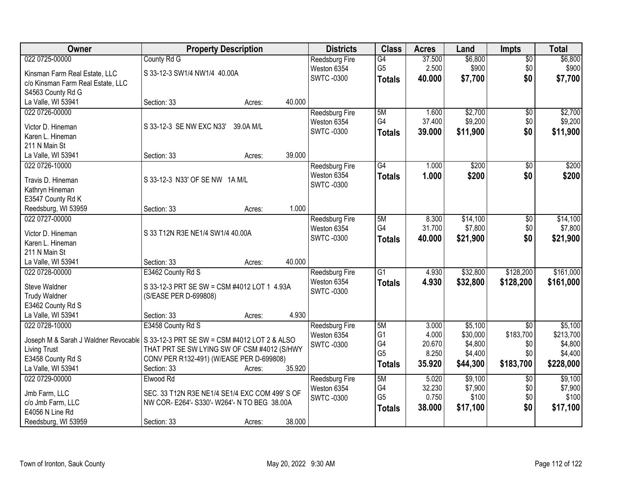| Owner                             | <b>Property Description</b>                                                         |        | <b>Districts</b>      | <b>Class</b>    | <b>Acres</b> | Land     | <b>Impts</b>    | <b>Total</b> |
|-----------------------------------|-------------------------------------------------------------------------------------|--------|-----------------------|-----------------|--------------|----------|-----------------|--------------|
| 022 0725-00000                    | County Rd G                                                                         |        | Reedsburg Fire        | G4              | 37.500       | \$6,800  | $\overline{50}$ | \$6,800      |
| Kinsman Farm Real Estate, LLC     | S 33-12-3 SW1/4 NW1/4 40.00A                                                        |        | Weston 6354           | G <sub>5</sub>  | 2.500        | \$900    | \$0             | \$900        |
| c/o Kinsman Farm Real Estate, LLC |                                                                                     |        | <b>SWTC-0300</b>      | <b>Totals</b>   | 40.000       | \$7,700  | \$0             | \$7,700      |
| S4563 County Rd G                 |                                                                                     |        |                       |                 |              |          |                 |              |
| La Valle, WI 53941                | Section: 33<br>Acres:                                                               | 40.000 |                       |                 |              |          |                 |              |
| 022 0726-00000                    |                                                                                     |        | <b>Reedsburg Fire</b> | 5M              | 1.600        | \$2,700  | \$0             | \$2,700      |
|                                   |                                                                                     |        | Weston 6354           | G4              | 37.400       | \$9,200  | \$0             | \$9,200      |
| Victor D. Hineman                 | S 33-12-3 SE NW EXC N33'<br>39.0A M/L                                               |        | SWTC -0300            | <b>Totals</b>   | 39.000       | \$11,900 | \$0             | \$11,900     |
| Karen L. Hineman                  |                                                                                     |        |                       |                 |              |          |                 |              |
| 211 N Main St                     |                                                                                     |        |                       |                 |              |          |                 |              |
| La Valle, WI 53941                | Section: 33<br>Acres:                                                               | 39.000 |                       |                 |              |          |                 |              |
| 022 0726-10000                    |                                                                                     |        | <b>Reedsburg Fire</b> | $\overline{G4}$ | 1.000        | \$200    | \$0             | \$200        |
| Travis D. Hineman                 | S 33-12-3 N33' OF SE NW 1A M/L                                                      |        | Weston 6354           | <b>Totals</b>   | 1.000        | \$200    | \$0             | \$200        |
| Kathryn Hineman                   |                                                                                     |        | <b>SWTC-0300</b>      |                 |              |          |                 |              |
| E3547 County Rd K                 |                                                                                     |        |                       |                 |              |          |                 |              |
| Reedsburg, WI 53959               | Section: 33<br>Acres:                                                               | 1.000  |                       |                 |              |          |                 |              |
| 022 0727-00000                    |                                                                                     |        | <b>Reedsburg Fire</b> | 5M              | 8.300        | \$14,100 | \$0             | \$14,100     |
|                                   |                                                                                     |        | Weston 6354           | G4              | 31.700       | \$7,800  | \$0             | \$7,800      |
| Victor D. Hineman                 | S 33 T12N R3E NE1/4 SW1/4 40.00A                                                    |        | <b>SWTC-0300</b>      | <b>Totals</b>   | 40.000       | \$21,900 | \$0             | \$21,900     |
| Karen L. Hineman                  |                                                                                     |        |                       |                 |              |          |                 |              |
| 211 N Main St                     |                                                                                     |        |                       |                 |              |          |                 |              |
| La Valle, WI 53941                | Section: 33<br>Acres:                                                               | 40.000 |                       |                 |              |          |                 |              |
| 022 0728-00000                    | E3462 County Rd S                                                                   |        | Reedsburg Fire        | $\overline{G1}$ | 4.930        | \$32,800 | \$128,200       | \$161,000    |
| Steve Waldner                     | S 33-12-3 PRT SE SW = CSM #4012 LOT 1 4.93A                                         |        | Weston 6354           | <b>Totals</b>   | 4.930        | \$32,800 | \$128,200       | \$161,000    |
| <b>Trudy Waldner</b>              | (S/EASE PER D-699808)                                                               |        | <b>SWTC-0300</b>      |                 |              |          |                 |              |
| E3462 County Rd S                 |                                                                                     |        |                       |                 |              |          |                 |              |
| La Valle, WI 53941                | Section: 33<br>Acres:                                                               | 4.930  |                       |                 |              |          |                 |              |
| 022 0728-10000                    | E3458 County Rd S                                                                   |        | Reedsburg Fire        | 5M              | 3.000        | \$5,100  | $\overline{30}$ | \$5,100      |
|                                   |                                                                                     |        | Weston 6354           | G <sub>1</sub>  | 4.000        | \$30,000 | \$183,700       | \$213,700    |
|                                   | Joseph M & Sarah J Waldner Revocable   S 33-12-3 PRT SE SW = CSM #4012 LOT 2 & ALSO |        | SWTC -0300            | G4              | 20.670       | \$4,800  | \$0             | \$4,800      |
| Living Trust                      | THAT PRT SE SW LYING SW OF CSM #4012 (S/HWY                                         |        |                       | G <sub>5</sub>  | 8.250        | \$4,400  | \$0             | \$4,400      |
| E3458 County Rd S                 | CONV PER R132-491) (W/EASE PER D-699808)                                            |        |                       | <b>Totals</b>   | 35.920       | \$44,300 | \$183,700       | \$228,000    |
| La Valle, WI 53941                | Section: 33<br>Acres:                                                               | 35.920 |                       |                 |              |          |                 |              |
| 022 0729-00000                    | Elwood Rd                                                                           |        | <b>Reedsburg Fire</b> | 5M              | 5.020        | \$9,100  | $\overline{60}$ | \$9,100      |
| Jmb Farm, LLC                     | SEC. 33 T12N R3E NE1/4 SE1/4 EXC COM 499' S OF                                      |        | Weston 6354           | G4              | 32.230       | \$7,900  | \$0             | \$7,900      |
| c/o Jmb Farm, LLC                 | NW COR- E264'- S330'- W264'- N TO BEG 38.00A                                        |        | <b>SWTC-0300</b>      | G <sub>5</sub>  | 0.750        | \$100    | \$0             | \$100        |
| E4056 N Line Rd                   |                                                                                     |        |                       | <b>Totals</b>   | 38.000       | \$17,100 | \$0             | \$17,100     |
| Reedsburg, WI 53959               | Section: 33<br>Acres:                                                               | 38.000 |                       |                 |              |          |                 |              |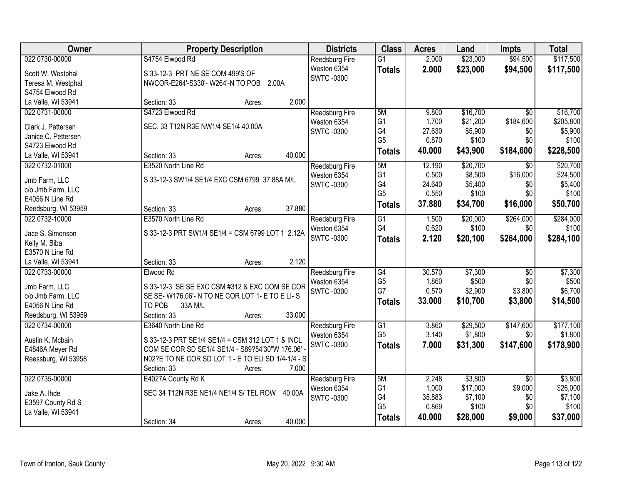| Owner               | <b>Property Description</b>                        | <b>Districts</b>      | <b>Class</b>         | <b>Acres</b> | Land     | Impts           | <b>Total</b>     |
|---------------------|----------------------------------------------------|-----------------------|----------------------|--------------|----------|-----------------|------------------|
| 022 0730-00000      | S4754 Elwood Rd                                    | Reedsburg Fire        | $\overline{G1}$      | 2.000        | \$23,000 | \$94,500        | \$117,500        |
| Scott W. Westphal   | S 33-12-3 PRT NE SE COM 499'S OF                   | Weston 6354           | <b>Totals</b>        | 2.000        | \$23,000 | \$94,500        | \$117,500        |
| Teresa M. Westphal  | NWCOR-E264'-S330'-W264'-N TO POB 2.00A             | <b>SWTC-0300</b>      |                      |              |          |                 |                  |
| S4754 Elwood Rd     |                                                    |                       |                      |              |          |                 |                  |
| La Valle, WI 53941  | 2.000<br>Section: 33<br>Acres:                     |                       |                      |              |          |                 |                  |
| 022 0731-00000      | S4723 Elwood Rd                                    | <b>Reedsburg Fire</b> | 5M                   | 9.800        | \$16,700 | $\overline{50}$ | \$16,700         |
|                     |                                                    | Weston 6354           | G <sub>1</sub>       | 1.700        | \$21,200 | \$184,600       | \$205,800        |
| Clark J. Pettersen  | SEC. 33 T12N R3E NW1/4 SE1/4 40.00A                | <b>SWTC-0300</b>      | G4                   | 27.630       | \$5,900  | \$0             | \$5,900          |
| Janice C. Pettersen |                                                    |                       | G <sub>5</sub>       | 0.870        | \$100    | \$0             | \$100            |
| S4723 Elwood Rd     |                                                    |                       | <b>Totals</b>        | 40.000       | \$43,900 | \$184,600       | \$228,500        |
| La Valle, WI 53941  | 40.000<br>Section: 33<br>Acres:                    |                       |                      |              |          |                 |                  |
| 022 0732-01000      | E3520 North Line Rd                                | Reedsburg Fire        | 5M                   | 12.190       | \$20,700 | \$0             | \$20,700         |
| Jmb Farm, LLC       | S 33-12-3 SW1/4 SE1/4 EXC CSM 6799 37.88A M/L      | Weston 6354           | G <sub>1</sub>       | 0.500        | \$8,500  | \$16,000        | \$24,500         |
| c/o Jmb Farm, LLC   |                                                    | <b>SWTC-0300</b>      | G4                   | 24.640       | \$5,400  | \$0             | \$5,400          |
| E4056 N Line Rd     |                                                    |                       | G <sub>5</sub>       | 0.550        | \$100    | \$0             | \$100            |
| Reedsburg, WI 53959 | 37.880<br>Section: 33<br>Acres:                    |                       | <b>Totals</b>        | 37.880       | \$34,700 | \$16,000        | \$50,700         |
| 022 0732-10000      | E3570 North Line Rd                                | Reedsburg Fire        | $\overline{G1}$      | 1.500        | \$20,000 | \$264,000       | \$284,000        |
|                     |                                                    | Weston 6354           | G4                   | 0.620        | \$100    | \$0             | \$100            |
| Jace S. Simonson    | S 33-12-3 PRT SW1/4 SE1/4 = CSM 6799 LOT 1 2.12A   | <b>SWTC-0300</b>      | <b>Totals</b>        | 2.120        | \$20,100 | \$264,000       | \$284,100        |
| Kelly M. Biba       |                                                    |                       |                      |              |          |                 |                  |
| E3570 N Line Rd     |                                                    |                       |                      |              |          |                 |                  |
| La Valle, WI 53941  | 2.120<br>Section: 33<br>Acres:                     |                       |                      |              |          |                 |                  |
| 022 0733-00000      | Elwood Rd                                          | Reedsburg Fire        | G4                   | 30.570       | \$7,300  | $\overline{50}$ | \$7,300          |
| Jmb Farm, LLC       | S 33-12-3 SE SE EXC CSM #312 & EXC COM SE COR      | Weston 6354           | G <sub>5</sub>       | 1.860        | \$500    | \$0             | \$500            |
| c/o Jmb Farm, LLC   | SE SE-W176.06'-N TO NE COR LOT 1-E TO E LI-S       | <b>SWTC -0300</b>     | G7                   | 0.570        | \$2,900  | \$3,800         | \$6,700          |
| E4056 N Line Rd     | TO POB<br>33A M/L                                  |                       | <b>Totals</b>        | 33.000       | \$10,700 | \$3,800         | \$14,500         |
| Reedsburg, WI 53959 | 33.000<br>Section: 33<br>Acres:                    |                       |                      |              |          |                 |                  |
| 022 0734-00000      | E3640 North Line Rd                                | Reedsburg Fire        | G1                   | 3.860        | \$29,500 | \$147,600       | \$177,100        |
|                     |                                                    | Weston 6354           | G <sub>5</sub>       | 3.140        | \$1,800  | \$0             | \$1,800          |
| Austin K. Mcbain    | S 33-12-3 PRT SE1/4 SE1/4 = CSM 312 LOT 1 & INCL   | <b>SWTC-0300</b>      | <b>Totals</b>        | 7.000        | \$31,300 | \$147,600       | \$178,900        |
| E4846A Meyer Rd     | COM SE COR SD SE1/4 SE1/4 - S89?54'30"W 176.06'    |                       |                      |              |          |                 |                  |
| Reessburg, WI 53958 | N02?E TO NE COR SD LOT 1 - E TO ELI SD 1/4-1/4 - S |                       |                      |              |          |                 |                  |
|                     | 7.000<br>Section: 33<br>Acres:                     |                       |                      |              |          |                 |                  |
| 022 0735-00000      | E4027A County Rd K                                 | Reedsburg Fire        | 5M                   | 2.248        | \$3,800  | $\overline{50}$ | \$3,800          |
| Jake A. Ihde        | SEC 34 T12N R3E NE1/4 NE1/4 S/ TEL ROW<br>40.00A   | Weston 6354           | G <sub>1</sub>       | 1.000        | \$17,000 | \$9,000         | \$26,000         |
| E3597 County Rd S   |                                                    | <b>SWTC-0300</b>      | G4<br>G <sub>5</sub> | 35.883       | \$7,100  | \$0             | \$7,100<br>\$100 |
| La Valle, WI 53941  |                                                    |                       |                      | 0.869        | \$100    | \$0             |                  |
|                     | 40.000<br>Section: 34<br>Acres:                    |                       | <b>Totals</b>        | 40.000       | \$28,000 | \$9,000         | \$37,000         |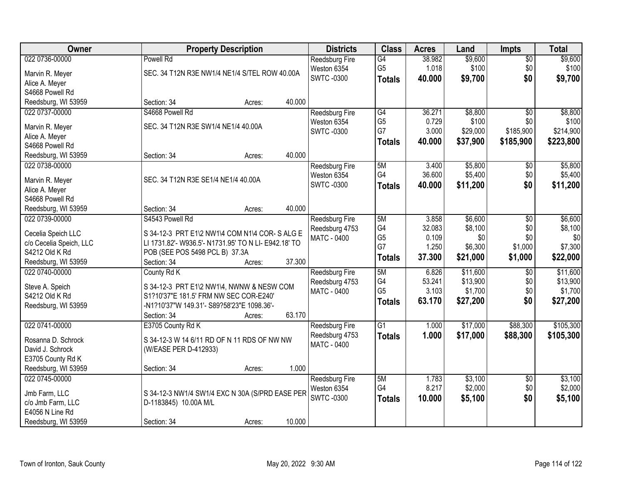| Owner                                | <b>Property Description</b>                          |        | <b>Districts</b>                     | <b>Class</b>    | <b>Acres</b> | Land     | <b>Impts</b>    | <b>Total</b> |
|--------------------------------------|------------------------------------------------------|--------|--------------------------------------|-----------------|--------------|----------|-----------------|--------------|
| 022 0736-00000                       | <b>Powell Rd</b>                                     |        | Reedsburg Fire                       | G4              | 38.982       | \$9,600  | $\overline{50}$ | \$9,600      |
| Marvin R. Meyer                      | SEC. 34 T12N R3E NW1/4 NE1/4 S/TEL ROW 40.00A        |        | Weston 6354                          | G <sub>5</sub>  | 1.018        | \$100    | \$0             | \$100        |
| Alice A. Meyer                       |                                                      |        | <b>SWTC-0300</b>                     | <b>Totals</b>   | 40.000       | \$9,700  | \$0             | \$9,700      |
| S4668 Powell Rd                      |                                                      |        |                                      |                 |              |          |                 |              |
| Reedsburg, WI 53959                  | Section: 34<br>Acres:                                | 40.000 |                                      |                 |              |          |                 |              |
| 022 0737-00000                       | S4668 Powell Rd                                      |        | Reedsburg Fire                       | G4              | 36.271       | \$8,800  | $\overline{50}$ | \$8,800      |
|                                      |                                                      |        | Weston 6354                          | G <sub>5</sub>  | 0.729        | \$100    | \$0             | \$100        |
| Marvin R. Meyer                      | SEC. 34 T12N R3E SW1/4 NE1/4 40.00A                  |        | <b>SWTC-0300</b>                     | G7              | 3.000        | \$29,000 | \$185,900       | \$214,900    |
| Alice A. Meyer<br>S4668 Powell Rd    |                                                      |        |                                      | <b>Totals</b>   | 40.000       | \$37,900 | \$185,900       | \$223,800    |
| Reedsburg, WI 53959                  | Section: 34<br>Acres:                                | 40.000 |                                      |                 |              |          |                 |              |
| 022 0738-00000                       |                                                      |        |                                      | 5M              | 3.400        | \$5,800  | \$0             | \$5,800      |
|                                      |                                                      |        | <b>Reedsburg Fire</b><br>Weston 6354 | G4              | 36.600       | \$5,400  | \$0             | \$5,400      |
| Marvin R. Meyer                      | SEC. 34 T12N R3E SE1/4 NE1/4 40.00A                  |        | <b>SWTC-0300</b>                     |                 | 40.000       | \$11,200 | \$0             |              |
| Alice A. Meyer                       |                                                      |        |                                      | <b>Totals</b>   |              |          |                 | \$11,200     |
| S4668 Powell Rd                      |                                                      |        |                                      |                 |              |          |                 |              |
| Reedsburg, WI 53959                  | Section: 34<br>Acres:                                | 40.000 |                                      |                 |              |          |                 |              |
| 022 0739-00000                       | S4543 Powell Rd                                      |        | Reedsburg Fire                       | 5M              | 3.858        | \$6,600  | \$0             | \$6,600      |
| Cecelia Speich LLC                   | S 34-12-3 PRT E1\2 NW1\4 COM N1\4 COR-S ALG E        |        | Reedsburg 4753                       | G4              | 32.083       | \$8,100  | \$0             | \$8,100      |
| c/o Cecelia Speich, LLC              | LI 1731.82'- W936.5'- N1731.95' TO N LI- E942.18' TO |        | <b>MATC - 0400</b>                   | G <sub>5</sub>  | 0.109        | \$0      | \$0             | \$0          |
| S4212 Old K Rd                       | POB (SEE POS 5498 PCL B) 37.3A                       |        |                                      | G7              | 1.250        | \$6,300  | \$1,000         | \$7,300      |
| Reedsburg, WI 53959                  | Section: 34<br>Acres:                                | 37.300 |                                      | <b>Totals</b>   | 37.300       | \$21,000 | \$1,000         | \$22,000     |
| 022 0740-00000                       | County Rd K                                          |        | Reedsburg Fire                       | 5M              | 6.826        | \$11,600 | $\overline{50}$ | \$11,600     |
|                                      |                                                      |        | Reedsburg 4753                       | G4              | 53.241       | \$13,900 | \$0             | \$13,900     |
| Steve A. Speich                      | S 34-12-3 PRT E1\2 NW1\4, NWNW & NESW COM            |        | <b>MATC - 0400</b>                   | G <sub>5</sub>  | 3.103        | \$1,700  | \$0             | \$1,700      |
| S4212 Old K Rd                       | S1?10'37"E 181.5' FRM NW SEC COR-E240'               |        |                                      | <b>Totals</b>   | 63.170       | \$27,200 | \$0             | \$27,200     |
| Reedsburg, WI 53959                  | -N1?10'37"W 149.31'- S89?58'23"E 1098.36'-           |        |                                      |                 |              |          |                 |              |
|                                      | Section: 34<br>Acres:                                | 63.170 |                                      |                 |              |          |                 |              |
| 022 0741-00000                       | E3705 County Rd K                                    |        | Reedsburg Fire                       | $\overline{G1}$ | 1.000        | \$17,000 | \$88,300        | \$105,300    |
| Rosanna D. Schrock                   | S 34-12-3 W 14 6/11 RD OF N 11 RDS OF NW NW          |        | Reedsburg 4753                       | <b>Totals</b>   | 1.000        | \$17,000 | \$88,300        | \$105,300    |
| David J. Schrock                     | (W/EASE PER D-412933)                                |        | MATC - 0400                          |                 |              |          |                 |              |
| E3705 County Rd K                    |                                                      |        |                                      |                 |              |          |                 |              |
| Reedsburg, WI 53959                  | Section: 34<br>Acres:                                | 1.000  |                                      |                 |              |          |                 |              |
| 022 0745-00000                       |                                                      |        | Reedsburg Fire                       | 5M              | 1.783        | \$3,100  | $\overline{30}$ | \$3,100      |
|                                      |                                                      |        | Weston 6354                          | G4              | 8.217        | \$2,000  | \$0             | \$2,000      |
| Jmb Farm, LLC                        | S 34-12-3 NW1/4 SW1/4 EXC N 30A (S/PRD EASE PER      |        | <b>SWTC-0300</b>                     | <b>Totals</b>   | 10.000       | \$5,100  | \$0             | \$5,100      |
| c/o Jmb Farm, LLC<br>E4056 N Line Rd | D-1183845) 10.00A M/L                                |        |                                      |                 |              |          |                 |              |
|                                      |                                                      |        |                                      |                 |              |          |                 |              |
| Reedsburg, WI 53959                  | Section: 34<br>Acres:                                | 10.000 |                                      |                 |              |          |                 |              |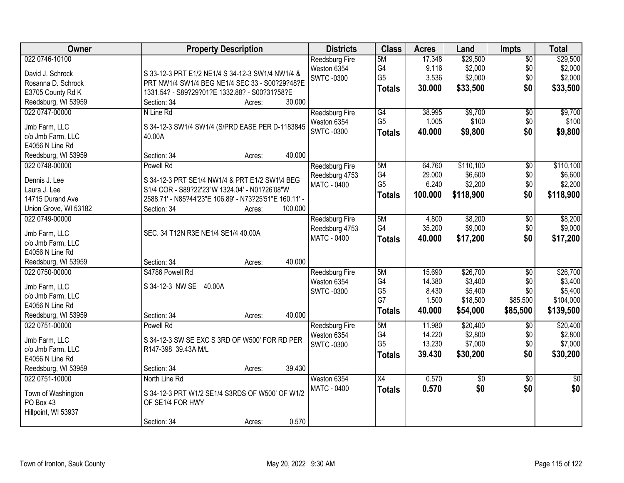| Reedsburg Fire<br>5M<br>G4<br>9.116<br>\$2,000<br>\$0<br>\$2,000<br>Weston 6354<br>David J. Schrock<br>S 33-12-3 PRT E1/2 NE1/4 S 34-12-3 SW1/4 NW1/4 &<br>G <sub>5</sub><br>3.536<br>\$2,000<br>\$0<br>\$2,000<br><b>SWTC-0300</b><br>PRT NW1/4 SW1/4 BEG NE1/4 SEC 33 - S00?29?48?E<br>Rosanna D. Schrock<br>\$0<br>30.000<br>\$33,500<br><b>Totals</b><br>1331.54? - S89?29?01?E 1332.88? - S00?31?58?E<br>E3705 County Rd K<br>30.000<br>Reedsburg, WI 53959<br>Section: 34<br>Acres:<br>\$9,700<br>\$9,700<br>022 0747-00000<br>G4<br>38.995<br>$\overline{50}$<br>N Line Rd<br>Reedsburg Fire<br>G <sub>5</sub><br>\$100<br>\$0<br>1.005<br>Weston 6354<br>Jmb Farm, LLC<br>S 34-12-3 SW1/4 SW1/4 (S/PRD EASE PER D-1183845)<br>\$0<br><b>SWTC-0300</b><br>40.000<br>\$9,800<br><b>Totals</b><br>c/o Jmb Farm, LLC<br>40.00A<br>E4056 N Line Rd<br>40.000<br>Reedsburg, WI 53959<br>Section: 34<br>Acres:<br>\$110,100<br>022 0748-00000<br>Powell Rd<br>64.760<br>$\overline{50}$<br>Reedsburg Fire<br>5M<br>G4<br>\$0<br>\$6,600<br>29.000<br>Reedsburg 4753<br>S 34-12-3 PRT SE1/4 NW1/4 & PRT E1/2 SW1\4 BEG<br>Dennis J. Lee<br>G <sub>5</sub><br>6.240<br>\$2,200<br>\$0<br><b>MATC - 0400</b><br>Laura J. Lee<br>S1/4 COR - S89?22'23"W 1324.04' - N01?26'08"W<br>\$0<br>100.000<br>\$118,900<br>\$118,900<br><b>Totals</b><br>2588.71' - N85?44'23"E 106.89' - N73?25'51"E 160.11' -<br>14715 Durand Ave<br>100.000<br>Union Grove, WI 53182<br>Section: 34<br>Acres:<br>022 0749-00000<br>\$8,200<br>\$8,200<br>5M<br>4.800<br>\$0<br><b>Reedsburg Fire</b><br>\$9,000<br>G4<br>35.200<br>\$0<br>Reedsburg 4753<br>SEC. 34 T12N R3E NE1/4 SE1/4 40.00A<br>Jmb Farm, LLC<br>\$0<br>MATC - 0400<br>40.000<br>\$17,200<br><b>Totals</b><br>c/o Jmb Farm, LLC<br>E4056 N Line Rd<br>40.000<br>Reedsburg, WI 53959<br>Section: 34<br>Acres:<br>S4786 Powell Rd<br>\$26,700<br>022 0750-00000<br>5M<br>15.690<br>$\overline{50}$<br>Reedsburg Fire<br>G4<br>14.380<br>\$3,400<br>\$0<br>Weston 6354<br>S 34-12-3 NW SE 40.00A<br>Jmb Farm, LLC<br>G <sub>5</sub><br>\$5,400<br>\$0<br>8.430<br><b>SWTC-0300</b><br>c/o Jmb Farm, LLC<br>G7<br>1.500<br>\$18,500<br>\$85,500<br>E4056 N Line Rd<br>\$54,000<br>40.000<br>\$85,500<br>\$139,500<br><b>Totals</b><br>Reedsburg, WI 53959<br>Section: 34<br>40.000<br>Acres:<br>5M<br>\$20,400<br>022 0751-00000<br>Powell Rd<br>11.980<br>$\sqrt{6}$<br>Reedsburg Fire<br>\$2,800<br>G4<br>\$0<br>14.220<br>Weston 6354<br>Jmb Farm, LLC<br>S 34-12-3 SW SE EXC S 3RD OF W500' FOR RD PER<br>G <sub>5</sub><br>13.230<br>\$7,000<br>\$0<br><b>SWTC-0300</b><br>c/o Jmb Farm, LLC<br>R147-398 39.43A M/L<br>\$30,200<br>\$0<br>\$30,200<br>39.430<br><b>Totals</b><br>E4056 N Line Rd<br>39.430<br>Reedsburg, WI 53959<br>Section: 34<br>Acres:<br>022 0751-10000<br>Weston 6354<br>$\overline{X4}$<br>0.570<br>North Line Rd<br>\$0<br>$\overline{50}$<br>$\overline{50}$<br>\$0<br>0.570<br>\$0<br>\$0<br><b>MATC - 0400</b><br><b>Totals</b><br>S 34-12-3 PRT W1/2 SE1/4 S3RDS OF W500' OF W1/2<br>Town of Washington<br>PO Box 43<br>OF SE1/4 FOR HWY<br>Hillpoint, WI 53937 | Owner          | <b>Property Description</b>    | <b>Districts</b> | <b>Class</b> | <b>Acres</b> | Land     | Impts           | <b>Total</b> |
|---------------------------------------------------------------------------------------------------------------------------------------------------------------------------------------------------------------------------------------------------------------------------------------------------------------------------------------------------------------------------------------------------------------------------------------------------------------------------------------------------------------------------------------------------------------------------------------------------------------------------------------------------------------------------------------------------------------------------------------------------------------------------------------------------------------------------------------------------------------------------------------------------------------------------------------------------------------------------------------------------------------------------------------------------------------------------------------------------------------------------------------------------------------------------------------------------------------------------------------------------------------------------------------------------------------------------------------------------------------------------------------------------------------------------------------------------------------------------------------------------------------------------------------------------------------------------------------------------------------------------------------------------------------------------------------------------------------------------------------------------------------------------------------------------------------------------------------------------------------------------------------------------------------------------------------------------------------------------------------------------------------------------------------------------------------------------------------------------------------------------------------------------------------------------------------------------------------------------------------------------------------------------------------------------------------------------------------------------------------------------------------------------------------------------------------------------------------------------------------------------------------------------------------------------------------------------------------------------------------------------------------------------------------------------------------------------------------------------------------------------------------------------------------------------------------------------------------------------------------------------------------------------------------------------------------------------------------------------------------------------------------------------------------------------------------------------------------------------------------------------------------|----------------|--------------------------------|------------------|--------------|--------------|----------|-----------------|--------------|
|                                                                                                                                                                                                                                                                                                                                                                                                                                                                                                                                                                                                                                                                                                                                                                                                                                                                                                                                                                                                                                                                                                                                                                                                                                                                                                                                                                                                                                                                                                                                                                                                                                                                                                                                                                                                                                                                                                                                                                                                                                                                                                                                                                                                                                                                                                                                                                                                                                                                                                                                                                                                                                                                                                                                                                                                                                                                                                                                                                                                                                                                                                                                       | 022 0746-10100 |                                |                  |              | 17.348       | \$29,500 | $\overline{60}$ | \$29,500     |
| \$33,500                                                                                                                                                                                                                                                                                                                                                                                                                                                                                                                                                                                                                                                                                                                                                                                                                                                                                                                                                                                                                                                                                                                                                                                                                                                                                                                                                                                                                                                                                                                                                                                                                                                                                                                                                                                                                                                                                                                                                                                                                                                                                                                                                                                                                                                                                                                                                                                                                                                                                                                                                                                                                                                                                                                                                                                                                                                                                                                                                                                                                                                                                                                              |                |                                |                  |              |              |          |                 |              |
| \$100<br>\$9,800<br>\$110,100<br>\$6,600<br>\$2,200<br>\$9,000<br>\$17,200<br>\$26,700<br>\$3,400<br>\$5,400<br>\$20,400<br>\$2,800<br>\$7,000                                                                                                                                                                                                                                                                                                                                                                                                                                                                                                                                                                                                                                                                                                                                                                                                                                                                                                                                                                                                                                                                                                                                                                                                                                                                                                                                                                                                                                                                                                                                                                                                                                                                                                                                                                                                                                                                                                                                                                                                                                                                                                                                                                                                                                                                                                                                                                                                                                                                                                                                                                                                                                                                                                                                                                                                                                                                                                                                                                                        |                |                                |                  |              |              |          |                 |              |
|                                                                                                                                                                                                                                                                                                                                                                                                                                                                                                                                                                                                                                                                                                                                                                                                                                                                                                                                                                                                                                                                                                                                                                                                                                                                                                                                                                                                                                                                                                                                                                                                                                                                                                                                                                                                                                                                                                                                                                                                                                                                                                                                                                                                                                                                                                                                                                                                                                                                                                                                                                                                                                                                                                                                                                                                                                                                                                                                                                                                                                                                                                                                       |                |                                |                  |              |              |          |                 |              |
|                                                                                                                                                                                                                                                                                                                                                                                                                                                                                                                                                                                                                                                                                                                                                                                                                                                                                                                                                                                                                                                                                                                                                                                                                                                                                                                                                                                                                                                                                                                                                                                                                                                                                                                                                                                                                                                                                                                                                                                                                                                                                                                                                                                                                                                                                                                                                                                                                                                                                                                                                                                                                                                                                                                                                                                                                                                                                                                                                                                                                                                                                                                                       |                |                                |                  |              |              |          |                 |              |
|                                                                                                                                                                                                                                                                                                                                                                                                                                                                                                                                                                                                                                                                                                                                                                                                                                                                                                                                                                                                                                                                                                                                                                                                                                                                                                                                                                                                                                                                                                                                                                                                                                                                                                                                                                                                                                                                                                                                                                                                                                                                                                                                                                                                                                                                                                                                                                                                                                                                                                                                                                                                                                                                                                                                                                                                                                                                                                                                                                                                                                                                                                                                       |                |                                |                  |              |              |          |                 |              |
|                                                                                                                                                                                                                                                                                                                                                                                                                                                                                                                                                                                                                                                                                                                                                                                                                                                                                                                                                                                                                                                                                                                                                                                                                                                                                                                                                                                                                                                                                                                                                                                                                                                                                                                                                                                                                                                                                                                                                                                                                                                                                                                                                                                                                                                                                                                                                                                                                                                                                                                                                                                                                                                                                                                                                                                                                                                                                                                                                                                                                                                                                                                                       |                |                                |                  |              |              |          |                 |              |
|                                                                                                                                                                                                                                                                                                                                                                                                                                                                                                                                                                                                                                                                                                                                                                                                                                                                                                                                                                                                                                                                                                                                                                                                                                                                                                                                                                                                                                                                                                                                                                                                                                                                                                                                                                                                                                                                                                                                                                                                                                                                                                                                                                                                                                                                                                                                                                                                                                                                                                                                                                                                                                                                                                                                                                                                                                                                                                                                                                                                                                                                                                                                       |                |                                |                  |              |              |          |                 |              |
|                                                                                                                                                                                                                                                                                                                                                                                                                                                                                                                                                                                                                                                                                                                                                                                                                                                                                                                                                                                                                                                                                                                                                                                                                                                                                                                                                                                                                                                                                                                                                                                                                                                                                                                                                                                                                                                                                                                                                                                                                                                                                                                                                                                                                                                                                                                                                                                                                                                                                                                                                                                                                                                                                                                                                                                                                                                                                                                                                                                                                                                                                                                                       |                |                                |                  |              |              |          |                 |              |
|                                                                                                                                                                                                                                                                                                                                                                                                                                                                                                                                                                                                                                                                                                                                                                                                                                                                                                                                                                                                                                                                                                                                                                                                                                                                                                                                                                                                                                                                                                                                                                                                                                                                                                                                                                                                                                                                                                                                                                                                                                                                                                                                                                                                                                                                                                                                                                                                                                                                                                                                                                                                                                                                                                                                                                                                                                                                                                                                                                                                                                                                                                                                       |                |                                |                  |              |              |          |                 |              |
|                                                                                                                                                                                                                                                                                                                                                                                                                                                                                                                                                                                                                                                                                                                                                                                                                                                                                                                                                                                                                                                                                                                                                                                                                                                                                                                                                                                                                                                                                                                                                                                                                                                                                                                                                                                                                                                                                                                                                                                                                                                                                                                                                                                                                                                                                                                                                                                                                                                                                                                                                                                                                                                                                                                                                                                                                                                                                                                                                                                                                                                                                                                                       |                |                                |                  |              |              |          |                 |              |
|                                                                                                                                                                                                                                                                                                                                                                                                                                                                                                                                                                                                                                                                                                                                                                                                                                                                                                                                                                                                                                                                                                                                                                                                                                                                                                                                                                                                                                                                                                                                                                                                                                                                                                                                                                                                                                                                                                                                                                                                                                                                                                                                                                                                                                                                                                                                                                                                                                                                                                                                                                                                                                                                                                                                                                                                                                                                                                                                                                                                                                                                                                                                       |                |                                |                  |              |              |          |                 |              |
|                                                                                                                                                                                                                                                                                                                                                                                                                                                                                                                                                                                                                                                                                                                                                                                                                                                                                                                                                                                                                                                                                                                                                                                                                                                                                                                                                                                                                                                                                                                                                                                                                                                                                                                                                                                                                                                                                                                                                                                                                                                                                                                                                                                                                                                                                                                                                                                                                                                                                                                                                                                                                                                                                                                                                                                                                                                                                                                                                                                                                                                                                                                                       |                |                                |                  |              |              |          |                 |              |
|                                                                                                                                                                                                                                                                                                                                                                                                                                                                                                                                                                                                                                                                                                                                                                                                                                                                                                                                                                                                                                                                                                                                                                                                                                                                                                                                                                                                                                                                                                                                                                                                                                                                                                                                                                                                                                                                                                                                                                                                                                                                                                                                                                                                                                                                                                                                                                                                                                                                                                                                                                                                                                                                                                                                                                                                                                                                                                                                                                                                                                                                                                                                       |                |                                |                  |              |              |          |                 |              |
|                                                                                                                                                                                                                                                                                                                                                                                                                                                                                                                                                                                                                                                                                                                                                                                                                                                                                                                                                                                                                                                                                                                                                                                                                                                                                                                                                                                                                                                                                                                                                                                                                                                                                                                                                                                                                                                                                                                                                                                                                                                                                                                                                                                                                                                                                                                                                                                                                                                                                                                                                                                                                                                                                                                                                                                                                                                                                                                                                                                                                                                                                                                                       |                |                                |                  |              |              |          |                 |              |
|                                                                                                                                                                                                                                                                                                                                                                                                                                                                                                                                                                                                                                                                                                                                                                                                                                                                                                                                                                                                                                                                                                                                                                                                                                                                                                                                                                                                                                                                                                                                                                                                                                                                                                                                                                                                                                                                                                                                                                                                                                                                                                                                                                                                                                                                                                                                                                                                                                                                                                                                                                                                                                                                                                                                                                                                                                                                                                                                                                                                                                                                                                                                       |                |                                |                  |              |              |          |                 |              |
|                                                                                                                                                                                                                                                                                                                                                                                                                                                                                                                                                                                                                                                                                                                                                                                                                                                                                                                                                                                                                                                                                                                                                                                                                                                                                                                                                                                                                                                                                                                                                                                                                                                                                                                                                                                                                                                                                                                                                                                                                                                                                                                                                                                                                                                                                                                                                                                                                                                                                                                                                                                                                                                                                                                                                                                                                                                                                                                                                                                                                                                                                                                                       |                |                                |                  |              |              |          |                 |              |
|                                                                                                                                                                                                                                                                                                                                                                                                                                                                                                                                                                                                                                                                                                                                                                                                                                                                                                                                                                                                                                                                                                                                                                                                                                                                                                                                                                                                                                                                                                                                                                                                                                                                                                                                                                                                                                                                                                                                                                                                                                                                                                                                                                                                                                                                                                                                                                                                                                                                                                                                                                                                                                                                                                                                                                                                                                                                                                                                                                                                                                                                                                                                       |                |                                |                  |              |              |          |                 |              |
|                                                                                                                                                                                                                                                                                                                                                                                                                                                                                                                                                                                                                                                                                                                                                                                                                                                                                                                                                                                                                                                                                                                                                                                                                                                                                                                                                                                                                                                                                                                                                                                                                                                                                                                                                                                                                                                                                                                                                                                                                                                                                                                                                                                                                                                                                                                                                                                                                                                                                                                                                                                                                                                                                                                                                                                                                                                                                                                                                                                                                                                                                                                                       |                |                                |                  |              |              |          |                 |              |
|                                                                                                                                                                                                                                                                                                                                                                                                                                                                                                                                                                                                                                                                                                                                                                                                                                                                                                                                                                                                                                                                                                                                                                                                                                                                                                                                                                                                                                                                                                                                                                                                                                                                                                                                                                                                                                                                                                                                                                                                                                                                                                                                                                                                                                                                                                                                                                                                                                                                                                                                                                                                                                                                                                                                                                                                                                                                                                                                                                                                                                                                                                                                       |                |                                |                  |              |              |          |                 |              |
|                                                                                                                                                                                                                                                                                                                                                                                                                                                                                                                                                                                                                                                                                                                                                                                                                                                                                                                                                                                                                                                                                                                                                                                                                                                                                                                                                                                                                                                                                                                                                                                                                                                                                                                                                                                                                                                                                                                                                                                                                                                                                                                                                                                                                                                                                                                                                                                                                                                                                                                                                                                                                                                                                                                                                                                                                                                                                                                                                                                                                                                                                                                                       |                |                                |                  |              |              |          |                 |              |
|                                                                                                                                                                                                                                                                                                                                                                                                                                                                                                                                                                                                                                                                                                                                                                                                                                                                                                                                                                                                                                                                                                                                                                                                                                                                                                                                                                                                                                                                                                                                                                                                                                                                                                                                                                                                                                                                                                                                                                                                                                                                                                                                                                                                                                                                                                                                                                                                                                                                                                                                                                                                                                                                                                                                                                                                                                                                                                                                                                                                                                                                                                                                       |                |                                |                  |              |              |          |                 |              |
|                                                                                                                                                                                                                                                                                                                                                                                                                                                                                                                                                                                                                                                                                                                                                                                                                                                                                                                                                                                                                                                                                                                                                                                                                                                                                                                                                                                                                                                                                                                                                                                                                                                                                                                                                                                                                                                                                                                                                                                                                                                                                                                                                                                                                                                                                                                                                                                                                                                                                                                                                                                                                                                                                                                                                                                                                                                                                                                                                                                                                                                                                                                                       |                |                                |                  |              |              |          |                 |              |
| \$104,000                                                                                                                                                                                                                                                                                                                                                                                                                                                                                                                                                                                                                                                                                                                                                                                                                                                                                                                                                                                                                                                                                                                                                                                                                                                                                                                                                                                                                                                                                                                                                                                                                                                                                                                                                                                                                                                                                                                                                                                                                                                                                                                                                                                                                                                                                                                                                                                                                                                                                                                                                                                                                                                                                                                                                                                                                                                                                                                                                                                                                                                                                                                             |                |                                |                  |              |              |          |                 |              |
|                                                                                                                                                                                                                                                                                                                                                                                                                                                                                                                                                                                                                                                                                                                                                                                                                                                                                                                                                                                                                                                                                                                                                                                                                                                                                                                                                                                                                                                                                                                                                                                                                                                                                                                                                                                                                                                                                                                                                                                                                                                                                                                                                                                                                                                                                                                                                                                                                                                                                                                                                                                                                                                                                                                                                                                                                                                                                                                                                                                                                                                                                                                                       |                |                                |                  |              |              |          |                 |              |
|                                                                                                                                                                                                                                                                                                                                                                                                                                                                                                                                                                                                                                                                                                                                                                                                                                                                                                                                                                                                                                                                                                                                                                                                                                                                                                                                                                                                                                                                                                                                                                                                                                                                                                                                                                                                                                                                                                                                                                                                                                                                                                                                                                                                                                                                                                                                                                                                                                                                                                                                                                                                                                                                                                                                                                                                                                                                                                                                                                                                                                                                                                                                       |                |                                |                  |              |              |          |                 |              |
|                                                                                                                                                                                                                                                                                                                                                                                                                                                                                                                                                                                                                                                                                                                                                                                                                                                                                                                                                                                                                                                                                                                                                                                                                                                                                                                                                                                                                                                                                                                                                                                                                                                                                                                                                                                                                                                                                                                                                                                                                                                                                                                                                                                                                                                                                                                                                                                                                                                                                                                                                                                                                                                                                                                                                                                                                                                                                                                                                                                                                                                                                                                                       |                |                                |                  |              |              |          |                 |              |
|                                                                                                                                                                                                                                                                                                                                                                                                                                                                                                                                                                                                                                                                                                                                                                                                                                                                                                                                                                                                                                                                                                                                                                                                                                                                                                                                                                                                                                                                                                                                                                                                                                                                                                                                                                                                                                                                                                                                                                                                                                                                                                                                                                                                                                                                                                                                                                                                                                                                                                                                                                                                                                                                                                                                                                                                                                                                                                                                                                                                                                                                                                                                       |                |                                |                  |              |              |          |                 |              |
|                                                                                                                                                                                                                                                                                                                                                                                                                                                                                                                                                                                                                                                                                                                                                                                                                                                                                                                                                                                                                                                                                                                                                                                                                                                                                                                                                                                                                                                                                                                                                                                                                                                                                                                                                                                                                                                                                                                                                                                                                                                                                                                                                                                                                                                                                                                                                                                                                                                                                                                                                                                                                                                                                                                                                                                                                                                                                                                                                                                                                                                                                                                                       |                |                                |                  |              |              |          |                 |              |
|                                                                                                                                                                                                                                                                                                                                                                                                                                                                                                                                                                                                                                                                                                                                                                                                                                                                                                                                                                                                                                                                                                                                                                                                                                                                                                                                                                                                                                                                                                                                                                                                                                                                                                                                                                                                                                                                                                                                                                                                                                                                                                                                                                                                                                                                                                                                                                                                                                                                                                                                                                                                                                                                                                                                                                                                                                                                                                                                                                                                                                                                                                                                       |                |                                |                  |              |              |          |                 |              |
|                                                                                                                                                                                                                                                                                                                                                                                                                                                                                                                                                                                                                                                                                                                                                                                                                                                                                                                                                                                                                                                                                                                                                                                                                                                                                                                                                                                                                                                                                                                                                                                                                                                                                                                                                                                                                                                                                                                                                                                                                                                                                                                                                                                                                                                                                                                                                                                                                                                                                                                                                                                                                                                                                                                                                                                                                                                                                                                                                                                                                                                                                                                                       |                |                                |                  |              |              |          |                 |              |
|                                                                                                                                                                                                                                                                                                                                                                                                                                                                                                                                                                                                                                                                                                                                                                                                                                                                                                                                                                                                                                                                                                                                                                                                                                                                                                                                                                                                                                                                                                                                                                                                                                                                                                                                                                                                                                                                                                                                                                                                                                                                                                                                                                                                                                                                                                                                                                                                                                                                                                                                                                                                                                                                                                                                                                                                                                                                                                                                                                                                                                                                                                                                       |                |                                |                  |              |              |          |                 |              |
|                                                                                                                                                                                                                                                                                                                                                                                                                                                                                                                                                                                                                                                                                                                                                                                                                                                                                                                                                                                                                                                                                                                                                                                                                                                                                                                                                                                                                                                                                                                                                                                                                                                                                                                                                                                                                                                                                                                                                                                                                                                                                                                                                                                                                                                                                                                                                                                                                                                                                                                                                                                                                                                                                                                                                                                                                                                                                                                                                                                                                                                                                                                                       |                |                                |                  |              |              |          |                 |              |
|                                                                                                                                                                                                                                                                                                                                                                                                                                                                                                                                                                                                                                                                                                                                                                                                                                                                                                                                                                                                                                                                                                                                                                                                                                                                                                                                                                                                                                                                                                                                                                                                                                                                                                                                                                                                                                                                                                                                                                                                                                                                                                                                                                                                                                                                                                                                                                                                                                                                                                                                                                                                                                                                                                                                                                                                                                                                                                                                                                                                                                                                                                                                       |                |                                |                  |              |              |          |                 |              |
|                                                                                                                                                                                                                                                                                                                                                                                                                                                                                                                                                                                                                                                                                                                                                                                                                                                                                                                                                                                                                                                                                                                                                                                                                                                                                                                                                                                                                                                                                                                                                                                                                                                                                                                                                                                                                                                                                                                                                                                                                                                                                                                                                                                                                                                                                                                                                                                                                                                                                                                                                                                                                                                                                                                                                                                                                                                                                                                                                                                                                                                                                                                                       |                |                                |                  |              |              |          |                 |              |
|                                                                                                                                                                                                                                                                                                                                                                                                                                                                                                                                                                                                                                                                                                                                                                                                                                                                                                                                                                                                                                                                                                                                                                                                                                                                                                                                                                                                                                                                                                                                                                                                                                                                                                                                                                                                                                                                                                                                                                                                                                                                                                                                                                                                                                                                                                                                                                                                                                                                                                                                                                                                                                                                                                                                                                                                                                                                                                                                                                                                                                                                                                                                       |                |                                |                  |              |              |          |                 |              |
|                                                                                                                                                                                                                                                                                                                                                                                                                                                                                                                                                                                                                                                                                                                                                                                                                                                                                                                                                                                                                                                                                                                                                                                                                                                                                                                                                                                                                                                                                                                                                                                                                                                                                                                                                                                                                                                                                                                                                                                                                                                                                                                                                                                                                                                                                                                                                                                                                                                                                                                                                                                                                                                                                                                                                                                                                                                                                                                                                                                                                                                                                                                                       |                | 0.570<br>Section: 34<br>Acres: |                  |              |              |          |                 |              |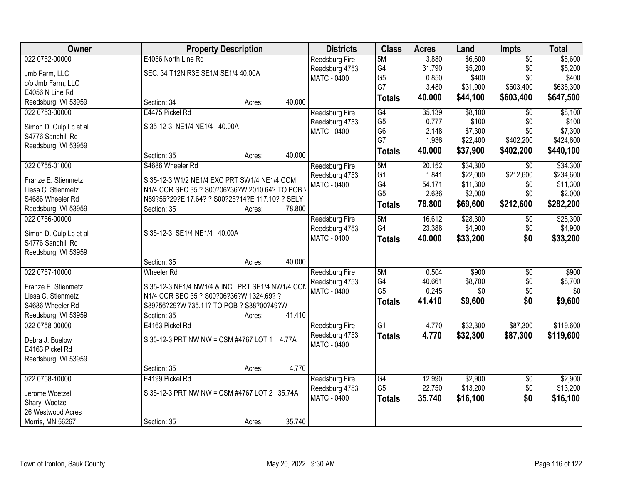| Owner                  | <b>Property Description</b>                      | <b>Districts</b>      | <b>Class</b>    | <b>Acres</b> | Land     | <b>Impts</b>    | <b>Total</b> |
|------------------------|--------------------------------------------------|-----------------------|-----------------|--------------|----------|-----------------|--------------|
| 022 0752-00000         | E4056 North Line Rd                              | Reedsburg Fire        | 5M              | 3.880        | \$6,600  | $\overline{50}$ | \$6,600      |
| Jmb Farm, LLC          | SEC. 34 T12N R3E SE1/4 SE1/4 40.00A              | Reedsburg 4753        | G4              | 31.790       | \$5,200  | \$0             | \$5,200      |
| c/o Jmb Farm, LLC      |                                                  | <b>MATC - 0400</b>    | G <sub>5</sub>  | 0.850        | \$400    | \$0             | \$400        |
| E4056 N Line Rd        |                                                  |                       | G7              | 3.480        | \$31,900 | \$603,400       | \$635,300    |
| Reedsburg, WI 53959    | 40.000<br>Section: 34<br>Acres:                  |                       | <b>Totals</b>   | 40.000       | \$44,100 | \$603,400       | \$647,500    |
| 022 0753-00000         | E4475 Pickel Rd                                  | Reedsburg Fire        | G4              | 35.139       | \$8,100  | \$0             | \$8,100      |
|                        |                                                  | Reedsburg 4753        | G <sub>5</sub>  | 0.777        | \$100    | \$0             | \$100        |
| Simon D. Culp Lc et al | S 35-12-3 NE1/4 NE1/4 40.00A                     | MATC - 0400           | G <sub>6</sub>  | 2.148        | \$7,300  | \$0             | \$7,300      |
| S4776 Sandhill Rd      |                                                  |                       | G7              | 1.936        | \$22,400 | \$402,200       | \$424,600    |
| Reedsburg, WI 53959    |                                                  |                       | <b>Totals</b>   | 40.000       | \$37,900 | \$402,200       | \$440,100    |
|                        | 40.000<br>Section: 35<br>Acres:                  |                       |                 |              |          |                 |              |
| 022 0755-01000         | S4686 Wheeler Rd                                 | Reedsburg Fire        | 5M              | 20.152       | \$34,300 | \$0             | \$34,300     |
| Franze E. Stienmetz    | S 35-12-3 W1/2 NE1/4 EXC PRT SW1/4 NE1/4 COM     | Reedsburg 4753        | G <sub>1</sub>  | 1.841        | \$22,000 | \$212,600       | \$234,600    |
| Liesa C. Stienmetz     | N1/4 COR SEC 35 ? S00?06?36?W 2010.64? TO POB    | MATC - 0400           | G4              | 54.171       | \$11,300 | \$0             | \$11,300     |
| S4686 Wheeler Rd       | N89?56?29?E 17.64? ? S00?25?14?E 117.10? ? SELY  |                       | G <sub>5</sub>  | 2.636        | \$2,000  | \$0             | \$2,000      |
| Reedsburg, WI 53959    | Section: 35<br>78.800<br>Acres:                  |                       | <b>Totals</b>   | 78.800       | \$69,600 | \$212,600       | \$282,200    |
| 022 0756-00000         |                                                  |                       | 5M              | 16.612       | \$28,300 | \$0             | \$28,300     |
|                        |                                                  | <b>Reedsburg Fire</b> | G4              | 23.388       | \$4,900  |                 |              |
| Simon D. Culp Lc et al | S 35-12-3 SE1/4 NE1/4 40.00A                     | Reedsburg 4753        |                 |              |          | \$0             | \$4,900      |
| S4776 Sandhill Rd      |                                                  | MATC - 0400           | <b>Totals</b>   | 40.000       | \$33,200 | \$0             | \$33,200     |
| Reedsburg, WI 53959    |                                                  |                       |                 |              |          |                 |              |
|                        | 40.000<br>Section: 35<br>Acres:                  |                       |                 |              |          |                 |              |
| 022 0757-10000         | <b>Wheeler Rd</b>                                | Reedsburg Fire        | 5M              | 0.504        | \$900    | $\overline{50}$ | \$900        |
|                        |                                                  | Reedsburg 4753        | G4              | 40.661       | \$8,700  | \$0             | \$8,700      |
| Franze E. Stienmetz    | S 35-12-3 NE1/4 NW1/4 & INCL PRT SE1/4 NW1/4 COM | <b>MATC - 0400</b>    | G <sub>5</sub>  | 0.245        | \$0      | \$0             | \$0          |
| Liesa C. Stienmetz     | N1/4 COR SEC 35 ? S00?06?36?W 1324.69? ?         |                       | <b>Totals</b>   | 41.410       | \$9,600  | \$0             | \$9,600      |
| S4686 Wheeler Rd       | S89?56?29?W 735.11? TO POB ? S38?00?49?W         |                       |                 |              |          |                 |              |
| Reedsburg, WI 53959    | 41.410<br>Section: 35<br>Acres:                  |                       |                 |              |          |                 |              |
| 022 0758-00000         | E4163 Pickel Rd                                  | Reedsburg Fire        | $\overline{G1}$ | 4.770        | \$32,300 | \$87,300        | \$119,600    |
| Debra J. Buelow        | S 35-12-3 PRT NW NW = CSM #4767 LOT 1<br>4.77A   | Reedsburg 4753        | <b>Totals</b>   | 4.770        | \$32,300 | \$87,300        | \$119,600    |
| E4163 Pickel Rd        |                                                  | MATC - 0400           |                 |              |          |                 |              |
| Reedsburg, WI 53959    |                                                  |                       |                 |              |          |                 |              |
|                        | 4.770<br>Section: 35<br>Acres:                   |                       |                 |              |          |                 |              |
| 022 0758-10000         | E4199 Pickel Rd                                  | <b>Reedsburg Fire</b> | G4              | 12.990       | \$2,900  | $\overline{50}$ | \$2,900      |
|                        |                                                  | Reedsburg 4753        | G <sub>5</sub>  | 22.750       | \$13,200 | \$0             | \$13,200     |
| Jerome Woetzel         | S 35-12-3 PRT NW NW = CSM #4767 LOT 2 35.74A     | <b>MATC - 0400</b>    | <b>Totals</b>   | 35.740       | \$16,100 | \$0             | \$16,100     |
| Sharyl Woetzel         |                                                  |                       |                 |              |          |                 |              |
| 26 Westwood Acres      |                                                  |                       |                 |              |          |                 |              |
| Morris, MN 56267       | 35.740<br>Section: 35<br>Acres:                  |                       |                 |              |          |                 |              |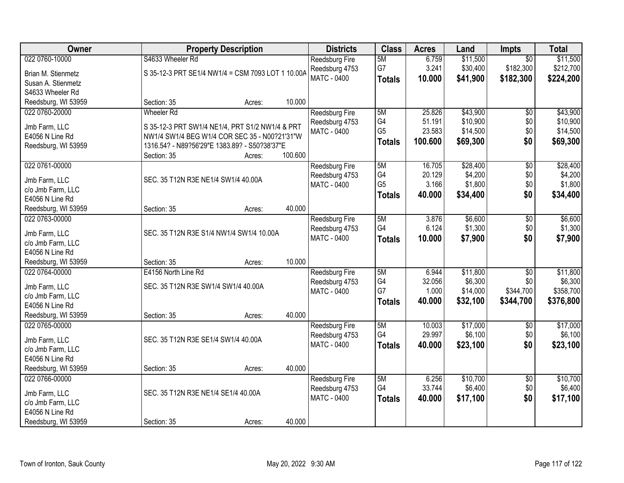| Owner                                |                                                                                                | <b>Property Description</b> |         | <b>Districts</b>      | <b>Class</b>   | <b>Acres</b> | Land     | <b>Impts</b>    | <b>Total</b> |
|--------------------------------------|------------------------------------------------------------------------------------------------|-----------------------------|---------|-----------------------|----------------|--------------|----------|-----------------|--------------|
| 022 0760-10000                       | S4633 Wheeler Rd                                                                               |                             |         | Reedsburg Fire        | 5M             | 6.759        | \$11,500 | $\overline{50}$ | \$11,500     |
| Brian M. Stienmetz                   | S 35-12-3 PRT SE1/4 NW1/4 = CSM 7093 LOT 1 10.00A                                              |                             |         | Reedsburg 4753        | G7             | 3.241        | \$30,400 | \$182,300       | \$212,700    |
| Susan A. Stienmetz                   |                                                                                                |                             |         | <b>MATC - 0400</b>    | <b>Totals</b>  | 10.000       | \$41,900 | \$182,300       | \$224,200    |
| S4633 Wheeler Rd                     |                                                                                                |                             |         |                       |                |              |          |                 |              |
| Reedsburg, WI 53959                  | Section: 35                                                                                    | Acres:                      | 10.000  |                       |                |              |          |                 |              |
| 022 0760-20000                       | <b>Wheeler Rd</b>                                                                              |                             |         | <b>Reedsburg Fire</b> | 5M             | 25.826       | \$43,900 | $\overline{50}$ | \$43,900     |
|                                      |                                                                                                |                             |         | Reedsburg 4753        | G4             | 51.191       | \$10,900 | \$0             | \$10,900     |
| Jmb Farm, LLC                        | S 35-12-3 PRT SW1/4 NE1/4, PRT S1/2 NW1/4 & PRT                                                |                             |         | MATC - 0400           | G <sub>5</sub> | 23.583       | \$14,500 | \$0             | \$14,500     |
| E4056 N Line Rd                      | NW1/4 SW1/4 BEG W1/4 COR SEC 35 - N00?21'31"W<br>1316.54? - N89?56'29"E 1383.89? - S50?38'37"E |                             |         |                       | <b>Totals</b>  | 100.600      | \$69,300 | \$0             | \$69,300     |
| Reedsburg, WI 53959                  | Section: 35                                                                                    | Acres:                      | 100.600 |                       |                |              |          |                 |              |
| 022 0761-00000                       |                                                                                                |                             |         | Reedsburg Fire        | 5M             | 16.705       | \$28,400 | $\overline{50}$ | \$28,400     |
|                                      |                                                                                                |                             |         | Reedsburg 4753        | G4             | 20.129       | \$4,200  | \$0             | \$4,200      |
| Jmb Farm, LLC                        | SEC. 35 T12N R3E NE1/4 SW1/4 40.00A                                                            |                             |         | <b>MATC - 0400</b>    | G <sub>5</sub> | 3.166        | \$1,800  | \$0             | \$1,800      |
| c/o Jmb Farm, LLC                    |                                                                                                |                             |         |                       | <b>Totals</b>  | 40.000       | \$34,400 | \$0             | \$34,400     |
| E4056 N Line Rd                      |                                                                                                |                             |         |                       |                |              |          |                 |              |
| Reedsburg, WI 53959                  | Section: 35                                                                                    | Acres:                      | 40.000  |                       |                |              |          |                 |              |
| 022 0763-00000                       |                                                                                                |                             |         | <b>Reedsburg Fire</b> | 5M             | 3.876        | \$6,600  | \$0             | \$6,600      |
| Jmb Farm, LLC                        | SEC. 35 T12N R3E S1/4 NW1/4 SW1/4 10.00A                                                       |                             |         | Reedsburg 4753        | G4             | 6.124        | \$1,300  | \$0             | \$1,300      |
| c/o Jmb Farm, LLC                    |                                                                                                |                             |         | <b>MATC - 0400</b>    | <b>Totals</b>  | 10.000       | \$7,900  | \$0             | \$7,900      |
| E4056 N Line Rd                      |                                                                                                |                             |         |                       |                |              |          |                 |              |
| Reedsburg, WI 53959                  | Section: 35                                                                                    | Acres:                      | 10.000  |                       |                |              |          |                 |              |
| 022 0764-00000                       | E4156 North Line Rd                                                                            |                             |         | Reedsburg Fire        | 5M             | 6.944        | \$11,800 | $\overline{50}$ | \$11,800     |
|                                      |                                                                                                |                             |         | Reedsburg 4753        | G4             | 32.056       | \$6,300  | \$0             | \$6,300      |
| Jmb Farm, LLC                        | SEC. 35 T12N R3E SW1/4 SW1/4 40.00A                                                            |                             |         | MATC - 0400           | G7             | 1.000        | \$14,000 | \$344,700       | \$358,700    |
| c/o Jmb Farm, LLC<br>E4056 N Line Rd |                                                                                                |                             |         |                       | <b>Totals</b>  | 40.000       | \$32,100 | \$344,700       | \$376,800    |
| Reedsburg, WI 53959                  | Section: 35                                                                                    | Acres:                      | 40.000  |                       |                |              |          |                 |              |
| 022 0765-00000                       |                                                                                                |                             |         | Reedsburg Fire        | 5M             | 10.003       | \$17,000 | $\sqrt{6}$      | \$17,000     |
|                                      |                                                                                                |                             |         | Reedsburg 4753        | G4             | 29.997       | \$6,100  | \$0             | \$6,100      |
| Jmb Farm, LLC                        | SEC. 35 T12N R3E SE1/4 SW1/4 40.00A                                                            |                             |         | MATC - 0400           | <b>Totals</b>  | 40.000       | \$23,100 | \$0             | \$23,100     |
| c/o Jmb Farm, LLC                    |                                                                                                |                             |         |                       |                |              |          |                 |              |
| E4056 N Line Rd                      |                                                                                                |                             |         |                       |                |              |          |                 |              |
| Reedsburg, WI 53959                  | Section: 35                                                                                    | Acres:                      | 40.000  |                       |                |              |          |                 |              |
| 022 0766-00000                       |                                                                                                |                             |         | <b>Reedsburg Fire</b> | 5M             | 6.256        | \$10,700 | $\overline{50}$ | \$10,700     |
| Jmb Farm, LLC                        | SEC. 35 T12N R3E NE1/4 SE1/4 40.00A                                                            |                             |         | Reedsburg 4753        | G4             | 33.744       | \$6,400  | \$0             | \$6,400      |
| c/o Jmb Farm, LLC                    |                                                                                                |                             |         | MATC - 0400           | <b>Totals</b>  | 40.000       | \$17,100 | \$0             | \$17,100     |
| E4056 N Line Rd                      |                                                                                                |                             |         |                       |                |              |          |                 |              |
| Reedsburg, WI 53959                  | Section: 35                                                                                    | Acres:                      | 40.000  |                       |                |              |          |                 |              |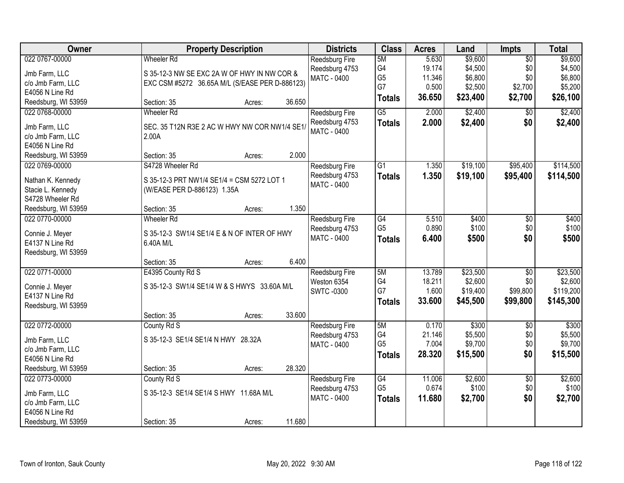| Owner               | <b>Property Description</b>                    | <b>Districts</b>      | <b>Class</b>    | <b>Acres</b> | Land     | <b>Impts</b>    | <b>Total</b> |
|---------------------|------------------------------------------------|-----------------------|-----------------|--------------|----------|-----------------|--------------|
| 022 0767-00000      | <b>Wheeler Rd</b>                              | <b>Reedsburg Fire</b> | 5M              | 5.630        | \$9,600  | $\overline{50}$ | \$9,600      |
| Jmb Farm, LLC       | S 35-12-3 NW SE EXC 2A W OF HWY IN NW COR &    | Reedsburg 4753        | G4              | 19.174       | \$4,500  | \$0             | \$4,500      |
| c/o Jmb Farm, LLC   | EXC CSM #5272 36.65A M/L (S/EASE PER D-886123) | MATC - 0400           | G <sub>5</sub>  | 11.346       | \$6,800  | \$0             | \$6,800      |
| E4056 N Line Rd     |                                                |                       | G7              | 0.500        | \$2,500  | \$2,700         | \$5,200      |
| Reedsburg, WI 53959 | 36.650<br>Section: 35<br>Acres:                |                       | <b>Totals</b>   | 36.650       | \$23,400 | \$2,700         | \$26,100     |
| 022 0768-00000      | <b>Wheeler Rd</b>                              | Reedsburg Fire        | $\overline{G5}$ | 2.000        | \$2,400  | $\overline{50}$ | \$2,400      |
|                     |                                                | Reedsburg 4753        | <b>Totals</b>   | 2.000        | \$2,400  | \$0             | \$2,400      |
| Jmb Farm, LLC       | SEC. 35 T12N R3E 2 AC W HWY NW COR NW1/4 SE1/  | <b>MATC - 0400</b>    |                 |              |          |                 |              |
| c/o Jmb Farm, LLC   | 2.00A                                          |                       |                 |              |          |                 |              |
| E4056 N Line Rd     | 2.000                                          |                       |                 |              |          |                 |              |
| Reedsburg, WI 53959 | Section: 35<br>Acres:                          |                       |                 |              |          |                 |              |
| 022 0769-00000      | S4728 Wheeler Rd                               | <b>Reedsburg Fire</b> | G1              | 1.350        | \$19,100 | \$95,400        | \$114,500    |
| Nathan K. Kennedy   | S 35-12-3 PRT NW1/4 SE1/4 = CSM 5272 LOT 1     | Reedsburg 4753        | <b>Totals</b>   | 1.350        | \$19,100 | \$95,400        | \$114,500    |
| Stacie L. Kennedy   | (W/EASE PER D-886123) 1.35A                    | <b>MATC - 0400</b>    |                 |              |          |                 |              |
| S4728 Wheeler Rd    |                                                |                       |                 |              |          |                 |              |
| Reedsburg, WI 53959 | 1.350<br>Section: 35<br>Acres:                 |                       |                 |              |          |                 |              |
| 022 0770-00000      | <b>Wheeler Rd</b>                              | Reedsburg Fire        | $\overline{G4}$ | 5.510        | \$400    | \$0             | \$400        |
| Connie J. Meyer     | S 35-12-3 SW1/4 SE1/4 E & N OF INTER OF HWY    | Reedsburg 4753        | G <sub>5</sub>  | 0.890        | \$100    | \$0             | \$100        |
| E4137 N Line Rd     | 6.40A M/L                                      | MATC - 0400           | <b>Totals</b>   | 6.400        | \$500    | \$0             | \$500        |
| Reedsburg, WI 53959 |                                                |                       |                 |              |          |                 |              |
|                     | 6.400<br>Section: 35<br>Acres:                 |                       |                 |              |          |                 |              |
| 022 0771-00000      | E4395 County Rd S                              | Reedsburg Fire        | 5M              | 13.789       | \$23,500 | $\overline{50}$ | \$23,500     |
|                     |                                                | Weston 6354           | G4              | 18.211       | \$2,600  | \$0             | \$2,600      |
| Connie J. Meyer     | S 35-12-3 SW1/4 SE1/4 W & S HWYS 33.60A M/L    | <b>SWTC-0300</b>      | G7              | 1.600        | \$19,400 | \$99,800        | \$119,200    |
| E4137 N Line Rd     |                                                |                       | <b>Totals</b>   | 33.600       | \$45,500 | \$99,800        | \$145,300    |
| Reedsburg, WI 53959 |                                                |                       |                 |              |          |                 |              |
|                     | 33.600<br>Section: 35<br>Acres:                |                       |                 |              |          |                 |              |
| 022 0772-00000      | County Rd S                                    | Reedsburg Fire        | 5M              | 0.170        | \$300    | $\overline{50}$ | \$300        |
| Jmb Farm, LLC       | S 35-12-3 SE1/4 SE1/4 N HWY 28.32A             | Reedsburg 4753        | G4              | 21.146       | \$5,500  | \$0             | \$5,500      |
| c/o Jmb Farm, LLC   |                                                | <b>MATC - 0400</b>    | G <sub>5</sub>  | 7.004        | \$9,700  | \$0             | \$9,700      |
| E4056 N Line Rd     |                                                |                       | <b>Totals</b>   | 28.320       | \$15,500 | \$0             | \$15,500     |
| Reedsburg, WI 53959 | 28.320<br>Section: 35<br>Acres:                |                       |                 |              |          |                 |              |
| 022 0773-00000      | County Rd S                                    | <b>Reedsburg Fire</b> | G4              | 11.006       | \$2,600  | $\overline{50}$ | \$2,600      |
|                     |                                                | Reedsburg 4753        | G <sub>5</sub>  | 0.674        | \$100    | \$0             | \$100        |
| Jmb Farm, LLC       | S 35-12-3 SE1/4 SE1/4 S HWY 11.68A M/L         | MATC - 0400           | <b>Totals</b>   | 11.680       | \$2,700  | \$0             | \$2,700      |
| c/o Jmb Farm, LLC   |                                                |                       |                 |              |          |                 |              |
| E4056 N Line Rd     |                                                |                       |                 |              |          |                 |              |
| Reedsburg, WI 53959 | 11.680<br>Section: 35<br>Acres:                |                       |                 |              |          |                 |              |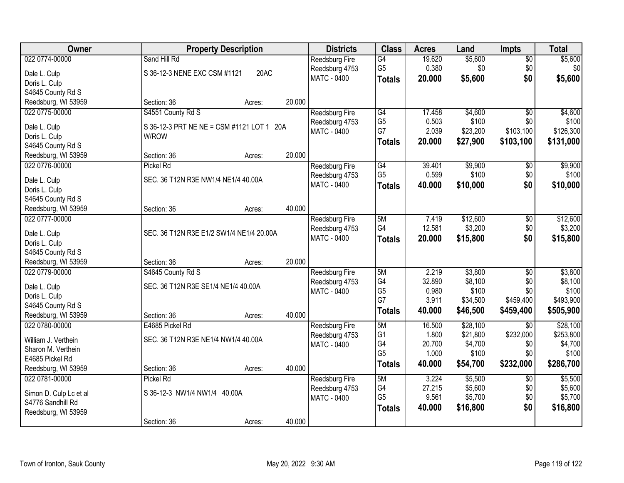| Owner                  | <b>Property Description</b>               |        |        | <b>Districts</b>      | <b>Class</b>   | <b>Acres</b> | Land               | <b>Impts</b>           | <b>Total</b>       |
|------------------------|-------------------------------------------|--------|--------|-----------------------|----------------|--------------|--------------------|------------------------|--------------------|
| 022 0774-00000         | Sand Hill Rd                              |        |        | Reedsburg Fire        | G4             | 19.620       | \$5,600            | $\sqrt{$0}$            | \$5,600            |
| Dale L. Culp           | S 36-12-3 NENE EXC CSM #1121              | 20AC   |        | Reedsburg 4753        | G <sub>5</sub> | 0.380        | \$0                | \$0                    | \$0]               |
| Doris L. Culp          |                                           |        |        | <b>MATC - 0400</b>    | <b>Totals</b>  | 20.000       | \$5,600            | \$0                    | \$5,600            |
| S4645 County Rd S      |                                           |        |        |                       |                |              |                    |                        |                    |
| Reedsburg, WI 53959    | Section: 36                               | Acres: | 20.000 |                       |                |              |                    |                        |                    |
| 022 0775-00000         | S4551 County Rd S                         |        |        | <b>Reedsburg Fire</b> | G4             | 17.458       | \$4,600            | $\overline{50}$        | \$4,600            |
|                        |                                           |        |        | Reedsburg 4753        | G <sub>5</sub> | 0.503        | \$100              | \$0                    | \$100              |
| Dale L. Culp           | S 36-12-3 PRT NE NE = CSM #1121 LOT 1 20A |        |        | MATC - 0400           | G7             | 2.039        | \$23,200           | \$103,100              | \$126,300          |
| Doris L. Culp          | W/ROW                                     |        |        |                       | <b>Totals</b>  | 20.000       | \$27,900           | \$103,100              | \$131,000          |
| S4645 County Rd S      |                                           |        |        |                       |                |              |                    |                        |                    |
| Reedsburg, WI 53959    | Section: 36                               | Acres: | 20.000 |                       |                |              |                    |                        |                    |
| 022 0776-00000         | Pickel Rd                                 |        |        | <b>Reedsburg Fire</b> | G4             | 39.401       | \$9,900            | \$0                    | \$9,900            |
| Dale L. Culp           | SEC. 36 T12N R3E NW1/4 NE1/4 40.00A       |        |        | Reedsburg 4753        | G <sub>5</sub> | 0.599        | \$100              | \$0                    | \$100              |
| Doris L. Culp          |                                           |        |        | MATC - 0400           | <b>Totals</b>  | 40.000       | \$10,000           | \$0                    | \$10,000           |
| S4645 County Rd S      |                                           |        |        |                       |                |              |                    |                        |                    |
| Reedsburg, WI 53959    | Section: 36                               | Acres: | 40.000 |                       |                |              |                    |                        |                    |
| 022 0777-00000         |                                           |        |        | <b>Reedsburg Fire</b> | 5M             | 7.419        | \$12,600           | \$0                    | \$12,600           |
|                        |                                           |        |        | Reedsburg 4753        | G4             | 12.581       | \$3,200            | \$0                    | \$3,200            |
| Dale L. Culp           | SEC. 36 T12N R3E E1/2 SW1/4 NE1/4 20.00A  |        |        | <b>MATC - 0400</b>    | <b>Totals</b>  | 20.000       | \$15,800           | \$0                    | \$15,800           |
| Doris L. Culp          |                                           |        |        |                       |                |              |                    |                        |                    |
| S4645 County Rd S      |                                           |        |        |                       |                |              |                    |                        |                    |
| Reedsburg, WI 53959    | Section: 36                               | Acres: | 20.000 |                       | 5M             | 2.219        |                    |                        |                    |
| 022 0779-00000         | S4645 County Rd S                         |        |        | Reedsburg Fire        | G4             | 32.890       | \$3,800<br>\$8,100 | $\overline{50}$<br>\$0 | \$3,800<br>\$8,100 |
| Dale L. Culp           | SEC. 36 T12N R3E SE1/4 NE1/4 40.00A       |        |        | Reedsburg 4753        | G <sub>5</sub> | 0.980        | \$100              | \$0                    | \$100              |
| Doris L. Culp          |                                           |        |        | MATC - 0400           | G7             | 3.911        | \$34,500           | \$459,400              | \$493,900          |
| S4645 County Rd S      |                                           |        |        |                       |                | 40.000       | \$46,500           | \$459,400              | \$505,900          |
| Reedsburg, WI 53959    | Section: 36                               | Acres: | 40.000 |                       | <b>Totals</b>  |              |                    |                        |                    |
| 022 0780-00000         | E4685 Pickel Rd                           |        |        | Reedsburg Fire        | 5M             | 16.500       | \$28,100           | $\overline{50}$        | \$28,100           |
| William J. Verthein    | SEC. 36 T12N R3E NE1/4 NW1/4 40.00A       |        |        | Reedsburg 4753        | G <sub>1</sub> | 1.800        | \$21,800           | \$232,000              | \$253,800          |
| Sharon M. Verthein     |                                           |        |        | MATC - 0400           | G4             | 20.700       | \$4,700            | \$0                    | \$4,700            |
| E4685 Pickel Rd        |                                           |        |        |                       | G <sub>5</sub> | 1.000        | \$100              | \$0                    | \$100              |
| Reedsburg, WI 53959    | Section: 36                               | Acres: | 40.000 |                       | <b>Totals</b>  | 40.000       | \$54,700           | \$232,000              | \$286,700          |
| 022 0781-00000         | Pickel Rd                                 |        |        | <b>Reedsburg Fire</b> | 5M             | 3.224        | \$5,500            | $\overline{50}$        | \$5,500            |
|                        |                                           |        |        | Reedsburg 4753        | G4             | 27.215       | \$5,600            | \$0                    | \$5,600            |
| Simon D. Culp Lc et al | S 36-12-3 NW1/4 NW1/4 40.00A              |        |        | <b>MATC - 0400</b>    | G <sub>5</sub> | 9.561        | \$5,700            | \$0                    | \$5,700            |
| S4776 Sandhill Rd      |                                           |        |        |                       | <b>Totals</b>  | 40.000       | \$16,800           | \$0                    | \$16,800           |
| Reedsburg, WI 53959    |                                           |        |        |                       |                |              |                    |                        |                    |
|                        | Section: 36                               | Acres: | 40.000 |                       |                |              |                    |                        |                    |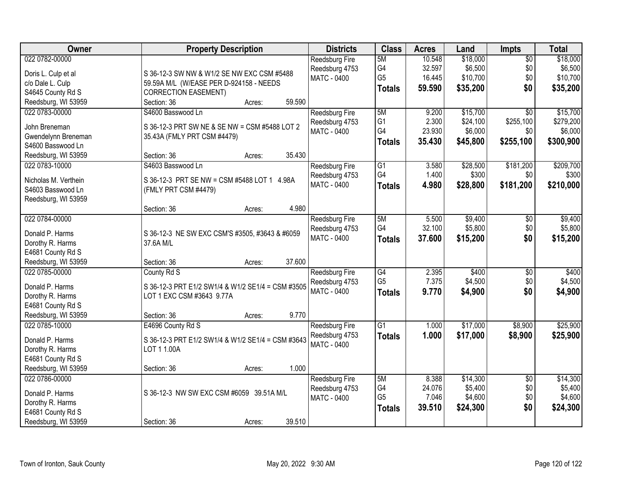| Owner                | <b>Property Description</b>                       | <b>Districts</b>              | <b>Class</b>    | <b>Acres</b>    | Land               | Impts           | <b>Total</b>       |
|----------------------|---------------------------------------------------|-------------------------------|-----------------|-----------------|--------------------|-----------------|--------------------|
| 022 0782-00000       |                                                   | <b>Reedsburg Fire</b>         | 5M              | 10.548          | \$18,000           | $\overline{50}$ | \$18,000           |
| Doris L. Culp et al  | S 36-12-3 SW NW & W1/2 SE NW EXC CSM #5488        | Reedsburg 4753                | G4              | 32.597          | \$6,500            | \$0             | \$6,500            |
| c/o Dale L. Culp     | 59.59A M/L (W/EASE PER D-924158 - NEEDS           | MATC - 0400                   | G <sub>5</sub>  | 16.445          | \$10,700           | \$0             | \$10,700           |
| S4645 County Rd S    | <b>CORRECTION EASEMENT)</b>                       |                               | <b>Totals</b>   | 59.590          | \$35,200           | \$0             | \$35,200           |
| Reedsburg, WI 53959  | 59.590<br>Section: 36<br>Acres:                   |                               |                 |                 |                    |                 |                    |
| 022 0783-00000       | S4600 Basswood Ln                                 | <b>Reedsburg Fire</b>         | 5M              | 9.200           | \$15,700           | $\overline{30}$ | \$15,700           |
| John Breneman        |                                                   | Reedsburg 4753                | G <sub>1</sub>  | 2.300           | \$24,100           | \$255,100       | \$279,200          |
| Gwendelynn Breneman  | S 36-12-3 PRT SW NE & SE NW = CSM #5488 LOT 2     | MATC - 0400                   | G4              | 23.930          | \$6,000            | \$0             | \$6,000            |
| S4600 Basswood Ln    | 35.43A (FMLY PRT CSM #4479)                       |                               | <b>Totals</b>   | 35.430          | \$45,800           | \$255,100       | \$300,900          |
| Reedsburg, WI 53959  | Section: 36<br>35.430<br>Acres:                   |                               |                 |                 |                    |                 |                    |
| 022 0783-10000       | S4603 Basswood Ln                                 | <b>Reedsburg Fire</b>         | $\overline{G1}$ | 3.580           | \$28,500           | \$181,200       | \$209,700          |
|                      |                                                   | Reedsburg 4753                | G4              | 1.400           | \$300              | \$0             | \$300              |
| Nicholas M. Verthein | S 36-12-3 PRT SE NW = CSM #5488 LOT 1 4.98A       | <b>MATC - 0400</b>            | <b>Totals</b>   | 4.980           | \$28,800           | \$181,200       | \$210,000          |
| S4603 Basswood Ln    | (FMLY PRT CSM #4479)                              |                               |                 |                 |                    |                 |                    |
| Reedsburg, WI 53959  |                                                   |                               |                 |                 |                    |                 |                    |
|                      | 4.980<br>Section: 36<br>Acres:                    |                               |                 |                 |                    |                 |                    |
| 022 0784-00000       |                                                   | <b>Reedsburg Fire</b>         | 5M<br>G4        | 5.500<br>32.100 | \$9,400<br>\$5,800 | \$0             | \$9,400<br>\$5,800 |
| Donald P. Harms      | S 36-12-3 NE SW EXC CSM'S #3505, #3643 & #6059    | Reedsburg 4753<br>MATC - 0400 |                 |                 |                    | \$0<br>\$0      |                    |
| Dorothy R. Harms     | 37.6A M/L                                         |                               | <b>Totals</b>   | 37.600          | \$15,200           |                 | \$15,200           |
| E4681 County Rd S    |                                                   |                               |                 |                 |                    |                 |                    |
| Reedsburg, WI 53959  | 37.600<br>Section: 36<br>Acres:                   |                               |                 |                 |                    |                 |                    |
| 022 0785-00000       | County Rd S                                       | Reedsburg Fire                | $\overline{G4}$ | 2.395           | \$400              | \$0             | \$400              |
| Donald P. Harms      | S 36-12-3 PRT E1/2 SW1/4 & W1/2 SE1/4 = CSM #3505 | Reedsburg 4753                | G <sub>5</sub>  | 7.375           | \$4,500            | \$0             | \$4,500            |
| Dorothy R. Harms     | LOT 1 EXC CSM #3643 9.77A                         | <b>MATC - 0400</b>            | <b>Totals</b>   | 9.770           | \$4,900            | \$0             | \$4,900            |
| E4681 County Rd S    |                                                   |                               |                 |                 |                    |                 |                    |
| Reedsburg, WI 53959  | 9.770<br>Section: 36<br>Acres:                    |                               |                 |                 |                    |                 |                    |
| 022 0785-10000       | E4696 County Rd S                                 | Reedsburg Fire                | $\overline{G1}$ | 1.000           | \$17,000           | \$8,900         | \$25,900           |
| Donald P. Harms      | S 36-12-3 PRT E1/2 SW1/4 & W1/2 SE1/4 = CSM #3643 | Reedsburg 4753                | <b>Totals</b>   | 1.000           | \$17,000           | \$8,900         | \$25,900           |
| Dorothy R. Harms     | LOT 1 1.00A                                       | <b>MATC - 0400</b>            |                 |                 |                    |                 |                    |
| E4681 County Rd S    |                                                   |                               |                 |                 |                    |                 |                    |
| Reedsburg, WI 53959  | 1.000<br>Section: 36<br>Acres:                    |                               |                 |                 |                    |                 |                    |
| 022 0786-00000       |                                                   | <b>Reedsburg Fire</b>         | 5M              | 8.388           | \$14,300           | $\overline{30}$ | \$14,300           |
|                      |                                                   | Reedsburg 4753                | G4              | 24.076          | \$5,400            | \$0             | \$5,400            |
| Donald P. Harms      | S 36-12-3 NW SW EXC CSM #6059 39.51A M/L          | <b>MATC - 0400</b>            | G <sub>5</sub>  | 7.046           | \$4,600            | \$0             | \$4,600            |
| Dorothy R. Harms     |                                                   |                               | <b>Totals</b>   | 39.510          | \$24,300           | \$0             | \$24,300           |
| E4681 County Rd S    |                                                   |                               |                 |                 |                    |                 |                    |
| Reedsburg, WI 53959  | 39.510<br>Section: 36<br>Acres:                   |                               |                 |                 |                    |                 |                    |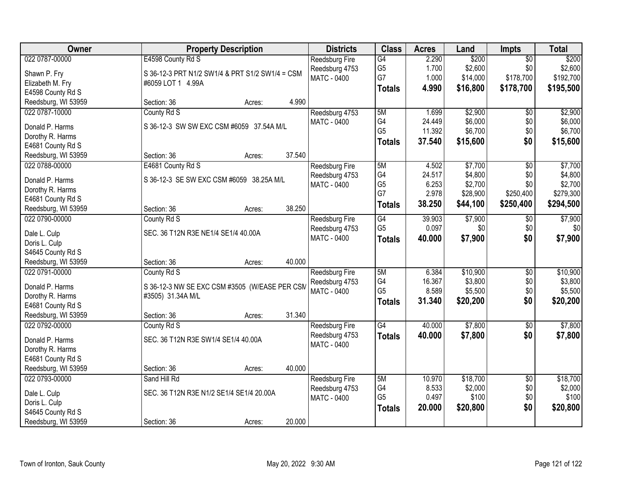| Reedsburg Fire<br>G4<br>$\overline{50}$<br>G <sub>5</sub><br>\$2,600<br>\$2,600<br>1.700<br>\$0<br>Reedsburg 4753<br>Shawn P. Fry<br>S 36-12-3 PRT N1/2 SW1/4 & PRT S1/2 SW1/4 = CSM<br>G7<br>1.000<br>\$178,700<br>\$192,700<br>\$14,000<br><b>MATC - 0400</b><br>Elizabeth M. Fry<br>#6059 LOT 1 4.99A<br>4.990<br>\$16,800<br>\$178,700<br>\$195,500<br><b>Totals</b><br>E4598 County Rd S<br>4.990<br>Reedsburg, WI 53959<br>Section: 36<br>Acres:<br>\$2,900<br>\$2,900<br>022 0787-10000<br>County Rd S<br>5M<br>Reedsburg 4753<br>1.699<br>\$0<br>G4<br>\$6,000<br>\$0<br>MATC - 0400<br>24.449<br>S 36-12-3 SW SW EXC CSM #6059 37.54A M/L<br>Donald P. Harms<br>G <sub>5</sub><br>\$0<br>11.392<br>\$6,700<br>Dorothy R. Harms<br>\$0<br>37.540<br>\$15,600<br><b>Totals</b><br>E4681 County Rd S<br>37.540<br>Reedsburg, WI 53959<br>Section: 36<br>Acres:<br>\$7,700<br>022 0788-00000<br>E4681 County Rd S<br>4.502<br>$\overline{50}$<br>\$7,700<br>Reedsburg Fire<br>5M<br>G4<br>24.517<br>\$4,800<br>\$0<br>Reedsburg 4753<br>S 36-12-3 SE SW EXC CSM #6059 38.25A M/L<br>Donald P. Harms<br>G <sub>5</sub><br>6.253<br>\$2,700<br>\$0<br>MATC - 0400<br>Dorothy R. Harms<br>G7<br>2.978<br>\$28,900<br>\$250,400<br>E4681 County Rd S<br>38.250<br>\$44,100<br>\$250,400<br>\$294,500<br><b>Totals</b><br>38.250<br>Reedsburg, WI 53959<br>Section: 36<br>Acres:<br>022 0790-00000<br>\$7,900<br>\$7,900<br>County Rd S<br>G4<br>39.903<br><b>Reedsburg Fire</b><br>$\sqrt[6]{}$<br>G <sub>5</sub><br>0.097<br>\$0<br>\$0<br>Reedsburg 4753<br>SEC. 36 T12N R3E NE1/4 SE1/4 40.00A<br>Dale L. Culp<br>\$0<br><b>MATC - 0400</b><br>40.000<br>\$7,900<br><b>Totals</b><br>Doris L. Culp<br>S4645 County Rd S<br>40.000<br>Reedsburg, WI 53959<br>Section: 36<br>Acres:<br>\$10,900<br>022 0791-00000<br>5M<br>6.384<br>$\overline{50}$<br>County Rd S<br>Reedsburg Fire<br>G4<br>16.367<br>\$3,800<br>\$0<br>Reedsburg 4753<br>Donald P. Harms<br>S 36-12-3 NW SE EXC CSM #3505 (W/EASE PER CSM<br>G <sub>5</sub><br>\$5,500<br>\$0<br>8.589<br><b>MATC - 0400</b><br>Dorothy R. Harms<br>#3505) 31.34A M/L<br>\$0<br>31.340<br>\$20,200<br><b>Totals</b><br>E4681 County Rd S<br>31.340<br>Reedsburg, WI 53959<br>Section: 36<br>Acres:<br>$\overline{G4}$<br>\$7,800<br>022 0792-00000<br>County Rd S<br>40.000<br>$\sqrt{6}$<br>Reedsburg Fire<br>\$7,800<br>\$0<br>Reedsburg 4753<br>40.000<br><b>Totals</b><br>SEC. 36 T12N R3E SW1/4 SE1/4 40.00A<br>Donald P. Harms | Owner          | <b>Property Description</b> | <b>Districts</b> | <b>Class</b> | <b>Acres</b> | Land  | Impts | <b>Total</b> |
|-------------------------------------------------------------------------------------------------------------------------------------------------------------------------------------------------------------------------------------------------------------------------------------------------------------------------------------------------------------------------------------------------------------------------------------------------------------------------------------------------------------------------------------------------------------------------------------------------------------------------------------------------------------------------------------------------------------------------------------------------------------------------------------------------------------------------------------------------------------------------------------------------------------------------------------------------------------------------------------------------------------------------------------------------------------------------------------------------------------------------------------------------------------------------------------------------------------------------------------------------------------------------------------------------------------------------------------------------------------------------------------------------------------------------------------------------------------------------------------------------------------------------------------------------------------------------------------------------------------------------------------------------------------------------------------------------------------------------------------------------------------------------------------------------------------------------------------------------------------------------------------------------------------------------------------------------------------------------------------------------------------------------------------------------------------------------------------------------------------------------------------------------------------------------------------------------------------------------------------------------------------------------------------------------------------------------------------------------------------------------------------------------------------------------------------------------------------------------------------------|----------------|-----------------------------|------------------|--------------|--------------|-------|-------|--------------|
|                                                                                                                                                                                                                                                                                                                                                                                                                                                                                                                                                                                                                                                                                                                                                                                                                                                                                                                                                                                                                                                                                                                                                                                                                                                                                                                                                                                                                                                                                                                                                                                                                                                                                                                                                                                                                                                                                                                                                                                                                                                                                                                                                                                                                                                                                                                                                                                                                                                                                           | 022 0787-00000 | E4598 County Rd S           |                  |              | 2.290        | \$200 |       | \$200        |
|                                                                                                                                                                                                                                                                                                                                                                                                                                                                                                                                                                                                                                                                                                                                                                                                                                                                                                                                                                                                                                                                                                                                                                                                                                                                                                                                                                                                                                                                                                                                                                                                                                                                                                                                                                                                                                                                                                                                                                                                                                                                                                                                                                                                                                                                                                                                                                                                                                                                                           |                |                             |                  |              |              |       |       |              |
| \$6,000<br>\$6,700<br>\$15,600<br>\$0<br>\$7,900<br>\$10,900<br>\$5,500<br>\$20,200                                                                                                                                                                                                                                                                                                                                                                                                                                                                                                                                                                                                                                                                                                                                                                                                                                                                                                                                                                                                                                                                                                                                                                                                                                                                                                                                                                                                                                                                                                                                                                                                                                                                                                                                                                                                                                                                                                                                                                                                                                                                                                                                                                                                                                                                                                                                                                                                       |                |                             |                  |              |              |       |       |              |
|                                                                                                                                                                                                                                                                                                                                                                                                                                                                                                                                                                                                                                                                                                                                                                                                                                                                                                                                                                                                                                                                                                                                                                                                                                                                                                                                                                                                                                                                                                                                                                                                                                                                                                                                                                                                                                                                                                                                                                                                                                                                                                                                                                                                                                                                                                                                                                                                                                                                                           |                |                             |                  |              |              |       |       |              |
|                                                                                                                                                                                                                                                                                                                                                                                                                                                                                                                                                                                                                                                                                                                                                                                                                                                                                                                                                                                                                                                                                                                                                                                                                                                                                                                                                                                                                                                                                                                                                                                                                                                                                                                                                                                                                                                                                                                                                                                                                                                                                                                                                                                                                                                                                                                                                                                                                                                                                           |                |                             |                  |              |              |       |       |              |
| \$4,800<br>\$2,700<br>\$279,300<br>\$3,800<br>\$7,800<br>\$7,800                                                                                                                                                                                                                                                                                                                                                                                                                                                                                                                                                                                                                                                                                                                                                                                                                                                                                                                                                                                                                                                                                                                                                                                                                                                                                                                                                                                                                                                                                                                                                                                                                                                                                                                                                                                                                                                                                                                                                                                                                                                                                                                                                                                                                                                                                                                                                                                                                          |                |                             |                  |              |              |       |       |              |
|                                                                                                                                                                                                                                                                                                                                                                                                                                                                                                                                                                                                                                                                                                                                                                                                                                                                                                                                                                                                                                                                                                                                                                                                                                                                                                                                                                                                                                                                                                                                                                                                                                                                                                                                                                                                                                                                                                                                                                                                                                                                                                                                                                                                                                                                                                                                                                                                                                                                                           |                |                             |                  |              |              |       |       |              |
|                                                                                                                                                                                                                                                                                                                                                                                                                                                                                                                                                                                                                                                                                                                                                                                                                                                                                                                                                                                                                                                                                                                                                                                                                                                                                                                                                                                                                                                                                                                                                                                                                                                                                                                                                                                                                                                                                                                                                                                                                                                                                                                                                                                                                                                                                                                                                                                                                                                                                           |                |                             |                  |              |              |       |       |              |
|                                                                                                                                                                                                                                                                                                                                                                                                                                                                                                                                                                                                                                                                                                                                                                                                                                                                                                                                                                                                                                                                                                                                                                                                                                                                                                                                                                                                                                                                                                                                                                                                                                                                                                                                                                                                                                                                                                                                                                                                                                                                                                                                                                                                                                                                                                                                                                                                                                                                                           |                |                             |                  |              |              |       |       |              |
|                                                                                                                                                                                                                                                                                                                                                                                                                                                                                                                                                                                                                                                                                                                                                                                                                                                                                                                                                                                                                                                                                                                                                                                                                                                                                                                                                                                                                                                                                                                                                                                                                                                                                                                                                                                                                                                                                                                                                                                                                                                                                                                                                                                                                                                                                                                                                                                                                                                                                           |                |                             |                  |              |              |       |       |              |
|                                                                                                                                                                                                                                                                                                                                                                                                                                                                                                                                                                                                                                                                                                                                                                                                                                                                                                                                                                                                                                                                                                                                                                                                                                                                                                                                                                                                                                                                                                                                                                                                                                                                                                                                                                                                                                                                                                                                                                                                                                                                                                                                                                                                                                                                                                                                                                                                                                                                                           |                |                             |                  |              |              |       |       |              |
|                                                                                                                                                                                                                                                                                                                                                                                                                                                                                                                                                                                                                                                                                                                                                                                                                                                                                                                                                                                                                                                                                                                                                                                                                                                                                                                                                                                                                                                                                                                                                                                                                                                                                                                                                                                                                                                                                                                                                                                                                                                                                                                                                                                                                                                                                                                                                                                                                                                                                           |                |                             |                  |              |              |       |       |              |
|                                                                                                                                                                                                                                                                                                                                                                                                                                                                                                                                                                                                                                                                                                                                                                                                                                                                                                                                                                                                                                                                                                                                                                                                                                                                                                                                                                                                                                                                                                                                                                                                                                                                                                                                                                                                                                                                                                                                                                                                                                                                                                                                                                                                                                                                                                                                                                                                                                                                                           |                |                             |                  |              |              |       |       |              |
|                                                                                                                                                                                                                                                                                                                                                                                                                                                                                                                                                                                                                                                                                                                                                                                                                                                                                                                                                                                                                                                                                                                                                                                                                                                                                                                                                                                                                                                                                                                                                                                                                                                                                                                                                                                                                                                                                                                                                                                                                                                                                                                                                                                                                                                                                                                                                                                                                                                                                           |                |                             |                  |              |              |       |       |              |
|                                                                                                                                                                                                                                                                                                                                                                                                                                                                                                                                                                                                                                                                                                                                                                                                                                                                                                                                                                                                                                                                                                                                                                                                                                                                                                                                                                                                                                                                                                                                                                                                                                                                                                                                                                                                                                                                                                                                                                                                                                                                                                                                                                                                                                                                                                                                                                                                                                                                                           |                |                             |                  |              |              |       |       |              |
|                                                                                                                                                                                                                                                                                                                                                                                                                                                                                                                                                                                                                                                                                                                                                                                                                                                                                                                                                                                                                                                                                                                                                                                                                                                                                                                                                                                                                                                                                                                                                                                                                                                                                                                                                                                                                                                                                                                                                                                                                                                                                                                                                                                                                                                                                                                                                                                                                                                                                           |                |                             |                  |              |              |       |       |              |
|                                                                                                                                                                                                                                                                                                                                                                                                                                                                                                                                                                                                                                                                                                                                                                                                                                                                                                                                                                                                                                                                                                                                                                                                                                                                                                                                                                                                                                                                                                                                                                                                                                                                                                                                                                                                                                                                                                                                                                                                                                                                                                                                                                                                                                                                                                                                                                                                                                                                                           |                |                             |                  |              |              |       |       |              |
|                                                                                                                                                                                                                                                                                                                                                                                                                                                                                                                                                                                                                                                                                                                                                                                                                                                                                                                                                                                                                                                                                                                                                                                                                                                                                                                                                                                                                                                                                                                                                                                                                                                                                                                                                                                                                                                                                                                                                                                                                                                                                                                                                                                                                                                                                                                                                                                                                                                                                           |                |                             |                  |              |              |       |       |              |
|                                                                                                                                                                                                                                                                                                                                                                                                                                                                                                                                                                                                                                                                                                                                                                                                                                                                                                                                                                                                                                                                                                                                                                                                                                                                                                                                                                                                                                                                                                                                                                                                                                                                                                                                                                                                                                                                                                                                                                                                                                                                                                                                                                                                                                                                                                                                                                                                                                                                                           |                |                             |                  |              |              |       |       |              |
|                                                                                                                                                                                                                                                                                                                                                                                                                                                                                                                                                                                                                                                                                                                                                                                                                                                                                                                                                                                                                                                                                                                                                                                                                                                                                                                                                                                                                                                                                                                                                                                                                                                                                                                                                                                                                                                                                                                                                                                                                                                                                                                                                                                                                                                                                                                                                                                                                                                                                           |                |                             |                  |              |              |       |       |              |
|                                                                                                                                                                                                                                                                                                                                                                                                                                                                                                                                                                                                                                                                                                                                                                                                                                                                                                                                                                                                                                                                                                                                                                                                                                                                                                                                                                                                                                                                                                                                                                                                                                                                                                                                                                                                                                                                                                                                                                                                                                                                                                                                                                                                                                                                                                                                                                                                                                                                                           |                |                             |                  |              |              |       |       |              |
|                                                                                                                                                                                                                                                                                                                                                                                                                                                                                                                                                                                                                                                                                                                                                                                                                                                                                                                                                                                                                                                                                                                                                                                                                                                                                                                                                                                                                                                                                                                                                                                                                                                                                                                                                                                                                                                                                                                                                                                                                                                                                                                                                                                                                                                                                                                                                                                                                                                                                           |                |                             |                  |              |              |       |       |              |
|                                                                                                                                                                                                                                                                                                                                                                                                                                                                                                                                                                                                                                                                                                                                                                                                                                                                                                                                                                                                                                                                                                                                                                                                                                                                                                                                                                                                                                                                                                                                                                                                                                                                                                                                                                                                                                                                                                                                                                                                                                                                                                                                                                                                                                                                                                                                                                                                                                                                                           |                |                             |                  |              |              |       |       |              |
|                                                                                                                                                                                                                                                                                                                                                                                                                                                                                                                                                                                                                                                                                                                                                                                                                                                                                                                                                                                                                                                                                                                                                                                                                                                                                                                                                                                                                                                                                                                                                                                                                                                                                                                                                                                                                                                                                                                                                                                                                                                                                                                                                                                                                                                                                                                                                                                                                                                                                           |                |                             |                  |              |              |       |       |              |
|                                                                                                                                                                                                                                                                                                                                                                                                                                                                                                                                                                                                                                                                                                                                                                                                                                                                                                                                                                                                                                                                                                                                                                                                                                                                                                                                                                                                                                                                                                                                                                                                                                                                                                                                                                                                                                                                                                                                                                                                                                                                                                                                                                                                                                                                                                                                                                                                                                                                                           |                |                             |                  |              |              |       |       |              |
|                                                                                                                                                                                                                                                                                                                                                                                                                                                                                                                                                                                                                                                                                                                                                                                                                                                                                                                                                                                                                                                                                                                                                                                                                                                                                                                                                                                                                                                                                                                                                                                                                                                                                                                                                                                                                                                                                                                                                                                                                                                                                                                                                                                                                                                                                                                                                                                                                                                                                           |                |                             |                  |              |              |       |       |              |
|                                                                                                                                                                                                                                                                                                                                                                                                                                                                                                                                                                                                                                                                                                                                                                                                                                                                                                                                                                                                                                                                                                                                                                                                                                                                                                                                                                                                                                                                                                                                                                                                                                                                                                                                                                                                                                                                                                                                                                                                                                                                                                                                                                                                                                                                                                                                                                                                                                                                                           |                |                             |                  |              |              |       |       |              |
|                                                                                                                                                                                                                                                                                                                                                                                                                                                                                                                                                                                                                                                                                                                                                                                                                                                                                                                                                                                                                                                                                                                                                                                                                                                                                                                                                                                                                                                                                                                                                                                                                                                                                                                                                                                                                                                                                                                                                                                                                                                                                                                                                                                                                                                                                                                                                                                                                                                                                           |                |                             |                  |              |              |       |       |              |
| Dorothy R. Harms                                                                                                                                                                                                                                                                                                                                                                                                                                                                                                                                                                                                                                                                                                                                                                                                                                                                                                                                                                                                                                                                                                                                                                                                                                                                                                                                                                                                                                                                                                                                                                                                                                                                                                                                                                                                                                                                                                                                                                                                                                                                                                                                                                                                                                                                                                                                                                                                                                                                          |                |                             | MATC - 0400      |              |              |       |       |              |
| E4681 County Rd S                                                                                                                                                                                                                                                                                                                                                                                                                                                                                                                                                                                                                                                                                                                                                                                                                                                                                                                                                                                                                                                                                                                                                                                                                                                                                                                                                                                                                                                                                                                                                                                                                                                                                                                                                                                                                                                                                                                                                                                                                                                                                                                                                                                                                                                                                                                                                                                                                                                                         |                |                             |                  |              |              |       |       |              |
| Reedsburg, WI 53959<br>40.000<br>Section: 36<br>Acres:                                                                                                                                                                                                                                                                                                                                                                                                                                                                                                                                                                                                                                                                                                                                                                                                                                                                                                                                                                                                                                                                                                                                                                                                                                                                                                                                                                                                                                                                                                                                                                                                                                                                                                                                                                                                                                                                                                                                                                                                                                                                                                                                                                                                                                                                                                                                                                                                                                    |                |                             |                  |              |              |       |       |              |
| 022 0793-00000<br>\$18,700<br>\$18,700<br>Sand Hill Rd<br>5M<br>10.970<br>$\overline{30}$<br><b>Reedsburg Fire</b>                                                                                                                                                                                                                                                                                                                                                                                                                                                                                                                                                                                                                                                                                                                                                                                                                                                                                                                                                                                                                                                                                                                                                                                                                                                                                                                                                                                                                                                                                                                                                                                                                                                                                                                                                                                                                                                                                                                                                                                                                                                                                                                                                                                                                                                                                                                                                                        |                |                             |                  |              |              |       |       |              |
| G4<br>8.533<br>\$2,000<br>\$0<br>\$2,000<br>Reedsburg 4753<br>SEC. 36 T12N R3E N1/2 SE1/4 SE1/4 20.00A                                                                                                                                                                                                                                                                                                                                                                                                                                                                                                                                                                                                                                                                                                                                                                                                                                                                                                                                                                                                                                                                                                                                                                                                                                                                                                                                                                                                                                                                                                                                                                                                                                                                                                                                                                                                                                                                                                                                                                                                                                                                                                                                                                                                                                                                                                                                                                                    |                |                             |                  |              |              |       |       |              |
| Dale L. Culp<br>G <sub>5</sub><br>0.497<br>\$100<br>\$0<br>\$100<br><b>MATC - 0400</b><br>Doris L. Culp                                                                                                                                                                                                                                                                                                                                                                                                                                                                                                                                                                                                                                                                                                                                                                                                                                                                                                                                                                                                                                                                                                                                                                                                                                                                                                                                                                                                                                                                                                                                                                                                                                                                                                                                                                                                                                                                                                                                                                                                                                                                                                                                                                                                                                                                                                                                                                                   |                |                             |                  |              |              |       |       |              |
| \$0<br>\$20,800<br>20.000<br>\$20,800<br><b>Totals</b><br>S4645 County Rd S                                                                                                                                                                                                                                                                                                                                                                                                                                                                                                                                                                                                                                                                                                                                                                                                                                                                                                                                                                                                                                                                                                                                                                                                                                                                                                                                                                                                                                                                                                                                                                                                                                                                                                                                                                                                                                                                                                                                                                                                                                                                                                                                                                                                                                                                                                                                                                                                               |                |                             |                  |              |              |       |       |              |
| 20.000<br>Reedsburg, WI 53959<br>Section: 36<br>Acres:                                                                                                                                                                                                                                                                                                                                                                                                                                                                                                                                                                                                                                                                                                                                                                                                                                                                                                                                                                                                                                                                                                                                                                                                                                                                                                                                                                                                                                                                                                                                                                                                                                                                                                                                                                                                                                                                                                                                                                                                                                                                                                                                                                                                                                                                                                                                                                                                                                    |                |                             |                  |              |              |       |       |              |